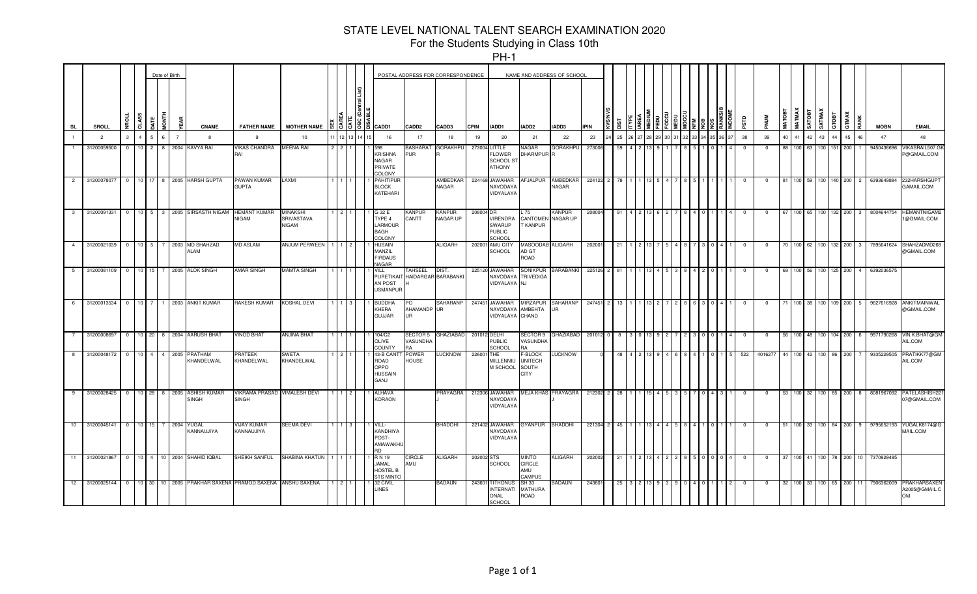|                |                |                         |                 |                      | Date of Birth |                |                                                |                                              |                                         |  |                                                            |                                     | POSTAL ADDRESS FOR CORRESPONDENCE |              |                                                             |                                                                 | NAME AND ADDRESS OF SCHOOL |             |     |  |  |  |                         |              |                    |               |                   |             |         |                   |             |                                            |
|----------------|----------------|-------------------------|-----------------|----------------------|---------------|----------------|------------------------------------------------|----------------------------------------------|-----------------------------------------|--|------------------------------------------------------------|-------------------------------------|-----------------------------------|--------------|-------------------------------------------------------------|-----------------------------------------------------------------|----------------------------|-------------|-----|--|--|--|-------------------------|--------------|--------------------|---------------|-------------------|-------------|---------|-------------------|-------------|--------------------------------------------|
| SL             | <b>SROLL</b>   | ∍                       | 9S<br>ក         |                      | 들             |                | <b>CNAME</b>                                   | <b>FATHER NAME</b>                           | MOTHER NAME 1 & 1 0 1 0 1 6 1 6 1 CADD1 |  |                                                            | CADD <sub>2</sub>                   | CADD3                             | <b>CPIN</b>  | IADD1                                                       | IADD <sub>2</sub>                                               | IADD3                      | <b>IPIN</b> |     |  |  |  | аrs                     | <b>MUM</b>   | MATOB <sub>1</sub> | <b>MATMAX</b> | SATOBT            | SATMAX      | GTOBT   | TMAX<br>RANK<br>ā | <b>MOBN</b> | <b>EMAIL</b>                               |
|                | $\overline{2}$ |                         |                 |                      |               | $\overline{7}$ | $\mathbf{R}$                                   | -9                                           | 10                                      |  | 16                                                         | 17                                  | 18                                | 19           | 20                                                          | 21                                                              | 22                         | 23          | 25  |  |  |  | 38                      | 39           | 40                 | 41            | 42                | 43          |         | 45<br>46          | 47          | 48                                         |
|                | 31200059500    | $\Omega$                |                 | $10 \quad 2 \quad 8$ |               |                | 2004 KAVYA RAI                                 | <b>VIKAS CHANDRA</b><br>RAI                  | <b>MEENA RAI</b>                        |  | 598<br><b>KRISHNA</b><br>NAGAR<br>PRIVATE<br><b>COLONY</b> | <b>BASHARAT</b><br>PUR              | <b>GORAKHPU</b>                   |              | 273004 LITTLE<br><b>LOWER</b><br>SCHOOL S'<br><b>ATHONY</b> | NAGAR<br>DHARMPUR <sup>R</sup>                                  | <b>GORAKHPU</b>            | 27300       |     |  |  |  | - 0                     | $^{\circ}$   | 88                 | 100           | 63                | 100 151     |         | 200               | 9450436696  | <b>/IKASRAIL507.G</b><br><b>@GMAIL.COM</b> |
|                | 2 31200078077  |                         |                 |                      |               |                | 0 10 17 8 2005 HARSH GUPTA                     | PAWAN KUMAR<br><b>GUPTA</b>                  | LAXMI                                   |  | <b>PAHITIPUR</b><br><b>BLOCK</b><br>KATEHARI               |                                     | AMBEDKAR<br>NAGAR                 |              | 224168 JAWAHAR<br><b>NAVODAYA</b><br>VIDYALAYA              | AFJALPUR                                                        | AMBEDKAR<br>NAGAR          | 224122 2    |     |  |  |  |                         | $^{\circ}$   | 81                 | 100           | 59                | 100 140 200 |         | $\overline{2}$    | 6393649884  | 232HARSHGUP<br>GAMAIL.COM                  |
|                | 3 31200091331  |                         | $\overline{0}$  |                      |               |                | 10 5 3 2005 SIRSASTH NIGAM                     | <b>HEMANT KUMAR</b><br><b>NIGAM</b>          | <b>MINAKSHI</b><br>SRIVASTAVA<br>NIGAM  |  | G 32 E<br>TYPE 4<br>LARMOUR<br><b>BAGH</b><br>COLONY       | <b>KANPUR</b><br>CANTT              | <b>KANPUR</b><br>NAGAR UP         | 208004 DR    | <b>VIRENDRA</b><br><b>SWARUP</b><br><b>PUBLIC</b><br>SCHOOL | L 75<br>CANTOMEN NAGAR UP<br>T KANPUR                           | <b>KANPUR</b>              | 208004      | 91  |  |  |  | - 0                     | $^{\circ}$   | 67                 | 100 65        |                   | 100 132 200 |         | 3                 | 8004644754  | <b>HEMANTNIGAM2</b><br>1@GMAIL.COM         |
|                | 4 31200021039  |                         | 0 10 5 7        |                      |               |                | 2003 MD SHAHZAD<br><b>ALAM</b>                 | <b>MD ASLAM</b>                              | ANJUM PERWEEN                           |  | <b>HUSAIN</b><br>MANZIL<br><b>FIRDAUS</b><br><b>VAGAR</b>  |                                     | ALIGARH                           |              | 202001 AMU CITY<br>SCHOOL                                   | MASOODAB ALIGARH<br>AD GT<br>ROAD                               |                            | 20200       | 21  |  |  |  | - 0                     | $^{\circ}$   | 70                 | 100           | 62                | 100 132 200 |         | 3                 | 7895641624  | SHAHZADMD26<br>@GMAIL.COM                  |
| 5 <sub>5</sub> | 31200081109    | $\overline{0}$          |                 | 10 15                |               |                | 2005 ALOK SINGH                                | <b>AMAR SINGH</b>                            | <b>MAMTA SINGH</b>                      |  | VILL<br><b>PURETIKAI</b><br>AN POST<br><b>USMANPUR</b>     | TAHSEEL<br>HAIDARGAR BARABANKI      | <b>DIST</b>                       |              | 225120 JAWAHAR<br>NAVODAYA TRIVEDIGA<br>VIDYALAYA NJ        | SONIKPUR                                                        | <b>BARABANKI</b>           | 225126      | -81 |  |  |  |                         | $\mathbf 0$  | 69                 | 100           | -56               | 100         | 125 I   | 200<br>4          | 6392036575  |                                            |
| 6              | 31200013534    | $\overline{\mathbf{0}}$ | 10 <sup>1</sup> | 7 <sup>1</sup>       | $\mathbf{1}$  |                | 2003 ANKIT KUMAR                               | RAKESH KUMAR                                 | KOSHAL DEVI                             |  | 3UDDHA<br>KHERA<br><b>GUJJAR</b>                           | PO<br>AHAMANDP UR<br>U <sub>R</sub> | SAHARANP                          |              | 247451 JAWAHAR<br>NAVODAYA AMBEHTA<br>VIDYALAYA CHAND       | MIRZAPUR                                                        | SAHARANP<br><b>UR</b>      | 247451      | 13  |  |  |  | $\overline{\mathbf{0}}$ | 0            |                    | 100           | -38               | 100         | 109 200 | 5 <sub>1</sub>    | 9627616928  | ANKITMAINWAL<br>@GMAIL.COM                 |
|                | 31200008697    |                         | $\overline{0}$  | 10 20 8              |               |                | 2004 AARUSH BHAT                               | <b>VINOD BHAT</b>                            | ANJINA BHAT                             |  | 104/C2<br><b>OLIVE</b><br>COUNTY                           | SECTOR 5<br>VASUNDHA                | GHAZIABAD                         | 201012 DELHI | <b>PUBLIC</b><br>SCHOOL                                     | SECTOR 9<br>VASUNDHA                                            | GHAZIABAD                  | 201012 0    |     |  |  |  | $\overline{0}$          | $^{\circ}$   | 56                 | 100           | 48                | 100 104 200 |         | 6                 | 9971790268  | VIN.K.BHAT@GM<br>AIL.COM                   |
|                | 8 31200048172  | $\Omega$                |                 |                      |               | 10 4 4 2005    | PRATHAM<br>KHANDELWAL                          | <b>PRATEEK</b><br>KHANDELWAL                 | SWETA<br>KHANDELWAL                     |  | 43-B CAN<br>ROAD<br>OPPO<br><b>HUSSAIN</b><br>GANJ         | POWER<br><b>HOUSE</b>               | <b>UCKNOW</b>                     | 226001 THE   | MILLENNIU<br>M SCHOOL                                       | <b>E-BLOCK</b><br><b>UNITECH</b><br><b>SOUTH</b><br><b>CITY</b> | <b>LUCKNOW</b>             |             |     |  |  |  | 522                     | 4016277      | 44                 | 100           | 42                | 100         | 86 200  |                   | 9335229505  | RATIKK77@GM<br>AIL.COM                     |
|                | 9 31200028425  |                         |                 |                      |               |                | 0 10 28 8 2005 ASHISH KUMAR<br><b>SINGH</b>    | VIKRAMA PRASAD VIMALESH DEVI<br><b>SINGH</b> |                                         |  | <b>ALHAVA</b><br><b>KORAON</b>                             |                                     | PRAYAGRA                          |              | 212306 JAWAHAR<br><b>NAVODAYA</b><br>VIDYALAYA              |                                                                 | MEJA KHAS PRAYAGRA         | 212302      | 28  |  |  |  | - 0                     | $\mathbf{0}$ |                    | 53 100        | 32                | 100 85 200  |         | 8                 | 8081967092  | PATELASHISH22<br>07@GMAIL.COM              |
|                | 10 31200045141 |                         | $\overline{0}$  | 10 15 7              |               | 2004           | <b>YUGAL</b><br>KANNAUJIYA                     | <b>VIJAY KUMAR</b><br>KANNAUJIYA             | SEEMA DEVI                              |  | VILL-<br>KANDHIYA<br>POST-<br>AMAWAKHU<br><b>RD</b>        |                                     | BHADOHI                           |              | 221402 JAWAHAR<br><b>NAVODAYA</b><br>VIDYALAYA              | <b>GYANPUR</b>                                                  | <b>BHADOHI</b>             | 221304      | 45  |  |  |  | $\overline{\mathbf{0}}$ | $\mathbf 0$  | 51                 |               | 100 33 100 84 200 |             |         | 9                 | 9795652193  | YUGALK8174@G<br>MAIL.COM                   |
|                | 11 31200021867 | $\Omega$                |                 |                      |               |                | 10 4 10 2004 SHAHID IQBAL                      | SHEIKH SANFUL                                | SHABINA KHATUN                          |  | R N 19<br>JAMAL<br><b>HOSTEL B</b><br><b>TS MINTO</b>      | <b>CIRCLE</b><br>AMU                | <b>ALIGARH</b>                    | 202002 STS   | SCHOOL                                                      | <b>MINTO</b><br><b>CIRCLE</b><br>AMU<br><b>AMPUS</b>            | <b>ALIGARH</b>             | 20200       | 21  |  |  |  | $\mathbf{0}$            | $\mathbf{0}$ | 37                 | $100$ 41      |                   | 100 78      |         | 10<br>200         | 7370929485  |                                            |
|                | 12 31200025144 |                         | $\overline{0}$  | 10 30                | 10 I          |                | 2005 PRAKHAR SAXENA PRAMOD SAXENA ANSHU SAXENA |                                              |                                         |  | 32 CIVIL<br><b>LINES</b>                                   |                                     | BADAUN                            |              | 243601 TITHONUS<br><b>INTERNATI</b><br>ONAL<br>SCHOOL       | SH 33<br><b>MATHURA</b><br>ROAD                                 | BADAUN                     | 24360       |     |  |  |  |                         | $^{\circ}$   | 32                 | 100           | -33               | 100 65 200  |         |                   | 7906362009  | PRAKHARSAXEN<br>A2005@GMAIL.C<br>OM        |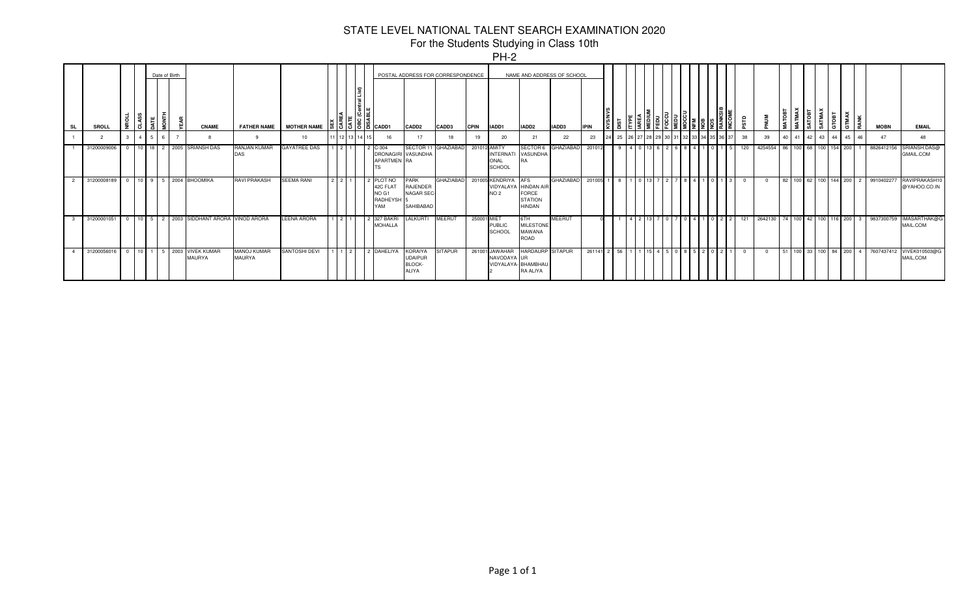|           |              |               |                 |                |               |                                     |                                     |                     |                       |         |                                                                                                   |                                                                  |                     |              | . <i>.</i>                                                     |                                                 |                            |             |     |  |       |                                                                       |                |     |         |      |                         |        |               |                      |    |                                   |                               |
|-----------|--------------|---------------|-----------------|----------------|---------------|-------------------------------------|-------------------------------------|---------------------|-----------------------|---------|---------------------------------------------------------------------------------------------------|------------------------------------------------------------------|---------------------|--------------|----------------------------------------------------------------|-------------------------------------------------|----------------------------|-------------|-----|--|-------|-----------------------------------------------------------------------|----------------|-----|---------|------|-------------------------|--------|---------------|----------------------|----|-----------------------------------|-------------------------------|
|           |              |               |                 |                | Date of Birth |                                     |                                     |                     |                       |         |                                                                                                   | POSTAL ADDRESS FOR CORRESPONDENCE                                |                     |              |                                                                |                                                 | NAME AND ADDRESS OF SCHOOL |             |     |  |       |                                                                       |                |     |         |      |                         |        |               |                      |    |                                   |                               |
| <b>SL</b> | <b>SROLL</b> |               |                 |                |               | <b>CNAME</b>                        | <b>FATHER NAME</b>                  | <b>MOTHER NAME</b>  |                       |         | $\frac{3}{5}$ $\frac{5}{5}$ $\frac{8}{5}$ $\frac{2}{5}$ $\frac{2}{5}$ $\frac{2}{5}$ $\frac{2}{5}$ | CADD <sub>2</sub>                                                | CADD3               | <b>CPIN</b>  | IIADD1                                                         | IADD <sub>2</sub>                               | IADD3                      | <b>IPIN</b> |     |  |       | $\frac{2}{3}$ $\frac{2}{3}$ $\frac{2}{3}$ $\frac{2}{3}$ $\frac{2}{3}$ |                |     |         | TOB1 | l m                     | SATMAX | òr<br>$\circ$ | <b>GTMAX</b><br>RANK |    | <b>MOBN</b>                       | <b>EMAIL</b>                  |
|           |              |               | $\overline{4}$  |                |               |                                     | 9                                   | 10                  |                       | 1 12 13 | 16                                                                                                | 17                                                               | 18                  | 19           | 20                                                             | 21                                              | 22                         | 23          | -25 |  |       |                                                                       |                | 38  | 39      | 40   | -41                     | 42 43  | 44            | 45                   | 46 | 47                                | 48                            |
|           | 31200009006  |               | $10 \quad 18$   |                |               | 2 2005 SRIANSH DAS                  | RANJAN KUMAR<br>DAS                 | <b>GAYATREE DAS</b> |                       |         | $C-304$<br><b>APARTMEN RA</b>                                                                     | <b>DRONAGIRI VASUNDHA</b>                                        | SECTOR 11 GHAZIABAD | 201012 AMITY | INTERNATI VASUNDHA<br>ONAL<br>SCHOOL                           | <b>SECTOR 6</b>                                 | <b>GHAZIABAD</b>           | 201012      |     |  |       |                                                                       |                | 120 | 4254554 |      | 86 100 68 100 154 200   |        |               |                      |    | 8826412156                        | SRIANSH.DAS@<br>GMAIL.COM     |
|           | 31200008189  |               |                 |                |               | 0 10 9 5 2004 BHOOMIKA              | <b>RAVI PRAKASH</b>                 | <b>SEEMA RANI</b>   | $2 \times 2 \times 1$ |         | PLOT NO<br>42C FLAT<br>NO G1<br>RADHEYSH <sup>1</sup><br>YAM                                      | PARK<br>RAJENDER<br>NAGAR SEC<br>SAHIBABAD                       | <b>GHAZIABAD</b>    |              | 201005 KENDRIYA AFS<br>VIDYALAYA HINDAN AIF<br>NO <sub>2</sub> | <b>FORCE</b><br><b>STATION</b><br><b>HINDAN</b> | <b>GHAZIABAD</b>           | 201005      |     |  |       |                                                                       |                |     |         |      |                         |        |               |                      |    | 82 100 62 100 144 200 2 991040227 | RAVIPRAKASH10<br>@YAHOO.CO.IN |
|           | 31200001051  |               | 10 <sup>1</sup> | 5 <sub>1</sub> |               | 2 2003 SIDDHANT ARORA               | <b>VINOD ARORA</b>                  | LEENA ARORA         | $\sqrt{2}$            |         | 327 BAKRI<br><b>MOHALLA</b>                                                                       | LALKURTI                                                         | <b>MEERUT</b>       | 250001 MIET  | <b>PUBLIC</b><br>SCHOOL                                        | 6TH<br><b>MILESTONE</b><br>MAWANA<br>ROAD       | <b>MEERUT</b>              |             |     |  |       |                                                                       | 0 <sup>2</sup> | 121 | 2642130 |      | 74 100 42 100 116 200 3 |        |               |                      |    | 9837300759                        | IMASARTHAK@G<br>MAIL.COM      |
|           | 31200056016  | 0 10 1 5 2003 |                 |                |               | <b>VIVEK KUMAR</b><br><b>MAURYA</b> | <b>MANOJ KUMAR</b><br><b>MAURYA</b> | SANTOSHI DEVI       |                       | 1   2   | 2 DAHELIYA                                                                                        | <b>KORAIYA</b><br><b>UDAIPUR</b><br><b>BLOCK</b><br><b>ILIYA</b> | <b>SITAPUR</b>      |              | 261001 JAWAHAR<br>NAVODAYA UR<br>VIDYALAYA-BHAMBHAL            | <b>HARDAURP SITAPUR</b><br>RA ALIYA             |                            | 261141 2    | 156 |  | 5 0 8 |                                                                       |                |     |         |      |                         |        |               |                      |    | 51 100 33 100 84 200 4 7607437412 | VIVEK010503@G<br>MAIL.COM     |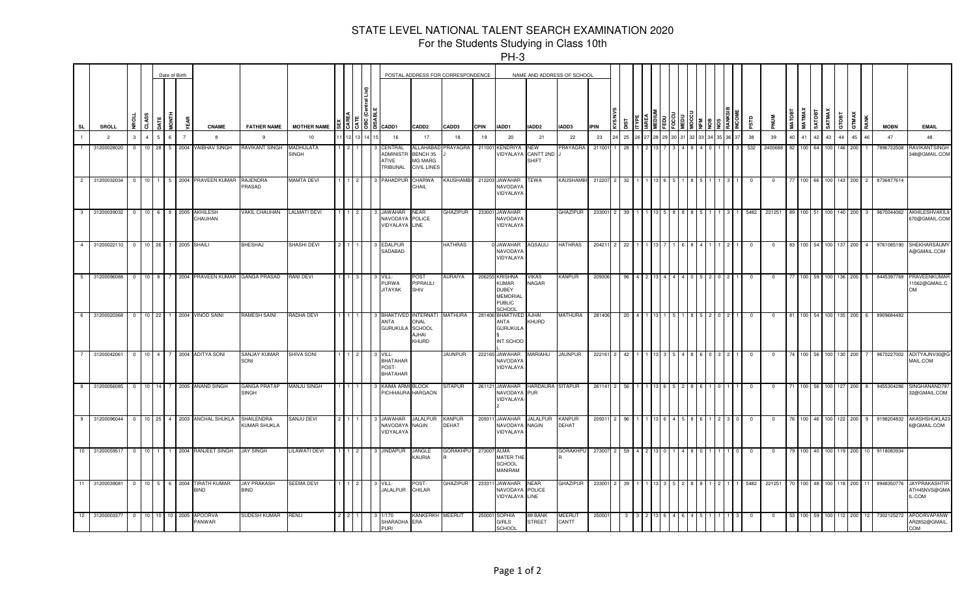|                |                |                |                 |                  | Date of Birth |          |                                  |                                   |                     |                |                |         |                                                        | POSTAL ADDRESS FOR CORRESPONDENCE                           |                               |             |                                                                                              |                                         | NAME AND ADDRESS OF SCHOOL |             |     |  |  |  |          |                         |             |              |        |        |                    |          |                 |                                                |
|----------------|----------------|----------------|-----------------|------------------|---------------|----------|----------------------------------|-----------------------------------|---------------------|----------------|----------------|---------|--------------------------------------------------------|-------------------------------------------------------------|-------------------------------|-------------|----------------------------------------------------------------------------------------------|-----------------------------------------|----------------------------|-------------|-----|--|--|--|----------|-------------------------|-------------|--------------|--------|--------|--------------------|----------|-----------------|------------------------------------------------|
| <b>SL</b>      | <b>SROLL</b>   | g              | <b>CLASS</b>    | $rac{1}{2}$<br>ā |               | EAR<br>E | <b>CNAME</b>                     | <b>FATHER NAME</b>                | <b>MOTHER NAME</b>  |                |                | 흶흥[동]흠[ | CADD1                                                  | CADD2                                                       | CADD3                         | <b>CPIN</b> | IADD1                                                                                        | IADD <sub>2</sub>                       | <b>IADD3</b>               | <b>IPIN</b> | ä   |  |  |  | arse     |                         | <b>MATO</b> | <b>MATMA</b> | SATOBT | SATMAX | GTOBT<br>GTMAX     |          | <b>MOBN</b>     | <b>EMAIL</b>                                   |
| $\overline{1}$ | $\overline{2}$ | $\mathbf{3}$   | $\overline{4}$  | -5               |               |          | $\mathbf{R}$                     | $\mathbf{q}$                      | 10                  |                |                |         | 16                                                     | 17                                                          | 18                            | 19          | 20                                                                                           | 21                                      | 22                         | 23          | 25  |  |  |  | 38       | 39                      | 40          | 41           | 42     | 43     | 44                 | 45<br>46 | 47              | 48                                             |
| $\overline{1}$ | 31200028020    | $\Omega$       | $10$ 28         | 5                |               |          | 2004 VAIBHAV SINGH               | RAVIKANT SINGH                    | MADHULATA<br>SINGH  |                |                |         | CENTRAL<br>ADMINIST<br>ATIVE<br><b><i>FRIBUNAL</i></b> | ALLAHABAD<br>BENCH 35<br>MG MARG<br>CIVIL LINES             | PRAYAGRA                      | 211001      | <b>KENDRIYA</b><br>VIDYALAYA                                                                 | <b>NEW</b><br>CANTT 2ND<br><b>SHIFT</b> | <b>PRAYAGRA</b>            | 21100       | 28  |  |  |  | 532      | 2400688                 | 82          | 100          | 64     | 100    | 146 200            |          | 7896722508      | RAVIKANTSINGH<br>348@GMAIL.COM                 |
|                | 2 31200032034  | $^{\circ}$     | 10 <sub>1</sub> | l 5 I            |               |          | 2004 PRAVEEN KUMAR               | RAJENDRA<br>PRASAD                | MAMTA DEVI          |                |                |         | PAHADPUF                                               | CHARWA<br>CHAIL                                             | KAUSHAMBI                     |             | 212203 JAWAHAR<br><b>NAVODAY</b><br>VIDYALAYA                                                | TEWA                                    | <b>KAUSHAMBI</b>           | 212207      | 32  |  |  |  |          | $\overline{\mathbf{0}}$ |             | 100          | 66     | 100    | 143 200            |          | 8736877614      |                                                |
| 3 <sup>1</sup> | 31200039032    | $\overline{0}$ | $10 \quad 6$    | -8               |               |          | 2005 AKHILESH<br>CHAUHAN         | <b>VAKIL CHAUHAN</b>              | <b>LALMATI DEVI</b> |                |                |         | <b>JAWAHAR</b><br>NAVODAYA<br>VIDYALAYA                | NEAR<br>POLICE<br>LINE                                      | GHAZIPUR                      |             | 233001 JAWAHAR<br><b>NAVODAYA</b><br>VIDYALAYA                                               |                                         | GHAZIPUR                   | 233001      | -39 |  |  |  | 5482     | 221251                  | 89          | 100          | -51    | 100    | 140 200            |          | 9670044062      | <b>AKHILESHVAKILS</b><br>370@GMAIL.COM         |
|                | 4 31200022110  | $\overline{0}$ |                 | 10 26 1          |               |          | 2005 SHAILI                      | <b>BHESHAJ</b>                    | SHASHI DEVI         | 2              |                |         | 3 EDALPUR<br>SADABAD                                   |                                                             | <b>HATHRAS</b>                |             | <b>JAWAHAR</b><br>NAVODAY/<br>VIDYALAYA                                                      | AGSAULI                                 | HATHRAS                    | 204211      | 22  |  |  |  | $\Omega$ | $\overline{\mathbf{0}}$ | 83          | 100          | 54     | 100    | 137 200            |          | 9761085190      | SHEKHARSAUM<br>A@GMAIL.COM                     |
|                | 5 31200096088  | $\overline{0}$ | 10 <sup>1</sup> |                  |               |          | 2004 PRAVEEN KUMAR               | <b>GANGA PRASAD</b>               | RANI DEVI           |                |                |         | VILL-<br>PURWA<br><b>JITAYAK</b>                       | 'ОSТ<br>PIPRAULI<br>SHIV                                    | AURAIYA                       |             | 206255 KRISHNA<br><b>KUMAR</b><br><b>DUBEY</b><br><b>MEMORIAL</b><br><b>PUBLIC</b><br>SCHOOL | <b>VIKAS</b><br><b>NAGAR</b>            | <b>KANPUR</b>              | 209306      | 96  |  |  |  |          | - 0                     |             | 100          | 59     | 100    | 136 <sup>I</sup>   | 200      | 8445397768      | <b>RAVEENKUMAR</b><br>1062@GMAIL.C<br>OM       |
|                | 6 31200020368  | $\overline{0}$ | 10 22           |                  |               |          | 2004 VINOD SAINI                 | RAMESH SAINI                      | RADHA DEVI          |                |                |         | <b>BHAKTIVED</b><br>ANTA<br><b>GURUKULA</b>            | <b>INTERNATI</b><br>ONAL<br><b>SCHOOL</b><br>IAHJA<br>KHURD | <b>MATHURA</b>                |             | 281406 BHAKTIVED AJHAI<br><b>ANTA</b><br><b>GURUKULA</b><br>INT.SCHOO                        | KHURD                                   | MATHURA                    | 281406      | 20  |  |  |  | $\Omega$ | $\overline{\mathbf{0}}$ | 81          | 100          | 54 100 |        | 135 200            |          | 8909684482      |                                                |
|                | 7 31200042061  | $\overline{0}$ | $10 \quad 4$    |                  |               |          | 2004 ADITYA SONI                 | SANJAY KUMAR<br>SONI              | <b>SHIVA SONI</b>   |                |                |         | VILL-<br><b>BHATAHAR</b><br>POST-<br><b>BHATAHAR</b>   |                                                             | <b>JAUNPUR</b>                |             | 222165 JAWAHAR<br><b>NAVODAYA</b><br>VIDYALAYA                                               | MARIAHU                                 | JAUNPUR                    | 222161      | 42  |  |  |  |          | 0                       | 74          | 100          | 56     | 100    | 130 200            |          | 9670227002      | ADITYAJNV30@C<br>MAIL.COM                      |
|                | 8 31200056085  | $\overline{0}$ |                 | 10 14 7          |               |          | 2005 ANAND SINGH                 | <b>GANGA PRATAP</b><br>SINGH      | <b>MANJU SINGH</b>  |                |                |         | KAIMA ARMI BLOCK                                       | PICHHAURA HARGAON                                           | SITAPUR                       |             | 261121 JAWAHAR<br>NAVODAYA PUR<br>VIDYALAYA                                                  | HARDAURA SITAPUR                        |                            | 261141      | 56  |  |  |  |          | $\overline{\mathbf{0}}$ |             |              |        |        | 100 56 100 127 200 |          | 9455304286<br>8 | SINGHANAND79<br>32@GMAIL.COM                   |
|                | 9 31200096044  |                |                 |                  |               |          | 0 10 25 4 2003 ANCHAL SHUKLA     | <b>SHAILENDRA</b><br>KUMAR SHUKLA | SANJU DEVI          | $\overline{2}$ |                |         | <b>JAWAHAR</b><br>NAVODAYA<br>VIDYALAYA                | <b>JALALPUR</b><br>NAGIN                                    | <b>KANPUR</b><br><b>DEHAT</b> | 20931       | <b>JAWAHAR</b><br>NAVODAYA<br>VIDYALAYA                                                      | JALALPUR KANPUR<br><b>NAGIN</b>         | DEHAT                      | 20931       | 96  |  |  |  | - 0      | $\overline{\mathbf{0}}$ | 76          | 100          | 46     | 100    | 122 200            |          | 9198204832      | <b>AKASHSHUKLA2</b><br>6@GMAIL.COM             |
|                | 10 31200059517 | $\overline{0}$ | $10$ 1          |                  |               |          | 2004 RANJEET SINGH               | <b>JAY SINGH</b>                  | LILAWATI DEVI       |                | $\overline{2}$ |         | <b>JINDAPUR</b>                                        | <b>JANGLE</b><br>KAURIA                                     | GORAKHPU                      | 27300       | <b>ALMA</b><br><b>MATER THE</b><br><b>SCHOOL</b><br>MANIRAM                                  |                                         | GORAKHPU                   | 273007      | 59  |  |  |  |          | $\overline{\mathbf{0}}$ |             | 100          | 40     | 100    |                    | 200      | 9118083934      |                                                |
|                | 11 31200039081 | $\overline{0}$ | $10 \quad 5$    | - 6              |               |          | 2004 TIRATH KUMAR<br><b>BIND</b> | <b>JAY PRAKASH</b><br>BIND        | <b>SEEMA DEVI</b>   |                |                |         | VILL-<br><b>JALALPUR</b>                               | POST-<br>CHILAR                                             | GHAZIPUR                      | 233311      | JAWAHAR<br>NAVODAYA POLICE<br>VIDYALAYA LINE                                                 | <b>NEAR</b>                             | <b>GHAZIPUR</b>            | 233001      | 39  |  |  |  | 5482     | 221251                  | 70          | 100          | 48     | 100    | 118 200            |          | 8948350776      | <b>JAYPRAKASHTIR</b><br>ATH45NVS@GMA<br>IL.COM |
|                | 12 31200003377 | $\overline{0}$ |                 | 10 10 10         |               |          | 2005 APOORVA<br>PANWAR           | SUDESH KUMAR                      | <b>RENU</b>         |                |                |         | 1/170<br>SHARADHA<br>PURL                              | <b><i>CANKERKH MEERUT</i></b><br>ERA                        |                               | 250001      | <b>SOPHIA</b><br><b>GIRLS</b><br>SCHOOL                                                      | 89 BANK<br><b>STREET</b>                | MEERUT<br>CANTT            | 25000       |     |  |  |  |          | $\overline{0}$          |             | 100          | 59     | 100    | 112 200            |          | 7302125272      | APOORVAPANW<br>AR2852@GMAIL<br>COM             |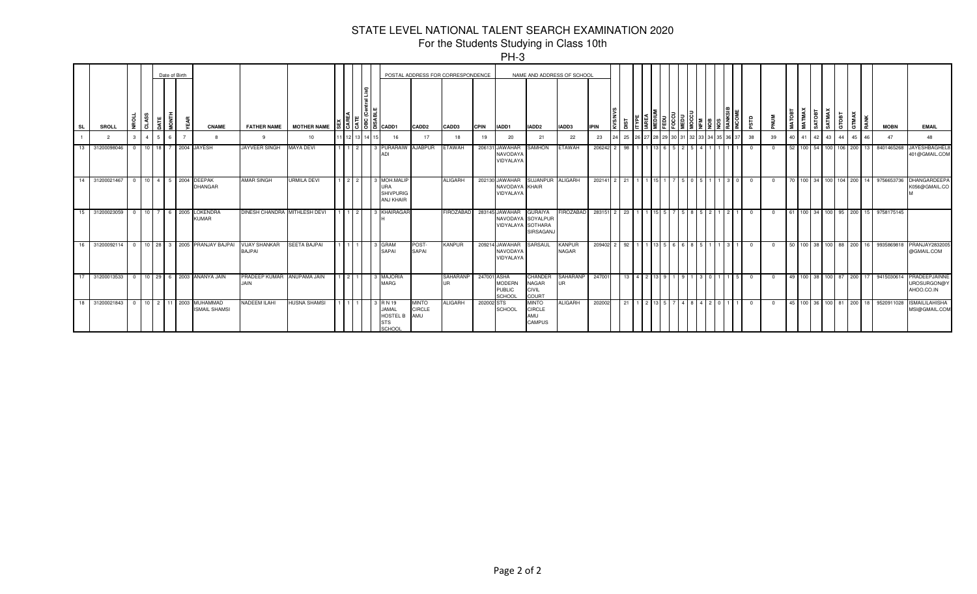|           |                |              |             |               |                                                 |                                           |                                                                                                                                                                                                                                                                                                            |  |                                                                   |                                      |                                   |             | ט־ווי                                                    |                                                         |                            |             |                 |                 |  |                       |               |     |    |          |                       |            |                      |       |                                |          |                                    |                                            |
|-----------|----------------|--------------|-------------|---------------|-------------------------------------------------|-------------------------------------------|------------------------------------------------------------------------------------------------------------------------------------------------------------------------------------------------------------------------------------------------------------------------------------------------------------|--|-------------------------------------------------------------------|--------------------------------------|-----------------------------------|-------------|----------------------------------------------------------|---------------------------------------------------------|----------------------------|-------------|-----------------|-----------------|--|-----------------------|---------------|-----|----|----------|-----------------------|------------|----------------------|-------|--------------------------------|----------|------------------------------------|--------------------------------------------|
|           |                |              |             | Date of Birth |                                                 |                                           |                                                                                                                                                                                                                                                                                                            |  |                                                                   |                                      | POSTAL ADDRESS FOR CORRESPONDENCE |             |                                                          |                                                         | NAME AND ADDRESS OF SCHOOL |             |                 |                 |  |                       |               |     |    |          |                       |            |                      |       |                                |          |                                    |                                            |
| <b>SL</b> | <b>SROLL</b>   | z            |             |               | <b>CNAME</b>                                    | <b>FATHER NAME</b>                        | MOTHER NAME $\begin{bmatrix} 1 & 1 & 1 & 1 & 1 \ 1 & 1 & 1 & 1 & 1 \ 1 & 1 & 1 & 1 & 1 \ 1 & 1 & 1 & 1 & 1 \ 1 & 1 & 1 & 1 & 1 \ 1 & 1 & 1 & 1 & 1 \ 1 & 1 & 1 & 1 & 1 \ 1 & 1 & 1 & 1 & 1 \ 1 & 1 & 1 & 1 & 1 \ 1 & 1 & 1 & 1 & 1 \ 1 & 1 & 1 & 1 & 1 \ 1 & 1 & 1 & 1 & 1 \ 1 & 1 & 1 & 1 & 1 \ 1 & 1 & $ |  |                                                                   | CADD <sub>2</sub>                    | CADD3                             | <b>CPIN</b> | IADD1                                                    | IADD <sub>2</sub>                                       | IADD3                      | <b>IPIN</b> | ٥               |                 |  |                       |               |     | аß | 롫        | $\circ$<br><b>TAN</b> | <b>NAX</b> | ᅝ<br>$\circ$<br>. cñ | ATMAX | стовт<br><b>MAX</b><br>$^{15}$ |          | <b>MOBN</b>                        | <b>EMAIL</b>                               |
|           | $\overline{2}$ | $\mathbf{3}$ |             |               | R                                               | $\alpha$                                  | 10                                                                                                                                                                                                                                                                                                         |  | 16                                                                | 17                                   | 18                                | 19          | 20                                                       | 21                                                      | 22                         | 23          | 25              |                 |  |                       |               |     | 38 | 39       | 40                    | 41         | 42                   | 43    | 44                             | 46<br>45 | 47                                 | 48                                         |
| -13       | 31200098046    | 0 10 18 7    |             |               | 2004 JAYESH                                     | <b>JAYVEER SINGH</b>                      | <b>MAYA DEVI</b>                                                                                                                                                                                                                                                                                           |  | PURARAIW<br>ADI                                                   | <b>AJABPUR</b>                       | <b>ETAWAH</b>                     |             | 206131 JAWAHAR<br>NAVODAY/<br>VIDYALAYA                  | <b>SAMHON</b>                                           | <b>HAWAH</b>               | 206242      | 98              |                 |  |                       |               |     |    | - 0      |                       |            |                      |       | 52 100 54 100 106 200          | 13 I     | 840146526                          | <b>JAYESHBAGHEL</b><br>401@GMAIL.COM       |
| -14       | 31200021467    |              |             |               | 0 10 4 5 2004 DEEPAK<br>DHANGAR                 | <b>AMAR SINGH</b>                         | <b>URMILA DEVI</b>                                                                                                                                                                                                                                                                                         |  | 3 MOH.MALIF<br><b>URA</b><br><b>SHIVPURIG</b><br><b>ANJ KHAIR</b> |                                      | <b>ALIGARH</b>                    |             | 202130 JAWAHAR<br>NAVODAYA KHAIR<br>VIDYALAY/            | SUJANPUR ALIGARH                                        |                            | 202141 2    |                 | $21 \t1 \t1$    |  | 7505                  |               | 300 |    | - 0      |                       |            |                      |       |                                |          | 70 100 34 100 104 200 14 975665373 | <b>DHANGARDEEPA</b><br>K056@GMAIL.CO       |
| -15       | 31200023059    | $\Omega$     | 10 7 6 2005 |               | LOKENDRA<br><b>KUMAR</b>                        | DINESH CHANDRA MITHLESH DEVI              |                                                                                                                                                                                                                                                                                                            |  | KHAIRAGAF                                                         |                                      | <b>FIROZABAD</b>                  |             | 283145 JAWAHAR<br>NAVODAYA SOYALPUR<br>VIDYALAYA SOTHARA | <b>GURAIYA</b><br>SIRSAGANJ                             | <b>IROZABAD</b>            | 283151 2    | 23              |                 |  | 58                    |               |     |    | - 0      |                       |            |                      |       | 61 100 34 100 95 200           |          | 15 9758175145                      |                                            |
| 16        | 31200092114    |              |             |               | 0 10 28 3 2005 PRANJAY BAJPAI                   | <b>VIJAY SHANKAR</b><br>BAJPAI            | <b>SEETA BAJPAI</b>                                                                                                                                                                                                                                                                                        |  | <b>GRAM</b><br><b>SAPAI</b>                                       | POST-<br><b>SAPAI</b>                | <b>KANPUR</b>                     |             | 209214 JAWAHAR<br><b>NAVODAYA</b><br>VIDYALAYA           | SARSAUL                                                 | <b>KANPUR</b><br>NAGAR     | 209402 2    | - 92            |                 |  | 6 8 8                 |               |     |    | $\Omega$ |                       |            |                      |       | 50 100 38 100 88 200           |          | 16 993586981                       | PRANJAY2832005<br>@GMAIL.COM               |
|           | 31200013533    |              |             |               | 0 10 29 6 2003 ANANYA JAIN                      | PRADEEP KUMAR ANUPAMA JAIN<br><b>JAIN</b> |                                                                                                                                                                                                                                                                                                            |  | <b>MAJORIA</b><br><b>MARG</b>                                     |                                      | SAHARANP                          | 247001 ASHA | <b>MODERN</b><br><b>PUBLIC</b><br>SCHOOL                 | <b>CHANDER</b><br><b>NAGAR</b><br><b>CIVIL</b><br>COURT | SAHARANP<br>IJR            | 247001      | 13 <sup>1</sup> | $4 \mid 2 \mid$ |  | 191                   | $1 \, 3 \, 0$ |     | n  | - 0      |                       |            |                      |       |                                |          | 49 100 38 100 87 200 17 941503061  | PRADEEPJAINNE<br>UROSURGON@Y<br>AHOO.CO.IN |
| 18        | 31200021843    |              |             |               | 0 10 2 11 2003 MUHAMMAD<br><b>ISMAIL SHAMSI</b> | <b>NADEEM ILAHI</b>                       | <b>HUSNA SHAMSI</b>                                                                                                                                                                                                                                                                                        |  | 3 R N 19<br>JAMAL<br><b>HOSTEL B</b><br><b>STS</b><br>SCHOOL      | <b>MINTO</b><br><b>CIRCLE</b><br>AMU | <b>ALIGARH</b>                    | 202002 STS  | <b>SCHOOL</b>                                            | <b>MINTO</b><br><b>CIRCLE</b><br>AMU<br>CAMPUS          | <b>ALIGARH</b>             | 202002      | 21              | $1$   2         |  | 5   7   4   8   4   2 |               |     |    | $\Omega$ |                       |            |                      |       |                                |          | 45 100 36 100 81 200 18 9520911028 | <b>ISMAILILAHISHA</b><br>MSI@GMAIL.COM     |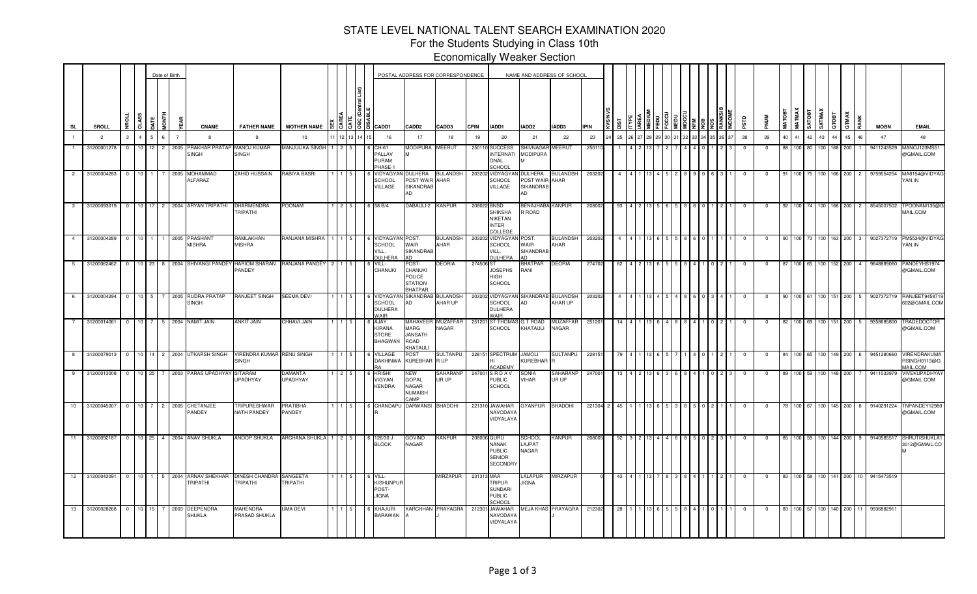For the Students Studying in Class 10th Economically Weaker Section

|                |                  |                |                                 |   | Date of Birth  |                                          |                                           |                                    |     |                                                         |                                                               | POSTAL ADDRESS FOR CORRESPONDENCE |             |                                                                                  |                                              | NAME AND ADDRESS OF SCHOOL |             |     |  |  |  |  |             |            |        |                              |                  |              |              |                |             |                                                        |
|----------------|------------------|----------------|---------------------------------|---|----------------|------------------------------------------|-------------------------------------------|------------------------------------|-----|---------------------------------------------------------|---------------------------------------------------------------|-----------------------------------|-------------|----------------------------------------------------------------------------------|----------------------------------------------|----------------------------|-------------|-----|--|--|--|--|-------------|------------|--------|------------------------------|------------------|--------------|--------------|----------------|-------------|--------------------------------------------------------|
| <b>SL</b>      | <b>SROLL</b>     | CLASS<br>g     |                                 |   | ã              | <b>CNAME</b>                             | <b>FATHER NAME</b>                        | <b>MOTHER NAME</b>                 |     | 1장 IS IS ICADD1                                         | <b>CADD2</b>                                                  | CADD3                             | <b>CPIN</b> | IADD1                                                                            | IADD2                                        | IADD3                      | <b>IPIN</b> |     |  |  |  |  | <b>ESTD</b> |            | MATOBT | <b>IATMAX</b><br><b>ROOR</b> | SATMAX           | Tap1         | <b>GTMAX</b> | RANK           | <b>MOBN</b> | <b>EMAIL</b>                                           |
| $\mathbf{1}$   | $\overline{2}$   | 3              | $\overline{a}$<br>5             |   | $\overline{7}$ | -8                                       | 9                                         | 10                                 |     | 16                                                      | 17                                                            | 18                                | 19          | 20                                                                               | 21                                           | 22                         | 23          | 25  |  |  |  |  | 38          | 39         | 40     | 41                           | $\Delta$ 2<br>43 |              | 45           | 46             | 47          | 48                                                     |
|                | 31200001278      | $\overline{0}$ | 10 <sup>1</sup><br>12           | 2 | 2005           | PRAKHAR PRATAP<br>SINGH                  | MANOJ KUMAR<br>SINGH                      | MANJULIKA SINGH                    |     | CH-61<br>PALLAV<br>PURAM<br>HASE-                       | <i><b>IODIPURA</b></i>                                        | MEERUT                            |             | 250110 SUCCESS<br><b>INTERNATI</b><br>ONAL<br>SCHOOL                             | SHIVNAGAR<br><b>MODIPURA</b>                 | <b>MEERUT</b>              | 25011       |     |  |  |  |  | $\Omega$    |            | 88     | 100 80                       |                  | 100 I        | 168.<br>200  |                | 9411243529  | MANOJ123MS5 <sup>.</sup><br>@GMAIL.COM                 |
| $\overline{2}$ | 31200004283      | $\overline{0}$ | 10 <sup>1</sup><br>$\mathbf{1}$ |   | 2005           | <b>MOHAMMAD</b><br>ALFARAZ               | ZAHID HUSSAIN                             | RABIYA BASRI                       |     | VIDYAGY<br><b>SCHOOL</b><br>VILLAGE                     | DULHERA<br>POST WAIR AHAR<br>SIKANDRAB<br>AD                  | <b>BULANDSH</b>                   |             | 203202 VIDYAGYA<br><b>SCHOOL</b><br>VILLAGE                                      | DULHERA<br>POST WAIR AHAR<br>SIKANDRAB<br>AD | <b>BULANDSH</b>            | 203202      |     |  |  |  |  |             |            | 91     | 100 75 100                   |                  | 166          | 200          | $\overline{2}$ | 9759554254  | MA8154@VIDYAG<br>YAN.IN                                |
| 3 <sup>3</sup> | 31200093019      | $\overline{0}$ | 10 <sup>1</sup>                 |   |                | 17 2 2004 ARYAN TRIPATHI                 | DHARMENDRA<br>TRIPATHI                    | POONAM                             |     | 58 B/4                                                  | ABAULI-2                                                      | <b>KANPUR</b>                     |             | 208022 BNSD<br>SHIKSHA<br><b>NIKETAN</b><br><b>INTER</b><br>COLLEGE              | <b>BENAJHABA KANPUR</b><br>R ROAD            |                            | 208002      | 93  |  |  |  |  |             |            | 92     |                              |                  | 166          | 200          |                | 8545007502  | TPOONAM135@C<br>MAIL.COM                               |
| 4              | 31200004289 0    |                | 10 <sup>1</sup>                 |   |                | 1 1 2005 PRASHANT<br><b>MISHRA</b>       | RAMLAKHAN<br>MISHRA                       | RANJANA MISHRA   1                 |     | VIDYAGYAN<br>SCHOOL<br>/ILL.<br><b>DULHERA</b>          | POST.<br>WAIR<br>SIKANDRAB                                    | <b>BULANDSH</b><br>AHAR           |             | 203202 VIDYAGYAI<br><b>SCHOOL</b><br>VILL.<br>DULHERA                            | POST.<br>WAIR<br><b>SIKANDRAB</b>            | <b>BULANDSH</b><br>AHAR    | 203202      |     |  |  |  |  | $\Omega$    |            | 90     | 100 73 100 163               |                  |              | 200          | 3              | 9027372719  | PM5534@VIDYAG<br>YAN.IN                                |
| $5 -$          | 31200062462      | $\overline{0}$ |                                 |   |                | 10 23 8 2004 SHIVANGI PANDEY             | <b>HARIOM SHARAN</b><br>PANDEY            | RANJANA PANDEY 2                   |     | VILL-<br><b>CHANUKI</b>                                 | OST-<br>CHANUKI<br><b>POLICE</b><br><b>STATION</b><br>BHATPAR | DEORIA                            | 274506 ST   | <b>JOSEPHS</b><br><b>HIGH</b><br><b>SCHOOL</b>                                   | <b>HATPAR</b><br>RANI                        | <b>DEORIA</b>              | 274702      | 62  |  |  |  |  | $\Omega$    |            | 87     | $100$ 65                     |                  | 100 L        | 152<br>200   | $\overline{4}$ | 9648889060  | PANDEYHS1974<br>@GMAIL.COM                             |
| 6              | 31200004294      | $\overline{0}$ |                                 |   |                | 10 5 7 2005 RUDRA PRATAP<br><b>SINGH</b> | RANJEET SINGH                             | <b>SEEMA DEVI</b>                  |     | VIDYAGY/<br><b>SCHOOL</b><br><b>DULHERA</b><br>WAIR     | SIKANDRAI<br>AD                                               | BULANDSH<br>AHAR UP               |             | 203202 VIDYAGYAN<br><b>SCHOOL</b><br><b>DULHERA</b><br>WAIR                      | SIKANDRAB<br>AD                              | <b>BULANDSH</b><br>AHAR UP | 20320       |     |  |  |  |  |             |            | 90     | 100 61                       |                  | 100 I        | 200          | -5             | 9027372719  | RANJEET945871<br>602@GMAIL.COM                         |
|                | 31200014061      | $\overline{0}$ | $10 \mid 7$                     |   |                | 5 2004 NAMIT JAIN                        | <b>ANKIT JAIN</b>                         | <b>CHHAVI JAIN</b>                 |     | AJAY<br><b>KIRANA</b><br><b>STORE</b><br><b>BHAGWAN</b> | MAHAVEER<br>MARG<br><b>JANSATH</b><br>ROAD<br><b>HATAU</b>    | <b>MUZAFFAR</b><br>NAGAR          |             | 251201 ST THOMA<br><b>SCHOOL</b>                                                 | <b>G T ROAD</b><br>KHATAULI                  | <b>MUZAFFAF</b><br>NAGAR   | 25120       |     |  |  |  |  |             |            | 82     |                              |                  |              | 200          |                | 9358685800  | <b>FRADEDOCTOF</b><br>@GMAIL.COM                       |
| 8              | 31200079013      | $\overline{0}$ | 10 <sup>1</sup><br>14           |   |                | 2 2004 UTKARSH SINGH                     | <b>VIRENDRA KUMAR</b><br>SINGH            | <b>RENU SINGH</b>                  |     | <b>/ILLAGE</b><br><b>DAKHINWA</b>                       | POST<br>KUREBHAR R UP                                         | SULTANPU                          |             | 228151 SPECTRUM<br>н١<br><b>ACADEMY</b>                                          | <b>JAMOLI</b><br>KUREBHAR                    | <b>SULTANPU</b>            | 22815       |     |  |  |  |  | 0           | $\Omega$   | 84     | 100                          |                  | 100 I<br>149 | 200          |                | 9451280660  | <b>VIRENDRAKUMA</b><br>RSINGH0113@G<br><b>JAIL.COM</b> |
| 9              | 31200013008      | $\overline{0}$ |                                 |   |                | 10 25 7 2003 PARAS UPADHYAY              | <b>SITARAM</b><br>JPADHYAY                | DAMANTA<br>UPADHYAY                |     | <b>KRISHI</b><br>/IGYAN<br><b>KENDRA</b>                | NEW<br>GOPAL<br>NAGAR<br>NUMAISH<br><b>AMP</b>                | SAHARANP<br>UR UP                 |             | 247001 S R D A V<br>PUBLIC<br>SCHOOL                                             | SONIA<br>VIHAR                               | SAHARANP<br>UR UP          | 24700       | 13  |  |  |  |  |             |            | 89     | 100                          |                  | 100 I<br>148 | 200          |                | 9411033979  | VIVEKUPADHYA'<br>@GMAIL.COM                            |
| 10             | 31200045007      | $\overline{0}$ | 10 <sup>1</sup>                 |   |                | 7 2 2005 CHETANJEE<br><b>PANDEY</b>      | <b>TRIPURESHWAR</b><br><b>NATH PANDEY</b> | <b>PRATIBHA</b><br>PANDEY          |     | CHANDAPL                                                | DARWANSI                                                      | <b>BHADOHI</b>                    |             | 221310 JAWAHAR<br><b>NAVODAYA</b><br>VIDYALAYA                                   | <b>GYANPUR</b>                               | <b>BHADOHI</b>             | 221304 2    | 45  |  |  |  |  | $\Omega$    |            | 78     | 100 67                       |                  | 100 145      | 200          |                | 9140291224  | TNPANDEY12980<br>@GMAIL.COM                            |
| 11             | 31200092187      | $\overline{0}$ | $10$ 25                         |   |                | 4 2004 ANAV SHUKLA                       | ANOOP SHUKLA                              | ARCHANA SHUKLA                     | 2 5 | 126/30 J<br><b>BLOCK</b>                                | GOVIND<br>NAGAR                                               | KANPUR                            |             | 208006 GURU<br><b>NANAK</b><br><b>PUBLIC</b><br><b>SENIOR</b><br><b>SECONDRY</b> | <b>SCHOOL</b><br>LAJPAT<br>NAGAR             | KANPUR                     | 208005      | 92  |  |  |  |  |             | $\Omega$   | 85     | 100 59 100                   |                  | 144          | 200          |                | 9140585517  | SHRUTISHUKLA1<br>3012@GMAIL.CO                         |
| 12             | 31200043091      | $\overline{0}$ | 10<br>$\mathbf{1}$              |   |                | 5 2004 ARNAV SHEKHAR<br><b>TRIPATHI</b>  | <b>DINESH CHANDRA</b><br><b>TRIPATHI</b>  | <b>SANGEETA</b><br><b>TRIPATHI</b> |     | VILL-<br><b>KISHUNPUR</b><br>POST-<br><b>JIGNA</b>      |                                                               | <b>MIRZAPUR</b>                   | 231313 MAA  | <b>TRIPUR</b><br><b>SUNDARI</b><br><b>PUBLIC</b><br>SCHOOL                       | <b>ALAPUR</b><br><b>JIGNA</b>                | <b>MIRZAPUR</b>            |             | 43  |  |  |  |  | $\Omega$    |            | 83     | 100 58 100 141               |                  |              | 200          | 10             | 9415473519  |                                                        |
|                | 13 31200028268 0 |                |                                 |   |                | 10 15 7 2003 DEEPENDRA<br><b>SHUKLA</b>  | MAHENDRA<br>PRASAD SHUKLA                 | UMA DEVI                           |     | KHAJURI<br><b>BARAWAN</b>                               |                                                               | KARCHHAN PRAYAGRA                 |             | 212301 JAWAHAR<br>NAVODAY/<br><b>VIDYALAYA</b>                                   |                                              | MEJA KHAS PRAYAGRA         | 212302      | -28 |  |  |  |  | $\mathbf 0$ | $^{\circ}$ |        | 83 100 57 100 140 200        |                  |              |              | 11             | 993688291   |                                                        |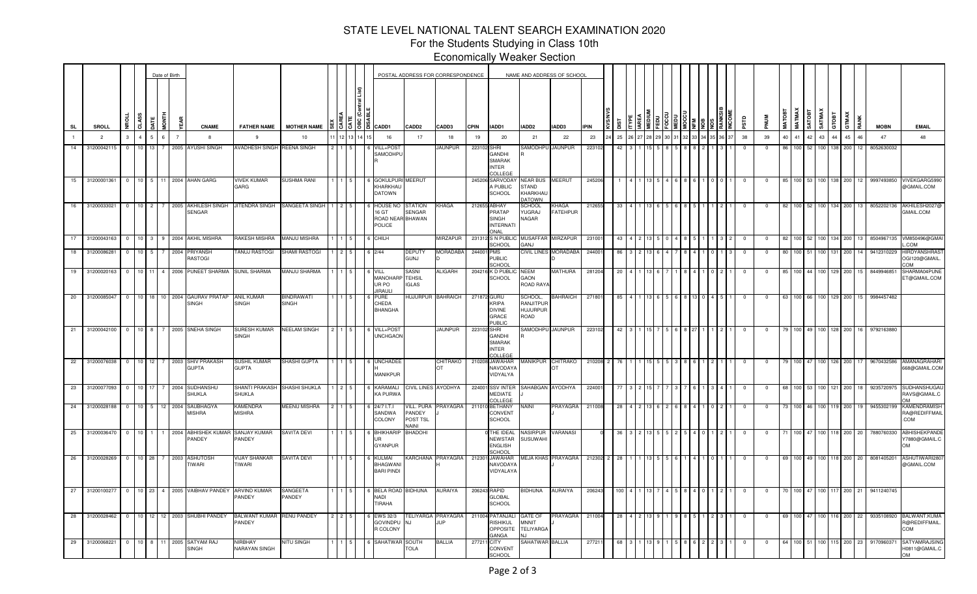For the Students Studying in Class 10th Economically Weaker Section

|           |                |                |                 | Date of Birth |             |                |                                      |                                   |                                  |         |  |                                                        |                                           | POSTAL ADDRESS FOR CORRESPONDENCE       |             |                                                                    | NAME AND ADDRESS OF SCHOOL                            |                                 |             |     |  |  |  |       |             |                |              |                                |               |                  |              |          |               |                                                    |
|-----------|----------------|----------------|-----------------|---------------|-------------|----------------|--------------------------------------|-----------------------------------|----------------------------------|---------|--|--------------------------------------------------------|-------------------------------------------|-----------------------------------------|-------------|--------------------------------------------------------------------|-------------------------------------------------------|---------------------------------|-------------|-----|--|--|--|-------|-------------|----------------|--------------|--------------------------------|---------------|------------------|--------------|----------|---------------|----------------------------------------------------|
| <b>SL</b> | SROLL          | ğ              | CLASS           | <b>ATE</b>    | <b>FINO</b> |                | <b>CNAME</b>                         | <b>FATHER NAME</b>                | <b>MOTHER NAME</b>               |         |  | ₩   3   3   8   1 1   1   2   20101                    | CADD <sub>2</sub>                         | CADD3                                   | <b>CPIN</b> | IADD1                                                              | IADD2                                                 | IADD3                           | <b>IPIN</b> |     |  |  |  |       | <b>PSTD</b> | <b>MUN</b>     | <b>MATOB</b> | <b>MATMAX</b><br><b>REQIVS</b> | <b>SATMAX</b> | GTOBT            | <b>GTMAX</b> |          | <b>MOBN</b>   | <b>EMAIL</b>                                       |
|           | $\overline{2}$ | $\mathbf{3}$   | $\overline{a}$  |               | $6^{\circ}$ | $\overline{7}$ | 8                                    | 9                                 | 10                               | 1 12 13 |  | 16                                                     | 17                                        | 18                                      | 19          | 20                                                                 | 21                                                    | 22                              | 23          | 25  |  |  |  | 36 37 | 38          | 39             | 40           | 41                             | 42 43         | 44               |              | 45<br>46 | 47            | 48                                                 |
| 14        | 31200042115    | $^{\circ}$     | $10$ 13         |               |             |                | 7 2005 AYUSHI SINGH                  | <b>AVADHESH SINGH</b>             | <b>REENA SINGH</b>               |         |  | VILL+POS <sup>®</sup><br>SAMODHPU                      |                                           | <b>JAUNPUR</b>                          | 223102 SHRI | GANDHI<br><b>SMARAK</b><br><b>INTER</b><br>COLLEGE                 | SAMODHPU                                              | <b>JAUNPUR</b>                  | 223102      | 42  |  |  |  |       | $^{\circ}$  |                |              | 100 52                         |               | 100 l            | 200          |          | 8052630032    |                                                    |
| 15        |                |                |                 |               |             |                | 31200001361 0 10 5 11 2004 AHAN GARG | <b>VIVEK KUMAR</b><br>GARG        | <b>SUSHMA RANI</b>               |         |  | <b>GOKULPURI</b><br>KHARKHAL<br><b>DATOWN</b>          | MEERUT                                    |                                         |             | 245206 SARVODAY<br>A PUBLIC<br>SCHOOL                              | NEAR BUS MEERUT<br>STAND<br>KHARKHAL<br><b>DATOWN</b> |                                 | 24520       |     |  |  |  |       |             | 0              | 85           | 100 53 100                     |               | 138              | 200          |          | 12 9997493850 | VIVEKGARG599<br>@GMAIL.COM                         |
| 16        | 31200033021    | $\overline{0}$ | 10              | 2             |             |                | 2005 AKHILESH SINGH<br>SENGAR        | JITENDRA SINGH                    | SANGEETA SINGH                   |         |  | <b>HOUSE NO</b><br>16 GT<br>ROAD NEAR BHAWAN<br>POLICE | STATION<br>SENGAR                         | KHAGA                                   |             | 212655 ABHAY<br>PRATAP<br><b>SINGH</b><br><b>INTERNATI</b><br>ONAL | <b>SCHOOL</b><br>YUGRAJ<br><b>NAGAR</b>               | <b>KHAGA</b><br><b>FATEHPUR</b> | 21265       |     |  |  |  |       |             |                | -82          |                                |               | 134              | 200          |          | 8052202136    | AKHILESH2027<br>GMAIL.COM                          |
| 17        | 31200043163    |                |                 |               |             |                | 2004 AKHIL MISHRA                    | RAKESH MISHRA                     | <b>MANJU MISHRA</b>              |         |  | СНІГН                                                  |                                           | MIRZAPUR                                |             | 231312 S N PUBLIO<br>SCHOOL                                        | MUSAFFAR<br><b>JANG</b>                               | MIRZAPUI                        | 23100       |     |  |  |  |       |             |                | 82           |                                |               |                  | 200          |          | 8504967135    | VM850496@GMA<br>.COM                               |
| 18        | 31200086281    | $\overline{0}$ | 10 <sup>1</sup> | 5             |             | 2004           | PRIYANSH<br>RASTOGI                  | TANUJ RASTOGI                     | SHAMI RASTOGI                    |         |  | 2/44                                                   | <b>DEPUTY</b><br><b>GUNJ</b>              | <b>MORADABA</b>                         | 244001      | <b>PMS</b><br>PUBLIC<br>CHOOL                                      |                                                       | CIVIL LINES MORADABA            | 24400       | 86  |  |  |  |       | $^{\circ}$  | $\Omega$       | 80           | 100                            |               |                  | 200          |          | 9412310229    | <b>HIRDYANSHRAS</b><br>OGI120@GMAIL.<br>MO:        |
| 19        | 31200020163    | $\Omega$       | 10 11           |               |             |                | 4 2006 PUNEET SHARMA                 | SUNIL SHARMA                      | MANJU SHARMA                     |         |  | VILL<br>MANOHAR<br>UR PO<br><b>JIRAULI</b>             | SASNI<br><b>TEHSIL</b><br><b>IGLAS</b>    | ALIGARH                                 |             | 204216 K D PUBLI<br><b>SCHOOL</b>                                  | NEEM<br>GAON<br>ROAD RAYA                             | <b>MATHURA</b>                  | 281204      | -20 |  |  |  |       | $\Omega$    |                | 85           | $100$ 44                       |               | 129<br>100 I     | 200          |          | 8449946851    | SHARMA04PUNE<br>ET@GMAIL.COM                       |
| 20        | 31200085047    | $^{\circ}$     | 10 18 I         |               |             | 10 2004        | <b>GAURAV PRATAP</b><br>SINGH        | <b>ANIL KUMAR</b><br><b>SINGH</b> | <b>BINDRAWAT</b><br><b>SINGH</b> |         |  | <b>URE</b><br>CHEDA<br><b>BHANGHA</b>                  | <b>IUJURPUR</b>                           | <b>BAHRAICH</b>                         | 271872 GURU | KRIPA<br><b>DIVINE</b><br>GRACE<br><b>UBLIC</b>                    | SCHOOL,<br>RANJITPUR<br><b>HUJURPUR</b><br>ROAD       | <b>BAHRAICH</b>                 | 27180       |     |  |  |  |       |             |                | 63           |                                |               |                  | 200          |          | 9984457482    |                                                    |
| 21        | 31200042100    | $\mathbf 0$    | $10^{-1}$       | $\mathbf{R}$  |             | 2005           | SNEHA SINGH                          | SURESH KUMAR<br><b>SINGH</b>      | <b>NEELAM SINGH</b>              |         |  | VILL+POS'<br><b>UNCHGAON</b>                           |                                           | <b>JAUNPUR</b>                          | 223102      | <b>SHRI</b><br>GANDHI<br><b>SMARAK</b><br><b>INTER</b><br>OLLEGI   | SAMODHPU                                              | <b>JAUNPUR</b>                  | 223102      | 42  |  |  |  |       |             |                | -79          | 100                            |               | 100 <sub>1</sub> | 200<br>128.  |          | 979216388     |                                                    |
| 22        | 31200076038    | $\overline{0}$ | $10 \quad 12$   |               |             |                | 7 2003 SHIV PRAKASH<br><b>GUPTA</b>  | SUSHIL KUMAR<br>GUPTA             | SHASHI GUPTA                     |         |  | <b>UNCHADEE</b><br>MANIKPUR                            |                                           | CHITRAKO<br>OT                          |             | 210208 JAWAHAR<br>NAVODAYA<br>VIDYALYA                             | MANIKPUR                                              | CHITRAKO<br>IОT                 | 210208      |     |  |  |  |       |             |                | -79          | 100 47                         |               | 100 126          | 200          |          | 9670432586    | AMANAGRAHARI<br>68@GMAIL.COM                       |
| 23        | 31200077093    | 0              | 10              |               |             | 2004           | SUDHANSH<br>SHUKLA                   | SHANTI PRAKASH<br>SHUKLA          | SHASHI SHUKLA                    |         |  | KARAMAL<br>KA PURW/                                    | <b>IVIL LINES AYODHYA</b>                 |                                         | 224001      | <b>SSV INTER</b><br><b>MEDIATE</b><br>OLLEGE                       | SAHABGAN AYODHYA                                      |                                 | 2240        |     |  |  |  |       |             |                |              |                                |               |                  | 200          |          | 923572097     | SUDHANSHUGA<br>RAVS@GMAIL.C<br>$\sim$              |
| 24        | 31200028188    | $\overline{0}$ | $10 \quad 5$    |               |             | 12 2004        | <b>SAUBHAGYA</b><br><b>MISHRA</b>    | KAMENDRA<br><b>MISHRA</b>         | MEENU MISHRA                     |         |  | 24/7 I.T.I<br>SANDWA<br>COLONY                         | VILL. PURA<br>PANDEY<br>POST TSL<br>NAINI | PRAYAGRA                                |             | 211010 BETHANY<br>CONVENT<br>SCHOOL                                | VAINI                                                 | PRAYAGRA                        | 21100       |     |  |  |  |       |             |                |              |                                |               |                  | 200          |          | 9455302199    | KAMENDRAMISH<br>RA@REDIFFMAIL<br>.COM              |
| 25        | 31200036470    | $^{\circ}$     | 10              |               |             | 2004           | <b>ABHISHEK KUMAR</b><br>PANDEY      | SANJAY KUMAR<br>PANDEY            | <b>SAVITA DEVI</b>               |         |  | <b>BHIKHARI</b><br><b>GYANPUR</b>                      | <b>BHADOHI</b>                            |                                         |             | THE IDEAL<br><b>NEWSTAR</b><br><b>ENGLISH</b><br>SCHOOL            | VASIRPUR<br>SUSUWAHI                                  | VARANAS                         |             |     |  |  |  |       |             |                |              |                                |               |                  | 200          | 20       | 7880760330    | <b>ABHISHEKPANDI</b><br>Y7880@GMAIL.C<br><b>OM</b> |
| 26        | 31200028269    | $^{\circ}$     | $10 \quad 28$   |               | 7 2003      |                | <b>ASHUTOSH</b><br>TIWARI            | <b>VIJAY SHANKAR</b><br>TIWARI    | <b>SAVITA DEVI</b>               |         |  | <b>KULMAI</b><br><b>BHAGWANI</b><br><b>BARI PINDI</b>  |                                           | <b>ARCHANA PRAYAGRA</b>                 | 212301      | <b>JAWAHAR</b><br>NAVODAY/<br>VIDYALAYA                            |                                                       | MEJA KHAS PRAYAGRA              | 212302 2    | -28 |  |  |  |       |             |                | 69           |                                | 49            |                  | 200          | 20       | 808140520     | ASHUTIWARI28<br>@GMAIL.COM                         |
| 27        | 31200100277    | $\overline{0}$ |                 |               |             | 10 23 4 2005   | <b>VAIBHAV PANDEY</b>                | ARVIND KUMAR<br>PANDEY            | SANGEETA<br>PANDEY               |         |  | BELA ROAD BIDHUNA<br><b>NADI</b><br><b>TIRAHA</b>      |                                           | AURAIYA                                 |             | 206243 RAPID<br><b>GLOBAL</b><br>SCHOOL                            | BIDHUNA                                               | AURAIYA                         | 206243      | 100 |  |  |  |       | $^{\circ}$  | $\overline{0}$ | 70           |                                |               | 100 47 100 117   | 200          | 21       | 9411240745    |                                                    |
| 28        | 31200028462    | $\mathbf{0}$   | 10              |               |             |                | 12 12 2003 SHUBHI PANDEY             | BALWANT KUMAR<br>PANDEY           | RENU PANDEY                      |         |  | EWS 32/3<br><b>GOVINDPU</b><br>R COLONY                | INJ                                       | <b>FELIYARGA PRAYAGRA</b><br><b>JUP</b> |             | 211004 PATANJALI<br>RISHIKUL<br><b>OPPOSITE</b><br><b>GANGA</b>    | GATE OF<br><b>MNNIT</b><br><b>TELIYARGA</b>           | PRAYAGRA                        | 211004      | -28 |  |  |  |       | - 0         |                | 69           | 100 47                         |               | 100 I<br>116     | 200          | 22       | 9335108920    | BALWANT.KUM/<br><b>@REDIFFMAIL.</b><br>COM         |
|           | 29 31200068221 | $\overline{0}$ | $10 \quad 8$    |               |             |                | 11 2005 SATYAM RAJ<br>SINGH          | <b>NIRBHAY</b><br>NARAYAN SINGH   | <b>NITU SINGH</b>                |         |  | SAHATWAR                                               | SOUTH<br>TOLA                             | BALLIA                                  | 277211      | CITY<br>CONVENT<br>SCHOOL                                          | SAHATWAR BALLIA                                       |                                 | 27721       |     |  |  |  |       |             |                | 64           | 100 51                         |               | 100 115          | 200          | 23       | 917096037     | SATYAMRAJSING<br>H0811@GMAIL.C<br><b>OM</b>        |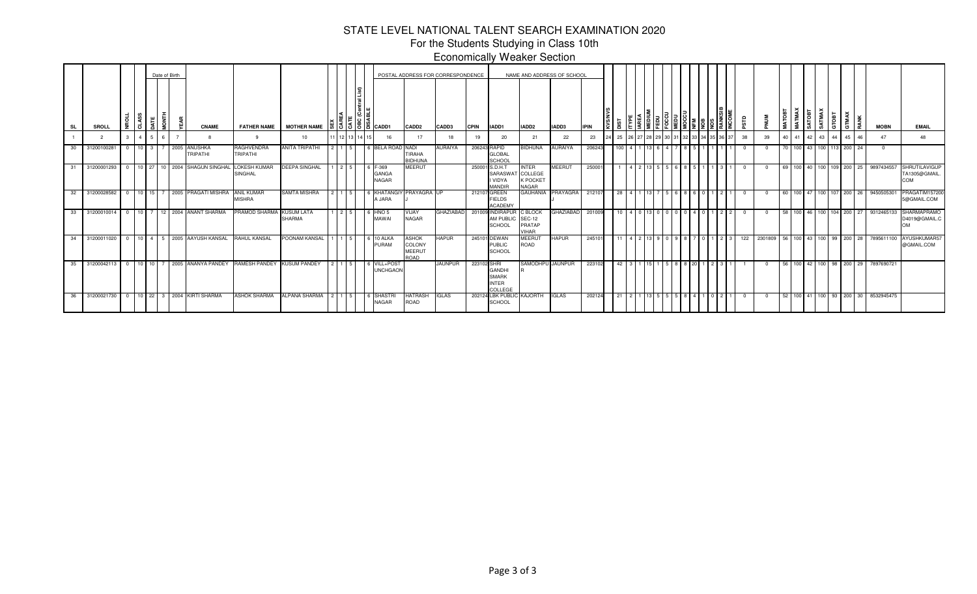# For the Students Studying in Class 10th Economically Weaker SectionSTATE LEVEL NATIONAL TALENT SEARCH EXAMINATION 2020

|           |                                            |   |          |                | Date of Birth |                                          |                                                                        |                                    |      |        |                                                                                                                                                                                                                                                                                                                   |                                                        | POSTAL ADDRESS FOR CORRESPONDENCE |              |                                                                 |                                             | NAME AND ADDRESS OF SCHOOL |             |     |  |  |      |  |     |    |    |                          |                   |                      |         |      |                                            |                                                  |
|-----------|--------------------------------------------|---|----------|----------------|---------------|------------------------------------------|------------------------------------------------------------------------|------------------------------------|------|--------|-------------------------------------------------------------------------------------------------------------------------------------------------------------------------------------------------------------------------------------------------------------------------------------------------------------------|--------------------------------------------------------|-----------------------------------|--------------|-----------------------------------------------------------------|---------------------------------------------|----------------------------|-------------|-----|--|--|------|--|-----|----|----|--------------------------|-------------------|----------------------|---------|------|--------------------------------------------|--------------------------------------------------|
| <b>SL</b> | <b>SROLL</b>                               | 빙 | တ္တ<br>ం |                |               | <b>CNAME</b>                             |                                                                        | FATHER NAME MOTHER NAME            |      |        | $\frac{15}{3}$ $\frac{1}{3}$ $\frac{1}{6}$ $\frac{1}{10}$ $\frac{1}{10}$ $\frac{1}{10}$ $\frac{1}{10}$ $\frac{1}{10}$ $\frac{1}{10}$ $\frac{1}{10}$ $\frac{1}{10}$ $\frac{1}{10}$ $\frac{1}{10}$ $\frac{1}{10}$ $\frac{1}{10}$ $\frac{1}{10}$ $\frac{1}{10}$ $\frac{1}{10}$ $\frac{1}{10}$ $\frac{1}{10}$ $\frac$ | CADD <sub>2</sub>                                      | CADD3                             | <b>CPIN</b>  | IADD1                                                           | IADD <sub>2</sub>                           | IADD3                      | <b>IPIN</b> |     |  |  | l≅l≋ |  |     |    | ā  | ă<br>دة ا<br>ē           | SATMAX            | m<br>$\circ$<br>- 67 | ξ<br>Ċ٥ | RANK | <b>MOBN</b>                                | <b>EMAIL</b>                                     |
|           |                                            |   |          | 5 <sup>5</sup> | R.            |                                          |                                                                        | 10                                 |      | 13 L I | 16                                                                                                                                                                                                                                                                                                                | 17                                                     | 18                                | 19           | 20                                                              | 21                                          | 22                         | 23          | 25  |  |  |      |  | 38  | 39 | 40 | -41                      | $\overline{1}$ 43 |                      | 45      | 46   | 47                                         | 48                                               |
|           | 30 31200100281                             |   |          |                |               | 0 10 3 7 2005 ANUSHKA<br><b>TRIPATHI</b> | <b>RAGHVENDRA</b><br><b>TRIPATHI</b>                                   | ANITA TRIPATHI                     |      |        | 6 BELA ROAD NADI                                                                                                                                                                                                                                                                                                  | TIRAHA<br><b>BIDHUNA</b>                               | <b>AURAIYA</b>                    | 206243 RAPID | <b>GLOBAL</b><br>SCHOOL                                         | <b>BIDHUNA</b>                              | <b>AURAIYA</b>             | 206243      |     |  |  |      |  |     |    |    | 70 100 43 100 113 200 24 |                   |                      |         |      | $\Omega$                                   |                                                  |
|           | 31 31200001293                             |   |          |                |               | 0 10 27 10 2004 SHAGUN SINGHAL           | <b>LOKESH KUMAR</b><br><b>SINGHAL</b>                                  | <b>DEEPA SINGHAL</b>               |      | 215    | 6 F-369<br><b>GANGA</b><br><b>NAGAR</b>                                                                                                                                                                                                                                                                           | <b>MEERUT</b>                                          |                                   |              | 250001 S.D.H.T<br>SARASWAT COLLEGE<br>I VIDYA<br><b>MANDIR</b>  | <b>INTER</b><br><b>K POCKET</b><br>NAGAR    | <b>MEERUT</b>              | 250001      |     |  |  |      |  |     |    |    |                          |                   |                      |         |      | 69 100 40 100 109 200 25 9897434557        | <b>SHRUTILAVIGUP</b><br>TA1305@GMAIL<br>COM      |
| 32        | 31200028582                                |   |          |                |               | 0   10   15   7   2005   PRAGATI MISHRA  | <b>ANIL KUMAR</b><br><b>MISHRA</b>                                     | <b>SAMTA MISHRA</b>                |      |        | 6 KHATANGIY PRAYAGRA UP<br>A JARA                                                                                                                                                                                                                                                                                 |                                                        |                                   |              | 212107 GREEN<br><b>FIELDS</b><br><b>ACADEMY</b>                 | GAUHANIA                                    | PRAYAGRA                   | 212107      | 28  |  |  |      |  | - 0 |    |    |                          |                   |                      |         |      | 60 100 47 100 107 200 26 9450505301        | PRAGATIM157200<br>5@GMAIL.COM                    |
|           | 33 31200010014                             |   |          |                |               | 0   10   7   12   2004   ANANT SHARMA    | PRAMOD SHARMA                                                          | <b>KUSUM LATA</b><br><b>SHARMA</b> |      | 2.5    | 6 HNO 5<br>MAWAI                                                                                                                                                                                                                                                                                                  | VIJAY<br><b>NAGAR</b>                                  | <b>GHAZIABAD</b>                  |              | 201009 INDIRAPUR<br>AM PUBLIC<br><b>SCHOOL</b>                  | C BLOCK<br><b>SEC-12</b><br>PRATAP<br>VIHAR | <b>GHAZIABAD</b>           | 201009      | 10  |  |  |      |  | - 0 |    |    |                          |                   |                      |         |      | 58 100 46 100 104 200 27 9312465133        | <b>SHARMAPRAMO</b><br>D4019@GMAIL.C<br><b>OM</b> |
| $34$ I    | 31200011020                                |   |          |                |               | 0 10 4 5 2005 AAYUSH KANSAL              | <b>RAHUL KANSAL</b>                                                    | POONAM KANSAL                      |      |        | 6 10 ALKA<br>PURAM                                                                                                                                                                                                                                                                                                | <b>ASHOK</b><br>COLONY<br><b>MEERU1</b><br><b>ROAD</b> | <b>HAPUR</b>                      |              | 245101 DEWAN<br><b>PUBLIC</b><br>SCHOOL                         | MEERUT<br>ROAD                              | <b>HAPUR</b>               | 245101      |     |  |  |      |  | 122 |    |    |                          |                   |                      |         |      | 2301809 56 100 43 100 99 200 28 7895611100 | AYUSHKUMAR57<br>@GMAIL.COM                       |
|           |                                            |   |          |                |               |                                          | 35 31200042113 0 10 10 7 2005 ANANYA PANDEY RAMESH PANDEY KUSUM PANDEY |                                    |      |        | 6 VILL+POST<br><b>UNCHGAON</b>                                                                                                                                                                                                                                                                                    |                                                        | <b>JAUNPUR</b>                    | 223102 SHRI  | <b>GANDHI</b><br><b>SMARK</b><br><b>INTER</b><br><b>COLLEGE</b> | SAMODHPU JAUNPUR                            |                            | 223102      | 42  |  |  |      |  |     |    |    |                          |                   |                      |         |      | 56 100 42 100 98 200 29 7897690721         |                                                  |
|           | 36 31200021730 0 10 22 3 2004 KIRTI SHARMA |   |          |                |               |                                          | <b>ASHOK SHARMA</b>                                                    | <b>ALPANA SHARMA</b>               | 2115 |        | <b>SHASTRI</b><br><b>NAGAR</b>                                                                                                                                                                                                                                                                                    | <b>HATRASH</b><br><b>ROAD</b>                          | <b>IGLAS</b>                      |              | 202124 LBK PUBLIC KAJORTH<br>SCHOOL                             |                                             | <b>IGLAS</b>               | 202124      | -21 |  |  |      |  |     |    |    |                          |                   |                      |         |      | 52 100 41 100 93 200 30 8532945475         |                                                  |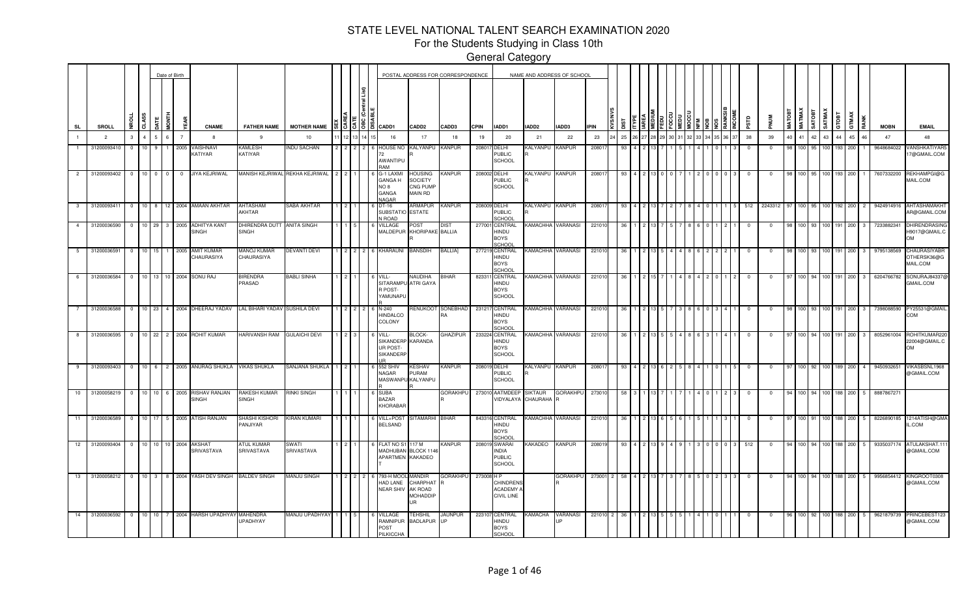For the Students Studying in Class 10th

|                |                |                                   |                  |                | Date of Birth  |                                            |                                            |                      |   |                |                                                     |                                                               | POSTAL ADDRESS FOR CORRESPONDENCE |             |                                                         |                                      | NAME AND ADDRESS OF SCHOOL   |             |             |  |  |  |            |                         |             |               |                  |                |                  |     |                       |             |                                                    |
|----------------|----------------|-----------------------------------|------------------|----------------|----------------|--------------------------------------------|--------------------------------------------|----------------------|---|----------------|-----------------------------------------------------|---------------------------------------------------------------|-----------------------------------|-------------|---------------------------------------------------------|--------------------------------------|------------------------------|-------------|-------------|--|--|--|------------|-------------------------|-------------|---------------|------------------|----------------|------------------|-----|-----------------------|-------------|----------------------------------------------------|
| <b>SL</b>      | SROLL          | ō                                 |                  | İ              | 옯              | <b>CNAME</b>                               | <b>FATHER NAME</b>                         | <b>MOTHER NAME</b>   |   | [3]3]8]1       | CADD1                                               | CADD <sub>2</sub>                                             | CADD3                             | <b>CPIN</b> | IADD1                                                   | IADD2                                | IADD3                        | <b>IPIN</b> |             |  |  |  |            | ΠSΡ                     |             | <b>MATOBT</b> | <b>MATMAX</b>    | <b>ROUN</b>    | SATMAX<br>GTOBT  |     | GTMAX                 | <b>MOBN</b> | <b>EMAIL</b>                                       |
|                | $\overline{2}$ | 3                                 |                  | 6              | $\overline{7}$ | -8                                         | 9                                          | 10                   |   |                | 16                                                  | 17                                                            | 18                                | 19          | 20                                                      | 21                                   | 22                           | 23          | 25          |  |  |  |            | 38                      | 39          | 40            | 41               | 42             | 43               | 44  | 45<br>46              | 47          | 48                                                 |
|                | 31200093410    |                                   |                  |                | 2005           | <b>/AISHNAVI</b><br><b>ATIYAR</b>          | <b>KAMLESH</b><br>KATIYAR                  | <b>NDU SACHAN</b>    |   |                | <b>HOUSE NO</b><br>AWANTIPU<br><b>AA</b>            | <b>KALYANPU</b>                                               | <b>KANPUR</b>                     | 20801       | DELHI<br>PUBLIC<br><b>SCHOOL</b>                        | <b>KALYANPU</b>                      | <b>KANPUR</b>                | 20801       | 93          |  |  |  |            | - 0                     | 0           |               | 100 95           |                |                  | 193 | 200                   | 9648684022  | <b>VANSHKATIYAR5</b><br>7@GMAIL.COM                |
| $\overline{2}$ | 31200093402    | 10 <sup>1</sup><br>$\overline{0}$ | $\mathbf{0}$     | $\overline{0}$ | $\overline{0}$ | JIYA KEJRIWAL                              | MANISH KEJRIWAL                            | REKHA KEJRIWAL       |   |                | G-1 LAXMI<br>GANGA H<br>8 ON<br>GANGA<br>NAGAR      | HOUSING<br><b>SOCIETY</b><br>CNG PUMP<br><b>MAIN RD</b>       | KANPUR                            |             | 208002 DELHI<br><b>PUBLIC</b><br><b>SCHOOL</b>          | KALYANPU KANPUR                      |                              | 20801       | 93          |  |  |  |            | $^{\circ}$              | $\mathbf 0$ |               |                  | 100   95   100 |                  | 193 | 200                   | 7607332200  | REKHAMPGI@G<br>MAIL.COM                            |
| $\mathbf{3}$   | 31200093411    | $\overline{0}$                    |                  |                |                | 10 8 12 2004 AMAAN AKHTAR                  | AHTASHAM<br>AKHTAR                         | SABA AKHTAR          |   |                | DT-16<br>SUBSTATIO<br><b>N ROAD</b>                 | ARMAPUR<br>ESTATE                                             | <b>KANPUR</b>                     |             | 208009 DELHI<br><b>PUBLIC</b><br>SCHOOL                 | KALYANPU KANPUR                      |                              | 20801       | 93          |  |  |  |            | 512                     | 2243312     |               |                  |                | 100 <sub>1</sub> | 92  | 200                   | 9424914916  | AHTASHAMAKHT<br>AR@GMAIL.COM                       |
| $\overline{4}$ | 31200036590 0  |                                   | 10 29            |                | 3 2005         | ADHITYA KANT<br><b>SINGH</b>               | DHIRENDRA DUTT ANITA SINGH<br><b>SINGH</b> |                      |   |                | VILLAGE<br>MALDEPUR                                 | סs⊤<br>KHORIPAKE BALLIA                                       | <b>DIST</b>                       |             | 277001 CENTRAL<br>HINDU<br><b>BOYS</b><br>SCHOOL        |                                      | KAMACHHA VARANASI            | 221010      | 36          |  |  |  |            | $\Omega$                | $\Omega$    |               | 100 93 100       |                |                  | 191 | 200                   | 7233882341  | <b>DHIRENDRASING</b><br>H9017@GMAIL.C<br><b>OM</b> |
| 5 <sub>5</sub> | 31200036591    | 10 <sup>1</sup><br>$\overline{0}$ | 15               |                | 2005           | <b>AMIT KUMAR</b><br>CHAURASIYA            | <b>MANOJ KUMAR</b><br>CHAURASIYA           | <b>DEVANTI DEVI</b>  | 2 | $\overline{2}$ | 6 KHARAUNI                                          | <b>BANSDIH</b>                                                | <b>BALLIA</b>                     |             | 277219 CENTRAL<br>HINDU<br><b>BOYS</b><br>SCHOOL        | KAMACHHA VARANASI                    |                              | 22101       | -36         |  |  |  |            | 0                       | $^{\circ}$  | 98            | 100 93           |                | 100 191          |     | 200<br>3              | 9795138569  | CHAURASIYABR<br>OTHERSK36@G<br>MAIL.COM            |
| $6 \quad$      | 31200036584 0  |                                   |                  |                |                | 10 13 10 2004 SONU RAJ                     | 3IRENDRA<br>PRASAD                         | <b>BABLI SINHA</b>   |   |                | VILL-<br>SITARAMPU ATRI GAYA<br>R POST-<br>YAMUNAPU | NAUDIHA                                                       | <b>BIHAR</b>                      |             | 823311 CENTRAL<br>HINDU<br><b>BOYS</b><br><b>SCHOOL</b> | KAMACHHA VARANASI                    |                              | 221010      | 36          |  |  |  |            | $\overline{\mathbf{0}}$ | $\mathbf 0$ | 97            |                  |                | 100 94 100 191   |     | 200<br>3 <sup>1</sup> | 6204766782  | SONURAJ84337@<br>GMAIL.COM                         |
|                | 31200036588    | $\overline{0}$                    |                  |                |                | 10 23 4 2004 DHEERAJ YADAV                 | LAL BIHARI YADAV SUSHILA DEVI              |                      |   |                | N-240<br><b>HINDALCO</b><br><b>COLONY</b>           |                                                               | RENUKOOT SONEBHAD<br>RA           |             | 231217 CENTRAL<br>HINDU<br><b>BOYS</b><br>SCHOOL        | KAMACHHA VARANASI                    |                              | 221010      | -36         |  |  |  |            | $^{\circ}$              | $\Omega$    |               | 100 93 100       |                |                  | 191 | 200<br>$\mathbf{3}$   | 7398088590  | PY25531@GMAIL<br>COM                               |
| 8              | 31200036595    | $\overline{\mathbf{0}}$           |                  |                |                | 10 22 2 2004 ROHIT KUMAR                   | <b>HARIVANSH RAM</b>                       | <b>GULAICHI DEVI</b> |   |                | VILL-<br>SIKANDERP KARANDA<br>UR POST-<br>SIKANDERF | BLOCK-                                                        | <b>GHAZIPUR</b>                   |             | 233224 CENTRAL<br>HINDU<br><b>BOYS</b><br><b>SCHOOL</b> | KAMACHHA VARANASI                    |                              | 221010      | -36         |  |  |  |            |                         |             |               |                  |                | 100 94 100 191   |     | 200                   | 8052961004  | ROHITKUMAR220<br>22004@GMAIL.C<br>OM               |
| 9              | 31200093403    | $\overline{\mathbf{0}}$           |                  |                |                | 10 6 2 2005 ANURAG SHUKLA                  | VIKAS SHUKLA                               | SANJANA SHUKLA       |   |                | 552 SHIV<br>NAGAR                                   | <b>KESHAV</b><br>PURAM<br>MASWANPU KALYANPU                   | <b>KANPUR</b>                     |             | 208019 DELHI<br><b>PUBLIC</b><br><b>SCHOOL</b>          | KALYANPU KANPUR                      |                              | 20801       | 93          |  |  |  |            |                         | 0           |               | 100              |                | 100              | 189 | 200<br>$\mathbf{4}$   | 9450932651  | VIKASBSNL1968<br>@GMAIL.COM                        |
| 10             | 31200058219    | $\overline{0}$                    |                  |                |                | 10 10 6 2005 RISHAV RANJAN<br><b>SINGH</b> | RAKESH KUMAR<br><b>SINGH</b>               | <b>RINKI SINGH</b>   |   |                | <b>SUBA</b><br><b>BAZAR</b><br>KHORABAR             |                                                               | <b>GORAKHPU</b>                   |             | 273010 AATMDEEP                                         | <b>SIKTAUR</b><br>VIDYALAYA CHAURAHA | <b>GORAKHPU</b><br><b>IR</b> | 27301       | 58          |  |  |  |            | - 0                     | $^{\circ}$  |               | 100 <sup>1</sup> |                | 100              | 188 | 200<br>-5             | 8887867271  |                                                    |
|                | 11 31200036589 | $\overline{\mathbf{0}}$           |                  |                |                | 10 17 5 2005 ATISH RANJAN                  | <b>SHASHI KISHORI</b><br><b>ANJIYAR</b>    | KIRAN KUMARI         |   |                | VILL+POST<br><b>BELSAND</b>                         | SITAMARHI BIHAR                                               |                                   |             | 843316 CENTRAL<br>HINDU<br><b>BOYS</b><br>SCHOOL        | KAMACHHA VARANASI                    |                              | 22101       | -36         |  |  |  |            | - 0                     | $^{\circ}$  | -97           | 100 91           |                | 100 188 200      |     | -5                    | 8226890185  | 1214ATISH@GMA<br>IL.COM                            |
| 12             | 31200093404    | $\overline{0}$                    |                  |                |                | 10 10 10 2004 AKSHAT<br>SRIVASTAVA         | <b>ITUL KUMAR</b><br>SRIVASTAVA            | SWATI<br>SRIVASTAVA  |   |                | FLAT NO S1<br><b>MADHUBAN</b><br>APARTMEN KAKADEO   | 117 M<br>BLOCK 114                                            | KANPUR                            |             | 208019 SWARAI<br>NDIA<br><b>PUBLIC</b><br>SCHOOL        | KAKADEO                              | <b>KANPUR</b>                | 20801       | 93          |  |  |  | $0 \mid 3$ | 512                     | $^{\circ}$  | 94            | 100 94           |                | 100 188 200      |     | -5                    | 9335037174  | ATULAKSHAT.1<br>@GMAIL.COM                         |
| 13             | 31200058212    | $\overline{0}$                    | $10 \mid 3 \mid$ |                |                | 8 2004 YASH DEV SINGH                      | <b>BALDEV SINGH</b>                        | MANJU SINGH          |   | 212            | 793-H MOOL<br>HAD LANE<br><b>NEAR SHIV</b>          | <b>MANDIR</b><br>CHARPHAT<br>AK ROAD<br><b>MOHADDIP</b><br>UR | <b>GORAKHPU</b>                   | 273008 H P  | <b>CHINDRENS</b><br>ACADEMY.<br><b>CIVIL LINE</b>       |                                      | GORAKHPU                     |             | 273001 2 58 |  |  |  | $3 \mid 3$ | $\overline{\mathbf{0}}$ | $\mathbf 0$ | 94            |                  |                | 100 94 100 188   |     | 200<br>5              | 9956854412  | KINGROOT0308<br>@GMAIL.COM                         |
| 14             | 31200036592 0  |                                   | 10 10            |                |                | 7 2004 HARSH UPADHYAY                      | <b>MAHENDRA</b><br>JPADHYAY                | MANJU UPADHYAY 1     |   |                | VILLAGE<br>RAMNIPUR<br>POST<br>PILKICCHA            | TEHSHIL<br><b>BADLAPUR</b> UP                                 | JAUNPUR                           |             | 223107 CENTRAL<br>HINDU<br><b>BOYS</b><br>SCHOOL        | KAMACHA                              | VARANASI                     | 221010 2    |             |  |  |  |            |                         |             |               |                  |                | 100 92 100 188   |     | 200<br>-5             | 9621879739  | PRINCEBEST123<br>@GMAIL.COM                        |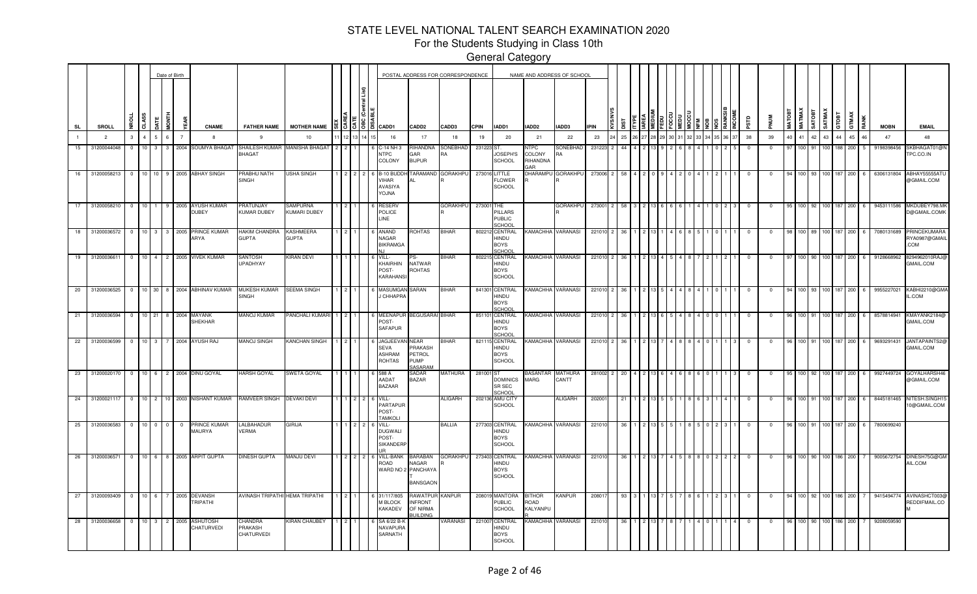For the Students Studying in Class 10th

|                 |                  |                |                  |                                           | Date of Birth                    |      |                                         |                                                |                                 |             |              |                                                           |                                                            | POSTAL ADDRESS FOR CORRESPONDENCE |             |                                                                | NAME AND ADDRESS OF SCHOOL                     |                 |             |    |              |  |  |  |            |              |        |                |               |                |     |            |             |                                           |
|-----------------|------------------|----------------|------------------|-------------------------------------------|----------------------------------|------|-----------------------------------------|------------------------------------------------|---------------------------------|-------------|--------------|-----------------------------------------------------------|------------------------------------------------------------|-----------------------------------|-------------|----------------------------------------------------------------|------------------------------------------------|-----------------|-------------|----|--------------|--|--|--|------------|--------------|--------|----------------|---------------|----------------|-----|------------|-------------|-------------------------------------------|
| SL              | SROLL            | Р.             | <b>CLASS</b>     |                                           | İPNIH                            |      | <b>CNAME</b>                            | <b>FATHER NAME</b>                             | <b>MOTHER NAME</b>              |             |              | ผู้   รู้   รู้   คู    <mark>cadd1</mark>                | CADD <sub>2</sub>                                          | CADD3                             | <b>CPIN</b> | IADD1                                                          | IADD2                                          | IADD3           | <b>IPIN</b> | 匢  |              |  |  |  | qis        |              | MATOBT | <b>MATMAX</b>  | <b>TEOTAS</b> | <b>SATMA</b>   | 통   | GTMAX      | <b>MOBN</b> | <b>EMAIL</b>                              |
| $\mathbf{1}$    | $\overline{2}$   | $\mathbf{3}$   | $\overline{4}$   | $\overline{a}$                            | 6 <sup>1</sup><br>$\overline{7}$ |      | $\mathbf{R}$                            | $\mathbf{q}$                                   | 10                              |             |              | 16                                                        | 17                                                         | 18                                | 19          | 20                                                             | 21                                             | 22              | 23          | 25 |              |  |  |  | 38         | 39           | 40     | 41             | $\Delta$ 2    | 43             | 44  | 45<br>46   | 47          | 48                                        |
| 15              | 31200044048      | $\overline{0}$ | 10 <sup>1</sup>  | $\overline{\mathbf{3}}$<br>3 <sup>1</sup> |                                  | 2004 | SOUMYA BHAGAT                           | SHAILESH KUMAR MANISHA BHAGAT<br><b>BHAGAT</b> |                                 | 212         |              | C-14 NH 3<br><b>NTPC</b><br>COLONY                        | RIHANDNA<br><b>AR</b><br><b>BIJPUR</b>                     | SONEBHAD<br>RA                    | 231223 ST   | JOSEPH'S<br><b>SCHOOL</b>                                      | <b>NTPC</b><br>COLONY<br>RIHANDNA<br><b>AR</b> | SONEBHAD        | 231223      | 44 |              |  |  |  | $^{\circ}$ | <u>ິດ</u>    | 97     | 100 91         |               | 100 L          | 188 | 200<br>-5  | 9198398456  | SKBHAGAT01@M<br>TPC.CO.IN                 |
| 16              | 31200058213      | $\overline{0}$ |                  |                                           |                                  |      | 10 10 9 2005 ABHAY SINGH                | <b>PRABHU NATH</b><br><b>SINGH</b>             | USHA SINGH                      |             | $2 \times 2$ | B-10 BUDD<br>VIHAR<br>AVASIYA<br><b>AILOY</b>             | TARAMAND                                                   | <b>GORAKHPU</b>                   |             | 273016 LITTLE<br><b>FLOWER</b><br><b>SCHOOL</b>                | DHARAMPU                                       | <b>GORAKHPU</b> | 273006 2    | 58 | $\mathbf{A}$ |  |  |  | $^{\circ}$ | $\Omega$     | 94     |                |               | 100 93 100 187 |     | 200        | 6306131804  | ABHAY55555AT<br>@GMAIL.COM                |
| 17              | 31200058210 0    |                | $10$ 1           |                                           |                                  |      | 9 2005 AYUSH KUMAR<br><b>DUBEY</b>      | <b>PRATUNJAY</b><br>KUMAR DUBEY                | <b>SAMPURNA</b><br>KUMARI DUBEY |             |              | RESER∖<br>POLICE<br>LINE.                                 |                                                            | <b>GORAKHPU</b>                   | 273001 THE  | PILLARS<br><b>PUBLIC</b><br>SCHOOL                             |                                                | <b>GORAKHPU</b> | 273001 2    | 58 |              |  |  |  | $\Omega$   |              | 95     | $100 \cdot 92$ |               | 100 187        |     | 200        | 9453111586  | MKDUBEY798.MI<br>D@GMAIL.COMK             |
| $\overline{18}$ | 31200036572      | $\overline{0}$ | $10 \mid 3 \mid$ |                                           |                                  |      | 3 2005 PRINCE KUMAR<br><b>ARYA</b>      | <b>HAKIM CHANDRA</b><br><b>GUPTA</b>           | KASHMEERA<br><b>ATPLE</b>       |             |              | <b>ANAND</b><br><b>NAGAR</b><br><b>BIKRAMGA</b>           | ROHTAS                                                     | <b>BIHAR</b>                      |             | 802212 CENTRAL<br><b>HINDU</b><br><b>BOYS</b><br>SCHOO         | <b>KAMACHHA VARANASI</b>                       |                 | 221010 2    | 36 |              |  |  |  | 0          |              | 98     | 100 89         |               | 100 187        |     | 200<br>- 6 | 7080131689  | PRINCEKUMARA<br>RYA0987@GMAII<br>COM      |
|                 | 19 31200036611   | $\overline{0}$ |                  |                                           |                                  |      | 10 4 2 2005 VIVEK KUMAR                 | SANTOSH<br>UPADHYAY                            | (IRAN DEVI                      |             |              | VILL-<br>KHAIRHIN<br>POST-<br><b>KARAHANS</b>             | NATWAR<br>ROHTAS                                           | BIHAR                             |             | 802215 CENTRAL<br><b>HINDU</b><br><b>BOYS</b><br><b>SCHOOL</b> | KAMACHHA VARANASI                              |                 | 221010 2    | 36 |              |  |  |  | $^{\circ}$ | $\Omega$     | 97     | 100 90         |               | 100 187        |     | 200<br>-6  | 9128668962  | 8294962010RAJ<br>GMAIL.COM                |
|                 | 20 31200036525   | $\overline{0}$ |                  |                                           |                                  |      | 10 30 8 2004 ABHINAV KUMAR              | MUKESH KUMAR<br>SINGH                          | <b>SEEMA SINGH</b>              |             |              | <b>MASUMGAN</b><br><b>CHHAPRA</b>                         | SARAN                                                      | <b>BIHAR</b>                      |             | 841301 CENTRAL<br>HINDU<br><b>BOYS</b><br>SCHOOL               | KAMACHHA VARANASI                              |                 | 221010 2    | 36 |              |  |  |  | $^{\circ}$ | $^{\circ}$   | 94     | 100 93         |               | 100 187        |     | 200<br>6   | 9955227021  | KABHI2210@GM/<br>L.COM                    |
|                 | 21 31200036594   | $\overline{0}$ |                  |                                           |                                  |      | 10 21 8 2004 MAYANK<br>SHEKHAR          | MANOJ KUMAR                                    | PANCHALI KUMARI                 | $1 \cdot 2$ |              | 6 MEENAPUI<br>POST-<br><b>SAFAPUR</b>                     | <b>BEGUSARAI BIHAR</b>                                     |                                   |             | 851101 CENTRAL<br>HINDU<br><b>BOYS</b><br>SCHOOL               | <b>KAMACHHA VARANASI</b>                       |                 | 221010 2    | 36 |              |  |  |  | $^{\circ}$ |              | 96     | 100 91         |               | 100 187        |     | 200        | 8578814941  | KMAYANK2184@<br>GMAIL.COM                 |
|                 | 22 31200036599   | $\overline{0}$ | 10 <sup>1</sup>  | 3 <sup>1</sup>                            |                                  |      | 7 2004 AYUSH RAJ                        | <b>MANOJ SINGH</b>                             | KANCHAN SINGH                   |             |              | <b>JAGJEEVA</b><br>SEVA<br><b>ASHRAM</b><br><b>ROHTAS</b> | <b>NEAR</b><br>PRAKASH<br>PETROL<br><b>PUMP</b><br>SASARAM | BIHAR                             |             | 821115 CENTRAL<br>HINDU<br><b>BOYS</b><br><b>SCHOOL</b>        | <b>KAMACHHA VARANASI</b>                       |                 | 221010 2    | 36 |              |  |  |  | $^{\circ}$ |              | 96     | 100 91         |               | 100 187        |     | 200        | 9693291431  | JANTAPAINTS2<br>GMAIL.COM                 |
|                 |                  |                |                  |                                           |                                  |      | 23 31200020170 0 10 6 2 2004 DINU GOYAL | HARSH GOYAL                                    | SWETA GOYAL                     |             |              | 588 A<br>AADAT<br><b>BAZAAR</b>                           | SADAR<br><b>BAZAR</b>                                      | MATHURA                           | 281001 ST   | <b>DOMINICS</b><br>SR SEC<br>SCHOOL                            | <b>BASANTAR MATHURA</b><br>MARG                | CANTT           | 281002 2    | 20 |              |  |  |  |            |              | 95     | 100 92         |               | 100 187        |     | 200        | 9927449724  | GOYALHARSH4<br>@GMAIL.COM                 |
|                 | 24 31200021117 0 |                |                  |                                           |                                  |      | 10 2 10 2003 NISHANT KUMAR              | RAMVEER SINGH                                  | <b>DEVAKI DEVI</b>              |             |              | VILL-<br>PARTAPUR<br>POST-<br><b>TAMKOLI</b>              |                                                            | <b>ALIGARH</b>                    |             | 202136 AMU CITY<br><b>SCHOOL</b>                               |                                                | <b>ALIGARH</b>  | 20200       | 21 |              |  |  |  |            | $\mathbf{0}$ | 96     | 100 91         |               | 100 187        |     | 200<br>-6  |             | 8445181465 NITESH.SINGH1<br>0@GMAIL.COM   |
|                 | 25 31200036583 0 |                |                  | $10$ 0 0                                  | $\overline{0}$                   |      | PRINCE KUMAR<br>MAURYA                  | LALBAHADUR<br>VERMA                            | GIRIJA                          |             |              | VILL-<br><b>DUGWALI</b><br>POST-<br>SIKANDERF             |                                                            | BALLIA                            |             | 277303 CENTRAL<br>HINDU<br><b>BOYS</b><br><b>SCHOOL</b>        | <b>KAMACHHA VARANASI</b>                       |                 | 22101       | 36 |              |  |  |  | 0          | $\mathbf{0}$ | 96     | 100 91         |               | 100 187        |     | 200<br>6   | 7800699240  |                                           |
| $\overline{26}$ | 31200036571      | $\overline{0}$ | 10 <sup>1</sup>  | -61                                       |                                  |      | 8 2005 ARPIT GUPTA                      | <b>DINESH GUPTA</b>                            | MANJU DEVI                      |             |              | <b>VILL-BANK</b><br>ROAD<br>WARD NO 2 PANCHAYA            | <b>BARABAN</b><br>NAGAR<br><b>BANSGAON</b>                 | <b>GORAKHPU</b>                   |             | 273403 CENTRAL<br>HINDU<br><b>BOYS</b><br><b>SCHOOL</b>        | KAMACHHA VARANASI                              |                 | 22101       | 36 |              |  |  |  | $^{\circ}$ | $\mathbf{0}$ | 96     | 100 90         |               | 100 186        |     | 200        | 9005672754  | DINESH75G@GM<br>AIL.COM                   |
| 27              | 31200093409      | $\overline{0}$ | 10 <sup>1</sup>  | $6^{\circ}$                               |                                  | 2005 | <b>DEVANSH</b><br>TRIPATHI              | AVINASH TRIPATHI HEMA TRIPATHI                 |                                 |             |              | 31/117/805<br>M BLOCK<br>KAKADEV                          | RAWATPUR KANPUR<br><b>INFRONT</b><br>OF NIRMA<br>UILDING   |                                   |             | 208019 MANTORA<br><b>PUBLIC</b><br>SCHOOL                      | BITHOR<br>ROAD<br>KALYANPU                     | <b>KANPUR</b>   | 20801       | 93 |              |  |  |  | 0          | $\mathbf 0$  | 94     | 100            | - 92          | 100 186        |     | 200        |             | 9415494774 AVINASHCT003@<br>REDDIFMAIL.CO |
| 28              | 31200036658      | $\overline{0}$ | 10               | 3                                         | 2                                | 2005 | <b>ASHUTOSH</b><br>CHATURVEDI           | CHANDRA<br><b>PRAKASH</b><br>CHATURVEDI        | <b>KIRAN CHAUBEY</b>            |             |              | SA 6/22 B-<br><b>NAVAPURA</b><br>SARNATH                  |                                                            | VARANASI                          |             | 221007 CENTRAL<br><b>HINDU</b><br><b>BOYS</b><br><b>SCHOOL</b> | <b>(AMACHHA VARANASI</b>                       |                 | 22101       | 36 |              |  |  |  |            |              | 96     | 100            |               |                | 186 | 200        | 9208059590  |                                           |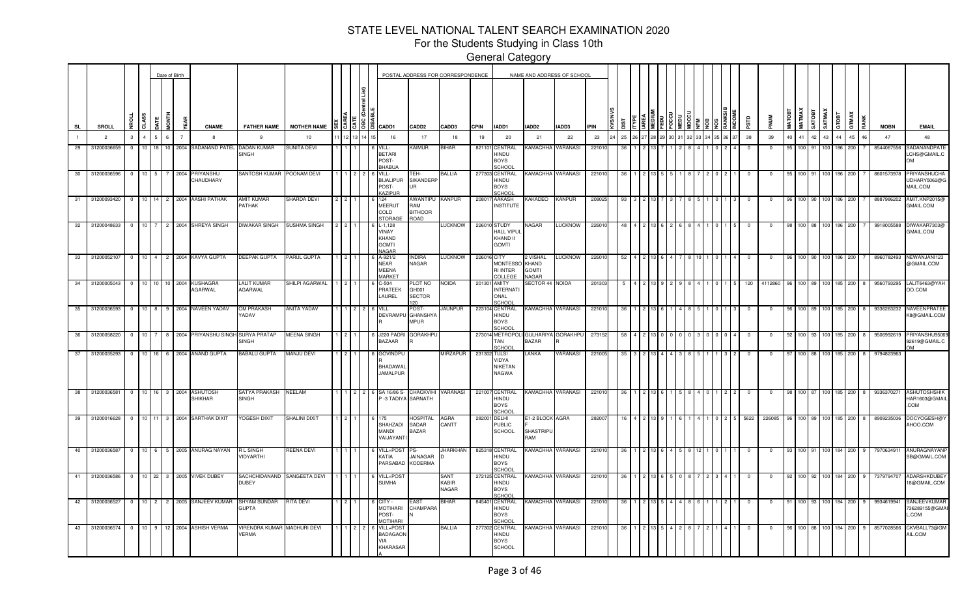For the Students Studying in Class 10th

|                |                                  |                |                      |                 |                       | Date of Birth  |                |                                            |                                                           |                                         |     |                                                                                                                    |                                           | POSTAL ADDRESS FOR CORRESPONDENCE |             |                                                                      | NAME AND ADDRESS OF SCHOOL                 |                   |             |     |  |  |  |  |                         |             |        |                  |        |                         |         |    |                          |                                             |
|----------------|----------------------------------|----------------|----------------------|-----------------|-----------------------|----------------|----------------|--------------------------------------------|-----------------------------------------------------------|-----------------------------------------|-----|--------------------------------------------------------------------------------------------------------------------|-------------------------------------------|-----------------------------------|-------------|----------------------------------------------------------------------|--------------------------------------------|-------------------|-------------|-----|--|--|--|--|-------------------------|-------------|--------|------------------|--------|-------------------------|---------|----|--------------------------|---------------------------------------------|
| <b>SL</b>      | <b>SROLL</b>                     |                |                      | CLASS           |                       | i<br>Tag       | ξÃ             | <b>CNAME</b>                               | <b>FATHER NAME</b>                                        | <b>MOTHER NAME</b>                      |     | $\frac{15}{3}$ $\frac{5}{3}$ $\frac{15}{3}$ $\frac{25}{3}$ $\frac{1}{3}$ $\frac{1}{3}$ $\frac{1}{3}$ $\frac{1}{3}$ | <b>CADD2</b>                              | CADD3                             | CPIN        | IADD1                                                                | IADD2                                      | IADD3             | <b>IPIN</b> |     |  |  |  |  | аß                      | 롴           | MATOBT | <b>MATMAX</b>    | SATMAX | стовт                   | GTMAX   |    | <b>MOBN</b>              | <b>EMAIL</b>                                |
| $\blacksquare$ |                                  | $\overline{2}$ | $\mathcal{R}$        | 4 <sup>1</sup>  |                       | 6 <sup>1</sup> | $\overline{7}$ | 8                                          | 9                                                         | 10                                      | 12  | 16                                                                                                                 | 17                                        | 18                                | 19          | 20                                                                   | 21                                         | 22                | 23          | 25  |  |  |  |  | 38                      | 39          | 40     | 41 42            |        | 43 44                   | 45      | 46 | 47                       | 48                                          |
|                | 29 31200036659                   |                | $\circ$              | 10 18           |                       |                |                | 10 2004 SADANAND PATEL DADAN KUMAR         | <b>SINGH</b>                                              | <b>SUNITA DEVI</b>                      |     | VILL-<br><b>BETARI</b><br>POST-<br><b>BHABUA</b>                                                                   | <b>Kaimur</b>                             | BIHAR                             |             | 821101 CENTRAL<br>HINDU<br><b>BOYS</b><br>SCHOOL                     | <b>AMACHHA</b>                             | <b>VARANASI</b>   | 22101       | -36 |  |  |  |  | $\overline{\mathbf{0}}$ | $\mathbf 0$ | 95     | 100 91           |        | 100 186                 | 200     |    | 8544067556               | SADANANDPATE<br>LCHS@GMAIL.C<br><b>OM</b>   |
|                | 30 31200036596                   |                | $\circ$              | 10 5            |                       |                | 2004           | PRIYANSHU<br>CHAUDHARY                     | SANTOSH KUMAR                                             | POONAM DEVI                             |     | VILL-<br><b>BIJALIPUR</b><br>POST-<br>KAZIPUR                                                                      | TEH-<br><b>SIKANDERP</b><br>UR            | BALLIA                            |             | 277303 CENTRAL<br>HINDU<br><b>BOYS</b><br>SCHOOL                     | <b>CAMACHHA</b>                            | VARANASI          | 22101       | -36 |  |  |  |  | 0                       | $\mathbf 0$ | -95    | 100 91           |        | 100 186                 | 200     |    | 8601573978               | PRIYANSHUCHA<br>UDHARY5062@G<br>MAIL.COM    |
| 31             | 31200093420                      |                | $\Omega$             | 10              | 14                    |                |                | 2004 AASHI PATHAK                          | AMIT KUMAR<br>PATHAK                                      | SHARDA DEVI                             |     | 124<br><b>MEERUT</b><br>COLD<br><b>STORAGE</b>                                                                     | AWANTIPU<br>RAM<br><b>BITHOOR</b><br>ROAD | <b>KANPUR</b>                     |             | 208017 AAKASH<br><b>INSTITUTE</b>                                    | <b>AKADEO</b>                              | <b>KANPUR</b>     | 20802       | 93  |  |  |  |  |                         |             |        |                  |        |                         | 200     |    | 8887986202               | AMIT.KNP2015@<br>GMAIL.COM                  |
|                | 32 31200048633                   |                | $\circ$              | 10 <sup>1</sup> |                       |                |                | 2004 SHREYA SINGH                          | <b>DIWAKAR SINGH</b>                                      | SUSHMA SINGH                            |     | $L-1,128$<br><b>VINAY</b><br>KHAND<br><b>GOMTI</b><br>NAGAR                                                        |                                           | LUCKNOW                           |             | 226010 STUDY<br><b>HALL VIPU</b><br>KHAND II<br><b>GOMTI</b>         | <b>JAGAR</b>                               | <b>LUCKNOW</b>    | 22601       |     |  |  |  |  |                         |             |        |                  |        |                         | 200     |    | 991800558                | DIWAKAR7303@<br>GMAIL.COM                   |
|                | 33 31200052107                   |                | $0 \t10 \t4 \t2$     |                 |                       |                |                | 2004 KAVYA GUPTA                           | <b>DEEPAK GUPTA</b>                                       | PARUL GUPTA                             |     | A-921/2<br><b>NEAR</b><br><b>MEENA</b><br><b>MARKET</b>                                                            | INDIRA<br>NAGAR                           | <b>LUCKNOW</b>                    | 226016 CITY | <b>MONTESSO</b><br><b>RI INTER</b><br>COLLEGE                        | 2 VISHAL<br>KHAND<br><b>GOMTI</b><br>VAGAR | <b>LUCKNOW</b>    | 22601       | 52  |  |  |  |  |                         |             |        |                  |        | 186                     | 200     |    | 8960782493               | NEW ANJANI123<br>@GMAIL.COM                 |
|                | 34 31200005043                   |                | $\mathbf{0}$         | 10 10           |                       |                | 2004           | <b>KUSHAGRA</b><br>AGARWAL                 | <b>LALIT KUMAR</b><br><b>AGARWAL</b>                      | SHILPI AGARWAL                          |     | $C-504$<br>PRATEEK<br>AUREL                                                                                        | PLOT NO<br>GH001<br>SECTOR<br>20          | noida                             |             | 201301 AMITY<br><b>INTERNAT</b><br>ONAL<br>SCHOO                     | <b>SECTOR 44 NOIDA</b>                     |                   | 201303      |     |  |  |  |  | 120                     | 4112860     |        |                  |        | 85                      | 200     |    | 9560793295               | LALIT6463@YAH<br>OO.COM                     |
|                | 35 31200036593                   |                | $\mathbf{0}$         | 10 <sup>1</sup> | 8                     |                |                | 2004 NAVEEN YADAV                          | OM PRAKASH<br>YADAV                                       | ANITA YADAV                             |     | VILL<br>DEVRAMPL                                                                                                   | POST-<br>GHANSHY/<br>MPUR                 | JAUNPUR                           |             | 223104 CENTRAL<br>HINDU<br><b>BOYS</b><br>SCHOO                      | <b>KAMACHHA</b>                            | <b>VARANASI</b>   | 22101       |     |  |  |  |  |                         |             |        |                  |        | 185                     | 200     |    | 9336263232               | NAVEENPRATEE<br><b>&lt;8@GMAIL.COM</b>      |
|                | 36 31200058220<br>37 31200035293 |                | $\circ$<br>$0$ 10 16 | 10              |                       |                |                | 2004 PRIYANSHU SINGH<br>6 2004 ANAND GUPTA | <b>SURYA PRATAP</b><br><b>INGH</b><br><b>BABALU GUPTA</b> | <b>MEENA SINGH</b><br><b>MANJU DEVI</b> |     | J220 PADRI<br>BAZAAR<br><b>GOVINDPL</b>                                                                            | <b>GORAKHPL</b>                           | <b>MIRZAPUR</b>                   |             | 273014 METROPOLI GULHARIYA GORAKHPU<br>TAN<br>SCHOOL<br>231302 TULSI | 3AZAR<br>LANKA                             | VARANASI          | 27315       | 35  |  |  |  |  | $\Omega$                | $\Omega$    | - 97   | 100 93<br>100 88 |        | 185 l<br>100 185 200    | 200     | -8 | 9506992619<br>9794823963 | PRIYANSHU9506<br>92619@GMAIL.C<br>ገM        |
|                |                                  |                |                      |                 |                       |                |                |                                            |                                                           |                                         |     | <b>BHADAWAL</b><br><b>JAMALPUR</b>                                                                                 |                                           |                                   |             | VIDYA<br><b>NIKETAN</b><br><b>NAGWA</b>                              |                                            |                   | 221005      |     |  |  |  |  |                         |             |        |                  |        |                         |         |    |                          |                                             |
|                | 38 31200036581                   |                | $\overline{0}$       | 10 16           |                       | $\mathbf{3}$   | 2004           | <b>ASHUTOSH</b><br><b>SHIKHAR</b>          | <b>SATYA PRAKASH</b><br><b>SINGH</b>                      | NEELAM                                  | 122 | 6 SA 16/86 S- CHACKVIHI<br>P-3 TADIYA SARNATH                                                                      |                                           | <b>VARANASI</b>                   |             | 221007 CENTRAL<br>HINDU<br><b>BOYS</b><br>SCHOOL                     | <b>KAMACHHA</b>                            | <b>VARANASI</b>   | 22101       |     |  |  |  |  |                         |             |        |                  |        | 185                     | 200     |    | 933637027                | <b>ASHUTOSHSHIK</b><br>HAR1603@GMAIL<br>COM |
|                | 39 31200016628                   |                |                      |                 |                       |                |                | 0 10 11 3 2004 SARTHAK DIXIT               | YOGESH DIXIT                                              | SHALINI DIXIT                           |     | SHAHZADI<br>MANDI<br>VAIJAYANT                                                                                     | <b>OSPITAL</b><br>SADAR<br><b>BAZAR</b>   | AGRA<br>CANTT                     |             | 282001 DELHI<br><b>PUBLIC</b><br><b>SCHOOL</b>                       | E1-2 BLOCK AGRA<br>SHASTRIPL<br>RAM        |                   | 28200       |     |  |  |  |  | 5622                    | 226085      |        |                  |        |                         | 185 200 |    | 890923503                | DOCYOGESH@'<br>AHOO.COM                     |
|                | 40 31200036587                   |                |                      |                 |                       |                |                | 0 10 6 5 2005 ANURAG NAYAN                 | <b>RL SINGH</b><br>VIDYARTHI                              | REENA DEVI                              |     | VILL+POST<br>KATIA<br>PARSABAD                                                                                     | PS.<br><b>JAINAGAR</b><br><b>KODERMA</b>  | JHARKHAN                          |             | 825318 CENTRAL<br>HINDU<br><b>BOYS</b><br>SCHOO                      | <b>KAMACHHA</b>                            | VARANASI          | 22101       | -36 |  |  |  |  | $^{\circ}$              | $^{\circ}$  | -93    | 100.             |        | 184                     | 200     |    | 797063491                | ANURAGNAYANF<br>SB@GMAIL.COM                |
|                | 41 31200036586                   |                | $\overline{0}$       |                 | $10 \quad 22 \quad 3$ |                |                | 2005 VIVEK DUBEY                           | SACHCHIDANAND<br><b>DUBEY</b>                             | SANGEETA DEVI                           |     | VILL+POS <sup>-</sup><br><b>SUMHA</b>                                                                              |                                           | <b>SANT</b><br>KABIR<br>NAGAR     |             | 272125 CENTRAL<br><b>HINDU</b><br><b>BOYS</b><br><b>SCHOO</b>        | <b>KAMACHHA VARANASI</b>                   |                   | 221010      | 36  |  |  |  |  | $\Omega$                | $\Omega$    | 92     | 100 92           |        | 184<br>100 <sub>1</sub> | 200     |    | 7379794707               | <b>ADARSHKDUBEY</b><br>18@GMAIL.COM         |
|                | 42 31200036527                   |                | $\overline{0}$       | $10 \quad 2$    |                       | 2 <sup>1</sup> |                | 2005 SANJEEV KUMAR                         | <b>SHYAM SUNDAR</b><br><b>GUPTA</b>                       | <b>RITA DEVI</b>                        |     | CITY -<br><b>MOTIHARI</b><br>POST-<br><b>MOTIHARI</b>                                                              | EAST<br>CHAMPARA                          | <b>BIHAR</b>                      |             | 845401 CENTRAL<br>HINDU<br><b>BOYS</b><br>SCHOOL                     | <b>KAMACHHA</b>                            | VARANASI          | 221010      | 36  |  |  |  |  | - 0                     | $\Omega$    |        | 100 93           |        | 100 <sub>1</sub><br>184 | 200     |    | 9934619941               | SANJEEVKUMAR<br>736289155@GMAI<br>L.COM     |
|                | 43 31200036574                   |                |                      |                 |                       |                |                | 0 10 9 12 2004 ASHISH VERMA                | VIRENDRA KUMAR MADHURI DEVI<br>VERMA                      |                                         |     | VILL+POS<br><b>BADAGAON</b><br>VIA<br><b>KHARASAR</b>                                                              |                                           | <b>BALLIA</b>                     |             | 277302 CENTRAL<br>HINDU<br><b>BOYS</b><br><b>SCHOOL</b>              |                                            | (AMACHHA VARANASI | 221010      | 36  |  |  |  |  |                         |             |        |                  |        | 100 88 100 184 200      |         |    | 8577028566               | CKVBALL73@GM<br>AIL.COM                     |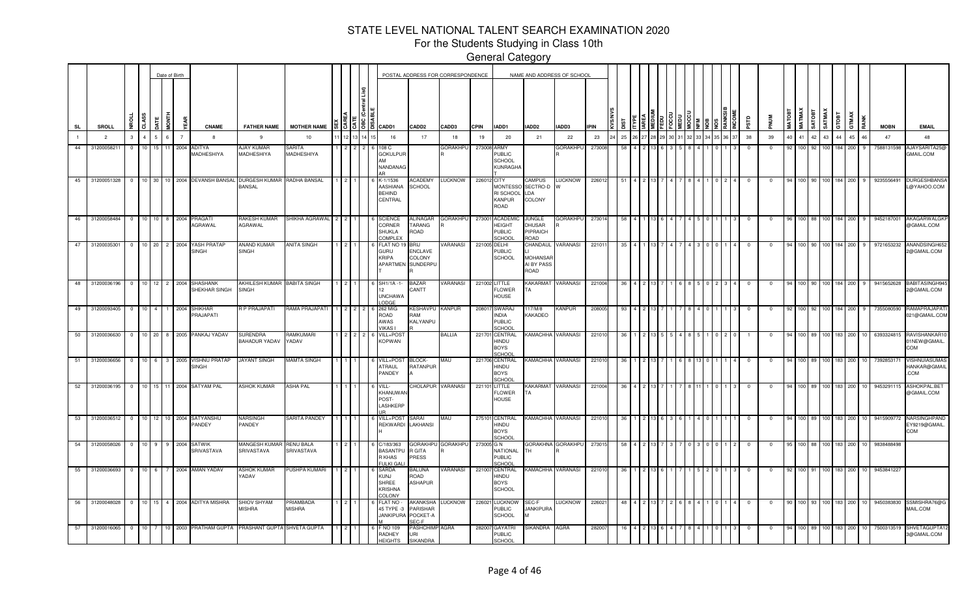For the Students Studying in Class 10th

|             |                  |                |                  |                  |                 | Date of Birth  |                                           |                                                                           |                            |  |                                                                                                      |                                                 | POSTAL ADDRESS FOR CORRESPONDENCE |              |                                                             |                                                            | NAME AND ADDRESS OF SCHOOL |             |           |  |  |       |  |          |    |               |               |               |        |                |                 |             |                                                |
|-------------|------------------|----------------|------------------|------------------|-----------------|----------------|-------------------------------------------|---------------------------------------------------------------------------|----------------------------|--|------------------------------------------------------------------------------------------------------|-------------------------------------------------|-----------------------------------|--------------|-------------------------------------------------------------|------------------------------------------------------------|----------------------------|-------------|-----------|--|--|-------|--|----------|----|---------------|---------------|---------------|--------|----------------|-----------------|-------------|------------------------------------------------|
| SL          | SROLL            |                | 5                |                  | Ē               | ŢΜ             | <b>CNAME</b>                              | <b>FATHER NAME</b>                                                        | <b>MOTHER NAME</b>         |  | $\frac{15}{3}$ $\frac{5}{3}$ $\frac{18}{3}$ $\frac{20}{3}$ $\frac{1}{3}$ $\frac{1}{3}$ $\frac{1}{3}$ | CADD <sub>2</sub>                               | CADD3                             | <b>CPIN</b>  | IADD1                                                       | IADD2                                                      | IADD3                      | <b>IPIN</b> | <u>is</u> |  |  |       |  |          |    | <b>MATOB1</b> | <b>MATMAX</b> | <b>TEOLYS</b> | SATMAX | GTMAX<br>атовт |                 | <b>MOBN</b> | <b>EMAIL</b>                                   |
|             | $\overline{2}$   |                | 3                |                  | 6               | $\overline{7}$ |                                           | 9                                                                         | 10                         |  | 16                                                                                                   | 17                                              | 18                                | 19           | 20                                                          | 21                                                         | 22                         | 23          | 25        |  |  | 33 34 |  | 38       | 39 | 40            | 41 42         |               | 43     | 44<br>45       |                 | 47          | 48                                             |
| 44          | 3120005821       |                | $^{\circ}$<br>10 | 15               | 11 <sub>1</sub> | 2004           | ADITYA<br>MADHESHIYA                      | AJAY KUMAR<br>MADHESHIYA                                                  | SARITA<br>MADHESHIYA       |  | 108 C<br><b>GOKULPUR</b><br><b>NANDANAG</b>                                                          |                                                 | GORAKHPL                          | 273008 ARMY  | PUBLIC<br><b>SCHOOL</b><br><b>KUNRAGHA</b>                  |                                                            | <b>GORAKHPU</b>            | 273008      |           |  |  |       |  |          |    |               |               |               | 100    | 184<br>200     |                 | 7588131598  | AJAYSARITA25@<br>GMAIL.COM                     |
| 45          |                  |                |                  |                  |                 |                |                                           | 31200051328 0 10 30 10 2004 DEVANSH BANSAL DURGESH KUMAR<br><b>BANSAL</b> | RADHA BANSAL               |  | K-1/1536<br>AASHIANA<br><b>BEHIND</b><br>CENTRAL                                                     | <b>ACADEMY</b><br><b>SCHOOL</b>                 | <b>LUCKNOW</b>                    | 226012 CITY  | RI SCHOOL<br><b>KANPUR</b><br>ROAD                          | <b>CAMPUS</b><br>MONTESSO SECTRO-D<br>LDA<br>COLONY        | <b>LUCKNOW</b>             | 226012      | 51        |  |  |       |  |          |    |               |               | 100 90 100    |        | 184 200        | $\mathbf{q}$    | 9235556491  | <b>DURGESHBANSA</b><br>L@YAHOO.COM             |
| 46          | 31200058484      |                | $\overline{0}$   |                  |                 |                | 10 10 8 2004 PRAGATI<br>AGRAWAL           | RAKESH KUMAR<br>AGRAWAL                                                   | SHIKHA AGRAWAL 2 2         |  | <b>SCIENCE</b><br>CORNER<br><b>SHUKLA</b><br>COMPLEX                                                 | ALINAGAR<br>TARANG<br>ROAD                      | <b>GORAKHPU</b>                   | 273001       | <b>ACADEMIO</b><br>HEIGHT<br><b>PUBLIC</b><br><b>SCHOOL</b> | JUNGLE<br>DHUSAR<br>PIPRAICH<br>ROAD                       | GORAKHPU                   | 273014      | -58       |  |  |       |  |          | 0  |               |               | 100 88 100    |        | 184 200        | - 9             | 9452187001  | AKAGARWALGK<br>@GMAIL.COM                      |
| $-47$       | 31200035301      | $\overline{0}$ |                  | $10$ 20          |                 | 2 2004         | YASH PRATAF<br><b>SINGH</b>               | <b>ANAND KUMAR</b><br><b>SINGH</b>                                        | <b>ANITA SINGH</b>         |  | <b>ELAT NO</b><br><b>GURU</b><br><b>KRIPA</b><br>APARTMEN SUNDERPU                                   | 3RIJ<br>ENCLAVE<br>COLONY                       | <b>/ARANASI</b>                   | 221005 DELHI | PUBLIC<br><b>SCHOOL</b>                                     | CHANDAUL VARANASI<br><b>MOHANSAF</b><br>AI BY PASS<br>ROAD |                            | 22101       |           |  |  |       |  |          |    |               |               |               | 100    | 184<br>200     |                 | 9721653232  | ANANDSINGH65<br>@GMAIL.COM                     |
| $-48$       | 31200036196      |                | $\overline{0}$   |                  |                 |                | 10 12 2 2004 SHASHANK<br>SHEKHAR SINGH    | AKHILESH KUMAR BABITA SINGH<br><b>SINGH</b>                               |                            |  | SH1/1A-1-<br><b>UNCHAWA</b><br>ODGE                                                                  | <b>BAZAR</b><br>CANTT                           | VARANASI                          |              | 221002 LITTLE<br><b>FLOWER</b><br><b>HOUSE</b>              | KAKARMAT<br>TA                                             | VARANASI                   | 221004      |           |  |  |       |  |          |    |               | 100 90        |               | 100    | 184<br>200     |                 | 9415652628  | BABITASINGH94<br>2@GMAIL.COM                   |
|             | 49 31200093405 0 |                |                  | $10 \mid 4 \mid$ |                 |                | 1 2004 SHIKHAR<br><b>PRAJAPATI</b>        | R P PRAJAPATI                                                             | RAMA PRAJAPATI             |  | 262 MIG<br>ROAD<br>AWAS<br><b>/IKAS1</b>                                                             | KESHAVPU KANPUR<br>RAM<br>KALYANPU              |                                   |              | 208017 SWARAJ<br>NDIA<br><b>PUBLIC</b><br>SCHOOL            | 117/M/8<br>KAKADEO                                         | KANPUR                     | 208005      | -93       |  |  |       |  |          |    |               | 100 92        |               | 100    | 184<br>200     |                 | 7355080590  | RAMAPRAJAPAT<br>021@GMAIL.COM                  |
|             | 50 31200036630 0 |                |                  |                  |                 |                | 10 20 8 2005 PANKAJ YADAV                 | SURENDRA<br>BAHADUR YADAV                                                 | Ramkumari<br>YADAV         |  | VILL+POS<br><b>KOPWAN</b>                                                                            |                                                 | BALLIA                            |              | 221701 CENTRAL<br>HINDU<br><b>BOYS</b><br>SCHOOL            | KAMACHHA VARANASI                                          |                            | 221010      |           |  |  |       |  |          |    |               |               | 100 89 100    |        | 183<br>200     |                 |             | 6393324815 RAVISHANKAR10<br>1NEW@GMAIL.<br>COM |
| $\sqrt{51}$ | 31200036656      |                | $\overline{0}$   |                  |                 |                | 10 6 3 2005 VISHNU PRATAP<br><b>SINGH</b> | <b>JAYANT SINGH</b>                                                       | <b>MAMTA SINGH</b>         |  | /ILL+POS<br>ATRAUL<br><b>PANDEY</b>                                                                  | <b>BLOCK-</b><br>RATANPUR                       | MAU                               |              | 221706 CENTRAL<br>HINDU<br><b>BOYS</b><br>SCHOO             | KAMACHHA VARANASI                                          |                            | 221010      |           |  |  |       |  |          |    |               |               | 100 89 100    |        | 183<br>200     |                 | 7392853171  | <b>VISHNUIASUMAS</b><br>HANKAR@GMAIL<br>COM.   |
| 52          | 31200036195 0    |                |                  |                  |                 |                | 10 15 11 2004 SATYAM PAL                  | <b>ASHOK KUMAR</b>                                                        | <b>ASHA PAL</b>            |  | VILL-<br>KHANUWAN<br>POST-<br>LASHKERP                                                               | <b>HOLAPUR</b>                                  | VARANASI                          | 221101       | LITTLE<br><b>FLOWER</b><br><b>HOUSE</b>                     | KAKARMAT VARANASI<br>TА                                    |                            | 221004      | -36       |  |  |       |  | $\Omega$ |    |               |               | 100 89 100    |        | 183<br>200     |                 |             | 9453291115 ASHOKPAL.BET<br>@GMAIL.COM          |
| 53          | 31200036512 0    |                |                  |                  |                 |                | 10 12 10 2004 SATYANSHU<br>PANDEY         | NARSINGH<br>PANDEY                                                        | SARITA PANDEY              |  | VILL+POST<br>REKWARDI                                                                                | SARAI<br>LAKHANSI                               | MAU                               | 275101       | <b>CENTRAL</b><br>HINDU<br><b>BOYS</b><br>SCHOOL            | KAMACHHA VARANASI                                          |                            | 221010      |           |  |  |       |  |          |    |               |               |               | 100    | 183<br>200     |                 | 9415909772  | NARSINGHPAND<br>EY9219@GMAIL.<br>COM           |
| 54          | 31200058026 0    |                |                  | $10$   9         |                 |                | 9 2004 SATWIK<br>SRIVASTAVA               | <b>MANGESH KUMAR</b><br>SRIVASTAVA                                        | RENU BALA<br>SRIVASTAVA    |  | C/183/363<br><b>BASANTPL</b><br>R KHAS<br>ULKI GAL                                                   | l GITA<br>PRESS                                 | GORAKHPU GORAKHPU                 | 273005 G N   | NATIONAL<br><b>PUBLIC</b><br>CHOOL                          | тн                                                         | GORAKHNA GORAKHPU          | 273015      | -58       |  |  |       |  |          |    |               | 100 88        |               | 100    | 183<br>200     |                 | 9838488498  |                                                |
| 55          | 31200036693 0    |                |                  | $10 \quad 6$     |                 |                | 7 2004 AMAN YADAV                         | ASHOK KUMAR<br><b>ADAV</b>                                                | PUSHPA KUMARI              |  | SARDA<br>KUNJ<br><b>SHREE</b><br><b>KRISHNA</b><br><b>OLONY</b>                                      | <b>BALUNA</b><br>ROAD<br><b>ASHAPUR</b>         | VARANASI                          | 221007       | <b>CENTRAL</b><br>HINDU<br><b>BOYS</b><br><b>SCHOOL</b>     |                                                            | KAMACHHA VARANASI          | 221010      | -36       |  |  |       |  |          |    | 92            |               | 100 91 100    |        | 183<br>200     | 10              | 9453841227  |                                                |
| 56          | 31200048028 0    |                |                  | $10$ 15          |                 |                | 4 2004 ADITYA MISHRA                      | SHIOV SHYAM<br><b>MISHRA</b>                                              | <b>PRIAMBADA</b><br>MISHRA |  | <b>ELAT NO</b><br>45 TYPE -3<br><b>JANKIPURA</b>                                                     | AKANKSHA<br><b>ARISHAR</b><br>POCKET-A<br>SEC-F | LUCKNOW                           | 22602        | LUCKNOW<br>PUBLIC<br><b>SCHOOL</b>                          | SEC-F<br><b>JANKIPURA</b>                                  | <b>LUCKNOW</b>             | 22602       | -48       |  |  |       |  |          |    |               |               | 100 93        | 100    | 183<br>200     | 10 <sup>1</sup> | 9450383830  | SSMISHRA76@G<br>MAIL.COM                       |
| $-57$       | 31200016065 0    |                | 10               |                  |                 |                |                                           | 10 2003 PRATHAM GUPTA PRASHANT GUPTA SHVETA GUPTA                         |                            |  | <b>NO 109</b><br>RADHEY<br><b>HEIGHTS</b>                                                            | PASHCHIMP AGRA<br>URI<br>SIKANDRA               |                                   | 282007       | <b>GAYATRI</b><br><b>PUBLIC</b><br>SCHOOL                   | SIKANDRA AGRA                                              |                            | 28200       |           |  |  |       |  |          |    |               |               |               | 100    | 183 200        | 10              | 7500313519  | SHVETAGUPTA12<br>3@GMAIL.COM                   |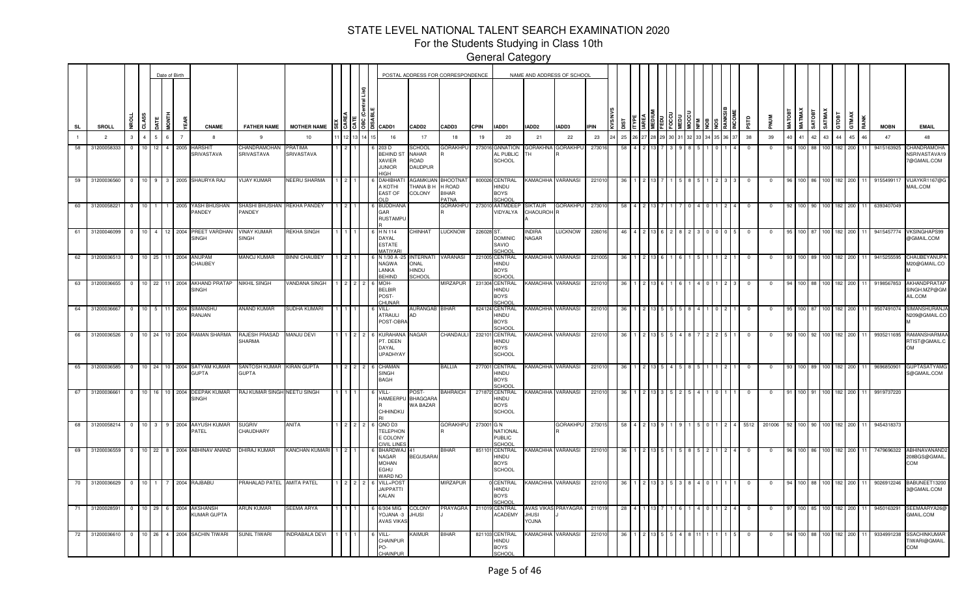For the Students Studying in Class 10th

|           |    |                  |                |                |                | Date of Birth   |                |                                                    |                                             |                              |     |    |                                                                                        | POSTAL ADDRESS FOR CORRESPONDENCE           |                                                    |             |                                                         | NAME AND ADDRESS OF SCHOOL              |                     |             |     |    |  |  |                 |             |                         |               |                   |            |                  |                    |                      |             |                                                   |
|-----------|----|------------------|----------------|----------------|----------------|-----------------|----------------|----------------------------------------------------|---------------------------------------------|------------------------------|-----|----|----------------------------------------------------------------------------------------|---------------------------------------------|----------------------------------------------------|-------------|---------------------------------------------------------|-----------------------------------------|---------------------|-------------|-----|----|--|--|-----------------|-------------|-------------------------|---------------|-------------------|------------|------------------|--------------------|----------------------|-------------|---------------------------------------------------|
| <b>SL</b> |    | <b>SROLL</b>     | <b>NROLL</b>   | CLASS          | <b>ATE</b>     | <b>MONTH</b>    | 뙶              | <b>CNAME</b>                                       | <b>FATHER NAME</b>                          | <b>MOTHER NAME</b>           |     |    | $\frac{2}{3}$ $\frac{5}{3}$ $\frac{5}{3}$ $\frac{18}{3}$ $\frac{20}{3}$ $\frac{20}{3}$ | CADD <sub>2</sub>                           | CADD3                                              | <b>CPIN</b> | IADD1                                                   | IADD2                                   | IADD3               | <b>IPIN</b> | ä   |    |  |  |                 | <b>ESLS</b> | <b>MUN</b>              | <b>MATOBT</b> | <b>МАТМАХ</b>     | SATOBT     | SATMAX           | GTOBT              | <b>GTMAX</b><br>RANK | <b>MOBN</b> | <b>EMAIL</b>                                      |
|           |    | 2                | $\mathbf{3}$   | $\overline{4}$ | 5 <sup>5</sup> | $6\overline{6}$ | $\overline{7}$ | 8                                                  | 9                                           | 10                           | 112 |    | 16                                                                                     | 17                                          | 18                                                 | 19          | 20                                                      | 21                                      | 22                  | 23          | 25  | 28 |  |  | 33 34 35 36 37  | 38          | 39                      | 40            | 41 42 43          |            |                  | 44                 | 45<br>46             | 47          | 48                                                |
| 58        |    | 31200058333      | $\overline{0}$ | 10             | 12             | $\overline{4}$  | 2005           | <del>I</del> ARSHIT<br>SRIVASTAVA                  | <b>HANDRAMOHAN</b><br>SRIVASTAVA            | <b>PRATIMA</b><br>SRIVASTAVA |     |    | 203 D<br>BEHIND ST<br><b>XAVIER</b><br><b>JUNIOR</b><br>HIGH                           | <b>SCHOOL</b><br>NAHAR<br>ROAD<br>DAUDPUR   | <b>GORAKHPU</b>                                    | 273016      | <b>GNNATION</b><br>AL PUBLIC<br><b>SCHOOL</b>           | <b>GORAKHNA</b>                         | <b>GORAKHPU</b>     | 273016      |     |    |  |  |                 | $^{\circ}$  |                         |               | 100 88            |            | 100              | 182                | 200                  | 9415163925  | HANDRAMOHA<br><b>NSRIVASTAVA19</b><br>7@GMAIL.COM |
|           | 59 | 31200036560      |                |                |                |                 |                | 0 10 9 3 2005 SHAURYA RAJ                          | <b>VIJAY KUMAR</b>                          | NEERU SHARMA                 |     |    | <b>DAHIBHA</b><br>A KOTHI<br><b>EAST OF</b><br>ח ונ                                    | AGAMKUAN<br><b>THANA B H</b><br>COLONY      | <b>BHOOTNAT</b><br>H ROAD<br><b>BIHAR</b><br>PATNA |             | 800026 CENTRAL<br>HINDU<br><b>BOYS</b><br>CHOOL         | KAMACHHA VARANASI                       |                     | 221010      | -36 |    |  |  |                 | $^{\circ}$  | $\overline{\mathbf{0}}$ | 96.           |                   |            |                  | 100 86 100 182 200 |                      | 9155499117  | VIJAYKR1167@G<br>MAIL.COM                         |
| 60        |    | 31200058221      | $\circ$        | 10             |                |                 |                | 2005 YASH BHUSHAN<br><b>ANDEY</b>                  | SHASHI BHUSHAN REKHA PANDEY<br><b>ANDEY</b> |                              |     |    | <b>BUDDHAN</b><br>GAR<br><b>RUSTAMPU</b>                                               |                                             | GORAKHPU                                           |             | 273010 AATMDEEF<br>VIDYALYA                             | <b>SIKTAUR</b><br>CHAOUROH <sup>R</sup> | <b>GORAKHPU</b>     | 27301       |     |    |  |  |                 |             | 0                       |               |                   |            | 100              | 182                | 200                  | 6393407049  |                                                   |
| 61        |    | 31200046099      |                | $0 \t 10 \t 4$ |                | 12 2004         |                | PREET VARDHAN VINAY KUMAR<br>SINGH                 | <b>SINGH</b>                                | <b>REKHA SINGH</b>           |     |    | H N 114<br>DAYAL<br><b>ESTATE</b><br>MATIYARI                                          | CHINHAT                                     | LUCKNOW                                            | 226028 ST.  | <b>DOMINIC</b><br>SAVIO<br>CHOOL                        | <b>INDIRA</b><br>NAGAR                  | <b>LUCKNOW</b>      | 226016      |     |    |  |  |                 |             |                         |               |                   |            | 100              | 182                | 200                  | 9415457774  | <b>VKSINGHAPS99</b><br>@GMAIL.COM                 |
| 62        |    | 31200036513      |                |                | $0$ 10 25 11   |                 | 2004           | ANUPAM<br>CHAUBEY                                  | MANOJ KUMAR                                 | <b>BINNI CHAUBEY</b>         |     |    | N 1/30 A -25<br>NAGWA<br>LANKA<br>EHIND                                                | <b>INTERNATI</b><br>ONAL<br>HINDU<br>SCHOOL | VARANASI                                           |             | 221005 CENTRAL<br>HINDU<br><b>BOYS</b><br><b>SCHOOL</b> |                                         | KAMACHHA VARANASI   | 221005      |     |    |  |  |                 |             |                         |               |                   | 100 89 100 |                  | 182                | 200                  | 9415255595  | CHAUBEYANUPA<br>M20@GMAIL.CO                      |
| 63        |    | 31200036655      | $\circ$        | $10$ 22        |                | 11 2004         |                | AKHAND PRATAP<br><b>SINGH</b>                      | <b>NIKHIL SINGH</b>                         | VANDANA SINGH                |     |    | MOH-<br><b>BELBIR</b><br>POST-<br><b>HUNAR</b>                                         |                                             | MIRZAPUR                                           | 231304      | <b>CENTRAL</b><br>UONIF<br><b>BOYS</b><br>CHOOL         | KAMACHHA VARANASI                       |                     | 22101       |     |    |  |  |                 |             |                         |               |                   |            | 100 I            | 182                | 200                  | 9198567853  | AKHANDPRATAP<br>SINGH.MZP@GM<br>AIL.COM           |
| 64        |    | 31200036667      | $\circ$        | $10 \quad 5$   |                | 11 2004         |                | SIMANSHU<br>MAUAR                                  | ANAND KUMAR                                 | SUDHA KUMARI                 |     |    | /ILL-<br><b>ATRAULI</b><br>POST-OBRA                                                   | AURANGAB<br>AD                              | <b>BIHAR</b>                                       |             | 824124 CENTRAL<br>UQNIF<br>BOYS<br>SCHOOL               | KAMACHHA VARANASI                       |                     | 22101       |     |    |  |  |                 |             |                         |               |                   |            |                  | 182                | 200                  | 950749107   | SIMANSHURANJA<br>N209@GMAIL.CO                    |
|           | 66 | 31200036526      | $\circ$        | $10$   24      |                |                 |                | 10 2004 RAMAN SHARMA                               | RAJESH PRASAD MANJU DEVI<br>SHARMA          |                              |     |    | <b>KURAHAN</b><br>PT. DEEN<br>DAYAL<br><b>UPADHYAY</b>                                 | NAGAR                                       | CHANDAUL                                           |             | 232101 CENTRAL<br>HINDU<br><b>BOYS</b><br>SCHOOL        | KAMACHHA VARANASI                       |                     | 22101       |     |    |  |  |                 |             |                         |               | 100 l             |            |                  | 182                | 200                  | 9935211695  | RAMANSHARMAA<br>RTIST@GMAIL.C<br><b>OM</b>        |
| 65        |    | 31200036585      | $\circ$        |                |                |                 |                | 10 24 10 2004 SATYAM KUMAR<br><b>GUPTA</b>         | SANTOSH KUMAR KIRAN GUPTA<br><b>GUPTA</b>   |                              |     |    | CHAMAN<br>SINGH<br>BAGH                                                                |                                             | BALLIA                                             | 277001      | <b>CENTRAL</b><br>HINDU<br><b>BOYS</b><br><b>SCHOOL</b> | KAMACHHA VARANASI                       |                     | 221010      |     |    |  |  |                 |             | $^{\circ}$              |               |                   |            | 100 89 100 182   |                    | 200                  | 9696850901  | <b>GUPTASATYAMO</b><br>S@GMAIL.COM                |
| 67        |    | 31200036661      |                |                |                |                 |                | 0 10 16 10 2004 DEEPAK KUMAR<br><b>SINGH</b>       | RAJ KUMAR SINGH NEETU SINGH                 |                              |     |    | VILL-<br><b>HAMEERP</b><br><b>CHHINDKL</b>                                             | POST-<br><b>BHAGQARA</b><br>WA BAZAR        | <b>BAHRAICH</b>                                    |             | 271872 CENTRAL<br>HINDU<br><b>BOYS</b><br><b>SCHOOL</b> |                                         | KAMACHHA VARANASI   | 221010      | -36 |    |  |  |                 |             | $\overline{0}$          | 91            |                   |            |                  | 100 91 100 182 200 | 11                   | 9919737220  |                                                   |
| 68        |    | 31200058214      | $\circ$        | $10 \quad 3$   |                | 9 <sub>1</sub>  | 2004           | AAYUSH KUMAR<br>PATEL                              | <b>SUGRIV</b><br>CHAUDHARY                  | <b>ANITA</b>                 |     | 22 | QNO D3<br><b>TELEPHON</b><br>E COLONY<br><b>IVIL LINES</b>                             |                                             | GORAKHPU                                           | 273001 G N  | NATIONAL<br>PUBLIC<br>CHOOL                             |                                         | <b>GORAKHPU</b>     | 273015      | 58  |    |  |  | 2 <sub>14</sub> | 5512        | 201006                  |               | 92 100 90 100 182 |            |                  |                    | 200<br>11            | 9454318373  |                                                   |
| 69        |    | 31200036559      | $\Omega$       |                |                |                 |                | 10 22 8 2004 ABHINAV ANAND                         | DHIRAJ KUMAR                                | KANCHAN KUMARI               |     |    | BHARDWAJ 41<br>NAGAR<br><b>MOHAN</b><br>EGHU<br>WARD NC                                | <b>BEGUSARAI</b>                            | BIHAR                                              | 851101      | CENTRAL<br>HINDU<br><b>BOYS</b><br><b>SCHOOL</b>        |                                         | KAMACHHA VARANASI   | 221010      | -36 |    |  |  |                 | $\Omega$    | $\Omega$                |               |                   |            | 100 86 100 182   |                    | 200                  | 7479696322  | ABHINAVANAND2<br>208BGS@GMAIL.<br><b>COM</b>      |
| 70        |    | 31200036629 0 10 |                |                | $\overline{1}$ |                 |                | 7 2004 RAJBABU                                     | PRAHALAD PATEL AMITA PATEL                  |                              |     |    | VILL+POS<br><b>JAIPPATTI</b><br>KALAN                                                  |                                             | <b>MIRZAPUR</b>                                    |             | CENTRAL<br>HINDU<br><b>BOYS</b><br><b>SCHOOL</b>        | KAMACHHA VARANASI                       |                     | 221010      |     |    |  |  |                 |             | 0                       |               |                   |            |                  | 100 88 100 182 200 |                      | 9026912246  | BABUNEET13200<br>3@GMAIL.COM                      |
|           | 71 |                  |                |                |                |                 |                | 31200028591 0 10 29 6 2004 AKSHANSH<br>KUMAR GUPTA | ARUN KUMAR                                  | <b>SEEMA ARYA</b>            |     |    | 6/304 MIG<br>E-ANALOY<br><b>AVAS VIKAS</b>                                             | COLONY<br><b>JHUSI</b>                      | PRAYAGRA                                           |             | 211019 CENTRAL<br>ACADEMY                               | <b>JHUSI</b><br>YOJNA                   | AVAS VIKAS PRAYAGRA | 21101       |     |    |  |  |                 | $^{\circ}$  | $^{\circ}$              | 97            |                   |            |                  | 100 85 100 182 200 |                      | 9450163291  | SEEMAARYA26<br>GMAIL.COM                          |
|           | 72 | 31200036610      |                | $0$ 10 26      |                |                 |                | 4 2004 SACHIN TIWARI                               | SUNIL TIWARI                                | INDRABALA DEVI               |     |    | VILL-<br>CHAINPUR<br>PO-<br>CHAINPUR                                                   | <b>AIMUR</b>                                | BIHAR                                              |             | 821103 CENTRAL<br>HINDU<br><b>BOYS</b><br>SCHOOL        | KAMACHHA VARANASI                       |                     | 22101       |     |    |  |  |                 |             |                         |               |                   |            | 100 <sub>1</sub> | 182                | 200                  | 9334991238  | SSACHINKUMAR<br>TIWARI@GMAIL.<br>COM              |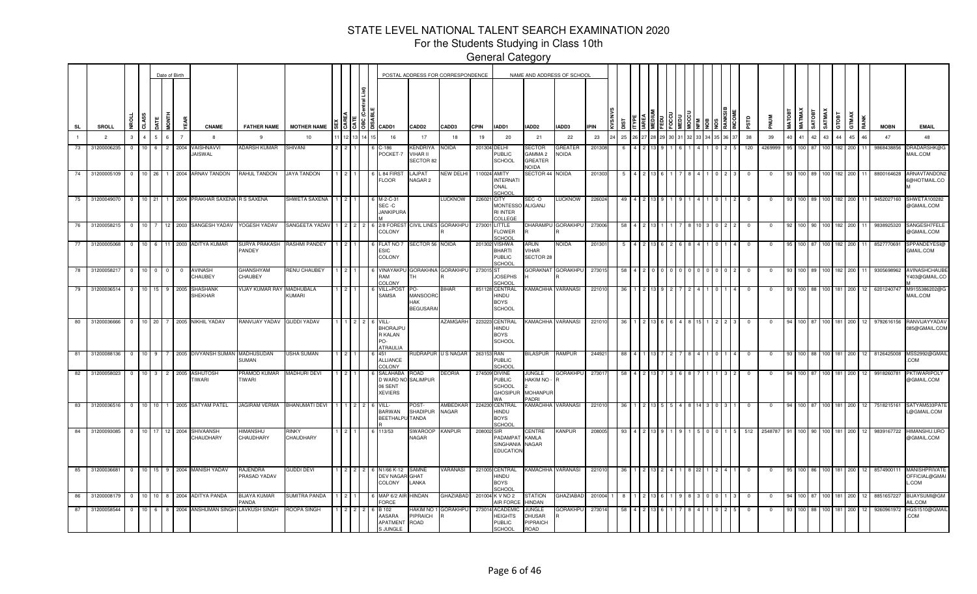For the Students Studying in Class 10th

|                |    |                |                |                 |                                           | Date of Birth |                                          |                                     |                      |          |                                                               | POSTAL ADDRESS FOR CORRESPONDENCE               |                      |             |                                                                          |                                                | NAME AND ADDRESS OF SCHOOL |             |     |  |  |  |  |            |            |               |                               |                  |                    |       |      |             |                                         |
|----------------|----|----------------|----------------|-----------------|-------------------------------------------|---------------|------------------------------------------|-------------------------------------|----------------------|----------|---------------------------------------------------------------|-------------------------------------------------|----------------------|-------------|--------------------------------------------------------------------------|------------------------------------------------|----------------------------|-------------|-----|--|--|--|--|------------|------------|---------------|-------------------------------|------------------|--------------------|-------|------|-------------|-----------------------------------------|
| <b>SL</b>      |    | SROLL          | g              | CLASS           | <b>HIND</b><br><b>ATE</b>                 |               | <b>CNAME</b>                             | <b>FATHER NAME</b>                  | <b>MOTHER NAME</b>   | 15151    | CADD1                                                         | CADD <sub>2</sub>                               | CADD3                | <b>CPIN</b> | IADD1                                                                    | IADD2                                          | IADD3                      | <b>IPIN</b> |     |  |  |  |  | еrs        |            | MATOBI        | <b>MATMAX</b><br><b>ROLAS</b> | SATMAX           | GTOBT              | GTMAX | RANK | <b>MOBN</b> | <b>EMAIL</b>                            |
| $\overline{1}$ |    | $\overline{2}$ | $\mathbf{3}$   | $\mathbf{A}$    | 6 <sup>1</sup>                            |               | 8                                        | - 9                                 | 10                   |          | 16                                                            | 17                                              | 18                   | 19          | 20                                                                       | 21                                             | 22                         | 23          | 25  |  |  |  |  | 38         | 39         | $\Delta \cap$ | 41                            | 42<br>43         | 44                 | 45    | 46   | 47          | 48                                      |
| 73             |    | 31200006235    | $^{\circ}$     | 10              | 6<br>$\overline{2}$                       | 2004          | 'AISHNAVVI<br>JAISWAL                    | <b>ADARSH KUMAR</b>                 | SHIVANI              |          | C-186<br>POCKET-7                                             | <b>KENDRIYA</b><br>VIHAR II<br>SECTOR 82        | Noida                | 201304      | DELHI<br>PUBLIC<br>SCHOOL                                                | SECTOR<br>GAMMA 2<br>GREATER<br><b>NOIDA</b>   | <b>GREATER</b><br>NOIDA    | 20130       |     |  |  |  |  | 120        | 4269999    |               | 100.                          |                  | 82                 | 200   |      | 9868438856  | DRADARSHK@G<br>MAIL.COM                 |
| 74             |    | 31200005109    | $\overline{0}$ | 10 26           |                                           |               | 1 2004 ARNAV TANDON                      | RAHUL TANDON                        | JAYA TANDON          |          | L 84 FIRS<br><b>FLOOR</b>                                     | LAJPAT<br>NAGAR <sub>2</sub>                    | NEW DELHI            |             | 110024 AMITY<br><b>INTERNATI</b><br>ONAL<br>SCHOOL                       | SECTOR 44 NOIDA                                |                            | 201303      |     |  |  |  |  | $^{\circ}$ | $^{\circ}$ | 93            |                               | 100 89 100       | 182                | 200   |      | 8800164628  | ARNAVTANDON2<br>6@HOTMAIL.CO            |
|                | 75 | 31200049070    |                |                 |                                           |               | 0 10 21 1 2004 PRAKHAR SAXENA R S SAXENA |                                     | SHWETA SAXENA        |          | M-2-C-31<br>SEC-C<br><b>JANKIPURA</b>                         |                                                 | <b>TICKNOM</b>       | 226021      | <b>CITY</b><br><b>MONTESSO</b><br><b>RI INTER</b><br>COLLEGE             | SEC -O<br>ALIGANJ                              | <b>LUCKNOW</b>             | 226024      |     |  |  |  |  |            | $^{\circ}$ |               |                               |                  | 100 89 100 182     | 200   |      | 9452027160  | SHWETA100282<br>@GMAIL.COM              |
| 76             |    | 31200058215    | $^{\circ}$     |                 |                                           |               | 10 7 12 2003 SANGESH YADAV               | YOGESH YADAV                        | SANGEETA YADAV       |          | 2/8 FORES<br>COLONY                                           |                                                 | CIVIL LINES GORAKHPU |             | 273001 LITTLE<br><b>FLOWER</b><br>CHOOL                                  |                                                | DHARAMPU GORAKHPU          | 273006      |     |  |  |  |  | $\Omega$   | $\Omega$   |               |                               |                  | 100 90 100 182 200 |       |      | 9838925320  | SANGESH7FELE<br>@GMAIL.COM              |
| 77             |    | 31200005068    | $\Omega$       | 10 <sup>1</sup> | $6^{\circ}$<br>11                         | 2003          | <b>ADITYA KUMAR</b>                      | SURYA PRAKASH<br>PANDEY             | <b>RASHMI PANDEY</b> |          | <b>FLAT NO</b><br>ESIC<br>COLONY                              | <b>SECTOR 56 NOIDA</b>                          |                      | 201302      | <b>VISHWA</b><br><b>BHARTI</b><br><b>PUBLIC</b><br>SCHOOL                | ARUN<br>VIHAR<br>SECTOR 28                     | <b>NOIDA</b>               | 20130       |     |  |  |  |  |            |            |               | 100 I                         |                  | 82                 | 200   |      | 8527770691  | SPPANDEYESI@<br>GMAIL.COM               |
| 78             |    | 3120005821     | $^{\circ}$     | 10 <sup>1</sup> | $^{\circ}$                                | $\mathbf 0$   | AVINASH<br>CHAUBEY                       | GHANSHYAM<br>CHAUBEY                | RENU CHAUBEY         |          | VINAYAKP<br>RAM<br>COLONY                                     | GORAKHNA GORAKHPU<br>TH                         |                      | 273015 ST   | <b>JOSEPHS</b><br>SCHOOL                                                 | <b>GORAKNAT</b>                                | <b>GORAKHPL</b>            | 27301       |     |  |  |  |  |            |            |               |                               |                  |                    | 200   |      | 93056989    | AVINASHCHAUE<br>Y403@GMAIL.CO           |
| 79             |    | 31200036514    | $\Omega$       | $10^{-1}$       |                                           | 2005          | SHASHANK<br>SHEKHAR                      | <b>VIJAY KUMAR RAY</b>              | MADHUBALA<br>KUMARI  |          | VILL+POS<br>SAMSA                                             | PO-<br><b>MANSOOR</b><br>HAK<br><b>BEGUSARA</b> | 31HAR                |             | 851128 CENTRAL<br>HINDU<br><b>BOYS</b><br>SCHOOL                         | KAMACHHA VARANASI                              |                            | 22101       |     |  |  |  |  |            |            |               |                               |                  | 81.                | 200   |      | 620124074   | M9155386202@<br>MAIL.COM                |
| 80             |    | 31200036666    | $\mathbf{0}$   | 10 20           |                                           |               | 7 2005 NIKHIL YADAV                      | RANVIJAY YADAV                      | <b>GUDDI YADAV</b>   |          | VILL-<br><b>BHORAJPI</b><br>R KALAN<br>ን∩.<br><b>ATRAULIA</b> |                                                 | AZAMGARH             |             | 223223 CENTRAL<br>HINDU<br><b>BOYS</b><br><b>SCHOOL</b>                  | KAMACHHA VARANASI                              |                            | 221010      | 36  |  |  |  |  | $\Omega$   | $^{\circ}$ |               | 100 87                        |                  | 181                | 200   | 12   | 9792616156  | RANVIJAYYADAV<br>085@GMAIL.COM          |
| 81             |    | 31200088136    | $^{\circ}$     | 10 <sub>1</sub> | <u>n</u> 9                                |               | 2005 DIVYANSH SUMAN                      | MADHUSUDAN<br>SUMAN                 | USHA SUMAN           |          | 451<br><b>ALLIANCE</b><br>COLONY                              | <b>RUDRAPUR U S NAGAR</b>                       |                      | 263153 RAN  | <b>PUBLIC</b><br>CHOOL                                                   | BILASPUR                                       | <b>RAMPUR</b>              | 24492       | 88  |  |  |  |  | n          | $\Omega$   | 93            | 100 <sub>l</sub>              | 88 100           | 181                | 200   |      | 8126425008  | MSS2992@GMAII<br>COM                    |
| 82             |    | 31200058023    | $\overline{0}$ | 10 <sup>1</sup> | $\overline{\mathbf{3}}$<br>$\overline{2}$ | 2005          | ASHUTOSH<br>TIWARI                       | PRAMOD KUMAR<br>TIWARI              | <b>MADHURI DEVI</b>  |          | SALAHABA<br>D WARD NO<br>06 SENT<br><b>XEVIERS</b>            | <b>GAO</b><br>SALIMPUR                          | DEORIA               |             | 274509 DIVINE<br>PUBLIC<br><b>SCHOOL</b><br><b>GHOSIPUR</b><br><b>NA</b> | JUNGLE<br>HAKIM NO<br><b>MOHANPUP</b><br>PADRI | <b>GORAKHPU</b>            | 27301       |     |  |  |  |  |            |            |               | 100 87                        |                  |                    | 200   |      | 9918260781  | PKTIWARIPOLY<br>@GMAIL.COM              |
| 83             |    | 31200036516    | $\overline{0}$ |                 |                                           |               | 10 10 1 2005 SATYAM PATEL                | <b>JAGIRAM VERMA</b>                | BHANUMATI DEVI       |          | VILL-<br><b>BARWAN</b><br><b>BEETHALF</b>                     | POST-<br>SHADIPUR<br><b>TANDA</b>               | AMBEDKAF<br>NAGAR    |             | 224230 CENTRAL<br>HINDU<br><b>BOYS</b><br>SCHOO                          | KAMACHHA VARANASI                              |                            | 22101       | -36 |  |  |  |  | $^{\circ}$ | $^{\circ}$ | 94            | 100 87                        |                  | 100 181            | 200   | 12   | 7518215161  | SATYAM533PAT<br>@GMAIL.COM              |
| 84             |    | 31200093085    | $\overline{0}$ | 10 17           |                                           | 12 2004       | SHIVAANSH<br>CHAUDHARY                   | <b>UHZMANH</b><br>CHAUDHARY         | rinky<br>CHAUDHARY   |          | 113/53                                                        | <b>SWAROOF</b><br>NAGAR                         | <b>KANPUR</b>        | 208002 SIR  | PADAMPAT<br>SINGHANIA<br><b>EDUCATION</b>                                | CENTRE<br><b>KAMLA</b><br><b>NAGAR</b>         | KANPUR                     | 208005      | 93  |  |  |  |  | 512        | 2548787    |               |                               |                  | 100 90 100 181     | 200   | 12   | 9839167722  | HIMANSHU.URO<br>@GMAIL.COM              |
| 85             |    | 31200036681    | $\mathbf{0}$   | 10 15           |                                           |               | 9 2004 MANISH YADAV                      | RAJENDRA<br>PRASAD YADAV            | <b>GUDDI DEVI</b>    | $121212$ | N1/66 K-12<br><b>DEV NAGAR GHAT</b><br>COLONY                 | SAMNE<br>LANKA                                  | VARANASI             |             | 221005 CENTRAL<br>HINDU<br><b>BOYS</b><br>SCHOOL                         | KAMACHHA VARANASI                              |                            | 221010      | -36 |  |  |  |  |            | $^{\circ}$ |               | 100 <sub>l</sub>              |                  | 181                | 200   |      | 85749001    | MANISHPRIVATE<br>OFFICIAL@GMAI<br>L.COM |
| 86             |    | 31200008179    | $\Omega$       | 10              | 10 <sup>1</sup><br>8                      |               | 2004 ADITYA PANDA                        | <b>BIJAYA KUMAR</b><br><b>PANDA</b> | SUMITRA PANDA        |          | MAP 6/2 AI<br>FORCE                                           | HINDAN                                          | GHAZIABAD            |             | 201004 K V NO 2<br>AIR FORCE                                             | STATION<br><b>HINDAN</b>                       | GHAZIABAD                  | 201004      |     |  |  |  |  |            | $^{\circ}$ |               | 100.                          |                  | 181                | 200   |      | 8851657227  | BIJAYSUMI@GM<br>AIL.COM                 |
| 87             |    | 31200058544    | $^{\circ}$     | $10$ 6          | 8                                         |               | 2004 ANSHUMAN SINGH                      | <b>AVKUSH SINGH</b>                 | ROOPA SINGH          |          | B 102<br>AASARA<br><b>APATMEN</b><br>S JUNGLE                 | <b>IAKIM NO</b><br><b>PIPRAICH</b><br>ROAD      | GORAKHPU             | 273014      | <b>ACADEMI</b><br><b>IEIGHTS</b><br><b>PUBLIC</b><br>SCHOOL              | <b>JUNGLE</b><br>DHUSAR<br>PIPRAICH<br>ROAD    | GORAKHPU                   | 27301       |     |  |  |  |  | -0         |            |               | 100 88 1                      | 100 <sub>1</sub> | 181                | 200   |      | 9260961972  | HGS1510@GMAIL<br>COM                    |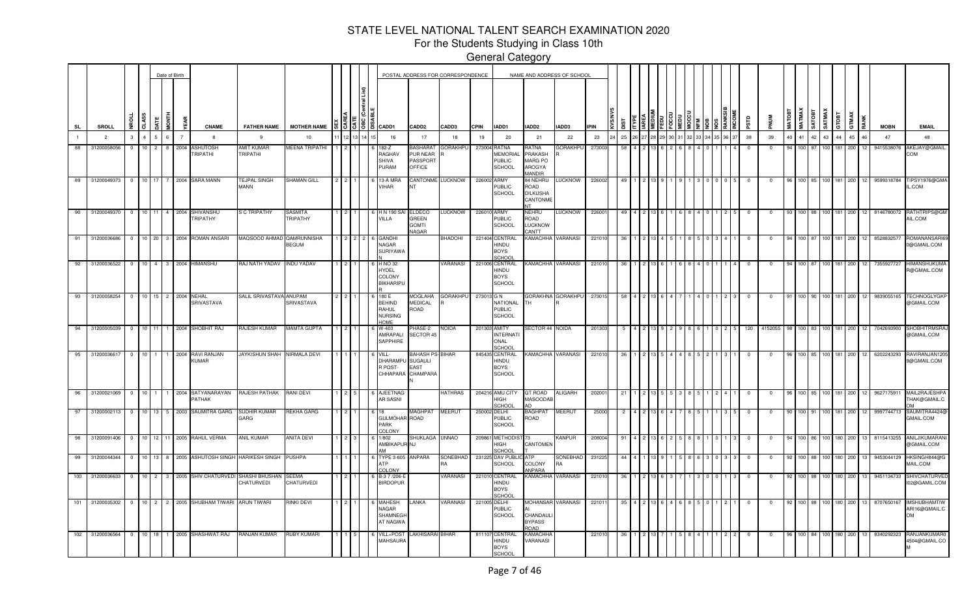For the Students Studying in Class 10th

|                |                                  |                      |                 |                     | Date of Birth          |     |                                                                      |                                                            |                                    |                 |            |                                                                  |                                                                  | POSTAL ADDRESS FOR CORRESPONDENCE |              |                                                            | NAME AND ADDRESS OF SCHOOL                                  |                           |                  |          |  |  |  |   |                                       |                          |          |                |      |                  |             |                        |                          |                                                   |
|----------------|----------------------------------|----------------------|-----------------|---------------------|------------------------|-----|----------------------------------------------------------------------|------------------------------------------------------------|------------------------------------|-----------------|------------|------------------------------------------------------------------|------------------------------------------------------------------|-----------------------------------|--------------|------------------------------------------------------------|-------------------------------------------------------------|---------------------------|------------------|----------|--|--|--|---|---------------------------------------|--------------------------|----------|----------------|------|------------------|-------------|------------------------|--------------------------|---------------------------------------------------|
| SL             | SROLL                            | <b>TOHN</b>          | CLASS           |                     |                        | EAR | <b>CNAME</b>                                                         | <b>FATHER NAME</b>                                         | <b>MOTHER NAME</b>                 |                 |            | $\frac{15}{3}$ 5 18 18 $\frac{1}{3}$ cadd1                       | <b>CADD2</b>                                                     | CADD3                             | CPIN         | IADD1                                                      | IADD2                                                       | IADD3                     | IPIN             |          |  |  |  |   | ерs                                   |                          | MATOBT   | MATMAX         | ROLA | SATMAX           | стовт       | GTMAX                  | <b>MOBN</b>              | <b>EMAIL</b>                                      |
| $\overline{1}$ | $\overline{2}$                   | $\mathcal{R}$        | 4               |                     | $\overline{7}$         |     | 8                                                                    | -9                                                         | 10                                 |                 | 12         | 16                                                               | 17                                                               | 18                                | 19           | 20                                                         | 21                                                          | 22                        | 23               | 25       |  |  |  |   | 38                                    | 39                       | 40       | 41 42          |      | 43 44            |             | 45<br>46               | 47                       | 48                                                |
|                | 88 31200058056                   | $\overline{0}$       | $10 \mid 2$     |                     | 2004<br>8              |     | <b>ASHUTOSH</b><br><b>TRIPATHI</b>                                   | AMIT KUMAR<br>TRIPATHI                                     | MEENA TRIPATHI                     |                 |            | 182-Z<br>RAGHAV<br><b>SHIVA</b><br>PURAM                         | <b>BASHARAT</b><br>PUR NEAR<br>PASSPORT<br>OFFICE                | <b>GORAKHPU</b>                   |              | 273004 RATNA<br><b>MEMORIAL</b><br><b>PUBLIC</b><br>SCHOOL | AATAF<br>PRAKASH<br>MARG PO<br>AROGYA<br><b>ANDIR</b>       | <b>GORAKHPU</b>           | 273003           | 58       |  |  |  |   | $\mathbf{0}$                          | $\mathbf 0$              | $\alpha$ | 100 87         |      | 100 181          |             | 200<br>12              | 9415538076               | AKEJAY@GMAIL.<br>COM                              |
| 89             | 31200049373                      | $\overline{0}$       | 10              |                     |                        |     | 2004 SARA MANN                                                       | <b>TEJPAL SINGH</b><br>MANN                                | SHAMAN GILL                        |                 |            | 13-A MRA<br>VIHAR                                                | NT                                                               | CANTONME LUCKNOW                  | 226002 ARMY  | <b>PUBLIC</b><br><b>SCHOOL</b>                             | 34 NEHRU<br>ROAD<br>DILKUSHA<br>CANTONME<br>NT              | LUCKNOW                   | 22600            | 49       |  |  |  |   |                                       | 0                        |          |                | 85   |                  | 181         | 200                    | 9599318784               | TIPSY1976@GMA<br>IL.COM                           |
|                | 90 31200049370                   | $\circ$              | 10 11           |                     | $\overline{4}$<br>2004 |     | SHIVANSHU<br>TRIPATHY                                                | S C TRIPATHY                                               | SASMITA<br>TRIPATHY                |                 |            | 6 H N 190 S/<br>VILLA                                            | ELDECO<br>GREEN<br><b>GOMTI</b><br><b>NAGAR</b>                  | <b>LUCKNOW</b>                    | 226010 ARMY  | <b>PUBLIC</b><br><b>SCHOOL</b>                             | NEHRU<br>ROAD<br>LUCKNOW<br><b>CANTT</b>                    | <b>LUCKNOW</b>            | 22600            |          |  |  |  |   |                                       |                          |          |                |      |                  |             | 200                    | 8146780072               | RATHTRIPS@GM<br>AIL.COM                           |
|                | 91 31200036686                   | $\circ$              | 10              | -20                 | 2004                   |     | Roman Ansari                                                         | MAQSOOD AHMAD                                              | QAMRUNNISHA<br><b>BEGUM</b>        |                 |            | <b>GANDH</b><br><b>NAGAR</b><br>SURIYAWA                         |                                                                  | BHADOHI                           |              | 221404 CENTRAL<br>HINDU<br><b>BOYS</b><br>SCHOO            | <b><amachha< b=""></amachha<></b>                           | VARANASI                  | 2210             |          |  |  |  |   |                                       |                          |          |                |      |                  |             | 200                    | 85288325                 | ROMANANSAF<br>0@GMAIL.COM                         |
| 92             | 31200036522                      | $\overline{0}$       | 10 <sup>1</sup> | $\overline{4}$<br>3 | 2004                   |     | <b>HIMANSHU</b>                                                      | VAQAY HTAJ UAF                                             | <b>INDU YADAV</b>                  |                 |            | H NO 32<br><b>HYDEL</b><br>COLONY<br><b>BIKHARIPL</b>            |                                                                  | VARANASI                          |              | 221006 CENTRAL<br>HINDU<br><b>BOYS</b><br><b>SCHOOL</b>    | <b><i>KAMACHHA</i></b>                                      | VARANASI                  | 22101            | -36      |  |  |  |   | $^{\circ}$                            | $\Omega$                 |          | 100 87         |      | 100 <sup>1</sup> | 181         | 200<br>12              | 7355927727               | <b>HIMANSHUKUMA</b><br>R@GMAIL.COM                |
|                | 93 31200058254                   | 0 10 15 2 2004 NEHAL |                 |                     |                        |     | SRIVASTAVA                                                           | SALIL SRIVASTAVA ANUPAM                                    | SRIVASTAVA                         | $2 \mid 2 \mid$ |            | 180 E<br><b>BEHIND</b><br>RAHUL<br><b>NURSING</b><br><b>HOME</b> | MOGLAHA<br><b>MEDICAL</b><br>ROAD                                | <b>GORAKHPU</b>                   | 273013 G N   | <b>NATIONAL</b><br><b>PUBLIC</b><br><b>SCHOOL</b>          | гн                                                          | GORAKHNA GORAKHPU         | 273015           | 58       |  |  |  |   |                                       |                          |          | 100 90         |      |                  | 100 181 200 | 12                     | 9839055165               | <b>TECHNOGLYGKI</b><br>@GMAIL.COM                 |
|                | 94 31200005039                   | $0$ 10 11            |                 |                     |                        |     | 1 2004 SHOBHIT RAJ                                                   | RAJESH KUMAR                                               | <b>MAMTA GUPTA</b>                 |                 |            | W-403<br>AMRAPALI<br><b>SAPPHIRE</b>                             | PHASE-2<br>SECTOR 45                                             | <b>NOIDA</b>                      |              | 201303 AMITY<br><b>INTERNATI</b><br>ONAL<br>SCHOOL         | SECTOR 44 NOIDA                                             |                           | 20130            |          |  |  |  | 5 | 120                                   | 4152055                  | -98      | $100$ 83       |      | 100 181          |             | 200                    | 7042693900               | <b>SHOBHITRMSRA</b><br>@GMAIL.COM                 |
|                | 95 31200036617                   | $\circ$              | $10 \quad 1$    |                     |                        |     | 2004 RAVI RANJAN<br>KUMAR                                            | <b>JAYKISHUN SHAH</b>                                      | <b>NIRMALA DEVI</b>                |                 |            | VILL-<br>DHARAMPL<br>R POST-                                     | <b>BAHASH PS-BIHAR</b><br>J SUGAULI<br>EAST<br>CHHAPARA CHAMPARA |                                   |              | 845435 CENTRAL<br>HINDU<br><b>BOYS</b><br><b>SCHOOL</b>    | <b>CAMACHHA VARANASI</b>                                    |                           | 22101            | -36      |  |  |  |   | - 0                                   |                          |          | 100            |      | 100 181          |             | 200                    | 6202243293               | RAVIRANJAN120<br>9@GMAIL.COM                      |
| $-96$          | 31200021069                      | $\overline{0}$       | 10 <sub>1</sub> |                     |                        |     | PATHAK                                                               | 2004 SATYANARAYAN RAJESH PATHAK RANI DEVI                  |                                    |                 |            | 6 AJEETNAG<br><b>AR SASNI</b>                                    |                                                                  | <b>HATHRAS</b>                    |              | 204216 AMU CITY<br>HIGH<br>SCHOOL                          | GT ROAD<br>MASOODAB<br>AD                                   | <b>ALIGARH</b>            | 20200            |          |  |  |  |   |                                       |                          |          |                |      |                  |             | 200                    | 962717591                | MAIL2RAJESHPA<br>THAK@GMAIL.C<br>ገለለ              |
|                | 97 31200002113                   | $\overline{0}$       |                 | $10$ 13 5           |                        |     | 2003 SAUMITRA GARG                                                   | SUDHIR KUMAR<br>GARG                                       | <b>REKHA GARG</b>                  |                 |            | GULMOHAR ROAD<br>PARK<br>COLONY                                  | <b>MAGHPAT</b>                                                   | <b>MEERUT</b>                     | 250002 DELHI | <b>PUBLIC</b><br><b>SCHOOL</b>                             | 3AGHPAT<br>ROAD                                             | MEERUT                    | 2500             |          |  |  |  |   |                                       |                          |          | 100 91         |      |                  | 181         | 200                    | 9997744713               | SAUMITRA4424@<br>GMAIL.COM                        |
|                | 98 31200091406<br>99 31200044344 |                      |                 |                     |                        |     | 0 10 12 11 2005 RAHUL VERMA<br>0   10   13   8   2005 ASHUTOSH SINGH | <b>ANIL KUMAR</b><br><b>HARIKESH SINGH</b>                 | <b>ANITA DEVI</b><br><b>PUSHPA</b> |                 | $2 \mid 3$ | 1/802<br>AMBIKAPUR NJ<br>ΔM<br>TYPE 3-605 ANPARA                 | SHUKLAGA UNNAO                                                   | SONEBHAD                          |              | 209861 METHODIST<br>HIGH<br>SCHOOL<br>231225 DAV PUBL      | 73<br>CANTOMEN<br>ATP                                       | <b>KANPUR</b><br>SONEBHAD | 208004<br>231225 | 91<br>44 |  |  |  |   | $^{\circ}$<br>$\overline{\mathbf{0}}$ | $^{\circ}$<br>$^{\circ}$ | 92       | 100 88 100 180 |      | 100 86 100 180   |             | 200<br>13<br>200<br>13 | 8115413255<br>9453044129 | ANILJIKUMARAN<br>@GMAIL.COM<br>HKSINGH844@G       |
|                |                                  |                      |                 |                     |                        |     |                                                                      |                                                            |                                    |                 |            | <b>ATP</b><br>COLONY                                             |                                                                  |                                   |              | SCHOOL                                                     | COLONY<br><b>ANPARA</b>                                     |                           |                  |          |  |  |  |   |                                       |                          |          |                |      |                  |             |                        |                          | MAIL.COM                                          |
|                | 100 31200036633                  |                      |                 |                     |                        |     |                                                                      | 0 10 2 3 2005 SHIV CHATURVEDI SHASHI BHUSHAN<br>CHATURVEDI | <b>SEEMA</b><br>CHATURVEDI         |                 |            | 6 B-3 7 / 206-E<br><b>BIRDOPUR</b>                               |                                                                  | VARANASI                          |              | 221010 CENTRAL<br>HINDU<br><b>BOYS</b><br><b>CHOO</b>      | KAMACHHA                                                    | VARANASI                  | 22101            | -36      |  |  |  |   | - 0                                   | $^{\circ}$               | 92       | 100 88         |      | 100 180          |             | 200                    | 9451134733               | <b>SHIVCHATURVED</b><br>I02@GAMIL.COM             |
|                | 101 31200035302                  | $\Omega$             | $10 \quad 2$    | $\overline{2}$      |                        |     | 2005 SHUBHAM TIWARI                                                  | <b>ARUN TIWARI</b>                                         | RINKI DEVI                         |                 |            | <b>MAHESH</b><br><b>NAGAR</b><br>SHAMNEGI<br>AT NAGWA            | LANKA                                                            | <b>VARANASI</b>                   | 221005 DELHI | <b>PUBLIC</b><br><b>SCHOOL</b>                             | <b>MOHANSAR</b><br>CHANDAUL<br><b>BYPASS</b><br><b>OAOF</b> | VARANASI                  | 22101            | 35       |  |  |  |   | - 0                                   | $\Omega$                 | 92       | 100.           | 88   | 100 <sub>1</sub> | 180         | 200                    | 8707650167               | <b>IMSHUBHAMTIV</b><br>ARI16@GMAIL.C<br><b>OM</b> |
|                | 102 31200036564                  | $\overline{0}$       | 10 <sub>1</sub> | 18                  |                        |     | 2005 SHASHWAT RAJ                                                    | RANJAN KUMAR                                               | RUBY KUMARI                        |                 |            | VILL+POST<br>MAHSAURA                                            | LAKHISARAI BIHAR                                                 |                                   |              | 811107 CENTRAL<br>HINDU<br><b>BOYS</b><br><b>SCHOOL</b>    | <b><amachh< b=""><br/>VARANASI</amachh<></b>                |                           | 22101            |          |  |  |  |   |                                       |                          |          |                |      |                  |             | 200                    | 8340292323               | RANJANKUMAR0<br>4504@GMAIL.CO                     |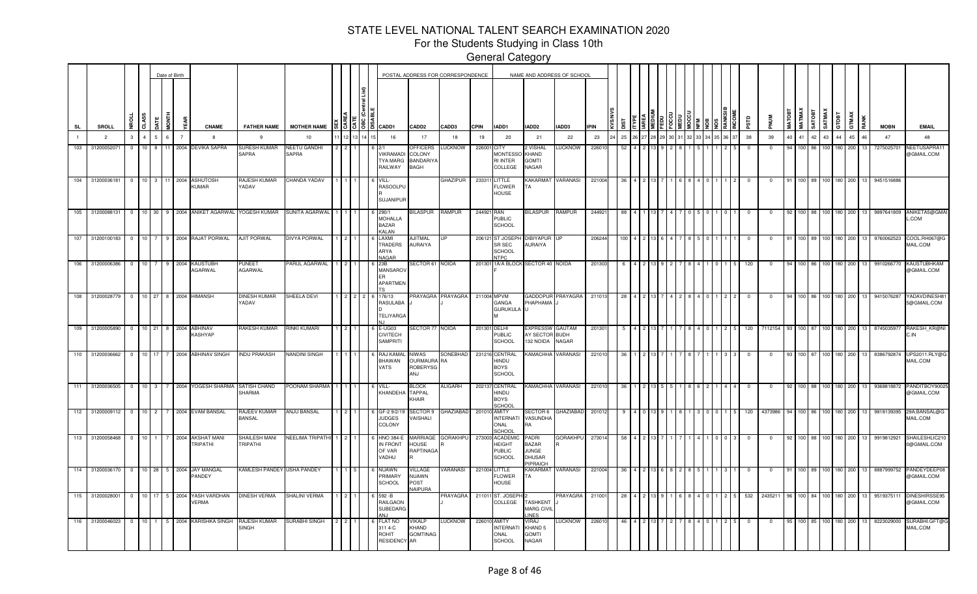For the Students Studying in Class 10th

General Category

—<br>—<br>—

|                |                                         |                |                 | Date of Birth  |                |                |                                                     |                                  |                       |  |                                                  | POSTAL ADDRESS FOR CORRESPONDENCE                            |                         |             |                                                                    | NAME AND ADDRESS OF SCHOOL                                  |                               |             |      |  |  |  |               |            |             |                         |                |                  |                    |       |                 |             |                                  |
|----------------|-----------------------------------------|----------------|-----------------|----------------|----------------|----------------|-----------------------------------------------------|----------------------------------|-----------------------|--|--------------------------------------------------|--------------------------------------------------------------|-------------------------|-------------|--------------------------------------------------------------------|-------------------------------------------------------------|-------------------------------|-------------|------|--|--|--|---------------|------------|-------------|-------------------------|----------------|------------------|--------------------|-------|-----------------|-------------|----------------------------------|
| <b>SL</b>      | SROLL                                   | £              | CLASS           | JATE           | <b>MONTH</b>   |                | <b>CNAME</b>                                        | <b>FATHER NAME</b>               | <b>MOTHER NAME</b>    |  | ₩   3   3   8   8   cadd1                        | CADD <sub>2</sub>                                            | CADD3                   | <b>CPIN</b> | IADD1                                                              | IADD2                                                       | IADD3                         | <b>IPIN</b> | ä    |  |  |  |               | αs         |             | MATMAX<br><b>MATOBT</b> | SATOBT         | SATMAX           | GTOBT              | GTMAX | RANK            | <b>MOBN</b> | <b>EMAIL</b>                     |
| $\overline{1}$ | $\overline{2}$                          | $\mathbf{3}$   | $\overline{4}$  | 5 <sup>5</sup> | 6              | $\overline{7}$ | -8                                                  | -9                               | 10                    |  | 16                                               | 17                                                           | 18                      | 19          | 20                                                                 | 21                                                          | 22                            | 23          | 25   |  |  |  | 3 34 35 36 37 | 38         | 39          | 40                      | 41 42          | 43               | 44                 | 45    | 46              | 47          | 48                               |
| 103            | 3120005207                              | $^{\circ}$     | 10              | 8              |                | 2004           | DEVIKA SAPRA                                        | SURESH KUMAR<br>SAPRA            | NEETU GANDHI<br>SAPRA |  | <b>/IKRAMAD</b><br><b>YA MARG</b><br>RAILWAY     | <b>PFFICERS</b><br>COLONY<br><b>BANDARIYA</b><br><b>BAGH</b> | <b>LUCKNOW</b>          | 22600       | CITY<br><b>MONTESSO</b><br><b>RI INTER</b><br>COLLEGE              | 2 VISHAL<br>KHAND<br><b>GOMTI</b><br>NAGAR                  | <b>UCKNOW</b>                 | 22601       | 52   |  |  |  |               | $^{\circ}$ |             |                         | 100 I          | 100 I            | 180                | 200   |                 | 7275025701  | <b>NEETUSAPRA1</b><br>@GMAIL.COM |
|                | 104 31200036181 0 10 3 11 2004 ASHUTOSH |                |                 |                |                |                | <b>KUMAR</b>                                        | RAJESH KUMAR<br>YADAV            | CHANDA YADAV          |  | VILL-<br><b>RASOOLPU</b><br>SUJANIPUF            |                                                              | GHAZIPUR                | 233311      | LITTLE<br><b>FLOWER</b><br><b>HOUSE</b>                            | ГA                                                          | KAKARMAT VARANASI             | 221004      | 36   |  |  |  |               | $^{\circ}$ | $\mathbf 0$ | 91                      |                |                  | 100 89 100 180 200 |       | 13              | 9451516886  |                                  |
|                | 105 31200088131                         | $^{\circ}$     |                 |                |                |                | 10 30 9 2004 ANIKET AGARWAL YOGESH KUMAR            |                                  | SUNITA AGARWAL        |  | 290/1<br><b>MOHALLA</b><br><b>BAZAR</b><br>KALAN | <b>IILASPUR</b>                                              | RAMPUR                  | 244921 RAN  | <b>PUBLIC</b><br><b>SCHOOL</b>                                     | BILASPUR RAMPUR                                             |                               | 24492       |      |  |  |  |               | $^{\circ}$ | $^{\circ}$  |                         |                |                  | 100 88 100 180 200 |       | 13              | 9897641809  | ANIKETA5@GMAI<br>$L$ .COM        |
|                | 107 31200100183                         | $\overline{0}$ |                 |                |                |                | 10 7 9 2004 RAJAT PORWAL                            | <b>AJIT PORWAL</b>               | DIVYA PORWAL          |  | LAXMI<br>TRADERS<br>ARYA<br><b>NAGAR</b>         | AJITMAL<br><b>AURAIYA</b>                                    |                         |             | 206121 ST JOSEPH<br>SR SEC<br><b>SCHOOL</b><br>NTPC                | DIBIYAPUR<br>AURAIYA                                        |                               | 206244      | 100  |  |  |  |               |            | $^{\circ}$  |                         |                |                  | 100 89 100 180 200 |       | 13              | 9760062523  | COOL.RH067@C<br>MAIL.COM         |
|                | 106 31200006386                         | $\overline{0}$ |                 |                |                |                | 10 7 9 2004 KAUSTUBH<br>AGARWAL                     | <b>PUNEET</b><br>AGARWAL         | PARUL AGARWAL         |  | 23B<br><b>MANSAROV</b><br><b>APARTMEN</b>        | SECTOR 61                                                    | <b>NOIDA</b>            |             | 201301 1A/A BLOCK                                                  | SECTOR 40 NOIDA                                             |                               | 201303      | - 6  |  |  |  |               | 120        | $^{\circ}$  | 94                      |                |                  | 100 86 100 180 200 |       | 13              | 9910266770  | <b>KAUSTUBHKAM</b><br>@GMAIL.COM |
|                | 108 31200028779 0 10 27 8 2004 HIMANSH  |                |                 |                |                |                |                                                     | DINESH KUMAR<br>YADAV            | SHEELA DEVI           |  | 176/13<br>RASULABA<br>TELIYARG/                  |                                                              | <b>RAYAGRA PRAYAGRA</b> | 211004 MPVM | GANGA<br><b>GURUKULA</b>                                           | PHAPHAMA                                                    | GADDOPUR PRAYAGRA             | 211013      | - 28 |  |  |  |               | $\Omega$   | $^{\circ}$  | 94                      |                |                  | 100 86 100 180 200 |       | 13 <sup>1</sup> | 9415076287  | YADAVDINESH8<br>5@GMAIL.COM      |
|                | 109 31200005890                         |                |                 |                |                |                | 0 10 21 8 2004 ABHINAV<br>KASHYAP                   | <b>RAKESH KUMAR</b>              | <b>RINKI KUMARI</b>   |  | E-UG03<br><b>CIVITECH</b><br><b>SAMPRITI</b>     | SECTOR 77 NOIDA                                              |                         | 201301      | <b>DELHI</b><br><b>PUBLIC</b><br><b>SCHOOL</b>                     | <b>EXPRESSW</b><br>AY SECTOR BUDH<br>132 NOIDA              | <b>GAUTAM</b><br><b>NAGAR</b> | 20130       | -5   |  |  |  |               | - 5<br>120 | 7112154     |                         | 93 100 87      |                  | 100 180 200        |       | 13              | 8745035977  | RAKESH KR@NI<br>C.IN             |
| 110            | 31200036662                             | $\Omega$       | 10              | 17             | $\overline{7}$ | 2004           | <b>ABHINAV SINGH</b>                                | <b>INDU PRAKASH</b>              | NANDINI SINGH         |  | RAJ KAMA<br><b>BHAWAN</b><br>VATS                | NIWAS<br><b>OURMAURA RA</b><br><b>ROBERYSG</b><br>ANJ        | SONEBHAD                | 231216      | CENTRAL<br><b>HINDU</b><br><b>BOYS</b><br>SCHOOL                   | KAMACHHA                                                    | VARANASI                      | 221010      | -36  |  |  |  |               |            | 0           |                         | 100.           | 100 <sub>l</sub> | 180                | 200   |                 | 8386792874  | UPS2011.RLY@G<br>MAIL.COM        |
| $-111$         | 31200036505                             | $\Omega$       | $10 \quad 3$    |                |                |                | 7 2004 YOGESH SHARMA                                | <b>SATISH CHAND</b><br>SHARMA    | POONAM SHARMA         |  | VILL-<br>KHANDEHA                                | <b>BLOCK</b><br><b>TAPPAL</b><br>KHAIR                       | ALIGARH                 |             | 202137 CENTRAL<br><b>HINDU</b><br><b>BOYS</b><br>SCHOOL            |                                                             | KAMACHHA VARANASI             | 22101       | -36  |  |  |  |               |            | $^{(1)}$    |                         |                | 100 L            | 180                | 200   |                 | 9368818872  | PANDITBOY9002<br>@GMAIL.COM      |
| 112            | 31200009112                             | $\overline{0}$ | $10 \quad 2$    |                |                |                | 7 2004 EVAM BANSAL                                  | RAJEEV KUMAR<br><b>BANSAL</b>    | <b>ANJU BANSAL</b>    |  | GF-2 9/2/1<br><b>JUDGES</b><br>COLONY            | <b>SECTOR 9</b><br>/AISHALI                                  | <b>GHAZIABAD</b>        |             | 201010 AMITY<br><b>INTERNATI</b><br>ONAL<br>CHOOL                  | <b>SECTOR 6</b><br>VASUNDHA<br><b>RA</b>                    | <b>GHAZIABAD</b>              | 20101       |      |  |  |  |               | 120        | 4373986     |                         | 100 I          | 100 I            | 180                | 200   |                 | 9818139395  | 29A.BANSAL@G<br>MAIL.COM         |
|                | 113 31200058468                         |                |                 |                |                |                | 0 10 1 7 2004 AKSHAT MANI<br>TRIPATHI               | SHAILESH MANI<br><b>TRIPATHI</b> | NEELIMA TRIPATHI 1 2  |  | <b>HNO 384-</b><br>IN FRONT<br>OF VAR<br>VADHU   | MARRIAGE<br><b>HOUSE</b><br>RAPTINAGA                        | <b>GORAKHPL</b>         |             | 273003 ACADEMIO<br><b>HEIGHT</b><br><b>PUBLIC</b><br><b>SCHOOL</b> | PADRI<br><b>BAZAR</b><br>JUNGE<br><b>DHUSAR</b><br>PIPRAICH | <b>GORAKHPU</b>               | 273014      | 58   |  |  |  |               | $^{\circ}$ | $^{\circ}$  | 92                      |                |                  | 100 88 100 180 200 |       | 13              | 9919812921  | SHAILESHLIC21<br>0@GMAIL.COM     |
|                |                                         |                |                 |                |                |                | 114 31200036170 0 10 28 5 2004 JAY MANGAL<br>PANDEY | KAMLESH PANDEY USHA PANDEY       |                       |  | NUAWN<br>PRIMARY<br><b>SCHOOL</b>                | VILLAGE<br>NUAWN<br>POST<br>NAIPURA                          | /ARANASI                |             | 221004 LITTLE<br><b>FLOWER</b><br><b>HOUSE</b>                     | KAKARMAT<br>TA                                              | VARANASI                      | 221004      | 36   |  |  |  |               |            | $^{\circ}$  | 91                      | 100 89 100 180 |                  |                    | 200   | 13              | 8887999752  | PANDEYDEEP08<br>@GMAIL.COM       |
|                | 115 31200028001                         | $\overline{0}$ | 10 17           |                |                | 5 2004         | YASH VARDHAN<br><b>VERMA</b>                        | <b>DINESH VERMA</b>              | SHALINI VERMA         |  | 592 - B<br><b>RAILGAON</b><br><b>SUBEDARG</b>    |                                                              | <b>PRAYAGRA</b>         | 211011      | <b>ST. JOSEPI</b><br>COLLEGE                                       | <b>TASHKENT</b><br><b>MARG CIVIL</b><br><b>INFS</b>         | PRAYAGRA                      | 211001      | -28  |  |  |  |               | 532        | 243521      |                         | 100 84 100     |                  | 180                | 200   | 13              | 9519375111  | DINESHIRSSE9<br>@GMAIL.COM       |
| 116            | 31200046023                             | $^{\circ}$     | 10 <sup>1</sup> |                | 5 <sup>5</sup> | 2004           | <b>KARISHKA SINGH</b>                               | RAJESH KUMAR<br>SINGH            | SURABHI SINGH         |  | <b>FLAT NO</b><br>311 4-C<br><b>ROHIT</b>        | /IKALP<br>KHAND<br><b>GOMTINAG</b><br>RESIDENCY AR           | LUCKNOW                 | 22601       | <b>AMITY</b><br><b>NTERNAT</b><br>ONAL<br><b>SCHOOL</b>            | VIRAJ<br>KHAND 5<br>GOMTI<br>NAGAR                          | <b>LUCKNOW</b>                | 22601       | 46   |  |  |  |               |            |             |                         | 100 85         |                  | 100 180            | 200   |                 | 822302900   | SURABHI.GFT@<br>MAIL.COM         |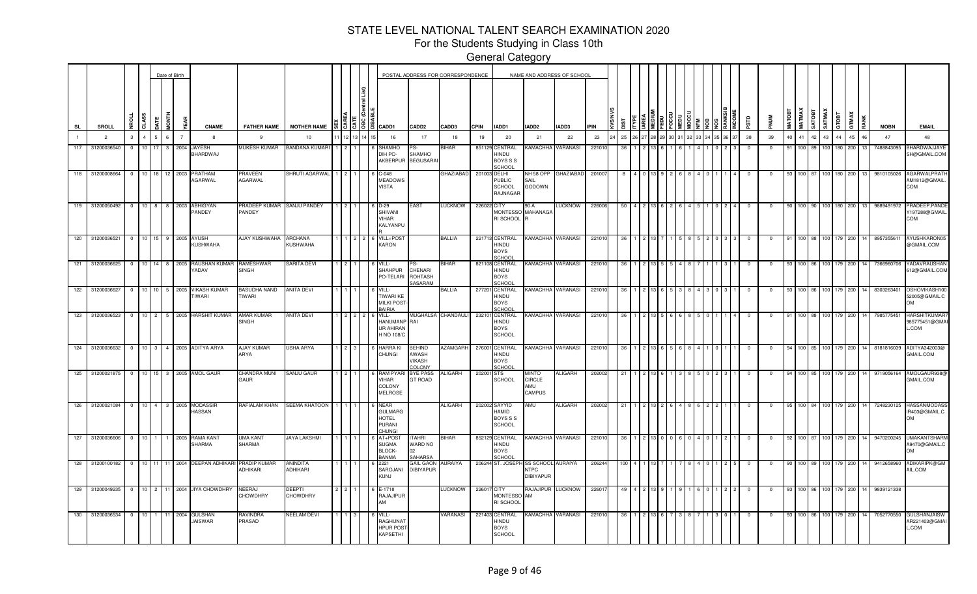For the Students Studying in Class 10th

|               |                 |                         |                  | Date of Birth  |              |                |                                |                                        |                           |                |                   |                                                                                        |                                             | POSTAL ADDRESS FOR CORRESPONDENCE |             |                                                            | NAME AND ADDRESS OF SCHOOL                     |                |             |             |  |  |  |    |             |           |              |               |               |        |              |              |      |             |                                                  |
|---------------|-----------------|-------------------------|------------------|----------------|--------------|----------------|--------------------------------|----------------------------------------|---------------------------|----------------|-------------------|----------------------------------------------------------------------------------------|---------------------------------------------|-----------------------------------|-------------|------------------------------------------------------------|------------------------------------------------|----------------|-------------|-------------|--|--|--|----|-------------|-----------|--------------|---------------|---------------|--------|--------------|--------------|------|-------------|--------------------------------------------------|
| SL            | <b>SROLL</b>    | Ĕ                       | CLASS            | Ę              | <b>HINON</b> | (EAR           | <b>CNAME</b>                   | <b>FATHER NAME</b>                     | <b>MOTHER NAME</b>        |                |                   | $\frac{15}{3}$ $\frac{15}{3}$ $\frac{18}{3}$ $\frac{1}{3}$ $\frac{1}{3}$ $\frac{1}{3}$ | CADD <sub>2</sub>                           | CADD3                             | <b>CPIN</b> | IADD1                                                      | IADD2                                          | IADD3          | <b>IPIN</b> | <b>TSIO</b> |  |  |  |    | аß          | PNUM      | <b>MATOB</b> | <b>MATMAX</b> | <b>TEOTAS</b> | SATMAX | <b>Laors</b> | <b>GTMAX</b> | RANK | <b>MOBN</b> | <b>EMAIL</b>                                     |
|               | $\overline{2}$  | $\mathbf{3}$            | $\mathbf{A}$     |                | ĥ.           | $\overline{7}$ | $\mathbf{R}$                   | $\mathbf{q}$                           | 10                        |                |                   | 16                                                                                     | 17                                          | 18                                | 19          | 20                                                         | 21                                             | 22             | 23          | 25          |  |  |  | 37 | 38          | 39        | 40           | 41            | 42            | 43     | 44           | 45           | 46   | 47          | 48                                               |
| 117           | 31200036540     | $\Omega$                | 10               |                | 3            | 2004           | <b>JAYESH</b><br>BHARDWAJ      | MUKESH KUMAR                           | BANDANA KUMAF             |                |                   | <b>HAMHC</b><br>DIH PO-<br>AKBERPUP                                                    | SHAMHO<br><b>BEGUSARAI</b>                  | <b>BIHAR</b>                      |             | 851129 CENTRAL<br>HINDU<br><b>BOYS S S</b><br>SCHOOL       | <b><i>CAMACHHA</i></b>                         | VARANASI       | 22101       |             |  |  |  |    |             |           |              | 100           |               |        |              | 200          |      | 7488843095  | BHARDWAJJAYI<br>SH@GMAIL.COM                     |
| 118           | 31200008664     | $^{\circ}$              | $10-10$          | 18             |              | 2003           | PRATHAM<br><b>AGARWAL</b>      | PRAVEEN<br>AGARWAL                     | SHRUTI AGARWAL            |                |                   | $C-048$<br><b>MEADOWS</b><br><b>VISTA</b>                                              |                                             | GHAZIABAD                         |             | 201003 DELHI<br><b>PUBLIC</b><br><b>SCHOOL</b><br>RAJNAGAR | NH 58 OPP<br>SAIL<br>GODOWN                    | GHAZIABAD      | 201007      |             |  |  |  |    |             |           | 93           | 100           |               |        |              | 200          |      | 9810105026  | AGARWALPRAT<br>AM1812@GMAIL<br>COM               |
|               | 119 31200050492 | $\overline{0}$          |                  |                |              |                | 10 8 8 2003 ABHIGYAN<br>PANDEY | PRADEEP KUMAR<br>PANDEY                | <b>SANJU PANDEY</b>       | $\overline{2}$ |                   | 6 D-29<br>SHIVANI<br><b>VIHAR</b><br>KALYANPU                                          | <b>EAST</b>                                 | <b>LUCKNOW</b>                    | 226022 CITY | RI SCHOOL                                                  | 90 A<br>MONTESSO MAHANAGA<br>R                 | <b>LUCKNOW</b> | 226006      | 50          |  |  |  |    |             | 0         | 90           |               | 100 90        | 100 L  | 180          | 200          | 13   | 9889491972  | PRADEEP.PANDI<br>/197288@GMAIL<br>COM            |
|               | 120 31200036521 | $\overline{0}$          | $10$   15        |                |              |                | 9 2005 AYUSH<br>KUSHWAHA       | AJAY KUSHWAHA                          | ARCHANA<br>KUSHWAHA       |                |                   | VILL+POST<br><b>KARON</b>                                                              |                                             | BALLIA                            |             | 221713 CENTRAL<br>HINDU<br><b>BOYS</b><br><b>SCHOOL</b>    | <b>KAMACHHA VARANASI</b>                       |                | 22101       | 36          |  |  |  |    |             |           | 91           | 100           |               |        |              | 200          |      | 895735561   | AYUSHKARON0<br>@GMAIL.COM                        |
|               | 121 31200036625 | $\overline{0}$          | 10 <sup>1</sup>  | 14             | 8 2005       |                | RAUSHAN KUMAR<br>YADAV         | RAMESHWAR<br><b>SINGH</b>              | SARITA DEVI               | 2 <sup>1</sup> |                   | VILL-<br><b>SHAHPUR</b><br>PO-TELARI                                                   | CHENARI<br><b>ROHTASH</b><br><b>SASARAM</b> | BIHAR                             |             | 821108 CENTRAL<br>HINDU<br><b>BOYS</b><br>SCHOOL           | KAMACHHA VARANASI                              |                | 22101       | 36          |  |  |  |    | $^{\circ}$  |           | 93           |               | 100 86        |        |              | 200          |      | 7366960706  | YADAVRAUSHAN<br>612@GMAIL.COM                    |
|               | 122 31200036627 | $\overline{\mathbf{0}}$ | $10$ 10          |                |              |                | 5 2005 VIKASH KUMAR<br>TIWARI  | <b>BASUDHA NAND</b><br>TIWARI          | <b>ANITA DEVI</b>         |                |                   | VILL-<br><b>TIWARI KE</b><br><b>MILKI POST</b><br><b>BAIRIA</b>                        |                                             | <b>BALLIA</b>                     |             | 277201 CENTRAL<br>HINDU<br><b>BOYS</b><br>SCHOOL           | KAMACHHA VARANASI                              |                | 22101       | 36          |  |  |  |    |             |           | 93           |               | 100 86        |        |              | 200          |      | 8303263401  | OSHOVIKASH100<br>52005@GMAIL.C<br>OМ             |
|               | 123 31200036523 | $\overline{0}$          | $10 \mid 2 \mid$ |                |              |                | 5 2005 HARSHIT KUMAR           | AMAR KUMAR<br><b>SINGH</b>             | ANITA DEVI                |                | $2 \mid 2 \mid 2$ | VILL-<br>HANUMANP RAI<br><b>UR AHIRAN</b><br>H NO 108/C                                |                                             | MUGHALSA CHANDAULI                |             | 232101 CENTRAL<br>HINDU<br><b>BOYS</b><br><b>SCHOOL</b>    | KAMACHHA VARANASI                              |                | 22101       | 36          |  |  |  |    | 0           |           |              |               | 100 88        |        |              | 200          |      | 7985775451  | <b>HARSHITKUMAR</b><br>985775451@GMA<br>.COM     |
|               | 124 31200036632 | $\overline{0}$          | $10 \quad 3$     |                |              |                | 4 2005 ADITYA ARYA             | AJAY KUMAR<br>ARYA                     | USHA ARYA                 |                | $2 \mid 3$        | <b>HARRAKI</b><br>CHUNGI                                                               | <b>BEHIND</b><br>AWASH<br>VIKASH<br>COLONY  | <b>AZAMGARH</b>                   |             | 276001 CENTRAL<br>UONIH<br><b>BOYS</b><br>SCHOOL           | KAMACHHA VARANASI                              |                | 22101       | 36          |  |  |  |    | $\mathbf 0$ |           | 94           |               | 100 85        |        | 100 179      | 200          |      | 8181816039  | ADITYA342003@<br>GMAIL.COM                       |
| 125           | 31200021875     | $^{\circ}$              | 10 <sup>1</sup>  | 15             |              |                | 3 2005 AMOL GAUR               | CHANDRA MUNI<br><b>AUR</b>             | SANJU GAUR                |                |                   | <b>RAM PYA</b><br>VIHAR<br>COLONY<br><b>MELROSE</b>                                    | <b>BYE PASS</b><br><b>GT ROAD</b>           | ALIGARH                           | 202001 STS  | SCHOOL                                                     | OTAIN<br>CIRCLE<br><b>UMA</b><br><b>CAMPUS</b> | <b>ALIGARH</b> | 20200       | 21          |  |  |  |    |             |           |              |               | 100 85        |        |              | 200          |      | 9719056164  | AMOLGAUR938<br>GMAIL.COM                         |
| $\boxed{126}$ | 31200021084     | $\overline{0}$          | 10 <sup>1</sup>  | $\overline{4}$ | $3-1$        | 2005           | <b>MODASSIR</b><br>HASSAN      | RAFIALAM KHAN                          | <b>SEEMA KHATOON</b>      |                |                   | <b>NFAR</b><br><b>GULMARG</b><br><b>HOTEL</b><br>PURANI<br><b>HUNGI</b>                |                                             | <b>ALIGARH</b>                    |             | 202002 SAYYID<br>HAMID<br><b>BOYS S S</b><br><b>SCHOOL</b> | AMU                                            | <b>ALIGARH</b> | 202002      | 21          |  |  |  |    |             |           | 95           |               | 100 84        |        |              | 200          |      | 7248230125  | <b>HASSANMODAS</b><br>IR403@GMAIL.C<br><b>MO</b> |
| 127           | 31200036606     | $\overline{0}$          | $10$ 1           |                | 1            |                | 2005 RAMA KANT<br>SHARMA       | UMA KANT<br>SHARMA                     | <b>JAYA LAKSHMI</b>       |                |                   | AT+POS1<br><b>SUGMA</b><br><b>BLOCK-</b><br><b>BANMA</b>                               | <b>TAHRI</b><br>WARD NO<br>በ2<br>SAHARSA    | <b>BIHAR</b>                      |             | 852129 CENTRAL<br>HINDU<br><b>BOYS</b><br>SCHOOL           | KAMACHHA                                       | VARANASI       | 22101       | 36          |  |  |  |    | $\Omega$    | <u>ິດ</u> | 92           |               | 100 87        |        | 100 179      | 200          |      | 9470200245  | <b>UMAKANTSHARI</b><br>A9470@GMAIL.C<br>MQ       |
| $128$         | 31200100182     | $\overline{0}$          | 10 <sup>1</sup>  | 11             | 11           |                | 2004 DEEPAN ADHIKARI           | <b>PRADIP KUMAR</b><br><b>ADHIKARI</b> | ANINDITA<br>ADHIKARI      |                |                   | 2221<br>SAROJANI<br><b>KUNJ</b>                                                        | <b>GAIL GAON</b><br><b>DIBIYAPUR</b>        | AURAIYA                           |             | 206244 ST. JOSEPI                                          | SS SCHOOL<br><b>NTPC</b><br><b>DIBIYAPUR</b>   | <b>AURAIYA</b> | 20624       | 100         |  |  |  |    |             |           | an           |               | 100 89        |        | 179          | 200          |      | 9412658960  | ADIKARIPK@GM<br>AIL.COM                          |
| 129           | 31200049235     | $\overline{0}$          | 10 <sup>1</sup>  | $\overline{2}$ | 11           |                | 2004 JIYA CHOWDHRY             | NEERAJ<br>CHOWDHRY                     | <b>DEEPTI</b><br>CHOWDHRY |                |                   | E-1718<br>RAJAJIPUR<br>ΔМΛ                                                             |                                             | LUCKNOW                           | 22601       | <b>CITY</b><br><b>MONTESSO</b><br>RI SCHOOL                | RAJAJIPUR<br>AM                                | <b>LUCKNOW</b> | 2260        | 49          |  |  |  |    |             |           | 93           | 100           |               |        |              | 200          |      | 9839121338  |                                                  |
| 130           | 31200036534     | $^{\circ}$              | $10-10$          |                |              | 2004           | GULSHAN<br>JAISWAR             | RAVINDRA<br>PRASAD                     | <b>VEELAM DEVI</b>        |                |                   | VILL-<br>RAGHUNAT<br><b>HPUR POST</b><br><b>KAPSETHI</b>                               |                                             | VARANASI                          |             | 221403 CENTRAL<br>HINDU<br><b>BOYS</b><br><b>SCHOOL</b>    | <b>AMACHHA</b>                                 | VARANASI       | 2210        |             |  |  |  |    |             |           |              |               |               |        |              | 200          |      | 7052770550  | <b>SULSHANJAISV</b><br>AR221403@GMA<br>.COM      |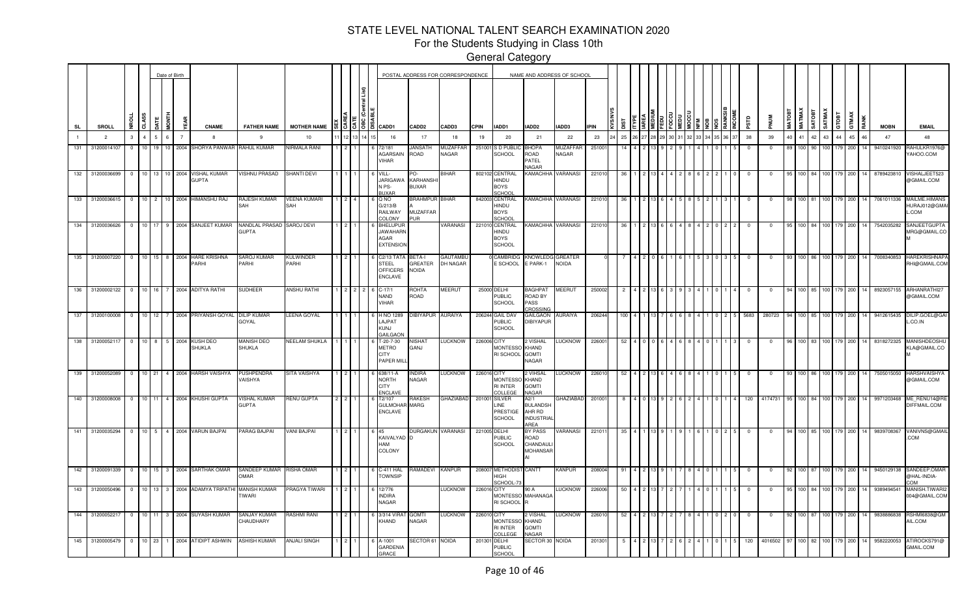For the Students Studying in Class 10th

|              |                   |                         |                             |                 | Date of Birth  |                                            |                                |                      |       |            |                                                                |                                         | POSTAL ADDRESS FOR CORRESPONDENCE |              |                                                    | NAME AND ADDRESS OF SCHOOL                                    |                                |            |                |    |  |  |       |            |                |             |                |                        |              |       |    |             |                                      |
|--------------|-------------------|-------------------------|-----------------------------|-----------------|----------------|--------------------------------------------|--------------------------------|----------------------|-------|------------|----------------------------------------------------------------|-----------------------------------------|-----------------------------------|--------------|----------------------------------------------------|---------------------------------------------------------------|--------------------------------|------------|----------------|----|--|--|-------|------------|----------------|-------------|----------------|------------------------|--------------|-------|----|-------------|--------------------------------------|
| SL           | SROLL             |                         | CLASS                       | 5<br>S          |                | <b>CNAME</b>                               | <b>FATHER NAME</b>             | <b>MOTHER NAME</b>   |       |            | #   3   3   8   음   CADD1                                      | CADD <sub>2</sub>                       | CADD3                             | CPIN         | IADD1                                              | IADD2                                                         | IADD3                          | <b>PIN</b> |                |    |  |  |       |            | <b>NUM</b>     | <b>MATO</b> | MATMAX         | <b>THORT</b><br>SATMAY | <u>iao</u>   | GTMAX |    | <b>MOBN</b> | <b>EMAIL</b>                         |
|              | $\overline{2}$    | $\mathbf{3}$            | $\mathbf{A}$                | 6 <sup>1</sup>  | $\overline{7}$ | $\mathbf{R}$                               | 9                              | 10                   |       | 12 13 14 1 | 16                                                             | 17                                      | 18                                | 19           | 20                                                 | 21                                                            | 22                             | 23         | 25             | 26 |  |  | 36 37 | 38         | 39             | 40          | 41             | 42<br>43               | 44           | 45    | 46 | 47          | 48                                   |
| 131          | 31200014107       | $\overline{0}$          |                             |                 |                | 10 19 10 2004 SHORYA PANWAR RAHUL KUMAR    |                                | NIRMALA RANI         |       |            | 72/181<br>AGARSAIN<br>VIHAR                                    | JANSATH<br>ROAD                         | MUZAFFAR<br>NAGAR                 |              | 251001 S D PUBLIO<br>SCHOOL                        | ВНОРА<br>ROAD<br>PATEL<br>VAGAR                               | <b>MUZAFFAF</b><br>NAGAR       | 251001     | 14             |    |  |  |       | $^{\circ}$ | $\overline{0}$ | 89          | 100 90         |                        | 179          | 200   | 14 | 9410241920  | RAHULKR1976@<br>YAHOO.COM            |
|              | 132 31200036699   | $\overline{0}$          |                             |                 |                | 10 13 10 2004 VISHAL KUMAR<br><b>GUPTA</b> | <b>VISHNU PRASAD</b>           | SHANTI DEVI          |       |            | VILL-<br><b>JARIGAWA</b><br>N PS-<br><b>BUXAR</b>              | PO-<br>KARHANSHI<br><b>BUXAR</b>        | <b>BIHAR</b>                      |              | 802102 CENTRAL<br>HINDU<br><b>BOYS</b><br>SCHOOL   | <b>KAMACHHA</b>                                               | VARANASI                       | 22101      | 36             |    |  |  |       | 0          | $\mathbf{0}$   | 95          | 100 84 100 179 |                        |              | 200   | 14 | 8789423810  | VISHALJEET523<br>@GMAIL.COM          |
| $133$        | 31200036615       | $\overline{\mathbf{0}}$ | $10^{-1}$<br>$\overline{2}$ | 10 <sup>1</sup> |                | 2004 HIMANSHU RAJ                          | RAJESH KUMAR<br>SAH            | VEENA KUMARI<br>SAH  |       |            | Q NO<br>G/213/B<br>RAILWAY<br>COLONY                           | <b>BRAHMPUR BIHAR</b><br>MUZAFFAR<br>기며 |                                   |              | 842003 CENTRAL<br>HINDU<br><b>BOYS</b><br>SCHOOL   | <b>KAMACHHA VARANASI</b>                                      |                                | 22101      |                |    |  |  |       |            |                |             |                |                        |              | 200   |    | 7061011336  | MAILME.HIMAN<br>HURAJ012@GMA<br>.COM |
| $134$        | 31200036626       | $\overline{0}$          | 10 <sup>1</sup>             | 9               |                | 2004 SANJEET KUMAR                         | NANDLAL PRASAD<br><b>GUPTA</b> | <b>SAROJ DEVI</b>    |       |            | <b>BHELUPUI</b><br><b>JAWAHARN</b><br>AGAR<br><b>EXTENSION</b> |                                         | VARANASI                          |              | 221010 CENTRAL<br>HINDU<br><b>BOYS</b><br>SCHOOL   | <b>KAMACHHA VARANASI</b>                                      |                                | 22101      | -36            |    |  |  |       |            |                |             | 100            |                        |              | 200   |    | 7542035282  | SANJEETGUPT/<br><b>JRG@GMAIL.CC</b>  |
| 135          | 31200007220       | $\overline{0}$          | 10 <sup>1</sup><br>15       | 8               |                | 2004 HARE KRISHNA<br>PARHI                 | SAROJ KUMAR<br>PARHI           | KULWINDER<br>PARHI   |       |            | C2/13 TAT/<br><b>STEEL</b><br><b>OFFICERS</b><br>ENCLAVE       | BETA-I<br>GREATER<br><b>NOIDA</b>       | <b>GAUTAMBU</b><br>DH NAGAR       |              | <b>CAMBRIDG</b><br>E SCHOOL                        | KNOWLEDG<br>E PARK-1                                          | <b>GREATER</b><br><b>NOIDA</b> |            |                |    |  |  |       |            |                |             | 100 86         |                        |              | 200   |    | 7008340853  | <b>HAREKRISHNAF</b><br>RHI@GMAIL.COM |
| $136$        | 31200002122       | $\overline{0}$          | 10 <sup>1</sup><br>l 16     | <b>7</b>        |                | 2004 ADITYA RATHI                          | SUDHEER                        | ANSHU RATHI          |       |            | C-17/1<br><b>NAND</b><br>VIHAR                                 | ROHTA<br>ROAD                           | MEERUT                            |              | 25000 DELHI<br>PUBLIC<br><b>SCHOOL</b>             | BAGHPAT<br>ROAD BY<br>PASS<br>CROSSING                        | MEERUT                         | 250002     | $\overline{2}$ |    |  |  |       |            |                | -94         | 100 85         |                        | 100   179    | 200   |    | 8923057155  | ARHANRATHI27<br>@GMAIL.COM           |
| $\sqrt{137}$ | 31200100008       | $\overline{0}$          | 10 <sup>1</sup><br>  12     |                 |                | 2004 PRIYANSH GOYAL                        | DILIP KUMAR<br><b>GOYAL</b>    | LEENA GOYAL          |       |            | H NO 1289<br><b>AJPAT</b><br>KUNJ<br><b>GAILGAC</b>            | DIBIYAPUR                               | <b>AURAIYA</b>                    |              | 206244 GAIL DAV<br><b>PUBLIC</b><br><b>SCHOOL</b>  | <b>GAILGAON</b><br><b>DIBIYAPUR</b>                           | AURAIYA                        | 20624      |                |    |  |  |       | 5683       | 280723         | 94          | 100 85         |                        | 100 I<br>179 | 200   |    | 9412615435  | DILIP.GOEL@GA<br>CO.IN               |
| $138$        | 31200052117       | $\overline{0}$          | 10 <sup>1</sup>             | 8 <sup>1</sup>  |                | 5 2004 KUSH DEO<br><b>SHUKLA</b>           | MANISH DEO<br>SHUKLA           | <b>VEELAM SHUKLA</b> |       |            | T-20-7-30<br>METRO<br><b>CITY</b><br>PAPER MILI                | NISHAT<br>GANJ                          | LUCKNOW                           | 226006 CITY  | <b>MONTESSO</b><br>RI SCHOOL                       | 2 VISHAL<br>KHAND<br><b>GOMTI</b><br>NAGAR                    | LUCKNOW                        | 226001     | 52             |    |  |  |       | $\Omega$   | $\Omega$       | 96          | 100 83         |                        | 100 179      | 200   |    | 8318272325  | MANISHDEOSHL<br><b>(LA@GMAIL.CO</b>  |
|              | 139 31200052089   | $\overline{0}$          | 10 21                       |                 |                | 4 2004 HARSH VAISHYA                       | PUSHPENDRA<br>VAISHYA          | SITA VAISHYA         |       |            | 638/11-A<br><b>NORTH</b><br><b>CITY</b><br><b>ENCLAVE</b>      | <b>INDIRA</b><br><b>NAGAR</b>           | LUCKNOW                           | 226016 CITY  | MONTESSO<br><b>RI INTER</b><br>COLLEGE             | 2 VIHSAL<br>KHAND<br><b>GOMTI</b><br>NAGAR                    | LUCKNOW                        | 22601      | 52             |    |  |  |       | $\Omega$   | $\mathbf{0}$   | 93          | 100 86         |                        | 100 179      | 200   |    | 7505015050  | <b>HARSHVAISHY</b><br>@GMAIL.COM     |
|              | 140 31200008008   | $\overline{0}$          | 10 11                       |                 |                | 4 2004 KHUSHI GUPTA                        | VISHAL KUMAR<br><b>GUPTA</b>   | <b>RENU GUPTA</b>    | 212   |            | T2/107<br><b>GULMOHAR MARG</b><br><b>ENCLAVE</b>               | <b>RAKESH</b>                           | <b>GHAZIABAD</b>                  |              | 201001 SILVER<br>INE.<br>PRESTIGE<br><b>SCHOOL</b> | A2/1<br><b>BULANDSH</b><br>AHR RD<br><b>INDUSTRIA</b><br>AREA | GHAZIABAD 201001               |            |                |    |  |  |       | 120        | 4174731        | 95          | 100 84         |                        | 100 179      | 200   |    | 9971203468  | ME RENU14@R<br>DIFFMAIL.COM          |
| 141          | 31200035294       | $\overline{0}$          | $10 \quad 5 \quad$          |                 |                | 4 2004 VARUN BAJPAI                        | PARAG BAJPAI                   | <b>VANI BAJPAI</b>   |       |            | 6 45<br>KAIVALYAD D<br>HAM<br>COLONY                           |                                         | DURGAKUN VARANASI                 | 221005 DELHI | <b>PUBLIC</b><br><b>SCHOOL</b>                     | BY PASS<br>ROAD<br>CHANDAUL<br><b>MOHANSAR</b><br>$\Delta$    | VARANASI                       | 22101      | 35             |    |  |  |       |            |                | 94          | 100 85         |                        | 100 179      | 200   | 14 | 9839708367  | VANIVNS@GMA<br><b>COM</b>            |
| 142          | 31200091339       | $\overline{0}$          |                             |                 |                | 10 15 3 2004 SARTHAK OMAR                  | SANDEEP KUMAR<br>OMAR          | <b>RISHA OMAR</b>    |       |            | 6 C-411 HAL<br><b>TOWNSIP</b>                                  | RAMADEVI KANPUR                         |                                   |              | 208007 METHODIS<br>HIGH<br>SCHOOL-7                | CANTT                                                         | KANPUR                         | 208004     | 91             |    |  |  |       |            |                | 92          | 100 87         |                        |              | 200   |    | 9450129138  | SANDEEP.OMAF<br>@HAL-INDIA-<br>OM.   |
|              | 143 31200050496   | $\overline{0}$          |                             |                 |                | 10 13 3 2004 ADAMYA TRIPATHI               | MANISH KUMAR<br>TIWARI         | PRAGYA TIWARI        | 1 I 2 |            | 12/776<br><b>INDIRA</b><br><b>NAGAR</b>                        |                                         | <b>LUCKNOW</b>                    | 226016 CITY  | MONTESSO MAHANAGA<br>RI SCHOOL R                   | 90 A                                                          | <b>LUCKNOW</b>                 | 226006     | 50             |    |  |  |       |            |                |             | 100.           |                        |              | 200   |    | 9389494541  | MANISH.TIWARI:<br>004@GMAIL.COM      |
| 144          | 31200052217       | $\overline{0}$          | $10$ 11                     |                 |                | 3 2004 SUYASH KUMAR                        | SANJAY KUMAR<br>CHAUDHARY      | RASHMI RANI          |       |            | 3/314 VIRA<br>KHAND                                            | <b>GOMTI</b><br>NAGAR                   | <b>LUCKNOW</b>                    | 226010 CITY  | <b>MONTESSO</b><br><b>RI INTER</b><br>COLLEGE      | 2 VISHAL<br>KHAND<br><b>GOMTI</b><br><b>JAGAR</b>             | <b>LUCKNOW</b>                 | 226010     | 52             |    |  |  |       |            |                |             | 100 87         |                        | 100 179      | 200   |    | 9838886838  | RSHMI6838@GM<br>AIL.COM              |
|              | 145 31200005479 0 |                         |                             |                 |                | 10 23 1 2004 ATIDIPT ASHWIN                | <b>ASHISH KUMAR</b>            | <b>ANJALI SINGH</b>  |       |            | A-1001<br><b>GARDENIA</b><br>GRACE                             | SECTOR 61 NOIDA                         |                                   |              | 201301 DELHI<br><b>PUBLIC</b><br>SCHOOL            | SECTOR 30 NOIDA                                               |                                | 201301     |                |    |  |  |       | 120        | 4016502        | 97          | 100 82         |                        | 100 179      | 200   | 14 | 9582220053  | ATIROCKS791@<br><b>GMAIL.COM</b>     |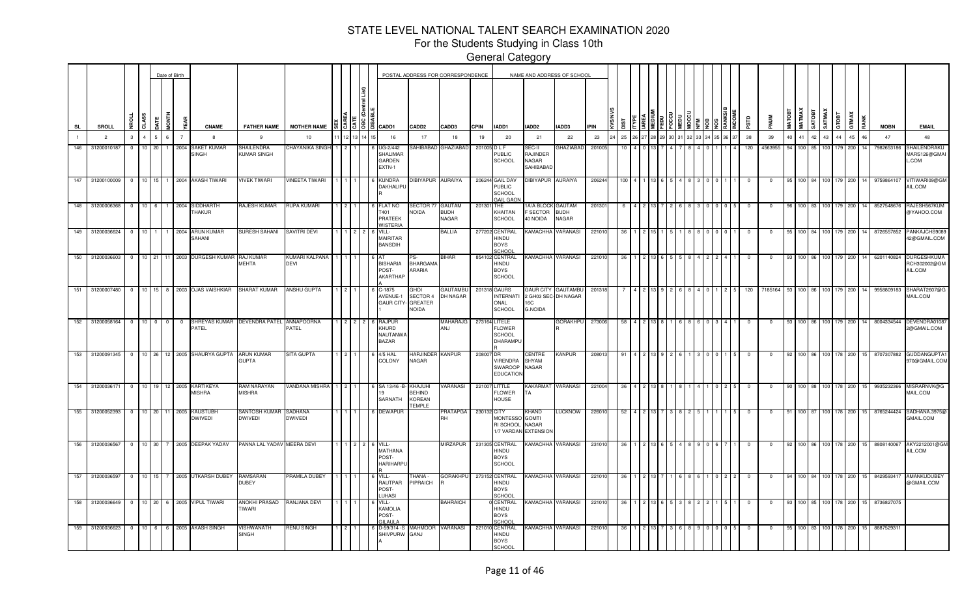For the Students Studying in Class 10th

|                |                          |             |                |                 |             | Date of Birth                    |                                              |                                         |                           |                     |                    |                                                                                                                                                                                                                                                                                                                     |                                                | POSTAL ADDRESS FOR CORRESPONDENCE     |              |                                                                       |                                                           | NAME AND ADDRESS OF SCHOOL                   |             |             |       |  |                |       |             |                |               |               |               |                |                    |                      |                                  |                                                               |
|----------------|--------------------------|-------------|----------------|-----------------|-------------|----------------------------------|----------------------------------------------|-----------------------------------------|---------------------------|---------------------|--------------------|---------------------------------------------------------------------------------------------------------------------------------------------------------------------------------------------------------------------------------------------------------------------------------------------------------------------|------------------------------------------------|---------------------------------------|--------------|-----------------------------------------------------------------------|-----------------------------------------------------------|----------------------------------------------|-------------|-------------|-------|--|----------------|-------|-------------|----------------|---------------|---------------|---------------|----------------|--------------------|----------------------|----------------------------------|---------------------------------------------------------------|
| <b>SL</b>      |                          | SROLL       | g              | CLASS           |             | HINDI<br>EAR                     | <b>CNAME</b>                                 | <b>FATHER NAME</b>                      | <b>MOTHER NAME</b>        |                     |                    | $\frac{8}{8}$ $\frac{8}{8}$ $\frac{8}{8}$ $\frac{8}{8}$ $\frac{8}{8}$ $\frac{8}{8}$ $\frac{8}{8}$ $\frac{8}{8}$ $\frac{8}{8}$ $\frac{8}{8}$ $\frac{8}{8}$ $\frac{8}{8}$ $\frac{8}{8}$ $\frac{8}{8}$ $\frac{8}{8}$ $\frac{8}{8}$ $\frac{8}{8}$ $\frac{8}{8}$ $\frac{8}{8}$ $\frac{8}{8}$ $\frac{8}{8}$ $\frac{8}{8}$ | CADD <sub>2</sub>                              | CADD3                                 | <b>CPIN</b>  | IADD1                                                                 | IADD2                                                     | IADD3                                        | <b>IPIN</b> | <b>TSIC</b> |       |  |                |       | erse        | <b>MUN</b>     | <b>MATOBT</b> | <b>MATMAX</b> | <b>TEOLYS</b> | <b>SATMA</b>   | GTOBT              | <b>GTMAX</b><br>RANK | <b>MOBN</b>                      | <b>EMAIL</b>                                                  |
| $\blacksquare$ | $\overline{2}$           |             | $\mathbf{3}$   | $\mathbf{A}$    | $5^{\circ}$ | 6 <sup>1</sup><br>$\overline{7}$ | -8                                           | 9                                       | 10                        | 12                  | $3 \mid 14 \mid 1$ | 16                                                                                                                                                                                                                                                                                                                  | 17                                             | 18                                    | 19           | 20                                                                    | 21                                                        | 22                                           | 23          | 25          | 26 27 |  | 30 31 32 33 34 | 36 37 | 38          | 39             | 40            | 41            | 42            | 43             | 44                 | 45<br>46             | 47                               | 48                                                            |
| 146            | 31200010187              |             | $\Omega$       | 10 <sup>1</sup> | 20          | 2004                             | SAKET KUMAR<br><b>SINGH</b>                  | SHAILENDRA<br>KUMAR SINGH               | CHAYANIKA SINGH           |                     |                    | JG-2/442<br>SHALIMAF<br><b>GARDEN</b><br>EXTN-1                                                                                                                                                                                                                                                                     | SAHIBABAD                                      | <b>GHAZIABAD</b>                      | 201005 D L F | <b>PUBLIC</b><br>SCHOOL                                               | SEC-II<br>RAJINDER<br>NAGAR<br>SAHIBABAD                  | <b>GHAZIABAD</b>                             | 201005      |             |       |  |                |       | 120         | 4563955        | 94            | $100$ 85      |               |                |                    | 200                  | 7982653186                       | SHAILENDRAKU<br>MARS126@GMAI<br>$_{\mathsf{L}. \mathsf{COM}}$ |
| 147            |                          | 31200100009 | $\overline{0}$ |                 |             |                                  | 10 15 1 2004 AKASH TIWARI                    | <b>IVEK TIWARI</b>                      | INEETA TIWARI             |                     |                    | <b>KUNDRA</b><br>DAKHALIPU                                                                                                                                                                                                                                                                                          | DIBIYAPUR AURAIYA                              |                                       |              | 206244 GAIL DAV<br><b>PUBLIC</b><br><b>SCHOOL</b><br><b>GAIL GAOI</b> | DIBIYAPUR AURAIYA                                         |                                              | 206244      | 100         |       |  |                |       | $\mathbf 0$ | $\mathbf{0}$   | 95            | 100 84        |               | 100 179        |                    | 200<br>14            | 9759864107                       | VITIWARI09@GM<br>AIL.COM                                      |
| 148            |                          | 31200006368 | $\overline{0}$ | $10 \quad 6$    |             | 1 2004                           | SIDDHARTH<br><b>HAKUR</b>                    | RAJESH KUMAR                            | RUPA KUMARI               | $\overline{2}$      |                    | FLAT NO<br>T401<br>PRATEEK<br>WISTERIA                                                                                                                                                                                                                                                                              | SECTOR 77<br>NOIDA                             | <b>GAUTAM</b><br><b>BUDH</b><br>NAGAR | 201301 THE   | KHAITAN<br><b>SCHOOL</b>                                              | A/A BLOCK<br><b>SECTOR</b><br>40 NOIDA                    | <b>GAUTAM</b><br><b>BUDH</b><br><b>NAGAR</b> | 201301      | - 6         |       |  |                |       | $^{\circ}$  | $\mathbf{0}$   | 96            | 100 83        |               | 100 179        |                    | 200<br>14            | 8527548676                       | RAJESH567KUM<br>@YAHOO.COM                                    |
| 149            |                          | 31200036624 | $\overline{0}$ | $10$ 1          |             | 2004<br>1                        | <b>ARUN KUMAR</b><br>SAHANI                  | SURESH SAHANI                           | SAVITRI DEVI              |                     |                    | VILL-<br><b>MAIRITAR</b><br><b>BANSDIH</b>                                                                                                                                                                                                                                                                          |                                                | BALLIA                                |              | 277202 CENTRAL<br><b>HINDU</b><br><b>BOYS</b><br>SCHOO                | <b><i>KAMACHHA</i></b>                                    | <b>VARANASI</b>                              | 221010      | 36          |       |  |                |       | $^{\circ}$  | $\mathbf{0}$   | 95            |               |               | 100 84 100 179 |                    | 200<br>14            | 8726557852                       | PANKAJCHS9089<br>42@GMAIL.COM                                 |
|                | 150 31200036603          |             | $\overline{0}$ |                 |             |                                  | 10 21 11 2003 DURGESH KUMAR                  | RAJ KUMAR<br>MEHTA                      | (UMARI KALPANA<br>DEVI    |                     |                    | <b>BISHARIA</b><br>POST-<br><b>AKARTHAF</b>                                                                                                                                                                                                                                                                         | <b>BHARGAMA</b><br>ARARIA                      | BIHAR                                 |              | 854102 CENTRAL<br>HINDU<br><b>BOYS</b><br><b>SCHOOL</b>               | KAMACHHA VARANASI                                         |                                              | 221010      | 36          |       |  |                |       | $^{\circ}$  | $\Omega$       | 93            | 100 86        |               |                | 100 179 200        | 14                   | 6201140824                       | <b>DURGESHKUMA</b><br>3CH302002@GM<br>AIL.COM                 |
|                | 151 31200007480 0        |             |                |                 |             |                                  | 10 15 8 2003 OJAS VAISHKIAR                  | SHARAT KUMAR                            | ANSHU GUPTA               |                     |                    | C-1875<br>AVENUE-1<br><b>GAUR CITY</b>                                                                                                                                                                                                                                                                              | GHGI<br>SECTOR 4<br><b>GREATER</b><br>NOIDA    | GAUTAMBU<br>DH NAGAR                  |              | 201318 GAURS<br><b>INTERNATI</b><br>ONAL<br><b>SCHOOL</b>             | GAUR CITY<br>2 GH03 SEC-DH NAGAR<br>16C<br><b>G.NOIDA</b> | GAUTAMBU                                     | 201318      |             |       |  |                |       | 120         | 7185164 93     |               | 100 86        |               | 100 179        |                    | 200                  | 9958809183                       | SHARAT2607@C<br>MAIL.COM                                      |
|                | 152 31200058164 0 10 0 0 |             |                |                 |             | $\overline{0}$                   | PATEL                                        | SHREYAS KUMAR DEVENDRA PATEL ANNAPOORNA | PATEL                     | $2 \quad 2 \quad 2$ |                    | 6 RAJPUF<br>KHURD<br>NAUTANWA<br><b>BAZAR</b>                                                                                                                                                                                                                                                                       |                                                | MAHARAJG<br>ANJ                       |              | 273164 LITELE<br><b>FLOWER</b><br><b>SCHOOL</b><br>DHARAMPL           |                                                           | <b>GORAKHPU</b>                              | 273006      | 58          |       |  |                |       | 0           |                | 93            |               |               |                |                    |                      | 100 86 100 179 200 14 8004334544 | DEVENDRA0108<br>2@GMAIL.COM                                   |
|                | 153 31200091345          |             | $\overline{0}$ |                 |             |                                  | 10 26 12 2005 SHAURYA GUPTA                  | <b>ARUN KUMAR</b><br>GUPTA              | SITA GUPTA                | $\overline{2}$      |                    | 4/5 HAL<br>COLONY                                                                                                                                                                                                                                                                                                   | HARJINDER KANPUR<br>NAGAR                      |                                       | 208007 DR    | <b>/IRENDRA</b><br>SWAROOP<br><b>EDUCATION</b>                        | CENTRE<br>SHYAM<br>NAGAR                                  | KANPUR                                       | 20801       | 91          |       |  |                |       | $^{\circ}$  |                | 92            | 100 86        |               | 100 178        |                    | 200                  | 8707307882                       | <b>GUDDANGUPTA</b><br>970@GMAIL.COM                           |
|                | 154 31200036171 0        |             |                |                 |             |                                  | 10 19 12 2005 KARTIKEYA<br><b>MISHRA</b>     | RAM NARAYAN<br>MISHRA                   | /ANDANA MISHRA            |                     |                    | SA 13/46 - B<br>SARNATH                                                                                                                                                                                                                                                                                             | - KHAJUHI<br>BEHIND<br><b>KOREAN</b><br>TEMPLE | VARANASI                              |              | 221007 LITTLE<br>FLOWER<br>HOUSE                                      | <b><i>KAKARMAT</i></b><br>TA                              | VARANASI                                     | 221004      | 36          |       |  |                |       | $\mathbf 0$ |                | 90            | 100 88        |               | 100 178        |                    | 200                  | 9935232366                       | MISRARNVK@G<br>MAIL.COM                                       |
|                | 155 31200052393          |             | $\overline{0}$ |                 |             |                                  | 10 20 11 2005 KAUSTUBH<br><b>DWIVEDI</b>     | SANTOSH KUMAR<br><b>DWIVEDI</b>         | SADHANA<br><b>DWIVEDI</b> |                     |                    | <b>DEWAPUF</b>                                                                                                                                                                                                                                                                                                      |                                                | <b>PRATAPGA</b><br>RH                 | 230132 CITY  | <b>MONTESSO</b><br>RI SCHOOL<br>1/7 VARDAN EXTENSION                  | <b>KHAND</b><br><b>GOMTI</b><br>NAGAR                     | <b>LUCKNOW</b>                               | 22601       | 52          |       |  |                |       | $\mathbf 0$ |                | 91            | 100 87        |               | 100 178        |                    | 200                  | 8765244424                       | SADHANA.3975(<br>GMAIL.COM                                    |
|                | 156 31200036567          |             | $\overline{0}$ |                 |             |                                  | 10 30 7 2005 DEEPAK YADAV                    | PANNA LAL YADAV MEERA DEVI              |                           |                     | $2 \mid 2$         | 6 VILL-<br>MATHANA<br>POST-<br><b>HARIHARPU</b>                                                                                                                                                                                                                                                                     |                                                | MIRZAPUR                              |              | 231305 CENTRAL<br>HINDU<br><b>BOYS</b><br><b>SCHOOL</b>               |                                                           | KAMACHHA VARANASI                            | 231010      | 36          |       |  |                |       | $^{\circ}$  | $\overline{0}$ | 92            |               |               | 100 86 100 178 |                    | 200                  | 8808140067                       | AKY2212001@G<br>AIL.COM                                       |
|                |                          |             |                |                 |             |                                  | 157 31200036597 0 10 15 7 2005 UTKARSH DUBEY | RAMSARAN<br>DUBEY                       | <b>PRAMILA DUBEY</b>      |                     |                    | VILL-<br>RAUTPAR<br>POST-<br><b>TIHASI</b>                                                                                                                                                                                                                                                                          | THANA -<br>PIPRAICH                            | GORAKHPU                              |              | 273152 CENTRAL<br>HINDU<br><b>BOYS</b><br>SCHOOL                      | KAMACHHA VARANASI                                         |                                              | 22101       | 36          |       |  |                |       | 0           | $\mathbf 0$    | 94            |               |               |                | 100 84 100 178 200 |                      | 15 8429593417                    | AMANKUDUBEY<br>@GMAIL.COM                                     |
|                |                          |             |                |                 |             |                                  | 158 31200036649 0 10 20 6 2005 VIPUL TIWARI  | ANOKHI PRASAD<br><b>TIWARI</b>          | RANJANA DEVI              |                     |                    | VILL-<br><b>KAMOLIA</b><br>POST-<br>SIL AUL                                                                                                                                                                                                                                                                         |                                                | <b>BAHRAICH</b>                       |              | <b>CENTRAL</b><br>HINDU<br><b>BOYS</b><br>SCHOOL                      | KAMACHHA VARANASI                                         |                                              | 22101       | 36          |       |  |                |       | 0           | $\mathbf 0$    | 93            |               |               |                | 100 85 100 178 200 |                      | 15 8736827075                    |                                                               |
|                |                          |             |                |                 |             |                                  | 159 31200036623 0 10 6 6 2005 AKASH SINGH    | /ISHWANATH<br><b>SINGH</b>              | RENU SINGH                |                     |                    | 6 D-59/314 -S<br>SHIVPURW GANJ                                                                                                                                                                                                                                                                                      | MAHMOOR VARANASI                               |                                       |              | 221010 CENTRAL<br>HINDU<br><b>BOYS</b><br>SCHOOL                      | <b>KAMACHHA VARANASI</b>                                  |                                              | 22101       | 36          |       |  |                |       | 0           | $\mathbf 0$    | 95            |               |               |                | 100 83 100 178 200 |                      | 15 8887529311                    |                                                               |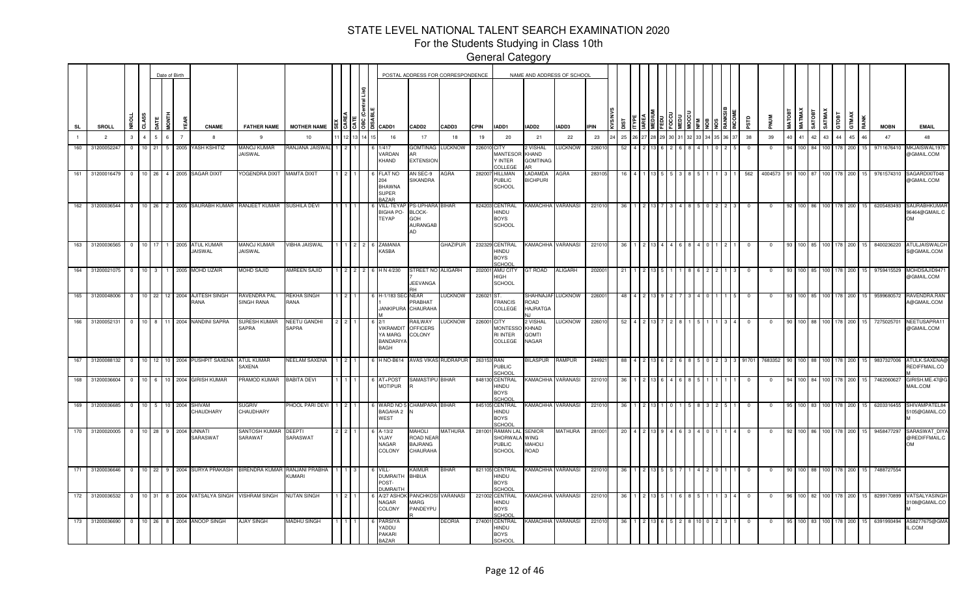For the Students Studying in Class 10th

|           |                   |              |                 |          | Date of Birth  |                                                             |                                      |                                 |  |                                                 |                                                                 |                                                    | POSTAL ADDRESS FOR CORRESPONDENCE |             |                                                         | NAME AND ADDRESS OF SCHOOL                     |                |             |     |  |  |  |      |            |             |        |                               |                 |                    |       |      |             |                                            |
|-----------|-------------------|--------------|-----------------|----------|----------------|-------------------------------------------------------------|--------------------------------------|---------------------------------|--|-------------------------------------------------|-----------------------------------------------------------------|----------------------------------------------------|-----------------------------------|-------------|---------------------------------------------------------|------------------------------------------------|----------------|-------------|-----|--|--|--|------|------------|-------------|--------|-------------------------------|-----------------|--------------------|-------|------|-------------|--------------------------------------------|
| <b>SL</b> | SROLL             |              | CLASS           | in<br>No | a.             | <b>CNAME</b>                                                | <b>FATHER NAME</b>                   | <b>MOTHER NAME</b>              |  | $\frac{15}{36}$ $\frac{18}{36}$ $\frac{18}{36}$ | CADD1                                                           | CADD <sub>2</sub>                                  | CADD3                             | <b>CPIN</b> | IADD1                                                   | IADD2                                          | IADD3          | <b>IPIN</b> |     |  |  |  |      | ars        |             | MATOBT | <b>MATMAX</b><br><b>TEOTA</b> |                 | SATMAX<br>GTOBT    | GTMAX | RANK | <b>MOBN</b> | <b>EMAIL</b>                               |
|           | $\overline{2}$    | 3            |                 |          | $\overline{7}$ | $\mathbf{R}$                                                | -9                                   | 10                              |  |                                                 | 16                                                              | 17                                                 | 18                                | 19          | 20                                                      | 21                                             | 22             | 23          | 25  |  |  |  | 6 37 | 38         | 39          | 40     | 41 42                         | 43 <sup>1</sup> | 44                 | 45    | 46   | 47          | 48                                         |
| 160       | 31200052247       | $\mathbf{0}$ | $10-10$         | 21<br>5  | 2005           | <b>ASH KSHITIZ</b>                                          | <b>MANOJ KUMAR</b><br><b>JAISWAL</b> | RANJANA JAISWAL                 |  |                                                 | /417<br><b>/ARDAN</b><br>KHAND                                  | GOMTINAG LUCKNOW<br>AR<br><b>EXTENSION</b>         |                                   | 226010 CITY | <b>MANTESOR</b><br>Y INTER<br>COLLEGE                   | 2 VISHAL<br>KHAND<br><b>GOMTINAG</b>           | <b>LUCKNOW</b> | 22601       | 52  |  |  |  |      | 0          | $^{\circ}$  | 94     | 100                           |                 | 178                | 200   |      | 9711676410  | <b>MKJAISWAL197</b><br>@GMAIL.COM          |
| 161       | 31200016479       | $^{\circ}$   | 10 26           |          |                | 4 2005 SAGAR DIXIT                                          | YOGENDRA DIXIT MAMTA DIXIT           |                                 |  |                                                 | <b>FLAT NO</b><br>204<br><b>BHAWNA</b><br><b>SUPER</b><br>BAZAR | AN SEC-9<br>SIKANDRA                               | AGRA                              |             | 282007 HILLMAN<br><b>PUBLIC</b><br><b>SCHOOL</b>        | LADAMDA<br><b>BICHPURI</b>                     | AGRA           | 283105      |     |  |  |  |      | 562        | 4004573     |        | 100 87                        |                 | 178                | 200   |      | 9761574310  | SAGARDIXIT048<br>@GMAIL.COM                |
|           | 162 31200036544 0 |              |                 |          |                | 10 26 2 2005 SAURABH KUMAR                                  | RANJEET KUMAR                        | <b>SUSHILA DEVI</b>             |  |                                                 | <b>VILL-TEYA</b><br>BIGHA PO-<br>TEYAP                          | PS-UPHARA BIHAR<br>BLOCK-<br>GOH<br>AURANGAB<br>AD |                                   |             | 824203 CENTRAL<br>HINDU<br><b>BOYS</b><br><b>SCHOOL</b> | KAMACHHA VARANASI                              |                | 22101       |     |  |  |  |      |            |             |        |                               |                 | 100 86 100 178 200 |       | 15   | 6205483493  | SAURABHKUMAF<br>96464@GMAIL.C<br><b>OM</b> |
|           | 163 31200036565 0 |              |                 |          |                | 10 17 1 2005 ATUL KUMAR<br>JAISWAL                          | <b>MANOJ KUMAR</b><br>JAISWAL        | VIBHA JAISWAL                   |  |                                                 | 2 2 6 ZAMANIA<br>KASBA                                          |                                                    | GHAZIPUR                          |             | 232329 CENTRAL<br>HINDU<br><b>BOYS</b><br>SCHOOL        | KAMACHHA VARANASI                              |                | 22101       | -36 |  |  |  |      |            | $\mathbf 0$ | 93     |                               |                 | 100 85 100 178 200 |       | 15   | 8400236220  | <b>ATULJAISWALCH</b><br>S@GMAIL.COM        |
|           | 164 31200021075 0 |              | $10 \quad 3$    |          |                | 1 2005 MOHD UZAIR                                           | <b>MOHD SAJID</b>                    | AMREEN SAJID                    |  | $2 \mid 2 \mid 2 \mid 6$                        | H N 4/230                                                       | STREET NO ALIGARH<br>JEEVANGA                      |                                   |             | 202001 AMU CITY<br>HIGH<br><b>SCHOOL</b>                | GT ROAD                                        | ALIGARH        | 20200       |     |  |  |  |      |            | $^{\circ}$  |        |                               |                 | 100 85 100 178 200 |       | 15   | 9759415529  | MOHDSAJID947<br>@GMAIL.COM                 |
|           | 165 31200048006 0 |              |                 |          |                | 10 22 12 2004 AJITESH SINGH<br>RANA                         | RAVENDRA PAL<br>SINGH RANA           | REKHA SINGH<br>RANA             |  |                                                 | 1-1/183 SEC-NEAR                                                | <b>PRABHAT</b><br>ANKIPURA CHAURAHA                | LUCKNOW                           | 226021 ST.  | FRANCIS<br>COLLEGE                                      | SHAHNAJAF LUCKNOW<br>ROAD<br><b>HAJRATGA</b>   |                | 22600       | 48  |  |  |  |      | $^{\circ}$ | $^{\circ}$  | 93     |                               |                 | 100 85 100 178     | 200   | 15   | 9599680572  | RAVENDRA.RAN<br>A@GMAIL.COM                |
| 166       | 31200052131       | $^{\circ}$   | 10 <sup>1</sup> | 8        |                | 11 2004 NANDINI SAPRA                                       | SURESH KUMAR<br><b>SAPRA</b>         | NEETU GANDHI<br>SAPRA           |  |                                                 | <b>/IKRAMDIT</b><br><b>YA MARG</b><br>BANDARIYA<br><b>BAGH</b>  | RAILWAY<br><b>OFFICERS</b><br>COLONY               | <b>LUCKNOW</b>                    | 226001 CITY | <b>MONTESSO</b><br><b>RI INTER</b><br>COLLEGE           | 2 VISHAL<br>KHNAD<br><b>GOMTI</b><br>NAGAR     | LUCKNOW        | 226010      | 52  |  |  |  |      | - 0        | $\Omega$    |        |                               |                 | 100 88 100 178     | 200   | 15   | 7275025701  | NEETUSAPRA11<br>@GMAIL.COM                 |
| 167       | 31200088132 0     |              |                 |          |                | 10 12 10 2004 PUSHPIT SAXENA ATUL KUMAR                     | SAXENA                               | NEELAM SAXENA                   |  |                                                 | H NO-B614                                                       |                                                    | AVAS VIKAS RUDRAPUR               | 263153 RAN  | <b>PUBLIC</b><br>SCHOOL                                 | BILASPUR RAMPUR                                |                | 244921      | -88 |  |  |  |      | 3 91701    | 7683352     |        |                               |                 | 100 88 100 178     | 200   | 15   |             | 9837327006 ATULK.SAXENA@<br>REDIFFMAIL.CO  |
| 168       | 31200036604 0     |              |                 |          |                | 10 6 10 2004 GIRISH KUMAR                                   | PRAMOD KUMAR                         | <b>BABITA DEVI</b>              |  |                                                 | AT+POST<br><b>MOTIPUR</b>                                       | <b>SAMASTIPU BIHAR</b>                             |                                   |             | 848130 CENTRAL<br>HINDU<br><b>BOYS</b><br>SCHOOL        | KAMACHHA VARANASI                              |                | 22101       |     |  |  |  |      |            |             |        |                               |                 |                    | 200   |      | 7462060627  | GIRISH.ME.47@G<br>MAIL.COM                 |
| 169       | 31200036685 0     |              | $10 \quad 5$    |          |                | 10 2004 SHIVAM<br>CHAUDHARY                                 | SUGRIV<br>CHAUDHARY                  | PHOOL PARI DEVI                 |  |                                                 | WARD NO 5<br><b>BAGAHA 2</b><br>WEST                            | CHAMPARA BIHAR                                     |                                   |             | 845105 CENTRAL<br>HINDU<br><b>BOYS</b><br>SCHOOL        | KAMACHHA VARANASI                              |                | 22101       |     |  |  |  |      |            |             |        |                               | 100 83 100      | 178                | 200   |      | 6203316455  | SHIVAMPATEL84<br>5105@GMAIL.CO             |
|           | 170 31200020005 0 |              | 10 28           |          | 9 2004         | UNNATI<br>SARASWAT                                          | SANTOSH KUMAR<br>SARAWAT             | DEEPTI<br>SARASWAT              |  |                                                 | A-13/2<br>YIJAY<br>NAGAR<br>COLONY                              | MAHOLI<br>ROAD NEAR<br>BAJRANG<br>CHAURAHA         | MATHURA                           |             | 281001 RAMAN LAL<br>SHORWALA<br>PUBLIC<br><b>SCHOOL</b> | SENIOR<br><b>WING</b><br><b>MAHOLI</b><br>ROAD | MATHURA        | 281001      | 20  |  |  |  |      |            | $\mathbf 0$ | 92     |                               |                 | 100 86 100 178 200 |       |      | 9458477297  | SARASWAT_DIYA<br>@REDIFFMAIL.C<br>OM       |
|           |                   |              |                 |          |                | 171 31200036646 0 10 22 9 2004 SURYA PRAKASH BIRENDRA KUMAR |                                      | RANJANI PRABHA<br><b>KUMARI</b> |  |                                                 | VILL-<br><b>DUMRAITH</b><br>POST-<br><b>DUMRAITI</b>            | KAIMUR<br><b>BHBUA</b>                             | <b>BIHAR</b>                      |             | 821105 CENTRAL<br>HINDU<br><b>BOYS</b><br>SCHOOL        | KAMACHHA VARANASI                              |                | 221010      | 36  |  |  |  |      | $^{\circ}$ | $^{\circ}$  | 90     |                               |                 | 100 88 100 178     | 200   | 15   | 7488727554  |                                            |
|           |                   |              |                 |          |                | 172 31200036532 0 10 31 8 2004 VATSALYA SINGH               | <b>VISHRAM SINGH</b>                 | <b>NUTAN SINGH</b>              |  |                                                 | <b>V27 ASHC</b><br>NAGAR<br>COLONY                              | PANCHKOSI VARANASI<br>MARG<br>PANDEYPU             |                                   |             | 221002 CENTRAL<br>HINDU<br><b>BOYS</b><br>SCHOOL        | KAMACHHA VARANASI                              |                | 22101       |     |  |  |  |      |            |             |        |                               |                 | 100 178            | 200   | 15   | 8299170899  | VATSALYASINGH<br>3108@GMAIL.CO             |
|           | 173 31200036690 0 |              |                 |          |                | 10 26 8 2004 ANOOP SINGH                                    | AJAY SINGH                           | MADHU SINGH                     |  |                                                 | <b>PARSIYA</b><br>YADDU<br><b>PAKARI</b><br><b>BAZAR</b>        |                                                    | DEORIA                            |             | 274001 CENTRAL<br>HINDU<br><b>BOYS</b><br><b>SCHOOL</b> | KAMACHHA VARANASI                              |                | 22101       |     |  |  |  |      |            |             |        | 83                            |                 | 100 178            | 200   |      | 6391993494  | AS8277675@GMA<br>IL.COM                    |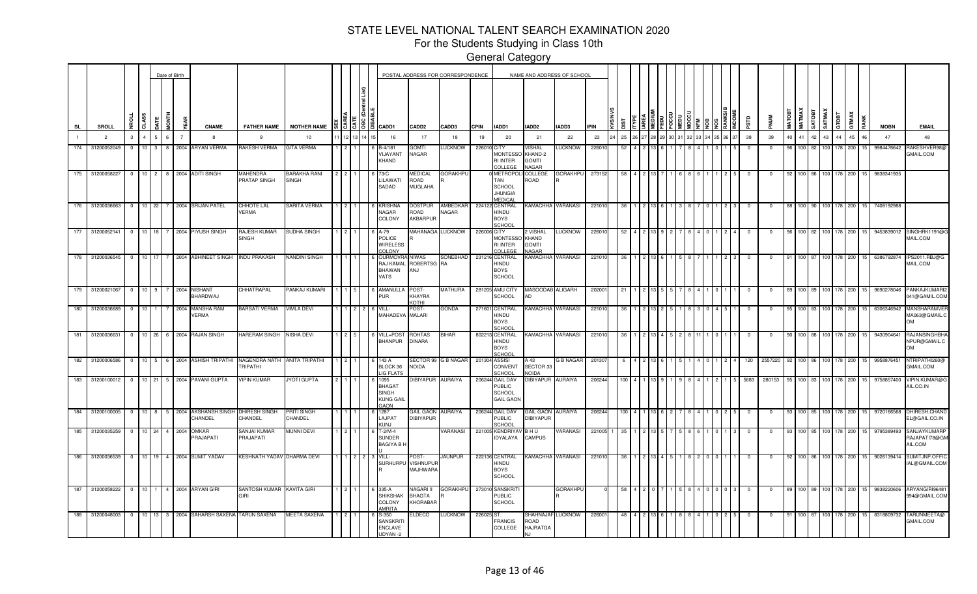For the Students Studying in Class 10th

|                  |                   |                |                  |                | Date of Birth  |                                  |                                                 |                                     |    |                                                          |                                                                         |                                                     | POSTAL ADDRESS FOR CORRESPONDENCE |             |                                                                       |                                                          | NAME AND ADDRESS OF SCHOOL |             |      |  |  |  |  |             |             |        |            |              |                 |                    |          |             |                                            |
|------------------|-------------------|----------------|------------------|----------------|----------------|----------------------------------|-------------------------------------------------|-------------------------------------|----|----------------------------------------------------------|-------------------------------------------------------------------------|-----------------------------------------------------|-----------------------------------|-------------|-----------------------------------------------------------------------|----------------------------------------------------------|----------------------------|-------------|------|--|--|--|--|-------------|-------------|--------|------------|--------------|-----------------|--------------------|----------|-------------|--------------------------------------------|
| SL               | SROLL             | 윤<br><b>A</b>  |                  | i<br>S         | ă              | <b>CNAME</b>                     | <b>FATHER NAME</b>                              | <b>MOTHER NAME</b>                  |    | $\frac{15}{3}$ $\frac{5}{3}$ $\frac{8}{3}$ $\frac{6}{3}$ | CADD1                                                                   | <b>CADD2</b>                                        | CADD3                             | <b>CPIN</b> | IADD1                                                                 | IADD2                                                    | IADD3                      | <b>IPIN</b> |      |  |  |  |  | <b>ESLS</b> |             | MATOBT | MATMAX     | <b>ROUNS</b> | SATMAX<br>GTOBT | GTMAX              | RANK     | <b>MOBN</b> | <b>EMAIL</b>                               |
|                  | $\overline{2}$    | 3              |                  |                | $\overline{7}$ | $\mathbf{R}$                     | 9                                               | 10                                  | 12 |                                                          | 16                                                                      | 17                                                  | 18                                | 19          | 20                                                                    | 21                                                       | 22                         | 23          | 25   |  |  |  |  | 38          | 39          | 40     | 41 42 43   |              |                 | 44                 | 45<br>46 | 47          | 48                                         |
| 174              | 31200052049       | $\overline{0}$ | 10 <sup>1</sup>  | $\mathbf{3}$   |                | 8 2004 ARYAN VERMA               | RAKESH VERMA                                    | <b>GITA VERMA</b>                   |    |                                                          | B-4/181<br><b>IJAYANT</b><br><b>CHAND</b>                               | GOMTI<br>NAGAR                                      | LUCKNOW                           | 226010 CITY | MONTESSC<br><b>RI INTER</b><br>OLLEGI                                 | <b>VISHAL</b><br>KHAND-2<br><b>GOMTI</b><br><b>JAGAR</b> | <b>LUCKNOW</b>             | 22601       | -52  |  |  |  |  | $^{\circ}$  | $^{\circ}$  | 96.    | 100 82     |              | 100             | 200<br>178         | 15       | 9984476642  | RAKESHVER98<br>GMAIL.COM                   |
| 175              | 31200058227       | $\overline{0}$ |                  |                |                | 10 2 8 2004 ADITI SINGH          | <b>MAHENDRA</b><br>PRATAP SINGH                 | <b>BARAKHA RANI</b><br><b>SINGH</b> |    |                                                          | 73/C<br><b>ILAWATI</b><br>SADAD                                         | <b>MEDICAL</b><br>ROAD<br>MUGLAHA                   | <b>GORAKHPL</b>                   |             | METROPO<br>TAN<br><b>SCHOOL</b><br><b>JHUNGIA</b><br><b>MEDICAL</b>   | COLLEGE<br>ROAD                                          | <b>GORAKHPU</b>            | 273152      | 58   |  |  |  |  | $^{\circ}$  | $^{\circ}$  | 92     |            |              | 100 86 100 178  | 200                | 15       | 9838341935  |                                            |
| 176              | 31200036663       | $\overline{0}$ | $10$ 22          | 7              |                | 2004 SRIJAN PATEL                | CHHOTE LAL<br>/ERMA                             | SARITA VERMA                        |    |                                                          | Krishna<br>NAGAR<br>COLONY                                              | )OSTPUR<br><b>OAOF</b><br>AKBARPUR                  | AMBEDKAR<br>NAGAR                 |             | 224122 CENTRAL<br>HINDU<br><b>BOYS</b><br><b>SCHOOL</b>               |                                                          | KAMACHHA VARANASI          | 22101       |      |  |  |  |  |             |             |        |            |              | 100             | 200                |          | 7408192988  |                                            |
| $\overline{177}$ | 31200052141       | $\overline{0}$ | 10 <sup>10</sup> |                | 2004           | PIYUSH SINGH                     | <b>AJESH KUMAR</b><br><b>SINGH</b>              | SUDHA SINGH                         |    |                                                          | <b>POLICE</b><br>WIRELESS<br>COLONY                                     | <b>AAHANAGA</b>                                     | LUCKNOW                           | 226006 CITY | <b>MONTESSC</b><br><b>RI INTER</b><br>COLLEGE                         | 2 VISHAL<br>KHAND<br><b>GOMTI</b><br><b>JAGAR</b>        | LUCKNOW                    | 22601       |      |  |  |  |  |             |             |        |            |              |                 | 200                |          | 945383901   | SINGHRK11916<br>MAIL.COM                   |
| 178              | 31200036545       | $\overline{0}$ | 10 <sup>1</sup>  | 17             |                | 2004 ABHINEET SINGH              | <b>INDU PRAKASH</b>                             | NANDINI SINGH                       |    |                                                          | OURMOVRA NIWAS<br>RAJ KAMAI<br>BHAWAN<br>VATS                           | ROBERTSG RA<br><b>LIA</b>                           | SONEBHAD                          |             | 231216 CENTRAL<br>HINDU<br><b>BOYS</b><br><b>SCHOOL</b>               |                                                          | KAMACHHA VARANASI          | 22101       | 36   |  |  |  |  | - 0         | $^{\circ}$  | 91     | 100 87     |              | 100             | 200<br>178         |          | 6386792874  | IPS2011.RBJ@G<br>MAIL.COM                  |
|                  | 179 31200021067 0 |                | 10 <sub>1</sub>  | -9             |                | 7 2004 NISHANT<br>BHARDWAJ       | CHHATRAPAL                                      | PANKAJ KUMARI                       |    |                                                          | AMANULLA<br>PUR                                                         | POST-<br>KHAYRA<br><b>COTHI</b>                     | MATHURA                           |             | 281205 AMU CITY<br>SCHOOL                                             | MASOODAB ALIGARH<br>AD                                   |                            | 20200       | - 21 |  |  |  |  | - 0         | $\mathbf 0$ | 89     |            |              |                 | 100 89 100 178 200 | 15       | 9690278046  | PANKAJKUMARI2<br>041@GAMIL.COM             |
|                  | 180 31200036689   | $\overline{0}$ | 10 <sub>1</sub>  | $\mathbf{1}$   | 2004           | MANSHA RAM<br>VERMA              | BARSATI VERMA                                   | <b>VIMLA DEVI</b>                   |    | $2 \mid 6$                                               | VILL-<br>MAHADEVA MALARI                                                | POST-                                               | GONDA                             |             | 271601 CENTRAL<br>HINDU<br><b>BOYS</b><br><b>SCHOOL</b>               |                                                          | KAMACHHA VARANASI          | 22101       | -36  |  |  |  |  |             | $^{\circ}$  | 95     | 100 83     |              | 100             | 200                |          | 6306346942  | MANSHARAMVER<br>MA063@GMAIL.C<br>OM        |
|                  | 181 31200036631   | $\overline{0}$ |                  |                |                | 10 26 6 2004 RAJAN SINGH         | <b>HARERAM SINGH</b>                            | <b>NISHA DEVI</b>                   |    |                                                          | VILL+POS <sup>®</sup><br><b>BHANPUR</b>                                 | ROHTAS<br><b>DINARA</b>                             | <b>BIHAR</b>                      |             | 802213 CENTRAL<br>HINDU<br><b>BOYS</b><br>SCHOOL                      |                                                          | KAMACHHA VARANASI          | 221010      | 36   |  |  |  |  |             |             |        | 100 88     |              |                 | 200<br>178         |          | 9430904641  | RAJANSINGHBHA<br>NPUR@GMAIL.C<br><b>OM</b> |
| $182$            | 31200006586       | $\overline{0}$ | $10 \mid 5 \mid$ |                |                | 6 2004 ASHISH TRIPATHI           | NAGENDRA NATH ANITA TRIPATHI<br><b>TRIPATHI</b> |                                     |    |                                                          | 143 A<br>BLOCK 36<br><b>IG FLATS</b>                                    | NOIDA                                               | SECTOR 99 G B NAGAR               |             | 201304 ASSISI<br>CONVENT<br>SCHOOL                                    | A 43<br>SECTOR 33<br>NOIDA                               | <b>G B NAGAR</b>           | 201307      |      |  |  |  |  | 120         | 2557220     |        |            |              | 100 86 100 178  | 200                |          | 9958876451  | NTRIPATHI260@<br>GMAIL.COM                 |
| 183              | 31200100012 0     |                |                  |                |                | 10 21 5 2004 PAVANI GUPTA        | <b>IPIN KUMAR</b>                               | JYOTI GUPTA                         |    |                                                          | 1095<br><b>BHAGAT</b><br><b>SINGH</b><br><b>KUNG GAIL</b><br><b>AON</b> |                                                     | <b>DIBIYAPUR AURAIYA</b>          |             | 206244 GAIL DAV<br><b>PUBLIC</b><br><b>SCHOOL</b><br><b>GAIL GAON</b> | <b>IBIYAPUR</b>                                          | AURAIYA                    | 206244      |      |  |  |  |  | 5683        | 280153      |        | 100 I      |              |                 | 178<br>200         |          | 9758857400  | VIPIN.KUMAR@G<br>AIL.CO.IN                 |
| 184              | 31200100005       | $\overline{0}$ | 10 <sup>1</sup>  | 8              |                | 5 2004 AKSHANSH SINGH<br>CHANDEL | DHIRESH SINGH<br>CHANDEL                        | <b>PRITI SINGH</b><br>CHANDEL       |    |                                                          | 1287<br>LAJPAT<br>KUNJ                                                  | <b>GAIL GAON AURAIYA</b><br><b>DIBIYAPUR</b>        |                                   |             | 206244 GAIL DAV<br><b>PUBLIC</b><br>SCHOOL                            | GAIL GAON AURAIYA<br><b>DIBIYAPUR</b>                    |                            | 206244      |      |  |  |  |  | 0           | $^{\circ}$  |        |            |              |                 | 200<br>178         |          | 9720166568  | DHIRESH.CHAND<br>EL@GAIL.CO.IN             |
| 185              | 31200035259       | $\overline{0}$ | $10-10$<br>24    | 4 <sup>1</sup> | 2004           | OMKAR<br><b>PRAJAPATI</b>        | SANJAI KUMAR<br>PRAJAPATI                       | <b>MUNNI DEVI</b>                   |    |                                                          | $T - 2/M - 4$<br>SUNDER<br><b>BAGIYA B I</b>                            |                                                     | <b><i>VARANASI</i></b>            |             | 221005 KENDRIYA<br>IDYALAYA                                           | BHU<br><b>CAMPUS</b>                                     | VARANASI                   | 221005      |      |  |  |  |  |             |             |        |            |              |                 | 200                |          | 9795389493  | SANJAYKUMARP<br>RAJAPATI78@GM<br>AIL.COM   |
|                  | 186 31200036539   | $\overline{0}$ | $10$ 19          |                |                | 4 2004 SUMIT YADAV               | KESHNATH YADAV DHARMA DEVI                      |                                     | 2  |                                                          | VILL-<br>SURHURPU                                                       | POST-<br><b>VISHNUPUF</b><br>MAJHWARA               | <b>JAUNPUR</b>                    |             | 222136 CENTRAL<br>HINDU<br><b>BOYS</b><br>SCHOOL                      | <b>KAMACHHA</b>                                          | <b>VARANASI</b>            | 22101       | 36   |  |  |  |  |             | $^{\circ}$  | 92     |            |              |                 | 100 86 100 178 200 |          | 9026139414  | SUMITJNP.OFFIC<br>IAL@GMAIL.COM            |
|                  | 187 31200058222   | $\overline{0}$ | 10 <sub>1</sub>  | $\mathbf{1}$   |                | 4 2004 ARYAN GIRI                | SANTOSH KUMAR KAVITA GIRI<br>GIRI               |                                     |    |                                                          | 335-A<br>SHIKSHAK<br>COLONY<br><b>MRITA</b>                             | <b>JAGARI II</b><br><b>BHAGTA</b><br><b>HORABAF</b> | GORAKHPU                          |             | 273010 SANSKRIT<br>PUBLIC<br><b>SCHOOL</b>                            |                                                          | <b>GORAKHPU</b>            |             | 58   |  |  |  |  | $^{\circ}$  | $^{\circ}$  |        | 100 89 100 |              |                 | 200<br>178         |          | 9838220606  | ARYANGIRI96481<br>994@GMAIL.COM            |
| 188              | 31200048003       | $\overline{0}$ |                  |                |                | 10 13 3 2004 SAHARSH SAXENA      | TARUN SAXENA                                    | MEETA SAXENA                        |    |                                                          | $S-350$<br><b>SANSKRIT</b><br>ENCLAVE<br>JDYAN-2                        | ELDECO                                              | LUCKNOW                           | 226025 ST.  | FRANCIS<br>COLLEGE                                                    | ROAD<br><b>HAJRATGA</b>                                  | SHAHNAJAF LUCKNOW          | 226001      |      |  |  |  |  |             |             |        | 100 I      |              | 100             | 200<br>178         | 15       | 8318809732  | TARUNMEETA@<br>GMAIL.COM                   |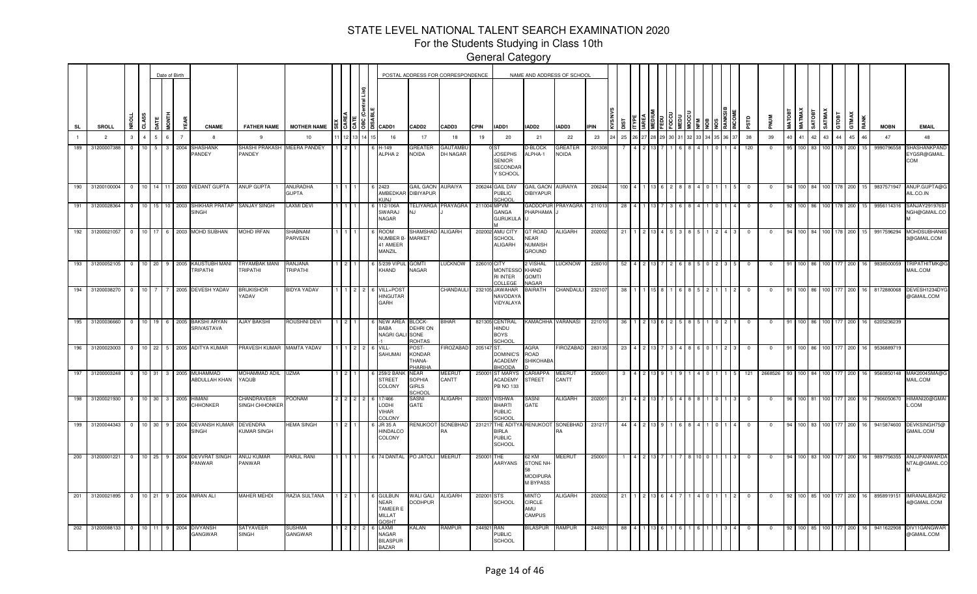For the Students Studying in Class 10th

|        |                                       |                |                  |                      | Date of Birth  |                                                           |                                       |                          |             |           |                                                         |                                                                    |                                                   | POSTAL ADDRESS FOR CORRESPONDENCE |             |                                                                        | NAME AND ADDRESS OF SCHOOL                                |                   |             |            |     |  |    |        |  |                |              |       |          |                  |                  |              |                 |                                  |                                                            |
|--------|---------------------------------------|----------------|------------------|----------------------|----------------|-----------------------------------------------------------|---------------------------------------|--------------------------|-------------|-----------|---------------------------------------------------------|--------------------------------------------------------------------|---------------------------------------------------|-----------------------------------|-------------|------------------------------------------------------------------------|-----------------------------------------------------------|-------------------|-------------|------------|-----|--|----|--------|--|----------------|--------------|-------|----------|------------------|------------------|--------------|-----------------|----------------------------------|------------------------------------------------------------|
| SL     | <b>SROLL</b>                          | g              | CLASS            | ETNO                 | ă              | <b>CNAME</b>                                              | <b>FATHER NAME</b>                    | <b>MOTHER NAME</b>       |             |           | $\frac{3}{5}$ $\frac{5}{5}$ $\frac{8}{5}$ $\frac{8}{5}$ | CADD1                                                              | CADD <sub>2</sub>                                 | CADD3                             | <b>CPIN</b> | IADD1                                                                  | IADD2                                                     | IADD3             | <b>IPIN</b> | <b>Sid</b> |     |  |    | I      |  | ers            | PNUM         | MATOI | MATMAX   | SATMAX<br>SATOBT | GTOBT            | <b>GTMAX</b> | RANK            | <b>MOBN</b>                      | <b>EMAIL</b>                                               |
|        | $\overline{2}$                        | $\mathbf{3}$   | $\overline{4}$   | 6 <sup>1</sup><br>5. | $\overline{7}$ |                                                           | 9                                     | 10                       | $12$        |           |                                                         | 16                                                                 | 17                                                | 18                                | 19          | 20                                                                     | 21                                                        | 22                | 23          | 25         |     |  | 32 | 33 I 3 |  | 38             | 39           | 40    | 41       | 42<br>43         | 44               | 45           | 46              | 47                               | 48                                                         |
| 189    | 31200007388                           | $\mathbf{0}$   | 10 <sup>10</sup> | $5 -$<br>3           | 2004           | SHASHANK<br>PANDEY                                        | SHASHI PRAKASH MEERA PANDEY<br>PANDEY |                          |             |           |                                                         | $+149$<br>ALPHA <sub>2</sub>                                       | GREATER<br><b>NOIDA</b>                           | GAUTAMBL<br>DH NAGAR              |             | I ST<br><b>JOSEPHS</b><br><b>SENIOR</b><br><b>SECONDAR</b><br>Y SCHOOL | D-BLOCK<br>ALPHA-1                                        | GREATEF<br>NOIDA  | 20130       |            |     |  |    |        |  | 120            |              | 95    | 100      | -83              |                  | 200          | 15.             | 9990796558                       | SHASHANKPANI<br>EYGSR@GMAIL<br>COM                         |
| 190    |                                       |                |                  |                      |                | 31200100004  0  10  14  11  2003  VEDANT GUPTA            | ANUP GUPTA                            | ANURADHA<br><b>GUPTA</b> |             |           |                                                         | 6 2423<br><b>AMBEDKA</b><br>(UNJ                                   | GAIL GAON AURAIYA<br><b>DIBIYAPUR</b>             |                                   |             | 206244 GAIL DAV<br>PUBLIC<br>SCHOOL                                    | GAIL GAON AURAIYA<br><b>DIBIYAPUR</b>                     |                   | 206244      | 100        |     |  |    |        |  | 0              |              | 94    | 100 84   |                  | 100 178          | 200          |                 |                                  | 15 9837571947 ANUP.GUPTA@G<br>AIL.CO.IN                    |
| 191    | 31200028364                           | $\overline{0}$ |                  |                      |                | 10 15 10 2003 SHIKHAR PRATAP SANJAY SINGH<br>SINGH        |                                       | <b>LAXMI DEVI</b>        |             |           |                                                         | 112/106A<br>SWARAJ<br>NAGAR                                        | J.I                                               | TELIYARGA PRAYAGRA                | 211004 MPVM | GANGA<br><b>GURUKULA</b>                                               | GADDOPUR<br>PHAPHAMA                                      | <b>PRAYAGRA</b>   | 211013      | 28         |     |  |    |        |  | $\Omega$       |              | 92    | $100$ 86 | 100              | 178              | 200          | 15 <sub>1</sub> | 9956114316                       | SANJAY291976SI<br>NGH@GMAIL.CO                             |
|        |                                       |                |                  |                      |                | 192 31200021057 0 10 17 6 2003 MOHD SUBHAN                | <b>MOHD IRFAN</b>                     | SHABNAM<br>PARVEEN       |             |           |                                                         | ROOM<br><b>NUMBER B</b><br>41 AMEER<br>MANZIL                      | SHAMSHAD<br><b>MARKET</b>                         | <b>ALIGARH</b>                    |             | 202002 AMU CITY<br><b>SCHOOL</b><br>ALIGARH                            | GT ROAD<br><b>NEAR</b><br><b>NUMAISH</b><br><b>GROUND</b> | ALIGARH           | 202002      | -21        |     |  |    |        |  | $\Omega$       |              | 94    | 100 84   | 100 L            | 178 l            | 200          | 15 <sub>1</sub> | 9917596294                       | MOHDSUBHAN6<br>3@GMAIL.COM                                 |
| $-193$ | 31200052105                           | $\overline{0}$ |                  |                      |                | 10 20 9 2005 KAUSTUBH MANI<br>TRIPATHI                    | TRYAMBAK MANI<br>TRIPATHI             | RANJANA<br>TRIPATHI      | $2^{\circ}$ |           |                                                         | 5/239 VIPU<br>KHAND                                                | <b>GOMTI</b><br>NAGAR                             | LUCKNOW                           | 226010 CITY | <b>MONTESSO</b><br><b>RI INTER</b><br>COLLEGE                          | 2 VISHAL<br>KHAND<br><b>GOMTI</b><br>NAGAR                | LUCKNOW           | 226010      | 52         | 4 2 |  |    | 50L    |  | $\overline{0}$ |              | 91    | 100 86   |                  | 100 177          | 200          | 16              | 9838500059                       | ΓRΙΡΑΤΗΙΤΜΚ@<br>MAIL.COM                                   |
|        | 194 31200038270                       | $\overline{0}$ | 10               |                      |                | 7 2005 DEVESH YADAV                                       | <b>BRIJKISHOR</b><br><b>ADAV</b>      | <b>BIDYA YADAV</b>       |             |           |                                                         | VILL+POST<br><b>HINGUTAR</b><br>GARH                               |                                                   | CHANDAULI                         |             | 232105 JAWAHAR<br>NAVODAY/<br>VIDYALAYA                                | <b>BAIRATH</b>                                            | CHANDAULI         | 232107      | 38         |     |  |    |        |  | $^{\circ}$     |              |       | 100 86   |                  | 100 177          | 200          |                 | 8172880068                       | DEVESH1234DY<br>@GMAIL.COM                                 |
|        |                                       |                |                  |                      |                | 195 31200036660 0 10 19 6 2005 BAKSHI ARYAN<br>SRIVASTAVA | <b>AJAY BAKSHI</b>                    | ROUSHNI DEVI             | 2 L         |           |                                                         | NEW AREA<br>BABA<br><b>NAGRI GALI</b>                              | BLOCK-<br><b>DEHRION</b><br>SONE<br>ROHTAS        | <b>BIHAR</b>                      |             | 821305 CENTRAL<br>HINDU<br><b>BOYS</b><br>SCHOO                        | KAMACHHA VARANASI                                         |                   | 22101       | 36         |     |  |    |        |  | $\mathbf 0$    | $\mathbf{0}$ | 91    | 100 86   |                  | 100 177          | 200          |                 | 16 6205236239                    |                                                            |
|        | 196 31200023003                       |                |                  |                      |                | 0 10 22 5 2005 ADITYA KUMAR                               | PRAVESH KUMAR MAMTA YADAV             |                          |             |           |                                                         | 6 VILL-<br>SAHUMAI                                                 | POST-<br><b>KONDAR</b><br>THANA-<br><b>HARIHA</b> | <b>IROZABAD</b>                   | 205147 ST.  | <b>DOMINIC'S</b><br><b>ACADEMY</b><br><b>BHOODA</b>                    | AGRA<br>ROAD<br>SHIKOHABA                                 | FIROZABAD         | 283135      | 23         |     |  |    |        |  | $\mathbf 0$    | $^{\circ}$   | 91    | 100 86   |                  | 100 177          | 200          |                 | 16 9536889719                    |                                                            |
|        |                                       |                |                  |                      |                | 197 31200003248 0 10 31 3 2005 MUHAMMAD<br>ABDULLAH KHAN  | MOHAMMAD ADIL UZMA<br>YAQUB           |                          |             |           |                                                         | 6 259/2 BAN<br><b>STREET</b><br>COLONY                             | <b>NEAR</b><br>SOPHIA<br><b>GIRLS</b><br>CHOOL    | MEERUT<br>CANTT                   |             | 250001 ST MARYS<br><b>ACADEMY</b><br><b>PB NO 133</b>                  | CARIAPPA<br>STREET                                        | MEERUT<br>CANTT   | 25000       |            |     |  |    |        |  | 121            | 2668526      | 93    |          |                  |                  |              |                 |                                  | 100 84 100 177 200 16 9560850148 MAK2004SMA@C<br>MAIL.COM  |
|        | 198 31200021930 0 10 30 3 2005 HIMANI |                |                  |                      |                | CHHONKER                                                  | CHANDRAVEER<br>SINGH CHHONKEF         | <b>POONAM</b>            |             | $2$ 2 $2$ |                                                         | 6 17/466<br>LODHI<br>VIHAR<br>COLONY                               | <b>SASNI</b><br>GATE                              | ALIGARH                           |             | 202001 VISHWA<br><b>BHARTI</b><br>PUBLIC<br>SCHOOL                     | SASNI<br>GATE                                             | <b>ALIGARH</b>    | 202001      | 21         |     |  |    |        |  | $^{\circ}$     | $\Omega$     | 96    |          |                  |                  |              |                 | 100 81 100 177 200 16 7906050670 | HIMANI20@GMAI<br>COM                                       |
|        |                                       |                |                  |                      |                | 199 31200044343 0 10 30 9 2004 DEVANSH KUMAR<br>SINGH     | <b>DEVENDRA</b><br>KUMAR SINGH        | HEMA SINGH               |             |           |                                                         | JR 35 A<br><b>HINDALCO</b><br>COLONY                               |                                                   | RENUKOOT SONEBHAD<br><b>RA</b>    |             | 231217 THE ADITY<br><b>BIRLA</b><br><b>PUBLIC</b><br><b>SCHOOL</b>     |                                                           | RENUKOOT SONEBHAD | 23121       | 44         |     |  |    |        |  | - 0            | 0            | 94    |          |                  |                  |              |                 |                                  | 100 83 100 177 200 16 9415874600 DEVKSINGH75@<br>GMAIL.COM |
| 200    | 31200001221                           | $\overline{0}$ | $10 \quad 25$    |                      |                | 9 2004 DEVVRAT SINGH<br>PANWAR                            | ANUJ KUMAR<br>PANWAR                  | PARUL RANI               |             |           |                                                         | 74 DANTAL                                                          | PO JATOLI MEERUT                                  |                                   | 250001      | THF<br>AARYANS                                                         | 62 KM<br>STONE NH-<br><b>MODIPURA</b><br><b>M BYPASS</b>  | MEERUT            | 25000       |            |     |  |    |        |  |                |              | 94    | 100.     | -83<br>100.      |                  | 200          |                 | 9897756355                       | ANUJPANWARD<br>NTAL@GMAIL.CO                               |
| $-201$ | 31200021895 0                         |                | 10 21            |                      |                | 9 2004 IMRAN ALI                                          | <b>MAHER MEHDI</b>                    | RAZIA SULTANA            |             |           |                                                         | <b>GULBUN</b><br><b>NEAR</b><br><b>TAMEER E</b><br>MILLAT<br>GOSHT | <b>WALI GALI</b><br><b>DODHPUR</b>                | ALIGARH                           | 202001 STS  | SCHOOL                                                                 | <b>MINTO</b><br><b>CIRCLE</b><br>AMU<br>CAMPUS            | ALIGARH           | 202002      | 21         |     |  |    |        |  | - 0            |              | 92    | 100      | 85               | 100 <sup>1</sup> | 200          | 16              | 8958919151                       | <b>IMRANALIBAQR2</b><br>4@GMAIL.COM                        |
| 202    | 31200088133 0                         |                | 10 11            |                      | 9 2004         | <b>DIVYANSH</b><br>GANGWAR                                | <b>SATYAVEER</b><br>SINGH             | SUSHMA<br>GANGWAR        |             |           |                                                         | LAXMI<br>NAGAR<br><b>BILASPUR</b><br><b>BAZAR</b>                  | KALAN                                             | RAMPUR                            | 244921 RAN  | <b>PUBLIC</b><br>SCHOOL                                                | BILASPUR                                                  | <b>RAMPUR</b>     | 24492       |            |     |  |    |        |  |                |              | 92    | 100      |                  |                  | 200          |                 | 9411622908                       | DIV11GANGWAF<br>@GMAIL.COM                                 |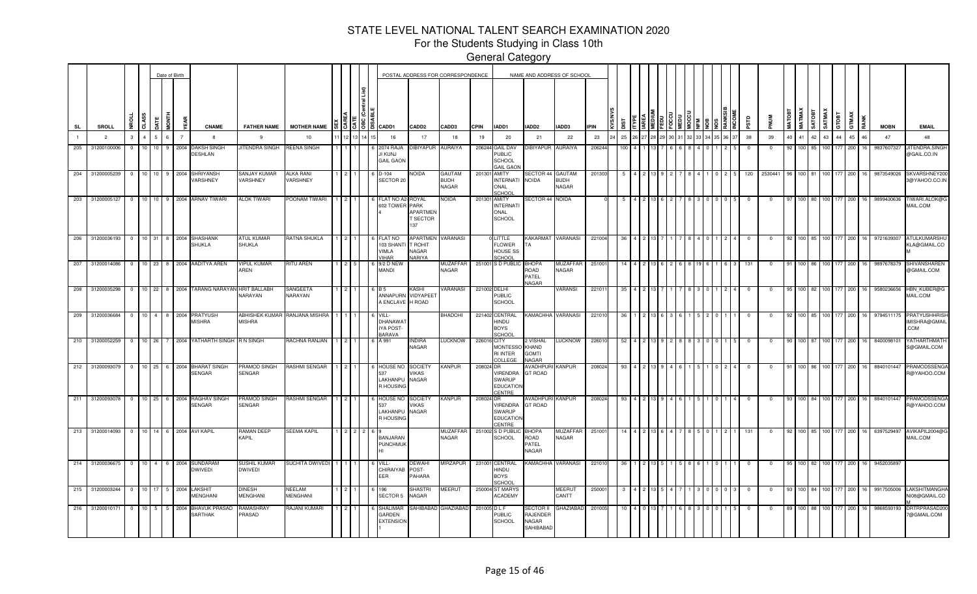For the Students Studying in Class 10th

|                  |                   |                |                |                 |                 | Date of Birth          |                                                         |                                        |                                  |     |                 |          |                                                             |                                                     | POSTAL ADDRESS FOR CORRESPONDENCE |              |                                                               |                                             | NAME AND ADDRESS OF SCHOOL      |             |     |  |  |  |      |            |            |        |                              |                        |                 |       |    |             |                                               |
|------------------|-------------------|----------------|----------------|-----------------|-----------------|------------------------|---------------------------------------------------------|----------------------------------------|----------------------------------|-----|-----------------|----------|-------------------------------------------------------------|-----------------------------------------------------|-----------------------------------|--------------|---------------------------------------------------------------|---------------------------------------------|---------------------------------|-------------|-----|--|--|--|------|------------|------------|--------|------------------------------|------------------------|-----------------|-------|----|-------------|-----------------------------------------------|
| SL               |                   | SROLL          |                | ō               | i<br>So         | EAR                    | <b>CNAME</b>                                            | <b>FATHER NAME</b>                     | <b>MOTHER NAME</b>               |     |                 | [3]3]8]1 | CADD1                                                       | <b>CADD2</b>                                        | CADD3                             | <b>CPIN</b>  | IADD1                                                         | IADD2                                       | IADD3                           | <b>IPIN</b> |     |  |  |  |      | ΠSΡ        |            | MATOBT | <b>MATMAX</b><br><b>ROLA</b> |                        | SATMAX<br>GTOBT | GTMAX |    | <b>MOBN</b> | <b>EMAIL</b>                                  |
| $\mathbf{1}$     |                   | $\overline{2}$ | 3              |                 | 6               | $\overline{7}$         | -8                                                      | 9                                      | 10                               |     | 12 <sup>1</sup> |          | 16                                                          | 17                                                  | 18                                | 19           | 20                                                            | 21                                          | 22                              | 23          | 25  |  |  |  | 6 37 | 38         | 39         | 40     | 41 42                        | 43                     | 44              | 45    | 46 | 47          | 48                                            |
| 205              |                   | 31200100006    | $\Omega$       |                 |                 | 9<br>2004              | <b>AKSH SINGH</b><br><b>DESHLAN</b>                     | <b>ITENDRA SINGH</b>                   | REENA SINGH                      |     |                 |          | 2074 RAJA<br>I KUNJ<br><b>GAON</b>                          | <b>IBIYAPUR</b>                                     | <b>AURAIYA</b>                    |              | 206244 GAIL DAV<br>PUBLIC<br><b>SCHOOL</b><br><b>GAIL GAO</b> | <b>IBIYAPUR</b>                             | <b>AURAIYA</b>                  | 206244      | 100 |  |  |  |      | - 0        | 0          |        | 100   85                     |                        |                 | 200   |    | 9837607327  | JITENDRA.SINGH<br>@GAIL.CO.IN                 |
| 204              |                   | 31200005239    | $\overline{0}$ | 10 <sub>1</sub> | 10 <sup>1</sup> | 9 <sub>1</sub><br>2004 | SHRIYANSH<br><b>/ARSHNEY</b>                            | ANJAY KUMAR<br><b>/ARSHNEY</b>         | ALKA RANI<br>VARSHNEY            |     |                 |          | D-104<br>SECTOR 20                                          | IOIDA                                               | GAUTAM<br><b>BUDH</b><br>NAGAR    | 201301       | AMITY<br><b>INTERNATI</b><br>ONAL<br>SCHOO                    | SECTOR 44 GAUTAM<br><b>NOIDA</b>            | <b>BUDH</b><br><b>NAGAR</b>     | 201303      |     |  |  |  |      | 120        | 2530441    |        | 100 81                       | 100                    | 177             | 200   |    | 9873549026  | SKVARSHNEY200<br>3@YAHOO.CO.IN                |
| 203              |                   | 31200005127    | $\overline{0}$ | $10$ 10         |                 |                        | 9 2004 ARNAV TIWARI                                     | <b>ALOK TIWARI</b>                     | POONAM TIWARI                    |     |                 |          | FLAT NO A2<br>602 TOWER                                     | ROYAL<br>PARK<br>APARTMEN<br><b>T SECTOR</b><br>137 | <b>NOIDA</b>                      | 201301       | <b>AMITY</b><br><b>INTERNAT</b><br>ONAL<br><b>SCHOOL</b>      | SECTOR 44 NOIDA                             |                                 |             |     |  |  |  |      | $^{\circ}$ | $^{\circ}$ | -97    | 100 <sub>l</sub>             | 80 100 177             |                 | 200   |    | 9899430636  | TIWARI.ALOK@G<br>MAIL.COM                     |
| $\overline{206}$ |                   | 31200036193 0  |                | 10 31           |                 |                        | 8 2004 SHASHANK<br><b>HUKLA</b>                         | <b>ATUL KUMAR</b><br>SHUKLA            | RATNA SHUKLA                     |     |                 |          | <b>LAT NO</b><br>103 SHANTI<br><b>/IMLA</b><br><b>JIHAR</b> | APARTMEN<br>T ROHIT<br>VAGAR<br><b>VARIYA</b>       | VARANASI                          |              | LITTLE<br><b>FLOWER</b><br><b>HOUSE SS</b><br><b>SCHOOL</b>   | KAKARMAT VARANASI<br>TA                     |                                 | 221004      | 36  |  |  |  |      | - 0        | $^{\circ}$ | -92    |                              | 100 85 100 177         |                 | 200   | 16 | 9721639307  | ATULKUMARSHU<br>KLA@GMAIL.CO                  |
|                  | 207 31200014086 0 |                |                |                 |                 |                        | 10 23 8 2004 AADITYA AREN                               | <b>IPUL KUMAR</b><br>AREN              | <b>RITU AREN</b>                 |     |                 |          | 9/2 D NEV<br><b>MANDI</b>                                   |                                                     | <b>MUZAFFAR</b><br>NAGAR          |              | 251001 S D PUBLIC                                             | ВНОРА<br>ROAD<br>PATEL<br>NAGAR             | <b>MUZAFFAF</b><br><b>NAGAR</b> | 25100       |     |  |  |  |      | 131        | $^{\circ}$ | -91    |                              | 100 86 100 177 200     |                 |       | 16 | 9897678379  | SHIVANSHAREN<br>@GMAIL.COM                    |
|                  | 208 31200035298 0 |                |                |                 |                 |                        | 10 22 8 2004 TARANG NARAYAN HRIT BALLABH                | NARAYAN                                | SANGEETA<br>VARAYAN              |     |                 |          | ANNAPURN<br><b>ENCLAVE</b>                                  | <b>ASH</b><br>VIDYAPEET<br>H ROAD                   | <b>VARANASI</b>                   | 221002 DELHI | <b>PUBLIC</b><br><b>SCHOOL</b>                                |                                             | VARANSI                         | 22101       | 35  |  |  |  |      | - 0        | 0          |        |                              | 100 82 100 177         |                 | 200   | 16 | 9580236656  | HBN_KUBER@G<br>MAIL.COM                       |
| 209              |                   |                |                |                 |                 |                        | 31200036684 0 10 4 8 2004 PRATYUSH<br><b>MISHRA</b>     | <b>ABHISHEK KUMAR</b><br><b>MISHRA</b> | RANJANA MISHRA                   |     |                 |          | VILL-<br>DHANAWAT<br>IYA POST-<br>BARAVA                    |                                                     | <b>BHADOHI</b>                    |              | 221402 CENTRAL<br>HINDU<br><b>BOYS</b><br>SCHOO               | KAMACHHA VARANASI                           |                                 | 221010      | 36  |  |  |  |      | $^{\circ}$ | $\Omega$   | 92     |                              | 100 85 100 177         |                 | 200   | 16 | 9794511175  | <b>PRATYUSHHRISH</b><br>IMISHRA@GMAIL<br>.COM |
|                  |                   |                |                |                 |                 |                        | 210 31200052259 0 10 26 7 2004 YATHARTH SINGH R N SINGH |                                        | RACHNA RANJAN                    | 112 |                 |          | 6 A 991                                                     | NDIRA<br>NAGAR                                      | <b>LUCKNOW</b>                    | 226016 CITY  | <b>MONTESSO</b><br><b>RI INTER</b><br>COLLEGE                 | 2 VISHAL<br>KHAND<br><b>GOMTI</b><br>NAGAR  | <b>LUCKNOW</b>                  | 226010      | 52  |  |  |  |      | $\Omega$   | $\Omega$   | 90.    |                              | 100 87 100 177         |                 | 200   | 16 | 8400098101  | YATHARTHMATH<br>S@GMAIL.COM                   |
|                  |                   |                |                |                 |                 |                        | 212 31200093079 0 10 25 6 2004 BHARAT SINGH<br>SENGAR   | PRAMOD SINGH<br>SENGAR                 | RASHMISENGAR 1 2 1               |     |                 |          | <b>HOUSE NO</b><br>537<br>LAKHANPU<br>R HOUSING             | <b>SOCIETY</b><br>VIKAS<br>NAGAR                    | <b>KANPUR</b>                     | 208024 DR    | VIRENDRA<br><b>SWARUP</b><br><b>EDUCATION</b><br>CENTRE       | AVADHPURI<br>GT ROAD                        | <b>KANPUR</b>                   | 208024      | 93  |  |  |  |      | $^{\circ}$ | $^{\circ}$ | 91     |                              | 100 86 100 177 200     |                 |       | 16 | 8840101447  | PRAMODSSENGA<br>R@YAHOO.COM                   |
| $\sqrt{211}$     |                   | 31200093078    | $\overline{0}$ | 10 25           |                 |                        | 6 2004 RAGHAV SINGH<br>SENGAR                           | PRAMOD SINGH<br>SENGAR                 | RASHMI SENGAR                    |     |                 |          | HOUSE NO<br>537<br>LAKHANPU<br>R HOUSING                    | SOCIETY<br><b>/IKAS</b><br>NAGAR                    | <b>KANPUR</b>                     | 208024 DR    | VIRENDRA<br>SWARUP<br><b>EDUCATIO</b><br>CENTRE               | AVADHPURI<br><b>GT ROAD</b>                 | <b>KANPUR</b>                   | 208024      | 93  |  |  |  |      |            | 0          |        | 100 l                        | 100                    | 177             | 200   |    | 8840101447  | PRAMODSSENGA<br>R@YAHOO.COM                   |
|                  | 213 31200014093   |                | $^{\circ}$     | 10 <sup>1</sup> | 14              |                        | 6 2004 AVI KAPIL                                        | RAMAN DEEP<br>KAPIL                    | SEEMA KAPIL                      |     |                 |          | BANJARAN<br><b>PUNCHMUK</b>                                 |                                                     | MUZAFFAR<br>NAGAR                 |              | 251002 S D PUBLI<br>SCHOOL                                    | ВНОРА<br>ROAD<br>PATEL<br>NAGAR             | MUZAFFAR<br>NAGAR               | 25100       |     |  |  |  |      | 131        |            |        | 100 85                       |                        | 100 177         | 200   |    | 6397529497  | AVIKAPIL2004@G<br>MAIL.COM                    |
| 214              |                   | 31200036675 0  |                | 10 <sup>1</sup> | $\overline{4}$  | 6 2004                 | <b>SUNDARAM</b><br>DWIVEDI                              | SUSHIL KUMAR<br>DWIVEDI                | SUCHITA DWIVEDI                  |     |                 |          | /ILL-<br>CHIRAIYAB<br>EER                                   | <b>DEWAHI</b><br>POST-<br><b>PAHARA</b>             | <b>MIRZAPUR</b>                   |              | 231001 CENTRAL<br>HINDU<br><b>BOYS</b><br>SCHOO               | KAMACHHA VARANASI                           |                                 | 22101       |     |  |  |  |      |            |            |        | 100.                         | 82<br>100 <sub>1</sub> |                 | 200   | 16 | 9452035897  |                                               |
| 215              |                   | 31200003244 0  |                | 10 17           |                 | 5 <sub>1</sub><br>2004 | LAKSHIT<br>MENGHANI                                     | DINESH<br>MENGHANI                     | <b>NEELAM</b><br><b>MENGHANI</b> |     |                 |          | 196<br><b>SECTOR 5</b>                                      | SHASTRI<br>NAGAR                                    | MEERUT                            |              | 250004 ST MARYS<br><b>ACADEMY</b>                             |                                             | <b>MEERUT</b><br>CANTT          | 25000       |     |  |  |  |      | $^{\circ}$ | $^{\circ}$ | -93    |                              | 100 84 100             | 177             | 200   |    | 9917505006  | LAKSHITMANGHA<br>NI08@GMAIL.CO                |
| 216              |                   | 31200010171    | $^{\circ}$     | 10              |                 | 2004                   | <b>BHAVUK PRASAD</b><br>SARTHAK                         | RAMASHRAY<br><b>PRASAD</b>             | <b>AJANI KUMARI</b>              |     |                 |          | SHALIMAI<br>GARDEN<br><b>EXTENSION</b>                      | AHIBABAD                                            | GHAZIABAD                         | 201005 D L F | <b>PUBLIC</b><br><b>SCHOOL</b>                                | SECTOR II<br>RAJENDEF<br>NAGAR<br>SAHIBABAD | GHAZIABAI                       | 201005      |     |  |  |  |      |            |            |        |                              |                        |                 | 200   |    | 9868593193  | DRTRPRASAD2<br><b>@GMAIL.COM</b>              |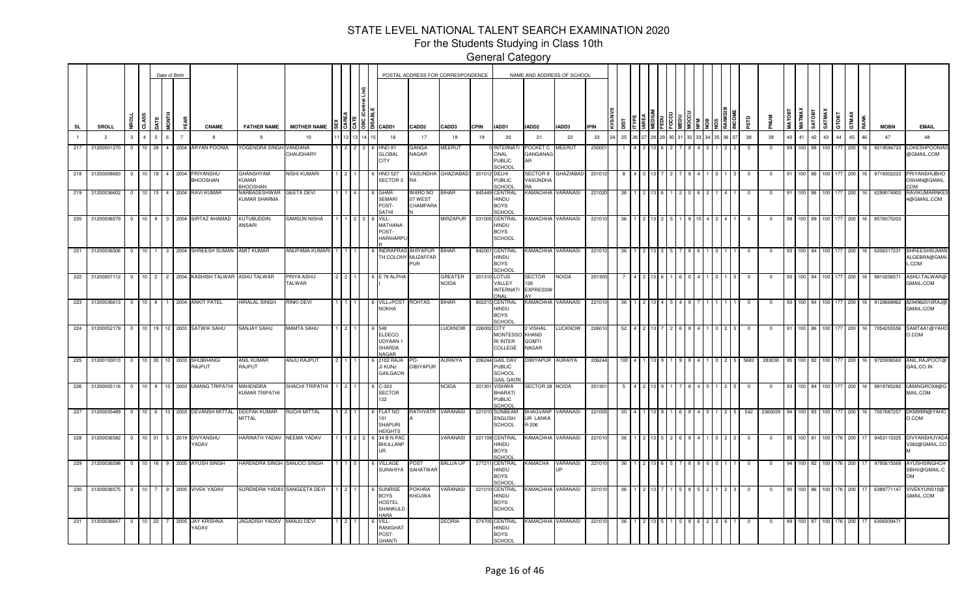For the Students Studying in Class 10th

|                  |                 |               |                |                  | Date of Birth |                        |      |                                   |                                             |                      |  |          |                                                                    |                                              | POSTAL ADDRESS FOR CORRESPONDENCE |             |                                                            |                                            | NAME AND ADDRESS OF SCHOOL |             |            |  |  |  |  |          |          |               |              |                       |       |            |      |             |                                             |
|------------------|-----------------|---------------|----------------|------------------|---------------|------------------------|------|-----------------------------------|---------------------------------------------|----------------------|--|----------|--------------------------------------------------------------------|----------------------------------------------|-----------------------------------|-------------|------------------------------------------------------------|--------------------------------------------|----------------------------|-------------|------------|--|--|--|--|----------|----------|---------------|--------------|-----------------------|-------|------------|------|-------------|---------------------------------------------|
| <b>SL</b>        | SROLL           |               |                | CLASS            |               | in<br>No               | й,   | <b>CNAME</b>                      | <b>FATHER NAME</b>                          | <b>MOTHER NAME</b>   |  | 1월 1일 1월 | CADD1                                                              | CADD <sub>2</sub>                            | CADD3                             | <b>CPIN</b> | IADD1                                                      | IADD2                                      | IADD3                      | <b>IPIN</b> | <b>Sid</b> |  |  |  |  | erse     |          | <b>MATOB1</b> | <b>MATMA</b> | SATMAX<br><b>ROOL</b> | атовт | GTMAX      | RANK | <b>MOBN</b> | <b>EMAIL</b>                                |
|                  | $\overline{2}$  |               | 3              |                  | ĥ.            | $\overline{7}$         |      | $\mathbf{R}$                      | -9                                          | 10                   |  |          | 16                                                                 | 17                                           | 18                                | 19          | 20                                                         | 21                                         | 22                         | 23          | 25         |  |  |  |  | 38       | 39       | 40            | $41 \mid 42$ |                       | 43    | 44<br>45   | 46   | 47          | 48                                          |
| 217              | 31200001270     |               | $^{\circ}$     | 10 <sup>1</sup>  | 28            | $\overline{4}$         | 2004 | <b>ARYAN POONIA</b>               | YOGENDRA SINGI                              | VANDANA<br>CHAUDHARY |  |          | <b>HNO 81</b><br><b>GLOBAL</b><br><b>CITY</b>                      | GANGA<br>NAGAR                               | MEERUT                            |             | <b>INTERNAT</b><br>ONAL<br><b>PUBLIC</b><br><b>CHOOL</b>   | POCKET C<br>GANGANAC<br>AR                 | MEERUT                     | 25000       |            |  |  |  |  |          | 0        |               |              |                       | 100   | 177<br>200 |      | 9219594723  | OKESHPOONI/<br>@GMAIL.COM                   |
| 218              | 31200008683     |               | $\overline{0}$ | 10 <sup>1</sup>  | 18            | 2004<br>4 <sup>1</sup> |      | PRIYANSHU<br><b>HOOSHAN</b>       | GHANSHYAM<br><b>KUMAR</b><br><b>HOOSHAN</b> | NISHI KUMARI         |  |          | <b>HNO 527</b><br><b>SECTOR</b>                                    | <b>ASUNDHA</b><br>R٨                         | <b>GHAZIABAD</b>                  |             | 201012 DELHI<br><b>PUBLIC</b><br>SCHOOL                    | SECTOR 9<br>VASUNDHA                       | GHAZIABAD                  | 20101       |            |  |  |  |  |          |          |               |              |                       |       | 177<br>200 |      | 9718302223  | <b>PRIYANSHUBHC</b><br>OSHAN@GMAIL<br>MO:   |
| 219              | 31200036602     |               | $^{\circ}$     | 10 <sup>1</sup>  | 15            | 2004<br>$\overline{4}$ |      | <b>RAVI KUMAR</b>                 | NARBADESHWAR<br>KUMAR SHARMA                | GEETA DEVI           |  |          | <b>GHAR-</b><br><b>SEMARI</b><br>POST-<br>SATHI                    | <b>WARD NO</b><br>07 WEST<br><b>CHAMPARA</b> | <b>BIHAR</b>                      |             | 845449 CENTRAL<br>HINDU<br><b>BOYS</b><br>SCHOOL           |                                            | KAMACHHA VARANASI          | 221020      |            |  |  |  |  |          |          |               |              |                       |       | 177<br>200 |      | 6299074903  | <b>RAVIKUMARNKE3</b><br>4@GMAIL.COM         |
|                  | 220 31200036579 |               | $\Omega$       |                  |               |                        |      | 10 9 3 2004 SIRTAZ AHAMAD         | KUTUBUDDIN<br>ANSARI                        | SAMSUN NISHA         |  |          | VILL-<br><b>MATHANA</b><br>POST-<br>HARIHARPL                      |                                              | MIRZAPUR                          |             | 231005 CENTRAL<br>HINDU<br><b>BOYS</b><br><b>SCHOOL</b>    |                                            | KAMACHHA VARANASI          | 221010      |            |  |  |  |  |          | - 0      | 88            | 100 89       |                       | 100   | 177<br>200 |      | 8576075203  |                                             |
|                  | 221 31200036506 |               | $\overline{0}$ |                  |               |                        |      | 10 1 3 2004 SHREESH SUMAN         | <b>AMIT KUMAR</b>                           | ANUPAMA KUMAR        |  |          | H COLONY                                                           | NDRAPRAS AHIYAPUR<br>MUZAFFAR<br>PUR.        | <b>BIHAR</b>                      |             | 842001 CENTRAL<br>HINDU<br>BOYS<br>SCHOOL                  |                                            | KAMACHHA VARANASI          | 221010      |            |  |  |  |  |          |          |               |              |                       |       | 77<br>200  |      | 6206317231  | SHREESHSUMAN<br><b>ALGEBRA@GMAI</b><br>.COM |
| 222              |                 | 31200007112 0 |                |                  |               |                        |      | 10 2 2 2004 KASHISH TALWAR        | ASHU TALWAR                                 | PRIYA ASHU<br>TALWAR |  |          | E 79 ALPHA                                                         |                                              | GREATER<br>NOIDA                  |             | 201310 LOTUS<br>/ALLEY<br><b>INTERNATI</b><br><b>NAI</b>   | SECTOR<br>126<br><b>EXPRESSW</b>           | NOIDA                      | 201303      |            |  |  |  |  | $\Omega$ | $\Omega$ |               | 100 84       |                       | 100   | 177<br>200 |      | 9810256571  | ASHU.TALWAR@<br>GMAIL.COM                   |
|                  | 223 31200036613 |               | $\overline{0}$ | $10 \quad 8$     |               |                        |      | 1 2004 ANKIT PATEL                | HIRALAL SINGH                               | RINKI DEVI           |  |          | VILL+POS<br><b>NOKHA</b>                                           | ROHTAS                                       | BIHAR                             | 802215      | <b>CENTRAL</b><br>HINDU<br><b>BOYS</b><br>SCHOOL           | KAMACHHA VARANASI                          |                            | 221010      |            |  |  |  |  |          |          |               |              |                       |       | 177<br>200 |      | 9128668962  | 8294962010RAJ@<br>GMAIL.COM                 |
| 224              | 31200052179     |               | $\overline{0}$ |                  |               |                        |      | 10 19 12 2003 SATWIK SAHU         | SANJAY SAHU                                 | MAMTA SAHU           |  |          | <b>ELDECO</b><br>UDYAAN-1<br>SHARDA<br><b>JAGAR</b>                |                                              | <b>LUCKNOW</b>                    | 226002 CITY | <b>MONTESSO</b><br><b>RI INTER</b><br>COLLEGE              | 2 VISHAL<br>KHAND<br><b>GOMTI</b><br>NAGAR | LUCKNOW                    | 226010      | 52         |  |  |  |  |          |          |               |              |                       | 100   | 177<br>200 |      | 7054255556  | SAMTAA1@YAHO<br>O.COM                       |
| 225              |                 | 31200100013 0 |                | 10 30            |               | 10 2003                |      | SHUBHANGI<br>RAJPUT               | ANIL KUMAR<br>RAJPUT                        | ANJU RAJPUT          |  |          | 102 RAJ<br><b>JI KUNJ</b><br><b>GAILGAON</b>                       | ٥G-<br><b>DIBIYAPUR</b>                      | AURAIYA                           |             | 206244 GAIL DAV<br>PUBLIC<br>SCHOOL<br><b>GAIL GAO</b>     | DIBIYAPUR                                  | AURAIYA                    | 206244      | 100        |  |  |  |  | 5683     | 283030   |               | 100 82       |                       | 100   | 177<br>200 |      | 9720006563  | ANIL.RAJPOOT@<br>GAIL.CO.IN                 |
| 226              |                 | 31200005116 0 |                | 10 <sup>1</sup>  | 9             | 10 2003                |      | <b>UMANG TRIPATHI</b>             | MAHENDRA<br>KUMAR TRIPATHI                  | SHACHI TRIPATHI      |  |          | C-323<br><b>SECTOR</b><br>122                                      |                                              | NOIDA                             | 201301      | <b>VISHWA</b><br><b>BHARATI</b><br><b>PUBLIC</b><br>SCHOOL | SECTOR 28 NOIDA                            |                            | 20130       |            |  |  |  |  |          |          |               | 100 84       | 100                   |       | 177<br>200 |      | 9818765282  | UMANGROX8@G<br>MAIL.COM                     |
| 227              | 31200035489     |               | $\overline{0}$ | 10 <sup>10</sup> | 6             |                        |      | 10 2003 DEVANSH MITTAL            | DEEPAK KUMAR<br>MITTAL                      | RUCHI MITTAL         |  |          | <b>FLAT NO</b><br>101<br><b>SHAPURI</b><br><b>HEIGHTS</b>          | RATHYATR                                     | <b>VARANASI</b>                   | 221010      | <b>SUNBEAM</b><br>ENGLISH<br><b>SCHOOL</b>                 | UR LANKA<br>R-206                          | BHAGVANP VARANASI          | 221005      | -35        |  |  |  |  | 542      | 2360039  |               | 100   83     |                       | 100   | 177<br>200 | 16   | 7007687257  | DKM99IN@YAHO<br>O.COM                       |
| 228              |                 | 31200036582   | $\overline{0}$ | 10 31            |               |                        |      | 5 2019 DIVYANSHU<br><b>ADAV</b>   | HARINATH YADAV NEEMA YADAV                  |                      |  |          | 34 B N PAC<br><b>BHULLANP</b><br><b>IIR</b>                        |                                              | VARANASI                          |             | 221108 CENTRAL<br>HINDU<br><b>BOYS</b><br>SCHOOL           |                                            | KAMACHHA VARANASI          | 221010      |            |  |  |  |  |          |          |               | 100 81       |                       | 100   | 76<br>200  |      | 9453115325  | <b>DIVYANSHUYADA</b><br>/282@GMAIL.CO       |
| $\overline{229}$ | 31200036598     |               | $\overline{0}$ | 10 <sup>1</sup>  | 16            | 9                      | 2005 | AYUSH SINGH                       | HARENDRA SINGH                              | SANJOO SINGH         |  |          | VILLAGE<br><b>SURAHIYA</b>                                         | POST<br>SAHATWAR                             | <b>BALLIA UP</b>                  | 277211      | CENTRAL<br>HINDU<br><b>BOYS</b><br>SCHOOL                  | KAMACHA                                    | VARANASI                   | 22101       |            |  |  |  |  |          |          |               |              |                       |       | 176<br>200 |      | 9795615568  | AYUSHSINGHCH<br>SBHV@GMAIL.C<br><b>OM</b>   |
| 230              | 31200036575     |               | $\Omega$       |                  |               | 9                      | 2005 | <b>VIVEK YADAV</b>                | SURENDRA YADAV SANGEETA DEVI                |                      |  |          | <b>SUNRISI</b><br>BOYS<br><b>HOSTEL</b><br>SHANKULD<br><b>HARA</b> | <b>OKHRA</b><br><b>AWLOH&gt;</b>             | /ARANASI                          |             | 221010 CENTRAL<br>HINDU<br><b>BOYS</b><br><b>SCHOOL</b>    |                                            | KAMACHHA VARANASI          | 221010      |            |  |  |  |  |          |          |               |              |                       | 100   | 176<br>200 |      | 6388771147  | VIVEKYUNS10@<br>GMAIL.COM                   |
| 231              |                 | 31200036647 0 |                | 10 <sup>1</sup>  | 22            |                        | 2005 | <b>JAY KRISHNA</b><br><b>ADAV</b> | JAGADISH YADAV MANJU DEVI                   |                      |  |          | VILL-<br>RANIGHAT<br>POST-<br><b>GHANTI</b>                        |                                              | DEORIA                            |             | 274705 CENTRAL<br>HINDU<br><b>BOYS</b><br>SCHOOL           |                                            | KAMACHHA VARANASI          | 22101       |            |  |  |  |  |          |          |               |              |                       | 100.  | 176<br>200 |      | 6306939471  |                                             |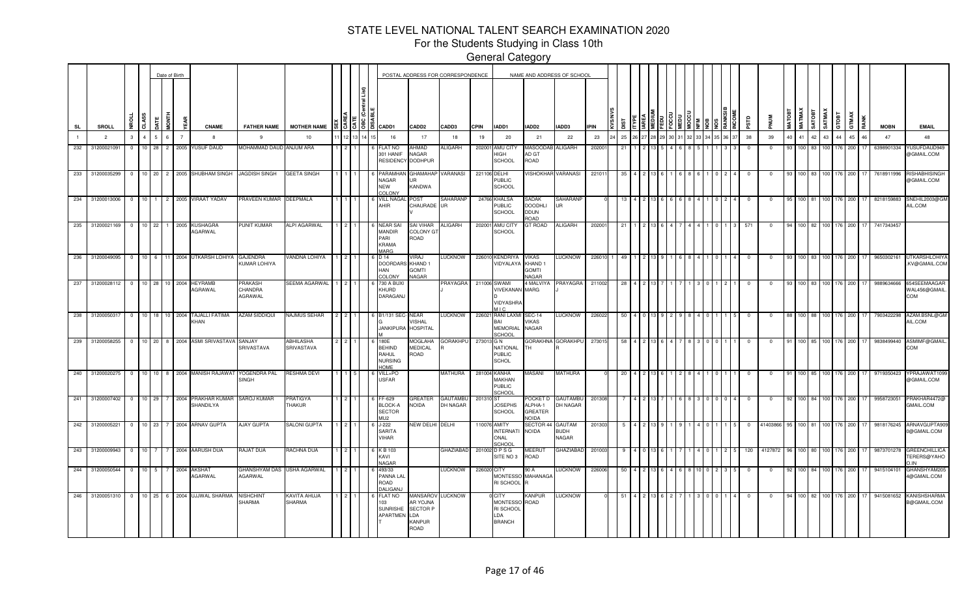For the Students Studying in Class 10th

|     |                                 |                 |                |             | Date of Birth       |                                        |                                       |                               |  |                                                                 | POSTAL ADDRESS FOR CORRESPONDENCE                                       |                             |             |                                                                         | NAME AND ADDRESS OF SCHOOL                            |                                       |             |            |  |  |  |  |            |            |               |                        |                  |                    |              |    |             |                                                  |
|-----|---------------------------------|-----------------|----------------|-------------|---------------------|----------------------------------------|---------------------------------------|-------------------------------|--|-----------------------------------------------------------------|-------------------------------------------------------------------------|-----------------------------|-------------|-------------------------------------------------------------------------|-------------------------------------------------------|---------------------------------------|-------------|------------|--|--|--|--|------------|------------|---------------|------------------------|------------------|--------------------|--------------|----|-------------|--------------------------------------------------|
| SL  | SROLL                           | NBOLL           | CLASS          | <b>JATE</b> | <b>MONTH</b><br>ă   | <b>CNAME</b>                           | <b>FATHER NAME</b>                    | MOTHER NAME 555               |  | CADD1                                                           | CADD <sub>2</sub>                                                       | CADD3                       | <b>CPIN</b> | IADD1                                                                   | IADD <sub>2</sub>                                     | IADD3                                 | <b>IPIN</b> | <b>Sic</b> |  |  |  |  | ΡSΤD       |            | <b>MATOBT</b> | <b>MATMAX</b><br>TEGTA |                  | SATMAX<br>GTOBT    | <b>GTMAX</b> |    | <b>MOBN</b> | <b>EMAIL</b>                                     |
|     | $\overline{2}$                  | $3 -$           | $\overline{4}$ | 5           | 6                   | 8                                      | 9                                     | 10                            |  | 16                                                              | 17                                                                      | 18                          | 19          | 20                                                                      | 21                                                    | 22                                    | 23          | 25         |  |  |  |  | 38         | 39         |               | 41                     | 42 43            | 44                 | 45           | 46 | 47          | 48                                               |
| 232 | 3120002109                      | $\mathbf{0}$    | $10$ 28        |             | $2^{\circ}$<br>2005 | <b>YUSUF DAUD</b>                      | MOHAMMAD DAUD ANJUM ARA               |                               |  | <b>LAT NO</b><br><b>801 HANIF</b><br><b>RESIDENCY</b>           | AHMAD<br>NAGAR<br><b>DODHPUR</b>                                        | ALIGARH                     | 202001      | AMU CITY<br>HIGH<br><b>SCHOOL</b>                                       | <b>MASOODA</b><br>AD GT<br>ROAD                       | <b>ALIGARH</b>                        | 20200       | 21         |  |  |  |  |            |            |               | $100$ 83               | 100 <sub>1</sub> | 76                 | 200          |    | 6398901334  | YUSUFDAUD949<br>@GMAIL.COM                       |
| 233 | 31200035299                     |                 |                |             |                     | 0 10 20 2 2005 SHUBHAM SINGH           | JAGDISH SINGH                         | <b>GEETA SINGH</b>            |  | PARAMHAN<br>NAGAR<br><b>NEW</b><br>OLONY                        | GHAMAHAP<br><b>IR</b><br>KANDWA                                         | VARANASI                    |             | 221106 DELHI<br><b>PUBLIC</b><br><b>SCHOOL</b>                          | VISHOKHAR VARANASI                                    |                                       | 22101       | -35        |  |  |  |  | $^{\circ}$ | $^{\circ}$ |               |                        |                  | 100 83 100 176     | 200          |    | 7618911996  | <b>RISHABHISINGH</b><br>@GMAIL.COM               |
| 234 | 31200013006                     |                 |                |             |                     | 0   10   1   2   2005   VIRAAT YADAV   | PRAVEEN KUMAR DEEPMALA                |                               |  | VILL NAG.<br>AHIR                                               | POST<br>CHAURADE UR                                                     | SAHARANP                    |             | 24766 KHALSA<br>PUBLIC<br><b>SCHOOL</b>                                 | SADAK<br><b>DOODHLI</b><br><b>DDUN</b><br>ROAD        | <b>SAHARANP</b><br>UR                 |             |            |  |  |  |  |            |            | 95            | 100 81                 |                  | 100 176            | 200          |    | 8218159883  | SNEHIL2003@GM<br>AIL.COM                         |
|     | 235 31200021169                 | $0 \t 10 \t 22$ |                |             |                     | 1 2005 KUSHAGRA<br>AGARWAL             | PUNIT KUMAR                           | ALPI AGARWAL                  |  | <b>NEAR SA</b><br><b>MANDIR</b><br>PARI<br><b>KRAMA</b><br>MARG | SAI VIHAR<br><b>COLONY GT</b><br>ROAD                                   | ALIGARH                     |             | 202001 AMU CITY<br><b>SCHOOL</b>                                        | <b>GT ROAD</b>                                        | <b>ALIGARH</b>                        | 202001      | -21        |  |  |  |  | 571        | $\Omega$   |               |                        |                  | 100 82 100 176     | 200          |    | 7417343457  |                                                  |
| 236 | 31200049095                     | $0 \t10 \t6$    |                |             |                     | 11 2004 UTKARSH LOHIYA                 | GAJENDRA<br>KUMAR LOHIYA              | VANDNA LOHIYA                 |  | D 14<br>DOORDARS KHAND 1<br>HAN<br>COLONY                       | VIRAJ<br><b>GOMTI</b><br>NAGAR                                          | <b>LUCKNOW</b>              |             | 226010 KENDRIYA<br>VIDYALAYA KHAND 1                                    | <b>VIKAS</b><br><b>GOMTI</b><br><b>NAGAR</b>          | <b>LUCKNOW</b>                        | 226010 1    | -49        |  |  |  |  | $\Omega$   | $^{\circ}$ | 93            |                        |                  | 100 83 100 176     | 200          |    | 9650302161  | <b>UTKARSHLOHIYA</b><br>KV@GMAIL.COM             |
|     | 237 31200028112 0 10 28 10 2004 |                 |                |             |                     | <b>HEYRAMB</b><br>AGRAWAL              | <b>PRAKASH</b><br>CHANDRA<br>AGRAWAL  | SEEMA AGARWAL                 |  | 730 A BU><br>KHURD<br>DARAGANJ                                  |                                                                         | PRAYAGRA                    |             | 211006 SWAMI<br><b>VIVEKANAN MARG</b><br><b>VIDYASHRA</b><br><b>MIC</b> | 4 MALVIYA                                             | PRAYAGRA                              | 211002      | -28        |  |  |  |  |            |            |               | 100 83                 |                  | 100 176            | 200          | 17 | 9889634666  | 654SEEMAAGAR<br>WAL456@GMAIL.<br>COM             |
|     | 238 31200050317                 |                 |                |             |                     | 0 10 18 10 2004 TAJALLI FATIMA<br>KHAN | <b>AZAM SIDDIQUI</b>                  | NAJMUS SEHAR                  |  | B1/131 SEC-<br><b>JANKIPURA</b>                                 | <b>NEAR</b><br>VISHAL<br><b>HOSPITAL</b>                                | <b>LUCKNOW</b>              | 226021      | <b>RANI LAXMI</b><br>BAI<br><b>MEMORIAL</b><br>CHOOL                    | <b>SEC-14</b><br><b>VIKAS</b><br>NAGAR                | <b>LUCKNOW</b>                        | 226022      | 50         |  |  |  |  | 0          | 0          |               |                        |                  | 100 88 100 176 200 |              | 17 | 7903422298  | AZAM.BSNL@GM<br>AIL.COM                          |
| 239 | 31200058255                     |                 |                |             |                     | 0 10 20 8 2004 ASMI SRIVASTAVA SANJAY  | SRIVASTAVA                            | ABHILASHA<br>SRIVASTAVA       |  | 180E<br><b>BEHIND</b><br>RAHUL<br><b>NURSING</b><br>HOME        | <b>MOGLAHA</b><br><b>MEDICAL</b><br>ROAD                                | GORAKHPU                    | 273013 G N  | NATIONAL<br><b>PUBLIC</b><br><b>SCHOL</b>                               | тн                                                    | GORAKHNA GORAKHPU                     | 273015      | -58        |  |  |  |  | $^{\circ}$ | $^{\circ}$ | 91            |                        |                  | 100 85 100 176 200 |              | 17 | 9838499440  | ASMIMF@GMAIL<br>COM                              |
| 240 | 31200020275                     |                 |                |             |                     | 0 10 10 8 2004 MANISH RAJAWAT          | YOGENDRA PAL<br><b>SINGH</b>          | <b>RESHMA DEVI</b>            |  | VILL+PO<br><b>USFAR</b>                                         |                                                                         | MATHURA                     |             | 281004 KANHA<br>MAKHAN<br><b>PUBLIC</b><br>SCHOOL                       | MASANI                                                | <b>MATHURA</b>                        |             |            |  |  |  |  |            |            |               |                        |                  | 176                | 200          |    | 9719350423  | YPRAJAWAT109<br>@GMAIL.COM                       |
| 241 | 31200007402                     | $\circ$         | 10 29          |             | 7 2004              | PRAKHAR KUMAR SAROJ KUMAR<br>SHANDILYA |                                       | <b>PRATIGYA</b><br>THAKUR     |  | FF-629<br><b>BLOCK-A</b><br><b>SECTOR</b><br>CI IM              | GREATER<br><b>NOIDA</b>                                                 | <b>GAUTAMBU</b><br>DH NAGAR | 201310 ST   | <b>JOSEPHS</b><br>SCHOOL                                                | POCKET D<br>ALPHA-1<br><b>GREATER</b><br><b>NOIDA</b> | <b>GAUTAMBU</b><br>DH NAGAR           | 201308      |            |  |  |  |  |            |            |               |                        |                  |                    | 200          |    | 9958723051  | PRAKHAR4472@<br>GMAIL.COM                        |
|     | 242 31200005221                 |                 |                |             |                     | 0 10 23 7 2004 ARNAV GUPTA             | AJAY GUPTA                            | <b>SALONI GUPTA</b>           |  | J-222<br><b>SARITA</b><br>/IHAR                                 | NEW DELHI                                                               | <b>DELHI</b>                |             | 110076 AMITY<br><b>INTERNATI</b><br>ONAL<br>CHOOL                       | SECTOR 44<br><b>NOIDA</b>                             | <b>GAUTAM</b><br><b>BUDH</b><br>NAGAR | 20130       |            |  |  |  |  |            | 4140386    |               | 100 I                  | 100              | 176                | 200          |    | 9818176245  | ARNAVGUPTA909<br>0@GMAIL.COM                     |
|     | 243 31200009943                 | $0$ 10 7        |                |             |                     | 7 2004 AARUSH DUA                      | RAJAT DUA                             | RACHNA DUA                    |  | K B 103<br>KAVI<br><b>NAGAR</b>                                 |                                                                         | GHAZIABAD                   |             | 201002 D P S G<br>SITE NO 3                                             | <b>MEERUT</b><br>ROAD                                 | <b>GHAZIABAD</b>                      | 201003      |            |  |  |  |  | 120        | 4127872    |               |                        |                  | 100 80 100 176     | 200          | 17 | 9873701278  | <b>GREENCHILLICA</b><br><b>TERERS@YAHO</b><br>IN |
| 244 | 31200050544                     | $\circ$         | $10 \quad 5$   |             | 7 2004              | <b>AKSHAT</b><br>AGARWAL               | GHANSHYAM DAS USHA AGARWAL<br>AGARWAL |                               |  | 493/33<br>PANNA LAL<br>ROAD<br>ALIGANJ                          |                                                                         | <b>LUCKNOW</b>              | 226020 CITY | RI SCHOOL                                                               | 90 A<br>MONTESSO MAHANAGA<br>R                        | <b>LUCKNOW</b>                        | 226006      | -50        |  |  |  |  | - 0        | $\Omega$   | -92           |                        |                  | 100 84 100 176     | 200          | 17 | 9415104101  | GHANSHYAM205<br>4@GMAIL.COM                      |
| 246 | 31200051310                     | $\circ$         |                |             |                     | 10 25 6 2004 UJJWAL SHARMA             | NISHCHINT<br>SHARMA                   | KAVITA AHUJA<br><b>SHARMA</b> |  | LAT NO<br>03<br><b>SUNRISHE</b><br>APARTMEN LDA                 | <b>MANSAROV</b><br>AR YOJNA<br><b>SECTOR P</b><br><b>KANPUR</b><br>ROAD | <b>LUCKNOW</b>              |             | <b>CITY</b><br><b>MONTESSO</b><br>RI SCHOOL<br>LDA<br><b>BRANCH</b>     | <b>KANPUR</b><br>ROAD                                 | <b>LUCKNOW</b>                        |             |            |  |  |  |  |            |            |               | 100 I                  |                  | 82 100 176         | 200          |    | 9415081652  | <b>KANISHSHARMA</b><br>B@GMAIL.COM               |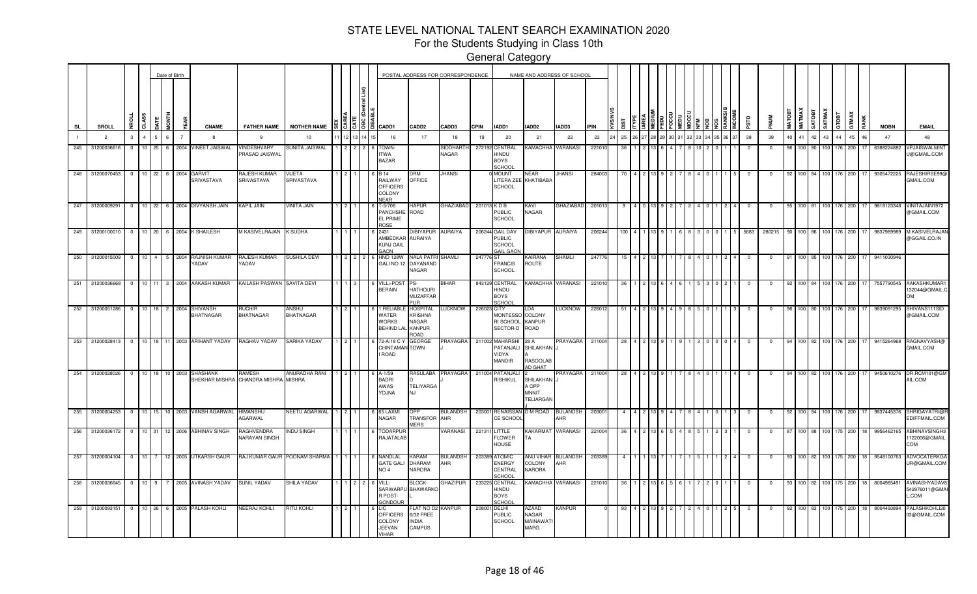For the Students Studying in Class 10th

|                |                 |                |                |                 |                        | Date of Birth  |                               |                                                |                           |      |      |                                                                    |                                                                     | POSTAL ADDRESS FOR CORRESPONDENCE |             |                                                                      |                                                  | NAME AND ADDRESS OF SCHOOL |             |      |         |  |  |                |            |            |               |                  |             |                  |                    |       |    |             |                                             |
|----------------|-----------------|----------------|----------------|-----------------|------------------------|----------------|-------------------------------|------------------------------------------------|---------------------------|------|------|--------------------------------------------------------------------|---------------------------------------------------------------------|-----------------------------------|-------------|----------------------------------------------------------------------|--------------------------------------------------|----------------------------|-------------|------|---------|--|--|----------------|------------|------------|---------------|------------------|-------------|------------------|--------------------|-------|----|-------------|---------------------------------------------|
| <b>SL</b>      |                 | SROLL          | CLASS          |                 | i<br>Tag<br><b>ATE</b> |                | <b>CNAME</b>                  | <b>FATHER NAME</b>                             | <b>MOTHER NAME</b>        |      | 1515 | <b>CADD1</b>                                                       | CADD <sub>2</sub>                                                   | CADD3                             | <b>CPIN</b> | IADD1                                                                | IADD2                                            | IADD3                      | <b>IPIN</b> |      |         |  |  |                | ΠSΡ        | <b>MUN</b> | <b>MATOB1</b> | <b>MATMAX</b>    | <b>ROLA</b> | SATMAY           | GTOBT              | GTMAX |    | <b>MOBN</b> | <b>EMAIL</b>                                |
| $\overline{1}$ |                 | $\overline{2}$ | $\mathbf{3}$   | $\overline{4}$  | 6<br>5                 | $\overline{7}$ | -8                            | -9                                             | 10                        |      |      | 16                                                                 | 17                                                                  | 18                                | 19          | 20                                                                   | 21                                               | 22                         | 23          | 25   |         |  |  |                | 38         | 39         | 40            | 41               | 42          | 43               | 44                 | 45    | 46 | 47          | 48                                          |
| 245            |                 | 31200036616    | $\mathbf{0}$   | 10              | 25<br>6                | 2004           | <b>INEET JAISWAL</b>          | VINDESHVARY<br><b>PRASAD JAISWAL</b>           | SUNITA JAISWAL            |      |      | <b>TOWN</b><br><b>ITWA</b><br><b>BAZAR</b>                         |                                                                     | <b>SIDDHARTH</b><br>NAGAR         | 272192      | CENTRAL<br>UONIH<br><b>BOYS</b><br>SCHOO                             | <b>KAMACHHA</b>                                  | <b>VARANASI</b>            | 22101       |      |         |  |  |                |            |            |               | 100.             |             | 100 I            |                    | 200   |    | 6388224882  | <b>VPJAISWALMIN</b><br>J@GMAIL.COM          |
| 248            |                 | 31200070453    | $\overline{0}$ |                 |                        | 10 22 6 2004   | GARVIT<br>SRIVASTAVA          | RAJESH KUMAR<br>SRIVASTAVA                     | VIJETA<br>SRIVASTAVA      |      |      | <b>B</b> 14<br>RAILWAY<br><b>OFFICERS</b><br>COLONY<br><b>NEAR</b> | )RM<br>OFFICE                                                       | <b>JHANSI</b>                     |             | <b>MOUNT</b><br><b>SCHOOL</b>                                        | NEAR<br>LITERA ZEE KHATIBABA                     | <b>JHANSI</b>              | 284003      | - 70 |         |  |  |                | $^{\circ}$ | $^{\circ}$ | 92            |                  |             | 100 84 100 176   |                    | 200   | 17 | 9305472225  | RAJESHIRSE99@<br>GMAIL.COM                  |
| 247            |                 | 31200009291    | $\overline{0}$ | $10 \quad 22$   |                        |                | 6 2004 DIVYANSH JAIN          | KAPIL JAIN                                     | <b>VINITA JAIN</b>        |      |      | $-5/706$<br>PANCHSHI<br>EL PRIME<br><b>ROSE</b>                    | HAPUR<br>ROAD                                                       | GHAZIABAD                         |             | 201013 KDB<br><b>PUBLIC</b><br><b>SCHOOL</b>                         | KAVI<br>NAGAR                                    | GHAZIABAD                  | 201013      |      |         |  |  |                |            | $^{\circ}$ |               | 100 81           |             | 100              | 176                | 200   |    | 9818123348  | VINITAJAIN1972<br>@GMAIL.COM                |
| 249            |                 | 31200100010    | $\overline{0}$ | 10 <sup>1</sup> | 20<br>6                |                | 2004 K SHAILESH               | M KASIVELRAJAN                                 | <b>K SUDHA</b>            |      |      | 2431<br>AMBEDKAR<br><b>KUNJ GAIL</b><br><b>GAON</b>                | <b>DIBIYAPUR</b><br><b>AURAIYA</b>                                  | <b>AURAIYA</b>                    |             | 206244 GAIL DAV<br><b>PUBLIC</b><br><b>SCHOOL</b><br><b>GAIL GAO</b> | <b>IBIYAPUR</b>                                  | <b>AURAIYA</b>             | 206244      | 100  |         |  |  |                | 5683       | 280215     |               | 100.             |             |                  | 176                | 200   |    | 9837989989  | M.KASIVELRAJA<br>@GGAIL.CO.IN               |
| 250            |                 | 31200015009    | $\Omega$       | 10              | $\mathbf{4}$<br>5      | 2004           | RAJNISH KUMAR<br><b>ADAV</b>  | RAJESH KUMAR<br>YADAV                          | SUSHILA DEVI              |      |      | <b>HNO 128W</b><br>GALI NO 12                                      | NALA PATR<br>DAYANAND<br>NAGAR                                      | SHAMLI                            | 247776      | <b>FRANCIS</b><br>SCHOOL                                             | KAIRANA<br>ROUTE                                 | <b>SHAMLI</b>              | 24777       | 15   |         |  |  |                |            | $\Omega$   |               | 100 <sub>1</sub> |             | 100 <sub>l</sub> | 176                | 200   |    | 9411030946  |                                             |
| 251            |                 | 31200036668    | $^{\circ}$     | 10              | l 11                   |                | 3 2004 AAKASH KUMAR           | KAILASH PASWAN SAVITA DEVI                     |                           |      |      | VILL+POS<br><b>BERAIN</b>                                          | PS-<br><b>HATHOURI</b><br><b>MUZAFFAR</b><br>PUR                    | <b>SIHAR</b>                      |             | 843129 CENTRAL<br>HINDU<br><b>BOYS</b><br>SCHOOL                     | KAMACHHA VARANASI                                |                            | 22101       | -36  |         |  |  |                |            | 0          | -92           | 100 84           |             | 100 176          |                    | 200   |    | 7557790545  | AAKASHKUMAR1<br>132044@GMAIL.C<br><b>OM</b> |
|                | 252 31200051286 |                | $^{\circ}$     |                 |                        | 10 18 2 2004   | SHIVANSH<br>BHATNAGAR         | <b>IUCHIR</b><br><b>BHATNAGAR</b>              | <b>\NSHU</b><br>BHATNAGAR |      |      | RELIAB<br>WATER<br><b>VORKS</b><br>BEHIND LA                       | HOSPITAL<br><b>KRISHNA</b><br>NAGAR<br><b>KANPUR</b><br><b>OAOR</b> | <b>LUCKNOW</b>                    | 226023 CITY | <b>MONTESSC</b><br>RI SCHOOL<br>SECTOR-D                             | LDA<br>COLONY<br><b>KANPUR</b><br>ROAD           | LUCKNOW                    | 226012      |      |         |  |  |                |            |            |               |                  |             |                  | 176                | 200   |    | 9839091295  | SHIVANS111SID<br>@GMAIL.COM                 |
| 253            |                 | 31200028413    |                |                 |                        |                | 0 10 18 11 2003 ARIHANT YADAV | RAGHAV YADAV                                   | SARIKA YADAV              |      |      | 72-A/18 C<br>CHINTAMAN TOWN<br>ROAD                                | GEORGE                                                              | <b>PRAYAGRA</b>                   |             | 211002 MAHARSH<br>PATANJALI<br>VIDYA<br><b>MANDIR</b>                | 28 A<br>SHILAKHAN<br><b>RASOOLAB</b><br>AD GHAT  | <b>PRAYAGRA</b>            | 211004      | 28   |         |  |  | ∩ I 4          | $^{\circ}$ | $^{\circ}$ | 94            |                  |             |                  | 100 82 100 176 200 | 17    |    | 9415264968  | <b>RAGNAVYASH@</b><br>GMAIL.COM             |
| 254            |                 | 31200028026    | $\overline{0}$ |                 |                        |                | 10 18 10 2003 SHASHANK        | RAMESH<br>SHEKHAR MISHRA CHANDRA MISHRA MISHRA | ANURADHA RANI             | 1121 |      | A-1/59<br><b>BADRI</b><br>AWAS<br><b>ANLOY</b>                     | RASULABA<br><b>TELIYARGA</b><br>NJ.                                 | PRAYAGRA                          |             | 211004 PATANJALI<br><b>RISHIKUL</b>                                  | SHILAKHAN<br>A OPP<br><b>MNNIT</b><br>TELIARGAN  | PRAYAGRA                   | 211004      | 28   | 2 1 1 3 |  |  | $\overline{4}$ | $\Omega$   | $^{\circ}$ | 94            |                  |             |                  | 100 82 100 176 200 |       | 17 | 9450610276  | DR.RCM101@GM<br>AIL.COM                     |
| 255            |                 | 31200004253    | $\overline{0}$ |                 |                        |                | 10 15 10 2003 VANSH AGARWAL   | <b>HIMANSHU</b><br>AGARWAL                     | NEETU AGARWAL             | 1121 |      | 65 LAXMI<br><b>NAGAR</b>                                           | OPP<br>TRANSFOR AHR<br><b>JERS</b>                                  | <b>BULANDSH</b>                   | 203001      | <b>RENAISSA</b><br>CE SCHOO                                          | D M ROAD                                         | <b>BULANDSH</b><br>AHR     | 203001      |      |         |  |  |                | $^{\circ}$ | $^{\circ}$ | 92            |                  |             | 100 84 100       | 176                | 200   |    | 9837445376  | SHRIGAYATRI@R<br>EDIFFMAIL.COM              |
| 256            |                 | 31200036172    | $\Omega$       | 10 31           |                        |                | 12 2006 ABHINAV SINGH         | RAGHVENDRA<br>NARAYAN SINGH                    | <b>NDU SINGH</b>          |      |      | TODARPU<br>RAJATALAB                                               |                                                                     | VARANASI                          | 221311      | LITTLE<br>FLOWER<br>HOUSE                                            | KAKARMAT<br>ΤА                                   | VARANASI                   | 22100       |      |         |  |  |                |            |            |               | 100              |             |                  |                    | 200   |    | 9956462165  | ABHINAVSINGH3<br>122006@GMAIL.<br>COM       |
|                | 257 31200004104 |                | $\Omega$       |                 |                        |                | 10 7 12 2005 UTKARSH GAUR     | RAJ KUMAR GAUR                                 | POONAM SHARMA             |      |      | NANDLAL<br><b>GATE GAL</b><br>NO <sub>4</sub>                      | KARAM<br>DHARAM<br>NARORA                                           | <b>BULANDSH</b><br>AHR            |             | 203389 ATOMIC<br>ENERGY<br>CENTRAL<br>SCHOOL                         | ANU VIHAR<br>COLONY<br>NARORA                    | <b>BULANDSH</b><br>AHR     | 20338       |      |         |  |  |                |            |            |               | 100.             | 82.         | 100 L            | 175                | 200   |    | 9548100763  | ADVOCATERKGA<br>UR@GMAIL.COM                |
|                | 258 31200036645 |                | $^{\circ}$     | $10$ 9          |                        |                | 7 2005 AVINASH YADAV          | SUNIL YADAV                                    | SHILA YADAV               |      |      | VILL-<br>SARWARPI<br><b>POST-</b><br><b>GONDOUR</b>                | BLOCK-<br><b>BHAWARK</b>                                            | <b>GHAZIPUR</b>                   | 23322       | CENTRAL<br>HINDU<br><b>BOYS</b><br>SCHOOL                            | KAMACHHA                                         | VARANASI                   | 22101       |      |         |  |  |                |            |            |               |                  |             |                  |                    | 200   |    | 800498549   | AVINASHYADAV8<br>542976011@GMAI<br>L.COM    |
| 259            |                 | 31200093151    | $^{\circ}$     | 10 26           |                        | 6 2005         | PALASH KOHLI                  | NEERAJ KOHLI                                   | ritu kohli                |      |      | -IC<br>OFFICERS<br>COLONY<br><b>JEEVAN</b><br>/IHAR                | LAT NO D2<br>3/32 FREE<br><b>NDIA</b><br>CAMPUS                     | KANPUR                            | 20800       | <b>DELHI</b><br><b>PUBLIC</b><br><b>SCHOOL</b>                       | AZAAD<br><b>NAGAR</b><br>MAINAWAT<br><b>MARG</b> | KANPUR                     |             |      |         |  |  |                |            |            |               |                  | 100   83    | 100              | 175                | 200   |    | 8004493894  | PALASHKOHLI20<br>03@GMAIL.COM               |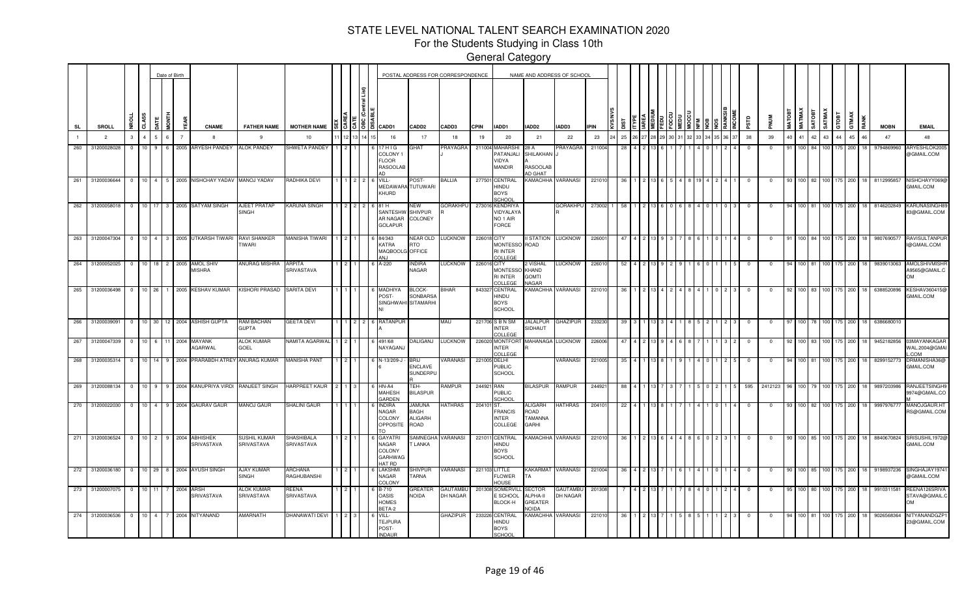For the Students Studying in Class 10th

|        |                   |              |                                   |                    |            | Date of Birth  |                                         |                                 |                                 |  |                                              |                                                               |                                         | POSTAL ADDRESS FOR CORRESPONDENCE |             |                                                                     |                                                      | NAME AND ADDRESS OF SCHOOL  |             |     |  |  |  |      |            |             |               |                        |          |                         |                    |      |             |                                             |
|--------|-------------------|--------------|-----------------------------------|--------------------|------------|----------------|-----------------------------------------|---------------------------------|---------------------------------|--|----------------------------------------------|---------------------------------------------------------------|-----------------------------------------|-----------------------------------|-------------|---------------------------------------------------------------------|------------------------------------------------------|-----------------------------|-------------|-----|--|--|--|------|------------|-------------|---------------|------------------------|----------|-------------------------|--------------------|------|-------------|---------------------------------------------|
| SL     | SROLL             | £.           | 5                                 |                    | <b>END</b> | ξú             | <b>CNAME</b>                            | <b>FATHER NAME</b>              | <b>MOTHER NAME</b>              |  | $\frac{15}{3}$ $\frac{18}{3}$ $\frac{18}{3}$ | CADD1                                                         | CADD <sub>2</sub>                       | CADD3                             | <b>CPIN</b> | IADD1                                                               | IADD2                                                | IADD3                       | <b>IPIN</b> |     |  |  |  |      | ΠSΡ        | <b>MUN</b>  | <b>MATOBT</b> | MATMAX<br><b>GOTAS</b> | SATMAX   | GTOBT                   | GTMAX              | RANK | <b>MOBN</b> | <b>EMAIL</b>                                |
|        | $\overline{2}$    | $\mathbf{3}$ |                                   |                    |            | $\overline{7}$ | -8                                      | 9                               | 10                              |  |                                              | 16                                                            | 17                                      | 18                                | 19          | 20                                                                  | 21                                                   | 22                          | 23          | 25  |  |  |  | 6 37 | 38         | 39          | 40            | 41                     | 43<br>42 | 44                      | 45                 | 46   | 47          | 48                                          |
| $-260$ | 31200028028       | $\Omega$     | $10^{-1}$                         | $\mathbf{Q}$       |            | 6 2005         | ARYESH PANDEY                           | <b>ALOK PANDEY</b>              | SHWETA PANDEY                   |  |                                              | 17 H I G<br>COLONY<br><b>FLOOR</b><br>RASOOLAB                | ЭНАТ                                    | PRAYAGRA                          | 211004      | MAHARSHI<br>PATANJALI<br>VIDYA<br>MANDIR                            | 28 A<br>SHILAKHAN<br><b>RASOOLAE</b><br>AD GHAT      | PRAYAGRA                    | 211004      |     |  |  |  |      |            | $^{\circ}$  | 91            | 100 84                 |          | 100 <sup>1</sup><br>175 | 200                |      | 9794869960  | ARYESHLOK200<br>@GMAIL.COM                  |
| $-261$ | 31200036644       |              | $\overline{0}$                    | $10 \quad 4 \quad$ |            |                | 5 2005 NISHCHAY YADAV MANOJ YADAV       |                                 | RADHIKA DEVI                    |  |                                              | VILL-<br>MEDAWARA TUTUWARI<br>KHURD                           | POST-                                   | BALLIA                            |             | 277501 CENTRAL<br>HINDU<br><b>BOYS</b><br><b>SCHOOL</b>             | KAMACHHA                                             | VARANASI                    | 22101       |     |  |  |  |      |            | $^{\circ}$  |               | 100 82                 | 100      | 175                     | 200                | 18   | 8112995857  | NISHCHAYY069@<br>GMAIL.COM                  |
| 262    | 31200058018       |              | 10<br>$\mathbf{0}$                | 17                 | 3          |                | 2005 SATYAM SINGH                       | AJEET PRATAP<br><b>SINGH</b>    | <b>KARUNA SINGH</b>             |  |                                              | 81 H<br>SANTESHW<br>AR NAGAR<br><b>GOLAPUR</b>                | <b>NEW</b><br><b>SHIVPUR</b><br>COLONEY | GORAKHPU                          |             | 273016 KENDRIYA<br>VIDYALAYA<br>NO <sub>1</sub> AIR<br><b>FORCE</b> |                                                      | <b>GORAKHPU</b>             | 273002      | -58 |  |  |  |      | 0          | $\Omega$    |               | 100   81               |          | 100 L<br>175.           | 200                | 18   | 8146202849  | <b>KARUNASINGH8</b><br>83@GMAIL.COM         |
| 263    | 31200047304       |              | $\overline{0}$<br>10 <sup>1</sup> | $\overline{4}$     |            |                | 3 2005 UTKARSH TIWARI                   | RAVI SHANKER<br>`IWARI          | MANISHA TIWARI                  |  |                                              | 84/343<br>KATRA<br>MAQBOOLG OFFICE                            | NEAR OLD<br>RTO                         | <b>LUCKNOW</b>                    | 226018 CITY | <b>MONTESSO</b><br><b>RI INTER</b><br>COLLEGE                       | <b>II STATION LUCKNOW</b><br>ROAD                    |                             | 22600       |     |  |  |  |      |            |             |               |                        |          |                         | 200                |      | 980769057   | RAVISULTANPUI<br>I@GMAIL.COM                |
| 264    | 31200052025 0     |              |                                   |                    |            |                | 10 18 2 2005 AMOL SHIV<br><b>MISHRA</b> | ANURAG MISHRA                   | ARPITA<br>SRIVASTAVA            |  |                                              | A-220                                                         | <b>NDIRA</b><br>NAGAR                   | LUCKNOW                           | 226016 CITY | <b>MONTESSC</b><br><b>RI INTER</b><br>COLLEGE                       | 2 VISHAL<br>KHAND<br><b>GOMTI</b><br>NAGAR           | <b>LUCKNOW</b>              | 22601       | 52  |  |  |  |      | $^{\circ}$ | $^{\circ}$  | 94            | 100 81 100 175         |          |                         | 200                | 18   | 9839013063  | AMOLSHIVMISHF<br>A9565@GMAIL.C<br><b>OM</b> |
| 265    | 31200036498       |              | $\overline{\mathbf{0}}$           | $10$ 26            |            |                | 1 2005 KESHAV KUMAR                     | KISHORI PRASAD                  | <b>SARITA DEVI</b>              |  |                                              | MADHIY/<br>POST-<br>SINGHWAHI SITAMARHI                       | BLOCK-<br><b>SONBARSA</b>               | <b>BIHAR</b>                      |             | 843327 CENTRAL<br>HINDU<br><b>BOYS</b><br><b>SCHOOL</b>             |                                                      | KAMACHHA VARANASI           | 22101       |     |  |  |  |      |            | $\mathbf 0$ |               |                        |          | 100   83   100   175    | 200                |      | 6388520896  | KESHAV360415@<br>GMAIL.COM                  |
|        | 266 31200039091 0 |              |                                   |                    |            |                | 10 30 12 2004 ASHISH GUPTA              | RAM BACHAN<br><b>GUPTA</b>      | <b>GEETA DEVI</b>               |  |                                              | RATANPUR                                                      |                                         | <b>MAU</b>                        |             | 221706 S B N SM<br><b>INTER</b><br>COLLEGE                          | JALALPUR GHAZIPUR<br>SIDHAUT                         |                             | 233230      | 39  |  |  |  |      | $^{\circ}$ | $^{\circ}$  | -97           |                        |          |                         | 100 78 100 175 200 | 18   | 6386680010  |                                             |
| 267    | 31200047339       |              | $\overline{0}$<br>10 <sup>1</sup> | 6                  |            |                | 11 2004 MAYANK<br><b>GARWAL</b>         | <b>ILOK KUMAR</b><br>GOEL       | <b>JAMITA AGARWAL</b>           |  |                                              | 491/68<br>NAYAGANJ                                            | DALIGANJ                                | <b>LUCKNOW</b>                    |             | 226020 MONTFOR<br><b>INTER</b><br>COLLEGE                           | MAHANAGA LUCKNOW                                     |                             | 226006      |     |  |  |  |      | - 0        |             |               | 100 83 100 175         |          |                         | 200                |      | 9452182856  | 03MAYANKAGAR<br>WAL.2004@GMAI<br>.COM       |
| 268    | 31200035314       | $^{\circ}$   | 10.                               |                    | 9          | 2004           | PRARABDH ATREY ANURAG KUMAR             |                                 | <b>MANISHA PANT</b>             |  |                                              | N-13/209-J                                                    | 3RIJ<br>ENCLAVE<br>SUNDERPU             | <b>VARANASI</b>                   |             | 221005 DELHI<br><b>PUBLIC</b><br><b>SCHOOL</b>                      |                                                      | VARANASI                    | 221005      |     |  |  |  |      |            | $\Omega$    |               | 100 81                 |          |                         | 200                |      | 8299152773  | DRMANISHA36@<br>GMAIL.COM                   |
| 269    | 31200088134       |              | $\overline{0}$<br>10 <sub>1</sub> | 9                  |            |                | 9 2004 KANUPRIYA VIRDI                  | RANJEET SINGH                   | HARPREET KAUR                   |  |                                              | HN-A4<br><b>MAHESH</b><br><b>GARDEN</b>                       | TEH-<br><b>BILASPUR</b>                 | RAMPUR                            | 244921 RAN  | <b>PUBLIC</b><br>SCHOOL                                             | 3ILASPUR                                             | RAMPUR                      | 24492       |     |  |  |  |      | 595        | 2412123     |               |                        |          |                         | 200                |      | 98972039    | RANJEETSINGH9<br>9974@GMAIL.CO              |
| 270    | 31200022030       |              | $\Omega$<br>10 <sup>1</sup>       | $\overline{4}$     |            |                | 9 2004 GAURAV GAUR                      | <b>MANOJ GAUR</b>               | SHALINI GAUR                    |  |                                              | NDIRA<br>NAGAR<br>COLONY<br>OPPOSITE                          | Jamuna<br>BAGH<br>ALIGARH<br>ROAD       | HATHRAS                           | 204101 ST.  | <b>FRANCIS</b><br><b>INTER</b><br>COLLEGE                           | ALIGARH<br>ROAD<br><b>TAMANNA</b><br>GARHI           | HATHRAS                     | 20410       | 22  |  |  |  |      |            |             |               |                        |          |                         | 200                |      | 999797677   | MANOJGAUR.HT<br>RS@GMAIL.COM                |
| 271    | 31200036524       | $^{\circ}$   | 10 <sub>10</sub>                  | $\overline{2}$     |            | 9 2004         | <b>ABHISHEK</b><br>SRIVASTAVA           | SUSHIL KUMAR<br>SRIVASTAVA      | <b>SHASHIBALA</b><br>SRIVASTAVA |  |                                              | <b>GAYATRI</b><br>NAGAR<br>COLONY<br>GARHWAG<br><b>HAT RD</b> | SAMNEGHA<br><b>T LANKA</b>              | <b>VARANASI</b>                   |             | 221011 CENTRAL<br>HINDU<br><b>BOYS</b><br>SCHOOL                    | KAMACHHA                                             | VARANASI                    | 22101       |     |  |  |  |      |            | $^{\circ}$  |               | 100                    |          |                         | 200                |      | 8840670824  | SRISUSHIL1972@<br>GMAIL.COM                 |
|        | 272 31200036180 0 |              |                                   | $10$ 29            |            |                | 8 2004 AYUSH SINGH                      | AJAY KUMAR<br><b>SINGH</b>      | ARCHANA<br>RAGHUBANSHI          |  |                                              | LAKSHMI<br>NAGAR<br>COLONY                                    | SHIVPUR<br>TARNA                        | VARANASI                          |             | 221103 LITTLE<br>FLOWER<br>HOUSE                                    | KAKARMAT VARANASI<br>TA                              |                             | 22100       |     |  |  |  |      | $^{\circ}$ | $^{\circ}$  | 90            | 100 85 100 175 200     |          |                         |                    | 18   | 9198937236  | SINGHAJAY1974<br>@GMAIL.COM                 |
| 273    | 31200007075 0     |              | 10 <sup>1</sup>                   |                    |            | 2004           | ARSH<br>SRIVASTAVA                      | <b>ALOK KUMAR</b><br>SRIVASTAVA | REENA<br>SRIVASTAVA             |  |                                              | B-710<br><b>DASIS</b><br><b>HOMES</b><br>BETA-2               | <b>GREATER</b><br>ACIDA                 | <b>GAUTAMBU</b><br>DH NAGAR       |             | 201308 SOMERVIL<br>E SCHOOL<br>BLOCK-H                              | <b>SECTOR</b><br>ALPHA-II<br>GREATER<br><b>NOIDA</b> | <b>GAUTAMBU</b><br>DH NAGAR | 201308      |     |  |  |  |      | - 0        | $\Omega$    |               | 100 80                 |          | 100                     | 200                |      | 9910311581  | REENA126SRIVA<br>STAVA@GMAIL.C<br>OM        |
| 274    | 31200036536       |              | 10 <sub>1</sub><br>$\overline{0}$ | $\overline{4}$     | 7          |                | 2004 NITYANAND                          | <b>MARNATH</b>                  | DHANAWATI DEVI                  |  |                                              | VILL-<br><b>TEJPURA</b><br>POST-<br><b>NDAUR</b>              |                                         | GHAZIPUR                          | 233226      | CENTRAL<br>HINDU<br><b>BOYS</b><br><b>SCHOOL</b>                    | KAMACHHA                                             | VARANASI                    | 221010      |     |  |  |  |      |            |             |               | 100 ∎ 81               |          | 100 175                 | 200                | 18   | 9026568364  | NITYANANDGZP1<br>23@GMAIL.COM               |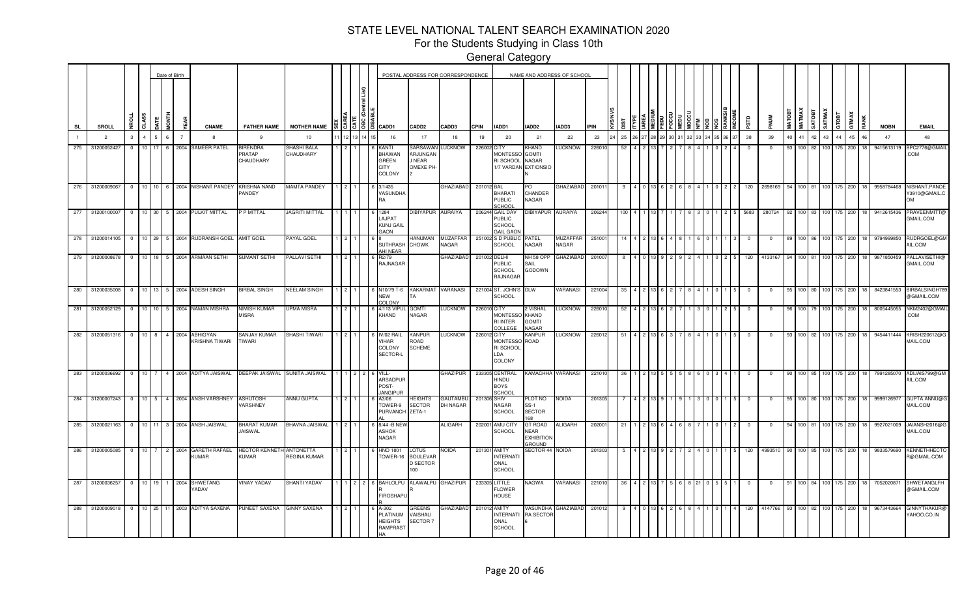For the Students Studying in Class 10th

|           |                 |                |                 |                | Date of Birth          |                                   |                                               |                          |  |                                                                                                    |                                                    | POSTAL ADDRESS FOR CORRESPONDENCE |             |                                                               |                                                       | NAME AND ADDRESS OF SCHOOL |             |       |  |  |  |       |          |             |        |                  |               |                  |            |               |             |                                             |
|-----------|-----------------|----------------|-----------------|----------------|------------------------|-----------------------------------|-----------------------------------------------|--------------------------|--|----------------------------------------------------------------------------------------------------|----------------------------------------------------|-----------------------------------|-------------|---------------------------------------------------------------|-------------------------------------------------------|----------------------------|-------------|-------|--|--|--|-------|----------|-------------|--------|------------------|---------------|------------------|------------|---------------|-------------|---------------------------------------------|
| <b>SL</b> | <b>SROLL</b>    | ٩P             | <b>CLASS</b>    |                | İDNT                   | <b>CNAME</b>                      | <b>FATHER NAME</b>                            | <b>MOTHER NAME</b>       |  | $\frac{3}{5}$ $\frac{5}{5}$ $\frac{18}{5}$ $\frac{2}{5}$ $\frac{2}{5}$ $\frac{1}{5}$ $\frac{2}{5}$ | CADD <sub>2</sub>                                  | CADD3                             | <b>CPIN</b> | IADD1                                                         | IADD2                                                 | IADD3                      | <b>IPIN</b> | ឌី    |  |  |  |       | αrs      |             | MATOBI | <b>MATMA</b>     | <b>TEOTAS</b> | SATMAX<br>GTOBT  |            | GTMAX<br>RANK | <b>MOBN</b> | <b>EMAIL</b>                                |
|           | $\overline{2}$  | $\mathbf{3}$   | $\overline{4}$  | $\sqrt{2}$     | 6                      | -8                                | -9                                            | 10                       |  | 16                                                                                                 | 17                                                 | 18                                | 19          | 20                                                            | 21                                                    | 22                         | 23          | 25    |  |  |  | 36 37 | 38       | 39          | 40     | 41 42 43         |               |                  | 44         | 45<br>46      | 47          | 48                                          |
| 275       | 31200052427     | $\Omega$       | 10 <sup>1</sup> | 17             | 6 2004                 | SAMEER PATEL                      | <b>BIRENDRA</b><br><b>PRATAP</b><br>CHAUDHARY | SHASHI BALA<br>CHAUDHARY |  | KANTI<br><b>BHAWAN</b><br>GREEN<br>CITY<br>COLONY                                                  | <b>SARSAWAM</b><br>ARJUNGAN<br>J NEAR<br>OMEXE PH  | <b>LUCKNOW</b>                    | 226002 CITY | <b>MONTESSC</b><br>RI SCHOOL<br>1/7 VARDAN                    | KHAND<br><b>GOMTI</b><br>NAGAR<br><b>EXTIONSIO</b>    | <b>LUCKNOW</b>             | 22601       | -52   |  |  |  |       | $\Omega$ | $\mathbf 0$ | 93     | 100 82           |               | 100              | 200<br>175 |               | 9415613119  | BPC2776@GMAIL<br>COM                        |
| 276       | 31200009067     | $^{\circ}$     |                 |                |                        | 10 10 6 2004 NISHANT PANDEY       | KRISHNA NAND<br>PANDEY                        | <b>MAMTA PANDEY</b>      |  | 3/1435<br>VASUNDHA                                                                                 |                                                    | <b>GHAZIABAD</b>                  | 201012      | <b>BAL</b><br><b>BHARATI</b><br><b>PUBLIC</b><br>CHOOL        | PO<br>CHANDER<br>NAGAR                                | GHAZIABAD                  | 201011      |       |  |  |  |       | 120      | 2698169     |        | 100 81           |               | 100 175          |            | 200           | 9958784468  | NISHANT.PANDE<br>Y3910@GMAIL.C<br><b>OM</b> |
| 277       | 31200100007     | $^{\circ}$     |                 |                | 10 30 5 2004           | PULKIT MITTAL                     | P MITTAL                                      | JAGRITI MITTAL           |  | 1284<br>LAJPAT<br><b>KUNJ GAIL</b><br><b>GAON</b>                                                  | <b>DIBIYAPUR</b>                                   | <b>AURAIYA</b>                    | 206244      | <b>GAIL DAV</b><br><b>PUBLIC</b><br>SCHOOL<br><b>GAIL GAO</b> | <b>IBIYAPUR</b>                                       | <b>AURAIYA</b>             | 206244      | 1 N.C |  |  |  |       | 5683     | 280724      |        |                  |               | 100 83 100 175   | 200        |               | 9412615436  | PRAVEENMITT@<br>GMAIL.COM                   |
| 278       | 31200014105     | $^{\circ}$     | 10 29           |                | 5 2004                 | RUDRANSH GOEL AMIT GOEL           |                                               | PAYAL GOEL               |  | <b>SUTHRASH</b><br>AHI NEAR                                                                        | HANUMAN<br>CHOWK                                   | MUZAFFAR<br>NAGAR                 |             | 251002 S D PUBLIC<br>SCHOOL                                   | PATEL<br>NAGAR                                        | MUZAFFAR<br><b>NAGAR</b>   | 25100       |       |  |  |  |       |          |             |        |                  |               |                  |            | 200           | 97949998    | RUDRGOEL@GM<br>AIL.COM                      |
| 279       | 31200008678     | $\Omega$       | 10 <sup>1</sup> | 18             | $5^{\circ}$<br>2004    | <b>ARMAAN SETHI</b>               | <b>SUMANT SETHI</b>                           | PALLAVI SETHI            |  | R2/79<br>RAJNAGAR                                                                                  |                                                    | GHAZIABAD                         |             | 201002 DELHI<br><b>PUBLIC</b><br><b>SCHOOL</b><br>RAJNAGAR    | NH 58 OPP<br>SAIL<br>GODOWN                           | <b>GHAZIABAD</b>           | 20100       |       |  |  |  |       | 120      | 413316      |        |                  |               |                  |            | 200           | 9871850459  | PALLAVISETHI<br>GMAIL.COM                   |
| 280       | 31200035008     | $\overline{0}$ |                 |                |                        | 10 13 5 2004 ADESH SINGH          | <b>BIRBAL SINGH</b>                           | <b>NEELAM SINGH</b>      |  | N10/79 T-6<br><b>NEW</b><br>COLONY                                                                 | KAKARMAT                                           | VARANASI                          |             | 221004 ST. JOHN'S<br>SCHOOL                                   | DLW                                                   | <b>VARANASI</b>            | 22100       | -35   |  |  |  |       |          | $\mathbf 0$ |        |                  |               |                  | 175<br>200 |               | 8423841553  | BIRBALSINGH78<br>@GMAIL.COM                 |
| $-281$    | 31200052129     | $\overline{0}$ |                 |                |                        | 10 10 5 2004 NAMAN MISHRA         | NIMISH KUMAR<br>MISRA                         | UPMA MISRA               |  | 4/113 VIPL<br>KHAND                                                                                | <b>GOMTI</b><br>NAGAR                              | <b>LUCKNOW</b>                    | 226010 CITY | MONTESSC<br><b>RI INTER</b><br>COLLEGE                        | 2 VISHAL<br>KHAND<br><b>GOMTI</b><br><b>NAGAR</b>     | <b>LUCKNOW</b>             | 22601       | -52   |  |  |  |       | $\Omega$ | $^{\circ}$  | 96     | 100 <sup>1</sup> |               | 100 <sup>1</sup> | 175<br>200 |               | 8005445055  | NKM2402@GMAIL<br>COM                        |
|           | 282 31200051316 | $^{\circ}$     | $10 \quad 8$    |                |                        | 4 2004 ABHIGYAN<br>KRISHNA TIWARI | SANJAY KUMAR<br>TIWARI                        | SHASHI TIWARI            |  | IV/02 RAIL<br>/IHAR<br>COLONY<br>SECTOR-L                                                          | Kanpur<br>ROAD<br><b>SCHEME</b>                    | LUCKNOW                           | 226012 CITY | <b>MONTESSO</b><br>RI SCHOOL<br>LDA<br>COLONY                 | KANPUR<br>ROAD                                        | LUCKNOW                    | 226012      | -51   |  |  |  |       |          | 0           |        | 100 82           |               | 100              | 175        | 200           | 9454411444  | KRISH220612@G<br>MAIL.COM                   |
| 283       | 31200036692     | $\mathbf{0}$   | 10 <sup>1</sup> | $\overline{7}$ |                        | 4 2004 ADITYA JAISWAL             | DEEPAK JAISWAL SUNITA JAISWAL                 |                          |  | VILL-<br>ARSADPUR<br>POST-<br><b>ANGIPU</b>                                                        |                                                    | <b>GHAZIPUR</b>                   |             | 233305 CENTRAL<br><b>HINDU</b><br><b>BOYS</b><br>SCHOOL       |                                                       | KAMACHHA VARANASI          | 221010      | 36    |  |  |  |       | $\Omega$ | $\Omega$    |        | 100 85           |               | 100 175          |            | 200<br>18     | 7991285070  | ADIJAIS799@GM<br>AIL.COM                    |
| 284       | 31200007243     | $\overline{0}$ |                 |                |                        | 10 5 4 2004 ANSH VARSHNEY         | ASHUTOSH<br>VARSHNEY                          | ANNU GUPTA               |  | A3/06<br>TOWER-9<br><b>PURVANCH</b>                                                                | <b>IEIGHTS</b><br><b>SECTOR</b><br>ZETA-1          | GAUTAMBU<br>DH NAGAR              | 201306 SHIV | <b>NAGAR</b><br><b>SCHOOL</b>                                 | PLOT NO<br><b>SS-1</b><br><b>SECTOR</b>               | <b>NOIDA</b>               | 201305      |       |  |  |  |       |          | $\Omega$    |        | 100 I            |               |                  | 175        | 200           | 999912697   | GUPTA.ANNU@<br>MAIL.COM                     |
| 285       | 31200021163     | $\mathbf{0}$   | 10 11           |                |                        | 3 2004 ANSH JAISWAL               | <b>BHARAT KUMAR</b><br>JAISWAL                | BHAVNA JAISWAL 1 2       |  | 8/44 - BNE<br><b>ASHOK</b><br><b>NAGAR</b>                                                         |                                                    | ALIGARH                           | 202001      | <b>AMU CITY</b><br>SCHOOL                                     | <b>GT ROAD</b><br>NEAR<br><b>EXHIBITION</b><br>GROUND | <b>ALIGARH</b>             | 20200       | 21    |  |  |  |       |          |             |        |                  |               |                  | 200        |               | 9927021009  | JAIANSH2016@0<br>MAIL.COM                   |
| 286       | 31200005085     | $^{\circ}$     | 10 <sup>1</sup> | $\overline{7}$ | 2004<br>2 <sup>1</sup> | <b>GARETH RAFAEL</b><br>KUMAR     | HECTOR KENNETH ANTONETTA<br><b>KUMAR</b>      | REGINA KUMAR             |  | <b>HNO 1801</b><br>TOWER-16                                                                        | LOTUS<br><b>BOULEVAR</b><br><b>D SECTOR</b><br>100 | <b>NOIDA</b>                      | 201301      | AMITY<br><b>INTERNAT</b><br>ONAL<br><b>SCHOOL</b>             | SECTOR 44 NOIDA                                       |                            | 201303      |       |  |  |  |       | 120      | 4993510     |        | 100              |               |                  | 175<br>200 |               | 9833579690  | <b>KENNETHHECT</b><br>R@GMAIL.COM           |
| 287       | 31200036257     | $\overline{0}$ | 10 19           |                | 1 2004                 | SHWETANG<br><b>ADAV</b>           | VINAY YADAV                                   | SHANTI YADAV             |  | <b>BAHLOLPU</b><br>FIROSHAPL                                                                       | ALAWALPU                                           | <b>GHAZIPUR</b>                   |             | 233305 LITTLE<br><b>FLOWER</b><br><b>HOUSE</b>                | NAGWA                                                 | VARANASI                   | 22101       |       |  |  |  |       |          |             |        | 100 I            |               | 100              | 175<br>200 |               | 705202087   | <b>SHWETANGLFI</b><br>@GMAIL.COM            |
| 288       | 31200009018     | $\Omega$       | 10 <sup>1</sup> | 25             |                        | 11 2003 ADITYA SAXENA             | <b>UNEET SAXENA</b>                           | <b>GINNY SAXENA</b>      |  | A-302<br>PLATINUM<br><b>HEIGHTS</b><br>RAMPRAST                                                    | <b>GREENS</b><br>VAISHALI<br>SECTOR <sub>7</sub>   | GHAZIABAD                         |             | 201012 AMITY<br><b>INTERNATI</b><br>ONAL<br><b>SCHOOL</b>     | VASUNDHA<br><b>RA SECTOR</b>                          | <b>GHAZIABAD</b>           | 20101       |       |  |  |  |       | 120      | 4147766     |        | 100 82           |               | 100              | 200<br>175 |               | 9673443664  | <b>GINNYTHAKUR</b><br>YAHOO.CO.IN           |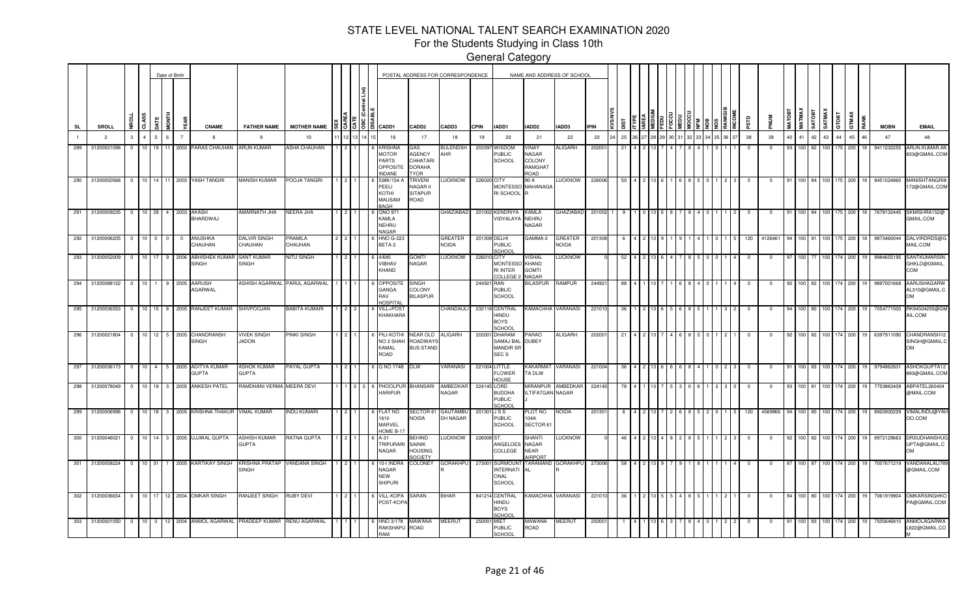For the Students Studying in Class 10th

|           |     |                 |                |                 | Date of Birth           |             |                         |                                          |                                              |                     |                         |                                                                          |                                                                  | POSTAL ADDRESS FOR CORRESPONDENCE |              |                                                                    | NAME AND ADDRESS OF SCHOOL                        |                                |             |    |  |  |  |  |            |            |               |               |               |                |       |                     |             |                                            |
|-----------|-----|-----------------|----------------|-----------------|-------------------------|-------------|-------------------------|------------------------------------------|----------------------------------------------|---------------------|-------------------------|--------------------------------------------------------------------------|------------------------------------------------------------------|-----------------------------------|--------------|--------------------------------------------------------------------|---------------------------------------------------|--------------------------------|-------------|----|--|--|--|--|------------|------------|---------------|---------------|---------------|----------------|-------|---------------------|-------------|--------------------------------------------|
| <b>SL</b> |     | SROLL           | š              | CLASS           | <b>JATE</b>             | <b>SONT</b> |                         | <b>CNAME</b>                             | <b>FATHER NAME</b>                           | <b>MOTHER NAME</b>  | $ \xi $ $ \xi $ $ \xi $ | a CADD1                                                                  | CADD <sub>2</sub>                                                | CADD3                             | <b>CPIN</b>  | IADD1                                                              | IADD2                                             | IADD3                          | <b>IPIN</b> |    |  |  |  |  | esra       |            | <b>MATOBT</b> | <b>MATMAX</b> | <b>GATOBT</b> | SATMAX         | GTOBT | GTMAX<br><b>RAN</b> | <b>MOBN</b> | <b>EMAIL</b>                               |
|           |     | $\overline{2}$  | $\mathbf{3}$   | $\overline{4}$  | $5^{\circ}$             | 6           |                         | 8                                        | - 9                                          | 10                  |                         | 16                                                                       | 17                                                               | 18                                | 19           | 20                                                                 | 21                                                | 22                             | 23          | 25 |  |  |  |  | 38         | 39         | 40            | 41 42 43      |               |                | 44    | 45<br>46            | 47          | 48                                         |
|           | 289 | 31200021098     | $^{\circ}$     | 10 <sup>1</sup> | 19                      | 11 2003     |                         | PARAS CHAUHAN                            | <b>ARUN KUMAR</b>                            | <b>ASHA CHAUHAN</b> |                         | <b>RISHNA</b><br><b>MOTOR</b><br>PARTS<br><b>OPPOSIT</b><br><b>NDANE</b> | GAS<br><b>AGENCY</b><br>CHHATARI<br><b>DORAHA</b><br><b>TYOR</b> | <b>BULENDSH</b><br>AHR            | 203397       | WISDOM<br>PUBLIC<br><b>SCHOOL</b>                                  | VINAY<br>NAGAR<br>COLONY<br>RAMGHAT<br><b>OAO</b> | <b>ALIGARH</b>                 | 20200       |    |  |  |  |  |            | $^{\circ}$ | 93            | 100 82        |               | 100 L          | 175   | 200                 | 9411232255  | ARUN.KUMAR.AI<br>833@GMAIL.COM             |
| 290       |     | 31200050568     | $^{\circ}$     | 10 14           |                         |             |                         | 11 2003 YASH TANGRI                      | <b>MANISH KUMAR</b>                          | POOJA TANGRI        |                         | 538K/154<br><b>EELI</b><br>KOTHI<br><b>MAUSAM</b><br><b>BAGH</b>         | <b>TRIVENI</b><br>NAGAR II<br><b>SITAPUR</b><br>ROAD             | <b>LUCKNOW</b>                    | 226020 CITY  | <b>MONTESSO</b><br>RI SCHOOL                                       | 90 A<br><b>MAHANAGA</b>                           | LUCKNOW                        | 226006      |    |  |  |  |  |            | $^{\circ}$ |               | 100 84        |               | 100            | 175   | 200                 | 9451024860  | <b>MANISHTANGRI8</b><br>72@GMAIL.COM       |
| 291       |     | 31200009235     | $\overline{0}$ | 10 29           |                         |             |                         | 4 2003 AKASH<br>BHARDWAJ                 | AMARNATH JHA                                 | NEERA JHA           |                         | QNO 971<br>KAMLA<br>NEHRU<br>NAGAR                                       |                                                                  | <b>GHAZIABAD</b>                  | 201002       | <b>KENDRIYA</b><br>VIDYALAYA                                       | KAMLA<br>NEHRU<br>NAGAR                           | GHAZIABAD                      | 201002      |    |  |  |  |  |            | $\Omega$   |               |               |               |                | 175   | 200                 | 7678132445  | SKMISHRA152@<br>GMAIL.COM                  |
| 292       |     | 31200006205     | $\mathbf 0$    | 10 <sup>1</sup> | $\overline{\mathbf{0}}$ | $^{\circ}$  | $\overline{\mathbf{0}}$ | ANUSHKA<br>CHAUHAN                       | DALVIR SINGI<br>CHAUHAN                      | PRAMILA<br>CHAUHAN  |                         | HNO G-223<br>BETA-2                                                      |                                                                  | GREATER<br><b>NOIDA</b>           | 201308 DELHI | <b>PUBLIC</b><br>SCHOOL                                            | GAMMA-2                                           | <b>GREATER</b><br><b>NOIDA</b> | 20130       |    |  |  |  |  | 120        | 412646     |               |               |               |                |       |                     | 987346004   | DALVIRDRDS@I<br>MAIL.COM                   |
|           | 293 | 31200052009     | $\mathbf{0}$   | 10 <sup>1</sup> | 17                      |             | 2006                    | ABHISHEK KUMAR<br><b>SINGH</b>           | <b>SANT KUMAR</b><br><b>SINGH</b>            | NITU SINGH          |                         | 4/685<br>VIBHAV<br>KHAND                                                 | <b>TMOG</b><br>NAGAR                                             | <b>LUCKNOW</b>                    | 226010 CITY  | <b>MONTESSO</b><br><b>RI INTER</b><br>OLLEGE                       | VISHAL<br><b>KHAND</b><br><b>GOMTI</b><br>NAGAR   | <b>LUCKNOW</b>                 |             |    |  |  |  |  |            |            |               |               |               |                |       | 200                 | 9984655195  | SANTKUMARSIN<br>GHKLD@GMAIL.<br>COM        |
| 294       |     | 31200088122     | $\overline{0}$ | 10              |                         |             | 2005                    | <b>AARUSH</b><br>AGARWAL                 | ASHISH AGARWAL PARUL AGARWAL                 |                     |                         | <b>OPPOSIT</b><br>GANGA<br>RAV<br><b>HOSPITAL</b>                        | <b>SINGH</b><br>COLONY<br><b>BILASPUR</b>                        |                                   | 244921       | <b>RAN</b><br><b>PUBLIC</b><br><b>SCHOOL</b>                       | BILASPUR                                          | RAMPUR                         | 24492       |    |  |  |  |  |            |            |               |               |               |                | 174   | 200                 | 9897001668  | AARUSHAGARW<br>AL310@GMAIL.C<br><b>OM</b>  |
|           |     | 295 31200036553 | $\overline{0}$ | 10              | 15                      | 8 2005      |                         | RANJEET KUMAR                            | SHIVPOOJAN                                   | BABITA KUMARI       |                         | VILL+POST<br>KHAKHARA                                                    |                                                                  | CHANDAULI                         |              | 232118 CENTRAL<br>HINDU<br><b>BOYS</b><br>SCHOOL                   | KAMACHHA VARANASI                                 |                                | 22101       |    |  |  |  |  |            | $^{\circ}$ |               | 100.          |               |                | 174   | 200                 | 7054771500  | RK94504255@GM<br>AIL.COM                   |
|           |     | 296 31200021804 | $^{\circ}$     |                 |                         |             |                         | 10 12 5 2005 CHANDRANSH<br><b>SINGH</b>  | VIVEK SINGH<br>JADON                         | <b>INKI SINGH</b>   |                         | PILI-KOTH<br>NO <sub>2</sub> SHAH<br>KAMAL<br>ROAD                       | NEAR OLD<br>ROADWAY<br><b>BUS STAND</b>                          | <b>ALIGARH</b>                    | 202001       | <b>DHARAM</b><br>SAMAJ BAL<br><b>MANDIR SF</b><br>SEC <sub>S</sub> | PARAO<br><b>DUBEY</b>                             | <b>ALIGARH</b>                 | 20200       |    |  |  |  |  |            |            |               | 100 82        |               |                |       | 200                 | 6397911090  | CHANDRANSH12<br>SINGH@GMAIL.C<br><b>OM</b> |
| 297       |     | 31200036173     | $\overline{0}$ |                 |                         |             |                         | 10 4 5 2005 ADITYA KUMAR<br><b>GUPTA</b> | <b>ASHOK KUMAR</b><br><b>GUPTA</b>           | PAYAL GUPTA         |                         | Q NO 174B                                                                | DLW                                                              | <b>VARANASI</b>                   |              | 221004 LITTLE<br>FLOWER<br>HOUSE                                   | KAKARMAT<br>TA DLW                                | VARANASI                       | 221004      | 36 |  |  |  |  | $^{\circ}$ | $^{\circ}$ |               |               |               | 100 83 100 174 |       | 200                 | 9794862831  | ASHOKGUPTA12<br>893@GMAIL.COM              |
|           | 298 | 31200078049     | $\overline{0}$ |                 |                         |             |                         | 10 19 3 2005 ANKESH PATEL                | RAMDHANI VERMA MEERA DEVI                    |                     | $1 \quad 2 \quad 2$     | 6 PHOOLPUI<br><b>HARIPUR</b>                                             | BHANSARI                                                         | AMBEDKAF<br>NAGAR                 | 224145 LORD  | <b>BUDDHA</b><br><b>PUBLIC</b><br>SCHOOL                           | <b>MIRANPUR</b><br>ILTIFATGAN NAGAR               | AMBEDKAR                       | 224145      |    |  |  |  |  | $\Omega$   | $^{\circ}$ | -93           | 100 81        |               |                | 174   | 200                 | 7753863409  | ABPATEL260404<br>@MAIL.COM                 |
| 299       |     | 31200006998     | $^{\circ}$     | 10              | 18                      | 3           |                         | 2005 KRISHNA THAKUR                      | VIMAL KUMAR                                  | <b>INDU KUMARI</b>  |                         | <b>FLAT NO</b><br>1610<br><b>MARVEL</b><br>HOME B-1                      | SECTOR 61<br>NOIDA                                               | <b>GAUTAMBL</b><br>DH NAGAR       | 201301 J S S | <b>PUBLIC</b><br><b>SCHOOL</b>                                     | PLOT NO<br>104A<br>SECTOR 61                      | <b>NOIDA</b>                   | 201301      |    |  |  |  |  | 120        | 4569966    |               |               |               |                |       | 200                 | 892093022   | VIMALINDU@YAH<br>OO.COM                    |
| 300       |     | 31200046021     | $^{\circ}$     | 10 <sup>1</sup> | 14                      | 3           | 2005                    | <b>UJJWAL GUPTA</b>                      | <b>ASHISH KUMAR</b><br><b>GUPTA</b>          | RATNA GUPTA         |                         | <b>\-31</b><br><b>TRIPURARI</b><br><b>NAGAR</b>                          | <b>EHIND</b><br>SAINIK<br><b>HOUSING</b><br><b>SOCIETY</b>       | <b>LUCKNOW</b>                    | 226008 ST.   | ANGELOES<br>COLLEGE                                                | SHANTI<br>NAGAR<br><b>NEAR</b><br><b>AIRPORT</b>  | <b>LUCKNOW</b>                 |             |    |  |  |  |  |            |            |               |               |               |                |       | 200                 | 8972129663  | DRSUDHANSHUC<br>UPTA@GMAIL.C<br><b>OM</b>  |
|           | 301 | 31200058224     | $\mathbf 0$    | 10 31           |                         |             |                         | 1 2005 KARTIKAY SINGH                    | KRISHNA PRATAP VANDANA SINGH<br><b>SINGH</b> |                     |                         | 10-I INDR<br>NAGAR<br><b>NEW</b><br><b>SHIPURI</b>                       | <b>COLONEY</b>                                                   | <b>GORAKHPU</b>                   | 273001       | <b>SURMOUN</b><br><b>INTERNATI</b><br>ONAL<br>SCHOOL               | ΑI                                                | TARAMAND GORAKHPU              | 273006      |    |  |  |  |  |            |            |               |               |               |                | 174   | 200                 | 7007671219  | VANDANALALI78<br>@GMAIL.COM                |
| 302       |     | 31200036654     | $\overline{0}$ |                 |                         |             |                         | 10 17 12 2004 OMKAR SINGH                | RANJEET SINGH                                | RUBY DEVI           |                         | VILL-KOPA<br>POST-KOPA                                                   | SARAN                                                            | <b>BIHAR</b>                      |              | 841214 CENTRAL<br>HINDU<br><b>BOYS</b><br>SCHOO                    | KAMACHHA VARANASI                                 |                                | 22101       |    |  |  |  |  |            | $^{\circ}$ |               | 100 80        |               | 100            | 174   | 200                 | 7061919904  | OMKARSINGHKO<br>PA@GMAIL.COM               |
|           | 303 | 31200001050     | $^{\circ}$     | $10 \quad 3$    |                         |             |                         | 12 2004 ANMOL AGARWAL                    | <b>PRADEEP KUMAR</b>                         | RENU AGARWAL        |                         | HNO 3/178<br>RAKSHAPU<br><b>RAM</b>                                      | MAWANA<br>ROAD                                                   | MEERUT                            | 250001       | <b>MIET</b><br>PUBLIC<br>SCHOOL                                    | MAWANA<br>ROAD                                    | MEERUT                         | 25000       |    |  |  |  |  |            |            |               |               | 100 83 100    |                | 174   | 200<br>19           | 7505646810  | ANMOLAGARWA<br>822@GMAIL.CO                |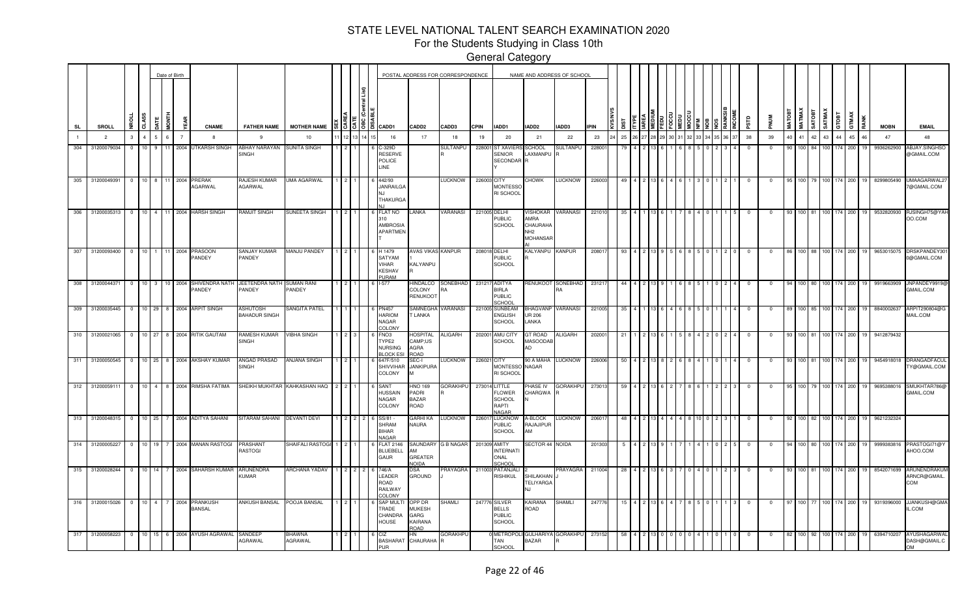For the Students Studying in Class 10th

|                |                 |                         |                 |                | Date of Birth  |                |                                              |                                            |                                |  |                                                                |                                                           | POSTAL ADDRESS FOR CORRESPONDENCE |               |                                                            |                                                        | NAME AND ADDRESS OF SCHOOL |             |      |  |  |  |       |       |              |             |        |                  |              |         |                    |               |               |                                     |
|----------------|-----------------|-------------------------|-----------------|----------------|----------------|----------------|----------------------------------------------|--------------------------------------------|--------------------------------|--|----------------------------------------------------------------|-----------------------------------------------------------|-----------------------------------|---------------|------------------------------------------------------------|--------------------------------------------------------|----------------------------|-------------|------|--|--|--|-------|-------|--------------|-------------|--------|------------------|--------------|---------|--------------------|---------------|---------------|-------------------------------------|
| <b>SL</b>      | SROLL           | ٩Ě                      | CLASS           | <b>ATE</b>     | FTND           |                | <b>CNAME</b>                                 | <b>FATHER NAME</b>                         | <b>MOTHER NAME</b>             |  | 8   3   3   8   当   CADD1                                      | CADD <sub>2</sub>                                         | CADD3                             | <b>CPIN</b>   | IADD1                                                      | IADD2                                                  | IADD3                      | <b>IPIN</b> | ឌី   |  |  |  |       |       |              |             | MATOBI | <b>MATMAX</b>    | <b>THORT</b> | SATMAX  | GTOBT              | GTMAX<br>RANK | <b>MOBN</b>   | <b>EMAIL</b>                        |
| $\blacksquare$ | $\overline{2}$  | $\mathbf{3}$            | $\overline{a}$  | 5 <sup>1</sup> | 6              | $\overline{7}$ | -8                                           | -9                                         | 10                             |  | 16                                                             | 17                                                        | 18                                | 19            | 20                                                         | 21                                                     | 22                         | 23          | 25   |  |  |  | 34 35 | 36 37 | 38           | 39          | 40     | 41 42            |              | 43      | 44                 | 45<br>46      | 47            | 48                                  |
| 304            | 31200079034     | $\Omega$                | 10 <sup>1</sup> | 9              |                | 2004           | UTKARSH SINGH                                | ABHAY NARAYAN SUNITA SINGH<br><b>SINGH</b> |                                |  | -329D<br>RESERVE<br>POLICE<br><b>INE</b>                       |                                                           | SULTANPU                          | 22800         | <b>ST XAVIEF</b><br><b>SENIOR</b><br>SECONDAR <sup>R</sup> | SCHOOL<br>LAXMANPU                                     | SULTANPU                   | 22800       |      |  |  |  |       |       | -0           |             |        | 100 <sup>1</sup> |              | I NO    | 174                | 200           | 9936262900    | <b>ABJAY.SINGHSO</b><br>@GMAIL.COM  |
| 305            | 31200049391     | $\overline{0}$          |                 | 10 8 11 2004   |                |                | <b>PRERAK</b><br>AGARWAL                     | RAJESH KUMAR<br>AGARWAL                    | <b>JMA AGARWAL</b>             |  | 142/93<br><b>JANRAILGA</b><br><b>THAKURGA</b>                  |                                                           | <b>LUCKNOW</b>                    | 226003 CITY   | <b>MONTESSO</b><br>RI SCHOOL                               | CHOWK                                                  | LUCKNOW                    | 226003      | 49   |  |  |  |       |       | $^{\circ}$   | $^{\circ}$  | 95     |                  |              |         | 100 79 100 174 200 | 19            | 8299805490    | <b>JMAAGARWAL2</b><br>7@GMAIL.COM   |
| 306            | 31200035313     | $^{\circ}$              | 10 <sup>1</sup> | 4              |                |                | 11 2004 HARSH SINGH                          | RAMJIT SINGH                               | SUNEETA SINGH                  |  | FLAT NO<br>310<br><b>AMBROSIA</b><br><b>APARTMEN</b>           | <b>ANKA</b>                                               | <b>/ARANASI</b>                   | 221005 DELHI  | PUBLIC<br><b>SCHOOL</b>                                    | AMRA<br>CHAURAH/<br>NH <sub>2</sub><br><b>MOHANSAF</b> | VISHOKAR VARANASI          | 221010      | -35  |  |  |  |       |       | 0            | $^{\circ}$  | 93     | 100 81           |              | 100     | 174                | 200           | 9532820930    | RJSINGH75@YAH<br>OO.COM             |
| 307            | 31200093400     | $\Omega$                | 10 <sup>1</sup> |                | 11 2004        |                | <b>PRASOON</b><br>PANDEY                     | SANJAY KUMAR<br>PANDEY                     | <b>MANJU PANDEY</b>            |  | H 1479<br>SATYAM<br>VIHAR<br><b>KESHAV</b><br><b>PURAM</b>     | <b>AVAS VIKAS KANPUR</b><br>KALYANPU                      |                                   |               | 208018 DELHI<br><b>PUBLIC</b><br><b>SCHOOL</b>             | KALYANPU KANPUR                                        |                            | 208017      | 93   |  |  |  |       |       | $\Omega$     | $\Omega$    |        |                  | 100 88 100   |         | 174 200            |               | 9653015075    | DRSKPANDEY30<br>0@GMAIL.COM         |
|                | 308 31200044371 | $\overline{0}$          |                 | 10 3 10 2004   |                |                | SHIVENDRA NATH<br>PANDEY                     | JEETENDRA NATH SUMAN RANI<br>PANDEY        | PANDEY                         |  | $I-577$                                                        | <b>IINDALCO</b><br><b>COLONY</b><br>RENUKOO <sup>-</sup>  | SONEBHAD<br>RF                    |               | 231217 ADITYA<br>BIRLA<br><b>PUBLIC</b><br>SCHOO           |                                                        | RENUKOOT SONEBHAD          | 231217      | 44   |  |  |  |       |       | $^{\circ}$   | $^{\circ}$  |        |                  |              |         | 100 80 100 174 200 | 19            | 9919663909    | JNPANDEY9919(<br>GMAIL.COM          |
|                | 309 31200035445 |                         |                 |                |                |                | 0 10 29 8 2004 ARPIT SINGH                   | <b>ASHUTOSH</b><br><b>BAHADUR SINGH</b>    | SANGITA PATEL                  |  | <b>PN457</b><br>HARIOM<br><b>NAGAR</b><br><b>COLONY</b>        | SAMNEGH/<br>T LANKA                                       | <b>ARANASI</b>                    |               | 221005 SUNBEAM<br>ENGLISH<br>SCHOOL                        | BHAGVANP VARANASI<br>UR 206<br>LANKA                   |                            | 221005      | 35   |  |  |  |       |       | $\mathbf 0$  | $\mathbf 0$ | 89     |                  |              |         | 100 85 100 174 200 | 19            | 8840002637    | ARPIT290804@G<br>MAIL.COM           |
|                |                 |                         |                 |                |                |                | 310 31200021065 0 10 27 8 2004 RITIK GAUTAM  | RAMESH KUMAR<br><b>SINGH</b>               | <b>VIBHA SINGH</b>             |  | FNO3<br>TYPE <sub>2</sub><br><b>NURSING</b><br><b>BLOCK ES</b> | <b>OSPITAL</b><br>CAMP;US<br>AGRA<br>ROAD                 | <b>ALIGARH</b>                    |               | 202001 AMU CITY<br>SCHOOL                                  | <b>GT ROAD</b><br>MASOODAE<br>AD                       | <b>ALIGARH</b>             | 202001      |      |  |  |  |       |       |              | $\mathbf 0$ | 93     |                  |              |         | 100 81 100 174 200 |               | 19 9412879432 |                                     |
|                |                 |                         |                 |                |                |                | 311 31200050545 0 10 25 8 2004 AKSHAY KUMAR  | ANGAD PRASAD<br><b>SINGH</b>               | <b>ANJANA SINGH</b>            |  | 647F/510<br>SHIVVIHAI<br>COLONY                                | SEC-I<br><b>JANKIPURA</b>                                 | <b>TICKNOM</b>                    | 226021 CITY   | <b>MONTESSO</b><br>RI SCHOOL                               | NAGAR                                                  | 90 A MAHA LUCKNOW          | 226006      |      |  |  |  |       |       |              | 0           | -93    | 100 81           |              |         | 100 174 200        | 19            | 9454918018    | <b>DRANGADFACUI</b><br>Y@GMAIL.COM  |
|                |                 |                         |                 |                |                |                | 312 31200059111 0 10 4 8 2004 RIMSHA FATIMA  |                                            | SHEIKH MUKHTAR KAHKASHAN HAQ 2 |  | SANT<br><b>HUSSAIN</b><br><b>NAGAR</b><br>COLONY               | HNO 169<br>PADRI<br><b>BAZAR</b><br>ROAD                  | <b>GORAKHPU</b>                   | 273014 LITTLE | FLOWER<br><b>SCHOOL</b><br>RAPTI<br><b>NAGAR</b>           | PHASE IV<br>CHARGWA                                    | GORAKHPU                   | 273013      |      |  |  |  |       |       | $^{\circ}$   | $\mathbf 0$ | 95     |                  |              |         | 100 79 100 174 200 | 19            | 9695388016    | SMUKHTAR786<br>GMAIL.COM            |
|                |                 |                         |                 |                |                |                | 313 31200048315 0 10 25 7 2004 ADITYA SAHANI | SITARAM SAHANI                             | <b>DEVANTI DEVI</b>            |  | SS/81<br><b>SHRAM</b><br><b>BIHAR</b><br><b>NAGAR</b>          | <b>GARHI KA</b><br>NAURA                                  | LUCKNOW                           | 226017        | <b>LUCKNOW</b><br>PUBLIC<br><b>SCHOOL</b>                  | A-BLOCK<br>RAJAJIPUR<br>AM                             | LUCKNOW                    | 20601       | 48   |  |  |  |       |       | $\mathbf 0$  | $\mathbf 0$ | 92     |                  |              |         | 100 82 100 174 200 | 19            | 9621232324    |                                     |
|                | 314 31200005227 | $\overline{0}$          |                 |                |                |                | 10 19 7 2004 MANAN RASTOGI                   | PRASHANT<br>RASTOGI                        | SHAIFALI RASTOGI               |  | <b>FLAT 2146</b><br><b>BLUEBELL</b><br>GAUR                    | SAUNDARY<br>AМ<br>GREATER<br><b>NOIDA</b>                 | <b>G B NAGAR</b>                  | 201309 AMITY  | <b>INTERNATI</b><br>ONAL<br>SCHOOL                         | SECTOR 44 NOIDA                                        |                            | 201303      |      |  |  |  |       |       |              | 0           | 94     |                  |              |         | 100 80 100 174 200 | 19            | 9999383816    | PRASTOGI71@Y<br>AHOO.COM            |
|                | 315 31200028244 | $\overline{0}$          |                 |                |                |                | 10 14 7 2004 SAHARSH KUMAR                   | <b>ARUNENDRA</b><br>KUMAR                  | ARCHANA YADAV                  |  | 746/A<br>LEADER<br><b>ROAD</b><br>RAILWAY<br>COLONY            | DSA<br>GROUND                                             | <b>PRAYAGRA</b>                   |               | 211003 PATANJALI<br><b>RISHIKUL</b>                        | SHILAKHAN<br>TELIYARGA<br>N.I                          | PRAYAGRA                   | 211004      | - 28 |  |  |  |       |       |              | $^{\circ}$  | -93    | 100 81           |              |         | 100 174 200        |               | 8542071699    | ARUNENDRAKUM<br>ARNCR@GMAIL.<br>COM |
| 316            | 31200015026     | $\overline{\mathbf{0}}$ | $10 \quad 4$    |                | $\overline{7}$ | 2004           | PRANKUSH<br><b>BANSAL</b>                    | <b>ANKUSH BANSAL</b>                       | POOJA BANSAL                   |  | SAP MUL'<br><b>RADE</b><br>CHANDRA<br><b>HOUSE</b>             | OPP DR<br><b>MUKESH</b><br>GARG<br>KAIRANA<br><b>GAOR</b> | SHAMLI                            | 247776        | <b>SILVER</b><br><b>BELLS</b><br><b>PUBLIC</b><br>SCHOOL   | KAIRANA<br>ROAD                                        | SHAMLI                     | 24777       | 15   |  |  |  |       |       | $\mathbf{0}$ | $\mathbf 0$ | -97    | 100 77           |              |         | 100 174 200        |               | 9319396000    | JJANKUSH@GMA<br>IL.COM              |
| 317            | 31200058223     | $\overline{0}$          | 10              |                |                |                | 15 6 2004 AYUSH AGRAWAL                      | SANDEEP<br>AGRAWAL                         | <b>BHAWNA</b><br>AGRAWAL       |  | CIZ.<br>PHR                                                    | HN<br>BASHARAT CHAURAHA                                   | <b>GORAKHPL</b>                   |               | <b>METROPOL</b><br>TAN<br><b>SCHOOL</b>                    | <b>GULHARIYA</b><br><b>BAZAR</b>                       | <b>GORAKHPU</b>            | 273152      | -58  |  |  |  |       |       |              | $^{\circ}$  |        | 100 I            | 92           | 100 174 |                    | 200<br>19     | 6394710207    | AYUSHAGARWAI<br>DASH@GMAIL.C<br>OМ  |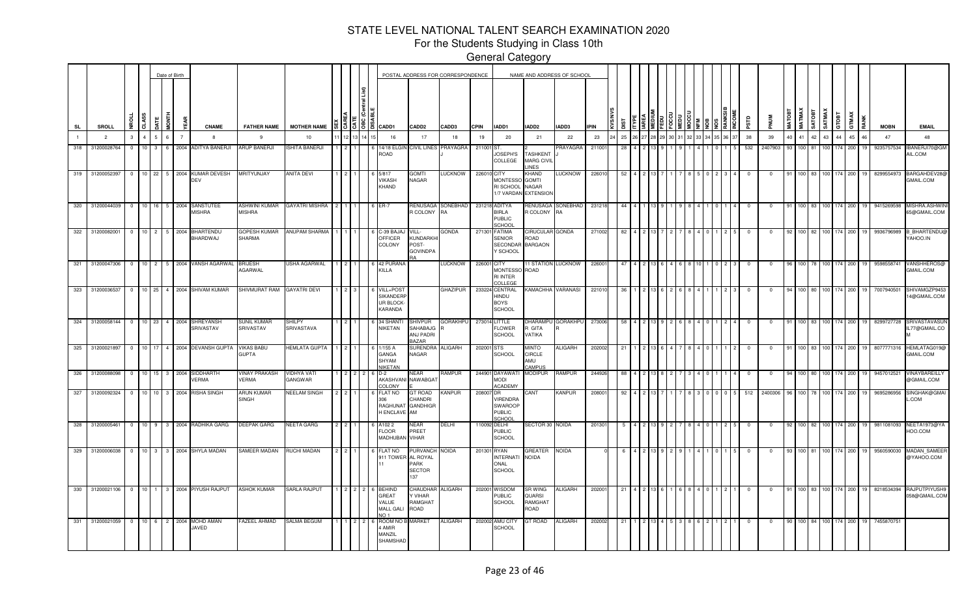For the Students Studying in Class 10th

|           |     |                 |                         |                  |              | Date of Birth |                |                                                       |                                     |                             |  |                                                                                        |                                                | POSTAL ADDRESS FOR CORRESPONDENCE |             |                                                                 | NAME AND ADDRESS OF SCHOOL                          |                    |               |           |              |               |  |  |  |                         |             |    |          |            |                |                    |       |      |               |                                                                 |
|-----------|-----|-----------------|-------------------------|------------------|--------------|---------------|----------------|-------------------------------------------------------|-------------------------------------|-----------------------------|--|----------------------------------------------------------------------------------------|------------------------------------------------|-----------------------------------|-------------|-----------------------------------------------------------------|-----------------------------------------------------|--------------------|---------------|-----------|--------------|---------------|--|--|--|-------------------------|-------------|----|----------|------------|----------------|--------------------|-------|------|---------------|-----------------------------------------------------------------|
| <b>SL</b> |     | <b>SROLL</b>    | <b>Dan</b>              | a                |              | HINDI         |                | <b>CNAME</b>                                          | <b>FATHER NAME</b>                  | <b>MOTHER NAME</b>          |  | $\frac{15}{3}$ $\frac{5}{3}$ $\frac{16}{3}$ $\frac{6}{3}$ $\frac{1}{6}$ $\frac{20}{3}$ | CADD <sub>2</sub>                              | CADD3                             | <b>CPIN</b> | IADD1                                                           | IADD <sub>2</sub>                                   | IADD3              | <b>L</b> IPIN | <b>SI</b> |              |               |  |  |  | αß                      | <b>MUNG</b> |    | MATMAX   | SATOBT     | SATMAX         | ē<br>່ອ            | GTMAX | RANK | <b>MOBN</b>   | <b>EMAIL</b>                                                    |
|           |     | $\overline{2}$  | 3                       | $\overline{A}$   |              | 6             | $\overline{7}$ | -8                                                    | 9                                   | 10                          |  | 16                                                                                     | 17                                             | 18                                | 19          | 20                                                              | 21                                                  | 22                 | 23            | 25        |              |               |  |  |  | 38                      | 39          | 40 | 41       | 42         | 43             | 44                 | 45    | 46   | 47            | 48                                                              |
| 318       |     | 31200028764     | $^{\circ}$              | 10 <sup>10</sup> | $\mathbf{3}$ | 6             | 2004           | <b>ADITYA BANERJI</b>                                 | <b>ARUP BANERJI</b>                 | SHITA BANERJI               |  | 14/18 EL<br>ROAD                                                                       | CIVIL LINES                                    | PRAYAGRA                          | 211001      | JOSEPH'S<br>COLLEGE                                             | <b>TASHKENT</b><br><b>MARG CIVIL</b><br><b>INES</b> | PRAYAGRA           | 211001        | -28       |              |               |  |  |  | 532                     | 2407903     | 93 | 100      | l 81       |                |                    | 200   |      | 9235757534    | <b>IBANERJI70@GM</b><br>AIL.COM                                 |
|           | 319 | 31200052397     | $\overline{0}$          |                  |              |               |                | 10 22 5 2004 KUMAR DEVESH<br>DEV                      | MRITYUNJAY                          | <b>ANITA DEVI</b>           |  | 5/817<br><b>VIKASH</b><br>KHAND                                                        | <b>TMOG</b><br>NAGAR                           | LUCKNOW                           | 226010 CITY | <b>MONTESSO</b><br>RI SCHOOL NAGAR                              | KHAND<br><b>GOMTI</b><br>1/7 VARDAN EXTENSION       | <b>LUCKNOW</b>     | 226010        | 52        |              |               |  |  |  | $^{\circ}$              |             | 91 |          |            | 100 83 100 174 |                    | 200   | 19   | 8299554973    | BARGAHDEV28@<br>GMAIL.COM                                       |
| 320       |     |                 |                         |                  |              |               |                | 31200044039 0 10 16 5 2004 SANSTUTEE<br><b>MISHRA</b> | ASHWINI KUMAR<br><b>MISHRA</b>      | GAYATRI MISHRA 2 1          |  | 6 ER-7                                                                                 | RENUSAGA<br>R COLONY RA                        | SONEBHAD                          |             | 231218 ADITYA<br><b>BIRLA</b><br><b>PUBLIC</b><br><b>SCHOOL</b> | RENUSAGA<br>R COLONY                                | SONEBHAD<br>RA     | 231218        | 44        |              |               |  |  |  | $^{\circ}$              |             | 91 |          |            | 100 83 100 174 |                    | 200   | 19   | 9415269598    | MISHRA.ASHWIN<br>65@GMAIL.COM                                   |
|           |     | 322 31200082001 |                         |                  |              |               |                | 0 10 2 5 2004 BHARTENDU<br>BHARDWAJ                   | GOPESH KUMAR<br>SHARMA              | ANUPAM SHARMA               |  | C-39 BAJA<br>OFFICER<br>COLONY                                                         | VILL-<br>KUNDARKHI<br>POST-<br><b>GOVINDPA</b> | GONDA                             |             | 271301 FATIMA<br>SENIOR<br>SECONDAR<br>Y SCHOOL                 | CIRUCULAR GONDA<br>ROAD<br><b>BARGAON</b>           |                    | 271002        | 82        |              |               |  |  |  | $\Omega$                | 0           | 92 |          | $100$ $82$ | 100 174        |                    | 200   | 19   | 9936796989    | <b>B BHARTENDU</b><br>YAHOO.IN                                  |
| 321       |     | 31200047306     | $\Omega$                |                  |              |               |                | 10 2 5 2004 VANSH AGARWAL                             | <b>BRIJESH</b><br>AGARWAL           | USHA AGARWAL                |  | 42 PURANA<br>KILLA                                                                     |                                                | <b>LUCKNOW</b>                    | 226001 CITY | <b>MONTESSO</b><br><b>RI INTER</b><br>COLLEGE                   | ROAD                                                | 11 STATION LUCKNOW | 226001        | 47        | $\mathbf{4}$ | $\mathcal{P}$ |  |  |  | $\overline{\mathbf{0}}$ | $\Omega$    | 96 |          |            | 100 78 100 174 |                    | 200   | 19   | 9598558741    | <b>VANSHHEROS@</b><br>GMAIL.COM                                 |
|           |     | 323 31200036537 | $\Omega$                |                  |              |               |                | 10 25 4 2004 SHIVAM KUMAR                             | SHIVMURAT RAM                       | <b>GAYATRI DEVI</b>         |  | VILL+POS <sup>®</sup><br>SIKANDERF<br><b>UR BLOCK</b><br>KARANDA                       |                                                | GHAZIPUR                          |             | 233224 CENTRAL<br>HINDU<br><b>BOYS</b><br><b>SCHOOL</b>         | <b>KAMACHHA VARANASI</b>                            |                    | 221010        | 36        |              |               |  |  |  | $\Omega$                |             | 94 | 100 80   |            | $100$ $174$    |                    | 200   |      | 7007940501    | SHIVAMGZP9453<br>4@GMAIL.COM                                    |
|           |     |                 |                         |                  |              |               |                | 324 31200058144 0 10 23 4 2004 SHREYANSH<br>SRIVASTAV | <b>SUNIL KUMAR</b><br>SRIVASTAV     | <b>SHILPY</b><br>SRIVASTAVA |  | 34 SHANTI<br>NIKETAN                                                                   | SHIVPUR<br>SAHABAJG<br>ANJ PADRI<br>BAZAR      | <b>GORAKHPU</b>                   |             | 273014 LITTLE<br><b>FLOWER</b><br><b>SCHOOL</b>                 | R GITA<br>VATIKA                                    | DHARAMPU GORAKHPU  | 273006        | 58        |              |               |  |  |  | $^{\circ}$              |             | 91 |          | 100 83     |                | 100 174 200        |       | 19   |               | 8299727728 SRIVASTAVASUN<br>L77@GMAIL.CO                        |
|           |     |                 |                         |                  |              |               |                | 325 31200021897 0 10 17 4 2004 DEVANSH GUPTA          | <b>VIKAS BABU</b><br>GUPTA          | <b>HEMLATA GUPTA</b>        |  | 1/155A<br>GANGA<br>SHYAM<br><b>NIKETAN</b>                                             | <b>SURENDRA</b><br>NAGAR                       | <b>ALIGARH</b>                    | 202001 STS  | <b>SCHOOL</b>                                                   | OTAIN<br>CIRCLE<br>AMU<br>CAMPUS                    | <b>ALIGARH</b>     | 202002        | 21        |              |               |  |  |  | $^{\circ}$              |             |    | $100$ 83 |            | 100 174        |                    | 200   | 19   | 8077771316    | HEMLATAG019@<br>GMAIL.COM                                       |
|           |     |                 |                         |                  |              |               |                | 326 31200088098 0 10 15 3 2004 SIDDHARTH<br>VERMA     | <b>INAY PRAKASH</b><br><b>VERMA</b> | VIDHYA VATI<br>GANGWAR      |  | <b>AKASHVAM</b><br>COLONY                                                              | NEAR<br>NAWABGA1                               | RAMPUR                            |             | 244901 DAYAWATI<br>Modi<br><b>ACADEMY</b>                       | <b>MODIPUR</b>                                      | RAMPUR             | 24492         | 88        |              |               |  |  |  |                         |             | 94 | 100 80   |            | 100 174        |                    | 200   |      | 9457012521    | <b>VINAYBAREILLY</b><br>@GMAIL.COM                              |
|           | 327 | 31200092324     | $\overline{0}$          |                  |              |               | 10 10 3 2004   | RISHA SINGH                                           | ARUN KUMAR<br><b>SINGH</b>          | NEELAM SINGH                |  | FLAT NO<br>RAGHUNA <sup>T</sup><br>H ENCLAVE AM                                        | GT ROAD<br>CHANDRI<br><b>GANDHIGR</b>          | KANPUR                            | 208007 DR   | VIRENDRA<br>SWAROOP<br><b>PUBLIC</b><br><b>SCHOOL</b>           | CANT                                                | <b>KANPUR</b>      | 20800         | -92       |              |               |  |  |  | 512                     | 2400306     | 96 | 100 78   |            |                | 174                | 200   |      | 9695286956    | SINGHAK@GMA<br>.COM                                             |
|           |     |                 |                         |                  |              |               |                | 328 31200005461 0 10 9 3 2004 RADHIKA GARG            | DEEPAK GARG                         | NEETA GARG                  |  | A1022<br><b>FLOOR</b><br>MADHUBA                                                       | NEAR<br>PREET<br>VIHAR                         | DELHI                             |             | 110092 DELHI<br>PUBLIC<br><b>SCHOOL</b>                         | SECTOR 30 NOIDA                                     |                    | 20130         |           |              |               |  |  |  |                         |             | 92 |          | 100 82     | 100 174        |                    | 200   | 19   |               | 9811081093 NEETA1973@Y.<br>HOO.COM                              |
|           |     |                 |                         |                  |              |               |                | 329 31200006038 0 10 3 3 2004 SHYLA MADAN             | SAMEER MADAN                        | RUCHI MADAN                 |  | FLAT NO<br>911 TOWER                                                                   | PURVANCH<br>AL ROYAL<br>PARK<br>SECTOR<br>137  | <b>NOIDA</b>                      |             | 201301 RYAN<br><b>INTERNATI</b><br>ONAL<br>SCHOOL               | GREATER<br><b>NOIDA</b>                             | NOIDA              |               |           |              |               |  |  |  |                         |             | 93 |          |            |                | 100 81 100 174 200 |       |      | 19 9560590030 | MADAN_SAMEE<br>@YAHOO.COM                                       |
|           |     |                 |                         |                  |              |               |                | 330 31200021106 0 10 1 3 2004 PIYUSH RAJPUT           | <b>ASHOK KUMAR</b>                  | <b>SARLA RAJPUT</b>         |  | 6 BEHIND<br>GREAT<br>VALUE<br><b>MALL GAL</b><br>NO <sub>1</sub>                       | CHAUDHAR ALIGARH<br>/ VIHAR<br>RAMGHAT<br>ROAD |                                   |             | 202001 WISDOM<br><b>PUBLIC</b><br><b>SCHOOL</b>                 | SR WING<br>QUARSI<br>RAMGHAT<br>ROAD                | <b>ALIGARH</b>     | 202001        | -21       |              |               |  |  |  | $\mathbf 0$             | 0           | 91 |          |            |                |                    |       |      |               | 100 83 100 174 200 19 8218534394 RAJPUTPIYUSH9<br>058@GMAIL.COM |
|           | 331 | 31200021059     | $\overline{\mathbf{0}}$ | 10               | 6            |               |                | 2 2004 MOHD AMAN<br>JAVED                             | <b>FAZEEL AHMAD</b>                 | SALMA BEGUM                 |  | ROOM NO<br>4 AMIR<br>MANZIL<br>SHAMSHAD                                                | <b>MARKET</b>                                  | <b>ALIGARH</b>                    |             | 202002 AMU CITY<br>SCHOOL                                       | GT ROAD                                             | <b>ALIGARH</b>     | 202002        | -21       |              |               |  |  |  | 0                       |             | 90 |          | 100 84     | 100 174        |                    | 200   | 19   | 7455870751    |                                                                 |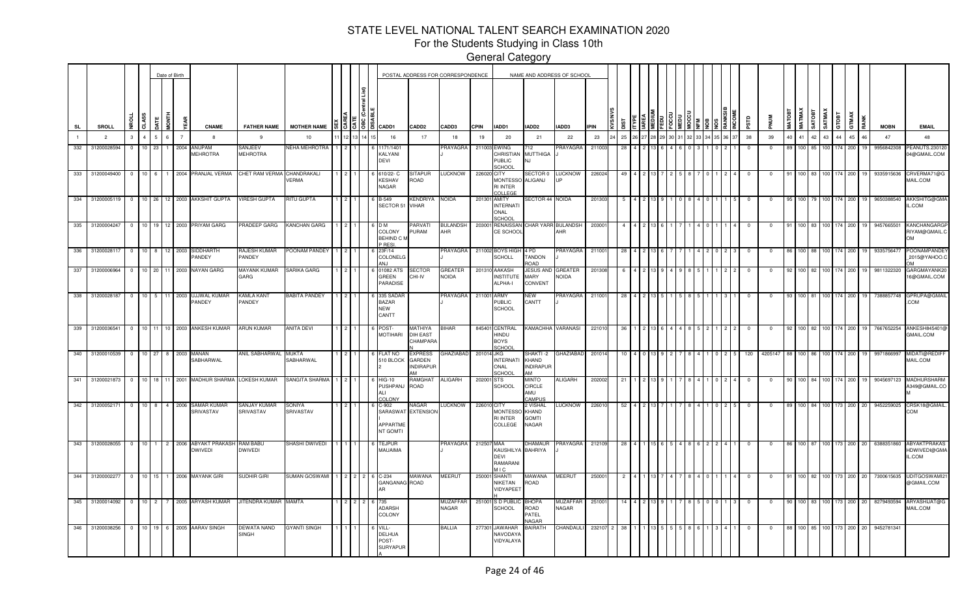For the Students Studying in Class 10th

|     |                 |             |                |                  |    | Date of Birth                    |              |                                              |                                   |                      |    |                             |        |                                                                                                                        |                                             | POSTAL ADDRESS FOR CORRESPONDENCE |             |                                                         | NAME AND ADDRESS OF SCHOOL                          |                                 |             |                |       |  |  |  |       |            |                |                 |        |                |         |     |       |      |             |                                       |
|-----|-----------------|-------------|----------------|------------------|----|----------------------------------|--------------|----------------------------------------------|-----------------------------------|----------------------|----|-----------------------------|--------|------------------------------------------------------------------------------------------------------------------------|---------------------------------------------|-----------------------------------|-------------|---------------------------------------------------------|-----------------------------------------------------|---------------------------------|-------------|----------------|-------|--|--|--|-------|------------|----------------|-----------------|--------|----------------|---------|-----|-------|------|-------------|---------------------------------------|
| SL  | SROLL           |             | £.             | CLASS            |    | HINDI                            | EAR          | <b>CNAME</b>                                 | <b>FATHER NAME</b>                | <b>MOTHER NAME</b>   |    |                             |        | $\frac{12}{100}$ $\frac{12}{100}$ $\frac{12}{100}$ $\frac{12}{100}$ $\frac{12}{100}$ $\frac{12}{100}$ $\frac{12}{100}$ | CADD <sub>2</sub>                           | CADD3                             | <b>CPIN</b> | IADD1                                                   | IADD2                                               | IADD3                           | <b>IPIN</b> |                |       |  |  |  |       | аß         | <b>MUN</b>     | MATOBT          | MATMAX | <b>TEOLYS</b>  | SATMAX  |     | GTMAX | RANK | <b>MOBN</b> | <b>EMAIL</b>                          |
|     | $\overline{2}$  |             | $\mathbf{3}$   | $\overline{4}$   | 5  | 6 <sup>1</sup><br>$\overline{7}$ |              | -8                                           | -9                                | 10                   | 12 |                             | 14 I 1 | 16                                                                                                                     | 17                                          | 18                                | 19          | 20                                                      | 21                                                  | 22                              | 23          | 25             | 26 27 |  |  |  | 36 37 | 38         | 39             | 40 <sup>1</sup> | 41     | 42             | 43      | 44  | 45    | 46   | 47          | 48                                    |
| 332 | 31200028594     |             | $\Omega$       | 10 <sup>1</sup>  | 23 | 2004                             |              | ANUPAM<br><b>MEHROTRA</b>                    | <b>SANJEEV</b><br><b>MEHROTRA</b> | <b>JEHA MEHROTRA</b> |    |                             |        | 171/1401<br>KALYANI<br>DEVI                                                                                            |                                             | <b>PRAYAGRA</b>                   |             | 211003 EWING<br>CHRISTIAN<br><b>PUBLIC</b><br>SCHOOL    | '12<br><b>MUTTHIGA</b><br>N.I                       | <b>PRAYAGRA</b>                 | 21100       | 28             |       |  |  |  |       | $\Omega$   |                | 89              | 100    |                |         |     | 200   |      | 9956842308  | PEANUTS.23012<br>04@GMAIL.COM         |
|     | 333 31200049400 |             | $\overline{0}$ | 10 <sup>1</sup>  | 6  |                                  |              | 1 2004 PRANJAL VERMA                         | CHET RAM VERMA                    | CHANDRAKALI<br>/ERMA |    |                             |        | 610/22-C<br><b>KESHAV</b><br><b>NAGAR</b>                                                                              | <b>SITAPUR</b><br>ROAD                      | LUCKNOW                           | 226020 CITY | <b>MONTESSO</b><br><b>RI INTER</b><br>COLLEGE           | <b>SECTOR 0</b><br>ALIGANJ                          | <b>LUCKNOW</b><br><b>IIP</b>    | 22602       | 49             |       |  |  |  |       |            |                | 91              | 100    | l 83           | 100 174 |     | 200   |      | 9335915636  | CRVERMA71@G<br>MAIL.COM               |
| 334 | 31200005119     |             | $\overline{0}$ |                  |    |                                  |              | 10 26 12 2003 AKKSHIT GUPTA                  | <b>VIRESH GUPTA</b>               | RITU GUPTA           |    |                             |        | 6 B-549<br>SECTOR 51 VIHAR                                                                                             | KENDRIYA                                    | <b>NOIDA</b>                      |             | 201301 AMITY<br><b>INTERNATI</b><br>ONAL<br>SCHOOL      | SECTOR 44 NOIDA                                     |                                 | 201303      | -5             |       |  |  |  |       | - 0        | - 0            | 95              | 100    |                | 100 L   | 174 | 200   |      | 9650388540  | AKKSHITG@GM<br>L.COM                  |
| 335 | 31200004247     |             | $\overline{0}$ | $10-10$          | 19 | 12 <sup>1</sup>                  |              | 2003 PRIYAM GARG                             | PRADEEP GARG                      | KANCHAN GARG         |    |                             |        | 6 D M<br>COLONY<br>BEHIND C M<br>P RESI                                                                                | PARVATI<br>URAM                             | <b>BULANDSH</b><br>AHR            |             | 203001 RENAISSAN<br>CE SCHOOL                           | CHAR YARR BULANDSH                                  | AHR                             | 20300       |                |       |  |  |  |       |            |                |                 | 100    |                |         |     | 200   |      | 9457665501  | KANCHANGARG<br>RIYAM@GMAIL.<br>ЮO     |
| 336 |                 | 31200028117 | $\overline{0}$ | 10 <sup>1</sup>  | 8  | $12-12$<br>2003                  | PANDEY       | SIDDHARTH                                    | RAJESH KUMAR<br>PANDEY            | POONAM PANDEY        |    |                             |        | 23F/14<br><b>COLONELG</b><br>AN.I                                                                                      |                                             | PRAYAGRA                          |             | 211002 BOYS HIGH<br><b>SCHOLL</b>                       | 4 PD<br>TANDON<br>ROAD                              | PRAYAGRA                        | 21100       | 28             |       |  |  |  |       |            |                |                 | 100    |                |         |     | 200   |      | 933575647   | POONAMPANDE<br>2015@YAHOO.            |
| 337 |                 | 31200006964 | $\overline{0}$ |                  |    |                                  |              | 10 20 11 2003 NAYAN GARG                     | MAYANK KUMAR<br>GARG              | SARIKA GARG          |    |                             |        | 01082 ATS<br>GREEN<br>PARADISE                                                                                         | <b>SECTOR</b><br>CHI-IV                     | GREATER<br><b>NOIDA</b>           |             | 201310 AAKASH<br><b>INSTITUTE</b><br>ALPHA-I            | JESUS AND<br>MARY<br>CONVENT                        | <b>GREATER</b><br><b>NOIDA</b>  | 201308      |                |       |  |  |  |       |            |                | 92              | 100    |                |         |     | 200   |      | 9811322320  | GARGMAYANK20<br>16@GMAIL.COM          |
| 338 |                 | 31200028187 | $\overline{0}$ | $10 \mid 5 \mid$ |    | 11 <sub>1</sub><br>2003          |              | UJJWAL KUMAR<br><b>ANDEY</b>                 | KAMLA KANT<br><b>ANDEY</b>        | <b>BABITA PANDEY</b> |    |                             |        | 335 SADAR<br><b>BAZAR</b><br><b>NEW</b><br>CANTT                                                                       |                                             | PRAYAGRA                          | 211001 ARMY | <b>PUBLIC</b><br><b>SCHOOL</b>                          | NEW<br>CANTT                                        | PRAYAGRA                        | 211001      | 28             |       |  |  |  |       |            |                | 93              | 100 81 |                |         |     | 200   |      | 7388857748  | GPRUPA@GMAII<br>.COM                  |
|     | 339 31200036541 |             | $\overline{0}$ | 10 <sup>1</sup>  | 11 |                                  |              | 10 2003 ANKESH KUMAR                         | <b>ARUN KUMAR</b>                 | ANITA DEVI           |    |                             |        | POST<br><b>MOTIHARI</b>                                                                                                | AYIHTAM<br><b>DIH EAST</b><br>CHAMPARA      | <b>BIHAR</b>                      |             | 845401 CENTRAL<br>UQNIF<br><b>BOYS</b><br><b>SCHOOL</b> | <b>KAMACHHA</b>                                     | VARANASI                        | 22101       |                |       |  |  |  |       |            |                |                 | 100    |                |         |     | 200   |      | 7667652254  | ANKESH845401<br>GMAIL.COM             |
|     | 340 31200010539 |             | $\mathbf 0$    | 10 27            |    |                                  | 8 2003 MANAN | SABHARWAL                                    | ANIL SABHARWAL                    | MUKTA<br>SABHARWAL   |    |                             |        | FLAT NO<br>510 BLOCK                                                                                                   | <b>EXPRESS</b><br>GARDEN<br><b>NDIRAPUR</b> | <b>GHAZIABAD</b>                  | 201014 JKG  | <b>INTERNATI</b><br>ONAL<br>SCHOOL                      | SHAKTI -2<br>KHAND<br><b>INDIRAPUR</b><br><b>IM</b> | GHAZIABAD                       | 2010        |                |       |  |  |  |       | 120        | 4205147        |                 |        |                |         |     | 200   |      | 997186699   | MIDATI@REDIF<br>MAIL.COM              |
| 341 | 31200021873     |             | $\Omega$       | 10 <sup>1</sup>  | 18 | 11 2001                          |              | MADHUR SHARMA                                | LOKESH KUMAR                      | SANGITA SHARMA       |    |                             |        | <b>HIG-10</b><br>PUSHPANJ<br>A۱۱<br>COLONY                                                                             | RAMGHAT<br><b>ROAD</b>                      | <b>ALIGARH</b>                    | 202001 STS  | SCHOOL                                                  | <b>MINTO</b><br>CIRCLE<br>AMU<br>CAMPUS             | <b>ALIGARH</b>                  | 202002      |                |       |  |  |  |       |            |                | -90             | 100    |                |         |     | 200   |      | 9045697123  | <b>MADHURSHARM</b><br>A349@GMAIL.CC   |
|     | 342 31200052171 |             | $\overline{0}$ | $10 \quad 8$     |    |                                  |              | 4 2006 SAMAR KUMAR<br>SRIVASTAV              | <b>SANJAY KUMAR</b><br>SRIVASTAV  | SONIYA<br>SRIVASTAV  |    |                             |        | 6 C-902<br>SARASWAT EXTENSION<br><b>APPARTME</b><br>NT GOMTI                                                           | NAGAR                                       | <b>LUCKNOW</b>                    | 226010 CITY | <b>MONTESSO</b><br><b>RI INTER</b><br>COLLEGE           | 2 VISHAL<br>KHAND<br><b>GOMTI</b><br>NAGAR          | <b>LUCKNOW</b>                  | 22601       | 52             |       |  |  |  |       |            |                | 89              | 100 84 |                | 100 173 |     | 200   | 20   | 9452259025  | CRSK18@GMAIL<br><b>COM</b>            |
|     | 343 31200028055 |             | $\overline{0}$ |                  |    |                                  |              | 10 1 2 2006 ABYAKT PRAKASH<br><b>DWIVEDI</b> | RAM BABU<br><b>DWIVEDI</b>        | SHASHI DWIVEDI       |    |                             |        | <b>TEJPUR</b><br>MAUAIMA                                                                                               |                                             | PRAYAGRA                          | 212507 MAA  | KAUSHILYA BAHRIYA<br><b>DEVI</b><br>RAMARANI<br>M I C   | DHAMAUR                                             | PRAYAGRA                        | 212109      | 28             |       |  |  |  |       | $^{\circ}$ | $\overline{0}$ | 86              |        | 100 87 100 173 |         |     | 200   | 20   | 6388351860  | ABYAKTPRAKAS<br>HDWIVEDI@GMA<br>L.COM |
|     | 344 31200002277 |             | $\overline{0}$ |                  |    |                                  |              | 10 15 1 2006 MAYANK GIRI                     | SUDHIR GIRI                       | SUMAN GOSWAMI        |    | $1 \quad 2 \quad 2 \quad 2$ |        | 6 C-234<br><b>GANGANAG ROAD</b>                                                                                        | MAWANA                                      | <b>MEERUT</b>                     |             | 250001 SHANTI<br>NIKETAN<br>VIDYAPEET                   | MAWANA<br>ROAD                                      | <b>MEERUT</b>                   | 250001      | $\overline{2}$ |       |  |  |  |       | $\Omega$   | $\Omega$       | 91              | 100 82 |                | 100 173 |     | 200   | 20   | 7300615635  | <b>UDITGOSWAMI2</b><br>@GMAIL.COM     |
|     | 345 31200014092 |             | $\overline{0}$ | $10 \quad 2$     |    |                                  |              | 7 2005 ARYASH KUMAR                          | JITENDRA KUMAR MAMTA              |                      |    | $2$   $2$   $2$             |        | 735<br><b>ADARSH</b><br>COLONY                                                                                         |                                             | MUZAFFAR<br>NAGAR                 |             | 251001 S D PUBLIC<br>SCHOOL                             | <b>BHOPA</b><br>ROAD<br>PATEL<br>NAGAR              | <b>MUZAFFAR</b><br><b>NAGAR</b> | 251001      | 14             |       |  |  |  |       | $^{\circ}$ |                | 90              | 100 83 |                | 100 173 |     | 200   | 20   | 8279493594  | ARYASHIJAT@G<br>MAIL.COM              |
|     | 346 31200038256 |             | $\overline{0}$ |                  |    |                                  |              | 10 19 6 2005 AARAV SINGH                     | DEWATA NAND<br><b>SINGH</b>       | GYANTI SINGH         |    |                             |        | VILL-<br><b>DELHUA</b><br>POST-<br><b>SURYAPUR</b>                                                                     |                                             | BALLIA                            |             | 277301 JAWAHAR<br>NAVODAYA<br>VIDYALAYA                 | <b>BAIRATH</b>                                      | CHANDAULI                       | 232107      | 38             |       |  |  |  |       |            |                | 88              | 100 85 |                | 100 173 |     | 200   | 20   | 9452781341  |                                       |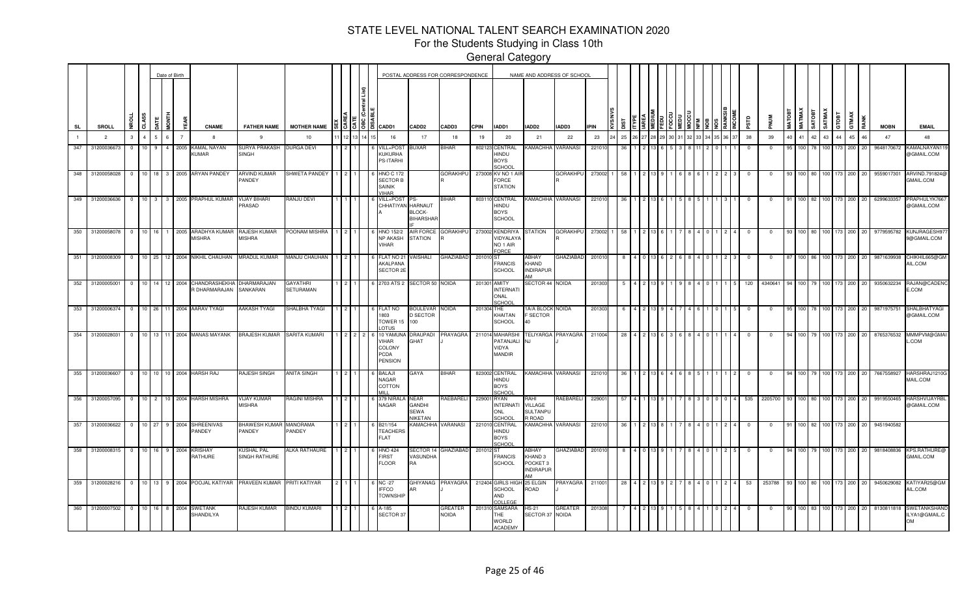For the Students Studying in Class 10th

|           |                 |              |           |             | Date of Birth          |                                                                         |                                          |                              |    |                                                              |                                                        | POSTAL ADDRESS FOR CORRESPONDENCE |             |                                                             | NAME AND ADDRESS OF SCHOOL                                                          |                          |             |     |  |  |  |  |             |                |               |                  |       |                |                          |                       |             |                                            |
|-----------|-----------------|--------------|-----------|-------------|------------------------|-------------------------------------------------------------------------|------------------------------------------|------------------------------|----|--------------------------------------------------------------|--------------------------------------------------------|-----------------------------------|-------------|-------------------------------------------------------------|-------------------------------------------------------------------------------------|--------------------------|-------------|-----|--|--|--|--|-------------|----------------|---------------|------------------|-------|----------------|--------------------------|-----------------------|-------------|--------------------------------------------|
| <b>SL</b> | SROLL           | <b>NBOLL</b> | CLASS     | <b>DATE</b> | <b>MONTH</b>           | <b>CNAME</b>                                                            | <b>FATHER NAME</b>                       | <b>MOTHER NAME</b>           | Iö | a CADD1                                                      | CADD <sub>2</sub>                                      | CADD3                             | <b>CPIN</b> | IADD1                                                       | IADD2                                                                               | IADD3                    | <b>IPIN</b> |     |  |  |  |  | ξã          |                | <b>MATOBT</b> | <b>MATMAX</b>    | TEGTA |                | SATMAX<br>GTOBT<br>GTMAX | RANK                  | <b>MOBN</b> | <b>EMAIL</b>                               |
|           | $\overline{2}$  | $\mathbf{3}$ |           |             | $6 \overline{6}$       | 8                                                                       | 9                                        | 10                           |    | 16                                                           | 17                                                     | 18                                | 19          | 20                                                          | 21                                                                                  | 22                       | 23          | 25  |  |  |  |  | 38          | 39             |               | 41               |       | 43             | 44                       | 45<br>46              | 47          | 48                                         |
| 347       | 31200036673     | $\mathbf{0}$ | 10        | 9           | $\overline{4}$<br>2005 | KAMAL NAYAN<br>KUMAR                                                    | SURYA PRAKASH DURGA DEVI<br><b>SINGH</b> |                              |    | /ILL+POS<br>KUKURHA<br>PS-ITARHI                             | <b>JUXAR</b>                                           | BIHAR                             |             | 802123 CENTRAL<br>UONIF<br><b>BOYS</b><br>CHOOL             | <b>KAMACHHA VARANASI</b>                                                            |                          | 22101       |     |  |  |  |  |             | $^{\circ}$     | 95            | 100              |       |                | 173                      | 200<br>20             | 9648170672  | KAMALNAYAN1<br>@GMAIL.COM                  |
| 348       | 31200058028     |              |           |             |                        | 0 10 18 3 2005 ARYAN PANDEY                                             | ARVIND KUMAR<br>PANDEY                   | SHWETA PANDEY                |    | <b>HNO C 172</b><br><b>SECTOR B</b><br>SAINIK<br><b>IHAR</b> |                                                        | <b>GORAKHPU</b>                   |             | 273008 KV NO 1 AI<br>FORCE<br><b>STATION</b>                |                                                                                     | <b>GORAKHPU</b>          | 273002 1    |     |  |  |  |  | $\mathbf 0$ | 0              | 93            |                  |       |                | 100 80 100 173 200       | 20                    | 9559017301  | ARVIND.791824@<br>GMAIL.COM                |
| 349       | 31200036636     |              |           |             |                        | 0 10 3 3 2005 PRAPHUL KUMAR                                             | <b>VIJAY BIHARI</b><br>PRASAD            | RANJU DEVI                   |    | VILL+POS <sup>-</sup>                                        | PS.<br>CHHATIYAN HARNAUT<br>BLOCK-<br><b>BIHARSHAF</b> | BIHAR                             |             | 803110 CENTRAL<br>HINDU<br><b>BOYS</b><br>SCHOOL            |                                                                                     | <b>KAMACHHA VARANASI</b> | 221010      | -36 |  |  |  |  | $^{\circ}$  | $\mathbf{0}$   | 91            |                  |       | 100 82 100 173 |                          | 200<br>20             | 6299633357  | PRAPHULYK766<br>@GMAIL.COM                 |
| 350       | 31200058078     | $\Omega$     | 10        | 16          |                        | 2005 ARADHYA KUMAR<br><b>MISHRA</b>                                     | RAJESH KUMAR<br><b>MISHRA</b>            | POONAM MISHRA                |    | HNO 152/2<br><b>NP AKASH</b><br><b>AAHIV</b>                 | AIR FORCE<br><b>STATION</b>                            | <b>GORAKHPU</b>                   |             | 273002 KENDRIYA<br>VIDYALAYA<br>NO <sub>1</sub> AIR<br>ORCE | STATION                                                                             | <b>GORAKHPU</b>          | 273002 1    | -58 |  |  |  |  |             | $\Omega$       |               |                  |       |                | 173                      | 200<br>20             | 9779595782  | KUNJRAGESH97<br>9@GMAIL.COM                |
| 351       | 31200008309     | $\circ$      |           |             |                        | 10 25 12 2004 NIKHIL CHAUHAN MRADUL KUMAR                               |                                          | MANJU CHAUHAN                |    | FLAT NO <sub>2</sub><br>AKALPANA<br>SECTOR 2E                | VAISHALI                                               | GHAZIABAD                         | 201010 ST   | <b>FRANCIS</b><br>SCHOOL                                    | ABHAY<br>KHAND<br><b>INDIRAPUR</b>                                                  | <b>GHAZIABAD</b>         | 201010      |     |  |  |  |  | $^{\circ}$  | $\overline{0}$ | 87            |                  |       | 100 86 100 173 |                          | 200<br>20             | 9871639938  | CHIKHIL665@GM<br>AIL.COM                   |
| 352       | 31200005001     | $\circ$ 1    |           |             | 10 14 12 2004          | CHANDRASHEKHA DHARMARAJAN<br>R DHARMARAJAN SANKARAN                     |                                          | <b>GAYATHRI</b><br>SETURAMAN |    |                                                              | 2703 ATS 2 SECTOR 50 NOIDA                             |                                   | 201301      | <b>AMITY</b><br><b>INTERNATI</b><br>ONAL<br><b>SCHOOL</b>   | SECTOR 44 NOIDA                                                                     |                          | 201303      |     |  |  |  |  | 120         | 4340641        |               | 100 I            |       | 100 173        |                          | 200<br>-20            | 9350632234  | RAJAN@CADENC<br>E.COM                      |
| 353       | 31200006374     |              |           |             |                        | 0 10 26 11 2004 AARAV TYAGI                                             | <b>AAKASH TYAGI</b>                      | SHALBHA TYAGI                |    | LAT NC<br>803<br>TOWER 1<br><b>OTUS</b>                      | <b>BOULEVAR</b><br><b>D SECTOR</b><br>100              | <b>NOIDA</b>                      | 201304      | THE<br>KHAITAN<br><b>SCHOOL</b>                             | 1A/A BLOCK NOIDA<br><b>F SECTOR</b><br>40                                           |                          | 201303      |     |  |  |  |  |             |                |               |                  |       |                | 173                      | 200<br>20             | 9871975751  | SHALBHATYAGI<br>@GMAIL.COM                 |
|           | 354 31200028031 |              |           |             |                        | 0 10 13 11 2004 MANAS MAYANK                                            | BRAJESH KUMAR SARITA KUMARI              |                              |    | 10 YAMU<br>VIHAR<br>COLONY<br>PCDA<br>PENSION                | <b>DRAUPADI</b><br><b>GHAT</b>                         | PRAYAGRA                          |             | 211014 MAHARSH<br>PATANJALI<br>VIDYA<br><b>MANDIR</b>       | N.I                                                                                 | ELIYARGA PRAYAGRA        | 211004      | -28 |  |  |  |  | 0           | $^{\circ}$     | 94            |                  |       |                |                          | 100 79 100 173 200 20 | 8765376532  | MMMPVM@GMAI<br>L.COM                       |
| 355       | 31200036607     |              |           |             |                        | 0 10 10 10 2004 HARSH RAJ                                               | RAJESH SINGH                             | <b>ANITA SINGH</b>           |    | <b>BALAJI</b><br><b>NAGAR</b><br>COTTON                      | GAYA                                                   | <b>BIHAR</b>                      |             | 823002 CENTRAL<br>HINDU<br><b>BOYS</b><br>CHOOL             |                                                                                     | KAMACHHA VARANASI        | 221010      | -36 |  |  |  |  | $^{\circ}$  | $^{\circ}$     | 94            | 100 <sub>l</sub> |       | 79 100 173     |                          | 200<br>20             | 7667558927  | HARSHRAJ1210G<br>MAIL.COM                  |
| 356       | 31200057095     | $0 \t10 \t2$ |           |             |                        | 10 2004 HARSH MISHRA                                                    | <b>VIJAY KUMAR</b><br><b>MISHRA</b>      | RAGINI MISHRA                |    | 379 NIRAL<br><b>NAGAR</b>                                    | <b>NEAR</b><br><b>GANDHI</b><br>SEWA<br><b>NIKETAN</b> | RAEBARELI                         | 229001      | <b>RYAN</b><br><b>INTERNATI</b><br><b>ONL</b><br>CHOOL      | RAHI<br>VILLAGE<br>SULTANPU<br>R ROAD                                               | RAEBARELI                | 229001      | -57 |  |  |  |  | 535         | 2205700        | 93            |                  |       | 100 80 100 173 |                          | 200<br>20             | 9919550465  | HARSHVIJAYRB<br>@GMAIL.COM                 |
| 357       | 31200036622     | $\circ$      | $10 \ 27$ |             | 9 2004                 | <b>SHREENIVAS</b><br><b>PANDEY</b>                                      | BHAWESH KUMAR MANORAMA<br>PANDEY         | PANDEY                       |    | B21/154<br><b><i>EACHERS</i></b><br>FLAT                     | <b>KAMACHHA</b>                                        | VARANASI                          |             | 221010 CENTRAL<br>UUNIH<br><b>BOYS</b><br>SCHOOL            |                                                                                     | KAMACHHA VARANASI        | 221010      |     |  |  |  |  | 0           | $\mathbf 0$    | -91           | 100 l            |       | 82 100 173     |                          | 200<br>20             | 9451940582  |                                            |
| 358       | 31200008315     | $\circ$      |           | 10 16 9     | 2004                   | <b>KRISHAY</b><br>RATHURE                                               | KUSHAL PAL<br>SINGH RATHURE              | <b>ALKA RATHAURE</b>         |    | <b>INO 424</b><br><b>IRST</b><br><b>FLOOR</b>                | SECTOR 14<br>VASUNDHA<br>RA                            | <b>GHAZIABAD</b>                  | 201012 ST   | <b>FRANCIS</b><br><b>SCHOOL</b>                             | <b>ABHAY</b><br>KHAND <sub>3</sub><br>POCKET <sub>3</sub><br><b>INDIRAPUR</b><br>ΔМ | <b>GHAZIABAD</b>         | 201010      |     |  |  |  |  | $^{\circ}$  | $^{\circ}$     |               | 100 l            |       | 100            | 173                      | 200<br>20             | 9818408836  | <b>KPS.RATHURE</b><br>GMAIL.COM            |
| 359       | 31200028216     |              |           |             |                        | 0   10   13   9   2004   POOJAL KATIYAR   PRAVEEN KUMAR   PRITI KATIYAR |                                          |                              |    | <b>NC -27</b><br><b>IFFCO</b><br><b>TOWNSHIP</b>             | GHIYANAG<br>AR                                         | PRAYAGRA                          |             | 212404 GIRLS HIG<br>SCHOOL<br>AND<br>COLLEGE                | 25 ELGIN<br>ROAD                                                                    | PRAYAGRA                 | 211001      | -28 |  |  |  |  | 53          | 253788         |               |                  |       | 100 80 100 173 |                          | 200<br>20             | 9450629082  | KATIYAR25@GM<br>AIL.COM                    |
| 360       | 31200007502     | $0$ 10 16    |           |             | 8 2004                 | <b>SWETANK</b><br>SHANDILYA                                             | RAJESH KUMAR                             | <b>BINDU KUMARI</b>          |    | A-185<br>SECTOR 37                                           |                                                        | GREATER<br><b>NOIDA</b>           | 201310      | <b>SAMSARA</b><br>HE<br><b>WORLD</b><br><b>ACADEMY</b>      | <b>HS-21</b><br>SECTOR 37 NOIDA                                                     | <b>GREATER</b>           | 201308      |     |  |  |  |  |             | $^{\circ}$     | 90            |                  |       | 100 83 100 173 |                          | 200<br>20             | 8130811818  | SWETANKSHAND<br>ILYA1@GMAIL.C<br><b>OM</b> |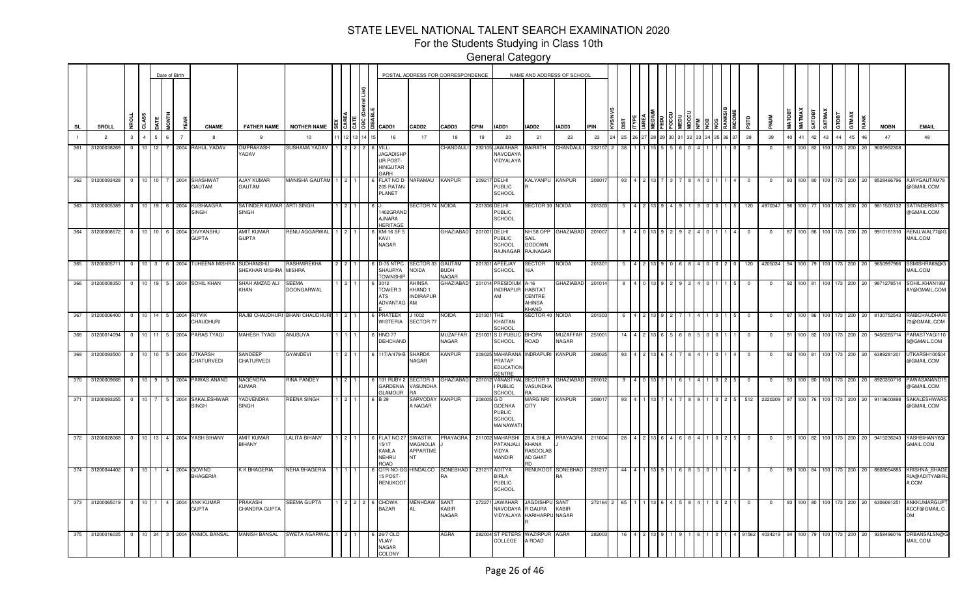For the Students Studying in Class 10th

|     |                 |                   |                         |                  |                | Date of Birth       |                                      |                           |                                           |                                 |       |       |                                                                        |                                              | POSTAL ADDRESS FOR CORRESPONDENCE     |             |                                                             |                                                     | NAME AND ADDRESS OF SCHOOL         |          |     |  |  |  |  |              |            |                |               |              |        |         |               |             |                                                 |
|-----|-----------------|-------------------|-------------------------|------------------|----------------|---------------------|--------------------------------------|---------------------------|-------------------------------------------|---------------------------------|-------|-------|------------------------------------------------------------------------|----------------------------------------------|---------------------------------------|-------------|-------------------------------------------------------------|-----------------------------------------------------|------------------------------------|----------|-----|--|--|--|--|--------------|------------|----------------|---------------|--------------|--------|---------|---------------|-------------|-------------------------------------------------|
| SL  |                 | SROLL             |                         | CLASS            |                | 통                   |                                      | <b>CNAME</b>              | <b>FATHER NAME</b>                        | <b>MOTHER NAME</b>              |       | 13588 | CADD1                                                                  | <b>CADD2</b>                                 | <b>CADD3</b>                          | <b>CPIN</b> | IADD1                                                       | IADD2                                               | IADD3                              | PIN      |     |  |  |  |  | αrs.         |            | <b>MATOBT</b>  | <b>MATMAX</b> | <b>THORT</b> | SATMAX | GTOBT   | GTMAX<br>RANK | <b>MOBN</b> | <b>EMAIL</b>                                    |
|     |                 | $\overline{c}$    | 3                       |                  |                | $\overline{7}$<br>6 |                                      | 8                         | 9                                         | 10                              | 12 13 |       | 16                                                                     | 17                                           | 18                                    | 19          | 20                                                          | 21                                                  | 22                                 | 23       | 25  |  |  |  |  | 38           | 39         | 40             | 41 42         |              | 43     | 44      | 45<br>46      | 47          | 48                                              |
| 361 |                 | 31200038269       | $\overline{0}$          | 10 <sup>1</sup>  | <b>12</b>      |                     |                                      | 7 2004 RAHUL YADAV        | OMPRAKASH<br><b>ADAV</b>                  | SUSHAMA YADAV                   |       | 222   | VILL-<br><b>JAGADISHR</b><br>UR POST-<br><b>HINGUTAF</b><br><b>ARH</b> |                                              | CHANDAULI                             |             | 232105 JAWAHAR<br>NAVODAYA<br>VIDYALAYA                     | BAIRATH                                             | CHANDAULI                          | 232107 2 | 38  |  |  |  |  | $\mathbf{0}$ | $^{\circ}$ | Q <sub>1</sub> | $100$ 82      |              | 100    | 173     | 200 20        | 9005952308  |                                                 |
| 362 |                 | 31200093428 0     |                         | $10^{-1}$        | 10             | 7 2004              | SHASHWA <sup>®</sup><br>MATUA        |                           | <b>AJAY KUMAR</b><br>GAUTAM               | MANISHA GAUTAM 1                |       |       | <b>FLAT NO D</b><br>205 RATAN<br>PLANET                                | NARAMAU                                      | <b>KANPUR</b>                         | 209217      | DELHI<br>PUBLIC<br><b>SCHOOL</b>                            | KALYANPU KANPUR                                     |                                    | 20801    |     |  |  |  |  |              |            |                |               |              | 100    | 173     | 200<br>-20    | 8528466796  | AJAYGAUTAM78<br>@GMAIL.COM                      |
| 363 |                 | 31200005389       | $\overline{0}$          | 10 <sup>10</sup> |                | 2004<br>6 I         | <b>SINGH</b>                         | KUSHAAGRA                 | SATINDER KUMAR ARTI SINGH<br><b>SINGH</b> |                                 |       |       | 402GRAND<br><b>JNARA</b><br><b>HERITAGE</b>                            | ECTOR 74 NOIDA                               |                                       |             | 201306 DELHI<br>PUBLIC<br>SCHOOL                            | SECTOR 30 NOIDA                                     |                                    | 201303   |     |  |  |  |  | 120          | 4970347    |                |               |              |        | 173     | 200           | 9811500132  | SATINDERSATS<br>@GMAIL.COM                      |
| 364 |                 | 31200008572       | $\overline{0}$          | 10 <sup>10</sup> |                | 2004<br>6           | <b>GUPTA</b>                         | <b>DIVYANSHU</b>          | <b>MIT KUMAR</b><br><b>GUPTA</b>          | RENU AGGARWAL                   |       |       | KM-16 SF<br>KAVI<br>NAGAR                                              |                                              | <b>GHAZIABAD</b>                      | 201001      | <b>DELHI</b><br>PUBLIC<br><b>SCHOOL</b><br>RAJNAGAR         | SAIL<br>GODOWN<br>RAJNAGAF                          | NH 58 OPP GHAZIABAD                | 20100    |     |  |  |  |  |              |            |                |               |              |        | 173     | 200           | 9910161310  | RENU.WAL77@G<br>MAIL.COM                        |
| 365 |                 | 31200005711       | $\overline{0}$          | $10 \mid 3 \mid$ |                | 6 2004              |                                      | TUHEENA MISHRA            | SUDHANSHU<br>SHEKHAR MISHRA               | RASHMIREKHA<br>MISHRA           |       |       | D-75 NTPC<br><b>SHAURYA</b><br>OWNSHIF                                 | SECTOR 33<br>ACIO                            | GAUTAM<br><b>BUDH</b><br><b>VAGAR</b> |             | 201301 APEEJAY<br>SCHOOL                                    | SECTOR<br>16A                                       | <b>NOIDA</b>                       | 201301   |     |  |  |  |  | 120          | 4205034    |                |               | 100 79 100   |        | 173     | 200<br>-20    | 9650997966  | SSMISHRA68@G<br>MAIL.COM                        |
| 366 |                 | 31200008350       | $\overline{0}$          | $10$   19        | 5 <sub>1</sub> | 2004                |                                      | SOHIL KHAN                | SHAH AMZAD ALI<br>KHAN                    | SEEMA<br><b>DOONGARWAL</b>      |       |       | 3012<br>OWER 3<br>ATS<br>ADVANTAG                                      | <b>HINSA</b><br>KHAND 1<br>NDIRAPUR<br>AМ    | GHAZIABAD                             |             | 201014 PRESIDIUM<br><b>NDIRAPUR</b><br>AM                   | A-16<br><b>HABITAT</b><br>CENTRE<br>AHINSA<br>KHAND | GHAZIABAD                          | 201014   |     |  |  |  |  |              |            |                | 100 ∎ 81.     |              | 100    | 173     | 200           | 9871278514  | SOHIL.KHAN19M<br>AY@GMAIL.COM                   |
|     |                 | 367 31200006400   | $\overline{0}$          | 10               | 14             |                     | 5 2004 RITVIK                        | Chaudhuri                 |                                           | RAJIB CHAUDHURI BHANI CHAUDHURI |       |       | PRATEEK<br>VISTERIA                                                    | J 1002<br>SECTOR 77                          | NOIDA                                 | 201301      | THE<br>KHAITAN<br>CHOOL                                     | SECTOR 40 NOIDA                                     |                                    | 201303   |     |  |  |  |  |              |            |                | 100 86        |              | 100    |         | 173 200 20    | 8130752543  | RAIBCHAUDHAR<br>73@GMAIL.COM                    |
|     | 368 31200014094 |                   | $\overline{\mathbf{0}}$ | 10 11<br>10 10   |                |                     | 5 2004 PARAS TYAGI<br><b>UTKARSH</b> |                           | MAHESH TYAGI<br>SANDEEP                   | ANUSUYA<br>GYANDEVI             |       |       | <b>HNO 77</b><br>DEHCHAND                                              | SHARDA                                       | MUZAFFAR<br>NAGAR<br>KANPUR           |             | 251001 S D PUBLIC<br>SCHOOL<br>208025 MAHARAN/              | BHOPA<br>ROAD<br><b>INDRAPURI</b>                   | MUZAFFAR<br>NAGAR<br><b>KANPUR</b> | 25100    |     |  |  |  |  |              |            |                |               |              |        | 73      | 200           | 9456265714  | PARASTYAGI110<br>@GMAIL.COM                     |
|     | 369 31200093500 |                   | $\overline{0}$          |                  |                | 5 2004              |                                      | CHATURVEDI                | CHATURVEDI                                |                                 |       |       | 17/A/479-B                                                             | <b>NAGAR</b>                                 |                                       |             | PRATAP<br><b>EDUCATIOI</b><br><b>ENTRE</b>                  |                                                     |                                    | 20802    |     |  |  |  |  |              |            |                | 100   81      |              | 100    | 173     | 200           | 6389281201  | UTKARSH100504<br>@GMAIL.COM                     |
| 370 |                 | 31200009666       | $^{\circ}$              | 10               | 9              | 5                   |                                      | 2004 PAWAS ANAND          | NAGENDRA<br>KUMAR                         | <b>RINA PANDEY</b>              |       |       | 101 RUBY<br>GARDENIA<br><b>GLAMOUR</b>                                 | SECTOR 3<br><b>VASUNDHA</b><br>١A            | <b>GHAZIABAD</b>                      | 201012      | <b>VANASTHA</b><br><b>PUBLIC</b><br><b>CHOOL</b>            | SECTOR 3<br>VASUNDHA<br>RA                          | <b>GHAZIABAD</b>                   | 20101    |     |  |  |  |  |              |            |                |               |              | 100    | 173     | 200           | 8920350716  | PAWASANAND1<br>@GMAIL.COM                       |
| 371 |                 | 31200093255       | $^{\circ}$              | 10 <sup>10</sup> |                | 2004<br>5           | <b>SINGH</b>                         | SAKALESHWAR               | YADVENDRA<br><b>SINGH</b>                 | REENA SINGH                     |       |       | 29                                                                     | <b>SARVODA</b><br>A NAGAR                    | KANPUR                                | 208005 G D  | <b>GOENKA</b><br><b>PUBLIC</b><br>SCHOOL<br><b>MAINAWAT</b> | MARG NRI KANPUR<br><b>CITY</b>                      |                                    | 20801    |     |  |  |  |  |              | 222020     |                |               |              |        | 173     | 200           | 9119600898  | SAKALESHWAR<br>@GMAIL.COM                       |
| 372 |                 | 31200028068 0     |                         |                  |                |                     | 10 13 4 2004 YASH BIHANY             |                           | AMIT KUMAR<br>BIHANY                      | <b>LALITA BIHANY</b>            |       |       | FLAT NO <sub>2</sub><br>15/17<br>KAMLA<br>NEHRU<br>ROAD                | <b>SWASTIK</b><br>MAGNOLIA<br>APPARTME<br>NT | PRAYAGRA                              |             | 211002 MAHARSHI<br>PATANJALI<br>VIDYA<br><b>MANDIR</b>      | 28 A SHILA<br>KHANA<br><b>RASOOLAB</b><br>AD GHAT   | PRAYAGRA                           | 211004   | 28  |  |  |  |  |              | 0          |                |               | 100 82 100   |        | 173 200 | 120           | 9415236243  | YASHBIHANY6@<br>GMAIL.COM                       |
| 374 |                 | 31200044402       | $\overline{0}$          | 10 <sup>1</sup>  | $\mathbf{1}$   | 4 2004              | <b>GOVIND</b>                        | <b>BHAGERIA</b>           | (K BHAGERIA                               | <b>VEHA BHAGERIA</b>            |       |       | QTR-NO-G<br>15 POST-<br>RENUKOOT                                       | <b>IINDALCO</b>                              | SONEBHAD<br>R٦                        |             | 231217 ADITYA<br>BIRLA<br><b>PUBLIC</b><br><b>SCHOOL</b>    | RENUKOOT                                            | SONEBHAD                           | 23121    | -44 |  |  |  |  | $^{\circ}$   | 0          |                |               | 100 84 100   |        | 173     | 200<br>-20    | 8808054885  | <b>KRISHNA_BHAGE</b><br>RIA@ADITYABIRL<br>A.COM |
|     |                 | 373 31200065019 0 |                         | 10 <sup>1</sup>  |                |                     | 4 2004 ANK KUMAR<br><b>GUPTA</b>     |                           | RAKASH<br>CHANDRA GUPTA                   | SEEMA GUPTA                     |       |       | CHOWK<br>BAZAR                                                         | <b><i>IENHDAW</i></b>                        | <b>SANT</b><br>KABIR<br>NAGAR         | 272271      | JAWAHAR<br>NAVODAYA<br>VIDYALAYA                            | JAGDISHPU<br>R GAURA<br>HARIHARPU NAGAR             | SANT<br>KABIR                      | 272164 2 |     |  |  |  |  |              |            |                | 100 80        |              | 100    | 173 200 |               | 6306061251  | ANKKUMARGUP<br>ACCF@GMAIL.C<br><b>OM</b>        |
|     |                 | 375 31200016035 0 |                         |                  |                |                     |                                      | 10 24 3 2004 ANMOL BANSAL | <b>MANISH BANSAL</b>                      | SWETA AGARWAL                   |       |       | 26/7 OLD<br>YIJAY<br>NAGAR<br><b>OLONY</b>                             |                                              | AGRA                                  |             | 282004 ST PETERS<br>COLLEGE                                 | WAZIRPUR AGRA<br>A ROAD                             |                                    | 282003   |     |  |  |  |  | 91562        | 4034219    | 94             | 100 79 100    |              |        |         | 173 200 20    | 9358496016  | DRBANSALSN@G<br>MAIL.COM                        |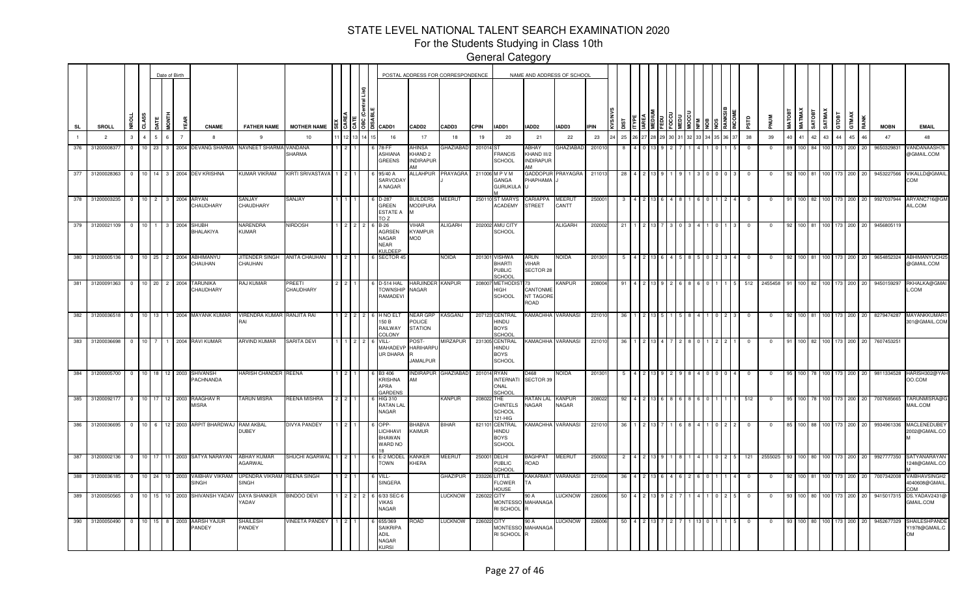For the Students Studying in Class 10th

|                |                                          |                             |                |                           |              | Date of Birth                 |                                           |                                                |                            |    |     |                                                                                                                                 |                                                         | POSTAL ADDRESS FOR CORRESPONDENCE |                      |                                                         | NAME AND ADDRESS OF SCHOOL               |                        |                |     |    |  |    |  |            |            |    |               |        |               |       |                       |                           |                                                             |
|----------------|------------------------------------------|-----------------------------|----------------|---------------------------|--------------|-------------------------------|-------------------------------------------|------------------------------------------------|----------------------------|----|-----|---------------------------------------------------------------------------------------------------------------------------------|---------------------------------------------------------|-----------------------------------|----------------------|---------------------------------------------------------|------------------------------------------|------------------------|----------------|-----|----|--|----|--|------------|------------|----|---------------|--------|---------------|-------|-----------------------|---------------------------|-------------------------------------------------------------|
| <b>SL</b>      | SROLL                                    |                             | <b>Da</b>      | CLASS                     | <b>HINON</b> |                               | <b>CNAME</b>                              | <b>FATHER NAME</b>                             | <b>MOTHER NAME</b>         |    |     | $\frac{18}{16}$ $\frac{12}{15}$ $\frac{12}{15}$ $\frac{12}{15}$ $\frac{12}{15}$ $\frac{12}{15}$ $\frac{12}{15}$ $\frac{12}{15}$ | CADD <sub>2</sub>                                       | CADD3                             | <b>CPIN</b>          | IADD1                                                   | IADD2                                    | IADD3                  | <b>IPIN</b>    |     |    |  |    |  | ΠSΡ        | <b>MUN</b> |    | <b>MATMAX</b> | SATOBT | <b>SATMAX</b> | GTOBT | GTMAX<br>RANK         | <b>MOBN</b>               | <b>EMAIL</b>                                                |
| $\blacksquare$ | $\overline{2}$                           |                             | $\mathbf{3}$   | $\mathbf{A}$              | $\mathbf{r}$ | $6^{\circ}$<br>$\overline{7}$ | 8                                         | 9                                              | 10                         | 12 | 14  | 16                                                                                                                              | 17                                                      | 18                                | 19                   | 20                                                      | 21                                       | 22                     | 23             | 25  | 26 |  | 32 |  | 38         | 39         | 40 | 41            | 42     | 43            | 44    | 45<br>46              | 47                        | 48                                                          |
| 376            | 3120000837                               |                             | $^{\circ}$     | 10 <sup>1</sup>           | 23           |                               | 3 2004 DEVANG SHARMA                      | NAVNEET SHARMA                                 | VANDANA<br>SHARMA          |    |     | '8-FF<br>ASHIANA<br><b>GREENS</b>                                                                                               | <b>IHINSA</b><br>KHAND <sub>2</sub><br><b>INDIRAPUR</b> | <b>GHAZIABAD</b>                  | 201014 <sub>S1</sub> | <b>FRANCIS</b><br><b>SCHOOL</b>                         | ABHAY<br>KHAND III/2<br><b>INDIRAPUR</b> | GHAZIABAD              | 20101          |     |    |  |    |  | $^{\circ}$ |            | 89 | 100           |        | 100.          | 173   | 200<br>20             | 9650329831                | <b>/ANDANAASH7</b><br>@GMAIL.COM                            |
| 377            | 31200028363                              |                             | $\mathbf{0}$   |                           |              |                               | 10 14 3 2004 DEV KRISHNA                  | KUMAR VIKRAM                                   | <b>KIRTI SRIVASTAVA</b>    |    |     | 95/40 A<br>SARVODA'<br>A NAGAR                                                                                                  | ALLAHPUR                                                | PRAYAGRA                          |                      | 211006 M P V M<br>GANGA<br><b>GURUKULA</b>              | GADDOPUR<br>PHAPHAMA                     | PRAYAGRA               | 21101          | 28  |    |  |    |  | $\Omega$   |            | 92 | 100 81        |        | 100 173       |       | 200<br>20             | 9453227566                | VIKALLD@GMAII<br>MOC                                        |
|                | 378 31200003235 0 10 2 3 2004 ARYAN      |                             |                |                           |              |                               | CHAUDHARY                                 | <b>ANJAY</b><br>CHAUDHARY                      | SANJAY                     |    |     | D-287<br><b>GREEN</b><br><b>ESTATE A</b><br>TO Z                                                                                | BUILDERS<br><b>MODIPURA</b><br><b>M</b>                 | MEERUT                            |                      | 250110 ST MARYS<br><b>ACADEMY</b>                       | CARIAPPA<br><b>STREET</b>                | <b>MEERUT</b><br>CANTT | 25000          |     |    |  |    |  |            |            |    | 100 82        |        | 100 173       |       | 200 20                | 9927037944                | ARYANC716@GM<br>AIL.COM                                     |
|                | 379 31200021109 0                        |                             |                |                           |              | 10 1 3 2004                   | <b>SHUBH</b><br>BHALAKIYA                 | NARENDRA<br><b>KUMAR</b>                       | <b>NIRDOSH</b>             |    |     | 6 B-26<br><b>AGRSEN</b><br>NAGAR<br><b>NEAR</b><br><b>KULDEEP</b>                                                               | VIHAR<br><b>KYAMPUR</b><br><b>MOD</b>                   | ALIGARH                           |                      | 202002 AMU CITY<br><b>SCHOOL</b>                        |                                          | <b>ALIGARH</b>         | 202002         | 21  |    |  |    |  |            |            | 92 | 100 81        |        | 100           |       | 200 20                | 9456805119                |                                                             |
|                | 380 31200005136 0 10 25 2 2004 ABHIMANYU |                             |                |                           |              |                               | CHAUHAN                                   | JITENDER SINGH<br>CHAUHAN                      | <b>ANITA CHAUHAN</b>       | 2  |     | 6 SECTOR 45                                                                                                                     |                                                         | <b>NOIDA</b>                      |                      | 201301 VISHWA<br>BHARTI<br><b>PUBLIC</b><br>SCHOOL      | ARUN<br>VIHAR<br>SECTOR 28               | <b>NOIDA</b>           | 201301         |     |    |  |    |  | $^{\circ}$ |            | 92 |               |        |               |       |                       |                           | 100 81 100 173 200 20 9654852324 ABHIMANYUCH2<br>@GMAIL.COM |
|                | 381 31200091363 0 10 20 2 2004           |                             |                |                           |              |                               | <b>TARUNIKA</b><br>CHAUDHARY              | RAJ KUMAR                                      | PREETI<br>CHAUDHARY        |    |     | D-514 HAL<br><b>TOWNSHIP</b><br>RAMADEVI                                                                                        | HARJINDER KANPUR<br>NAGAR                               |                                   |                      | 208007 METHODIS<br>HIGH<br><b>SCHOOL</b>                | CANTONME<br><b>NT TAGORE</b><br>ROAD     | <b>KANPUR</b>          | 208004         | -91 |    |  |    |  | 512        | 2455458    | 91 |               |        |               |       | 100 82 100 173 200 20 | 9450159297                | RKHALKA@GMA<br>.COM                                         |
|                | 382 31200036518                          |                             | $\overline{0}$ |                           |              |                               | 10 13 1 2004 MAYANK KUMAR                 | <b>VIRENDRA KUMAR</b><br>RAI                   | RANJITA RAI                |    | l 2 | H NO EL'<br>150 B<br>RAILWAY<br>COLONY                                                                                          | <b>NEAR GRP</b><br>POLICE<br><b>STATION</b>             | KASGANJ                           |                      | 207123 CENTRAL<br>HINDU<br><b>BOYS</b><br>SCHOOL        | KAMACHHA                                 | <b>VARANASI</b>        | 22101          | -36 |    |  |    |  | $^{\circ}$ | 0          | 92 | 100 81        |        |               |       |                       | 100 173 200 20 8279474287 | MAYANKKUMAR<br>301@GMAIL.COM                                |
| 383            | 31200036698                              |                             | $\Omega$       | 10 <sup>1</sup>           |              |                               | 2004 RAVI KUMAR                           | <b>ARVIND KUMAR</b>                            | SARITA DEVI                |    |     | VILL-<br>MAHADEVF<br>UR DHARA                                                                                                   | POST-<br><b>HARIHARPL</b><br><b>JAMALPUR</b>            | MIRZAPUR                          |                      | 231305 CENTRAL<br>HINDU<br><b>BOYS</b><br><b>SCHOOL</b> | <b>KAMACHHA VARANASI</b>                 |                        | 22101          | 36  |    |  |    |  |            |            | 91 | 100 82        |        | 100.          |       | 200<br>20             | 760745325                 |                                                             |
| 384            |                                          | 31200005700 0 10 18         |                |                           |              |                               | 12 2003 SHIVANSH<br>PACHNANDA             | HARISH CHANDER                                 | <b>REENA</b>               |    |     | B3 406<br><b>KRISHNA</b><br>APRA<br>GARDENS                                                                                     | <b>NDIRAPUR</b><br>AМ                                   | <b>GHAZIABAD</b>                  | 201014 RYAN          | <b>INTERNATI</b><br>ONAL<br>SCHOO                       | D468<br>SECTOR 39                        | <b>NOIDA</b>           | 201301         |     |    |  |    |  |            |            | 95 | 100 78        |        |               |       | 200<br>20             | 9811334528                | HARISH302@YAH<br>OO.COM                                     |
| 385            |                                          | 31200092177 0 10 17 12 2003 |                |                           |              |                               | RAAGHAV R<br><b>MISRA</b>                 | <b>TARUN MISRA</b>                             | REENA MISHRA               |    |     | <b>HIG 310</b><br><b>RATAN LAL</b><br>NAGAR                                                                                     |                                                         | <b>KANPUR</b>                     | 208022 THE           | <b>CHINTELS</b><br><b>SCHOOL</b><br>121-HIG             | <b>RATAN LAL</b><br>NAGAR                | <b>KANPUR</b><br>NAGAR | 208022         |     |    |  |    |  | 512        |            | 95 | 100 78        |        |               |       | 200<br>20             | 7007685665                | TARUNMISRA@0<br>MAIL.COM                                    |
| 386            |                                          | 31200036695 0               |                | 10 6                      |              |                               | 12 2003 ARPIT BHARDWAJ                    | <b>RAM AKBAL</b><br>DUBEY                      | DIVYA PANDEY               |    |     | OPP-<br>LICHHAVI<br><b>BHAWAN</b><br>WARD NO                                                                                    | BHABVA<br>KAIMUR                                        | <b>BIHAR</b>                      |                      | 821101 CENTRAL<br>HINDU<br><b>BOYS</b><br><b>SCHOOL</b> | KAMACHHA                                 | VARANASI               | 22101          | 36  |    |  |    |  |            |            | 85 | 100 88        |        |               |       | 200<br>20             | 9934961336                | <b>MACLENEDUBE</b><br>2002@GMAIL.CO                         |
| 387<br>388     |                                          | 31200002136 0               |                | 10 17                     |              |                               | 11 2003 SATYA NARAYAN                     | ABHAY KUMAR<br>AGARWAL                         | SHUCHI AGARWAL             |    |     | E-2 MODE<br><b>TOWN</b>                                                                                                         | <b>KANKEF</b><br>KHERA                                  | MEERUT                            | 250001 DELHI         | <b>PUBLIC</b><br>SCHOOL                                 | BAGHPAT<br>ROAD                          | <b>MEERUT</b>          | 25000          |     |    |  |    |  | 121        | 2555025    |    |               |        |               |       | 200<br>20             | 9927777350                | SATYANARAYAN<br>248@GMAIL.CC                                |
| 389            | 31200050565                              | 31200036185 0               | $^{\circ}$     | 10 24<br>10 <sup>10</sup> |              | 10 2003<br>2003<br>10         | VAIBHAV VIKRAM<br>SINGH<br>SHIVANSH YADAV | UPENDRA VIKRAM<br><b>SINGH</b><br>DAYA SHANKER | REENA SINGH<br>BINDOO DEVI |    |     | VILL-<br>SINGERA<br>6/33 SEC-                                                                                                   |                                                         | GHAZIPUR<br>LUCKNOW               | 226022 CITY          | 233226 LITTLE<br><b>FLOWER</b><br>HOUSE                 | KAKARMAT<br>TA<br>90 A                   | VARANASI<br>LUCKNOW    | 22100<br>22600 |     |    |  |    |  |            |            | 92 | 100 81        |        |               |       | 200<br>200            | 7007342008<br>941501731   | VAIBHAVSINGH2<br>4040608@GMAIL<br>MOC<br>DS.YADAV2431(      |
|                |                                          |                             |                |                           |              |                               |                                           | <b>ADAV</b>                                    |                            |    |     | <b>VIKAS</b><br><b>NAGAR</b>                                                                                                    |                                                         |                                   |                      | <b>MONTESSO</b><br>RI SCHOOL R                          | <b>MAHANAGA</b>                          |                        |                |     |    |  |    |  |            |            |    |               |        |               |       |                       |                           | GMAIL.COM                                                   |
| 390            | 31200050490                              |                             | $\overline{0}$ | $10$   15                 |              |                               | 8 2003 AARSH YAJUR<br>PANDEY              | SHAILESH<br>PANDEY                             | <b>VINEETA PANDEY</b>      |    |     | 655/369<br><b>SAIKRIPA</b><br>ADIL<br><b>NAGAR</b><br>KLIRSI                                                                    | QAOR                                                    | LUCKNOW                           | 226022               | CITY<br>MONTESSO MAHANAGA<br>RI SCHOOL R                | 90 A                                     | <b>LUCKNOW</b>         | 22600          | 50  |    |  |    |  |            |            |    |               |        |               |       | 200<br>20             | 9452677329                | SHAILESHPAND<br>Y1978@GMAIL.C<br><b>OM</b>                  |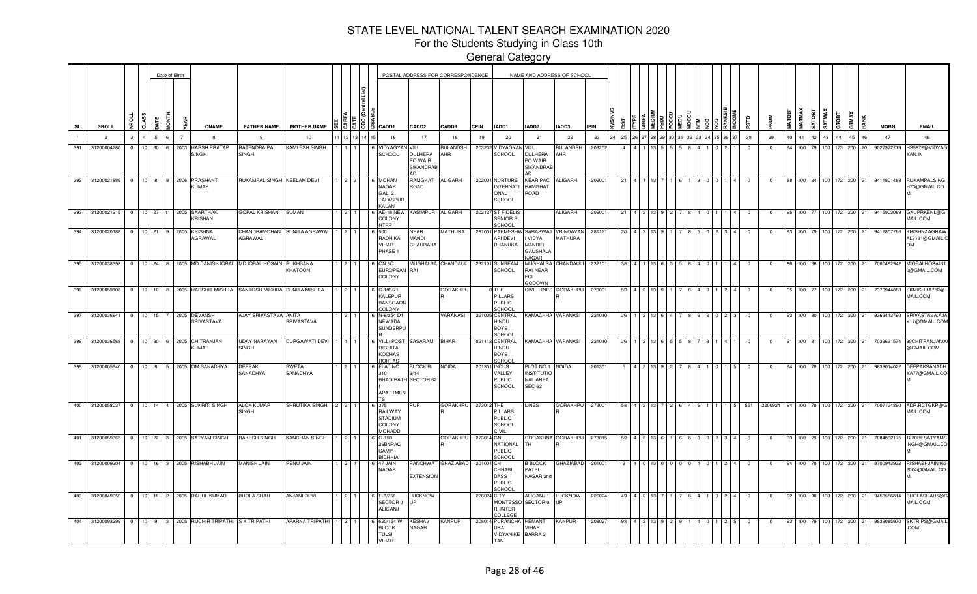For the Students Studying in Class 10th

General Category

—<br>—<br>—

|           |                 |                |                 |         | Date of Birth  |      |                                              |                                   |                       |                  |                                                                                      |                                                | POSTAL ADDRESS FOR CORRESPONDENCE |             |                                                             | NAME AND ADDRESS OF SCHOOL                                                 |                             |             |     |  |  |  |      |            |            |               |                  |       |                 |            |           |             |   |                                             |
|-----------|-----------------|----------------|-----------------|---------|----------------|------|----------------------------------------------|-----------------------------------|-----------------------|------------------|--------------------------------------------------------------------------------------|------------------------------------------------|-----------------------------------|-------------|-------------------------------------------------------------|----------------------------------------------------------------------------|-----------------------------|-------------|-----|--|--|--|------|------------|------------|---------------|------------------|-------|-----------------|------------|-----------|-------------|---|---------------------------------------------|
| <b>SL</b> | SROLL           | <b>SE</b>      | CLASS           | DATE    | <b>FTMON</b>   |      | <b>CNAME</b>                                 | <b>FATHER NAME</b>                | <b>MOTHER NAME</b>    | । है । है । है । | GADD1                                                                                | CADD <sub>2</sub>                              | CADD3                             | <b>CPIN</b> | IADD1                                                       | IADD2                                                                      | IADD3                       | <b>IPIN</b> |     |  |  |  |      |            |            | <b>MATOBT</b> | <b>MATMAX</b>    | TEOTA | SATMAX<br>GTOBT | GTMAX      |           | <b>MOBN</b> |   | <b>EMAIL</b>                                |
|           | $\overline{2}$  | $\mathbf{3}$   | $\overline{4}$  | 5       | $6^{\circ}$    |      | 8                                            | -9                                | 10                    |                  | 16                                                                                   | 17                                             | 18                                | 19          | 20                                                          | 21                                                                         | 22                          | 23          | 25  |  |  |  | 6 37 | 38         | 39         | 40            | 41               | 42    | 43              | 44         | 45<br>46  | 47          |   | 48                                          |
| 391       | 31200004280     | 0              | 10              | 30      | 6              | 2003 | HARSH PRATAP<br>SINGH                        | RATENDRA PAL<br>SINGH             | <b>KAMLESH SINGH</b>  |                  | /IDYAGY<br><b>SCHOOL</b>                                                             | VILL<br><b>DULHERA</b><br>PO WAIR<br>SIKANDRAE | <b>BULANDSH</b><br>AHR            | 203202      | /IDYAGY<br>SCHOOL                                           | VILL<br><b>DULHERA</b><br>PO WAIR<br><b>SIKANDRAE</b>                      | <b>BULANDSH</b><br>AHR      | 20320       |     |  |  |  |      |            |            |               |                  |       |                 | 173        | 200       | 902737271   |   | IS5872@VIDYAG<br>YAN.IN                     |
| 392       | 31200021886     | $\overline{0}$ | $10 \quad 8$    |         | 8 2006         |      | PRASHANT<br>KUMAR                            | RUKAMPAL SINGH NEELAM DEVI        |                       |                  | <b>MOHAN</b><br><b>NAGAR</b><br>GALI <sub>2</sub><br><b>TALASPUF</b><br><b>KALAN</b> | RAMGHAT<br>ROAD                                | <b>ALIGARH</b>                    | 202001      | <b>NURTURE</b><br><b>INTERNATI</b><br>ONAL<br><b>SCHOOL</b> | <b>NEAR PAC</b><br>RAMGHAT<br>ROAD                                         | <b>ALIGARH</b>              | 20200       |     |  |  |  |      |            |            |               | 100 84           |       | 100             | 172<br>200 |           | 9411801483  |   | <b>RUKAMPALSING</b><br>H73@GMAIL.CO         |
| 393       | 31200021215     | $\Omega$       | 10              | 27      |                |      | 2005 SAARTHAK<br>KRISHAN                     | <b>GOPAL KRISHAN</b>              | <b>SUMAN</b>          |                  | AE-18 NEV<br>COLONY<br><b>HTPP</b>                                                   | <b>KASIMPUR</b>                                | <b>ALIGARH</b>                    |             | 202127 ST FIDELIS<br>SENIOR S<br>CHOOL                      |                                                                            | <b>ALIGARH</b>              | 20200       | -21 |  |  |  |      |            |            |               |                  |       |                 | 72<br>200  |           | 9415903089  |   | GKUPRKENL@G<br>MAIL.COM                     |
| 394       | 31200020188     | $\Omega$       | 10 <sup>1</sup> | 21      | 9              | 2005 | <b>KRISHNA</b><br>AGRAWAL                    | CHANDRAMOHAN<br>AGRAWAL           | SUNITA AGRAWAL        |                  | 500<br>RADHIKA<br>VIHAR<br>PHASE 1                                                   | NEAR<br>MANDI<br>CHAURAHA                      | <b>MATHURA</b>                    | 281001      | <b>PARMESHV</b><br>ARI DEVI<br>DHANUKA                      | SARASWA <sup>-</sup><br><b>VIDYA</b><br>MANDIR<br><b>GAUSHALA</b><br>NAGAR | VRINDAVAN<br><b>MATHURA</b> | 28112       |     |  |  |  |      |            |            |               | 100              |       |                 | 172<br>200 |           | 9412807766  |   | KRISHNAAGRAW<br>AL3131@GMAIL.C<br><b>OM</b> |
| 395       | 31200038398     | $\overline{0}$ |                 |         |                |      | 10 24 8 2005 MD DANISH IQBAL MD IQBAL HOSAIN |                                   | RUKHSANA<br>KHATOON   |                  | QN 6C<br>EUROPEAN<br>COLONY                                                          | MUGHALSA<br>RAI                                | CHANDAULI                         | 232101      | <b>SUNBEAM</b><br>SCHOOL                                    | MUGHALSA<br>RAI NEAR<br>FCI<br><b>GODOWN</b>                               | CHANDAULI                   | 23210       | -38 |  |  |  |      |            |            |               | 100 I            |       |                 | 200<br>172 |           | 7080462942  |   | MIQBALHOSAIN <sup>®</sup><br>0@GMAIL.COM    |
| 396       | 31200059103     | $\mathbf{0}$   | 10 10           |         |                |      | 8 2005 HARSHIT MISHRA                        | SANTOSH MISHRA                    | <b>SUNITA MISHRA</b>  |                  | C-188/71<br>KALEPUR<br><b>BANSGAON</b><br>COLONY                                     |                                                | <b>GORAKHPL</b>                   |             | THE<br><b>PILLARS</b><br><b>PUBLIC</b><br>SCHOOL            |                                                                            | CIVIL LINES GORAKHPU        | 27300       | 59  |  |  |  |      |            | $^{\circ}$ |               | 100 7            |       |                 | 172        | 200       | 7379944888  |   | SKMISHRA752@<br>MAIL.COM                    |
| 397       | 31200036641     | $^{\circ}$     | 10 <sup>1</sup> | 15      | 7 2005         |      | <b>DEVANSH</b><br>SRIVASTAVA                 | AJAY SRIVASTAVA ANITA             | SRIVASTAVA            |                  | N-8/254 D1<br><b>NEWADA</b><br>SUNDERPL                                              |                                                | VARANASI                          |             | 221005 CENTRAL<br>HINDU<br><b>BOYS</b><br>SCHOOL            | KAMACHHA VARANASI                                                          |                             | 22101       |     |  |  |  |      |            |            |               |                  |       |                 | 200        |           | 9369413790  |   | SRIVASTAVA.AJA<br>Y17@GMAIL.COM             |
| 398       | 31200036568     | $^{\circ}$     | 10 30           |         | 6 2005         |      | CHITRANJAN<br>KUMAR                          | <b>UDAY NARAYAN</b><br>SINGH      | <b>DURGAWATI DEVI</b> |                  | VILL+POST<br><b>DIGHITA</b><br>KOCHAS<br>ROHTAS                                      | SASARAM                                        | <b>BIHAR</b>                      |             | 821112 CENTRAL<br>HINDU<br><b>BOYS</b><br>SCHOO             | KAMACHHA VARANASI                                                          |                             | 22101       |     |  |  |  |      |            |            |               |                  |       |                 | 200        |           | 703363157   |   | 30CHITRANJAN0<br>@GMAIL.COM                 |
| 399       | 31200005940     | $\mathbf{0}$   | $10$ 8          |         | 5 2005         |      | OM SANADHYA                                  | <b>DEEPAK</b><br>SANADHYA         | SWETA<br>SANADHYA     |                  | FLAT NO<br>310<br>BHAGIRATH SECTOR 62<br>APARTMEN                                    | BLOCK B-<br>14                                 | <b>NOIDA</b>                      | 201301      | <b>INDUS</b><br>VALLEY<br><b>PUBLIC</b><br><b>SCHOOL</b>    | PLOT NO 1 NOIDA<br><b>INSTITUTIO</b><br>NAL AREA<br><b>SEC-62</b>          |                             | 201301      |     |  |  |  |      | $^{\circ}$ | $^{\circ}$ |               |                  |       | 100 78 100 172  | 200        | 21        | 9639014022  |   | DEEPAKSANADH<br>YA77@GMAIL.CO               |
| 400       | 31200058037     | $\circ$        |                 |         |                |      | 10 14 4 2005 SUKRITI SINGH                   | <b>ALOK KUMAR</b><br><b>SINGH</b> | SHRUTIKA SINGH        |                  | 375<br>RAILWAY<br><b>STADIUM</b><br>COLONY<br><b>MOHADD</b>                          | 'UR                                            | <b>GORAKHPU</b>                   | 273012      | THE<br>PILLARS<br><b>PUBLIC</b><br>SCHOOL<br><b>IVII</b>    | LINES                                                                      | <b>GORAKHPU</b>             | 273001      | -58 |  |  |  |      | 551        | 2200924    |               | 100 I            |       | 100             | 200<br>172 | 21        | 7007124890  |   | ADR.RCTGKP@G<br>MAIL.COM                    |
| 401       | 31200059365     | $\overline{0}$ |                 |         |                |      | 10 22 3 2005 SATYAM SINGH                    | RAKESH SINGH                      | KANCHAN SINGH         |                  | $G-150$<br>26BNPAC<br>CAMP<br><b>ICHHIA</b>                                          |                                                | GORAKHPU                          | 273014      | GN.<br>NATIONAL<br><b>PUBLIC</b><br>CHOOL                   | TН                                                                         | GORAKHNA GORAKHPU           | 273015      | -59 |  |  |  |      | $^{\circ}$ | $^{\circ}$ | 93            | 100 <sub>1</sub> |       | 79 100 172      |            | 200<br>21 | 7084862175  |   | 1230BESATYAMS<br>INGH@GMAIL.CO              |
| 402       | 31200009204     | $\overline{0}$ |                 | 10 16 3 |                | 2005 | RISHABH JAIN                                 | MANISH JAIN                       | RENU JAIN             |                  | 47 JAIN<br><b>NAGAR</b>                                                              | PANCHWAT<br><b>EXTENSION</b>                   | <b>GHAZIABAD</b>                  | 201001      | CН<br>CHHABIL<br><b>DASS</b><br><b>PUBLIC</b><br>SCHOOL     | <b>B BLOCK</b><br>PATEL<br>NAGAR 2nd                                       | <b>GHAZIABAD</b>            | 20100       |     |  |  |  |      |            | $\Omega$   |               | 100 l            |       | 100             | 172        | 200<br>21 | 8700943932  | M | RISHABHJAIN163<br>2004@GMAIL.CO             |
|           | 403 31200049059 | $\overline{0}$ |                 |         |                |      | 10 18 2 2005 RAHUL KUMAR                     | <b>BHOLA SHAH</b>                 | <b>ANJANI DEVI</b>    |                  | E-3/756<br><b>SECTOR J</b><br>ALIGANJ                                                | <b>UCKNOW</b><br>IP                            |                                   | 226024 CITY | <b>MONTESSC</b><br><b>RI INTER</b><br><b>COLLEGE</b>        | ALIGANJ 1<br>SECTOR 0                                                      | <b>LUCKNOW</b><br>UP        | 226024      | 49  |  |  |  |      |            | $^{\circ}$ |               |                  |       | 100 80 100 172  | 200        |           | 9453556814  |   | BHOLASHAH5@<br>MAIL.COM                     |
| 404       | 31200093299     | $\mathbf{0}$   | 10 9            |         | 2 <sup>1</sup> | 2005 | RUCHIR TRIPATHI                              | S K TRIPATHI                      | APARNA TRIPATHI       |                  | 620/154 W<br><b>BLOCK</b><br><b>TULSI</b><br>VIHAR                                   | <b>ESHAV</b><br>NAGAR                          | <b>KANPUR</b>                     | 208014      | <b>PURANCHA</b><br>DRA<br>VIDYANIKE BARRA 2<br><b>TAN</b>   | <b>HEMANT</b><br>VIHAR                                                     | <b>KANPUR</b>               | 20802       |     |  |  |  |      |            |            |               |                  |       |                 | 172        | 200       | 983908597   |   | SKTRIPS@GMAII<br>.COM                       |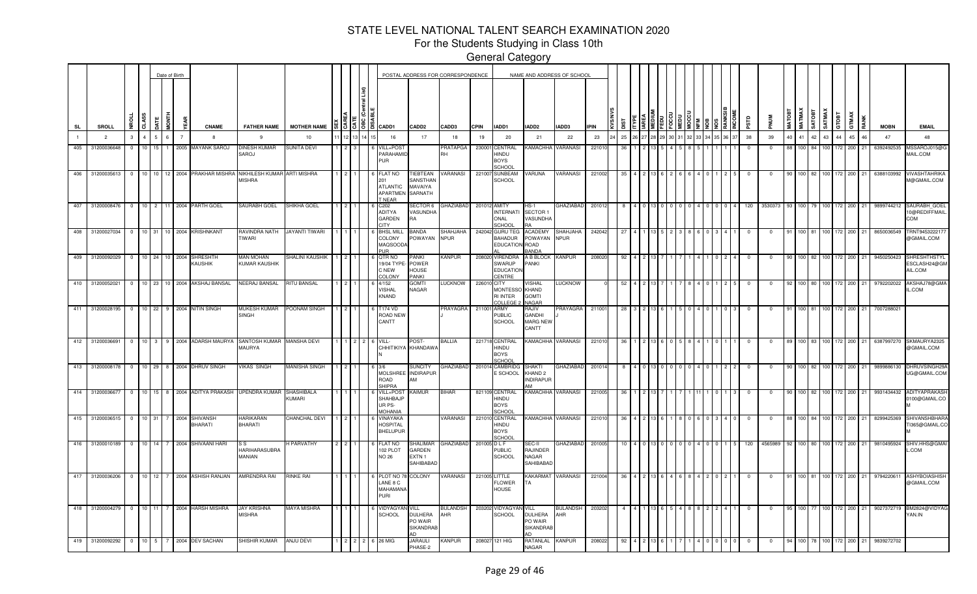For the Students Studying in Class 10th

|           |                 |                |         |         | Date of Birth |      |                                             |                                                               |                        |  |                             |                                                                      |                                                      | POSTAL ADDRESS FOR CORRESPONDENCE |              |                                                        | NAME AND ADDRESS OF SCHOOL                                    |                        |             |      |  |  |  |      |            |            |               |                  |             |                       |       |                       |             |                                         |
|-----------|-----------------|----------------|---------|---------|---------------|------|---------------------------------------------|---------------------------------------------------------------|------------------------|--|-----------------------------|----------------------------------------------------------------------|------------------------------------------------------|-----------------------------------|--------------|--------------------------------------------------------|---------------------------------------------------------------|------------------------|-------------|------|--|--|--|------|------------|------------|---------------|------------------|-------------|-----------------------|-------|-----------------------|-------------|-----------------------------------------|
| <b>SL</b> | SROLL           |                | CLASS   | JATE    | <b>FTMON</b>  |      | <b>CNAME</b>                                | <b>FATHER NAME</b>                                            | <b>MOTHER NAME</b>     |  | $\frac{5}{5}$ $\frac{5}{5}$ | <b>CADD1</b>                                                         | CADD <sub>2</sub>                                    | CADD3                             | CPIN         | IADD1                                                  | IADD2                                                         | IADD3                  | <b>IPIN</b> |      |  |  |  |      | Ğб         |            | <b>MATOBT</b> | <b>MATMAX</b>    | <b>ROLY</b> | SATMAX                | GTOBT | GTMAX<br>RANK         | <b>MOBN</b> | <b>EMAIL</b>                            |
|           | $\overline{2}$  | 3              |         |         | 6             |      | -8                                          | 9                                                             | 10                     |  |                             | 16                                                                   | 17                                                   | 18                                | 19           | 20                                                     | 21                                                            | 22                     | 23          | 25   |  |  |  | 6 37 | 38         | 39         |               | 41               | 42          | 43                    | 44    | 45<br>46              | 47          | 48                                      |
| 405       | 31200036648     | $^{\circ}$     | 10      | 15      |               | 2005 | MAYANK SAROJ                                | DINESH KUMAR<br>SAROJ                                         | SUNITA DEVI            |  |                             | VILL+POST<br>PARAHAMID<br>PUR                                        |                                                      | <b>PRATAPGA</b><br>RH             | 23000        | CENTRAL<br>HINDU<br><b>BOYS</b><br>SCHOOL              | KAMACHHA                                                      | VARANASI               | 22101       |      |  |  |  |      |            |            |               |                  |             |                       |       | 200                   | 6392492535  | MSSAROJ015@G<br>MAIL.COM                |
| 406       | 31200035613     | $\mathbf{0}$   | 10 10   |         | 12 2004       |      | PRAKHAR MISHRA                              | NIKHILESH KUMAR ARTI MISHRA<br><b>MISHRA</b>                  |                        |  |                             | <b>FLAT NO</b><br>201<br><b>ATLANTIC</b><br><b>APARTMEI</b><br>NEAR  | TIEBTEAN<br>SANSTHAN<br>MAVAIYA<br>SARNATH           | VARANASI                          | 221007       | <b>SUNBEAM</b><br><b>SCHOOL</b>                        | VARUNA                                                        | VARANASI               | 221002      | - 35 |  |  |  |      |            | $^{\circ}$ |               |                  |             | 100 82 100 172        |       | 200<br>21             | 6388103992  | <b>VIVASHTAHRIKA</b><br>M@GMAIL.COM     |
| 407       |                 |                |         |         |               |      | 31200008476  0  10  2  11  2004  PARTH GOEL | SAURABH GOEL                                                  | SHIKHA GOEL            |  |                             | C202<br><b>ADITYA</b><br>GARDEN<br><b>YTIC</b>                       | SECTOR 6<br><b>VASUNDHA</b><br>R٨                    | <b>GHAZIABAD</b>                  | 201012 AMITY | <b>INTERNATI</b><br>ONAL<br>CHOOL                      | $HS-1$<br>SECTOR 1<br>VASUNDHA                                | <b>GHAZIABAD</b>       | 201012      | -8   |  |  |  |      | 120        | 3530373    |               |                  |             | 93 100 79 100 172 200 |       | 21                    | 9899744212  | SAURABH_GOEL<br>10@REDIFFMAIL<br>COM    |
| 408       | 31200027034     |                |         |         |               |      | 0 10 31 10 2004 KRISHNKANT                  | RAVINDRA NATH<br>TIWARI                                       | JAYANTI TIWARI         |  |                             | <b>BHSL MILL</b><br>COLONY<br>MAQSOOD.<br>$\overline{\mathbf{H}}$    | BANDA<br>POWAYAN                                     | SHAHJAHA<br><b>NPUR</b>           | 242042       | <b>GURU TEG</b><br><b>BAHADUR</b><br>EDUCATION ROAD    | <b>ACADEMY</b><br>POWAYAN NPUR<br><b>BANDA</b>                | <b>SHAHJAHA</b>        | 242042      | -27  |  |  |  |      | $\Omega$   | $^{\circ}$ | - 91          |                  |             | 100 81 100 172        |       | 200<br>21             | 8650036549  | TRNT945322217<br>@GMAIL.COM             |
| 409       | 31200092029     |                |         |         |               |      | 0 10 24 10 2004 SHRESHTH<br>KAUSHIK         | <b>MAN MOHAN</b><br>KUMAR KAUSHIK                             | <b>SHALINI KAUSHIK</b> |  |                             | QTR NO<br>19/04 TYPI<br>C NEW<br>COLONY                              | <b>ANKI</b><br>POWER<br>HOUSE<br>PANKI               | <b>KANPUR</b>                     |              | 208020 VIRENDRA<br>SWARUP<br><b>EDUCATIO</b><br>CENTRE | A B BLOCK<br>PANKI                                            | <b>KANPUR</b>          | 208020      | 92   |  |  |  |      | $\Omega$   | $\Omega$   |               |                  |             | 100 82 100 172        |       | 200<br>21             | 9450250423  | SHRESHTHSTYL<br>ESCLASH24@GM<br>AIL.COM |
|           | 410 31200052021 | $\mathbf{0}$   |         |         |               |      | 10 23 10 2004 AKSHAJ BANSAL                 | <b>NEERAJ BANSAL</b>                                          | <b>RITU BANSAL</b>     |  |                             | 4/152<br>VISHAL<br>KNAND                                             | <b>TMO</b><br>NAGAR                                  | <b>LUCKNOW</b>                    | 226010 CITY  | <b>MONTESSC</b><br><b>RI INTER</b><br>COLLEGE          | /ISHAL<br>KHAND<br><b>GOMTI</b><br>NAGAR                      | <b>LUCKNOW</b>         |             |      |  |  |  |      | -0         |            |               |                  |             | 100 80 100 172 200    |       | 21                    | 9792202022  | AKSHAJ78@GMA<br>IL.COM                  |
|           |                 |                |         |         |               |      | 411 31200028195 0 10 22 9 2004 NITIN SINGH  | MUKESH KUMAR<br><b>SINGH</b>                                  | POONAM SINGH           |  |                             | [174 VD<br>ROAD NEW<br>CANTT                                         |                                                      | <b>PRAYAGRA</b>                   | 211001 ARMY  | PUBLIC<br>SCHOOL                                       | RAJIV<br>GANDHI<br><b>MARG NEW</b><br>CANTT                   | <b>PRAYAGRA</b>        | 211001      |      |  |  |  |      | $^{\circ}$ | 0          |               | 100 81           |             | 100 172 200           |       | 21                    | 7007288021  |                                         |
|           | 412 31200036691 | $\overline{0}$ |         |         |               |      |                                             | 10 3 9 2004 ADARSH MAURYA SANTOSH KUMAR MANSHA DEVI<br>MAURYA |                        |  |                             | VILL-                                                                | POST-<br>CHHITIKIYA KHANDAWA                         | BALLIA                            |              | 221718 CENTRAL<br>HINDU<br><b>BOYS</b><br>SCHOOL       | KAMACHHA VARANASI                                             |                        | 22101       | -36  |  |  |  |      | $^{\circ}$ | $^{\circ}$ | 89            |                  |             |                       |       | 100 83 100 172 200 21 | 6387997270  | SKMAURYA2325<br>@GMAIL.COM              |
|           | 413 31200008178 | $\overline{0}$ |         |         |               |      | 10 29 8 2004 DHRUV SINGH                    | <b>VIKAS SINGH</b>                                            | <b>MANISHA SINGH</b>   |  |                             | 3/6<br><b>MOLSHREE</b><br>ROAD<br><b>SHIPRA</b>                      | <b>SUNCITY</b><br><b>INDIRAPUR</b><br>AМ             | <b>GHAZIABAD</b>                  |              | 201014 CAMBRIDG<br>E SCHOOL                            | SHAKTI<br>KHAND <sub>2</sub><br><b>INDIRAPUF</b><br><b>AM</b> | <b>GHAZIABAD</b>       | 20101       | -8   |  |  |  |      | - 0        | $^{\circ}$ | 90.           |                  |             | 100 82 100 172 200    |       | -21                   | 9899886130  | DHRUVSINGH29A<br>UG@GMAIL.COM           |
|           | 414 31200036677 | $\overline{0}$ | 10      |         |               |      | 15 8 2004 ADITYA PRAKASH                    | <b>UPENDRA KUMAR</b>                                          | SHASHIBALA<br>KUMARI   |  |                             | VILL+POS <sup>®</sup><br><b>SHAHBAJF</b><br>UR PS-<br><b>MOHANIA</b> | <b><i>CAIMUR</i></b>                                 | <b>BIHAR</b>                      |              | 821109 CENTRAL<br>HINDU<br><b>BOYS</b><br>SCHOOL       | <b>KAMACHHA</b>                                               | <b>VARANASI</b>        | 221005      | -36  |  |  |  |      |            | $^{\circ}$ | 90            | 100 I            | 82          | 100 172               | 200   |                       | 9931434432  | <b>ADITYAPRAKASH</b><br>0100@GMAIL.CO   |
| 415       | 31200036515     | $\Omega$       | 10      | 31      |               | 2004 | <b>SHIVANSH</b><br><b>BHARATI</b>           | <b>HARIKARAN</b><br><b>BHARATI</b>                            | CHANCHAL DEVI          |  |                             | VINAYAKA<br><b>HOSPITAL</b><br><b>BHELUPUR</b>                       |                                                      | <b><i>VARANASI</i></b>            |              | 221010 CENTRAL<br><b>HINDU</b><br><b>BOYS</b><br>SCHOO | KAMACHHA VARANASI                                             |                        | 22101       | -36  |  |  |  |      |            | $\Omega$   |               |                  |             |                       | 172   | 200                   | 8299425369  | <b>SHIVANSHBHARA</b><br>1365@GMAIL.CO   |
| 416       | 31200010189     | $\mathbf{0}$   | 10      | 14      |               | 2004 | SHIVAANI HARI                               | S S<br>HARIHARASUBRA<br>MANIAN                                | <b>I PARVATHY</b>      |  |                             | FLAT NO<br>102 PLOT<br><b>NO 26</b>                                  | <b>SHALIMAR</b><br>GARDEN<br>EXTN 1<br>SAHIBABAD     | GHAZIABAD                         | 201005 D L F | <b>PUBLIC</b><br><b>SCHOOL</b>                         | SEC-II<br>RAJINDER<br>NAGAR<br>SAHIBABAD                      | GHAZIABAD              | 201005      | 10   |  |  |  |      | 120        | 4565989    |               |                  |             |                       | 172   | 200                   | 9810495924  | SHIV.HHS@GMA<br>L.COM                   |
| 417       | 31200036206     | $^{\circ}$     |         | $10$ 12 |               |      | 7 2004 ASHISH RANJAN                        | AMRENDRA RAI                                                  | rinke rai              |  |                             | PLOT NO :<br>LANE 8 C<br>MAHAMANA<br>PURI                            | <b>CLONY</b>                                         | <b>/ARANASI</b>                   |              | 221005 LITTLE<br><b>FLOWER</b><br><b>HOUSE</b>         | KAKARMAT VARANASI<br>TA                                       |                        | 221004      |      |  |  |  |      |            |            |               |                  |             |                       | 172   | 200                   | 979422061   | <b>ASHYBOIASHIS</b><br>@GMAIL.COM       |
| 418       | 31200004279     | $\mathbf{0}$   | $10$ 11 |         | $7^{\circ}$   | 2004 | <b>HARSH MISHRA</b>                         | <b>JAY KRISHNA</b><br><b>MISHRA</b>                           | <b>MAYA MISHRA</b>     |  |                             | <b>/IDYAGYA</b><br>SCHOOL                                            | /ILL<br><b>DULHERA</b><br>PO WAIR<br>SIKANDRAE<br>'n | <b>BULANDSH</b><br>AHR            | 20320        | <b>VIDYAGY</b><br><b>SCHOOL</b>                        | VILL<br>DULHERA<br>PO WAIR<br>SIKANDRAE<br>$\overline{D}$     | <b>BULANDSH</b><br>AHR | 203202      |      |  |  |  |      |            |            |               | 100 I            |             | 100                   | 172   | 200<br>21             | 9027372719  | BM2824@VIDYAG<br>YAN.IN                 |
| 419       | 31200092292     | $\overline{0}$ | 10 5    |         |               |      | 7 2004 DEV SACHAN                           | SHISHIR KUMAR                                                 | ANJU DEVI              |  |                             | <b>26 MIG</b>                                                        | <b>JARAULI</b><br>PHASE-2                            | KANPUR                            | 208027       | 121 HIG                                                | RATANLAL<br>NAGAR                                             | <b>KANPUR</b>          | 208022      |      |  |  |  |      |            |            |               | 100 <sup>1</sup> |             |                       | 172   | 200<br>21             | 9839272702  |                                         |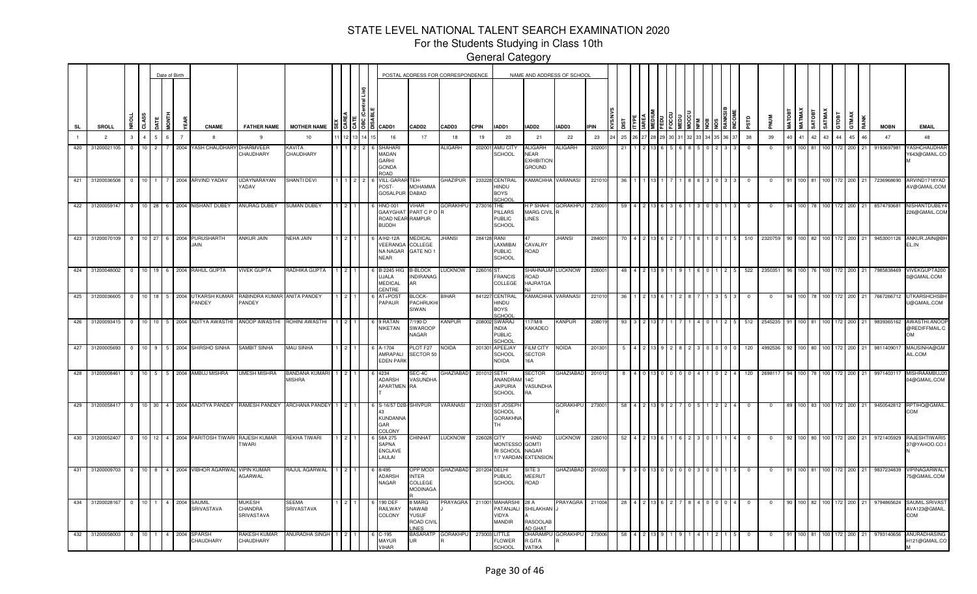For the Students Studying in Class 10th

|           |                          |                |                |                | Date of Birth  |                                                             |                                        |                                 |                |                     |                                                                     |                                                              | POSTAL ADDRESS FOR CORRESPONDENCE |              |                                                           |                                                 | NAME AND ADDRESS OF SCHOOL |             |      |  |  |  |                |                |            |        |                               |          |         |                       |        |             |                                             |
|-----------|--------------------------|----------------|----------------|----------------|----------------|-------------------------------------------------------------|----------------------------------------|---------------------------------|----------------|---------------------|---------------------------------------------------------------------|--------------------------------------------------------------|-----------------------------------|--------------|-----------------------------------------------------------|-------------------------------------------------|----------------------------|-------------|------|--|--|--|----------------|----------------|------------|--------|-------------------------------|----------|---------|-----------------------|--------|-------------|---------------------------------------------|
| <b>SL</b> | <b>SROLL</b>             |                | CLASS          | i<br>M         |                | <b>CNAME</b>                                                | <b>FATHER NAME</b>                     | <b>MOTHER NAME</b>              |                |                     | 찂 홍 동 홍 음 cadd1                                                     | CADD <sub>2</sub>                                            | CADD3                             | <b>CPIN</b>  | IADD1                                                     | <b>IADD2</b>                                    | IADD3                      | <b>IPIN</b> | ្ត្រ |  |  |  |                | αis            |            | MATOBI | <b>MATMAX</b><br><b>TSOTA</b> | SATMAX   | GTOBT   | GTMAX                 |        | <b>MOBN</b> | <b>EMAIL</b>                                |
|           | $\overline{2}$           | $\mathcal{R}$  | $\overline{4}$ | 6              | $\overline{7}$ |                                                             | $\mathbf{q}$                           | 10                              |                |                     | 16                                                                  | 17                                                           | 18                                | 19           | 20                                                        | 21                                              | 22                         | 23          | 25   |  |  |  | 6 37           | 38             | 39         | 40     | 41                            | 42<br>43 | 44      | 45                    | 46     | 47          | 48                                          |
| 420       | 31200021105              | $\circ$        | $10 \quad 2$   | 7              |                | 2004 YASH CHAUDHARY                                         | DHARMVEEF<br>CHAUDHARY                 | KAVITA<br>CHAUDHARY             |                |                     | <b>SHAHAR</b><br>MADAN<br>GARHI<br><b>GONDA</b><br><b>ROAD</b>      |                                                              | ALIGARH                           | 202001       | AMU CITY<br>SCHOOL                                        | ALIGARH<br>NEAR<br><b>EXHIBITION</b><br>GROUND  | <b>ALIGARH</b>             | 20200       | -21  |  |  |  |                | $\Omega$       | $\Omega$   | 91     | 100 81                        |          | 100 172 | 200                   | 21     | 9193697981  | YASHCHAUDHAF<br>Y643@GMAIL.CO               |
|           | 421 31200036508 0 10 1 7 |                |                |                |                | 2004 ARVIND YADAV                                           | <b>JDAYNARAYAN</b><br>YADAV            | SHANTI DEVI                     |                | $1 \cdot 2 \cdot 2$ | <b>VILL-GARA</b><br>POST-<br>GOSALPUR DABAD                         | TEH<br><b>MOHAMMA</b>                                        | <b>GHAZIPUR</b>                   |              | 233228 CENTRAL<br>HINDU<br><b>BOYS</b><br>SCHOO           |                                                 | KAMACHHA VARANASI          | 221010      | -36  |  |  |  |                | - 0            |            | 91     | 100 81                        |          | 100 172 | 200                   | 21     | 7236968690  | ARVIND1718YAD<br>AV@GMAIL.COM               |
|           |                          |                |                |                |                | 422 31200059147 0 10 28 6 2004 NISHANT DUBEY                | <b>ANURAG DUBEY</b>                    | SUMAN DUBEY                     |                |                     | <b>HNO 001</b><br>ROAD NEAR RAMPUR<br><b>BUDDH</b>                  | VIHAR<br>GAAYGHAT PART C P O R                               | GORAKHPU                          | 273016 THE   | PILLARS<br><b>PUBLIC</b><br><b>SCHOOL</b>                 | MARG CIVIL R<br>LINES                           | <b>IP SHAHI GORAKHPU</b>   | 273001      | -59  |  |  |  |                | - 0            | $\Omega$   |        | 100 78 100 172                |          |         | 200                   | 21     | 8574793681  | NISHANTDUBEY4<br>226@GMAIL.COM              |
|           |                          |                |                |                |                | 423 31200070109 0 10 27 6 2004 PURUSHARTH<br><b>JAIN</b>    | <b>ANKUR JAIN</b>                      | NEHA JAIN                       |                |                     | A/H2-12A<br>VEERANGA COLLEGE<br>NA NAGAR<br><b>NEAR</b>             | <i><b>JEDICAL</b></i><br>GATE NO 1                           | JHANSI                            | 284128 RANI  | LAXMIBAI<br><b>PUBLIC</b><br><b>SCHOOL</b>                | CAVALRY<br>ROAD                                 | <b>JHANSI</b>              | 28400       |      |  |  |  |                | 510            | 2320759    |        | 90 100 82 100 172             |          |         | 200                   | 21     | 9453001126  | ANKUR.JAIN@BH<br>EL.IN                      |
|           |                          |                |                |                |                | 424 31200048002 0 10 19 6 2004 RAHUL GUPTA                  | <b>VIVEK GUPTA</b>                     | RADHIKA GUPTA                   | $\overline{2}$ |                     | <b>B-2245 HIG</b><br><b>UJALA</b><br><b>MEDICAL</b><br><b>ENTRE</b> | <b>B-BLOCK</b><br><b>INDIRANAG</b><br>۱R                     | <b>LUCKNOW</b>                    | 226016 ST.   | <b>FRANCIS</b><br>COLLEGE                                 | ROAD<br><b>HAJRATGA</b>                         | SHAHNAJAF LUCKNOW          | 226001      | 48   |  |  |  | <b>5</b>       | 522            | 2350351    |        | 96 100 76 100 172             |          |         | 200                   | 21     | 7985838469  | VIVEKGUPTA200<br>0@GMAIL.COM                |
|           | 425 31200036605          |                |                |                |                | 0 10 18 5 2004 UTKARSH KUMAR<br>PANDEY                      | RABINDRA KUMAR ANITA PANDEY<br>PANDEY  |                                 |                |                     | AT+POST<br>PAPAUR                                                   | BLOCK-<br>PACHRUKHI<br>SIWAN                                 | <b>BIHAR</b>                      |              | 841227 CENTRAL<br>HINDU<br><b>BOYS</b><br>SCHOOI          |                                                 | KAMACHHA VARANASI          | 221010      | -36  |  |  |  |                | $\mathbf{O}$   | $\Omega$   | 94     | 100 78 100 172                |          |         | 200                   | 21     | 7667266712  | <b>UTKARSHCHSBH</b><br>U@GMAIL.COM          |
|           | 426 31200093415          |                |                |                |                | 0 10 10 5 2004 ADITYA AWASTHI ANOOP AWASTHI                 |                                        | ROHINI AWASTHI                  |                |                     | 9 RATAN<br>NIKETAN                                                  | /190-D<br>SWAROOP<br>NAGAR                                   | <b>KANPUR</b>                     |              | 208002 SWARAJ<br>NDIA<br><b>PUBLIC</b><br><b>SCHOO</b>    | 117/M/8<br>KAKADEO                              | <b>KANPUR</b>              | 208019      | 93   |  |  |  | -5             | 512            | 2545235    | 91     | 100 81 100 172                |          |         | 200                   | 21     | 9839365162  | AWASTHI.ANOOF<br>@REDIFFMAIL.C<br><b>OM</b> |
|           | 427 31200005693          |                |                |                |                | 0 10 9 5 2004 SHIRSHO SINHA                                 | SAMBIT SINHA                           | MAU SINHA                       |                |                     | A-1704<br>AMRAPALI<br><b>EDEN PARK</b>                              | PLOT F27<br>SECTOR 50                                        | NOIDA                             |              | 201301 APEEJAY<br><b>SCHOOL</b><br>NOIDA                  | <b>ILM CITY</b><br><b>SECTOR</b><br>16A         | <b>NOIDA</b>               | 201301      | - 5  |  |  |  | $\overline{0}$ | 120            | 4992536    | 92     | 100 80 100 172                |          |         |                       | 200 21 | 9811409017  | MAUSINHA@GM<br>AIL.COM                      |
|           | 428 31200008461          | $\circ$        |                |                |                | 10 5 5 2004 AMBUJ MISHRA                                    | <b>JMESH MISHRA</b>                    | BANDANA KUMARI<br><b>MISHRA</b> |                |                     | 4234<br>ADARSH<br>APARTMEN RA                                       | SEC-4C<br>VASUNDHA                                           | <b>HAZIABAD</b>                   | 201012 SETH  | ANANDRAM<br><b>JAIPURIA</b><br><b>SCHOOL</b>              | SECTOR<br>14C<br><b>VASUNDHA</b><br>RA          | <b>GHAZIABAD</b>           | 201012      |      |  |  |  |                | 120            | 2698117    |        |                               |          |         | 100 78 100 172 200    | 21     | 9971403117  | MISHRAAMBUJ20<br>04@GMAIL.COM               |
|           | 429 31200058417          | $\overline{0}$ |                |                |                | 10 30 4 2004 AADITYA PANDEY                                 | RAMESH PANDEY                          | <b>ARCHANA PANDEY</b>           | $\overline{2}$ |                     | S-16/57 D2B-SHIVPUR<br><b>KUNDANNA</b><br>GAR<br><b>COLONY</b>      |                                                              | VARANASI                          |              | 221003 ST JOSEP<br><b>SCHOOL</b><br><b>GORAKHNA</b><br>гн |                                                 | <b>GORAKHPU</b>            | 273001      | 58   |  |  |  |                | $^{\circ}$     | 0          |        | 100 83 100 172                |          |         | 200                   | 21     | 9450542812  | RPTIHQ@GMAIL<br>COM                         |
|           |                          |                |                |                |                | 430 31200052407 0 10 12 4 2004 PARITOSH TIWARI RAJESH KUMAR | <b>TIWARI</b>                          | REKHA TIWARI                    |                | $\overline{2}$      | 58A 275<br>SAPNA<br><b>ENCLAVE</b><br>LAULAI                        | CHINHAT                                                      | LUCKNOW                           | 226028 CITY  | <b>MONTESSO</b><br>RI SCHOOL<br>1/7 VARDAN EXTENSION      | <b>CHAND</b><br><b>GOMTI</b><br>NAGAR           | LUCKNOW                    | 226010      | 52   |  |  |  |                | $\overline{0}$ | $\Omega$   | 92     |                               |          |         | 100 80 100 172 200 21 |        | 9721405929  | RAJESHTIWARI5<br>37@YAHOO.CO.I              |
|           | 431 31200009703          |                |                |                |                | 0 10 8 4 2004 VIBHOR AGARWAL                                | <b>VIPIN KUMAR</b><br><b>AGARWAL</b>   | RAJUL AGARWAL                   |                |                     | 8/495<br>ADARSH<br>NAGAR                                            | <b>OPP MODI</b><br>INTER<br>COLLEGE<br><b>MODINAGA</b>       | <b>GHAZIABAD</b>                  | 201204 DELHI | PUBLIC<br><b>SCHOOL</b>                                   | SITE 3<br>MEERUT<br>ROAD                        | <b>GHAZIABAD</b>           | 201003      | -9   |  |  |  | 5              | $\mathbf 0$    | $^{\circ}$ | 91     |                               |          |         | 100 81 100 172 200    | 21     | 9837234839  | <b>VIPINAGARWAL1</b><br>75@GMAIL.COM        |
|           | 434 31200028167          | $\overline{0}$ | $10 \quad 1$   | $\overline{4}$ |                | 2004 SAUMIL<br>SRIVASTAVA                                   | <b>IUKESH</b><br>CHANDRA<br>SRIVASTAVA | SEEMA<br>SRIVASTAVA             |                |                     | 190 DEF<br>RAILWAY<br>COLONY                                        | 3 MARG<br>NAWAB<br><b>/USUF</b><br>ROAD CIVIL<br><b>INES</b> | PRAYAGRA                          |              | 211001 MAHARSHI<br>PATANJALI<br>VIDYA<br>MANDIR           | 28 A<br>SHILAKHAN<br>RASOOLAE<br><b>ID GHAT</b> | <b>PRAYAGRA</b>            | 211004      | 28   |  |  |  |                | $\overline{0}$ | $^{\circ}$ | 90     |                               |          |         | 100 82 100 172 200    | 21     | 9794865624  | SAUMIL.SRIVAST<br>AVA123@GMAIL.<br>COM      |
|           | 432 31200058003 0 10 1   |                |                | 4              | 2004           | <b>SPARSH</b><br>CHAUDHARY                                  | RAKESH KUMAR<br>CHAUDHARY              | ANURADHA SINGH                  | $\overline{2}$ |                     | 6 C-195<br><b>MAYUR</b><br><b>VIHAR</b>                             | <b>BASARATP</b><br>UR                                        | <b>GORAKHPU</b>                   |              | 273003 LITTLE<br><b>FLOWER</b><br><b>SCHOOL</b>           | <b>DHARAMPL</b><br>R GITA<br>VATIKA             | <b>GORAKHPU</b>            | 273006      | 58   |  |  |  |                | $\overline{0}$ | $^{\circ}$ | 91     |                               |          |         | 100 81 100 172 200    | 21     | 9793140656  | ANURADHASING<br>H121@GMAIL.CO               |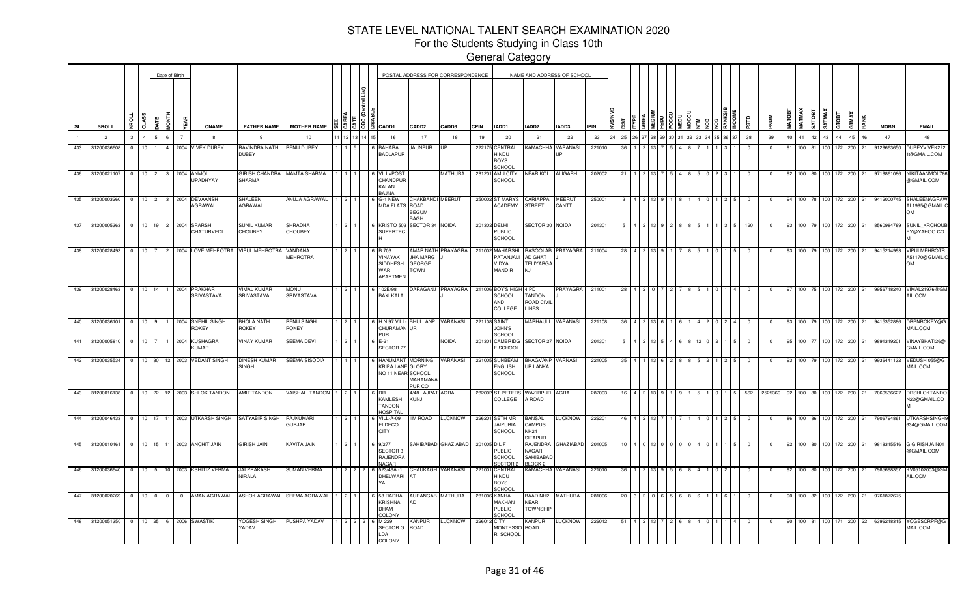For the Students Studying in Class 10th

|           |                                        |                         |                                   |                 | Date of Birth  |                             |                                 |                           |  |          |                                                                      |                                               | POSTAL ADDRESS FOR CORRESPONDENCE |              |                                                    | NAME AND ADDRESS OF SCHOOL                          |                        |             |     |  |  |  |      |             |             |               |                       |                        |             |      |             |                                             |
|-----------|----------------------------------------|-------------------------|-----------------------------------|-----------------|----------------|-----------------------------|---------------------------------|---------------------------|--|----------|----------------------------------------------------------------------|-----------------------------------------------|-----------------------------------|--------------|----------------------------------------------------|-----------------------------------------------------|------------------------|-------------|-----|--|--|--|------|-------------|-------------|---------------|-----------------------|------------------------|-------------|------|-------------|---------------------------------------------|
| <b>SL</b> | SROLL                                  | CLASS                   |                                   | in<br>No        | ã              | <b>CNAME</b>                | <b>FATHER NAME</b>              | <b>MOTHER NAME</b>        |  | \$13 8 8 | CADD1                                                                | CADD <sub>2</sub>                             | CADD3                             | <b>CPIN</b>  | IADD1                                              | IADD2                                               | IADD3                  | <b>IPIN</b> |     |  |  |  |      | <b>ESLS</b> |             | <b>MATOBT</b> | <b>МАТМАХ</b><br>ROTA | SATMAX<br>GTOBT        | GTMAX       | RANK | <b>MOBN</b> | <b>EMAIL</b>                                |
|           | $\overline{2}$                         | 3                       |                                   | ĥ.              | $\overline{7}$ | -8                          | -9                              | 10                        |  |          | 16                                                                   | 17                                            | 18                                | 19           | 20                                                 | 21                                                  | 22                     | 23          | 25  |  |  |  | 6 37 | 38          | 39          | 40            | 41 42                 | 44<br>43 <sup>1</sup>  | 45          | 46   | 47          | 48                                          |
| 433       | 31200036608                            | $\Omega$                | 10 <sup>1</sup>                   |                 | 2004           | <b>VIVEK DUBEY</b>          | RAVINDRA NATH<br><b>DUBEY</b>   | <b>RENU DUBEY</b>         |  |          | <b>BAHARA</b><br><b>BADLAPUR</b>                                     | <b>AUNPUR</b>                                 |                                   |              | 222175 CENTRAL<br>HINDU<br><b>BOYS</b><br>SCHOOL   | KAMACHHA                                            | VARANASI               | 22101       |     |  |  |  |      | - 0         | $\Omega$    | 91            | 100                   |                        | 200         |      | 9129663650  | <b>OUBEYVIVEK22</b><br>1@GMAIL.COM          |
| 436       | 31200021107                            | $\overline{\mathbf{0}}$ | 10 <sup>1</sup><br>$\overline{2}$ | 3 <sup>1</sup>  | 2004           | ANMOL<br><b>JPADHYAY</b>    | <b>GIRISH CHANDRA</b><br>SHARMA | <b>MAMTA SHARMA</b>       |  |          | /ILL+POS1<br>CHANDPUR<br>KALAN<br>BAJNA                              |                                               | <b>MATHURA</b>                    |              | 281201 AMU CITY<br>SCHOOL                          | NEAR KOL                                            | ALIGARH                | 202002      | -21 |  |  |  |      |             | 0           |               | 100                   | 100<br>172             | 200         |      | 9719861086  | NIKITAANMOL78<br>@GMAIL.COM                 |
| 435       | 31200003260                            | $\overline{\mathbf{0}}$ | 10 <sup>1</sup><br>$\overline{2}$ |                 | 3 2004         | DEVAANSH<br><b>AGRAWAL</b>  | SHALEEN<br>AGRAWAL              | ANUJA AGRAWAL             |  |          | G-1 NEW<br>MDA FLATS ROAD                                            | CHAKBANDI MEERUT<br><b>BEGUM</b><br>RAGH      |                                   |              | 250002 ST MARYS<br><b>ACADEMY</b>                  | CARIAPPA<br>STREET                                  | <b>MEERUT</b><br>CANTT | 25000       |     |  |  |  |      |             |             |               |                       | 172                    | 200         |      | 9412000745  | SHALEENAGRAW<br>AL1995@GMAIL.C<br><b>OM</b> |
| 437       | 31200005363                            | $\overline{\mathbf{0}}$ | 10 <sup>1</sup><br>19             |                 | 2 2004         | SPARSH<br>CHATURVEDI        | SUNIL KUMAR<br>CHOUBEY          | SHRADHA<br>CHOUBEY        |  |          | KRISTO 503<br>SUPERTEC                                               | SECTOR 34 NOIDA                               |                                   |              | 201302 DELHI<br><b>PUBLIC</b><br>SCHOOL            | SECTOR 30 NOIDA                                     |                        | 20130       |     |  |  |  |      | 120         |             |               |                       | 72                     | 200         | 21   | 8560984789  | SUNIL_KRCHOUB<br>EY@YAHOO.CO                |
| 438       | 31200028493                            | $^{\circ}$              | $10-10$                           |                 |                | 2 2004 LOVE MEHROTRA        | <b>VIPUL MEHROTRA</b>           | VANDANA<br>MEHROTRA       |  |          | <b>B</b> 703<br><b>INAYAK</b><br><b>SIDDHESH</b><br>WARI<br>APARTMEN | JHA MARG<br><b>GEORGE</b><br>OWN <sup>-</sup> | AMAR NATH PRAYAGRA                |              | 211002 MAHARSHI<br>PATANJAL<br>VIDYA<br>MANDIR     | <b>RASOOLAB</b><br>AD GHAT<br>TELIYARGA<br>NJ       | PRAYAGRA               | 211004      | 28  |  |  |  |      | $^{\circ}$  | $^{\circ}$  |               | 100 79                | 100 172                | 200         | 21   | 9415214993  | VIPULMEHROTR<br>A51170@GMAIL.C<br><b>OM</b> |
| 439       | 31200028463                            | $\overline{0}$          | 10 <sup>1</sup><br>14             |                 | 1 2004         | PRAKHAR<br>SRIVASTAVA       | <b>IMAL KUMAR</b><br>SRIVASTAVA | UNON<br>SRIVASTAVA        |  |          | 02B/98<br>BAXI KALA                                                  |                                               | <b>DARAGANJ PRAYAGRA</b>          |              | 211006 BOY'S HIGH<br>SCHOOL<br>AND<br>COLLEGE      | 4 PD<br><b>TANDON</b><br>ROAD CIVIL<br><b>LINES</b> | PRAYAGRA               | 211001      | 28  |  |  |  |      | $^{\circ}$  | $^{\circ}$  | -97           |                       | 100 75 100 172         | 200         | 21   | 9956718240  | VIMAL21976@GM<br>AIL.COM                    |
| 440       | 31200036101                            | $\overline{0}$          | 10 <sup>1</sup><br>9              |                 | 2004           | SNEHIL SINGH<br><b>OKEY</b> | BHOLA NATH<br><b>ROKEY</b>      | RENU SINGH<br>ROKEY       |  |          | H N 97 VILL-<br>CHURAMAN<br>PUR.                                     | BHULLANP<br>UR                                | VARANASI                          |              | 221108 SAINT<br>JOHN'S<br>SCHOOL                   | MARHAULI                                            | VARANASI               | 221108      | -36 |  |  |  |      | $^{\circ}$  | $\mathbf 0$ | 93            |                       | 100 79 100 172         | 200         | 21   | 9415352886  | DRBNROKEY@G<br>MAIL.COM                     |
| 441       | 31200005810                            | $\overline{0}$          | 10 <sub>1</sub>                   |                 | 2004           | KUSHAGRA<br><b>KUMAR</b>    | <b>INAY KUMAR</b>               | SEEMA DEVI                |  |          | $E-21$<br>SECTOR 27                                                  |                                               | NOIDA                             | 201301       | CAMBRIDG<br>E SCHOOL                               | SECTOR 27 NOIDA                                     |                        | 201301      |     |  |  |  |      | - 0         | $\Omega$    | 95            | 100                   | 100 <sub>1</sub><br>72 | 200         | 21   | 9891319201  | VINAYBHATI26@<br><b>GMAIL.COM</b>           |
| 442       | 31200035534                            | $\overline{0}$          | 10 <sup>10</sup><br>30            | 12 <sub>1</sub> | 2003           | <b>VEDANT SINGH</b>         | DINESH KUMAR<br>SINGH           | SEEMA SISODIA             |  |          | HANUMANT<br>KRIPA LANE GLORY<br>NO 11 NEAR SCHOOL                    | MORNING<br>MAHAMANA<br>PUR CO                 | VARANASI                          |              | 221005 SUNBEAM<br><b>ENGLISH</b><br><b>SCHOOL</b>  | BHAGVANP<br>UR LANKA                                | VARNASI                | 221005      | -35 |  |  |  |      |             | $\Omega$    | -93           | 100 I                 | 100 L<br>172           | 200         |      | 9936441132  | VEDUSHI055@C<br>MAIL.COM                    |
| $-443$    | 31200016138                            | $\overline{0}$          | $10 \quad 22$                     |                 |                | 12 2003 SHLOK TANDON        | AMIT TANDON                     | <b>VAISHALI TANDON</b>    |  |          | KAMLESH<br>TANDON<br><b>OSPITA</b>                                   | 1/48 LAJPAT<br>KUNJ                           | AGRA                              | 282002       | <b>ST PETERS</b><br>COLLEGE                        | WAZIRPUR<br>A ROAD                                  | AGRA                   | 28200       |     |  |  |  |      | 562         | 252536      |               |                       |                        | 200         |      | 706053662   | DRSHLOKTANDC<br>N22@GMAIL.CO                |
| 444       | 31200046433                            | $\overline{0}$          | 10   17                           |                 |                | 11 2003 UTKARSH SINGH       | SATYABIR SINGH                  | <b>AJKUMARI</b><br>GURJAR |  |          | VILL-A-09<br><b>ELDECO</b><br><b>CITY</b>                            | IM ROAD                                       | <b>LUCKNOW</b>                    | 226201       | <b>SETH MR</b><br><b>JAIPURIA</b><br><b>SCHOOL</b> | BANSAL<br>CAMPUS<br>NH24<br><b>SITAPUR</b>          | LUCKNOW                | 22620       |     |  |  |  |      |             |             |               |                       |                        | 200         |      | 7906794861  | <b>UTKARSHSINGHS</b><br>634@GMAIL.COM       |
| 445       | 31200010161 0                          |                         |                                   |                 |                | 10 15 11 2003 ANCHIT JAIN   | <b>GIRISH JAIN</b>              | KAVITA JAIN               |  |          | 9/277<br>SECTOR 3<br>RAJENDRA<br><b>VAGAR</b>                        |                                               | SAHIBABAD GHAZIABAD               | 201005 D L F | <b>PUBLIC</b><br><b>SCHOOL</b><br><b>SECTOR:</b>   | RAJENDRA<br>NAGAR<br>SAHIBABAI<br>LOCK <sub>2</sub> | <b>GHAZIABAD</b>       | 201005      |     |  |  |  |      |             |             |               |                       | 172                    | 200         | 21   | 9818315516  | GIGIRISHJAIN01<br>@GMAIL.COM                |
| 446       | 31200036640 0                          |                         |                                   |                 |                | 10 5 10 2003 KSHITIZ VERMA  | <b>JAI PRAKASH</b><br>NIRALA    | <b>SUMAN VERMA</b>        |  |          | 523/46A-1<br>DHELWARI                                                | CHAUKAGH VARANASI<br>AT                       |                                   |              | 221001 CENTRAL<br>HINDU<br><b>BOYS</b><br>SCHOO    |                                                     | KAMACHHA VARANASI      | 22101       |     |  |  |  |      |             | $\Omega$    |               |                       | 172                    | 200         | 21   | 7985698357  | KV05102003@GM<br>AIL.COM                    |
| 447       | 31200020269                            | $\overline{0}$          | 10<br>$\Omega$                    | $\circ$         | $\mathbf{0}$   | AMAN AGRAWAL                | <b>ASHOK AGRAWAL</b>            | SEEMA AGRAWAL             |  |          | 58 RADHA<br>KRISHNA<br>DHAM<br>COLONY                                | <b>AURANGAB MATHURA</b><br>AD                 |                                   |              | 281006 KANHA<br>MAKHAN<br>PUBLIC<br>SCHOOL         | BAAD NH2 MATHURA<br>NEAR<br><b>TOWNSHIF</b>         |                        | 281006      | 20  |  |  |  |      | -0          | 0           | 90            | 100   82              | 100 L<br>172           | 200         | 21   | 9761872675  |                                             |
|           | 448 31200051350 0 10 25 6 2006 SWASTIK |                         |                                   |                 |                |                             | YOGESH SINGH<br><b>ADAV</b>     | PUSHPA YADAV              |  |          | M 229<br>SECTOR G<br>LDA<br>COLONY                                   | <b>KANPUR</b><br>ROAD                         | <b>LUCKNOW</b>                    | 226012 CITY  | <b>MONTESSO</b><br>RI SCHOOL                       | Kanpur<br>ROAD                                      | <b>LUCKNOW</b>         | 22601       |     |  |  |  |      |             | 0           | 90.           | 100 81                |                        | 100 171 200 | 22   | 6396218315  | YOGESCRPF@G<br>MAIL.COM                     |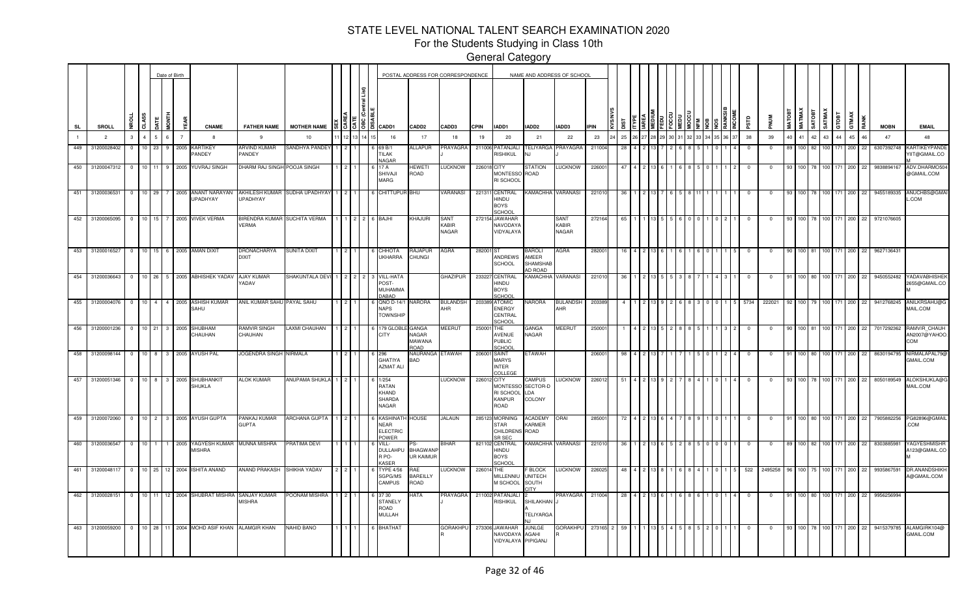For the Students Studying in Class 10th

|              |                   |                |                |   | Date of Birth  |                                                             |                               |                                    |                        |  |                                                                                            |                                         | POSTAL ADDRESS FOR CORRESPONDENCE |             |                                                         | NAME AND ADDRESS OF SCHOOL                              |                                      |             |             |    |  |  |  |             |             |               |                  |        |                |         |        |    |                                  |                                           |
|--------------|-------------------|----------------|----------------|---|----------------|-------------------------------------------------------------|-------------------------------|------------------------------------|------------------------|--|--------------------------------------------------------------------------------------------|-----------------------------------------|-----------------------------------|-------------|---------------------------------------------------------|---------------------------------------------------------|--------------------------------------|-------------|-------------|----|--|--|--|-------------|-------------|---------------|------------------|--------|----------------|---------|--------|----|----------------------------------|-------------------------------------------|
| SL           | SROLL             | ಕ              |                | 흫 | ă              | <b>CNAME</b>                                                | <b>FATHER NAME</b>            | <b>MOTHER NAME</b>                 |                        |  | $\frac{5}{15}$ $\frac{5}{15}$ $\frac{18}{15}$ $\frac{2}{15}$ $\frac{2}{15}$ $\frac{2}{15}$ | CADD <sub>2</sub>                       | CADD3                             | <b>CPIN</b> | IADD1                                                   | IADD2                                                   | IADD3                                | <b>IPIN</b> | <b>TSIO</b> |    |  |  |  | ξů          | NUM         | <b>MATOBT</b> | <b>MATMAX</b>    | SATOBT | <b>SATMAX</b>  | 풉<br>਼ਠ | GTMAX  |    | <b>MOBN</b>                      | <b>EMAIL</b>                              |
| $\mathbf{1}$ | $\overline{2}$    | $\mathbf{3}$   | $\overline{4}$ | 6 | $\overline{7}$ | -8                                                          | 9                             | 10                                 | 12                     |  | 16                                                                                         | 17                                      | 18                                | 19          | 20                                                      | 21                                                      | 22                                   | 23          | 25          | 26 |  |  |  | 38          | 39          | 40            | 41               | 42     | 43             | 44      | 45     | 46 | 47                               | 48                                        |
| 449          | 31200028402       | $\overline{0}$ | $10 \quad 23$  |   |                | 9 2005 KARTIKEY<br><b>PANDEY</b>                            | <b>ARVIND KUMAR</b><br>PANDEY | <b>SANDHYA PANDEY</b>              |                        |  | 69 B/1<br><b>TILAK</b><br><b>NAGAR</b>                                                     | <b>ALLAPUR</b>                          | PRAYAGRA                          |             | 211006 PATANJALI<br>RISHIKUL                            | TELIYARGA<br>N.I                                        | PRAYAGRA                             | 211004      | 28          |    |  |  |  | $^{\circ}$  | $\Omega$    | 89            |                  | 100 82 |                | 100 171 | 200 22 |    |                                  | 6307392748 KARTIKEYPANDE<br>/IIT@GMAIL.CO |
|              | 450 31200047312 0 |                |                |   |                | 10 11 9 2005 YUVRAJ SINGH                                   | DHARM RAJ SINGH POOJA SINGH   |                                    |                        |  | 17 A<br>SHIVAJI<br><b>MARG</b>                                                             | HEWETI<br>ROAD                          | <b>LUCKNOW</b>                    | 226018 CITY | MONTESSO<br>RI SCHOOL                                   | STATION<br>ROAD                                         | <b>LUCKNOW</b>                       | 226001      | 47          |    |  |  |  | $\mathbf 0$ | $\sqrt{2}$  | 93            |                  |        | 100 78 100 171 |         | 200    | 22 |                                  | 9838894167 ADV.DHARMO50<br>@GMAIL.COM     |
| 451          | 31200036531       | $\overline{0}$ | $10$ 29        |   |                | 2005 ANANT NARAYAN<br><b>UPADHYAY</b>                       | UPADHYAY                      | AKHILESH KUMAR SUDHA UPADHYAY      |                        |  | 6 CHITTUPUR BHU                                                                            |                                         | VARANASI                          |             | 221311 CENTRAL<br>HINDU<br><b>BOYS</b><br>SCHOOL        | <b>KAMACHHA VARANASI</b>                                |                                      | 22101       | -36         |    |  |  |  |             |             | 93            | 100              |        |                |         | 200    | 22 |                                  | 9455189335 ANUCHBS@GMA<br>.COM            |
| 452          | 31200065095       | $\overline{0}$ | 10 15          |   |                | 2005 VIVEK VERMA                                            | VERMA                         | <b>IRENDRA KUMAR SUCHITA VERMA</b> |                        |  | 6 BAJHI                                                                                    | KHAJURI                                 | SANT<br>KABIR<br>NAGAR            |             | 272154 JAWAHAR<br>NAVODAYA<br>VIDYALAYA                 |                                                         | <b>SANT</b><br>KABIR<br><b>NAGAR</b> | 272164      | 65          |    |  |  |  |             |             | 93            | 100 <sup>1</sup> |        |                |         | 200    | 22 | 9721076605                       |                                           |
| 453          | 31200016527       | $\overline{0}$ | $10$   15      |   |                | 6 2005 AMAN DIXIT                                           | DRONACHARYA<br>DIXIT          | <b>SUNITA DIXIT</b>                |                        |  | <b>CHHOTA</b><br><b>JKHARRA</b>                                                            | RAJAPUR<br><b>CHUNGI</b>                | AGRA                              | 282001 ST   | ANDREWS<br><b>SCHOOL</b>                                | BAROLI<br>AMEER<br>SHAMSHAE<br><b>ID ROAD</b>           | AGRA                                 | 28200       |             |    |  |  |  |             |             | 90            |                  | 100 81 |                |         | 200    | 22 | 9627136431                       |                                           |
| 454          | 31200036643       | $\overline{0}$ |                |   |                | 10 26 5 2005 ABHISHEK YADAV                                 | AJAY KUMAR<br><b>ADAV</b>     | SHAKUNTALA DEVI                    | 122                    |  | VILL-HATA<br>POST-<br><b>MUHAMMA</b><br>DARAD                                              |                                         | <b>GHAZIPUR</b>                   | 233227      | CENTRAL<br>HINDU<br><b>BOYS</b><br>SCHOO                | KAMACHHA                                                | VARANASI                             | 22101       | 36          |    |  |  |  | $\Omega$    | $\Omega$    | 91            |                  | 100 80 |                | 100 171 | 200    | 22 | 9450552482                       | YADAVABHISHEI<br>2655@GMAIL.CO            |
|              | 455 31200004076 0 |                |                |   |                | 10 4 4 2005 ASHISH KUMAR<br>SAHU                            | ANIL KUMAR SAHU PAYAL SAHU    |                                    |                        |  | QNO D-14/1 NARORA<br><b>NAPS</b><br><b>TOWNSHIP</b>                                        |                                         | <b>BULANDSH</b><br>AHR            |             | 203389 ATOMIC<br><b>ENERGY</b><br>CENTRAL<br>SCHOOL     | NARORA                                                  | <b>BULANDSH</b><br>AHR               | 20338       |             |    |  |  |  | 5734        | 222021      | 92            |                  |        | 100 79 100 171 |         | 200    | 22 |                                  | 9412768245 ANILKRSAHU@G<br>MAIL.COM       |
|              | 456 31200001236 0 |                |                |   |                | 10 21 3 2005 SHUBHAM<br>CHAUHAN                             | RAMVIR SINGH<br>CHAUHAN       | LAXMI CHAUHAN                      | $1$ $\overline{1}$ $2$ |  | 179 GLOBLI<br><b>CITY</b>                                                                  | GANGA<br>NAGAR<br>MAWANA<br><b>ROAD</b> | MEERUT                            | 250001 THE  | AVENUE<br><b>PUBLIC</b><br><b>SCHOOL</b>                | GANGA<br>NAGAR                                          | MEERUT                               | 25000       |             |    |  |  |  |             |             | 90            |                  | 100 81 |                | 100 171 | 200    | 22 | 7017292362                       | RAMVIR_CHAUH<br>AN2007@YAHOC<br>COM       |
|              | 458 31200098144 0 |                |                |   |                | 10 8 3 2005 AYUSH PAL                                       | JOGENDRA SINGH NIRMALA        |                                    |                        |  | 296<br><b>GHATIYA</b><br>AZMAT ALI                                                         | NAURANGA ETAWAH<br><b>BAD</b>           |                                   |             | 206001 SAINT<br><b>MARYS</b><br><b>INTER</b><br>COLLEGE | ETAWAH                                                  |                                      | 206001      |             |    |  |  |  |             |             | 91            | 100              | - 80   |                | 100 171 | 200    | 22 | 8630194795                       | NIRMALAPAL79<br>GMAIL.COM                 |
| 457          |                   |                |                |   |                | 31200051346 0 10 8 3 2005 SHUBHANKIT<br><b>SHUKLA</b>       | <b>ALOK KUMAR</b>             | ANUPAMA SHUKLA 1 2                 |                        |  | 1/254<br>RATAN<br><b>KHAND</b><br><b>SHARDA</b><br><b>NAGAR</b>                            |                                         | LUCKNOW                           | 226012 CITY | <b>MONTESSO</b><br>RI SCHOOL<br>KANPUR<br>ROAD          | CAMPUS<br>SECTOR-D<br>LDA<br>COLONY                     | <b>LUCKNOW</b>                       | 226012      | 51          |    |  |  |  |             |             | 93            |                  | 100 78 |                | 100 171 | 200    | 22 | 8050189549                       | ALOKSHUKLA@<br>MAIL.COM                   |
| 459          | 31200072060       | $\overline{0}$ |                |   |                | 10 2 3 2005 AYUSH GUPTA                                     | PANKAJ KUMAR<br><b>GUPTA</b>  | ARCHANA GUPTA                      |                        |  | KASHINAT<br><b>NEAR</b><br><b>ELECTRIC</b><br>POWER                                        | HOUSE                                   | JALAUN                            |             | 285123 MORNING<br><b>STAR</b><br>CHILDRENS<br>SR SEC    | ACADEMY<br>KARMER<br>ROAD                               | ORAI                                 | 285001      | 72          |    |  |  |  |             |             | 91            |                  | 100 80 |                |         | 200    | 22 | 7905882256                       | PG82896@GMAII<br>.COM                     |
| 460          | 31200036547       | $\overline{0}$ |                |   |                | 10 1 1 2005 YAGYESH KUMAR MUNNA MISHRA<br><b>MISHRA</b>     |                               | PRATIMA DEVI                       |                        |  | VILL-<br><b>DULLAHPL</b><br>R PO-<br><b>KASER</b>                                          | <b>BHAGWANP</b><br>UR KAIMUR            | <b>BIHAR</b>                      |             | 821102 CENTRAL<br>HINDU<br><b>BOYS</b><br>SCHOOL        | KAMACHHA VARANASI                                       |                                      | 221010      | 36          |    |  |  |  | $^{\circ}$  | $\Omega$    | 89            |                  | 100 82 |                | 100 171 | 200    | 22 | 8303885981                       | YAGYESHMISHR<br>A123@GMAIL.CO             |
|              |                   |                |                |   |                | 461 31200048117 0 10 25 12 2004 SHITA ANAND                 | ANAND PRAKASH SHIKHA YADAV    |                                    |                        |  | <b>TYPE 4/56</b><br>SGPG/MS<br>CAMPUS                                                      | RAE<br><b>BAREILLY</b><br>ROAD          | <b>UCKNOW</b>                     | 226014 THE  | MILLENNIU<br>M SCHOOL                                   | <b>E BLOCK</b><br><b>UNITECH</b><br>SOUTH<br><b>NTP</b> | <b>LUCKNOW</b>                       | 226025      | 48          |    |  |  |  | 522         | 2495258     | 96            |                  |        |                |         |        |    | 100 75 100 171 200 22 9935867591 | <b>DR.ANANDSHIKH</b><br>A@GMAIL.COM       |
|              |                   |                |                |   |                | 462 31200028151 0 10 11 12 2004 SHUBRAT MISHRA SANJAY KUMAR | <b>MISHRA</b>                 | POONAM MISHRA                      |                        |  | 37 30<br><b>STANELY</b><br>ROAD<br>MULLAH                                                  | HATA                                    | PRAYAGRA                          |             | 211002 PATANJALI<br>RISHIKUL                            | SHILAKHAN<br>TELIYARG/                                  | PRAYAGRA 211004                      |             | 28          |    |  |  |  | 0           | $\mathbf 0$ | 91            |                  |        |                |         |        |    | 100 80 100 171 200 22 9956256994 |                                           |
| 463          | 31200059200       | $\overline{0}$ |                |   |                | 10 28 11 2004 MOHD ASIF KHAN                                | <b>ALAMGIR KHAN</b>           | NAHID BANO                         |                        |  | <b>BHATHAT</b>                                                                             |                                         | GORAKHPU                          |             | 273306 JAWAHAR<br>NAVODAYA<br>VIDYALAYA PIPIGANJ        | JUNLGE<br>AGAHI                                         | <b>GORAKHPU</b>                      | 273165 2    | 59          |    |  |  |  |             | 0           | 93            |                  | 100 78 |                | 100 171 | 200    | 22 | 9415379785                       | ALAMGIRK104@<br><b>GMAIL.COM</b>          |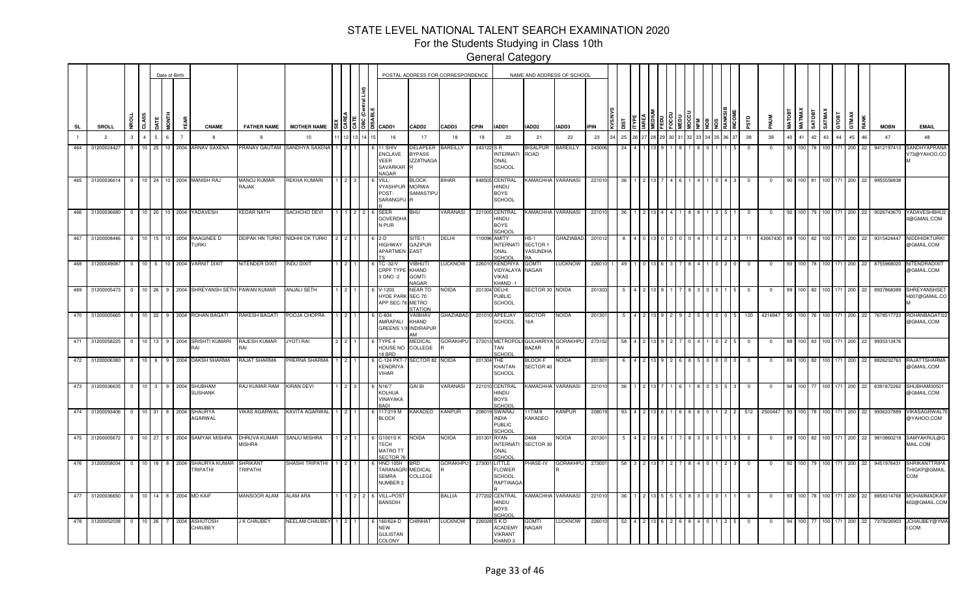For the Students Studying in Class 10th

|           |                 |                         |                                   |                   |    | Date of Birth  |                                        |                               |                      |  |                                              |                                                                         | POSTAL ADDRESS FOR CORRESPONDENCE                    |                  |             |                                                              |                                      | NAME AND ADDRESS OF SCHOOL |             |    |  |  |  |      |     |             |        |                  |              |                  |       |            |             |     |                                           |
|-----------|-----------------|-------------------------|-----------------------------------|-------------------|----|----------------|----------------------------------------|-------------------------------|----------------------|--|----------------------------------------------|-------------------------------------------------------------------------|------------------------------------------------------|------------------|-------------|--------------------------------------------------------------|--------------------------------------|----------------------------|-------------|----|--|--|--|------|-----|-------------|--------|------------------|--------------|------------------|-------|------------|-------------|-----|-------------------------------------------|
| <b>SL</b> | SROLL           |                         | \$S<br>5                          |                   | Ē  | j.             | <b>CNAME</b>                           | <b>FATHER NAME</b>            | <b>MOTHER NAME</b>   |  | $\frac{12}{3}$ $\frac{12}{3}$ $\frac{12}{3}$ | CADD1                                                                   | CADD <sub>2</sub>                                    | CADD3            | <b>CPIN</b> | IADD1                                                        | IADD2                                | IADD3                      | <b>IPIN</b> |    |  |  |  |      |     |             | MATOBT | <b>MATMAX</b>    | <b>TEOLY</b> | SATMAX           | GTOBT | GTMAX      | <b>MOBN</b> |     | <b>EMAIL</b>                              |
|           | $\overline{2}$  |                         | $\overline{4}$<br>3               |                   | 6  | $\overline{7}$ |                                        | 9                             | 10                   |  |                                              | 16                                                                      | 17                                                   | 18               | 19          | 20                                                           | 21                                   | 22                         | 23          | 25 |  |  |  | 6 37 | 38  | 39          | 40     | 41               | 42           | 43               | 44    | 45<br>46   | 47          |     | 48                                        |
| 464       | 31200024427     | $\mathbf{0}$            | 10 <sup>1</sup>                   | 25                | 10 | 2004           | <b>ARNAV SAXENA</b>                    | <b>PRANAV GAUTAM</b>          | SANDHYA SAXENA       |  |                                              | <b>SHIV</b><br>ENCLAVE<br>VEER<br><b>SAVARKAF</b><br>NAGAR              | <b>DELAPEER</b><br><b>BYPASS</b><br><b>IZZATNAGA</b> | <b>BAREILLY</b>  | 243122 SR   | <b>INTERNATI</b><br>ONAL<br><b>SCHOOL</b>                    | <b>BISALPUR</b><br>ROAD              | <b>BAREILLY</b>            | 243006      |    |  |  |  |      |     |             |        |                  |              |                  |       | 200<br>22  | 9412197413  |     | <b>SANDHYAPRANA</b><br>V73@YAHOO.CO       |
| 465       |                 |                         |                                   |                   |    |                | 31200036614 0 10 24 10 2004 MANISH RAJ | <b>MANOJ KUMAR</b><br>RAJAK   | REKHA KUMARI         |  |                                              | VILL-<br><b>YASHPUR</b><br>POST-<br>SARANGPU                            | <b>BLOCK-</b><br><b>MORWA</b><br>SAMASTIPU           | <b>BIHAR</b>     |             | 848505 CENTRAL<br>HINDU<br><b>BOYS</b><br><b>SCHOOL</b>      | <b>KAMACHHA</b>                      | VARANASI                   | 221010      |    |  |  |  |      |     | $\Omega$    |        | 100 81           |              |                  |       | 200<br>22  | 9955556838  |     |                                           |
| 466       | 31200036680     | $\Omega$                |                                   | $10$ 20           |    |                | 10 2004 YADAVESH                       | <b>KEDAR NATH</b>             | SACHCHO DEVI         |  |                                              | <b>SEER</b><br><b>GOVERDHA</b><br>N PUR                                 | BHU                                                  | <b>VARANASI</b>  |             | 221005 CENTRAL<br>HINDU<br><b>BOYS</b><br><b>SCHOOL</b>      | KAMACHHA VARANASI                    |                            | 22101       |    |  |  |  |      |     |             |        |                  |              |                  |       | 200<br>-22 | 9026743670  |     | YADAVESHBHU:<br>0@GMAIL.COM               |
| 467       | 31200008446     | $\overline{\mathbf{0}}$ |                                   | $10$   15         |    |                | 10 2004 RAAGINEE D<br><b>TURKI</b>     | DEIPAK HN TURKI               | NIDHHI DK TURKI      |  |                                              | $2-D$<br>HIGHWAY<br>APARTMEN                                            | SITE-1<br><b>GAZIPUR</b><br>EAST                     | DELHI            |             | 110096 AMITY<br><b>INTERNATI</b><br>ONAL<br>SCHOOL           | $HS-1$<br>SECTOR 1<br>VASUNDHA<br>RΔ | <b>GHAZIABAD</b>           | 2010        |    |  |  |  |      |     | 43067430    |        | 100.             | 82.          |                  |       | 200<br>22  | 9315424447  |     | NIDDHIDKTURK<br>@GMAIL.COM                |
| 468       | 31200049087     |                         | $\overline{0}$                    | $10 \mid 5 \mid$  |    |                | 10 2004 VARNIT DIXIT                   | NITENDER DIXIT                | <b>INDU DIXIT</b>    |  |                                              | <b>C-32/V</b><br>CRPF TYPE KHAND<br>3 QNO -2                            | VIBHUTI<br><b>GOMTI</b><br>VAGAR                     | <b>LUCKNOW</b>   |             | 226010 KENDRIYA<br>VIDYALAYA<br>VIKAS<br>KHAND-1             | <b>GOMTI</b><br>NAGAR                | <b>LUCKNOW</b>             | 22601       | 49 |  |  |  |      |     | $\mathbf 0$ |        | 100 78           |              |                  |       | 200<br>22  | 8755968020  |     | NITENDRADIXI <sup>-</sup><br>@GMAIL.COM   |
|           | 469 31200005473 | $\overline{\mathbf{0}}$ |                                   | $10 \mid 26 \mid$ |    |                | 9 2004 SHREYANSH SETH PAWAN KUMAR      |                               | ANJALI SETH          |  |                                              | -1203<br>YDE PARK SEC-70<br>APP SEC-7                                   | <b>NEAR TO</b><br><b>METRO</b><br><b>STATION</b>     | <b>NOIDA</b>     |             | 201304 DELHI<br>PUBLIC<br><b>SCHOOL</b>                      | SECTOR 30 NOIDA                      |                            | 20130       |    |  |  |  |      |     |             |        |                  |              |                  |       | 200<br>22  | 893786838   |     | SHREYANSHSE <sup>®</sup><br>H007@GMAIL.CO |
|           | 470 31200005665 | $^{\circ}$              |                                   | $10$ 22           |    |                | 9 2004 ROHAN BAGATI                    | RAKESH BAGATI                 | POOJA CHOPRA         |  |                                              | $3 - 604$<br><b>MRAPALI</b><br>GREENS 1                                 | VAIBHAV<br>KHAND<br><b>INDIRAPUR</b>                 | <b>GHAZIABAD</b> |             | 201010 APEEJAY<br>SCHOOL                                     | SECTOR<br>16A                        | <b>NOIDA</b>               | 20130       |    |  |  |  |      | 120 | 421694      |        |                  |              |                  |       | 200        | 7678517723  |     | ROHANBAGATI22<br>@GMAIL.COM               |
| 471       | 31200058225     | $\overline{0}$          | 10 <sup>1</sup>                   | 13                |    |                | 9 2004 SRISHTI KUMARI<br>٦AΙ           | RAJESH KUMAR<br>۱A۱           | <b>JYOTI RAI</b>     |  |                                              | TYPE 4<br>HOUSE NO<br>8 BRD                                             | MEDICAL<br>COLLEGE                                   | <b>GORAKHPU</b>  |             | 273013 METROPOL<br>ГAN<br>SCHOOL                             | BAZAR                                | GULHARIYA GORAKHPU         | 273152      |    |  |  |  |      |     | $\Omega$    |        |                  | 100 83 100   |                  |       | 200<br>22  | 9935313476  |     |                                           |
| 472       | 31200006380     | 0                       | 10 <sup>1</sup>                   |                   | 9  | 2004           | DAKSH SHARMA                           | <b>AJAT SHARMA</b>            | RERNA SHARMA         |  |                                              | -124 PKT<br><b>ENDRIYA</b><br><b>/IHAR</b>                              | SECTOR 82                                            | <b>NOIDA</b>     | 201304      | THE<br>KHAITAN<br><b>SCHOOL</b>                              | BLOCK-F<br>SECTOR 40                 | NOIDA                      | 20130       |    |  |  |  |      |     |             |        |                  |              |                  |       | 200<br>-22 | 8826232763  |     | <b>RAJATTSHARMA</b><br>@GMAIL.COM         |
| 473       | 31200036635     |                         | 10 <sup>1</sup><br>$\overline{0}$ | 3 <sup>1</sup>    | 9  | 2004           | SHUBHAM<br><b>SUSHANK</b>              | RAJ KUMAR RAM                 | <b>KIRAN DEVI</b>    |  |                                              | N16/7<br>KOLHUA<br><b>JINAYAKA</b><br><b>ADI</b>                        | GAI BI                                               | VARANASI         |             | 221010 CENTRAL<br>HINDU<br><b>BOYS</b><br>SCHOO              |                                      | KAMACHHA VARANASI          | 22101       |    |  |  |  |      | - 0 | $\Omega$    |        | 100 77           |              | 100 <sup>1</sup> | 171   | 200<br>22  | 6391872262  |     | SHUBHAM3050<br>@GMAIL.COM                 |
| 474       | 31200093406     |                         | $\overline{0}$                    | 10 31             | 8  | 2004           | SHAURYA<br><b>AGARWAL</b>              | <b>IKAS AGARWAL</b>           | KAVITA AGARWAL       |  |                                              | 17/219 M<br><b>BLOCK</b>                                                | <b><akadeo< b=""></akadeo<></b>                      | KANPUR           |             | 208019 SWARAJ<br>INDIA<br><b>PUBLIC</b><br>SCHOOL            | 117/M/8<br>KAKADEO                   | KANPUR                     | 20801       |    |  |  |  |      | 512 | 2500447     |        | 100 I            |              | 100              | 171   | 200<br>-22 | 9936337889  |     | <b>VIKASAGRWAL</b><br>@YAHOO.COM          |
| 475       | 31200005672     | $\overline{0}$          | 10 <sup>1</sup>                   | 27                | 8  |                | 2004 SAMYAK MISHRA                     | DHRUVA KUMAR<br><b>MISHRA</b> | SANJU MISHRA         |  |                                              | G1001SK<br>TECH<br><b>MATRO TT</b><br><b>ECTOR7</b>                     | NOIDA                                                | NOIDA            | 201301      | <b>RYAN</b><br><b>INTERNATI</b><br>ONAL<br>SCHOO             | D468<br>SECTOR 30                    | NOIDA                      | 201301      |    |  |  |  |      | - 0 | $\Omega$    | 89     | 100 I            | 82 100       |                  | 171   | 200<br>22  | 9810860218  |     | SAMYAKRUL@G<br>MAIL.COM                   |
| 476       | 31200058034     |                         | $\overline{0}$                    | 10 16             |    | 8 2004         | SHAURYA KUMAR<br>TRIPATHI              | SHRIKANT<br><b>FRIPATHI</b>   | SHASHI TRIPATHI      |  |                                              | <b>HNO 105H</b><br><b><i>FARANAGRI MEDICAL</i></b><br>SEMRA<br>NUMBER 2 | BRD<br>COLLEGE                                       | <b>GORAKHPU</b>  | 273001      | LITTLE<br><b>FLOWER</b><br><b>SCHOOL</b><br><b>RAPTINAGA</b> | PHASE-IV                             | <b>GORAKHPU</b>            | 27300       | 58 |  |  |  |      |     |             | 92     | 100 <sub>1</sub> | 79 100       |                  | 171   | 200<br>22  | 9451976431  | COM | SHRIKANTTRIPA<br>THIGKP@GMAIL             |
| $-477$    | 31200036650 0   |                         |                                   | $10$ 14           |    | 8 2004         | <b>MD KAIF</b>                         | MANSOOR ALAM                  | ALAM ARA             |  |                                              | VILL+POS<br><b>BANSDIH</b>                                              |                                                      | BALLIA           |             | 277202 CENTRAL<br>HINDU<br><b>BOYS</b><br>SCHOOL             |                                      | KAMACHHA VARANASI          | 22101       |    |  |  |  |      |     |             |        |                  |              |                  |       | 200<br>22  | 8858314768  |     | MOHAMMADKAIF<br>602@GMAIL.COM             |
| 478       | 31200052038     |                         | $^{\circ}$<br>10                  | 26                |    | 2004           | <b>\SHUTOSH</b><br>CHAUBEY             | <b>K CHAUBEY</b>              | <b>VEELAM CHAUBE</b> |  |                                              | 60/624-D<br><b>NEW</b><br><b>GULISTAN</b><br><b>COLONY</b>              | <b>HINHAT</b>                                        | LUCKNOW          |             | SKD<br>ACADEMY<br><b>VIKRANT</b><br>KHAND-3                  | GOMT<br>NAGAR                        | LUCKNOW                    | 2260        |    |  |  |  |      |     |             |        |                  |              |                  |       | 200        | 737922690   |     | JCHAUBEY@YMA<br>.COM                      |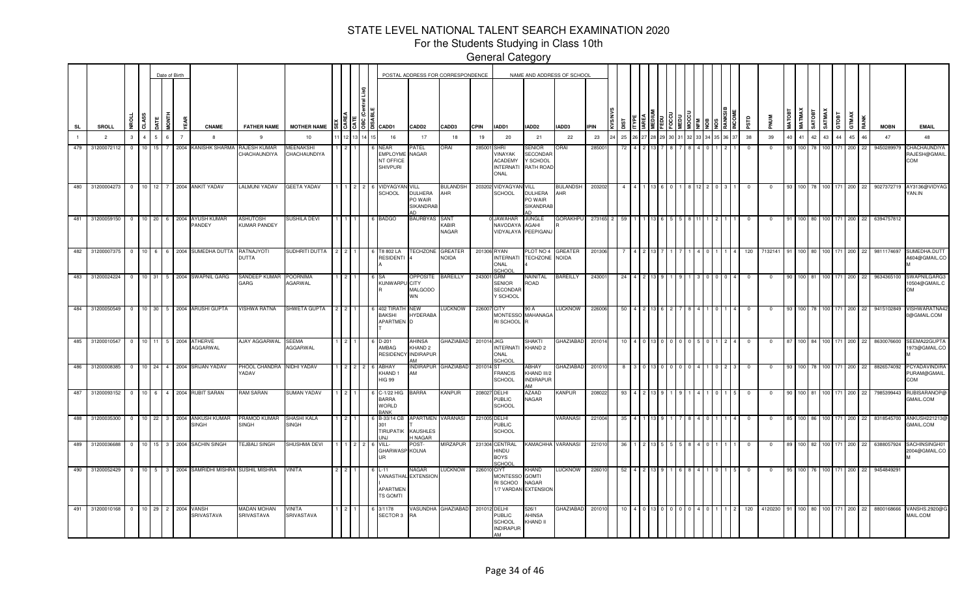For the Students Studying in Class 10th

|                |                 |                |                 |            | Date of Birth          |                                    |                                                        |                                                 |                                   |       |                                                                      |                                                        | POSTAL ADDRESS FOR CORRESPONDENCE |              |                                                               |                                                               | NAME AND ADDRESS OF SCHOOL |            |     |    |  |  |  |            |             |               |                                |          |                  |             |     |                                  |                                            |
|----------------|-----------------|----------------|-----------------|------------|------------------------|------------------------------------|--------------------------------------------------------|-------------------------------------------------|-----------------------------------|-------|----------------------------------------------------------------------|--------------------------------------------------------|-----------------------------------|--------------|---------------------------------------------------------------|---------------------------------------------------------------|----------------------------|------------|-----|----|--|--|--|------------|-------------|---------------|--------------------------------|----------|------------------|-------------|-----|----------------------------------|--------------------------------------------|
| <b>SL</b>      | <b>SROLL</b>    | <b>Dan</b>     | CLASS           | <b>ATE</b> |                        |                                    | <b>CNAME</b>                                           | <b>FATHER NAME</b>                              | <b>MOTHER NAME</b>                | 15151 | CADD1                                                                | CADD2                                                  | CADD3                             | <b>CPIN</b>  | IADD1                                                         | IADD2                                                         | IADD3                      | <b>PIN</b> |     |    |  |  |  | аß         |             | <b>MATOBT</b> | <b>MATMAX</b><br><b>TEOLYS</b> | SATMAX   | GTOBT            | GTMAX       |     | <b>MOBN</b>                      | <b>EMAIL</b>                               |
| $\overline{1}$ | $\overline{2}$  | $\mathbf{3}$   | $\overline{a}$  | 5          | 6<br>$\overline{7}$    |                                    | 8                                                      | 9                                               | 10                                |       | 16                                                                   | 17                                                     | 18                                | 19           | 20                                                            | 21                                                            | 22                         | 23         | 25  |    |  |  |  | 38         | 39          | 40            | 41                             | 42       | 44<br>43         | 45          | 46  | 47                               | 48                                         |
| 479            | 31200072112     | $\Omega$       | 10 <sup>1</sup> | 15         | 2004                   |                                    | KANISHK SHARMA                                         | RAJESH KUMAR<br>CHACHAUNDIYA                    | MEENAKSHI<br>CHACHAUNDIYA         |       | <b>NEAR</b><br><b>EMPLOYM</b><br><b>NT OFFICE</b><br><b>SHIVPURI</b> | <b>ATEL</b><br>NAGAR                                   | ORAI                              | 28500        | SHRI<br>VINAYAK<br><b>ACADEMY</b><br><b>INTERNATI</b><br>ONAL | <b>SENIOR</b><br><b>SECONDAF</b><br>Y SCHOOL<br>RATH ROAD     | ORAI                       | 28500      | -72 |    |  |  |  | 0          | $\Omega$    | -93           | 100 <sub>l</sub>               |          | 100<br>71        | 200         | -22 | 9450289979                       | CHACHAUNDIYA<br>RAJESH@GMAIL<br>COM        |
| 480            | 31200004273     | $\overline{0}$ |                 |            |                        | 10 12 7 2004 ANKIT YADAV           |                                                        | <b>LALMUNI YADAV</b>                            | <b>GEETA YADAV</b>                |       | VIDYAGYAI<br><b>SCHOOL</b>                                           | VILL<br><b>DULHERA</b><br>PO WAIR<br>SIKANDRAB         | 3ULANDSH<br>AHR                   | 203202       | VIDYAGYA<br><b>SCHOOL</b>                                     | VILL<br>DULHERA<br>PO WAIR<br>SIKANDRAE<br>ΔD                 | <b>BULANDSH</b><br>AHR     | 203202     |     |    |  |  |  |            |             |               | 100                            | 78   100 | 171              | 200         | 22  | 9027372719                       | AY3136@VIDYAG<br>YAN.IN                    |
| 481            | 31200059150     | $\overline{0}$ | 10 20           |            |                        | 6 2004 AYUSH KUMAR<br>PANDEY       |                                                        | <b>ASHUTOSH</b><br><b>KUMAR PANDEY</b>          | SUSHILA DEVI                      |       | <b>BADGO</b>                                                         | BAURBYAS SANT                                          | KABIR<br>NAGAR                    |              | <b>JAWAHAR</b><br>NAVODAYA<br>VIDYALAYA PEEPIGAN.             | <b>JUNGLE</b><br><b>AGAHI</b>                                 | <b>GORAKHPU</b>            | 273165 2   | 59  |    |  |  |  |            | $\Omega$    |               | 100 I                          | 80 100   | 171              | 200         | 22  | 6394757812                       |                                            |
|                |                 |                |                 |            |                        |                                    | 482 31200007375 0 10 6 6 2004 SUMEDHA DUTTA RATNAJYOTI | DUTTA                                           | SUDHRITI DUTTA 2 2                |       | T8 802 LA<br>RESIDENT                                                | <b>FECHZONE GREATER</b>                                | NOIDA                             | 201306 RYAN  | <b>INTERNATI</b><br>ONAL<br>SCHOOL                            | PLOT NO 4 GREATER<br>TECHZONE NOIDA                           |                            | 201306     |     |    |  |  |  | 120        | 7132141     | 91            |                                |          |                  |             |     | 100 80 100 171 200 22 9811174697 | SUMEDHA.DUTT<br>A604@GMAIL.CO              |
|                | 483 31200024224 |                |                 |            |                        | 0 10 31 5 2004 SWAPNIL GARG        |                                                        | SANDEEP KUMAR<br>GARG                           | <b>POORNIMA</b><br><b>AGARWAL</b> |       | KUNWARPU CITY                                                        | <b>PPOSITE</b><br>MALGODO<br><b>WN</b>                 | <b>BAREILLY</b>                   | 243001 GRM   | SENIOR<br>SECONDAF<br>Y SCHOOL                                | NAINITAL<br>ROAD                                              | <b>BAREILLY</b>            | 243001     | -24 |    |  |  |  | $^{\circ}$ | 0           |               | 100 81                         |          |                  | 100 171 200 | 22  | 9634365100                       | SWAPNILGARG3<br>10504@GMAIL.C<br><b>OM</b> |
| 484            | 31200050549     | $\Omega$       |                 | 10 30      |                        | 5 2004 ARUSHI GUPTA                |                                                        | <b>VISHWA RATNA</b>                             | SHWETA GUPTA                      |       | 402 TIRATH<br><b>BAKSHI</b><br>APARTMEN                              | <b>NEW</b><br><b>HYDERABA</b>                          | <b>LUCKNOW</b>                    | 226007       | CITY<br>RI SCHOOL R                                           | 90 A<br>MONTESSO MAHANAGA                                     | <b>LUCKNOW</b>             | 226006     | 50  | 13 |  |  |  | $\Omega$   | $\Omega$    |               | 100 <sub>1</sub>               | 78 100   | 171              | 200         | 22  | 9415102849                       | VISHWARATNA42<br>0@GMAIL.COM               |
| 485            | 31200010547     |                |                 |            |                        | 0 10 11 5 2004 ATHERVE<br>AGGARWAL |                                                        | AJAY AGGARWAL                                   | <b>SEEMA</b><br>AGGARWAL          |       | $D-201$<br>AMBAG<br><b>RESIDEN</b>                                   | AHINSA<br>KHAND <sub>2</sub><br><b>INDIRAPUF</b><br>١M | GHAZIABAD                         | 201014 JKG   | <b>INTERNATI</b><br>ONAL<br>SCHOOL                            | SHAKTI<br>KHAND <sub>2</sub>                                  | <b>GHAZIABAD</b>           | 201014     |     |    |  |  |  |            | $^{\circ}$  | 87            |                                |          | 100 84 100 171   | 200         | 22  | 8630076600                       | SEEMA22GUPTA<br>1973@GMAIL.CO              |
| 486            | 31200008385     | $\overline{0}$ |                 |            |                        | 10 24 4 2004 SRIJAN YADAV          |                                                        | <b>PHOOL CHANDRA NIDHI YADAV</b><br>YADAV       |                                   |       | ABHAY<br><b>KHAND1</b><br><b>HIG 99</b>                              | NDIRAPUR<br>AМ                                         | <b>GHAZIABAD</b>                  | 201014       | IST.<br><b>FRANCIS</b><br><b>SCHOOL</b>                       | ABHAY<br>KHAND III/2<br><b>INDIRAPUR</b><br>AM                | <b>GHAZIABAD</b>           | 20101      |     |    |  |  |  |            |             |               | 100.                           |          |                  | 200         | 22  | 8826574092                       | PCYADAVINDIRA<br>PURAM@GMAIL<br>COM        |
|                | 487 31200093152 |                |                 |            |                        | 0 10 6 4 2004 RUBIT SARAN          |                                                        | <b>RAM SARAN</b>                                | <b>SUMAN YADAV</b>                |       | C-1/22 HIG<br><b>BARRA</b><br><b>WORLD</b><br>RANK                   | <b>BARRA</b>                                           | <b>KANPUR</b>                     |              | 208027 DELHI<br><b>PUBLIC</b><br>SCHOOL                       | AZAAD<br>NAGAR                                                | <b>KANPUR</b>              | 208022     | -93 |    |  |  |  |            | $^{\circ}$  | 90            | 100 81                         |          | 100 171          | 200         | 22  | 7985399443                       | <b>RUBISARANOP</b> @<br>GMAIL.COM          |
| 488            | 31200035300     | $\overline{0}$ |                 |            |                        | <b>SINGH</b>                       | 10 22 3 2004 ANKUSH KUMAR                              | PRAMOD KUMAR<br><b>SINGH</b>                    | SHASHI KALA<br><b>SINGH</b>       |       | B-33/14 CB<br><b>TIRUPATIK</b><br>IN.I                               | <b>APARTMEN</b><br><b>KAUSHLES</b><br>I NAGAR          | <b>VARANASI</b>                   |              | 221005 DELHI<br><b>PUBLIC</b><br><b>SCHOOL</b>                |                                                               | VARANASI                   | 221004     | -35 |    |  |  |  | $\Omega$   | $\mathbf 0$ | 85            |                                |          | 100 86 100 171   | 200         | 22  | 8318545700                       | ANKUSH221213@<br>GMAIL.COM                 |
| 489            | 31200036688     | $\mathbf{0}$   |                 |            |                        | 10 15 3 2004 SACHIN SINGH          |                                                        | <b>TEJBALI SINGH</b>                            | SHUSHMA DEVI                      |       | VILL-<br><b>GHARWASP</b>                                             | OST-<br><b>KOLNA</b>                                   | <b>MIRZAPUR</b>                   | 231304       | <b>CENTRAL</b><br>UQNIH<br><b>BOYS</b><br>SCHOOL              | KAMACHHA VARANASI                                             |                            | 22101      |     |    |  |  |  |            |             |               | 100 <sup>1</sup>               |          | 100 <sub>1</sub> | 200         | 22  | 6388057924                       | SACHINSINGH01<br>2004@GMAIL.CO             |
| 490            | 31200052429     | $\overline{0}$ |                 |            |                        |                                    |                                                        | 10   5   3   2004 SAMRIDHI MISHRA SUSHIL MISHRA | VINITA                            |       | ll - 11<br>VANASTHAL<br>APARTMEN<br><b>IS GOMTI</b>                  | √AGAR<br><b>EXTENSION</b>                              | <b>LUCKNOW</b>                    | 22601        | <b>CIYT</b><br><b>MONTESSC</b><br>RI SCHOO                    | khand<br><b>GOMTI</b><br><b>NAGAR</b><br>1/7 VARDAN EXTENSION | <b>LUCKNOW</b>             | 226010     | -52 |    |  |  |  |            |             |               | 100 I                          | 76   100 | 171              | 200         | 22  | 9454849291                       |                                            |
| 491            | 31200010168     | $\overline{0}$ | 10 29           |            | 2 <sup>1</sup><br>2004 | VANSH<br>SRIVASTAVA                |                                                        | MADAN MOHAN<br>SRIVASTAVA                       | VINITA<br>SRIVASTAVA              |       | 3/1178<br><b>SECTOR 3</b>                                            | ł٨                                                     | ASUNDHA GHAZIABAD                 | 201012 DELHI | <b>PUBLIC</b><br><b>SCHOOL</b><br><b>INDIRAPUR</b><br>AM      | 526/1<br><b>AHINSA</b><br>KHAND II                            | GHAZIABAD                  | 201010     |     |    |  |  |  | 120        | 4120230     |               |                                |          | 100 80 100 171   | 200         | 22  | 8800168666                       | VANSHS.2920@<br>MAIL.COM                   |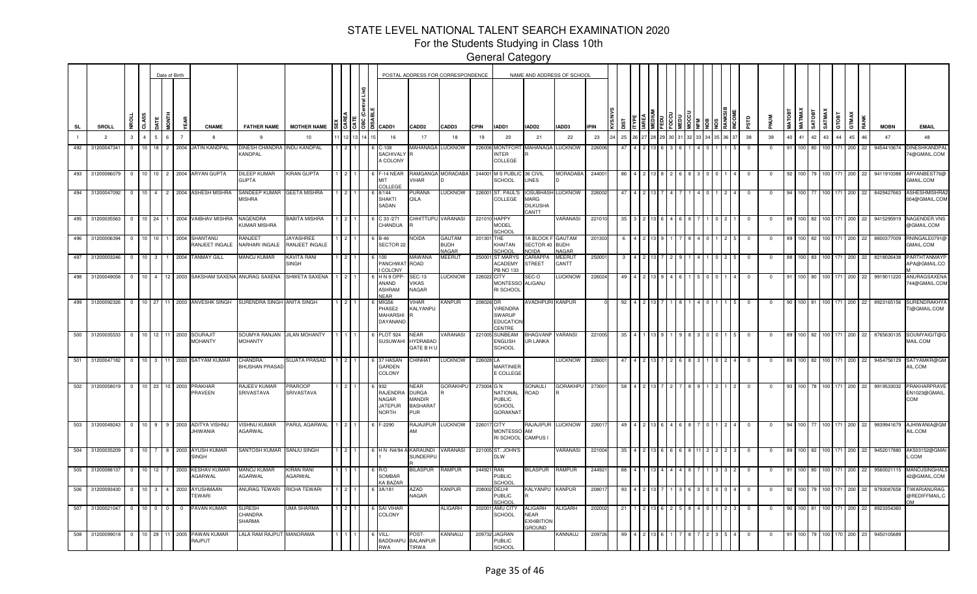For the Students Studying in Class 10th

|           |                                          |                                   |               |                | Date of Birth  |                                                                |                                  |                             |                |        |                                                                                         |                                                                 | POSTAL ADDRESS FOR CORRESPONDENCE |              |                                                               |                                                             | NAME AND ADDRESS OF SCHOOL    |             |     |  |  |  |       |                         |                         |        |               |                |         |                    |                          |      |             |                                      |
|-----------|------------------------------------------|-----------------------------------|---------------|----------------|----------------|----------------------------------------------------------------|----------------------------------|-----------------------------|----------------|--------|-----------------------------------------------------------------------------------------|-----------------------------------------------------------------|-----------------------------------|--------------|---------------------------------------------------------------|-------------------------------------------------------------|-------------------------------|-------------|-----|--|--|--|-------|-------------------------|-------------------------|--------|---------------|----------------|---------|--------------------|--------------------------|------|-------------|--------------------------------------|
| <b>SL</b> | SROLL                                    | CLASS                             |               | i<br>Tag       |                | <b>CNAME</b>                                                   | <b>FATHER NAME</b>               | <b>MOTHER NAME</b>          |                |        | $\frac{5}{16}$ $\frac{5}{3}$ $\frac{5}{6}$ $\frac{16}{6}$ $\frac{2}{16}$ $\frac{2}{16}$ | CADD <sub>2</sub>                                               | CADD3                             | <b>CPIN</b>  | IADD1                                                         | IADD <sub>2</sub>                                           | IADD3                         | <b>IPIN</b> |     |  |  |  |       | esro                    |                         | MATOB1 | <b>MATMAX</b> | <b>ROLVS</b>   | SATMAX  | GTOBT              | GTMAX                    | RANK | <b>MOBN</b> | <b>EMAIL</b>                         |
|           | $\overline{2}$                           | $\overline{4}$<br>$\mathbf{3}$    | 5             | 6              | $\overline{7}$ | -8                                                             | -9                               | 10                          | 12             | 3 14 1 | 16                                                                                      | 17                                                              | 18                                | 19           | 20                                                            | 21                                                          | 22                            | 23          | 25  |  |  |  | 36 37 | 38                      | 39                      | 40     | 41            | 42             | 43      | 44                 | 45                       | 46   | 47          | 48                                   |
| 492       | 31200047341                              | 10 <sup>1</sup><br>$\overline{0}$ | 18            | $\overline{2}$ |                | 2004 JATIN KANDPAL                                             | <b>DINESH CHANDRA</b><br>KANDPAL | <b>INDU KANDPAL</b>         |                |        | $-108$<br>SACHIVALY R<br>A COLONY                                                       | MAHANAGA                                                        | <b>LUCKNOW</b>                    | 226006       | <b>MONTFOR</b><br>NTER<br>COLLEGE                             | MAHANAGA                                                    | <b>LUCKNOW</b>                | 226006      |     |  |  |  |       | $^{\circ}$              | $\Omega$                | 91     | 100.          | 80             |         |                    | 200                      | 22   | 9454410674  | DINESHKANDPAI<br>74@GMAIL.COM        |
|           | 493 31200086079                          | $\overline{0}$                    |               |                |                | 10 10 2 2004 ARYAN GUPTA                                       | DILEEP KUMAR<br><b>GUPTA</b>     | <b>(IRAN GUPTA</b>          | $\overline{2}$ |        | $-14$ NEAR<br>COLLEGE                                                                   | /IHAR                                                           | RAMGANGA MORADABA                 |              | 244001 M S PUBLI<br>SCHOOL                                    | 36 CIVIL<br><b>INES</b>                                     | <b>MORADABA</b>               | 24400       | 86  |  |  |  |       | $\overline{0}$          | $\Omega$                | -92    |               | 100 79 100 171 |         |                    | 200                      | 22   | 9411910388  | ARYANBEST76@<br>GMAIL.COM            |
|           | 494 31200047092                          |                                   |               |                |                | 0 10 4 2 2004 ASHESH MISHRA                                    | SANDEEP KUMAR<br><b>AISHRA</b>   | GEETA MISHRA                | $\overline{2}$ |        | 8/144<br><b>SHAKTI</b><br>SADAN                                                         | <b>URANA</b><br>QILA                                            | LUCKNOW                           |              | 226001 ST. PAUL'S<br>COLLEGE                                  | <b>IOSUBHASH</b><br>MARG<br><b>DILKUSHA</b><br><b>CANTT</b> | <b>LUCKNOW</b>                | 226002      | 47  |  |  |  |       | $\Omega$                | $\Omega$                |        |               | 100 77         | 100 171 |                    | 200                      | 22   | 8429427663  | ASHESHMISHRA2<br>004@GMAIL.COM       |
|           | 495 31200035563                          | $\circ$                           | $10 \quad 24$ |                |                | 2004 VAIBHAV MISHRA                                            | NAGENDRA<br><b>UMAR MISHRA</b>   | <b>BABITA MISHRA</b>        |                |        | 33 / 271<br>CHANDUA                                                                     |                                                                 | CHHITTUPU VARANASI                | 221010 HAPPY | <b>MODEL</b><br>SCHOOI                                        |                                                             | <b>/ARANASI</b>               | 22101       | -35 |  |  |  |       | - 0                     |                         |        |               | 100 82 100 171 |         |                    | 200                      | 22   | 9415295919  | NAGENDER. VNS<br>@GMAIL.COM          |
|           | 496 31200006394                          | $\overline{0}$                    | 10 10         |                | 2004           | SHANTANU<br>RANJEET INGALE                                     | RANJEET<br>NARHARI INGALE        | AYASHREE<br>RANJEET INGALE  |                |        | $B-46$<br>SECTOR 22                                                                     | Noida                                                           | GAUTAM<br>BUDH<br>NAGAR           | 201301 THE   | KHAITAN<br>SCHOO                                              | IA BLOCK F<br>SECTOR 40 BUDH<br><b>NOIDA</b>                | <b>GAUTAM</b><br><b>NAGAR</b> | 201303      |     |  |  |  |       | - 0                     | $\mathbf 0$             |        |               | 100 82         | 100     |                    | 200                      | 22   | 8800377009  | RNINGALE0791@<br>GMAIL.COM           |
|           | 497 31200003246                          | $0 \t10 \t3$                      |               |                |                | 2004 TANMAY GILL                                               | <b>MANOJ KUMAR</b>               | KAVITA RANI<br><b>SINGH</b> |                |        | 100<br><b>PANCHWA</b><br>COLONY                                                         | MAWANA<br>ROAD                                                  | MEERUT                            |              | 250001 ST MARYS<br><b>ACADEMY</b><br>PB NO 133                | CARIAPPA<br>STREET                                          | <b>MEERUT</b><br>CANTT        | 25000       |     |  |  |  |       | $^{\circ}$              | $^{\circ}$              |        |               | 100 83 100 171 |         |                    | 200                      | 22   | 8218026438  | PARTHTANMAYP<br>APA@GMAIL.CO         |
|           | 498 31200049058                          | $\overline{0}$                    | 10 4 12       |                |                | 2003 SAKSHAM SAXENA ANURAG SAXENA                              |                                  | SHWETA SAXENA               |                |        | HN9OPP<br>ANAND<br><b>ASHRAM</b><br><b>NEAR</b>                                         | <b>SEC-13</b><br><b>VIKAS</b><br>NAGAR                          | LUCKNOW                           | 226022 CITY  | <b>MONTESSO</b><br>RI SCHOOL                                  | SEC-O<br><b>ALIGANJ</b>                                     | <b>UCKNOW</b>                 | 226024      | 49  |  |  |  |       | $^{\circ}$              | $\mathbf{0}$            | 91     |               | 100 80 100     |         |                    | 200                      | 22   | 9919011220  | ANURAGSAXENA<br>744@GMAIL.COM        |
|           | 499 31200092326                          |                                   |               |                |                | 0 10 27 11 2003 ANVESHK SINGH                                  | SURENDRA SINGH                   | <b>ANITA SINGH</b>          |                |        | MIG56<br>PHASE2<br><b>MAHARSH</b><br>DAYANAND                                           | VIHAR<br>KALYANPU                                               | KANPUR                            | 208026 DR    | <b>VIRENDRA</b><br>SWARUP<br><b>EDUCATION</b><br>CENTRE       | <b>AVADHPURI KANPUR</b>                                     |                               |             | 92  |  |  |  |       |                         | $^{\circ}$              |        |               | 100 81         | 100 171 |                    | 200                      | 22   | 8923165156  | SURENDRAKHY/<br><b>I@GMAIL.COM</b>   |
|           | 500 31200035533 0 10 12 11 2003 SOURAJIT |                                   |               |                |                | MOHANTY                                                        | <b>MOHANTY</b>                   | SOUMYA RANJAN JILAN MOHANTY |                |        | <b>PLOT 924</b><br>SUSUWAHI                                                             | <b>NEAR</b><br>HYDRABAD<br><b>GATE B H I</b>                    | VARANASI                          |              | 221005 SUNBEAM<br><b>ENGLISH</b><br><b>SCHOOL</b>             | 3HAGVANP<br>UR LANKA                                        | <b>VARANSI</b>                | 221005      | 35  |  |  |  |       | $\mathbf{0}$            | $^{\circ}$              |        |               |                |         |                    | 89 100 82 100 171 200 22 |      |             | 8765630135 SOUMYAIGIT@G<br>MAIL.COM  |
|           |                                          |                                   |               |                |                | 501 31200047182 0 10 3 11 2003 SATYAM KUMAR                    | CHANDRA<br><b>BHUSHAN PRASAD</b> | SUJATA PRASAD               |                |        | 6 37 HASAN<br>GARDEN<br>COLONY                                                          | CHINHAT                                                         | LUCKNOW                           | 226028 LA    | MARTINIER<br>E COLLEGE                                        |                                                             | <b>LUCKNOW</b>                | 22600       |     |  |  |  |       | $^{\circ}$              | $^{\circ}$              | 89     |               |                |         |                    | 100 82 100 171 200 22    |      |             | 9454756129 SATYAMKR@GM<br>AIL.COM    |
|           | 502 31200058019                          | $0$ 10 23                         |               |                | 10 2003        | PRAKHAR<br>PRAVEEN                                             | RAJEEV KUMAR<br>SRIVASTAVA       | PRAROOP<br>SRIVASTAVA       |                |        | 932<br>RAJENDRA<br><b>NAGAR</b><br><b>JATEPUR</b><br><b>NORTH</b>                       | NEAR<br><b>DURGA</b><br>MANDIR<br><b>BASHARAT</b><br><b>PUR</b> | GORAKHPU                          | 273004 G N   | NATIONAL<br><b>PUBLIC</b><br><b>SCHOOL</b><br><b>GORAKNAT</b> | SONAULI<br>ROAD                                             | <b>GORAKHPU</b>               | 27300       | 58  |  |  |  |       | $^{\circ}$              | $^{\circ}$              | 93     |               |                |         | 100 78 100 171 200 |                          | 22   | 9919533032  | PRAKHARPRAVE<br>EN1023@GMAIL.<br>COM |
|           |                                          |                                   |               |                |                | 503 31200049243 0 10 9 9 2003 ADITYA VISHNU<br><b>JHIWANIA</b> | VISHNU KUMAR<br>AGARWAL          | PARUL AGARWAL               |                |        | F-2290                                                                                  | ١Μ                                                              | RAJAJIPUR LUCKNOW                 | 226017 CITY  | MONTESSO<br>RI SCHOOL                                         | AM<br>CAMPUS I                                              | RAJAJIPUR LUCKNOW             | 22601       | -49 |  |  |  |       | $\mathbf 0$             | $\mathbf 0$             | -94    | 100 77        |                |         |                    | 100 171 200 22           |      |             | 9839941679 AJHIWANIA@GM<br>AIL.COM   |
|           | 504 31200035209                          | $0$ 10 7                          |               |                |                | 8 2003 AYUSH KUMAR<br><b>SINGH</b>                             | SANTOSH KUMAR                    | SANJU SINGH                 | $\overline{2}$ |        | 6 H N -N4/94 A KARAUNDI                                                                 | SUNDERPL                                                        | VARANASI                          |              | 221005 ST. JOHN'S<br>dlw                                      |                                                             | VARANASI                      | 221004      | 35  |  |  |  | 3     | $\overline{\mathbf{0}}$ | $\overline{0}$          | 89     |               | 100 82 100 171 |         |                    | 200 22                   |      | 9452017880  | AK503152@GMAI<br>L.COM               |
|           | 505 31200088137                          | $0$ 10 12                         |               |                | 2003           | <b>KESHAV KUMAR</b><br><b>GARWAL</b>                           | MANOJ KUMAR<br><b>AGARWAL</b>    | KIRAN RANI<br><b>GARWAL</b> |                |        | 6 R/O<br>SOMBAR<br><b>KA BAZAF</b>                                                      | BILASPUR                                                        | RAMPUR                            | 244921 RAN   | <b>PUBLIC</b><br>SCHOOL                                       | <b>BILASPUR</b>                                             | RAMPUR                        | 244921      | 88  |  |  |  |       | - 0                     | $\overline{\mathbf{0}}$ | 91     |               | 100 80         | 100     |                    | 200                      | 22   | 9560021115  | <b>MANOJSINGHAL</b><br>42@GMAIL.COM  |
|           | 506 31200093430                          | $0 \t 10 \t 3$                    |               |                |                | 2003 AYUSHMAAN<br>TEWARI                                       | ANURAG TEWARI                    | RICHA TEWARI                |                |        | 3A/181                                                                                  | AZAD<br>NAGAR                                                   | KANPUR                            | 208002 DELHI | <b>PUBLIC</b><br><b>SCHOOL</b>                                | (ALYANPU KANPUR                                             |                               | 20801       | 93  |  |  |  |       | - 0                     | $^{\circ}$              | 92     |               | 100 79 100 171 |         |                    | 200                      | 22   | 9793087658  | TIWARIANURAG<br>@REDIFFMAIL.C        |
|           | 507 31200021047 0 10 0 0                 |                                   |               |                | $\overline{0}$ | PAVAN KUMAR                                                    | SURESH<br>CHANDRA<br>SHARMA      | UMA SHARMA                  |                |        | 6 SAI VIHAR<br><b>COLONY</b>                                                            |                                                                 | aligarh                           |              | 202001 AMU CITY<br>SCHOOL                                     | ALIGARH<br>NEAR<br><b>EXHIBITIOI</b><br><b>GROUND</b>       | <b>ALIGARH</b>                | 20200       |     |  |  |  |       | - 0                     | $^{\circ}$              | 90     |               |                |         | 100 81 100 171 200 |                          | 22   | 8923354360  |                                      |
|           | 508 31200099018                          | $0$ 10 29                         |               |                |                | 11 2005 PAWAN KUMAR<br>RAJPUT                                  | ALA RAM RAJPUT                   | MANORAMA                    |                |        | VILL-<br>BADDHAPU BALANPUR<br><b>RWA</b>                                                | POST-<br>TIRWA                                                  | KANNAUJ                           |              | 209732 JAGRAN<br><b>PUBLIC</b><br>SCHOOL                      |                                                             | KANNAUJ                       | 20972       |     |  |  |  |       |                         | $^{\circ}$              |        |               | 100 79 100 170 |         |                    | 200                      | 23   | 9450105689  |                                      |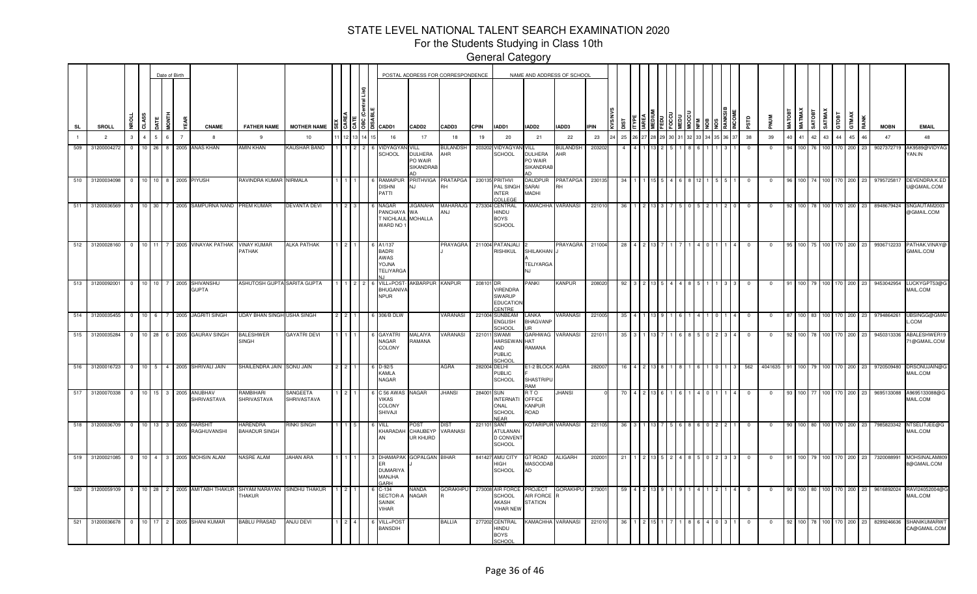For the Students Studying in Class 10th

|           |                 |                |                |         | Date of Birth  |              |                                        |                                                                   |                         |  |                                                                                          |                                                      | POSTAL ADDRESS FOR CORRESPONDENCE |             |                                                                     | NAME AND ADDRESS OF SCHOOL                            |                        |             |      |  |  |  |            |            |               |                         |                 |                    |       |      |             |                                     |
|-----------|-----------------|----------------|----------------|---------|----------------|--------------|----------------------------------------|-------------------------------------------------------------------|-------------------------|--|------------------------------------------------------------------------------------------|------------------------------------------------------|-----------------------------------|-------------|---------------------------------------------------------------------|-------------------------------------------------------|------------------------|-------------|------|--|--|--|------------|------------|---------------|-------------------------|-----------------|--------------------|-------|------|-------------|-------------------------------------|
| <b>SL</b> | SROLL           | <b>NROLL</b>   | CLASS          | DATE    | <b>FTMON</b>   |              | <b>CNAME</b>                           | <b>FATHER NAME</b>                                                | <b>MOTHER NAME</b>      |  | $\frac{15}{3}$ $\frac{5}{3}$ $\frac{16}{3}$ $\frac{20}{3}$ $\frac{1}{10}$ $\frac{20}{3}$ | CADD <sub>2</sub>                                    | CADD3                             | <b>CPIN</b> | IADD1                                                               | IADD2                                                 | IADD3                  | <b>IPIN</b> |      |  |  |  | erse       |            | <b>MATOBT</b> | <b>MATMAX</b><br>SATOBT |                 | SATMAX<br>GTOBT    | GTMAX | RANK | <b>MOBN</b> | <b>EMAIL</b>                        |
|           | $\overline{2}$  | $\mathbf{3}$   | $\overline{a}$ | 5       | 6 <sup>1</sup> |              | 8                                      | 9                                                                 | 10 <sup>10</sup>        |  | 16                                                                                       | 17                                                   | 18                                | 19          | 20                                                                  | 21                                                    | 22                     | 23          | 25   |  |  |  | 38         | 39         | 40            | 41 42                   | 43 <sup>1</sup> | 44                 | 45    | 46   | 47          | 48                                  |
| 509       | 3120000427      | $\mathbf{0}$   | 10             | 26      | 8              |              | 2005 ANAS KHAN                         | <b>AMIN KHAN</b>                                                  | KAUSHAR BANO            |  | <b>IDYAGY</b><br><b>SCHOOL</b>                                                           | VILL<br><b>DULHERA</b><br>PO WAIR<br>SIKANDRAE<br>n. | <b>BULANDSH</b><br>AHR            | 203202      | /IDYAGY/<br>SCHOOL                                                  | VILL<br><b>DULHERA</b><br>PO WAIR<br><b>SIKANDRAB</b> | <b>BULANDSH</b><br>AHR | 20320       |      |  |  |  | $\Omega$   |            |               | 100                     |                 | 170                | 200   | 23   | 9027372719  | AK9589@VIDYAG<br>YAN.IN             |
| 510       | 31200034098     | $^{\circ}$     |                | $10$ 10 |                |              | 8 2005 PIYUSH                          | RAVINDRA KUMAR NIRMALA                                            |                         |  | RAMAIPL<br><b>DISHNI</b><br>PATTI                                                        | <b>PRITHVIGA</b><br>NJ.                              | <b>PRATAPGA</b><br>RH             |             | 230135 PRITHVI<br>PAL SINGH<br><b>INTER</b><br>COLLEGE              | DAUDPUR<br>SARAI<br>MADHI                             | PRATAPGA<br><b>RH</b>  | 230135      |      |  |  |  |            |            |               |                         |                 |                    | 200   | 23   | 979572581   | DEVENDRA.K.EI<br>U@GMAIL.COM        |
| 511       | 31200036569     | $\Omega$       |                | 10 30   |                |              | 7 2005 SAMPURNA NAND                   | <b>PREM KUMAR</b>                                                 | <b>DEVANTA DEVI</b>     |  | VAGAR<br>PANCHAYA WA<br>NICHLAUL MOHALLA<br>WARD NO 1                                    | <b>JIGANAHA</b>                                      | <b>MAHARAJG</b><br>ANJ            |             | 273304 CENTRAL<br>HINDU<br><b>BOYS</b><br><b>SCHOOL</b>             | KAMACHHA VARANASI                                     |                        | 22101       |      |  |  |  |            |            |               | 100                     |                 | 170                | 200   | 23   | 8948679424  | SNGAUTAM2003<br>@GMAIL.COM          |
|           | 512 31200028160 | $\Omega$       |                |         |                |              | 10 11 7 2005 VINAYAK PATHAK            | <b>VINAY KUMAR</b><br>PATHAK                                      | <b>ALKA PATHAK</b>      |  | A1/137<br><b>BADRI</b><br>AWAS<br><b>ANLOY</b><br><b>TELIYARG</b>                        |                                                      | PRAYAGRA                          |             | 211004 PATANJALI<br><b>RISHIKUL</b>                                 | SHILAKHAN J<br>TELIYARGA<br>N.I                       | PRAYAGRA               | 211004      | - 28 |  |  |  |            | $^{\circ}$ | -95 I         |                         |                 | 100 75 100 170 200 |       | -23  | 9936712233  | PATHAK.VINAY(<br>GMAIL.COM          |
|           | 513 31200092001 | $\overline{0}$ |                |         |                |              | 10 10 7 2005 SHIVANSHU<br><b>GUPTA</b> | ASHUTOSH GUPTA SARITA GUPTA                                       |                         |  | VILL+POST<br><b>BHUGANIVA</b><br><b>NPUR</b>                                             | AKBARPUR                                             | <b>KANPUR</b>                     | 208101      | DR<br>VIRENDRA<br><b>SWARUP</b><br><b>EDUCATIO</b><br>CENTRE        | PANKI                                                 | KANPUR                 | 20802       | -92  |  |  |  | $^{\circ}$ | $^{\circ}$ | 91            |                         |                 | 100 79 100 170 200 |       | 23   | 9453042954  | LUCKYGPT53@G<br>MAIL.COM            |
|           | 514 31200035455 | $\overline{0}$ | $10 \quad 6$   |         |                |              | 7 2005 JAGRITI SINGH                   | UDAY BHAN SINGH USHA SINGH                                        |                         |  | 306/B DLW                                                                                |                                                      | <b>/ARANASI</b>                   |             | 221004 SUNBEAM<br>ENGLISH<br>CHOOL                                  | LANKA<br><b>BHAGVANP</b>                              | VARANASI               | 221005      | 35   |  |  |  | $^{\circ}$ | 0          |               |                         |                 | 100 83 100 170 200 |       | 23   | 9794864261  | UBSINGG@GMAI<br>.COM                |
|           | 515 31200035284 | $\Omega$       |                | $10$ 28 |                |              | 6 2005 GAURAV SINGH                    | <b>BALESHWER</b><br><b>SINGH</b>                                  | GAYATRI DEVI            |  | GAYATR<br><b>NAGAR</b><br>COLONY                                                         | MALAIYA<br>RAMANA                                    | <b><i>VARANASI</i></b>            | 221011      | <b>SWAMI</b><br><b>HARSEWAN</b><br>AND<br><b>PUBLIC</b><br>CHOOL    | GARHWAG VARANASI<br><b>HAT</b><br>RAMANA              |                        | 22101       |      |  |  |  |            |            |               | 100 I                   |                 | 170.               | 200   | -23  | 9450313336  | ABALESHWER19<br>1@GMAIL.COM         |
| 516       | 31200016723     | $^{\circ}$     |                |         |                |              | 10 5 4 2005 SHRIVALI JAIN              | SHAILENDRA JAIN SONU JAIN                                         |                         |  | $D-92/5$<br><b>KAMLA</b><br><b>NAGAR</b>                                                 |                                                      | AGRA                              | 282004      | DELHI<br>PUBLIC<br><b>SCHOOL</b>                                    | E1-2 BLOCK AGRA<br>SHASTRIPU<br>RAM                   |                        | 282007      | 16   |  |  |  | 562        | 4041635    |               | 100 L                   |                 | 79 100 170         | 200   | -23  | 9720509480  | DRSONUJAIN@G<br>MAIL.COM            |
| 517       | 31200070338     | $\overline{0}$ |                |         |                |              | 10 15 3 2005 ANUBHAV<br>SHRIVASTAVA    | RAMBIHARI<br>SHRIVASTAVA                                          | SANGEETA<br>SHRIVASTAVA |  | C 56 AWAS<br><b>VIKAS</b><br><b>COLONY</b><br>SHIVAJI                                    | NAGAR                                                | <b>JHANSI</b>                     | 28400       | <b>SUN</b><br><b>INTERNATI</b><br>ONAL<br>SCHOOL<br><b>NEAR</b>     | RTO<br><b>OFFICE</b><br><b>KANPUR</b><br>ROAD         | <b>JHANSI</b>          |             |      |  |  |  | $\Omega$   | 0          |               | 100 I                   |                 | 100 170            | 200   | 23   | 9695133088  | A9695133088@G<br>MAIL.COM           |
| 518       | 31200036709     | $\overline{0}$ |                |         |                | 10 13 3 2005 | <b>HARSHIT</b><br>RAGHUVANSHI          | <b>HARENDRA</b><br><b>BAHADUR SINGH</b>                           | <b>RINKI SINGH</b>      |  | VILL<br>KHARADAH                                                                         | POST<br>CHAUBEYF<br>UR KHURD                         | DIS.<br>VARANASI                  | 22110       | <b>SANT</b><br><b>ATULANAN</b><br><b>D CONVENT</b><br><b>SCHOOL</b> | KOTARIPUR VARANASI                                    |                        | 221105      | -36  |  |  |  |            | n          | 90            | 100 I                   | 80 1100         | 170                | 200   | 23   | 7985823342  | NTSELITJEE@G<br>MAIL.COM            |
| 519       | 31200021085     | $\overline{0}$ |                |         |                |              | 10 4 3 2005 MOHSIN ALAM                | NASRE ALAM                                                        | JAHAN ARA               |  | DHAMAP/<br><b>DUMARIYA</b><br>MANJHA<br><b>SARH</b>                                      | <b>SOPALGAN</b>                                      | 31 HAR                            | 841427      | AMU CITY<br>HIGH<br><b>SCHOOL</b>                                   | GT ROAD<br>MASOODAB<br>AD                             | <b>ALIGARH</b>         | 20200       |      |  |  |  |            |            |               | 100 I                   |                 | 70                 | 200   | -23  | 732008899   | MOHSINALAM80<br>8@GMAIL.COM         |
| 520       | 31200059109     | $\overline{0}$ |                |         |                |              |                                        | 10 28 2 2005 AMITABH THAKUR SHYAM NARAYAN SINDHU THAKUR<br>THAKUR |                         |  | $C-134$<br>SECTOR-<br><b>SAINIK</b><br>VIHAR                                             | NANDA<br>NAGAR                                       | <b>GORAKHPL</b>                   |             | 273008 AIR FORCE<br><b>SCHOOL</b><br>AKASH<br><b>VIHAR NEW</b>      | PROJECT<br><b>AIR FORCE</b><br><b>STATION</b>         | <b>GORAKHPU</b>        | 273001      | 59   |  |  |  | $\Omega$   | $\Omega$   |               | 100 80 100              |                 | 170                | 200   | 23   | 9616892024  | RAVI24052004@C<br>MAIL.COM          |
| 521       | 31200036678     | $\overline{0}$ |                |         |                |              | 10 17 2 2005 SHANI KUMAR               | <b>BABLU PRASAD</b>                                               | <b>ANJU DEVI</b>        |  | VILL+POS <sup>®</sup><br><b>BANSDIH</b>                                                  |                                                      | <b>BALLIA</b>                     |             | 277202 CENTRAL<br>HINDU<br><b>BOYS</b><br>SCHOOL                    | KAMACHHA VARANASI                                     |                        | 22101       |      |  |  |  |            |            |               |                         |                 | 100 78 100 170     | 200   | 23   | 8299246636  | <b>SHANIKUMARWT</b><br>CA@GMAIL.COM |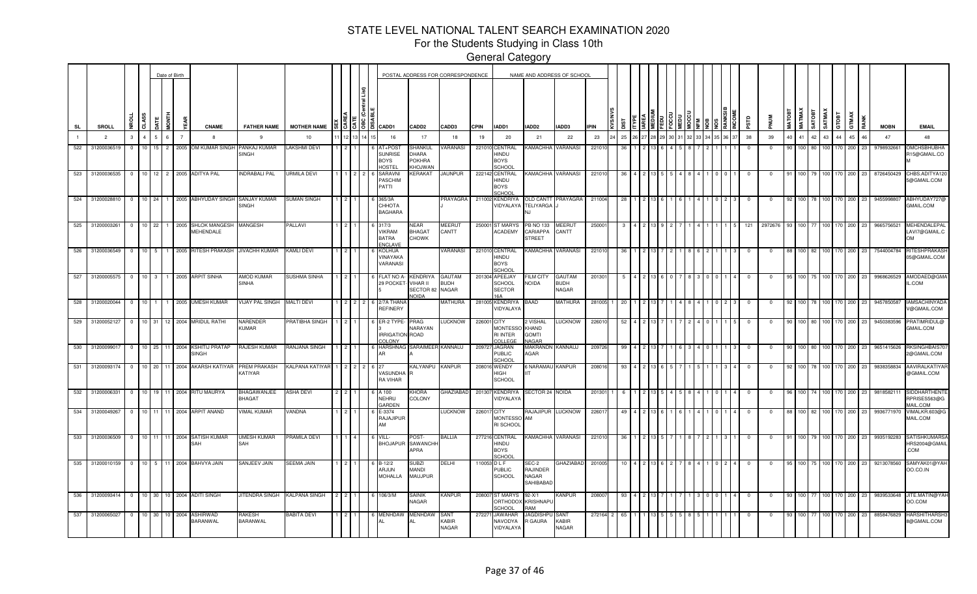For the Students Studying in Class 10th

|     |                 |                |                 |                 | Date of Birth     |                                                           |                              |                              |  |                |                                                        |                                           | POSTAL ADDRESS FOR CORRESPONDENCE |             |                                                  | NAME AND ADDRESS OF SCHOOL                     |                                |             |     |  |  |  |  |      |             |                  |               |         |         |       |      |             |                                                  |
|-----|-----------------|----------------|-----------------|-----------------|-------------------|-----------------------------------------------------------|------------------------------|------------------------------|--|----------------|--------------------------------------------------------|-------------------------------------------|-----------------------------------|-------------|--------------------------------------------------|------------------------------------------------|--------------------------------|-------------|-----|--|--|--|--|------|-------------|------------------|---------------|---------|---------|-------|------|-------------|--------------------------------------------------|
| SL  | SROLL           | <b>NROLL</b>   | CLASS           | <b>JATE</b>     | <b>FINO</b><br>ξã | <b>CNAME</b>                                              | <b>FATHER NAME</b>           | MOTHER NAME I & I C          |  |                | $38$ $\degree$ $\degree$ $\degree$ $\degree$ $\degree$ | CADD <sub>2</sub>                         | CADD3                             | <b>CPIN</b> | IADD1                                            | IADD2                                          | IADD3                          | <b>IPIN</b> | ٣   |  |  |  |  | arsa |             |                  | <b>SATOBT</b> |         | GTOBT   | GTMAX | RANK | <b>MOBN</b> | <b>EMAIL</b>                                     |
|     | $\overline{2}$  | 3 <sup>1</sup> | $\overline{4}$  | 5<br>$\epsilon$ |                   | -8                                                        | 9                            | 10                           |  |                | 16                                                     | 17                                        | 18                                | 19          | 20                                               | 21                                             | 22                             | 23          | 25  |  |  |  |  | 38   | 39          | 40<br>41         | 42            | 43      | 44      | 45    | 46   | 47          | 48                                               |
| 522 | 3120003651      | $\circ$        | 10 <sup>1</sup> | 15 <sup>1</sup> | $\overline{2}$    | 2005 OM KUMAR SINGH PANKAJ KUMAR                          | SINGH                        | <b>LAKSHMI DEVI</b>          |  |                | AT+POS <sup>-</sup><br>UNRISE<br>3OYS<br><b>IOSTE</b>  | SHANKUL<br>ARAHC<br>POKHRA<br>HOJWAN      | VARANASI                          |             | 221010 CENTRAL<br>HINDU<br>BOYS<br>CHOOL         | KAMACHHA                                       | VARANASI                       | 22101       | 36  |  |  |  |  |      | 0           | 90<br>100        | 80            | 100     | 170     | 200   | 23   | 9798932661  | <b>OMCHSBHUBHA</b><br>15@GMAIL.CO                |
| 523 | 31200036535     |                |                 |                 |                   | 0   10   12   2   2005   ADITYA PAL                       | INDRABALI PAL                | URMILA DEVI                  |  |                | <b>SARAVN</b><br>PASCHIM<br>PATTI                      | KERAKAT                                   | <b>JAUNPUR</b>                    |             | 222142 CENTRAL<br>HINDU<br>BOYS<br>CHOOL         | KAMACHHA VARANASI                              |                                | 221010      | -36 |  |  |  |  |      | $^{\circ}$  | 100 <sub>1</sub> | 79            | 100     | 170 200 |       | 23   | 8726450429  | CHBS.ADITYA120<br>5@GMAIL.COM                    |
| 524 | 31200028810     |                |                 |                 |                   | 0   10   24   1   2005 ABHYUDAY SINGH SANJAY KUMAR        | SINGH                        | SUMAN SINGH                  |  |                | 365/3A<br>CHHOTA<br><b>BAGHARA</b>                     |                                           | PRAYAGRA                          |             | 211002 KENDRIYA                                  | VIDYALAYA TELIYARGA .<br>NJ.                   | OLD CANTT PRAYAGRA             | 211004      | -28 |  |  |  |  |      |             | 100 I            | 78 I          | 100     | 170     | 200   | 23   | 9455998807  | ABHYUDAY727@<br><b>GMAIL.COM</b>                 |
| 525 | 31200003261     |                |                 |                 |                   | 0   10   22   1   2005 SHLOK MANGESH MANGESH<br>MEHENDALE |                              | PALLAVI                      |  |                | 6 317/3<br><b>VIKRAM</b><br><b>BATRA</b><br>NCLAVE     | NEAR<br><b>BHAGAT</b><br><b>CHOWK</b>     | MEERUT<br>CANTT                   |             | 250001 ST MARYS<br>ACADEMY                       | <b>PB NO 133</b><br>CARIAPPA<br><b>STREET</b>  | MEERUT<br>CANTT                | 25000       |     |  |  |  |  | 121  | 2972676     | 100              |               | 100     | 170     | 200   |      | 9665756521  | MEHENDALEPAL<br>LAVI7@GMAIL.C<br>OМ              |
| 526 | 31200036549     | $0$ 10         |                 | 5               |                   | 2005 RITESH PRAKASH JIVACHH KUMAR                         |                              | <b>KAMLI DEVI</b>            |  |                | <b>KOLHUA</b><br>VINAYAKA<br>VARANASI                  |                                           | VARANASI                          |             | 221010 CENTRAL<br>HINDU<br>BOYS<br>CHOOL         | KAMACHHA                                       | VARANASI                       | 221010      |     |  |  |  |  |      |             | 100              | 82            | 100     | 170 200 |       | 23   | 7544004784  | RITESHPRAKASH<br>05@GMAIL.COM                    |
| 527 | 31200005575     | $0 \t 10 \t 3$ |                 |                 |                   | 1 2005 ARPIT SINHA                                        | AMOD KUMAR<br><b>SINHA</b>   | SUSHMA SINHA                 |  |                | 29 POCKET- VIHAR II                                    | FLAT NO A- KENDRIYA<br>SECTOR 82<br>NOIDA | GAUTAM<br><b>BUDH</b><br>NAGAR    |             | 201304 APEEJAY<br>SCHOOL<br><b>SECTOR</b><br>164 | FILM CITY<br>NOIDA                             | GAUTAM<br><b>BUDH</b><br>NAGAR | 2013        |     |  |  |  |  |      |             |                  |               | $100 -$ | 170     | 200   | 23   | 9968626529  | AMODAED@GMA<br>L.COM                             |
|     | 528 31200020044 | $0$ 10         |                 |                 |                   | 1 2005 UMESH KUMAR                                        | VIJAY PAL SINGH MALTI DEVI   |                              |  | $\overline{2}$ | 6 2/7A THANA<br><b>REFINERY</b>                        |                                           | MATHURA                           |             | 281005 KENDRIYA<br><b>VIDYALAYA</b>              | BAAD                                           | MATHURA                        | 281005      | -20 |  |  |  |  |      |             | 100              | 78 I          | 100     | 170 200 |       | -23  | 9457850587  | IAMSACHINYADA<br>V@GMAIL.COM                     |
|     | 529 31200052127 |                |                 |                 |                   | 0 10 31 12 2004 MRIDUL RATHI                              | NARENDER<br>KUMAR            | <b>PRATIBHA SINGH</b>        |  |                | ER-2 TYPE<br>IRRIGATION ROAD<br>COLONY                 | PRAG<br>NARAYAN                           | LUCKNOW                           | 226001 CITY | MONTESSO KHAND<br><b>RI INTER</b><br>COLLEGE     | 2 VISHAL<br><b>GOMTI</b><br><b>NAGAR</b>       | LUCKNOW                        | 22601       |     |  |  |  |  |      | 0           | 100              |               | 80 100  | 170 200 |       |      | 9450383596  | RATIMRIDUL@<br>GMAIL.COM                         |
| 530 | 31200099017     | $\circ$        |                 | 10 25 11        | 2004              | <b>KSHITIJ PRATAP</b><br><b>SINGH</b>                     | RAJESH KUMAR                 | RANJANA SINGH                |  |                | <b>HARSHNAG</b>                                        | SARAIMEER                                 | KANNAUJ                           |             | 209727 JAGRAN<br>PUBLIC<br>CHOOL                 | MAKRANDN KANNAUJ<br>AGAR                       |                                | 209726      | 99  |  |  |  |  |      | $\Omega$    | 90.<br>100 l     | 80 l          | 100     | 170     | 200   |      | 9651415626  | RKSINGHBAIS70<br>@GMAIL.COM                      |
| 531 | 31200093174     |                |                 |                 |                   | 0 10 20 11 2004 AKARSH KATIYAR                            | PREM PRAKASH<br>KATIYAR      | KALPANA KATIYAR 1 2 2 2 6 27 |  |                | VASUNDHA<br><b>RA VIHAR</b>                            | KALYANPU KANPUR                           |                                   |             | 208016 WENDY<br>HIGH<br><b>SCHOOL</b>            | 6 NARAMAU KANPUR<br><b>IIT</b>                 |                                | 208016      | 93  |  |  |  |  |      | $^{\circ}$  | 92 100           |               | 78 100  | 170 200 |       | 23   | 9838358834  | AAVIRALKATIYAR<br>@GMAIL.COM                     |
| 532 | 31200006331     |                |                 |                 |                   | 0 10 19 11 2004 RITU MAURYA                               | BHAGAWANJEE<br>BHAGAT        | <b>ASHA DEVI</b>             |  |                | A 100<br>NEHRU<br><b>GARDEN</b>                        | KHORA<br>COLONY                           | GHAZIABAD                         |             | 201307 KENDRIYA<br>VIDYALAYA                     | SECTOR 24 NOIDA                                |                                | 201301      |     |  |  |  |  |      | $\Omega$    | 100              |               | 74 100  | 170 200 |       | 23   | 9818582111  | SIDDHARTHENTE<br>RPRISES563@G<br><b>IAIL.COM</b> |
| 534 | 31200049267     | $0$ 10 11      |                 |                 |                   | 11 2004 ARPIT ANAND                                       | <b>VIMAL KUMAR</b>           | VANDNA                       |  |                | E-3374<br>RAJAJIPUR<br>AM                              |                                           | <b>LUCKNOW</b>                    |             | 226017 CITY<br>MONTESSO AM<br>RI SCHOOL          | RAJAJIPUR LUCKNOW                              |                                | 22601       |     |  |  |  |  |      |             |                  |               |         | 170     | 200   |      | 9936771970  | VIMALKR.603@G<br><b>MAIL.COM</b>                 |
| 533 | 31200036509     | $0$ 10 11      |                 |                 |                   | 11 2004 SATISH KUMAR<br>SAH                               | <b>UMESH KUMAR</b><br>SAH    | PRAMILA DEVI                 |  |                | VILL-                                                  | POST-<br>BHOJAPUR SAWANCHH<br>APRA        | <b>BALLIA</b>                     |             | 277216 CENTRAL<br>HINDU<br>BOYS<br>CHOOL         | KAMACHHA VARANASI                              |                                | 22101       |     |  |  |  |  |      | $\mathbf 0$ | 100              |               | 100     | 170     | 200   | 23   | 9935192283  | SATISHKUMARSA<br>HRS2004@GMAIL<br>COM            |
| 535 | 31200010159     | $0 \t10 \t5$   |                 |                 |                   | 11 2004 BAHVYA JAIN                                       | SANJEEV JAIN                 | <b>SEEMA JAIN</b>            |  |                | $B-12/2$<br>ARJUN<br><b>MOHALLA</b>                    | <b>SUBZI</b><br>MANDI<br>MAUJPUR          | DELHI                             |             | 110053 D L F<br>PUBLIC<br>SCHOOL                 | SEC-2<br><b>RAJINDER</b><br>NAGAR<br>SAHIBABAD | <b>GHAZIABAD</b>               | 201005      |     |  |  |  |  |      |             | 100 I            |               |         | 170     | 200   |      | 9213078560  | SAMYAK01@YAH<br>00.CO.IN                         |
| 536 | 31200093414     |                |                 |                 |                   | 0 10 30 10 2004 ADITI SINGH                               | JITENDRA SINGH KALPANA SINGH |                              |  |                | 106/3/M                                                | <b>SAINIK</b><br>NAGAR                    | KANPUR                            |             | 208007 ST MARYS<br>CHOOL                         | $92 - X/1$<br>ORTHODOX KRISHNAPU<br>RAM        | KANPUR                         | 20800       |     |  |  |  |  |      |             | 100              |               | 100     | 170     | 200   | 23   | 9839533648  | JITE.MATIN@YAH<br>DO.COM                         |
| 537 | 31200065027     | $\circ$        | 10 <sub>1</sub> | 30              | 10 2004           | ASHIRWAD<br><b>BARANWAL</b>                               | RAKESH<br>BARANWAL           | <b>BABITA DEVI</b>           |  |                | 6 MENHDAW                                              | MENHDAW                                   | SANT<br>KABIR<br><b>NAGAR</b>     | 27227       | JAWAHAR<br>NAVODYA<br>VIDYALAYA                  | JAGDISHPU<br>R GAURA                           | SANT<br>KABIR<br><b>NAGAR</b>  |             |     |  |  |  |  |      |             |                  |               |         |         | 200   |      | 8858476829  | <b>HARSHITHARSH</b><br>8@GMAIL.COM               |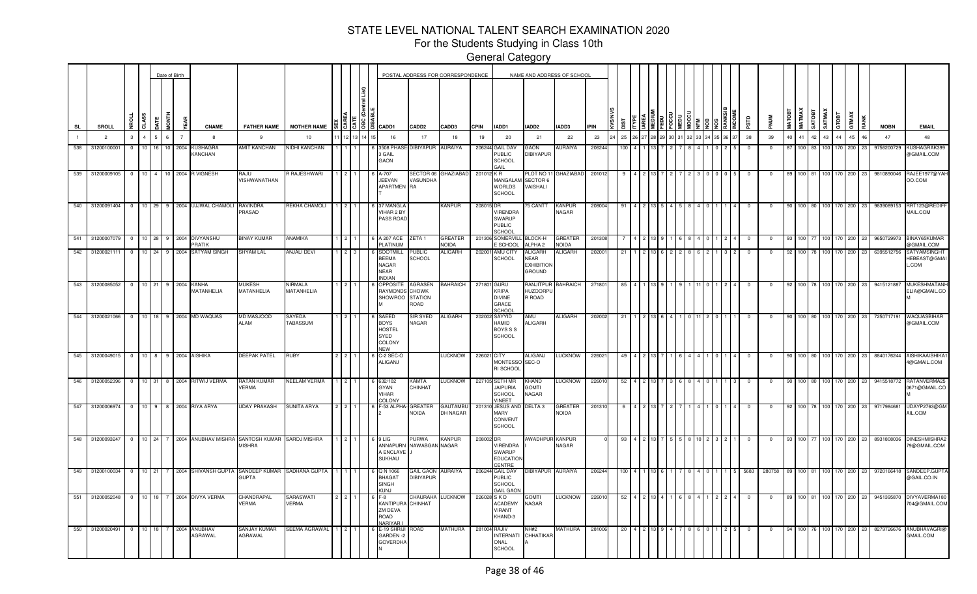For the Students Studying in Class 10th

|                |                 |                       |                         |                   |            | Date of Birth |                |                             |                                                                           |                              |     |        |                                                                       |                                 | POSTAL ADDRESS FOR CORRESPONDENCE |              |                                                                      | NAME AND ADDRESS OF SCHOOL                            |                                |             |     |     |  |  |  |   |                |              |               |               |    |                   |                    |       |    |             |                                              |
|----------------|-----------------|-----------------------|-------------------------|-------------------|------------|---------------|----------------|-----------------------------|---------------------------------------------------------------------------|------------------------------|-----|--------|-----------------------------------------------------------------------|---------------------------------|-----------------------------------|--------------|----------------------------------------------------------------------|-------------------------------------------------------|--------------------------------|-------------|-----|-----|--|--|--|---|----------------|--------------|---------------|---------------|----|-------------------|--------------------|-------|----|-------------|----------------------------------------------|
| SL             |                 | <b>SROLL</b>          | <b>Da</b>               | CLASS             |            | ELNOI         |                | <b>CNAME</b>                | <b>FATHER NAME</b>                                                        | <b>MOTHER NAME</b>           |     | 856181 | CADD1                                                                 | CADD <sub>2</sub>               | CADD3                             | CPIN         | IADD1                                                                | IADD2                                                 | IADD3                          | <b>IPIN</b> |     |     |  |  |  |   | аß             |              | <b>TROTAN</b> | <b>IATMAX</b> | ᄛ  | SATMAX            | GTOBT              | GTMAX |    | <b>MOBN</b> | <b>EMAIL</b>                                 |
| $\blacksquare$ |                 | $\overline{2}$        |                         | $\overline{a}$    | 5.         | 6             | $\overline{7}$ | 8                           | -9                                                                        | 10                           |     |        | 16                                                                    | 17                              | 18                                | 19           | 20                                                                   | 21                                                    | 22                             | 23          | 25  |     |  |  |  |   | 38             | 39           | 40            | 41            | 42 | 43 <sup>1</sup>   | 44                 | 45    | 46 | 47          | 48                                           |
| 538            |                 | 31200100001           | $0$ 1 1 0               |                   | 16 10 2004 |               |                | <b>KUSHAGRA</b><br>KANCHAN  | <b>AMIT KANCHAN</b>                                                       | NIDHI KANCHAN                |     |        | 3508 PHAS<br>3 GAIL<br>GAON                                           | DIBIYAPUR AURAIYA               |                                   |              | 206244 GAIL DAV<br>PUBLIC<br><b>SCHOOL</b><br><b>All</b>             | GAON<br><b>DIBIYAPUR</b>                              | <b>AURAIYA</b>                 | 206244      |     | 100 |  |  |  |   | $\overline{0}$ | $\mathbf{0}$ | 87            | 100 83        |    |                   | 100 170 200        |       | 23 | 9756200729  | KUSHAGRAK399<br>@GMAIL.COM                   |
| 539            |                 | 31200009105           | $^{\circ}$              | 10 <sup>1</sup>   | 4          | 10 I          |                | 2004 R VIGNESH              | <b>RAJU</b><br>VISHWANATHAN                                               | <b>RAJESHWARI</b>            |     |        | A-707<br>JEEVAN<br>APARTMEN RA                                        | SECTOR 06<br>VASUNDHA           | <b>GHAZIABAD</b>                  | 201012 KR    | MANGALAM<br><b>WORLDS</b><br><b>SCHOOL</b>                           | PLOT NO 11<br>SECTOR 6<br>VAISHALI                    | <b>GHAZIABAD</b>               | 201012      |     |     |  |  |  |   |                | $^{\circ}$   |               |               |    |                   | 170.               | 200   | 23 | 9810890046  | RAJEE1977@YAH<br>OO.COM                      |
|                | 540 31200091404 |                       |                         |                   |            |               |                | 10 29 9 2004 UJJWAL CHAMOLI | <b>RAVINDRA</b><br>PRASAD                                                 | REKHA CHAMOLI                |     |        | 6 37 MANGL/<br>VIHAR 2 BY<br>PASS ROAD                                |                                 | KANPUR                            | 208015 DR    | VIRENDRA<br>SWARUP<br><b>PUBLIC</b><br>SCHOOL                        | 5 CANTT                                               | <b>KANPUR</b><br>NAGAR         | 20800       |     |     |  |  |  |   |                |              |               |               |    |                   |                    | 200   | 23 | 9839089153  | RRT123@REDII<br>MAIL.COM                     |
| 541            |                 | 3120000707            |                         | $10 \mid 28 \mid$ |            |               |                | 9 2004 DIVYANSHU<br>PRATIK  | <b>BINAY KUMAR</b>                                                        | ANAMIKA                      |     |        | 6 A 207 ACE<br>PLATINUM                                               | ZETA 1                          | GREATER<br><b>ACIDA</b>           |              | 201306 SOMERVIL<br><b>SCHOOL</b>                                     | BLOCK-H<br>ALPHA <sub>2</sub>                         | GREATEF<br><b>NOIDA</b>        | 20130       |     |     |  |  |  |   |                |              | -93           | 100           |    | 100 I             |                    | 200   | 23 | 9650729973  | BINAY65KUMAR<br>@GMAIL.COM                   |
| 542            |                 | 31200021111           |                         |                   | 10 24 9    |               |                | 2004 SATYAM SINGH           | <b>SHYAM LAL</b>                                                          | <b>ANJALI DEVI</b>           |     |        | <b>SOOTMILL</b><br><b>BEEMA</b><br>NAGAR<br>NEAR<br><b>INDIAN</b>     | <b>UBLIC</b><br>SCHOOL          | <b>ILIGARH</b>                    |              | 202001 AMU CITY<br>SCHOOL                                            | <b>ALIGARH</b><br>NEAR<br><b>EXHIBITION</b><br>GROUND | ALIGARH                        | 20200       | 21  |     |  |  |  |   | $\mathbf 0$    | $^{\circ}$   | 92            | 100 78        |    | 100 <sup>1</sup>  |                    | 200   | 23 | 6395512756  | <b>SATYAMSINGHT</b><br>HEBEAST@GMAI<br>L.COM |
|                | 543 31200085052 |                       | $\overline{\mathbf{0}}$ | $10$ 21           |            | 9             |                | 2004 KANHA<br>MATANHELIA    | <b>MUKESH</b><br>MATANHELIA                                               | <b>JIRMALA</b><br>MATANHELIA |     |        | OPPOSITE<br><b>RAYMONDS</b><br>SHOWROO STATION                        | AGRASEN<br><b>CHOWK</b><br>ROAD | <b>BAHRAICH</b>                   | 271801 GURU  | <b>KRIPA</b><br><b>DIVINE</b><br>GRACE<br>SCHOOL                     | RANJITPUR<br>HUZOORPL<br>R ROAD                       | <b>BAHRAICH</b>                | 27180       | 85  |     |  |  |  |   |                |              | -92           |               |    |                   |                    | 200   | 23 | 9415121887  | MUKESHMATANH<br>ELIA@GMAIL.CO                |
| 544            |                 | 31200021066           | $\Omega$                | 10 <sup>1</sup>   | 18         | -9            |                | 2004 MD WAQUAS              | MD MASJOOD<br><b>ALAM</b>                                                 | SAYEDA<br>TABASSUM           |     |        | SAEED<br><b>BOYS</b><br><b>HOSTEL</b><br>SYED<br>COLONY<br><b>NEW</b> | SIR SYED<br>NAGAR               | ALIGARH                           |              | 202002 SAYYID<br>HAMID<br><b>BOYS S S</b><br>SCHOOL                  | AMU<br>ALIGARH                                        | ALIGARH                        | 202002      | 21  |     |  |  |  |   | $\Omega$       | - 0          | -90           |               |    | 100 80 100 170    |                    | 200   | 23 | 7250717191  | WAQUASBIHAR<br>@GMAIL.COM                    |
|                | 545 31200049015 |                       |                         |                   |            |               |                | 0 10 8 9 2004 AISHIKA       | <b>DEEPAK PATEL</b>                                                       | <b>RUBY</b>                  |     |        | C-2 SEC-O<br>ALIGANJ                                                  |                                 | LUCKNOW                           | 226021 CITY  | <b>MONTESSO</b><br>RI SCHOOL                                         | ALIGANJ<br>SEC-O                                      | <b>LUCKNOW</b>                 | 22602       |     |     |  |  |  |   |                |              |               |               |    | 100               | 170 200            |       | 23 | 8840176244  | AISHIKAAISHIKA <sup>-</sup><br>4@GMAIL.COM   |
|                | 546 31200052396 |                       |                         |                   |            |               |                | 0 10 31 8 2004 RITWIJ VERMA | <b>RATAN KUMAR</b><br><b>VERMA</b>                                        | <b>NEELAM VERMA</b>          |     |        | 6 632/102<br>GYAN<br><b>VIHAR</b><br><b>OLONY</b>                     | KAMTA<br>CHINHAT                | LUCKNOW                           |              | 227105 SETH MR<br><b>JAIPURIA</b><br>SCHOOL<br><b>JINEET</b>         | <hand<br><b>GOMTI</b><br/>NAGAR</hand<br>             | <b>LUCKNOW</b>                 | 22601       |     |     |  |  |  |   |                |              | -90           | 100 80        |    | 100               |                    | 200   | 23 | 94155187    | RATANVERMA25<br>0671@GMAIL.CO                |
| 547            |                 | 31200006974           |                         |                   |            |               |                | 0 10 9 8 2004 RIYA ARYA     | <b>UDAY PRAKASH</b>                                                       | SUNITA ARYA                  |     |        | F-53 ALPH/                                                            | <b>GREATER</b><br>NOIDA         | GAUTAMBU<br>DH NAGAR              |              | 201310 JESUS AND<br>MARY<br>CONVENT<br><b>SCHOOL</b>                 | DELTA 3                                               | <b>GREATER</b><br><b>NOIDA</b> | 201310      |     |     |  |  |  |   | $\Omega$       | $\Omega$     | -92           | 100 78        |    | 100 <sup>1</sup>  | 170                | 200   | 23 | 9717984681  | UDAYP2763@GM<br>AIL.COM                      |
|                | 548 31200093247 |                       |                         |                   |            |               |                |                             | 0 10 24 7 2004 ANUBHAV MISHRA SANTOSH KUMAR SAROJ MISHRA<br><b>MISHRA</b> |                              | 121 |        | 6 9 LIG<br>ANNAPURN<br>A ENCLAVE<br>SUKHAU                            | PURWA<br>NAWABGAN NAGAR         | <b>KANPUR</b>                     | 208002 DR    | <b>VIRENDRA</b><br>SWARUP<br><b>EDUCATION</b><br>CENTRE              | AWADHPUR KANPUR                                       | <b>NAGAR</b>                   |             | 93  |     |  |  |  |   | $\overline{0}$ | $^{\circ}$   |               | 93 100 77     |    |                   | 100 170 200        |       | 23 | 8931808036  | DINESHMISHRA2<br>79@GMAIL.COM                |
| 549            |                 | 31200100034 0 10 21 7 |                         |                   |            |               |                |                             | 2004 SHIVANSH GUPTA SANDEEP KUMAR SADHANA GUPTA<br><b>GUPTA</b>           |                              |     |        | 6 Q N 1066<br><b>BHAGAT</b><br><b>SINGH</b><br>(11N)                  | GAIL GAON<br><b>DIBIYAPUR</b>   | <b>AURAIYA</b>                    |              | 206244 GAIL DAV<br><b>PUBLIC</b><br><b>SCHOOL</b><br><b>GAIL GAO</b> | DIBIYAPUR AURAIYA                                     |                                | 206244      |     | 100 |  |  |  | 5 | 5683           | 280758       |               |               |    | 89 100 81 100 170 |                    | 200   | 23 | 9720166418  | SANDEEP.GUPT/<br>@GAIL.CO.IN                 |
| 551            |                 | 31200052048           |                         |                   |            |               |                | 0 10 18 7 2004 DIVYA VERMA  | CHANDRAPAL<br>VERMA                                                       | SARASWATI<br><b>VERMA</b>    |     |        | $F - R$<br>KANTIPUR.<br>ZM DEVA<br>ROAD<br>NARIYAR                    | <b>HAURAHA</b><br>CHINHAT       | LUCKNOW                           |              | 226028 S K D<br><b>ACADEMY</b><br>VIRANT<br>KHAND-3                  | <b>GOMTI</b><br>NAGAR                                 | LUCKNOW                        | 22601       |     | 52  |  |  |  |   | $^{\circ}$     | - 0          |               |               |    |                   | 100 81 100 170 200 |       | 23 | 9451395870  | DIVYAVERMA180<br>704@GMAIL.COM               |
|                | 550 31200020491 |                       | $0$ 10 18               |                   |            |               |                | 2004 ANUBHAV<br>AGRAWAL     | SANJAY KUMAR<br>AGRAWAL                                                   | SEEMA AGRAWAL                |     |        | E-19 SHRIJI<br>GARDEN-2<br><b>GOVERDHA</b>                            | OAD                             | MATHURA                           | 281004 RAJIV | <b>INTERNATI</b><br>ONAL<br>SCHOOL                                   | JH#2<br>CHHATIKAR                                     | MATHURA                        | 281006      | -20 |     |  |  |  |   |                |              |               | 100 76        |    |                   | 100 170 200        |       | 23 | 8279726676  | <b>ANUBHAVAGRI</b><br>GMAIL.COM              |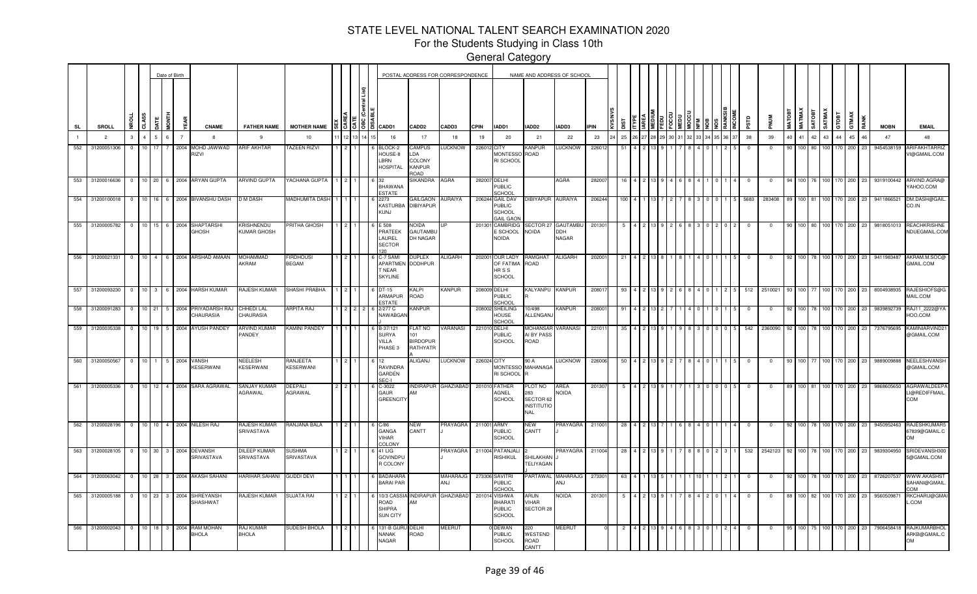For the Students Studying in Class 10th

|                |     |                 |                |                 |                | Date of Birth  |                |                                                   |                                |                          |      |  |                                                         |                                                         | POSTAL ADDRESS FOR CORRESPONDENCE |              |                                                  |                                                                       | NAME AND ADDRESS OF SCHOOL |            |     |  |  |  |       |             |             |               |                  |          |                  |                |       |      |             |                                                        |
|----------------|-----|-----------------|----------------|-----------------|----------------|----------------|----------------|---------------------------------------------------|--------------------------------|--------------------------|------|--|---------------------------------------------------------|---------------------------------------------------------|-----------------------------------|--------------|--------------------------------------------------|-----------------------------------------------------------------------|----------------------------|------------|-----|--|--|--|-------|-------------|-------------|---------------|------------------|----------|------------------|----------------|-------|------|-------------|--------------------------------------------------------|
| <b>SL</b>      |     | SROLL           | ē              | CLASS           | <b>JATE</b>    | i<br>Mo        |                | <b>CNAME</b>                                      | <b>FATHER NAME</b>             | <b>MOTHER NAME</b>       |      |  | 3  3  8  8  CADD1                                       | <b>CADD2</b>                                            | CADD3                             | <b>CPIN</b>  | IADD1                                            | IADD2                                                                 | IADD3                      | <b>PIN</b> |     |  |  |  |       | αis         |             | <b>MATOBT</b> | <b>MATMAX</b>    | SATOBT   | SATMAX           | GTOBT          | GTMAX | RANK | <b>MOBN</b> | <b>EMAIL</b>                                           |
| $\blacksquare$ |     | $\overline{2}$  | $\mathbf{3}$   | $\overline{a}$  | $\overline{5}$ | 6              | $\overline{7}$ | $\mathbf{a}$                                      | 9                              | 10                       | 1213 |  | 16                                                      | 17                                                      | 18                                | 19           | 20                                               | 21                                                                    | 22                         | 23         | 25  |  |  |  | 36 37 | 38          | 39          | 40            |                  | $41$ 42  | 43               | 44             | 45    | 46   | 47          | 48                                                     |
| 552            |     | 31200051306     | $\Omega$       | 10 <sup>1</sup> | 17             |                | 2004           | MOHD JAWWAD<br><b>NZIF</b>                        | <b>ARIF AKHTAR</b>             | <b>AZEEN RIZVI</b>       |      |  | BLOCK-2<br>HOUSE-8<br>LBRN<br><b>HOSPITAL</b>           | CAMPUS<br>.DA<br><b>COLONY</b><br>KANPUR<br><b>GAOR</b> | <b>LUCKNOW</b>                    | 226012       | CITY<br><b>MONTESSC</b><br>RI SCHOOL             | KANPUR<br>ROAD                                                        | <b>LUCKNOW</b>             | 226012     | 51  |  |  |  |       | $\Omega$    | $\Omega$    |               |                  | 100 80   | 100 <sup>1</sup> | 170            | 200   | 23   | 9454538159  | ARIFAKHTARRIZ<br>VI@GMAIL.COM                          |
| 553            |     | 31200016636     | $^{\circ}$     |                 |                |                |                | 10 20 6 2004 ARYAN GUPTA                          | ARVIND GUPTA                   | YACHANA GUPTA            |      |  | <b>BHAWANA</b><br><b>ESTATE</b>                         | SIKANDRA                                                | AGRA                              | 282007 DELHI | <b>PUBLIC</b><br>SCHOOL                          |                                                                       | <b>AGRA</b>                | 28200      |     |  |  |  |       |             | 0           |               |                  | 100 76   |                  | 100 170 200    |       | 23   | 9319100442  | ARVIND.AGRA@<br>MOO.COM                                |
| 554            |     | 31200100018     | $^{\circ}$     |                 |                |                |                | 10 16 6 2004 BIVANSHU DASH                        | D M DASH                       | <b>MADHUMITA DASH</b>    |      |  | 2273<br><b>KASTURB</b><br>KUNJ                          | <b>GAILGAON</b><br>DIBIYAPUR                            | AURAIYA                           |              | 206244 GAIL DAV<br>PUBLIC<br>SCHOOL<br>GAIL GAO  | IBIYAPUR AURAIYA                                                      |                            | 206244     |     |  |  |  |       | 5683        | 283408      |               |                  | 100 81   | 100              | 170            | 200   |      | 9411866521  | DM.DASH@GAIL<br>CO.IN                                  |
|                | 555 | 31200005782     | $\overline{0}$ | $10$   15       |                |                |                | 6 2004 SHAPTARSHI<br><b>GHOSH</b>                 | (RISHNENDU<br>KUMAR GHOSH      | 'RITHA GHOSH             |      |  | E 508<br>PRATEEK<br>LAUREL<br><b>SECTOR</b><br>120      | Noida<br>GAUTAMBL<br>DH NAGAR                           |                                   | 201301       | <b>CAMBRIDG</b><br>E SCHOOL<br><b>NOIDA</b>      | SECTOR 27<br>NOIDA                                                    | GAUTAMBU<br>DDH<br>NAGAR   | 20130      |     |  |  |  |       |             |             |               |                  | 100 80   | 100              | 170 200        |       | 23   | 9818051013  | <b>REACHKRISHNE</b><br>NDUEGMAIL.COM                   |
|                |     | 556 31200021331 | $\overline{0}$ |                 |                |                |                | 10 4 6 2004 ARSHAD AMAAN                          | MOHAMMAD<br>AKRAM              | irdhousi<br><b>BEGAM</b> |      |  | C-7 SAM<br><b>APARTME</b><br>NEAR<br><b>SKYLINE</b>     | <b>DUPLEX</b><br><b>DODHPUR</b>                         | ALIGARH                           | 202001       | <b>OUR LADY</b><br>OF FATIMA<br>HR S S<br>SCHOOL | RAMGHAT<br>ROAD                                                       | <b>ALIGARH</b>             | 20200      |     |  |  |  |       |             |             |               |                  | 100 78   |                  | 100 170 200    |       | 23   | 9411983487  | AKRAM.M.SOCC<br>GMAIL.COM                              |
| 557            |     | 31200093230     | $\overline{0}$ |                 |                |                |                | 10 3 6 2004 HARSH KUMAR                           | RAJESH KUMAR                   | SHASHI PRABHA            |      |  | DT-15<br>ARMAPUR<br>ESTATE                              | KALPI<br>ROAD                                           | <b>KANPUR</b>                     | 208009 DELHI | PUBLIC<br>CHOOL                                  | KALYANPU KANPUR                                                       |                            | 20801      | 93  |  |  |  |       | 512         | 2510021     |               |                  | 100 77   |                  | 100 170 200    |       | 23   | 8004938935  | RAJESHIOFS@G<br>MAIL.COM                               |
| 558            |     | 31200091283     | $\overline{0}$ | 10 21           |                |                | 5 2004         | PRIYADARSH RAJ<br>CHAURASIA                       | CHHEDI LAL<br>CHAURASIA        | ARPITA RAJ               |      |  | 2/277 C<br>NAWABGA                                      | KANPUR                                                  |                                   |              | 208002 SHEILING<br>HOUSE<br><b>SCHOOL</b>        | 10/498<br>ALLENGAN                                                    | KANPUR                     | 20800      | -91 |  |  |  |       | $\mathbf 0$ | $\mathbf 0$ | 92            |                  |          |                  | 100 78 100 170 | 200   | 23   | 9839892739  | RAJ11_2222@YA<br>HOO.COM                               |
| 559            |     | 31200035338     | $\overline{0}$ |                 |                |                |                | 10 19 5 2004 AYUSH PANDEY                         | ARVIND KUMAR<br>PANDEY         | KAMINI PANDEY            |      |  | B-37/121<br><b>SURYA</b><br>VILLA<br>PHASE <sub>3</sub> | FLAT NO<br>101<br><b>BIRDOPUR</b><br>RATHYATR           | <b>/ARANASI</b>                   | 221010 DELHI | <b>PUBLIC</b><br>SCHOOL                          | MOHANSAF<br>AI BY PASS<br>ROAD                                        | VARANASI                   | 22101      |     |  |  |  |       | 542         | 2360090     |               | 100 l            |          | 100 <sub>l</sub> | 170            | 200   | -23  | 7376795695  | KAMINIARVIND:<br>@GMAIL.COM                            |
| 560            |     | 31200050567     | $\overline{0}$ | 10 <sup>1</sup> | $\overline{1}$ | 5 2004         |                | VANSH<br>KESERWANI                                | NEELESH<br>KESERWANI           | RANJEETA<br>KESERWANI    |      |  | <b>RAVINDRA</b><br>GARDEN<br>SEC-I                      | <b>ALIGANJ</b>                                          | <b>LUCKNOW</b>                    | 226024 CITY  | <b>MONTESSC</b><br>RI SCHOOL                     | 90 A<br>MAHANAGA                                                      | <b>UCKNOW</b>              | 226006     | -50 |  |  |  |       | $\Omega$    | $^{\circ}$  | 93            | 100 I            |          |                  | 100 170        | 200   | -23  | 9889009888  | <b>NEELESHVANSH</b><br>@GMAIL.COM                      |
| 561            |     | 31200005336     | $\overline{0}$ | 10              | 12             |                | 4 2004         | SARA AGRAWAL                                      | <b>SANJAY KUMAR</b><br>AGRAWAL | DEEPALI<br>AGRAWAL       |      |  | $C-3022$<br><b>GAUR</b><br><b>GREENCIT</b>              | NDIRAPUR<br>AМ                                          | <b>GHAZIABAD</b>                  |              | 201010 FATHER<br>AGNEL<br>SCHOOL                 | <b>PLOT NO</b><br>283<br>SECTOR 62<br><b>INSTITUTIO</b><br><b>NAL</b> | AREA<br><b>NOIDA</b>       | 201307     |     |  |  |  |       | $\Omega$    | $^{\circ}$  |               |                  | 100   81 |                  | 100 170        | 200   | 23   | 9868605650  | AGRAWALDEEP.<br>LI@REDIFFMAIL.<br>COM                  |
| 562            |     |                 |                |                 |                |                |                | 31200028196   0   10   10   4   2004   NILESH RAJ | RAJESH KUMAR<br>SRIVASTAVA     | RANJANA BALA             |      |  | C/86<br>GANGA<br><b>VIHAR</b><br>COLONY                 | NEW<br>CANTT                                            | <b>PRAYAGRA</b>                   | 211001       | <b>ARMY</b><br><b>PUBLIC</b><br>SCHOOL           | NEW<br>CANTT                                                          | PRAYAGRA                   | 211001     | -28 |  |  |  |       |             |             |               |                  |          |                  | 100 170        | 200   | 23   | 9450952463  | <b>RAJESHKUMAR5</b><br>67839@GMAIL.C<br><b>OM</b>      |
| 563            |     | 31200028105     | $\overline{0}$ | $10$ 30         |                | 3              | 2004           | DEVANSH<br>SRIVASTAVA                             | DILEEP KUMAF<br>SRIVASTAVA     | SUSHMA<br>SRIVASTAVA     |      |  | 41 LIG<br><b>GOVINDPL</b><br>R COLONY                   |                                                         | <b>PRAYAGRA</b>                   |              | 211004 PATANJAL<br>RISHIKUL                      | SHILAKHAN<br><b>TELIYAGAN</b>                                         | <b>PRAYAGRA</b>            | 211004     | -28 |  |  |  |       | 532         | 2542123     |               |                  |          |                  | 170            | 200   | 23   | 9839304950  | SRIDEVANSH300<br>5@GMAIL.COM                           |
| 564            |     | 31200063042     | $^{\circ}$     | 10 <sup>1</sup> | 28             | 3              | 2004           | <b>AKASH SAHANI</b>                               | <b>HARIHAR SAHANI</b>          | <b>GUDDI DEVI</b>        |      |  | <b>BADAHAR</b><br><b>BARAI PAR</b>                      |                                                         | MAHARAJG<br>ANJ                   |              | 273306 SAVITRI<br><b>PUBLIC</b><br>CHOOL         |                                                                       | PARTAWAL MAHARAJG<br>ANJ   | 27330      | -63 |  |  |  |       |             |             |               |                  |          |                  | 170            | 200   |      | 8726207537  | <b>WWW.AKASHST</b><br>SAHANI@GMAIL.<br>MO <sub>C</sub> |
| 565            |     | 31200005188     | $\overline{0}$ | 10              | 23             |                | 2004           | <b>SHREYANSH</b><br>SHASHWAT                      | AJESH KUMAR                    | SUJATA RAI               |      |  | 0/3 CASS<br>ROAD<br><b>SHIPRA</b><br><b>SUN CITY</b>    | <b>NDIRAPUF</b><br>AМ                                   | <b>GHAZIABAD</b>                  | 201014       | VISHWA<br>BHARATI<br><b>PUBLIC</b><br>SCHOOL     | ARUN<br>VIHAR<br>SECTOR 28                                            | <b>NOIDA</b>               | 20130      |     |  |  |  |       |             |             |               |                  |          |                  |                | 200   | 23   | 956050987   | RKCHARU@GMAI<br>L.COM                                  |
| 566            |     | 31200002043     | $\overline{0}$ | 10 18           |                | 3 <sup>1</sup> | 2004           | <b>RAM MOHAN</b><br><b>BHOLA</b>                  | RAJ KUMAR<br>BHOLA             | SUDESH BHOLA             |      |  | 131-B GU<br><b>NANAK</b><br>NAGAR                       | DELHI<br>ROAD                                           | <b>MEERUT</b>                     |              | <b>DEWAN</b><br><b>PUBLIC</b><br><b>SCHOOL</b>   | 220<br>WESTEND<br>ROAD<br>CANTT                                       | <b>MEERUT</b>              |            |     |  |  |  |       |             |             |               | 100 <sup>1</sup> |          |                  | 75 100 170     | 200   | 23   | 7906458418  | RAJKUMARBHOL<br>ARKB@GMAIL.C<br><b>OM</b>              |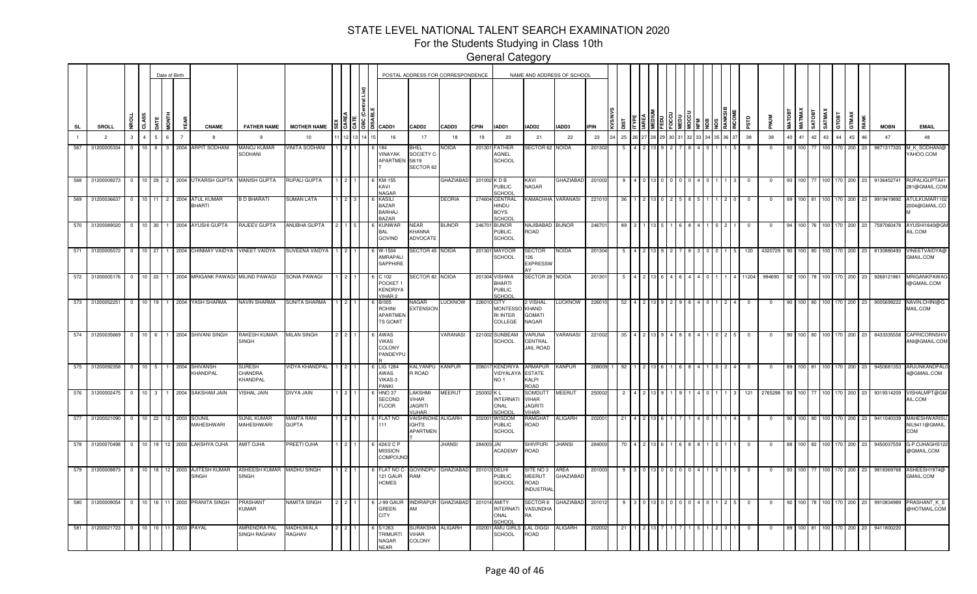For the Students Studying in Class 10th

General Category

—<br>—<br>—

|     |                |                 |                |                |                |              | Date of Birth   |                                           |                                         |                                   |      |                                                                       |                                                    | POSTAL ADDRESS FOR CORRESPONDENCE |              |                                                   | NAME AND ADDRESS OF SCHOOL                              |                          |          |    |    |  |  |  |             |            |            |               |               |            |                  |             |           |             |          |                                      |
|-----|----------------|-----------------|----------------|----------------|----------------|--------------|-----------------|-------------------------------------------|-----------------------------------------|-----------------------------------|------|-----------------------------------------------------------------------|----------------------------------------------------|-----------------------------------|--------------|---------------------------------------------------|---------------------------------------------------------|--------------------------|----------|----|----|--|--|--|-------------|------------|------------|---------------|---------------|------------|------------------|-------------|-----------|-------------|----------|--------------------------------------|
|     | <b>SL</b>      | SROLL           |                | <b>CLASS</b>   | <b>ATE</b>     | i<br>Mo      |                 | <b>CNAME</b>                              | <b>FATHER NAME</b>                      | <b>MOTHER NAME</b>                |      | #   3   3   8   8   CADD1                                             | CADD <sub>2</sub>                                  | CADD3                             | <b>CPIN</b>  | IADD1                                             | IADD2                                                   | IADD3                    | IPIN     |    |    |  |  |  |             |            |            | <b>MATOBT</b> | <b>MATMAX</b> | TEOTA      | SATMAX           | GTOBT       | GTMAX     | <b>MOBN</b> |          | <b>EMAIL</b>                         |
|     | $\overline{1}$ | 2               | $\mathbf{3}$   | $\overline{4}$ | 5 <sup>5</sup> | 6            | $\overline{7}$  | 8                                         | 9                                       | 10                                | 1213 | 16                                                                    | 17                                                 | 18                                | 19           | 20                                                | 21                                                      | 22                       | 23       | 25 |    |  |  |  | 34 35 36 37 | 38         | 39         | 40            | 41 42 43      |            |                  | 44          | 45<br>46  | 47          |          | 48                                   |
| 567 |                | 31200005334     | $\Omega$       | 10             | 8              | $\mathbf{3}$ |                 | 2004 ARPIT SODHANI                        | <b>MANOJ KUMAR</b><br>SODHANI           | <b>/INITA SODHANI</b>             |      | VINAYAK<br>APARTMEN 58/19                                             | HEL<br>SOCIETY C-<br>SECTOR 62                     | AQIOV                             | 201301       | <b>ATHER</b><br><b>AGNEL</b><br><b>SCHOOL</b>     | SECTOR 62                                               | <b>NOIDA</b>             | 201302   |    |    |  |  |  |             | $^{\circ}$ |            |               | 100 I         |            |                  |             | 200<br>23 | 9871317320  |          | <b>I_K_SODHANI</b><br><b>MOO.COM</b> |
|     |                | 568 31200009273 |                |                |                |              |                 | 0 10 29 2 2004 UTKARSH GUPTA MANISH GUPTA |                                         | RUPALI GUPTA                      |      | KM-155<br>KAVI<br><b>NAGAR</b>                                        |                                                    | <b>GHAZIABAD</b>                  | 201002 KDB   | <b>PUBLIC</b><br>SCHOOL                           | KAVI<br>NAGAR                                           | <b>GHAZIABAD</b>         | 201002   |    |    |  |  |  |             | $^{\circ}$ | 0          |               | 100 77        |            |                  | 100 170 200 | 23        | 9136452741  |          | RUPALIGUPTA41<br>281@GMAIL.COM       |
|     |                | 569 31200036637 | $\overline{0}$ |                |                |              |                 | 10 11 2 2004 ATUL KUMAR<br>BHARTI         | <b>B D BHARATI</b>                      | SUMAN LATA                        |      | KASILI<br>BAZAR<br><b>BARHAJ</b><br>BAZAR                             |                                                    | <b>DEORIA</b>                     |              | 274604 CENTRAL<br>HINDU<br><b>BOYS</b><br>SCHOOL  |                                                         | KAMACHHA VARANASI        | 221010   | 36 |    |  |  |  |             | $\Omega$   | $^{\circ}$ |               | 100 81        |            | 100              | 170         | 200<br>23 | 9919419892  |          | ATULKUMAR1102<br>2004@GMAIL.CO       |
|     |                | 570 31200089020 | $\Omega$       |                |                |              |                 | 10 30 1 2004 AYUSHI GUPTA                 | RAJEEV GUPTA                            | <b>ANUBHA GUPTA</b>               |      | KUNWAF<br>3AL<br><b>GOVIND</b>                                        | VEAR<br>KHANNA<br><b>ADVOCATE</b>                  | <b>BIJNOR</b>                     | 246701       | <b>BIJNOR</b><br>PUBLIC<br><b>SCHOOL</b>          | NAJIBABAD BIJNOR<br>ROAD                                |                          | 246701   |    |    |  |  |  |             |            |            |               | 100 I         |            | 100 <sup>1</sup> | 170         | 200       | 7597060478  | AIL.COM  | AYUSHI1640@GM                        |
|     |                | 571 31200005572 | $\mathbf{0}$   |                | 10 27          |              |                 | 1 2004 CHINMAY VAIDYA VINEET VAIDYA       |                                         | SUVEENA VAIDYA                    |      | $W-1504$<br>AMRAPAL<br><b>SAPPHIRE</b>                                | ECTOR 45 NOIDA                                     |                                   |              | 201301 MAYOOR<br>SCHOOL                           | SECTOR<br>126<br><b>EXPRESSW</b>                        | <b>NOIDA</b>             | 201304   |    |    |  |  |  |             | 120        | 4320729    |               | 100 80        |            | 100 <sup>1</sup> | 170         | 200       | 8130880493  |          | <b>VINEETVAIDYA@</b><br>GMAIL.COM    |
|     |                | 572 31200005176 | $\mathbf{0}$   |                |                |              |                 | 10 22 1 2004 MRIGANK PAWAGI MILIND PAWAGI |                                         | SONIA PAWAGI                      |      | C 102<br>POCKET <sub>1</sub><br><b>KENDRIYA</b><br>/IHAR <sub>2</sub> | ECTOR 82 NOIDA                                     |                                   |              | 201304 VISHWA<br>BHARTI<br><b>PUBLIC</b><br>SCHOO | SECTOR 28 NOIDA                                         |                          | 201301   |    |    |  |  |  |             | 11204      | 994693     |               |               | 100 78 100 |                  | 170         | 200<br>23 | 9268121861  |          | MRIGANKPAWA<br>I@GMAIL.COM           |
|     |                | 573 31200052251 | $^{\circ}$     |                | 10 19          |              |                 | 1 2004 YASH SHARMA                        | NAVIN SHARMA                            | SUNITA SHARMA                     |      | <b>B/005</b><br><b>ROHINI</b><br><b>APARTMEN</b><br><b>IS GOMIT</b>   | √AGAR<br><b>EXTENSION</b>                          | <b>LUCKNOW</b>                    | 226010 CITY  | <b>MONTESSO</b><br>RI INTER<br>COLLEGE            | 2 VISHAL<br>KHAND<br><b>GOMATI</b><br>NAGAR             | <b>LUCKNOW</b>           | 226010   | 52 |    |  |  |  |             |            |            |               | 100 80        |            | 100              | 170         | 200       | 9005699222  | MAIL.COM | NAVIN.CHINI@G                        |
|     |                | 574 31200035669 | $\overline{0}$ |                |                |              |                 | 10 6 1 2004 SHIVANI SINGH                 | RAKESH KUMAR<br><b>SINGH</b>            | <b>MILAN SINGH</b>                |      | AWAS<br>VIKAS<br>COLONY<br>PANDEYPL                                   |                                                    | <b><i>VARANASI</i></b>            |              | 221002 SUNBEAM<br>SCHOOL                          | VARUNA<br>CENTRAL<br><b>JAIL ROAD</b>                   | <b>ARANASI</b>           | 221002   | 35 |    |  |  |  |             | $^{\circ}$ | $^{\circ}$ |               |               |            | 100 80 100 170   |             | 200<br>23 | 8433335558  |          | CAPRICORNSHIV<br>ANI@GMAIL.COM       |
|     |                | 575 31200092358 | $\overline{0}$ |                | $10 \quad 5$   |              | 1 2004          | SHIVANSH<br>KHANDPAL                      | SURESH<br>CHANDRA<br>KHANDPAL           | VIDYA KHANDPAL                    |      | LIG 1284<br>AWAS<br>VIKAS-3<br>PANKI                                  | KALYANPU<br>R ROAD                                 | <b>KANPUR</b>                     | 208017       | <b>KENDRIYA</b><br>VIDYALAYA<br>NO <sub>1</sub>   | ARMAPUR<br><b>ESTATE</b><br>KALPI<br><b>GAO</b>         | <b>KANPUR</b>            | 208009 1 |    | 92 |  |  |  |             | $^{\circ}$ | $^{\circ}$ |               | 100 81        |            | 100 170          |             | 200<br>23 | 9450681353  |          | ARJUNKANDPALO<br>4@GMAIL.COM         |
|     |                | 576 31200002475 | $\overline{0}$ |                | $10 \quad 3$   |              | 1 2004          | SAKSHAM JAIN                              | <b>ISHAL JAIN</b>                       | <b>MIAL AYVIC</b>                 |      | <b>HNO 37</b><br>SECOND<br><b>FLOOR</b>                               | <b>AKSHMI</b><br>VIHAR<br><b>JAGRITI</b><br>/IJHAR | <b>MEERUT</b>                     | 250002 KL    | <b>NTERNATI</b><br>JAVO<br>SCHOO                  | SOMDUTT<br><b>VIHAR</b><br><b>JAGRITI</b><br>VIHAR      | <b>MEERUT</b>            | 250002   |    |    |  |  |  |             | 121        | 2765298    |               | 100 77        |            | 100 <sup>1</sup> | 170         | 200<br>23 | 9319314209  | AIL.COM  | VISHALMPT@GM                         |
|     |                | 577 31200021090 | $\mathbf{0}$   |                | $10$ 22        |              | 12 2003         | <b>SOUNIL</b><br>MAHESHWARI               | <b>SUNIL KUMAR</b><br><b>MAHESHWARI</b> | <b>MAMTA RANI</b><br><b>GUPTA</b> |      | <b>LAT NO</b>                                                         | <b>/AISHNOH</b><br><b>GHTS</b><br>APARTMEN         | <b>ALIGARH</b>                    | 202001       | <b>WISDOM</b><br>PUBLIC<br><b>SCHOOL</b>          | RAMGHAT<br>ROAD                                         | <b>ALIGARH</b>           | 202001   | 21 |    |  |  |  |             |            |            |               |               | 100 80 100 |                  | 170         | 200<br>23 | 9411040339  | COM      | MAHESHWARISU<br>NIL9411@GMAIL.       |
|     |                | 578 31200070498 | $\mathbf{0}$   |                | 10 19          |              | 12 2003         | LAKSHYA OJHA                              | <b>AMIT OJHA</b>                        | <b>REETI OJHA</b>                 |      | 424/2 C F<br><b>MISSION</b><br>COMPOUND                               |                                                    | <b>JHANSI</b>                     | 284003 JAI   | <b>ACADEMY</b>                                    | Shivpuri<br>ROAD                                        | <b>JHANSI</b>            | 284003   |    |    |  |  |  |             |            |            |               | 100 82        |            | 100 <sub>1</sub> | 170         | 200<br>23 | 9450037559  |          | G.P.OJHAGHS122<br>@GMAIL.COM         |
|     |                | 579 31200009873 | $\mathbf{0}$   |                | $10$ 18        |              |                 | 12 2003 AJITESH KUMAR<br><b>SINGH</b>     | ASHEESH KUMAR<br><b>SINGH</b>           | <b>MADHU SINGH</b>                |      | FLAT NO C<br>121 GAUR<br><b>HOMES</b>                                 | GOVINDPU<br>RAM                                    | GHAZIABAD                         |              | 201013 DELHI<br><b>PUBLIC</b><br><b>SCHOOL</b>    | SITE NO 3<br><b>MEERUT</b><br>ROAD<br><b>INDUSTRIAI</b> | AREA<br><b>GHAZIABAD</b> | 201003   |    |    |  |  |  |             | $\Omega$   | 0          |               | 100 77        |            | 100 <sub>1</sub> | 170         | 200<br>23 | 9818369768  |          | ASHEESH1974@<br>GMAIL.COM            |
|     |                | 580 31200009054 |                |                |                |              |                 | 0 10 16 11 2003 PRANITA SINGH             | <b>PRASHANT</b><br><b>KUMAR</b>         | <b>VAMITA SINGH</b>               |      | J-99 GAUF<br>GREEN<br><b>CITY</b>                                     | AМ                                                 | INDIRAPUR GHAZIABAD               | 201014 AMITY | <b>NTERNATI</b><br>ONAL<br><b>CHOO</b>            | <b>SECTOR 6</b><br>VASUNDHA<br>RA                       | <b>GHAZIABAD</b>         | 201012   |    |    |  |  |  |             | $^{\circ}$ | $^{\circ}$ |               |               |            | 100 78 100 170   |             | 200<br>23 | 9910834989  |          | PRASHANT K S<br>@HOTMAIL.COM         |
|     |                | 581 31200021723 |                |                |                |              | 0 10 10 11 2003 | PAYAL                                     | AMRENDRA PAL<br>SINGH RAGHAV            | MADHUWALA<br>RAGHAV               |      | 5/1263<br><b>RIMURTI</b><br>NAGAR<br><b>NEAR</b>                      | <b>SURAKSHA</b><br>VIHAR<br>COLONY                 | ALIGARH                           | 202001       | AMU GIRL<br><b>SCHOOL</b>                         | lal diggi<br>ROAD                                       | ALIGARH                  | 202002   | 21 |    |  |  |  |             | $\Omega$   | $^{\circ}$ |               |               |            | 100 81 100 170   |             | 200<br>23 | 9411800220  |          |                                      |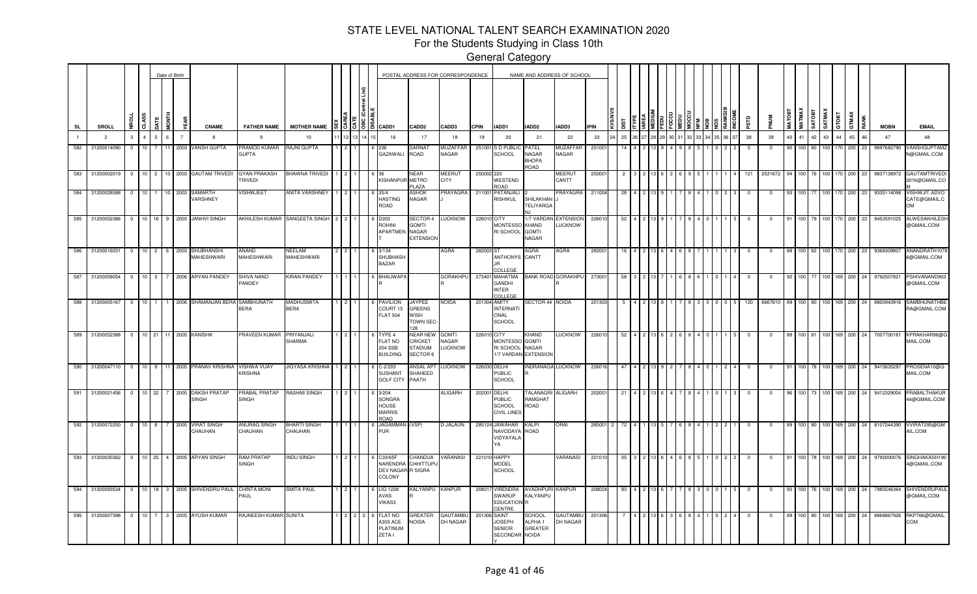For the Students Studying in Class 10th

|           |                      |                         |                  |                | Date of Birth  |                                     |                                       |                                  |         |                                                                 |                                                                     | POSTAL ADDRESS FOR CORRESPONDENCE       |             |                                                               | NAME AND ADDRESS OF SCHOOL                         |                             |             |     |  |  |  |  |            |          |               |                  |            |         |                |            |             |                                      |
|-----------|----------------------|-------------------------|------------------|----------------|----------------|-------------------------------------|---------------------------------------|----------------------------------|---------|-----------------------------------------------------------------|---------------------------------------------------------------------|-----------------------------------------|-------------|---------------------------------------------------------------|----------------------------------------------------|-----------------------------|-------------|-----|--|--|--|--|------------|----------|---------------|------------------|------------|---------|----------------|------------|-------------|--------------------------------------|
| <b>SL</b> | SROLL                | a                       |                  | i<br>Io        |                | <b>CNAME</b>                        | <b>FATHER NAME</b>                    | <b>MOTHER NAME</b>               | 3  3  8 | a ICADD1                                                        | CADD <sub>2</sub>                                                   | CADD3                                   | <b>CPIN</b> | IADD1                                                         | IADD2                                              | IADD3                       | <b>IPIN</b> |     |  |  |  |  |            |          | <b>MATOBT</b> |                  |            |         | GTMAX<br>атовт |            | <b>MOBN</b> | <b>EMAIL</b>                         |
|           | $\overline{2}$       | 3                       | $\Lambda$        | 6              | $\overline{7}$ |                                     | -9                                    | 10                               |         | 16                                                              | 17                                                                  | 18                                      | 19          | 20                                                            | 21                                                 | 22                          | 23          | 25  |  |  |  |  | 38         | 39       | 40            | 41               |            | 43      | 44<br>45       |            | 47          | 48                                   |
| 582       | 31200014090          | $\mathbf{0}$            | 10               | $11 -$         | 2003           | VANSH GUPTA                         | <b>PRAMOD KUMAR</b><br><b>GUPTA</b>   | RAJNI GUPTA                      |         | 236<br>GAZAWALI                                                 | SARNAT<br>ROAD                                                      | MUZAFFAR<br>NAGAR                       | 251001      | S D PUBLI<br><b>SCHOOL</b>                                    | PATEL<br>NAGAR<br><b>BHOPA</b><br>ROAD             | MUZAFFAF<br><b>NAGAR</b>    | 25100       |     |  |  |  |  |            |          |               |                  |            | 100     | 70<br>200      |            | 9897682790  | VANSHGUPTAMZ<br>N@GMAIL.COM          |
| 583       | 31200002019          | $\overline{0}$          | 10 <sup>1</sup>  | $\overline{2}$ |                | 10 2003 GAUTAM TRIVED               | GYAN PRAKASH<br><b>FRIVEDI</b>        | BHAWNA TRIVEDI                   |         | 36<br>KISHANPUR                                                 | NEAR<br><b>METRO</b><br>PLAZA                                       | <b>MEERUT</b><br><b>CITY</b>            | 250002 220  | WESTEND<br>ROAD                                               |                                                    | <b>MEERUT</b><br>CANTT      | 25000       |     |  |  |  |  | 121        | 2531672  |               |                  | 100 76 100 |         | 170<br>200     | -23        | 9837138972  | <b>GAUTAMTRIVED</b><br>2016@GMAIL.CC |
|           | 584 31200028588 0 10 |                         |                  |                | 1 10 2003      | <b>SAMARTH</b><br>VARSHNEY          | /ISHWJEET                             | ANITA VARSHNEY 1 2               |         | 35/4<br><b>HASTING</b><br>ROAD                                  | ASHOK<br>NAGAR                                                      | PRAYAGRA                                |             | 211001 PATANJALI<br><b>RISHIKUL</b>                           | SHILAKHAN<br><b>TELIYARGA</b><br>N.I               | PRAYAGRA                    | 211004      | 28  |  |  |  |  |            |          |               |                  |            |         | 170<br>200     | -23        | 9335114098  | VISHWJIT.ADVO<br>CATE@GMAIL.C<br>OМ  |
|           | 585 31200052386      | $\Omega$                | 10 16            |                |                | 9 2003 JANHVI SINGH                 |                                       | AKHILESH KUMAR SANGEETA SINGH    |         | D203<br><b>ROHINI</b><br><b>APARTMEN</b>                        | <b>SECTOR 4</b><br><b>GOMTI</b><br><b>NAGAR</b><br><b>EXTENSION</b> | <b>LUCKNOW</b>                          | 226010 CITY | <b>MONTESSO</b><br>RI SCHOOL GOMTI                            | 1/7 VARDAN<br>KHAND<br>NAGAR                       | <b>EXTENSION</b><br>LUCKNOW | 22601       |     |  |  |  |  |            |          |               |                  |            |         | 170<br>200     |            | 9453591025  | <b>ALWESAKHILES</b><br>@GMAIL.COM    |
| 586       | 31200016031 0        |                         | $10 \mid 2 \mid$ |                |                | 6 2003 SHUBHANSHI<br>MAHESHWARI     | ANAND<br><b>MAHESHWARI</b>            | NEELAM<br><b>MAHESHWARI</b>      |         | 3/134<br><b>SHUBHASH</b><br><b>BAZAR</b>                        |                                                                     | AGRA                                    | 282003 ST   | ANTHONYS CANTT<br>IR.<br>COLLEGE                              | <b>AGRA</b>                                        | AGRA                        | 28200       |     |  |  |  |  |            |          |               |                  |            |         | 170<br>200     |            | 9368309807  | ANANDRATH107<br>6@GMAIL.COM          |
| 587       | 31200058054          | $\overline{0}$          | 10               | 3              |                | 2006 ARYAN PANDEY                   | SHIVA NAND<br>PANDEY                  | <b>KIRAN PANDEY</b>              |         | <b>BHAUWAPA</b>                                                 |                                                                     | <b>GORAKHPU</b>                         | 273401      | <b>MAHATMA</b><br>GANDHI<br><b>INTER</b><br>COLLEGE           |                                                    | <b>BANK ROAD GORAKHPU</b>   | 27300       |     |  |  |  |  |            |          |               |                  |            |         | 169<br>200     |            | 9792507821  | PSHIVANAND903<br>@GMAIL.COM          |
|           | 588 31200005167      | $\Omega$                | $10^{-1}$        | $\mathbf{1}$   |                | 1 2006 SHAMANJAN BERA               | SAMBHUNATH<br><b>BERA</b>             | <b>MADHUSMITA</b><br><b>BERA</b> |         | <b>PAVILION</b><br>COURT 15<br><b>FLAT 504</b>                  | <b>JAYPEE</b><br><b>GREENS</b><br>WISH<br>TOWN SEC-<br>12R          | <b>NOIDA</b>                            |             | 201304 AMITY<br><b>INTERNATI</b><br>ONAL<br><b>SCHOOL</b>     | SECTOR 44 NOIDA                                    |                             | 201303      |     |  |  |  |  | 120        | 6667610  |               | 100 80           |            | l 100 l |                | 169 200 24 | 8800943916  | SAMBHUNATHBE<br>RA@GMAIL.COM         |
|           | 589 31200052388      | $\overline{\mathbf{0}}$ |                  |                |                | 10 21 11 2005 KANISHK               | <b>PRAVEEN KUMAR</b>                  | PRIYANJALI<br>SHARMA             |         | YPE 4<br>FLAT NO<br>204 SSB<br><b>BUILDING</b>                  | NEAR NEW<br>CRICKET<br>STADIUM<br>SECTOR <sub>6</sub>               | <b>GOMTI</b><br>NAGAR<br><b>LUCKNOW</b> | 226010 CITY | <b>MONTESSC</b><br>RI SCHOOL<br>1/7 VARDAM                    | KHAND<br><b>GOMTI</b><br>NAGAR<br><b>EXTENSION</b> | <b>LUCKNOW</b>              | 22601       | -52 |  |  |  |  |            |          |               | 100 81           |            | 100     | 169            | 200 24     | 7007700161  | KPRAKHAR96@0<br>MAIL.COM             |
| 590       | 31200047110 0        |                         |                  |                |                | 10 9 11 2005 PRANAV KRISHNA         | <b>VISHWA VIJAY</b><br><b>KRISHNA</b> | <b>JIGYASA KRISHNA</b>           |         | $C-2/203$<br><b>SUSHANT</b><br><b>GOLF CITY</b>                 | ANSAL APT<br>SHAHEED<br>PAATH                                       | <b>LUCKNOW</b>                          |             | 226030 DELHI<br>PUBLIC<br><b>SCHOOL</b>                       |                                                    | INDRANAGA LUCKNOW           | 226016      | 47  |  |  |  |  | $^{\circ}$ | $\Omega$ |               | 100 78           |            | 100     | 169<br>200     | -24        | 9415635297  | PROSENA10@G<br>MAIL.COM              |
|           | 591 31200021456 0    |                         | $10$ 22          |                |                | 7 2005 DAKSH PRATAP<br><b>SINGH</b> | PRABAL PRATAP<br><b>SINGH</b>         | <b>RASHMI SINGH</b>              |         | 3/204<br><b>SONGRA</b><br>HOUSE<br><b>MARRIS</b><br><b>GAOR</b> |                                                                     | <b>ALIGARH</b>                          | 202001      | <b>DELHI</b><br>PUBLIC<br><b>SCHOOL</b><br><b>CIVIL LINES</b> | TALANAGRI ALIGARH<br>RAMGHAT<br>ROAD               |                             | 202001      |     |  |  |  |  |            |          |               |                  |            | 100     | 169 200        |            | 9412329004  | PRABALTHAKUR<br>44@GMAIL.COM         |
| 592       | 31200072250          | $^{\circ}$              | 10               | 8              | 7 2005         | <b>VIRAT SINGH</b><br>CHAUHAN       | <b>ANURAG SINGH</b><br>CHAUHAN        | <b>BHARTI SINGH</b><br>CHAUHAN   |         | <b>JAGAMMAN</b><br>PUR                                          | VSP)                                                                | <b>D-JALAUN</b>                         | 285124      | <b>JAWAHAR</b><br>NAVODAYA<br>VIDYAYALA<br>YA                 | <b>KALPI</b><br><b>ROAD</b>                        | ORAI                        | 285001 2    | -72 |  |  |  |  |            |          |               |                  | 100 80 100 |         | 169<br>200     | 24         | 8107244390  | VVIRAT295@GM<br>AIL.COM              |
| 593       | 31200035562 0        |                         | 10 25            |                |                | 4 2005 ARYAN SINGH                  | <b>RAM PRATAP</b><br><b>SINGH</b>     | <b>NDU SINGH</b>                 |         | C33/65F<br>NARENDRA<br>DEV NAGAR R SIGRA<br>COLONY              | CHANDUA<br>CHHITTUPL                                                | <b>VARANASI</b>                         |             | 221010 HAPPY<br><b>MODEL</b><br>SCHOOL                        |                                                    | VARANASI                    | 221010      | -35 |  |  |  |  |            |          |               | 100 <sup>1</sup> | 78 100     |         | 169 200        | 24         | 9792000076  | SINGHAKASH190<br>4@GMAIL.COM         |
| 594       | 31200093534          | $\overline{0}$          | 10 18            |                |                | 3 2005 SHIVENDRU PAUL               | CHINTA MONI<br><b>AUL</b>             | SMITA PAUL                       |         | LIG 1238<br>AVAS<br>VIKAS3                                      | ALYANPU                                                             | <b>KANPUR</b>                           | 2080        | /IRENDR/<br>SWARUP<br>EDUCATION R<br>CENTRE                   | AVADHPURI<br>KALYANPU                              | <b>KANPUR</b>               | 20802       |     |  |  |  |  |            |          |               |                  |            | 100.    | 169<br>200     | 24         | 7985546364  | SHIVENDRUPAL<br>@GMAIL.COM           |
| 595       | 31200007398          | $\overline{0}$          | 10 <sup>10</sup> | 3 I            |                | 2005 AYUSH KUMAR                    | RAJNEESH KUMAF                        | SUNITA                           |         | FLAT NO<br>A303 ACE<br>PLATINUM<br>ZETA-I                       | <b>REATER</b><br>ACIDA                                              | GAUTAMBL<br><b>DH NAGAR</b>             | 201306      | SAINT<br><b>JOSEPH</b><br><b>SENIOR</b><br>SECONDAR NOIDA     | SCHOOL<br>ALPHA <sub>1</sub><br>GREATER            | GAUTAMBL<br>DH NAGAR        | 20130       |     |  |  |  |  |            |          |               |                  |            |         | 169<br>200     |            | 8868867926  | RKP766@GMAII<br>COM                  |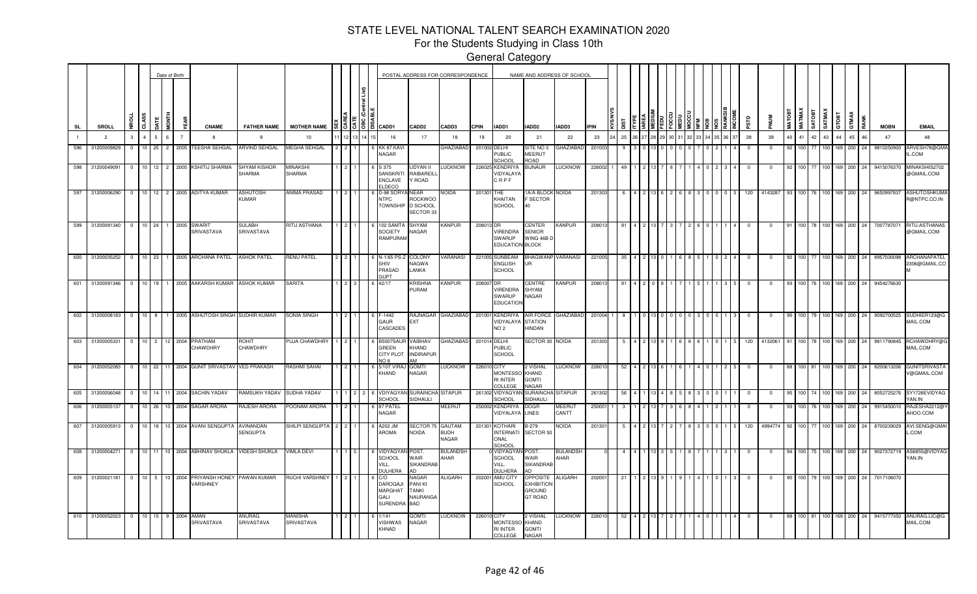For the Students Studying in Class 10th

|     |                                        |                                            |                  |          | Date of Birth  |                                                       |                          |                       |                                              |                                                                 |                                                   | POSTAL ADDRESS FOR CORRESPONDENCE     |              |                                                      |                                                                  | NAME AND ADDRESS OF SCHOOL |             |     |  |  |  |  |              |            |               |              |               |        |         |               |             |                                                |
|-----|----------------------------------------|--------------------------------------------|------------------|----------|----------------|-------------------------------------------------------|--------------------------|-----------------------|----------------------------------------------|-----------------------------------------------------------------|---------------------------------------------------|---------------------------------------|--------------|------------------------------------------------------|------------------------------------------------------------------|----------------------------|-------------|-----|--|--|--|--|--------------|------------|---------------|--------------|---------------|--------|---------|---------------|-------------|------------------------------------------------|
| SL  | SROLL                                  | 5<br>ç,                                    |                  | n<br>Tag | đ              | <b>CNAME</b>                                          | <b>FATHER NAME</b>       | <b>MOTHER NAME</b>    | $\frac{15}{3}$ $\frac{15}{3}$ $\frac{18}{3}$ | CADD1                                                           | CADD <sub>2</sub>                                 | CADD3                                 | <b>CPIN</b>  | IADD1                                                | IADD2                                                            | IADD3                      | <b>IPIN</b> |     |  |  |  |  | esto         | <b>NUM</b> | <b>MATOB1</b> | <b>MATMA</b> | <b>TEOLYS</b> | SATMAX | GTOBT   | GTMAX<br>RANK | <b>MOBN</b> | <b>EMAIL</b>                                   |
|     | $\overline{2}$                         | $\mathbf{3}$                               |                  | 6.       | $\overline{7}$ | -8                                                    | -9                       | 10                    |                                              | 16                                                              | 17                                                | 18                                    | 19           | 20                                                   | 21                                                               | 22                         | 23          | 25  |  |  |  |  | 38           | 39         | 40            | 41 42        |               | 43     | 44      | 45<br>46      | 47          | 48                                             |
| 596 | 31200009829                            | $\Omega$                                   | $10$ 25          |          | 2 2005         | <b>TEESHA SEHGAL</b>                                  | ARVIND SEHGAL            | <b>MEGHA SEHGAL</b>   |                                              | KK 87 KAV<br><b>VAGAR</b>                                       |                                                   | <b>GHAZIABAD</b>                      | 201002 DELHI | PUBLIC<br>SCHOOL                                     | SITE NO 3<br>MEERUT<br>ROAD                                      | <b>GHAZIABAD</b>           | 20100       |     |  |  |  |  |              |            | 92            | 100 77       |               | 100    | 169     | 200<br>l 24   | 9810250900  | ARVESH78@GMA<br>L.COM                          |
| 598 | 31200049091                            | $\overline{0}$                             |                  |          |                | 10 12 2 2005 KSHITIJ SHARMA                           | SHYAM KISHOR<br>SHARMA   | MINAKSH<br>SHARMA     |                                              | S 375<br><b>SANSKRI</b><br>ENCLAVE<br><b>LDECO</b>              | JDYAN II<br>RAIBAREILI<br>Y ROAD                  | LUCKNOW                               |              | 226025 KENDRIYA<br><b>VIDYALAYA</b><br>CRPF          | BIJNAUR                                                          | <b>LUCKNOW</b>             | 22600       |     |  |  |  |  |              |            |               |              |               |        | 169     | 200           | 9415076370  | MINAKSHIS2702<br>@GMAIL.COM                    |
| 597 | 31200006290                            | $\overline{0}$                             |                  |          |                | 10   12   2   2005   ADITYA KUMAR                     | ASHUTOSH<br><b>KUMAR</b> | ANIMA PRASAD          |                                              | D-98 SORY<br><b>NTPC</b><br><b>TOWNSHIP</b>                     | NEAR<br>ROCKWOO<br>D SCHOOL<br><b>SECTOR 33</b>   | NOIDA                                 | 201301       | THE<br>KHAITAN<br><b>SCHOOL</b>                      | 1A/A BLOCK NOIDA<br><b>F SECTOR</b><br>40                        |                            | 201303      |     |  |  |  |  | 120          | 4143287    | 93            |              | 100 76 100    |        | 169     | 200<br>24     | 9650997837  | <b>ASHUTOSHKUMA</b><br>R@NTPC.CO.IN            |
| 599 | 31200091340 0                          |                                            | 10 24            |          | 1 2005         | SWARIT<br>SRIVASTAVA                                  | SULABH<br>SRIVASTAVA     | RITU ASTHANA          |                                              | 102 SAMT/<br><b>SOCIETY</b><br>RAMPURAM                         | SHYAM<br><b>NAGAR</b>                             | KANPUR                                | 208013 DR    | VIRENDRA<br>SWARUP<br>EDUCATION BLOCK                | <b>CENTER</b><br><b>SENIOR</b><br>WING 46B D                     | <b>KANPUR</b>              | 208013      |     |  |  |  |  |              |            |               | 100 I        | 78 100        |        | 169 200 | -24           | 7007787071  | RITU.ASTHANA5<br>@GMAIL.COM                    |
| 600 | 31200035252 0 10 23                    |                                            |                  |          |                | 1 2005 ARCHANA PATEL                                  | <b>ASHOK PATEL</b>       | RENU PATEL            |                                              | N-1/65 PS<br>SHIV<br>PRASAD<br><b>IIPT</b>                      | COLONY<br><b>VAGWA</b><br><b>ANKA</b>             | <b>/ARANASI</b>                       |              | 221005 SUNBEAM<br>ENGLISH<br><b>SCHOOL</b>           | BHAGWANP VARANASI<br>UR                                          |                            | 221005      |     |  |  |  |  |              |            |               | 100 77       |               | 100    | 169 200 | 24            | 8957030098  | ARCHANAPATEL<br>2306@GMAIL.CO                  |
| 601 | 31200091346                            | 10 <sup>1</sup><br>$\Omega$                | 19               |          |                | 1 2005 AAKARSH KUMAR                                  | <b>ASHOK KUMAR</b>       | SARITA                |                                              | 42/17                                                           | <b>RISHNA</b><br>PURAM                            | <b>KANPUR</b>                         | 208007 DR    | VIRENDRA<br>SWARUP<br><b>EDUCATION</b>               | CENTRE<br>SHYAM<br>NAGAR                                         | <b>KANPUR</b>              | 208013      |     |  |  |  |  |              | $\Omega$   |               |              | 100 76 100    |        | 169     | 200           | 9454276630  |                                                |
|     | 602 31200008183 0                      |                                            |                  |          |                | 10 8 1 2005 ASHUTOSH SINGH SUDHIR KUMAR               |                          | SONIA SINGH           |                                              | $-1442$<br>GAUR<br>CASCADES                                     | <b>EXT</b>                                        | RAJNAGAR GHAZIABAD                    |              | 201001 KENDRIYA<br>VIDYALAYA<br>NO 2                 | <b>STATION</b><br>HINDAN                                         | AIR FORCE GHAZIABAD        | 201004 1    |     |  |  |  |  |              |            | 90            |              | 100 79 100    |        |         |               |             | 169 200 24 9092700525 SUDHIER123@G<br>MAIL.COM |
|     | 603 31200005331 0 10 2 12 2004 PRATHAM |                                            |                  |          |                | CHAWDHRY                                              | :OHIT<br>CHAWDHRY        | 'UJA CHAWDHRY         |                                              | 35007SAU<br>GREEN<br>CITY PLOT                                  | <b>AIBHAV</b><br><b>CHAND</b><br><b>INDIRAPUR</b> | GHAZIABAD                             |              | 201014 DELHI<br><b>PUBLIC</b><br><b>SCHOOL</b>       | SECTOR 30 NOIDA                                                  |                            | 201303      |     |  |  |  |  | 120          | 4132061    |               | 100 78       |               | 100    |         | 169 200 24    | 9811790845  | RCHAWDHRY@G<br>MAIL.COM                        |
| 604 | 31200052083                            |                                            |                  |          |                | 0   10 22   11 2004 GUNIT SRIVASTAV                   | <b>VED PRAKASH</b>       | RASHMI SAHAI          |                                              | 5/107 VIRA<br>KHAND                                             | <b>ITMO</b><br>NAGAR                              | <b>LUCKNOW</b>                        | 226010 CITY  | <b>MONTESSC</b><br><b>RI INTER</b><br>COLLEGE        | 2 VISHAL<br>KHAND<br><b>GOMTI</b><br>NAGAR                       | LUCKNOW                    | 226010      | 52  |  |  |  |  | $\mathbf{0}$ | $\Omega$   |               |              | 100 81 100    |        |         | 169 200 24    | 8200613206  | <b>GUNITSRIVASTA</b><br>V@GMAIL.COM            |
| 605 | 31200056048                            | $\Omega$                                   |                  |          |                | 10 14 11 2004 SACHIN YADAV                            | RAMSUKH YADAV            | SUDHA YADAV           | $2 \cdot 2$                                  | VDIYAGYAN<br>SCHOOL                                             | SURAINCHA<br>SIDHAULI                             | SITAPUR                               |              | 261302 VIDYAGYA<br>SCHOOL                            | <b>SURAINCHA</b><br>SIDHAULI                                     | <b>SITAPUR</b>             | 261302      | 56  |  |  |  |  | $\Omega$     | - 0        | 95            | 100 74       |               | 100 I  |         | 169 200 24    | 8052725276  | SY1728EVIDYAG<br>YAN.IN                        |
| 606 | 31200003137                            | $\overline{\mathbf{0}}$                    | $10$ 26          |          |                | 10 2004 SAGAR ARORA                                   | RAJESH ARORA             | POONAM ARORA          |                                              | 87 PATEI<br><b>VAGAR</b>                                        |                                                   | MEERUT                                |              | 250002 KENDRIYA<br>VIDYALAYA                         | Dogr<br><b>LINES</b>                                             | <b>MEERU</b><br>CANTT      | 25000       |     |  |  |  |  |              |            |               |              |               | 100    | 169     | 200           | 9915450010  | RAJESHA2212@\<br>AHOO.COM                      |
|     | 607 31200005913                        | 10 <sup>1</sup><br>$\overline{\mathbf{0}}$ |                  |          |                | 18 10 2004 AVANI SENGUPTA                             | AVINANDAN<br>SENGUPTA    | SHILPI SENGUPTA       |                                              | A202 JM<br>AROMA                                                | SECTOR 75<br>NOIDA                                | <b>GAUTAM</b><br><b>BUDH</b><br>NAGAR |              | 201301 KOTHARI<br><b>INTERNATI</b><br>ONAL<br>SCHOOL | B-279<br><b>SECTOR 50</b>                                        | NOIDA                      | 20130       |     |  |  |  |  | 120          | 4994774    |               |              |               |        | 69      | 200           | 8700239029  | AVI.SENG@GMAI<br>COM                           |
| 608 | 31200004271                            | $\overline{0}$                             |                  |          |                | 10 11 10 2004 ABHINAV SHUKLA                          | VIDESH SHUKLA            | /IMLA DEVI            |                                              | <b>IDYAGYA</b><br><b>CHOOL</b><br>/ILL.<br><b>JULHERA</b>       | POST<br><b>NAIR</b><br><b>SIKANDRAB</b><br>חב     | <b>BULANDSH</b><br>AHAR               |              | <b>VIDYAGYA</b><br>SCHOOL<br>VILL.<br><b>JULHERA</b> | POST.<br>WAIR<br><b>SIKANDRAB</b>                                | <b>BULANDSH</b><br>AHAR    |             |     |  |  |  |  |              |            |               | 100 I        |               | 100    | 169 200 |               | 9027372719  | AS6855@VIDYAG<br>AN.IN                         |
| 609 | 31200021181                            | $\overline{0}$                             | $10 \mid 5 \mid$ |          |                | 10 2004 PRIYANSH HONEY PAWAN KUMAR<br><b>/ARSHNEY</b> |                          | RUCHI VARSHNEY        |                                              | C/O<br><b>DAROGAJ</b><br><b>MARGHAT</b><br>GALI<br>SURENDRA BAD | <b>JAGAR</b><br>PANI KI<br>TANKI<br>NAURANGA      | ALIGARH                               | 202001       | AMU CITY<br><b>SCHOOL</b>                            | OPPOSITE<br><b>EXHIBITION</b><br><b>GROUND</b><br><b>GT ROAD</b> | <b>ALIGARH</b>             | 202001      | -21 |  |  |  |  | $\mathbf 0$  | $^{\circ}$ | 90            |              | 100 79 100    |        |         | 169 200 24    | 7017106070  |                                                |
|     | 610 31200052023 0                      |                                            | 10 15            |          | 9 2004         | AMAN<br>SRIVASTAVA                                    | ANURAG<br>SRIVASTAVA     | MANISHA<br>SRIVASTAVA |                                              | 1/141<br><b>/ISHWAS</b><br>KHNAD                                | <b>TMO</b><br>NAGAR                               | LUCKNOW                               | 226010 CITY  | <b>MONTESSC</b><br><b>RI INTER</b><br>COLLEGE        | 2 VISHAL<br>KHAND<br><b>GOMTI</b><br><b>NAGAR</b>                | LUCKNOW                    | 226010      |     |  |  |  |  |              |            |               |              | 100 81 100    |        |         | 169 200 24    | 9415777350  | ANURAG.LIC@G<br>MAIL.COM                       |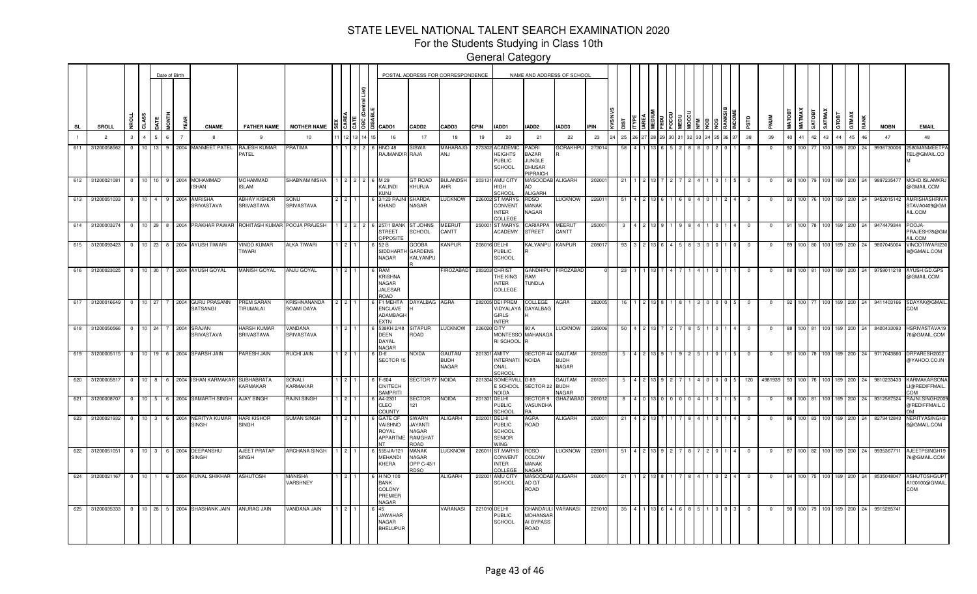For the Students Studying in Class 10th

|     |                     |                |                  |                      |           | Date of Birth  |                                      |                                   |                                   |  |                 |                                                                 |                                                                         | POSTAL ADDRESS FOR CORRESPONDENCE |              |                                                                    |                                                              | NAME AND ADDRESS OF SCHOOL                   |             |     |  |  |  |      |            |            |        |                  |                    |                  |             |            |             |                                                     |
|-----|---------------------|----------------|------------------|----------------------|-----------|----------------|--------------------------------------|-----------------------------------|-----------------------------------|--|-----------------|-----------------------------------------------------------------|-------------------------------------------------------------------------|-----------------------------------|--------------|--------------------------------------------------------------------|--------------------------------------------------------------|----------------------------------------------|-------------|-----|--|--|--|------|------------|------------|--------|------------------|--------------------|------------------|-------------|------------|-------------|-----------------------------------------------------|
| SL  | SROLL               |                | a                |                      | E<br>NOME | a.             | <b>CNAME</b>                         | <b>FATHER NAME</b>                | <b>MOTHER NAME</b>                |  | $\frac{12}{36}$ | CADD1                                                           | CADD <sub>2</sub>                                                       | CADD3                             | <b>CPIN</b>  | IADD1                                                              | IADD2                                                        | IADD3                                        | <b>IPIN</b> |     |  |  |  |      | erse       |            | MATOBT | <b>MATMAX</b>    | SATMAX<br>TBOTA    | GTOBT            |             | GTMAX      | <b>MOBN</b> | <b>EMAIL</b>                                        |
|     | $\overline{2}$      | 3              | $\mathbf{A}$     |                      | 6         | $\overline{7}$ |                                      | 9                                 | 10                                |  |                 | 16                                                              | 17                                                                      | 18                                | 19           | 20                                                                 | 21                                                           | 22                                           | 23          | 25  |  |  |  | 6 37 | 38         | 39         | 40     | 41               | 42                 | 43               | 44          | 45<br>46   | 47          | 48                                                  |
| 611 | 31200058562         | $^{\circ}$     | 10 <sup>10</sup> | 13                   |           |                | 9 2004 MANMEET PATEL                 | RAJESH KUMAR<br>PATEL             | <b>RATIMA</b>                     |  |                 | <b>HNO 48</b><br>RAJMANDIR RAJA                                 | <b>SISWA</b>                                                            | MAHARAJG<br>ANJ                   | 273302       | <b>ACADEMI</b><br><b>HEIGHTS</b><br><b>PUBLIC</b><br><b>SCHOOL</b> | PADRI<br>BAZAR<br><b>JUNGLE</b><br><b>DHUSAR</b><br>PIPRAICH | GORAKHPL                                     | 27301       |     |  |  |  |      |            |            |        |                  |                    |                  | 169         | 200<br>24  | 9936730006  | 580MANMEETPA<br><b>EL@GMAIL.CO</b>                  |
| 612 | 31200021081 0 10 10 |                |                  |                      |           |                | 9 2004 MOHAMMAD<br><b>ISHAN</b>      | <b>MOHAMMAD</b><br><b>ISLAM</b>   | SHABNAM NISHA                     |  |                 | 6 M 29<br>KALINDI<br><b>KUNJ</b>                                | <b>GT ROAD</b><br>KHURJA                                                | <b>BULANDSH</b><br>AHR            | 203131       | AMU CITY<br>HIGH<br>SCHOOL                                         | <b>MASOODAB</b><br>AD<br><b>ALIGARH</b>                      | <b>ALIGARH</b>                               | 20200       | 21  |  |  |  |      | - 0        | $\Omega$   |        |                  | 100 79 100 169 200 |                  |             | 24         | 9897235477  | MOHD.ISLAMKR.<br>@GMAIL.COM                         |
| 613 | 31200051033         | $\overline{0}$ | 10               | $\mathbf{A}$         | 9         | 2004           | AMRISHA<br><b>SRIVASTAVA</b>         | <b>ABHAY KISHOR</b><br>SRIVASTAVA | SONU<br>SRIVASTAVA                |  |                 | 3/123 RAJ<br>KHAND                                              | <b>SHARDA</b><br>NAGAR                                                  | <b>LUCKNOW</b>                    |              | 226002 ST MARYS<br>CONVENT<br><b>INTER</b><br>COLLEGE              | RDSO<br>MANAK<br>NAGAR                                       | <b>UCKNOW</b>                                | 22601       |     |  |  |  |      |            |            |        | 100              |                    |                  | 69          | 200<br>24  | 9452015142  | <b>AMRISHASHRIVA</b><br>STAVA0409@GM<br>AIL.COM     |
| 614 | 31200003274         | - 0            | 10 <sup>1</sup>  | 29                   | 8         |                | 2004 PRAKHAR PAWAR                   | ROHITASH KUMAR                    | POOJA PRAJESH                     |  |                 | 257/1 BAN<br><b>STREET</b><br>OPPOSITE                          | <b>ST JOHNS</b><br>SCHOOL                                               | <b>MEERUT</b><br>CANTT            |              | 250001 ST MARYS<br><b>ACADEMY</b>                                  | CARIAPPA<br><b>STREET</b>                                    | <b>MEERUT</b><br>CANTT                       | 25000       |     |  |  |  |      |            |            |        |                  |                    |                  | 169         | 200<br>24  | 9474479344  | POOJA-<br>PRAJESH78@GM<br>AIL.COM                   |
|     | 615 31200093423     | $\Omega$       |                  | $10$ 23              |           |                | 8 2004 AYUSH TIWARI                  | VINOD KUMAR<br><b>TIWARI</b>      | <b>ALKA TIWARI</b>                |  |                 | 52 B<br>SIDDHART<br>NAGAR                                       | <b>GOOBA</b><br><b>GARDENS</b><br>KALYANPU                              | Kanpur                            | 208016 DELHI | <b>PUBLIC</b><br><b>SCHOOL</b>                                     | KALYANPU                                                     | <b>KANPUR</b>                                | 20801       |     |  |  |  |      |            |            |        |                  |                    |                  | 169.        | 200        | 980704500   | VINODTIWARI230<br>8@GMAIL.COM                       |
|     | 616 31200023025 0   |                |                  |                      |           |                | 10 30 7 2004 AYUSH GOYAL             | <b>MANISH GOYAL</b>               | ANJU GOYAL                        |  |                 | <b>RAM</b><br><b>KRISHNA</b><br>NAGAR<br><b>JALESAR</b><br>ROAD |                                                                         | FIROZABAD                         | 283203       | <b>CHRIST</b><br>THE KING<br><b>INTER</b><br>COLLEGE               | <b>GANDHIPU</b><br>RAM<br>TUNDLA                             | <b>FIROZABAD</b>                             |             | 23  |  |  |  |      |            | - 0        | 88     | 100 81           |                    |                  | 100 169 200 | 24         | 9759011218  | AYUSH.GD.GPS<br>@GMAIL.COM                          |
|     | 617 31200016649     | $\overline{0}$ |                  | 10 27                |           |                | 7 2004 GURU PRASANN<br>SATSANGI      | PREM SARAN<br>TIRUMALAI           | KRISHNANANDA<br>SOAMI DAYA        |  |                 | F1 MEHTA<br>ENCLAVE<br>ADAMBAGI<br>EXTN                         | DAYALBAG AGRA                                                           |                                   |              | 282005 DEI PREM<br>VIDYALAYA<br><b>GIRLS</b><br><b>NTER</b>        | COLLEGE<br>DAYALBAG                                          | AGRA                                         | 282005      |     |  |  |  |      | $^{\circ}$ | $^{\circ}$ | 92     | 100 77           |                    |                  | 100 169 200 | 24         | 9411403166  | SDAYAK@GMAIL.<br>COM                                |
|     | 618 31200050566     | $\overline{0}$ |                  | 10 24                |           | 2004           | SRAJAN<br>SRIVASTAVA                 | <b>HARSH KUMAR</b><br>SRIVASTAVA  | VANDANA<br>SRIVASTAVA             |  |                 | 538KH 2/48<br>DEEN<br>DAYAL<br><b>NAGAR</b>                     | <b>SITAPUR</b><br>ROAD                                                  | <b>LUCKNOW</b>                    | 226020 CITY  | <b>MONTESSO</b><br>RI SCHOOL                                       | 90 A<br>MAHANAG/                                             | <b>LUCKNOW</b>                               | 226006      |     |  |  |  |      | - 0        | $\Omega$   |        | 100 81           |                    | 100 169          |             | 200<br>24  | 8400433093  | HSRIVASTAVA19<br>76@GMAIL.COM                       |
|     | 619 31200005115 0   |                |                  | 10 19                |           |                | 6 2004 SPARSH JAIN                   | ARESH JAIN                        | <b>NUCHI JAIN</b>                 |  |                 | D-6<br>SECTOR 15                                                | NOIDA                                                                   | GAUTAM<br><b>HUDH</b><br>NAGAR    | 201301 AMITY | <b>INTERNATI</b><br>ONAL<br>SCHOOL                                 | SECTOR 44 GAUTAM<br><b>NOIDA</b>                             | <b>BUDH</b><br><b>NAGAR</b>                  | 201303      |     |  |  |  |      |            |            |        | 100 78           |                    | 100 <sub>l</sub> | 169         | 200<br>24  | 9717043860  | DRPARESH2002<br>@YAHOO.CO.IN                        |
| 620 | 31200005817         | $\mathbf{0}$   | 10 <sub>1</sub>  | 8                    |           | 6 2004         | <b>ISHAN KARMAKAR</b>                | SUBHABRATA<br><b>ARMAKAR</b>      | SONALI<br><b>KARMAKAR</b>         |  |                 | $-604$<br>CIVITECH<br>SAMPRITI                                  | <b>SECTOR 77 NOIDA</b>                                                  |                                   |              | 201304 SOMERVILL<br>E SCHOOL<br>NOIDA                              | D-89<br>SECTOR 22                                            | <b>GAUTAM</b><br><b>BUDH</b><br><b>JAGAR</b> | 20130       |     |  |  |  |      | 120        | 4981939    |        |                  | 100   76   100     |                  | 169         | 200<br>-24 | 9810233433  | KARMAKARSONA<br>LI@REDIFFMAIL.<br>MOC.              |
| 621 | 31200008707         | $\overline{0}$ |                  | 10 <sup>1</sup><br>5 |           | 6 2004         | SAMARTH SINGH                        | <b>AJAY SINGH</b>                 | <b>AJNI SINGH</b>                 |  |                 | 44-2301<br>CLEO<br><b>COUNTY</b>                                | SECTOR<br>121                                                           | noida                             | 201301       | DELHI<br><b>PUBLIC</b><br>SCHOOL                                   | SECTOR 9<br>VASUNDHA                                         | <b>GHAZIABAD</b>                             | 201012      |     |  |  |  |      | -0         | $\Omega$   |        | 100   81         |                    | 100 L            | 169.        | 200<br>24  | 9312587524  | RAJNI.SINGH2009<br>@REDIFFMAIL.C                    |
| 623 | 31200021932         | $\overline{0}$ |                  | $10 \mid 3 \mid$     | 6         | 2004           | <b>NERITYA KUMAR</b><br><b>SINGH</b> | HARI KISHOR<br>SINGH              | <b>SUMAN SINGH</b>                |  |                 | <b>GATE OF</b><br><b>AISHNO</b><br>ROYAL<br>APPARTME            | <b>SWARN</b><br><b>ITANYAL</b><br><b>VAGAR</b><br>RAMGHAT<br><b>OAO</b> | <b>ALIGARH</b>                    | 20200        | DELHI<br>PUBLIC<br><b>SCHOOL</b><br><b>SENIOR</b><br><b>WING</b>   | AGRA<br>ROAD                                                 | ALIGARH                                      | 202001      | -21 |  |  |  |      | $\Omega$   | $\Omega$   | 86     | 100 I            | 83 I               | 100 L            | 169         | 200<br>24  | 8279412843  | <b>NERITYASINGH3</b><br>6@GMAIL.COM                 |
| 622 | 31200051051         | $\overline{0}$ |                  | $10 \mid 3 \mid$     |           |                | 6 2004 DEEPANSHU<br>SINGH            | AJEET PRATAP<br>SINGH             | ARCHANA SINGH                     |  |                 | 555/JA/121<br><b>MEHANDI</b><br>KHERA                           | <b>MANAK</b><br>NAGAR<br>OPP C-43/1<br><b>IDSO</b>                      | <b>LUCKNOW</b>                    | 22601        | ST.MARYS<br>CONVENT<br><b>INTER</b><br>COLLEGE                     | RDSO<br>COLONY<br><b>MANAK</b><br>NAGAR                      | LUCKNOW                                      | 22601       | -51 |  |  |  |      | $\Omega$   | $\Omega$   | -87    | 100 <sup>1</sup> | 82 100             |                  | 169         | 200<br>24  | 9935367711  | AJEETPSINGH19<br>76@GMAIL.COM                       |
| 624 | 31200021167         | $\overline{0}$ | 10 <sup>1</sup>  | 1                    |           |                | 6 2004 KUNAL SHIKHAR                 | ASHUTOSH                          | <b>MANISHA</b><br><b>/ARSHNEY</b> |  |                 | H NO 100<br>BANK<br>COLONY<br>PREMIER<br>NAGAR                  |                                                                         | <b>ALIGARH</b>                    | 202001       | AMU CITY<br>SCHOOL                                                 | MASOODAB<br>AD GT<br>ROAD                                    | <b>ALIGARH</b>                               | 20200       | 21  |  |  |  |      | $\Omega$   | $\Omega$   | 94     | 100 <sub>1</sub> | 75 100 169         |                  |             | 200<br>24  | 8535048047  | <b>ASHUTOSHGUPT</b><br>A100100@GMAIL.<br><b>COM</b> |
| 625 | 31200035333         | $\overline{0}$ |                  | $10 \quad 28$        |           |                | 5 2004 SHASHANK JAIN                 | ANURAG JAIN                       | VANDANA JAIN                      |  |                 | 45<br><b>JAWAHAR</b><br>NAGAR<br><b>BHELUPUR</b>                |                                                                         | VARANASI                          | 221010 DELHI | PUBLIC<br><b>SCHOOL</b>                                            | CHANDAULI<br>MOHANSAF<br>AI BYPASS<br>ROAD                   | ARANASI                                      | 221010      | 35  |  |  |  |      |            |            |        |                  | 100 79 100 169 200 |                  |             | 24         | 9915285741  |                                                     |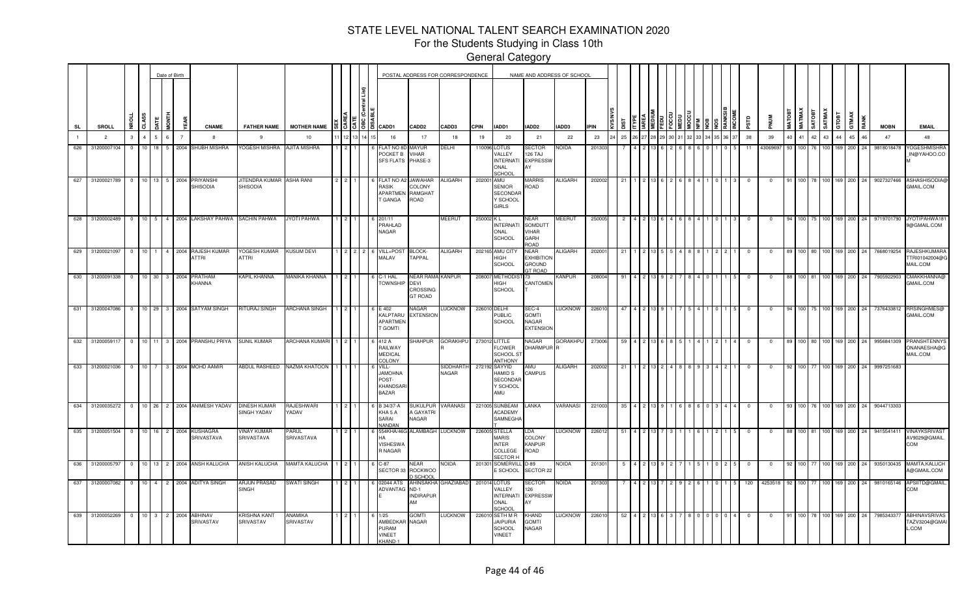For the Students Studying in Class 10th

|     |                 |                         |                       |                | Date of Birth  |                                                             |                                                      |                      |                       |     |                                                                                         |                                                               | POSTAL ADDRESS FOR CORRESPONDENCE |              |                                                                             | NAME AND ADDRESS OF SCHOOL                                   |                 |             |     |  |  |  |  |            |             |        |                    |                 |                  |             |            |             |                                            |
|-----|-----------------|-------------------------|-----------------------|----------------|----------------|-------------------------------------------------------------|------------------------------------------------------|----------------------|-----------------------|-----|-----------------------------------------------------------------------------------------|---------------------------------------------------------------|-----------------------------------|--------------|-----------------------------------------------------------------------------|--------------------------------------------------------------|-----------------|-------------|-----|--|--|--|--|------------|-------------|--------|--------------------|-----------------|------------------|-------------|------------|-------------|--------------------------------------------|
| SL  | <b>SROLL</b>    |                         | CLASS                 | i<br>Tag       | ă              | <b>CNAME</b>                                                | <b>FATHER NAME</b>                                   | <b>MOTHER NAME</b>   |                       |     | $\frac{15}{3}$ $\frac{5}{3}$ $\frac{16}{3}$ $\frac{20}{3}$ $\frac{1}{3}$ $\frac{20}{3}$ | CADD <sub>2</sub>                                             | CADD3                             | <b>CPIN</b>  | IADD1                                                                       | IADD2                                                        | IADD3           | <b>IPIN</b> |     |  |  |  |  | ars        |             | MATOBT | <b>MATMAX</b>      | SATMAX<br>RIORT | GTOBT            |             | GTMAX      | <b>MOBN</b> | <b>EMAIL</b>                               |
|     | $\overline{2}$  | $\mathbf{3}$            | 4                     |                | $\overline{7}$ |                                                             | -9                                                   | 10                   |                       |     | 16                                                                                      | 17                                                            | 18                                | 19           | 20                                                                          | 21                                                           | 22              | 23          | 25  |  |  |  |  | 38         | 39          | 40     | 41                 | 42              | 43               | 44          | 45<br>46   | 47          | 48                                         |
| 626 | 31200007104     | $^{\circ}$              | 10                    | 18             |                | 2004 SHUBH MISHRA                                           | YOGESH MISHRA                                        | AJITA MISHRA         |                       |     | <b>FLAT NO 8</b><br>POCKET B VIHAR<br>SFS FLATS PHASE-3                                 | MAYUR                                                         | DELHI                             |              | 110096 LOTUS<br>VALLEY<br><b>INTERNAT</b><br>ONAL<br>SCHOO                  | SECTOR<br>126 TAJ<br><b>EXPRESSV</b><br>AY                   | NOIDA           | 20130       |     |  |  |  |  |            | 43069697    | - 93   |                    |                 |                  |             | 200<br>24  | 9818018478  | <b>OGESHMISHRA</b><br>IN@YAHOO.CO          |
|     |                 |                         |                       |                |                | 627 31200021789 0 10 13 5 2004 PRIYANSHI<br><b>SHISODIA</b> | JITENDRA KUMAR ASHA RANI<br><b>SHISODIA</b>          |                      | $2 \times 2 \times 1$ |     | FLAT NO A2 JAWAHAR<br><b>RASIK</b><br>APARTMEN RAMGHAT<br>T GANGA                       | COLONY<br>ROAD                                                | <b>ALIGARH</b>                    | 202001 AMU   | <b>SENIOR</b><br><b>SECONDAF</b><br>Y SCHOOL<br><b>GIRLS</b>                | <b>MARRIS</b><br>ROAD                                        | <b>ALIGARH</b>  | 202002      | 21  |  |  |  |  | $\Omega$   |             | 91     | 100 78 100 169 200 |                 |                  |             | 24         | 9027327466  | <b>ASHASHISODIA</b><br>GMAIL.COM           |
|     | 628 31200002489 |                         |                       |                |                | 0 10 5 4 2004 LAKSHAY PAHWA SACHIN PAHWA                    |                                                      | JYOTI PAHWA          |                       |     | 201/11<br>PRAHLAD<br><b>NAGAR</b>                                                       |                                                               | MEERUT                            | 250002 KL    | <b>INTERNATI</b><br>ONAL<br>SCHOOL                                          | NEAR<br><b>SOMDUTT</b><br>VIHAR<br>GARH<br><b>ROAD</b>       | <b>MEERUT</b>   | 250005      | -2  |  |  |  |  | $^{\circ}$ | $^{\circ}$  | 94     | 100 75 100 169 200 |                 |                  |             | 24         | 9719701790  | JYOTIPAHWA18<br>9@GMAIL.COM                |
|     | 629 31200021097 | $0 \t10 \t1$            |                       | 4 <sup>1</sup> |                | 2004 RAJESH KUMAR<br><b>ATTRI</b>                           | YOGESH KUMAR KUSUM DEVI<br>ATTRI                     |                      |                       | 212 | VILL+POS<br>MALAV                                                                       | <b>BLOCK-</b><br><b>TAPPAL</b>                                | aligarh                           |              | 202165 AMU CITY<br>HIGH<br>SCHOOL                                           | NEAR<br><b>EXHIBITION</b><br><b>GROUND</b><br><b>GT ROAD</b> | <b>ALIGARH</b>  | 20200       |     |  |  |  |  | - 0        |             |        |                    |                 | 100 169          |             | 200<br>-24 | 7668019254  | RAJESHKUMARA<br>TTRI01042004@G<br>MAIL.COM |
|     | 630 31200091338 | $\overline{0}$          | 10 30                 | 3 <sup>1</sup> | 2004           | PRATHAM<br>KHANNA                                           | KAPIL KHANNA                                         | MANIKA KHANNA        |                       |     | C-1 HAL<br><b>OWNSHIP</b>                                                               | NEAR RAMA KANPUR<br><b>DEVI</b><br>CROSSING<br><b>GT ROAD</b> |                                   |              | 208007 METHODIS<br>HIGH<br><b>SCHOOL</b>                                    | CANTOMEN                                                     | <b>KANPUR</b>   | 20800       |     |  |  |  |  |            |             |        |                    |                 |                  | 169 I       | 200<br>24  | 7905922903  | CMAKKHANNA@<br>GMAIL.COM                   |
|     | 631 31200047086 | $\circ$                 | 10 29                 |                |                | 3 2004 SATYAM SINGH                                         | RITURAJ SINGH                                        | <b>ARCHANA SINGH</b> |                       |     | E 402<br><b>KALPTARL</b><br><b>APARTMEN</b><br><b>GOMTI</b>                             | NAGAR<br><b>EXTENSION</b>                                     | LUCKNOW                           | 226010 DELHI | <b>PUBLIC</b><br><b>SCHOOL</b>                                              | SEC-4<br><b>GOMTI</b><br>NAGAR<br><b>EXTENSION</b>           | <b>LUCKNOW</b>  | 22601       |     |  |  |  |  | $^{\circ}$ | $\mathbf 0$ | 94     | 100 75             |                 |                  | 100 169 200 | 24         | 7376433812  | RRSINGHMES@<br>GMAIL.COM                   |
|     | 632 31200059117 | $0$ 10 11               |                       |                |                | 3 2004 PRANSHU PRIYA                                        | <b>SUNIL KUMAR</b>                                   | ARCHANA KUMARI       |                       |     | 412 A<br>RAILWAY<br>MEDICAL<br>COLONY                                                   | <b>SHAHPUR</b>                                                | <b>GORAKHPU</b>                   |              | 273012 LITTLE<br><b>FLOWER</b><br>SCHOOL ST<br>ANTHONY                      | VAGAR<br>DHARMPUR                                            | <b>GORAKHPU</b> | 273006      | 59  |  |  |  |  | $\Omega$   | $\Omega$    |        | 100 80             |                 | 100 169          |             | 200<br>24  | 9956841309  | PRANSHTENNYS<br>ONANAESHA@G<br>MAIL.COM    |
|     | 633 31200021036 | $^{\circ}$              | 10 <sub>1</sub>       |                |                | 2004 MOHD AAMIR                                             | ABDUL RASHEED                                        | NAZMA KHATOON        |                       |     | VILL-<br><b>JAMOHNA</b><br>POST-<br><b>KHANDSARI</b><br>BAZAR                           |                                                               | SIDDHARTH<br>NAGAR                |              | 272192 SAYYID<br>HAMID S<br>SECONDAF<br>Y SCHOOL<br>AMU                     | UMA<br>CAMPUS                                                | ALIGARH         | 202002      | -21 |  |  |  |  | $^{\circ}$ | 0           | 92     | 100 77             |                 | 100 169          |             | 200<br>24  | 9997251683  |                                            |
|     | 634 31200035272 | $\overline{0}$          | 10 26                 | $^{2}$         |                | 2004 ANIMESH YADAV                                          | <b>DINESH KUMAR</b><br>SINGH YADAV                   | RAJESHWARI<br>YADAV  |                       |     | B 34/37-A<br>KHA 5 A<br>SARAI<br><b>NANDAN</b>                                          | <b>SUKULPUR</b><br>A GAYATRI<br>NAGAR                         | <b>VARANASI</b>                   |              | 221005 SUNBEAM<br><b>ACADEMY</b><br>SAMNEGHA                                | LANKA                                                        | <b>VARANASI</b> | 221003      | -35 |  |  |  |  |            |             |        | 100 I              |                 | 100 <sub>1</sub> | 69          | 200<br>24  | 9044713303  |                                            |
|     | 635 31200051504 | $\overline{\mathbf{0}}$ | 10 16                 | 2              | 2004           | <b>KUSHAGRA</b><br>SRIVASTAVA                               | <b>VINAY KUMAR</b><br>SRIVASTAVA                     | PARUL<br>SRIVASTAVA  |                       |     | 554KHA/46G<br><b>VISHESWA</b><br>R NAGAR                                                | ALAMBAGH                                                      | <b>LUCKNOW</b>                    |              | 226005 STELLA<br><b>MARIS</b><br><b>INTER</b><br>COLLEGE<br><b>SECTOR H</b> | DA<br>COLONY<br>KANPUR<br>ROAD                               | <b>LUCKNOW</b>  | 22601       |     |  |  |  |  |            |             |        |                    |                 |                  | 169.        | 200<br>24  | 941554141   | VINAYKSRIVAST<br>AV9029@GMAIL.<br>COM      |
|     | 636 31200005797 | $\overline{0}$          | 10 <sup>1</sup><br>13 | $\overline{2}$ |                | 2004 ANSH KALUCHA                                           | ANISH KALUCHA                                        | <b>MAMTA KALUCHA</b> |                       |     | $C-87$                                                                                  | NEAR<br>SECTOR 33 ROCKWOO<br><b>D SCHOOL</b>                  | NOIDA                             |              | 201301 SOMERVILL<br>E SCHOOL                                                | D-89<br>SECTOR <sub>22</sub>                                 | <b>NOIDA</b>    | 20130       |     |  |  |  |  | $^{\circ}$ | $^{\circ}$  | -92    | 100 <sub>1</sub>   |                 | 100 169          |             | 200<br>24  | 9350130435  | MAMTA.KALUCH<br>A@GMAIL.COM                |
|     | 637 31200007082 | $\overline{0}$          | $10 \quad 4$          | $\overline{2}$ |                | 2004 ADITYA SINGH                                           | ARJUN PRASAD<br>SINGH                                | SWATI SINGH          |                       |     | 02044 ATS<br>ADVANTAG ND-1                                                              | AHINSAKHA<br><b>INDIRAPUR</b><br>AМ                           | <b>GHAZIABAD</b>                  |              | 201014 LOTUS<br>VALLEY<br><b>INTERNAT</b><br>ONAL<br>SCHOO                  | <b>SECTOR</b><br>126<br><b>EXPRESSV</b><br>AY                | <b>NOIDA</b>    | 201303      |     |  |  |  |  | 120        | 4253518     |        |                    |                 |                  |             | 200        | 9810165146  | APSIITD@GMAIL<br>COM                       |
|     | 639 31200052269 | $0 \t 10 \t 3$          |                       | $\overline{2}$ |                | 2004 ABHINAV<br>SRIVASTAV                                   | <b><rishna b="" kant<=""><br/>SRIVASTAV</rishna></b> | ANAMIKA<br>SRIVASTAV |                       |     | 1/25<br>AMBEDKAR<br>PURAM<br><b>VINEET</b><br>KHAND-1                                   | GOMTI<br><b>NAGAR</b>                                         | LUCKNOW                           |              | 226010 SETH M R<br><b>JAIPURIA</b><br><b>SCHOOL</b><br><b>VINEET</b>        | <b>KHAND</b><br><b>GOMTI</b><br>NAGAR                        | LUCKNOW         | 22601       | -52 |  |  |  |  |            |             | 91     | 100 78 100 169     |                 |                  |             | 200<br>24  | 798534337   | ABHINAVSRIVAS<br>TAZV3204@GMAI<br>L.COM    |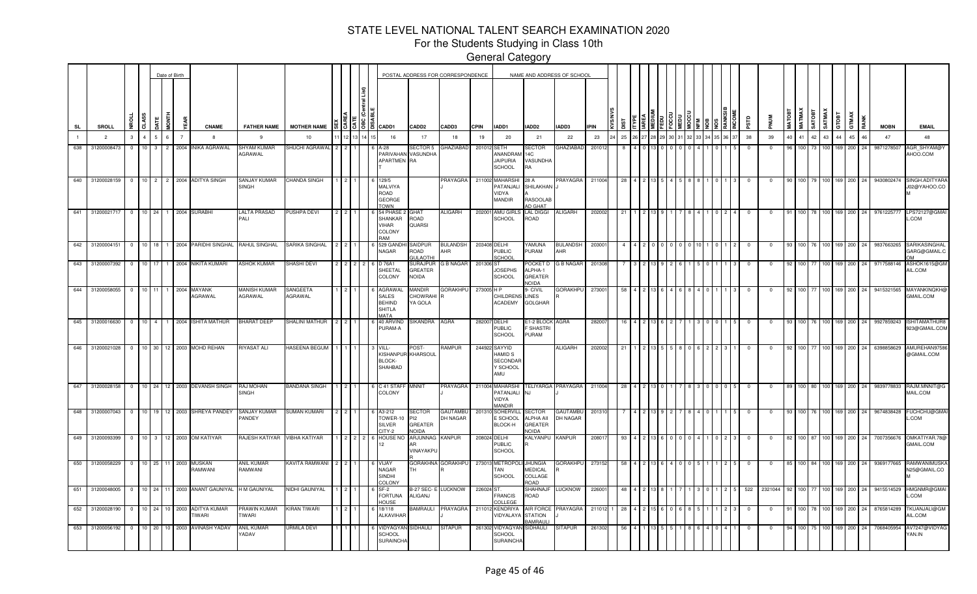For the Students Studying in Class 10th

|           |                 |                          |                |                | Date of Birth  |                        |                                               |                                              |                                                                                                                          |     |  |                                                                                |                                               | POSTAL ADDRESS FOR CORRESPONDENCE |             |                                                                              | NAME AND ADDRESS OF SCHOOL                            |                           |             |     |  |  |  |                 |              |              |                 |                  |               |            |                    |                          |      |             |                                       |
|-----------|-----------------|--------------------------|----------------|----------------|----------------|------------------------|-----------------------------------------------|----------------------------------------------|--------------------------------------------------------------------------------------------------------------------------|-----|--|--------------------------------------------------------------------------------|-----------------------------------------------|-----------------------------------|-------------|------------------------------------------------------------------------------|-------------------------------------------------------|---------------------------|-------------|-----|--|--|--|-----------------|--------------|--------------|-----------------|------------------|---------------|------------|--------------------|--------------------------|------|-------------|---------------------------------------|
| <b>SL</b> | SROLL           | <b>NROLL</b>             | CLASS          | <b>JATE</b>    | E<br>MD        |                        | <b>CNAME</b>                                  | <b>FATHER NAME</b>                           | MOTHER NAME $\left \frac{10}{5}\right \left \frac{10}{5}\right \left \frac{10}{5}\right \left \frac{10}{5}\right $ CADD1 |     |  |                                                                                | CADD <sub>2</sub>                             | CADD3                             | <b>CPIN</b> | IADD1                                                                        | IADD2                                                 | IADD3                     | <b>IPIN</b> | ig  |  |  |  |                 | ars          |              | <b>MATOBT</b>   | <b>МАТМАХ</b>    | <b>TROTAS</b> | SATMAX     | GTOBT              | GTMAX                    | RANK | <b>MOBN</b> | <b>EMAIL</b>                          |
|           | $\overline{2}$  | $\mathbf{3}$             | $\overline{4}$ | $\overline{5}$ | 6 <sup>1</sup> |                        | -8                                            | 9                                            | 10                                                                                                                       |     |  | 16                                                                             | 17                                            | 18                                | 19          | 20                                                                           | 21                                                    | 22                        | 23          | 25  |  |  |  | 33 34 35 36 37  | 38           | 39           | 40 <sup>2</sup> | 41               | 42            | 43         | 44                 | 45                       | 46   | 47          | 48                                    |
| 638       | 31200008473     | $\mathbf{0}$             | 10             | 3              | 2<br>2004      |                        | <b>INIKA AGRAWAL</b>                          | <b>SHYAM KUMAR</b><br>AGRAWAL                | SHUCHI AGRAWAL                                                                                                           | 212 |  | A-28<br>PARIVAHAN VASUNDHA<br>APARTMEN RA                                      | SECTOR 5                                      | GHAZIABAD                         | 201012      | <b>SETH</b><br>ANANDRAM<br><b>JAIPURIA</b><br>SCHOOL                         | SECTOR<br><b>14C</b><br>VASUNDHA<br>RA                | <b>GHAZIABAD</b>          | 201012      |     |  |  |  |                 | $^{\circ}$   | $\mathbf{0}$ | 96              | 100 <sub>1</sub> |               | 73 100     | 169                | 200                      | 24   | 9871278507  | AGR_SHYAM@Y<br>AHOO.COM               |
| 640       | 31200028159     |                          |                |                |                |                        | 0 10 2 2 2004 ADITYA SINGH                    | <b>SANJAY KUMAR</b><br><b>SINGH</b>          | <b>CHANDA SINGH</b>                                                                                                      |     |  | 129/5<br>MALVIYA<br>ROAD<br><b>GEORGE</b><br><b>OWN</b>                        |                                               | PRAYAGRA                          |             | 211002 MAHARSH<br>PATANJALI<br>VIDYA<br>MANDIR                               | 28 A<br>SHILAKHAN<br><b>RASOOLAB</b><br>AD GHAT       | <b>PRAYAGRA</b>           | 211004      | 28  |  |  |  |                 |              | $\Omega$     |                 | 100 <sup>1</sup> |               | 79 100 169 |                    | 200                      | 24   | 9430802474  | SINGH.ADITYARA<br>J02@YAHOO.CO        |
| 641       | 31200021717     | $\overline{\phantom{0}}$ | $10$ 24        |                |                | 1 2004 SURABHI         |                                               | LALTA PRASAD<br>PALI                         | PUSHPA DEVI                                                                                                              |     |  | 54 PHASE<br><b>SHANKAR</b><br>VIHAR<br>COLONY<br>RAM                           | GHAT<br><b>ROAD</b><br><b>QUARSI</b>          | ALIGARH                           | 202001      | AMU GIRL<br><b>SCHOOL</b>                                                    | <b>LAL DIGGI</b><br>ROAD                              | <b>ALIGARH</b>            | 202002      | 21  |  |  |  |                 | $\Omega$     | $\Omega$     | 91              | 100 <sup>1</sup> |               | 78 100 169 |                    | 200                      | 24   | 9761225777  | LPS72127@GMAI<br>L.COM                |
| 642       | 31200004151     |                          |                |                |                |                        |                                               | 0 10 18 1 2004 PARIDHI SINGHAL RAHUL SINGHAL | SARIKA SINGHAL                                                                                                           |     |  | 529 GANDI<br>NAGAR                                                             | SAIDPUR<br><b>OAOR</b><br><b>SULAOTHI</b>     | <b>BULANDSH</b><br>AHR            |             | 203408 DELHI<br><b>PUBLIC</b><br>CHOOL                                       | YAMUNA<br>PURAM                                       | <b>BULANDSH</b><br>AHR    | 203001      |     |  |  |  |                 | $^{\circ}$   | $^{\circ}$   |                 |                  |               |            | 100 76 100 169     | 200                      | 24   | 9837663265  | SARIKASINGHAL<br>GARG@GMAIL.C         |
| 643       | 31200007392     | $\circ$                  | $10$ 17        |                |                |                        | 1 2004 NIKITA KUMARI                          | <b>ASHOK KUMAR</b>                           | SHASHI DEVI                                                                                                              |     |  | D 76A1<br>SHEETAL<br>COLONY                                                    | SURAJPUF<br>GREATER<br><b>NOIDA</b>           | <b>G B NAGAR</b>                  | 201306 ST   | <b>JOSEPHS</b><br><b>SCHOOL</b>                                              | POCKET D<br>ALPHA-1<br><b>GREATER</b><br><b>NOIDA</b> | <b>G B NAGAR</b>          | 201308      |     |  |  |  |                 |              | 0            |                 |                  | 100 77        |            | 100 169            | 200                      | 24   | 9717588146  | ASHOK1615@GM<br>AIL.COM               |
| 644       | 31200058055     | $\circ$                  | 10 11          |                | 2004           |                        | MAYANK<br>AGRAWAL                             | <b>MANISH KUMAR</b><br>AGRAWAL               | SANGEETA<br>AGRAWAL                                                                                                      |     |  | <b>AGRAWA</b><br><b>SALES</b><br><b>BEHIND</b><br><b>SHITLA</b><br><b>MATA</b> | <b>MANDIR</b><br>CHOWRAHI<br>YA GOLA          | GORAKHPU                          | 273005 H P  | CHILDRENS<br><b>ACADEMY</b>                                                  | <b>J-CIVIL</b><br><b>LINES</b><br><b>GOLGHAR</b>      | <b>GORAKHPU</b>           | 273001      | 58  |  |  |  |                 | $\mathbf 0$  | 0            |                 |                  | 100 77        |            | 100 169            | 200                      | 24   | 9415321565  | <b>MAYANKINQKH@</b><br>GMAIL.COM      |
| 645       |                 |                          |                |                |                |                        | 31200016630 0 10 4 1 2004 ISHITA MATHUR       | <b>BHARAT DEEP</b>                           | SHALINI MATHUR                                                                                                           |     |  | 40 ARVIND<br>PURAM-A                                                           | SIKANDRA AGRA                                 |                                   |             | 282007 DELHI<br>PUBLIC<br><b>SCHOOL</b>                                      | E1-2 BLOCK AGRA<br>F SHASTRI<br>PURAM                 |                           | 282007      |     |  |  |  |                 | $\mathbf{0}$ | $\mathbf 0$  |                 |                  |               |            | 100 76 100 169 200 |                          | 24   | 9927859243  | <b>ISHITAMATHUR8</b><br>923@GMAIL.COM |
| 646       | 31200021028     |                          |                |                |                |                        | 0 10 30 12 2003 MOHD REHAN                    | RIYASAT ALI                                  | HASEENA BEGUM                                                                                                            |     |  | VILL-<br>KISHANPU<br><b>BLOCK-</b><br>SHAHBAD                                  | POST:<br>KHARSOUL                             | RAMPUR                            |             | 244922 SAYYID<br><b>HAMID S</b><br><b>SECONDAF</b><br>Y SCHOOL<br><b>AMU</b> |                                                       | ALIGARH                   | 202002      | -21 |  |  |  |                 | $\mathbf{0}$ | $^{\circ}$   |                 |                  | 100 77        |            |                    | 100 169 200 24           |      | 6398858629  | AMUREHAN9758<br>@GMAIL.COM            |
|           |                 |                          |                |                |                |                        | 647 31200028158 0 10 24 12 2003 DEVANSH SINGH | <b>RAJ MOHAN</b><br><b>SINGH</b>             | <b>BANDANA SINGH</b>                                                                                                     |     |  | 6 C 41 STAFF<br>COLONY                                                         | <b>MNNIT</b>                                  | PRAYAGRA                          |             | 211004 MAHARSHI<br>PATANJALI<br>VIDYA<br><b>ANDIR</b>                        | N.I                                                   | TELIYARGA PRAYAGRA 211004 |             | -28 |  |  |  | $0\quad0\quad5$ | $\mathbf{0}$ | $^{\circ}$   |                 |                  |               |            |                    | 89 100 80 100 169 200 24 |      |             | 9839778833 RAJM.MNNIT@G<br>MAIL.COM   |
|           |                 |                          |                |                |                |                        | 648 31200007043 0 10 19 12 2003 SHREYA PANDEY | <b>SANJAY KUMAR</b><br>PANDEY                | <b>SUMAN KUMARI</b>                                                                                                      |     |  | A3-212<br>TOWER-1<br>SILVER<br>ITY-2                                           | SECTOR<br>PI <sub>2</sub><br>GREATER<br>NOIDA | <b>GAUTAMBU</b><br>DH NAGAR       |             | 201310 SOHERVILI<br>E SCHOOL<br>BLOCK-H                                      | SECTOR<br>ALPHA AII<br><b>GREATER</b><br><b>NOIDA</b> | GAUTAMBU<br>DH NAGAR      | 201310      |     |  |  |  |                 | $\mathbf 0$  | $\mathbf 0$  |                 |                  |               |            |                    | 93 100 76 100 169 200 24 |      | 9674838428  | FUCHCHU@GMAI<br>L.COM                 |
|           | 649 31200093399 |                          |                |                |                |                        | 0 10 3 12 2003 OM KATIYAR                     | RAJESH KATIYAR VIBHA KATIYAR                 |                                                                                                                          |     |  | HOUSE N                                                                        | ARJUNNAG KANPUR<br>VINAYAKPU                  |                                   |             | 208024 DELHI<br>PUBLIC<br>SCHOOL                                             | KALYANPU KANPUR                                       |                           | 20801       | -93 |  |  |  |                 | $\mathbf 0$  | $\mathbf 0$  | 82              |                  |               |            |                    | 100 87 100 169 200 24    |      | 7007356676  | OMKATIYAR.78@<br>GMAIL.COM            |
|           | 650 31200058229 |                          |                |                |                | 0 10 25 11 2003 MUSKAN | RAMWANI                                       | <b>ANIL KUMAR</b><br>RAMWANI                 | KAVITA RAMWANI                                                                                                           |     |  | VIJAY<br><b>NAGAR</b><br><b>SINDHI</b><br><b>COLONY</b>                        | rн                                            | GORAKHNA GORAKHPU                 |             | 273013 METROPOL<br><b>TAN</b><br>SCHOOL                                      | <b>JHUNGIA</b><br>MEDICAL<br>COLLAGE<br><b>ROAD</b>   | <b>GORAKHPU</b>           | 273152      |     |  |  |  |                 |              | $^{\circ}$   | 85              |                  |               |            |                    | 100 84 100 169 200 24    |      | 9369177665  | RAMWANIMUSKA<br>N25@GMAIL.CO          |
| 651       | 31200048005     |                          |                |                |                |                        | 0 10 24 11 2003 ANANT GAUNIYAL                | H M GAUNIYAL                                 | NIDHI GAUNIYAL                                                                                                           |     |  | SF-2<br>FORTUNA<br><b>OUSE</b>                                                 | B-27 SEC- I<br>ALIGANJ                        | LUCKNOW                           | 226024 ST   | <b>FRANCIS</b><br><b>OLLEGE</b>                                              | <b>SHAHNAJF</b><br>ROAD                               | <b>LUCKNOW</b>            | 226001      | -48 |  |  |  |                 | 522          | 2321044      |                 |                  | 100 77        |            | 100 169 200        |                          | -24  | 9415514529  | HMGNMR@GMAI<br>L.COM                  |
| 652       | 31200028190     | $\circ$                  | $10 \t 24$     |                | 10 2003        |                        | <b>ADITYA KUMAR</b><br><b>IWARI</b>           | PRAWIN KUMAR<br><b>TIWARI</b>                | <b>KIRAN TIWARI</b>                                                                                                      |     |  | 18/118<br>ALKAVIHAR                                                            | <b>BAMRAULI</b>                               | PRAYAGRA                          |             | 211012 KENDRIYA<br><b>JIDYALAYA</b>                                          | <b>AIR FORCE</b><br><b>STATION</b><br><b>BAMRAUL</b>  | <b>PRAYAGRA</b>           | 211012      | -28 |  |  |  |                 | $\Omega$     | $\mathbf{0}$ | -91             | 100 l            |               | 78 100 169 |                    | 200                      |      | 8765814289  | <b>TKUANJALI@GM</b><br>AIL.COM        |
| 653       | 31200056192     | $\circ$                  | 10 20          |                |                |                        | 10 2003 AVINASH YADAV                         | <b>ANIL KUMAR</b><br><b>ADAV</b>             | <b>URMILA DEVI</b>                                                                                                       |     |  | <b>IDYAGYA</b><br><b>SCHOOL</b><br><b>SURAINCHA</b>                            | SIDHAULI                                      | <b>SITAPUR</b>                    |             | 261302 VIDYAGYA<br><b>SCHOOL</b><br><b>SURAINCHA</b>                         | SIDHAULI                                              | <b>SITAPUR</b>            | 261302      |     |  |  |  |                 |              |              |                 |                  |               | 100 L      | 169                | 200                      | 24   | 7068405954  | AV7247@VIDYAG<br>YAN.IN               |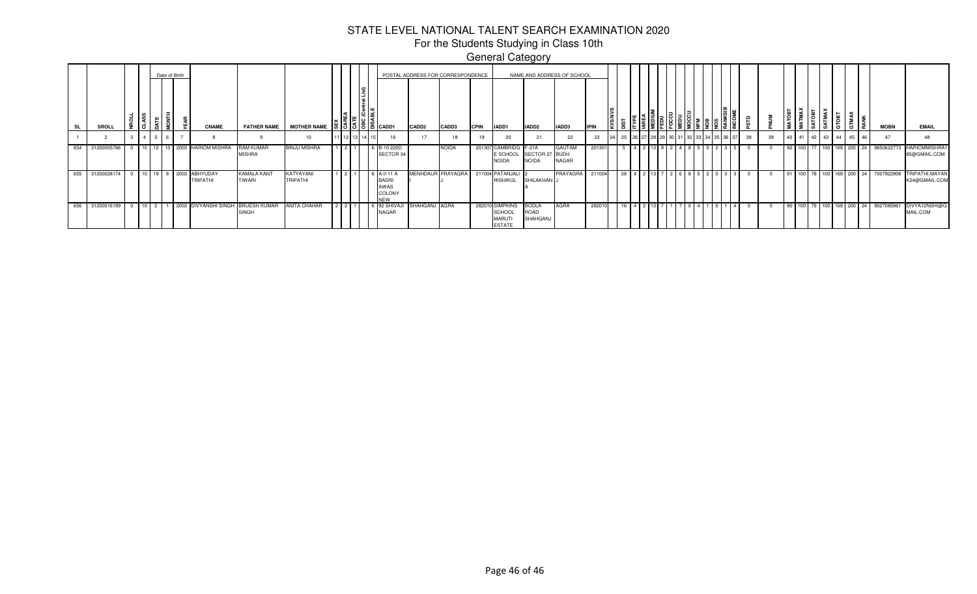For the Students Studying in Class 10th General Category

|     | <b>SROLL</b> |  |                 | Date of Birth |        |      | <b>CNAME</b>                |                                     | FATHER NAME MOTHER NAME      |        |             | $-10156666001$                                  | CADD <sub>2</sub> | POSTAL ADDRESS FOR CORRESPONDENCE<br>CADD3 | <b>CPIN</b> | IADD1                                                              | NAME AND ADDRESS OF SCHOOL<br>IADD <sub>2</sub> | IADD3                         | <b>HPIN</b> |    |                 | $\frac{1}{6}$ $\frac{1}{6}$ $\frac{1}{6}$ $\frac{1}{6}$ $\frac{1}{6}$ |               |  |    |    |  |  |                       | E LA<br>E LA             | <b>MOBN</b> | <b>EMAIL</b>                         |
|-----|--------------|--|-----------------|---------------|--------|------|-----------------------------|-------------------------------------|------------------------------|--------|-------------|-------------------------------------------------|-------------------|--------------------------------------------|-------------|--------------------------------------------------------------------|-------------------------------------------------|-------------------------------|-------------|----|-----------------|-----------------------------------------------------------------------|---------------|--|----|----|--|--|-----------------------|--------------------------|-------------|--------------------------------------|
|     |              |  |                 |               |        |      |                             |                                     | 10                           |        | 11 12 13 14 |                                                 | $\rightarrow$     |                                            |             | 20                                                                 |                                                 | 22                            | 23          | 25 |                 | 27 28 29 30 31 32                                                     | 3 34 35 36 37 |  | 38 | 39 |  |  | 40 41 42 43 44 45     | 46                       | 47          |                                      |
| 654 | 31200005766  |  | $10$ 12         |               |        |      | 10 2003 HARIOM MISHRA       | RAM KUMAR<br><b>MISHRA</b>          | <b>BINJU MISHRA</b>          | $\sim$ |             | 6 B-10 220D<br>SECTOR 34                        |                   | <b>NOIDA</b>                               |             | 201307 CAMBRIDG F-21A<br><b>NOIDA</b>                              | E SCHOOL SECTOR 27 BUDH<br><b>NOIDA</b>         | <b>GAUTAM</b><br><b>NAGAR</b> | 201301      |    |                 |                                                                       |               |  |    |    |  |  | 92 100 77 100 169 200 | 24                       | 9650622773  | <b>HARIOMMISHRA1</b><br>85@GMAIL.COM |
| 655 | 31200028174  |  | $10$ 19         |               | 8 2003 |      | ABHYUDAY<br><b>TRIPATHI</b> | <b>KAMALA KANT</b><br><b>TIWARI</b> | KATYAYANI<br><b>TRIPATHI</b> |        |             | -11 11<br>BADRI<br>AWAS<br>COLONY<br><b>NEW</b> | MENHDAUF          | PRAYAGRA                                   |             | 211004 PATANJALI<br><b>RISHIKUL</b>                                | SHILAKHAN J                                     | PRAYAGRA                      | 211004      | 28 | 13 <sup>1</sup> |                                                                       |               |  |    |    |  |  |                       | 91 100 78 100 169 200 24 | 7007922908  | TRIPATHI.MAYAN<br>K24@GMAIL.COM      |
| 656 | 31200016189  |  | 10 <sup>1</sup> |               |        | 2003 | <b>DIVYANSHI SINGH</b>      | <b>BRIJESH KUMAR</b><br>SINGH       | ANITA CHAHAR                 |        |             | 92 SHIVA.<br><b>NAGAR</b>                       | SHAHGANJ AGRA     |                                            |             | 282010 SIMPKINS<br><b>SCHOOL</b><br><b>MARUTI</b><br><b>ESTATE</b> | <b>BODLA</b><br>ROAD<br>SHAHGANJ                | <b>AGRA</b>                   | 282010      | 16 | 131             |                                                                       |               |  |    |    |  |  | 90 100 79 100 169 200 | 24                       | 9027085961  | DIVYA12NSHI@G<br>MAIL.COM            |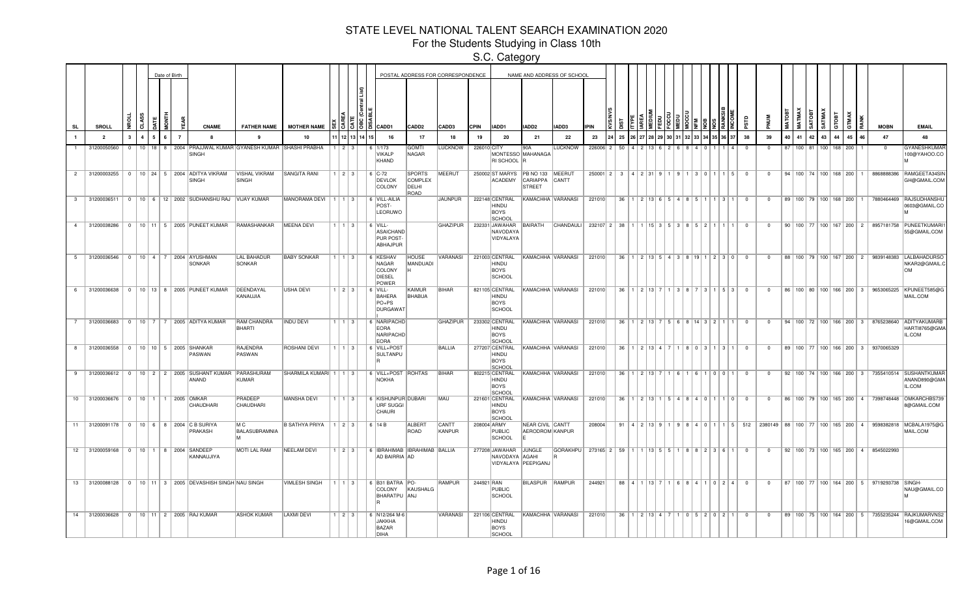For the Students Studying in Class 10th

|                |                                              |              |    |    | Date of Birth |                |                                                                |                                 |                           |                        |                    |                                                        |                                           | POSTAL ADDRESS FOR CORRESPONDENCE |             |                                                        |                                            | NAME AND ADDRESS OF SCHOOL |                                                           |                               |                                                    |  |     |                     |     |                               |                         |                                                                                 |    |              |                                 |                       |     |                                       |                                                           |                                                                                            |
|----------------|----------------------------------------------|--------------|----|----|---------------|----------------|----------------------------------------------------------------|---------------------------------|---------------------------|------------------------|--------------------|--------------------------------------------------------|-------------------------------------------|-----------------------------------|-------------|--------------------------------------------------------|--------------------------------------------|----------------------------|-----------------------------------------------------------|-------------------------------|----------------------------------------------------|--|-----|---------------------|-----|-------------------------------|-------------------------|---------------------------------------------------------------------------------|----|--------------|---------------------------------|-----------------------|-----|---------------------------------------|-----------------------------------------------------------|--------------------------------------------------------------------------------------------|
| <b>SL</b>      | SROLL                                        |              | ते |    |               | 5              | <b>CNAME</b>                                                   | <b>FATHER NAME</b>              | <b>MOTHER NAME</b>        |                        | <u>្រឡេឌីន្</u> រៃ | CADD1                                                  | CADD <sub>2</sub>                         | CADD3                             | <b>CPIN</b> | IADD1                                                  | IADD2                                      | IADD3                      | <b>IPIN</b>                                               |                               |                                                    |  |     |                     |     |                               | 5                       |                                                                                 |    | <b>MATMA</b> | <b>SATOB</b>                    | <b>SATMA</b><br>GTOBT |     | RAN                                   | <b>MOBN</b>                                               | <b>EMAIL</b>                                                                               |
|                | $\overline{2}$                               | $\mathbf{3}$ | 4  |    |               | $\overline{7}$ |                                                                |                                 | 10                        |                        | 12 13 14 15        | 16                                                     | 17                                        | 18                                | 19          | 20                                                     | 21                                         | 22                         | 23                                                        | 25                            |                                                    |  |     |                     |     |                               | 38                      | 39                                                                              | 40 | 41           | 42                              | 43                    | 44  | 45                                    | 47                                                        | 48                                                                                         |
|                | 31200050560                                  |              |    | 18 |               |                | 8   2004   PRAJJWAL KUMAR GYANESH KUMAR SHASHI PRABHA<br>SINGH |                                 |                           |                        |                    | 1/173<br>VIKALP<br>KHAND                               | <b>GOMTI</b><br>NAGAR                     | <b>LUCKNOW</b>                    | 226010 CITY | RI SCHOOL R                                            | 90A<br>MONTESSO MAHANAGA                   | <b>LUCKNOW</b>             | 226006 2                                                  |                               |                                                    |  |     |                     |     |                               |                         |                                                                                 |    | $100$   81   |                                 |                       | 168 | 200                                   |                                                           | GYANESHKUMA<br>100@YAHOO.CO                                                                |
| $2^{\circ}$    | 31200003255                                  |              |    |    |               |                | 0   10   24   5   2004   ADITYA VIKRAM<br><b>SINGH</b>         | VISHAL VIKRAM<br>SINGH          | SANGITA RANI              | 1   2   3              |                    | $6$ C-72<br><b>DEVLOK</b><br>COLONY                    | SPORTS<br><b>COMPLEX</b><br>DELHI<br>ROAD | MEERUT                            |             | 250002 ST MARYS PB NO 133 MEERUT<br><b>ACADEMY</b>     | CARIAPPA CANTT<br><b>STREET</b>            |                            |                                                           | $250001$   2   3   4   2   31 |                                                    |  |     |                     |     | 301115                        | $\overline{\mathbf{0}}$ | $^{\circ}$                                                                      |    |              | 94   100   74   100   168   200 |                       |     |                                       | 8868888386                                                | RAMGEETA34SIN<br>GH@GMAIL.COM                                                              |
| 3 <sup>3</sup> | 31200036511                                  |              |    |    |               |                | 0   10   6   12   2002   SUDHANSHU RAJ   VIJAY KUMAR           |                                 | MANORAMA DEVI   1   1   3 |                        |                    | 6 VILL-AILIA<br>POST-<br>LEORUWO                       |                                           | JAUNPUR                           |             | 222148 CENTRAL<br>HINDU<br><b>BOYS</b><br>SCHOOL       |                                            | KAMACHHA VARANASI          | 221010                                                    | 36                            | $12$ 13 6 5 4                                      |  |     | 81511               | 113 |                               | $^{\circ}$              | $^{\circ}$                                                                      |    |              |                                 |                       |     | 89   100   79   100   168   200   1   |                                                           | 7880464469 RAJSUDHANSHU<br>0603@GMAIL.CO                                                   |
| $\overline{4}$ | 31200038286                                  |              |    |    |               |                | 0   10   11   5   2005   PUNEET KUMAR   RAMASHANKAR            |                                 | MEENA DEVI                | $1$   1   3            |                    | $6$ VILL-<br>ASAICHAND<br>PUR POST-<br>ABHAJPUR        |                                           | GHAZIPUR                          |             | 232331 JAWAHAR<br>NAVODAYA<br>VIDYALAYA                |                                            | BAIRATH CHANDAULI          | 232107 2 38 1 1 1 1 1 1 5   3   5   3   8   5   2   1   1 |                               |                                                    |  |     |                     |     |                               | $\Omega$                | $\Omega$                                                                        |    |              |                                 |                       |     |                                       |                                                           | 90   100   77   100   167   200   2   8957181758   PUNEETKUMARI<br>55@GMAIL.COM            |
| 5              | 31200036546                                  |              |    |    |               |                | 0   10   4   7   2004   AYUSHMAN<br>SONKAR                     | <b>LAL BAHADUR</b><br>SONKAR    | <b>BABY SONKAR</b>        | $1 \mid 1 \mid 3 \mid$ |                    | 6 KESHAV<br>NAGAR<br>COLONY<br><b>DIESEL</b><br>POWER  | <b>HOUSE</b><br>MANDUADI                  | VARANASI                          |             | 221003 CENTRAL<br><b>HINDU</b><br>BOYS<br>SCHOOL       |                                            | KAMACHHA VARANASI          | 221010                                                    | 36                            |                                                    |  |     |                     |     | 1 2 13 5 4 3 8 19 1 2 3 0     | $\overline{\mathbf{0}}$ | $\Omega$                                                                        |    |              |                                 |                       |     | 88   100   79   100   167   200   2   |                                                           | 9839148383 LALBAHADURSO<br>NKAR2@GMAIL.0<br>∣OM                                            |
|                |                                              |              |    |    |               |                | 6 31200036638 0 10 13 8 2005 PUNEET KUMAR                      | DEENDAYAL<br>KANAUJIA           | <b>USHA DEVI</b>          | 123                    |                    | 6   VILL<br>BAHERA<br>$PO+PS$<br>DURGAWAT              | KAIMUR<br>BHABUA                          | BIHAR                             |             | 821105 CENTRAL<br>HINDU<br>BOYS<br>SCHOOL              |                                            | KAMACHHA VARANASI          | 221010                                                    |                               | $36$   1   2   13   7                              |  | IЯ. |                     |     | 3   1   5   3                 | $\Omega$                | $\Omega$                                                                        |    |              |                                 |                       |     |                                       |                                                           | 86   100   80   100   166   200   3   9653065225   KPUNEET585@G<br>MAIL.COM                |
| 7              | 31200036683                                  |              |    |    |               |                | 0   10   7   7   2005   ADITYA KUMAR                           | RAM CHANDRA<br>BHARTI           | <b>INDU DEVI</b>          | $1 \mid 1 \mid 3 \mid$ |                    | 6 NARIPACHD<br><b>EORA</b><br>NARIPACHD<br><b>EORA</b> |                                           | GHAZIPUR                          |             | 233302 CENTRAL<br>HINDU<br><b>BOYS</b><br><b>SCHOO</b> |                                            | KAMACHHA VARANASI          | 221010                                                    |                               | $36$   1   2   13   7   5   6   8   14   3   2   1 |  |     |                     |     |                               | $\Omega$                | $\Omega$                                                                        |    |              |                                 |                       |     |                                       |                                                           | 94   100   72   100   166   200   3   8765238640   ADITYAKUMARB<br>HARTI8765@GMA<br>IL.COM |
| 8              | 31200036558                                  |              |    |    |               |                | 0   10   10   5   2005   SHANKAR<br>PASWAN                     | RAJENDRA<br>PASWAN              | ROSHANI DEVI              | $1 \mid 1 \mid 3 \mid$ |                    | 6 VILL+POST<br>SULTANPU                                |                                           | <b>BALLIA</b>                     |             | 277207 CENTRAL<br>HINDU<br><b>BOYS</b><br>SCHOOL       |                                            | KAMACHHA VARANASI          | 221010                                                    |                               | $36$   1   2   13   4   7                          |  |     | 8   0   3   1   3   |     |                               | $\Omega$                | $\Omega$                                                                        |    |              |                                 |                       |     | 89   100   77   100   166   200   3   | 9370065329                                                |                                                                                            |
| 9              | 31200036612                                  |              |    |    |               |                | 0   10   2   2   2005   SUSHANT KUMAR   PARASHURAM<br>ANAND    | KUMAR                           | SHARMILA KUMARI 1 1 3     |                        |                    | 6 VILL+POST ROHTAS<br>NOKHA                            |                                           | BIHAR                             |             | 802215 CENTRAL<br>HINDU<br>BOYS<br>SCHOOL              |                                            | KAMACHHA VARANASI          | 221010                                                    |                               | $36$   1   2   13   7                              |  |     | 161101011           |     |                               | $^{\circ}$              | $^{\circ}$                                                                      |    |              |                                 |                       |     | $92$   100   74   100   166   200   3 |                                                           | 7355410514 SUSHANTKUMAF<br>ANAND890@GMA<br>IL.COM                                          |
|                | 10 31200036676   0   10   1   1   2005 OMKAR |              |    |    |               |                | CHAUDHARI                                                      | PRADEEP<br>CHAUDHARI            | <b>MANSHA DEVI</b>        | 11131                  |                    | 6 KISHUNPUR DUBARI<br>URF SUGGI<br>CHAURI              |                                           | MAU                               |             | 221601 CENTRAL<br>HINDU<br>BOYS<br>SCHOOL              |                                            | KAMACHHA VARANASI          | 221010                                                    |                               |                                                    |  |     |                     |     | 36 1 2 13 1 5 4 8 4 0 1 1 0   | $\overline{\mathbf{0}}$ | $^{\circ}$                                                                      |    |              |                                 |                       |     |                                       |                                                           | 86   100   79   100   165   200   4   7398748448   OMKARCHBS739<br>8@GMAIL.COM             |
| 11             |                                              |              |    |    |               |                | 31200091178 0 10 6 8 2004 C B SURIYA<br>PRAKASH                | M <sup>C</sup><br>BALASUBRAMNIA | <b>B SATHYA PRIYA</b>     | $1 \mid 2 \mid 3 \mid$ |                    | 6 14 B                                                 | <b>ALBERT</b><br>ROAD                     | CANTT<br>KANPUR                   |             | 208004 ARMY<br>PUBLIC<br>SCHOOL                        | <b>NEAR CIVIL CANTT</b><br>AERODROM KANPUR |                            | 208004                                                    |                               | 91   4   2   13   9                                |  |     |                     |     |                               |                         | 9   8   4   0   1   1   5   512   2380149   88   100   77   100   165   200   4 |    |              |                                 |                       |     |                                       | 9598382818                                                | MCBALA1975@G<br>MAIL.COM                                                                   |
|                | 12 31200059168                               |              |    |    |               |                | 0   10   1   8   2004   SANDEEP<br>KANNAUJIYA                  | MOTI LAL RAM                    | NEELAM DEVI               | $1 \mid 2 \mid 3 \mid$ |                    | 6   IBRAHIMAB   IBRAHIMAB   BALLIA<br>AD BAIRRIA AD    |                                           |                                   |             | 277208 JAWAHAR<br>NAVODAYA AGAHI                       | JUNGLE<br>VIDYALAYA PEEPIGANJ              | GORAKHPU                   | 273165 2 59                                               |                               | 113555                                             |  |     | $R R 2 1 2 1 3 1 6$ |     |                               | $\Omega$                | $\Omega$                                                                        |    |              |                                 |                       |     | 92   100   73   100   165   200   4   | 8545022993                                                |                                                                                            |
|                | 13 31200088128                               |              |    |    |               |                | 0   10   11   3   2005   DEVASHISH SINGH NAU SINGH             |                                 | <b>VIMLESH SINGH</b>      | 1 1 1 3 1              |                    | 6 B31 BATRA PO-<br>COLONY<br>BHARATPU ANJ              | KAUSHALG                                  | RAMPUR                            | 244921 RAN  | <b>PUBLIC</b><br>SCHOOL                                | BILASPUR RAMPUR                            |                            | 244921                                                    |                               | $88$   4   1   13   7                              |  |     |                     |     | 1   6   8   4   1   0   2   4 | $\Omega$                | $^{\circ}$                                                                      |    |              |                                 |                       |     |                                       | 87   100   77   100   164   200   5   9719293738   SINGH- | NAU@GMAIL.CO                                                                               |
| 14             |                                              |              |    |    |               |                | 31200036628   0   10   11   2   2005   RAJ KUMAR               | <b>ASHOK KUMAR</b>              | <b>LAXMI DEVI</b>         | $1 \mid 2 \mid 3 \mid$ |                    | 6 N12/264 M-6<br><b>JAKKHA</b><br>BAZAR<br><b>DIHA</b> |                                           | VARANASI                          |             | 221106 CENTRAL<br>HINDU<br><b>BOYS</b><br><b>SCHOO</b> |                                            | KAMACHHA VARANASI          | 221010                                                    | 36                            | $1$   2   13   4                                   |  |     | 0 5 2 0 2           |     |                               | $\Omega$                | $\Omega$                                                                        |    |              |                                 |                       |     | 89   100   75   100   164   200   5   |                                                           | 7355235244 RAJKUMARVNS2<br>16@GMAIL.COM                                                    |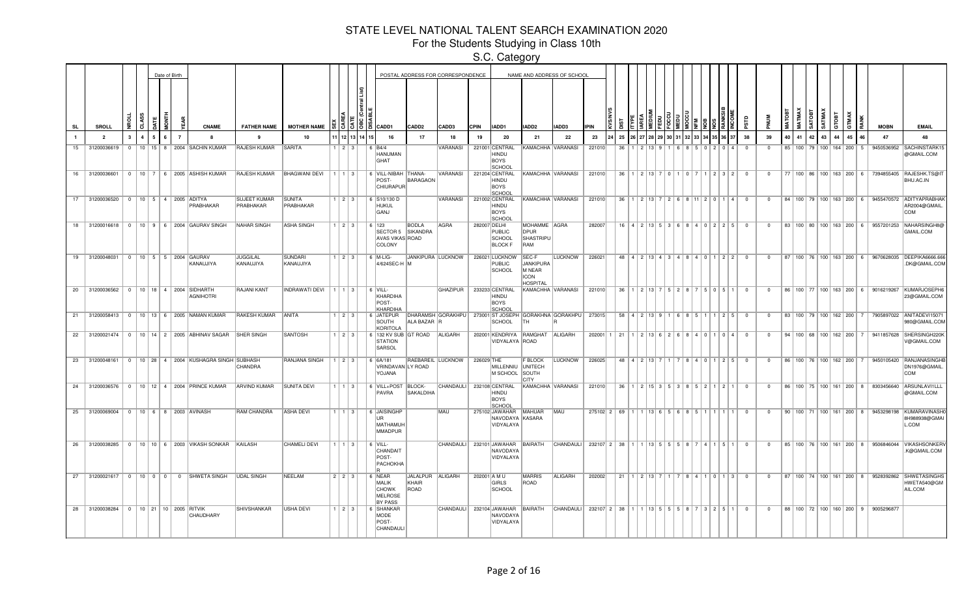For the Students Studying in Class 10th

|                |                                               |              |  | Date of Birth  |                                                                |                                  |                             |                                     |       |               |                                                                            |                                   | POSTAL ADDRESS FOR CORRESPONDENCE |             |                                                         |                                                                | NAME AND ADDRESS OF SCHOOL                                  |                                        |    |                                       |  |  |                                                                                   |                            |              |    |               |                         |                |                                     |                                     |                                                  |                                                                                         |
|----------------|-----------------------------------------------|--------------|--|----------------|----------------------------------------------------------------|----------------------------------|-----------------------------|-------------------------------------|-------|---------------|----------------------------------------------------------------------------|-----------------------------------|-----------------------------------|-------------|---------------------------------------------------------|----------------------------------------------------------------|-------------------------------------------------------------|----------------------------------------|----|---------------------------------------|--|--|-----------------------------------------------------------------------------------|----------------------------|--------------|----|---------------|-------------------------|----------------|-------------------------------------|-------------------------------------|--------------------------------------------------|-----------------------------------------------------------------------------------------|
| <b>SL</b>      | SROLL                                         | ÷.           |  |                | <b>CNAME</b>                                                   | <b>FATHER NAME</b>               | <b>MOTHER NAME</b>          |                                     |       | 3 13 13 13    | CADD1                                                                      | CADD2                             | CADD3                             | <b>CPIN</b> | IADD1                                                   | IADD2                                                          | <b>IADD3</b>                                                | <b>IPIN</b>                            |    |                                       |  |  |                                                                                   |                            |              |    | MATMAX        | SATMAX<br><b>SATOBT</b> | атовт          | <b>XAM</b>                          |                                     | <b>MOBN</b>                                      | <b>EMAIL</b>                                                                            |
| $\blacksquare$ | $\overline{\phantom{a}}$                      | $\mathbf{3}$ |  | $\overline{7}$ | $\mathbf{a}$                                                   | $\mathbf{q}$                     | 10                          |                                     |       | 1 12 13 14 15 | 16                                                                         | 17                                | 18                                | 19          | 20                                                      | 21                                                             | 22                                                          | 23                                     | 25 |                                       |  |  |                                                                                   | 38                         | 39           | 40 | 41            | 42<br>43                | $\overline{a}$ | 45                                  | 46                                  | 47                                               | 48                                                                                      |
| 15             | 31200036619                                   | $\Omega$     |  |                | 10   15   8   2004   SACHIN KUMAR                              | <b>RAJESH KUMAR</b>              | SARITA                      |                                     | 12131 |               | 6 B4/4<br><b>HANUMAN</b><br>GHAT                                           |                                   | VARANASI                          |             | 221001 CENTRAL<br>HINDU<br><b>BOYS</b><br><b>SCHOOL</b> |                                                                | KAMACHHA VARANASI                                           | 221010                                 | 36 |                                       |  |  |                                                                                   | - 0                        | $\Omega$     |    | 85   100   79 |                         |                | 100   164   200                     | -5                                  | 9450536952                                       | SACHINSTARK15<br>@GMAIL.COM                                                             |
| 16             |                                               |              |  |                | 31200036601   0   10   7   6   2005 ASHISH KUMAR               | <b>RAJESH KUMAR</b>              | <b>BHAGWANI DEVI</b>        | 111131                              |       |               | 6 VILL-NIBAH THANA-<br>POST-<br>CHIURAPUR                                  | BARAGAON                          | VARANASI                          |             | 221204 CENTRAL<br>HINDU<br>BOYS<br>SCHOOL               |                                                                | KAMACHHA VARANASI                                           | 221010                                 | 36 | 1 2 13 7 0                            |  |  | $1 \mid 2 \mid 3 \mid 2 \mid$                                                     | $\overline{0}$             | $^{\circ}$   |    |               |                         |                |                                     | 77   100   86   100   163   200   6 |                                                  | 7394855405 RAJESHK.TS@IT<br>BHU.AC.IN                                                   |
|                | 17 31200036520   0   10   5   4   2005 ADITYA |              |  |                | PRABHAKAR                                                      | <b>SUJEET KUMAR</b><br>PRABHAKAR | SUNITA<br>PRABHAKAR         | $1 \mid 2 \mid 3 \mid$              |       |               | 6 S10/130 D<br>HUKUL<br>GANJ                                               |                                   | VARANASI                          |             | 221002 CENTRAL<br>HINDU<br><b>BOYS</b><br><b>SCHOOL</b> |                                                                | KAMACHHA VARANASI                                           | 221010                                 | 36 |                                       |  |  | 811120114                                                                         | $\overline{0}$             | $\mathbf{0}$ |    |               |                         |                |                                     |                                     |                                                  | 84   100   79   100   163   200   6   9455470572   ADITYAPRABHAI<br>AR2004@GMAIL<br>COM |
| 18             |                                               |              |  |                | 31200016618 0 10 9 6 2004 GAURAV SINGH                         | <b>NAHAR SINGH</b>               | <b>ASHA SINGH</b>           | $1$   2   3                         |       |               | 6123<br>SECTOR 5 SIKANDRA<br>AVAS VIKAS ROAD<br>COLONY                     | <b>BODLA</b>                      | <b>AGRA</b>                       |             | 282007 DELHI<br>PUBLIC<br>SCHOOL<br><b>BLOCK F</b>      | MOHAMME AGRA<br>DPUR<br>SHASTRIPU<br>RAM                       |                                                             | 282007                                 |    |                                       |  |  | 16 4 2 13 5 3 6 8 4 0 2 2 5                                                       | $\Omega$                   | $\Omega$     |    |               |                         |                |                                     |                                     |                                                  | 83   100   80   100   163   200   6   9557201253   NAHARSINGH8@<br>GMAIL.COM            |
|                | 19 31200048031 0 10 5 5 2004 GAURAV           |              |  |                | KANAUJIYA                                                      | <b>JUGGILAL</b><br>KANAUJIYA     | <b>SUNDARI</b><br>KANAUJIYA | $1 \ 2 \ 3$                         |       |               | $6$ M-LIG-<br>4/624SEC-H M                                                 |                                   | JANKIPURA LUCKNOW                 |             | 226021 LUCKNOW<br><b>PUBLIC</b><br>SCHOOL               | SEC-F<br>JANKIPURA<br>M NEAR<br><b>ICON</b><br><b>HOSPITAL</b> | <b>LUCKNOW</b>                                              | 226021                                 |    |                                       |  |  | 48 4 2 13 4 3 4 8 4 0 1 2 2                                                       | $\Omega$                   | $\mathbf{0}$ |    |               |                         |                |                                     |                                     | 87   100   76   100   163   200   6   9670628035 | <b>DEEPIKA6666.66</b><br>.DK@GMAIL.COM                                                  |
|                | 20 31200036562 0 10 18 4 2004 SIDHARTH        |              |  |                | <b>AGNIHOTRI</b>                                               | <b>RAJANI KANT</b>               | INDRAWATI DEVI   1   1   3  |                                     |       |               | $  6$ VILL-<br>KHARDIHA<br>POST-<br>KHARDIHA                               |                                   | GHAZIPUR                          |             | 233233 CENTRAL<br>HINDU<br><b>BOYS</b><br>SCHOOL        |                                                                | KAMACHHA VARANASI                                           | 221010                                 |    | $36$   1   2   13   7   5   2   8   7 |  |  | $5051$                                                                            | $\overline{0}$             | $\mathbf{0}$ |    |               |                         |                |                                     |                                     | 86 100 77 100 163 200 6 9016219267               | KUMARJOSEPH6<br>23@GMAIL.COM                                                            |
|                |                                               |              |  |                | 21 31200058413 0 10 13 6 2005 NAMAN KUMAR                      | <b>RAKESH KUMAR</b>              | <b>ANITA</b>                | $1 \mid 2 \mid 3 \mid$              |       |               | 6 JATEPUR<br>SOUTH<br>KORITOLA                                             | ALA BAZAR R                       |                                   |             | <b>SCHOOL</b>                                           | TH                                                             | DHARAMSH GORAKHPU 273001 ST JOSEPH GORAKHNA GORAKHPU 273015 |                                        |    |                                       |  |  | $58$   4   2   13   9   1   6   8   5   1   1   2   5                             | $\overline{0}$             | $^{\circ}$   |    |               |                         |                |                                     | 83   100   79   100   162   200   7 |                                                  | 7905897022 ANITADEVI15071<br>980@GMAIL.COM                                              |
|                |                                               |              |  |                | 22 31200021474 0 10 14 2 2005 ABHINAV SAGAR                    | <b>SHER SINGH</b>                | <b>SANTOSH</b>              | $1$   2   3                         |       |               | 6   132 KV SUB   GT ROAD<br><b>STATION</b><br>SARSOL                       |                                   | ALIGARH                           |             | VIDYALAYA ROAD                                          | 202001 KENDRIYA RAMGHAT ALIGARH                                |                                                             | 202001                                 |    |                                       |  |  | 21   1   2   13   6   2   6   8   4   0   1   0   4                               | $\Omega$                   | $\mathbf{0}$ |    |               |                         |                | 94   100   68   100   162   200     |                                     |                                                  | 9411857628 SHERSINGH220<br>V@GMAIL.COM                                                  |
|                |                                               |              |  |                | 23 31200048161   0   10   28   4   2004 KUSHAGRA SINGH SUBHASH | CHANDRA                          | RANJANA SINGH               | 1   2   3                           |       |               | 6 6A/181<br>VRINDAVAN LY ROAD<br>YOJANA                                    |                                   | RAEBAREIL LUCKNOW                 | 226029 THE  | MILLENNIU UNITECH<br>M SCHOOL                           | F BLOCK<br>SOUTH<br>CITY                                       | LUCKNOW                                                     | 226025                                 |    |                                       |  |  | 48 4 2 13 7 1 7 8 4 0 1 2 5                                                       | $\Omega$                   | $\Omega$     |    |               |                         |                | 86   100   76   100   162   200     |                                     | 9450105420                                       | RANJANASINGH<br>DN1976@GMAIL<br>COM                                                     |
| 24             |                                               |              |  |                | 31200036576   0   10   12   4   2004   PRINCE KUMAR            | <b>ARVIND KUMAR</b>              | <b>SUNITA DEVI</b>          | $1 \mid 1 \mid 3 \mid$<br>$1$ 1 $3$ |       |               | 6 VILL+POST<br>PAVRA                                                       | BLOCK-<br><b>SAKALDIHA</b>        | CHANDAULI<br>MAU                  |             | 232108 CENTRAL<br><b>HINDU</b><br>BOYS<br><b>SCHOOL</b> | KAMACHHA VARANASI                                              |                                                             | 221010                                 | 36 | 1136556                               |  |  | $1 \mid 2 \mid 15 \mid 3 \mid 5 \mid 3 \mid 8 \mid 5 \mid 2 \mid 1 \mid 2 \mid 1$ | $\overline{0}$<br>$\Omega$ | $\Omega$     |    |               |                         |                | 86   100   75   100   161   200   8 |                                     | 8303456640                                       | ARSUNLAVI1LLL<br>@GMAIL.COM                                                             |
|                | 25 31200069004 0 10 6 8 2003 AVINASH          |              |  |                |                                                                | RAM CHANDRA                      | <b>ASHA DEVI</b>            |                                     |       |               | 6 JAISINGHP<br>lur.<br>MATHAMUH<br>MMADPUR                                 |                                   |                                   |             | 275102 JAWAHAR MAHUAR<br>NAVODAYA KASARA<br>VIDYALAYA   |                                                                | MAU                                                         | $275102$ 2 69                          |    |                                       |  |  |                                                                                   |                            | $\Omega$     |    |               |                         |                |                                     | 90   100   71   100   161   200   8 | 9453298198                                       | KUMARAVINASH<br>8H988938@GMAI<br>L.COM                                                  |
|                |                                               |              |  |                | 26 31200038285 0 10 10 6 2003 VIKASH SONKAR                    | KAILASH                          | <b>CHAMELI DEVI</b>         | $1$   1   3                         |       |               | 6 VILL-<br>CHANDAIT<br>POST-<br>PACHOKHA                                   |                                   | CHANDAULI                         |             | 232101 JAWAHAR<br>NAVODAYA<br>VIDYALAYA                 | BAIRATH                                                        | CHANDAULI                                                   | 232107 2 38                            |    | 1 1 1 3 5 5 5 5 6 8                   |  |  | 4   1   5   1                                                                     | $\Omega$                   | $\Omega$     |    |               |                         |                |                                     |                                     | 85   100   76   100   161   200   8   9506846044 | <b>VIKASHSONKER</b><br>K@GMAIL.COM                                                      |
| 27             | $31200021617$ 0 10 0 0                        |              |  |                | 0 SHWETA SINGH                                                 | <b>UDAL SINGH</b>                | <b>NEELAM</b>               | $2$   $2$   $3$                     |       |               | 6 NEAR<br><b>MALIK</b><br><b>CHOWK</b><br><b>MELROSE</b><br><b>BY PASS</b> | JALALPUR ALIGARH<br>KHAIR<br>ROAD |                                   |             | 202001 A M U<br>GIRLS<br>SCHOOL                         | <b>MARRIS</b><br>ROAD                                          | ALIGARH                                                     | 202002                                 | 21 | 1 2 13 7                              |  |  | 4 1 0 1 3                                                                         | $\Omega$                   | $\Omega$     |    |               |                         |                | 87   100   74   100   161   200   8 |                                     |                                                  | 9528392862 SHWETASINGHS<br>HWETA540@GM<br>AIL.COM                                       |
|                | 28 31200038284 0 10 21 10 2005 RITVIK         |              |  |                | <b>CHAUDHARY</b>                                               | <b>SHIVSHANKAR</b>               | <b>USHA DEVI</b>            | $1 \t2 \t3$                         |       |               | 6 SHANKAR<br><b>MODE</b><br>POST-<br>CHANDAULI                             |                                   | <b>CHANDAULI</b>                  |             | 232104 JAWAHAR<br>NAVODAYA<br>VIDYALAYA                 | BAIRATH                                                        | CHANDAULI                                                   | 232107 2 38 1 1 1 13 5 5 5 8 7 3 2 5 1 |    |                                       |  |  |                                                                                   | $\Omega$                   | $\Omega$     |    |               |                         |                |                                     | 88 100 72 100 160 200 9             | 9005296877                                       |                                                                                         |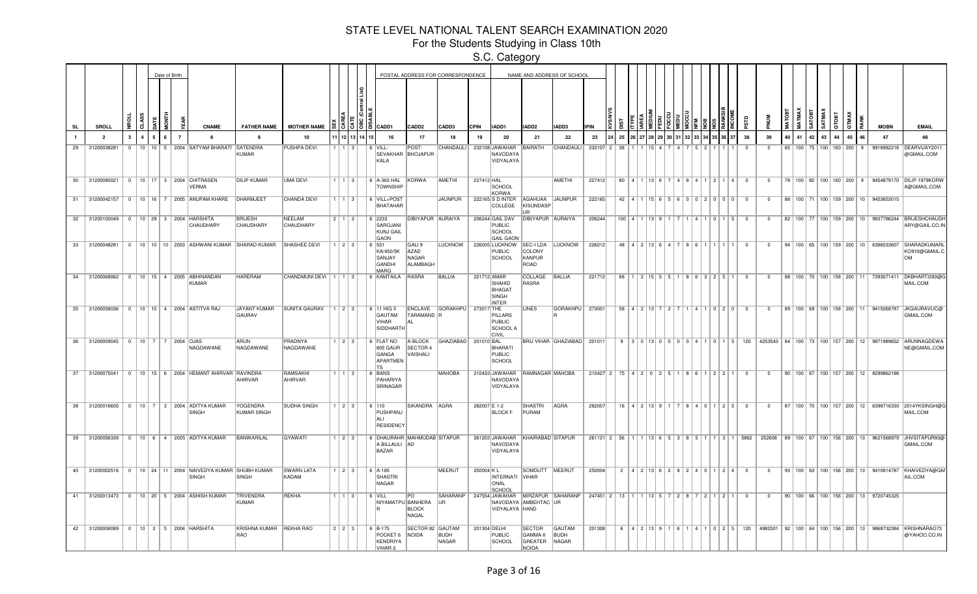For the Students Studying in Class 10th

|           |                                                     |                |  | Date of Birth  |                                                                      |                                                           |                            |                        |           |            |                                                                       |                                     | POSTAL ADDRESS FOR CORRESPONDENCE |              |                                                          |                                                      | NAME AND ADDRESS OF SCHOOL            |             |                                     |                  |                               |  |                                                           |                         |                |       |                       |                        |       |    |                                                   |                                                                                                          |
|-----------|-----------------------------------------------------|----------------|--|----------------|----------------------------------------------------------------------|-----------------------------------------------------------|----------------------------|------------------------|-----------|------------|-----------------------------------------------------------------------|-------------------------------------|-----------------------------------|--------------|----------------------------------------------------------|------------------------------------------------------|---------------------------------------|-------------|-------------------------------------|------------------|-------------------------------|--|-----------------------------------------------------------|-------------------------|----------------|-------|-----------------------|------------------------|-------|----|---------------------------------------------------|----------------------------------------------------------------------------------------------------------|
| <b>SL</b> | <b>SROLL</b>                                        | Š              |  |                | <b>CNAME</b>                                                         | <b>FATHER NAME</b>                                        | <b>MOTHER NAME</b>         |                        |           | 종 [종 ]종 [종 | CADD1                                                                 | CADD <sub>2</sub>                   | CADD3                             | <b>CPIN</b>  | IADD1                                                    | IADD2                                                | <b>IADD3</b>                          | <b>IPIN</b> |                                     |                  |                               |  |                                                           |                         |                | MATOB | <b>MATMAX</b>         | SATMAX<br><b>ROLVS</b> | атовт |    | <b>MOBN</b>                                       | <b>EMAIL</b>                                                                                             |
|           | $\overline{2}$                                      |                |  | $\overline{7}$ |                                                                      | 9                                                         | 10                         |                        |           | 12 13 14 1 | 16                                                                    | 17                                  | 18                                | 19           | 20                                                       | 21                                                   | 22                                    | 23          | 25                                  |                  |                               |  |                                                           | 38                      | 39             | 40    | 41                    | 42<br>43               | 44    | 45 | 47                                                | 48                                                                                                       |
| 29        | 31200038281                                         | $\overline{0}$ |  |                | 10   10   5   2004   SATYAM BHARATI SATENDRA                         | <b>KUMAR</b>                                              | <b>PUSHPA DEVI</b>         |                        | l 3 l     |            | $\kappa$<br>VILL-<br>SEVAKHAR BHOJAPUR<br>KALA                        | POST-                               | CHANDAULI                         |              | 232108 JAWAHAR<br>NAVODAYA<br>VIDYALAYA                  | BAIRATH                                              | CHANDAULI                             | 232107 2    | 38                                  |                  |                               |  |                                                           | $^{\circ}$              | $^{\circ}$     |       | 85 100 75 100 160 200 |                        |       |    | 9918982218                                        | DEARVIJAY201<br>@GMAIL.COM                                                                               |
|           | 30   31200080021   0   10   17   3   2004 CHITRASEN |                |  |                | <b>VERMA</b>                                                         | <b>DILIP KUMAR</b>                                        | <b>UMA DEVI</b>            | $1 \mid 1 \mid 3 \mid$ |           |            | 6 A-363 HAL KORWA<br><b>TOWNSHIP</b>                                  |                                     | AMETHI                            | 227412 HAL   | SCHOOL<br>KORWA                                          |                                                      | AMETHI                                | 227412      |                                     |                  |                               |  | $80   4   1   13   6   7   4   8   4   1   2   1   4   0$ |                         | $\overline{0}$ |       |                       |                        |       |    |                                                   | 78   100   82   100   160   200   9   9454879170   DILIP.1979KORW<br>A@GMAIL.COM                         |
|           |                                                     |                |  |                | 31   31200042157   0   10   16   7   2005   ANUPAM KHARE   DHARMJEET |                                                           | CHANDA DEVI                | 1   1   3              |           |            | 6 VILL+POST<br>BHATAHAR                                               |                                     | JAUNPUR                           |              | 222165 S D INTER<br>COLLEGE                              | AGAHUAA JAUNPUR<br>KISUNDASP<br>I IR                 |                                       | 222165      |                                     |                  |                               |  | $42$   4   1   15   6   5   6   0   0   2   0   0   0     | $\overline{\mathbf{0}}$ | $\mathbf{0}$   |       |                       |                        |       |    | 88   100   71   100   159   200   10   9453653015 |                                                                                                          |
|           | 32 31200100049 0 10 29 3 2004 HARSHITA              |                |  |                | CHAUDHARY                                                            | <b>BRIJESH</b><br>CHAUDHARY                               | NEELAM<br>CHAUDHARY        | $2 \mid 1 \mid 3 \mid$ |           |            | 6 2233<br>SAROJANI<br>KUNJ GAIL<br>GAON                               | DIBIYAPUR AURAIYA                   |                                   |              | 206244 GAIL DAV<br>PUBLIC<br>SCHOOL<br><b>GAIL GAON</b>  | DIBIYAPUR AURAIYA                                    |                                       | 206244      |                                     |                  | 100   4   1   13   9   1   7  |  | 4 1 0 1 5                                                 | $\overline{0}$          | $^{\circ}$     |       |                       |                        |       |    |                                                   | 82   100   77   100   159   200   10   9837786244   BRIJESHCHAUDH<br>ARY@GAIL.CO.IN                      |
|           |                                                     |                |  |                |                                                                      | 33 31200048281 0 10 10 10 2003 ASHWANI KUMAR SHARAD KUMAR | <b>SHASHEE DEVI</b>        | $1 \mid 2 \mid 3 \mid$ |           |            | 6 551<br>KA/450/5K<br>SANJAY<br>GANDHI<br>MARG                        | GALI 9<br>AZAD<br>NAGAR<br>ALAMBAGH | <b>LUCKNOW</b>                    |              | 226005 LUCKNOW<br><b>PUBLIC</b><br>SCHOOL                | COLONY<br>KANPUR<br>ROAD                             | SEC-I LDA LUCKNOW                     | 226012      |                                     |                  |                               |  | 48 4 2 13 6 4 7 8 6 1 1 1 1                               | $\overline{0}$          | $^{\circ}$     |       |                       |                        |       |    | 94 100 65 100 159 200 10 6386033607               | SHARADKUMARL<br>KO910@GMAIL.C<br>OM                                                                      |
| 34        | 31200068062 0                                       |                |  |                | 10   15   4   2005   ABHINANDAN<br>KUMAR                             | <b>HARERAM</b>                                            | CHANDMUNI DEVI   1   1   3 |                        |           |            | 6 KAMTAILA RASRA                                                      |                                     | <b>BALLIA</b>                     |              | 221712 AMAR<br>SHAHID<br>BHAGAT<br>SINGH<br><b>INTER</b> | COLLAGE<br><b>RASRA</b>                              | BALLIA                                | 221712      | 68                                  |                  |                               |  | $1 \ 2 \ 15 \ 5 \ 5 \ 1 \ 1 \ 8 \ 6 \ 3 \ 2 \ 5 \ 1$      | $\Omega$                | $\Omega$       |       |                       |                        |       |    | 88   100   70   100   158   200   11   7393071411 | DKBHARTI393@G<br>MAIL.COM                                                                                |
|           | 35 31200058036   0   10   10   4   2004 ASTITVA RAJ |                |  |                |                                                                      | JAYANT KUMAR<br>GAURAV                                    | SUNITA GAURAV   1   2   3  |                        |           |            | 6 11 HIG II<br>GAUTAM<br><b>VIHAR</b><br>SIDDHARTH                    | ENCLAVE<br>TARAMAND R               | GORAKHPU 273017 THE               |              | PILLARS<br>PUBLIC<br><b>SCHOOL A</b><br><b>CIVIL</b>     | LINES                                                | GORAKHPU   273001                     |             |                                     |                  | $58$   4   2   13   7   2   7 |  | 1   4   1   0   2   0                                     | $\overline{0}$          | $^{\circ}$     |       |                       |                        |       |    |                                                   | 89   100   69   100   158   200   11   9415068787   JKGAURAVLIC@<br>GMAIL.COM                            |
|           | 36 31200009045 0 10 7 7 2004 OJAS                   |                |  |                | NAGDAWANE                                                            | ARUN<br>NAGDAWANE                                         | PRADNYA<br>NAGDAWANE       | 1   2   3              |           |            | <b>FLAT NO</b><br>-6.<br>805 GAUR<br>GANGA<br>APARTMEN<br>TS          | A-BLOCK<br>SECTOR 4<br>VAISHALI     | GHAZIABAD   201010 BAL            |              | BHARATI<br>PUBLIC<br>SCHOOL                              |                                                      | BRIJ VIHAR GHAZIABAD   201011         |             |                                     |                  |                               |  |                                                           |                         |                |       |                       |                        |       |    |                                                   | 9 3 0 13 0 0 0 0 0 4 1 0 1 5 120 4253543 84 100 73 100 157 200 12 9871989652 ARUNNAGDEWA<br>NE@GMAIL.COM |
|           |                                                     |                |  |                | 37 31200075041   0   10   15   6   2004   HEMANT AHIRVAR   RAVINDRA  | AHIRVAR                                                   | RAMSAKHI<br>AHIRVAR        |                        | 1   1   3 |            | 6 BANS<br>PAHARIYA<br>SRINAGAR                                        |                                     | MAHOBA                            |              | 210433 JAWAHAR<br>NAVODAYA<br>VIDYALAYA                  | RAMNAGAR MAHOBA                                      |                                       |             | 210427 2 75 4 2 0 2 5 1 8 6 1 2 2 1 |                  |                               |  |                                                           | $\overline{0}$          | $^{\circ}$     |       |                       |                        |       |    | 90   100   67   100   157   200   12   8299862188 |                                                                                                          |
|           | 38 31200016605                                      |                |  |                | 0   10   7   3   2004   ADITYA KUMAR<br>SINGH                        | <b>YOGENDRA</b><br>KUMAR SINGH                            | <b>SUDHA SINGH</b>         |                        |           |            | $1 \mid 2 \mid 3 \mid$   6 110<br>PUSHPANJ<br>ALI<br><b>RESIDENCY</b> | SIKANDRA AGRA                       |                                   | 282007 E 1-2 | <b>BLOCK F</b>                                           | SHASTRI<br>PURAM                                     | AGRA                                  | 282007      |                                     |                  |                               |  | 16 4 2 13 9 1 7 8 4 0 1 2 5                               | $\overline{0}$          | $\overline{0}$ |       |                       |                        |       |    |                                                   | 87   100   70   100   157   200   12   6398716330   2014YKSINGH@C<br>MAIL.COM                            |
|           |                                                     |                |  |                | 39 31200056339 0 10 6 4 2005 ADITYA KUMAR                            | BANWARILAL                                                | GYAWATI                    | $1$   2   3            |           |            | 6 DHAURAHR MAHMUDAB SITAPUR<br>A BILLAULI AD<br>BAZAR                 |                                     |                                   |              | 261203 JAWAHAR<br>NAVODAYA<br>VIDYALAYA                  | KHAIRABAD SITAPUR                                    |                                       |             | 261131 2 56                         |                  |                               |  | 1 1 1 1 1 1 1   1   8   5   3   8   5   1   1   3   1     | 5862                    |                |       |                       |                        |       |    |                                                   | 252608 89 100 67 100 156 200 13 9621568979 JHVSITAPUR93@<br>GMAIL.COM                                    |
|           |                                                     |                |  |                | 40 31200002516 0 10 24 11 2004 NAIVEDYA KUMAR SHUBH KUMAR<br>SINGH   | SINGH                                                     | <b>SWARN LATA</b><br>KADAM | $1 \mid 2 \mid 3 \mid$ |           |            | $6$ $A-185$<br>SHASTRI<br>NAGAR                                       |                                     | <b>MEERUT</b>                     | 250004 KL    | INTERNATI VIHAR<br>ONAL<br><b>SCHOOL</b>                 | SOMDUTT MEERUT                                       |                                       | 250004      |                                     |                  |                               |  | $2   4   2   13   6   2   8   2   4   0   1   2   4  $    | $\overline{0}$          | $\mathbf{0}$   |       |                       |                        |       |    |                                                   | 93   100   63   100   156   200   13   9410814787   KHAIVEDYA@GM<br>AIL.COM                              |
| 41        |                                                     |                |  |                | 31200013473   0   10   20   5   2004 ASHISH KUMAR                    | <b>TRIVENDRA</b><br>KUMAR                                 | REKHA                      | $1$ $1$ $1$ $3$ $1$    |           |            | $6$ VILL<br>NIYAMATPU BANHERA                                         | lPO.<br><b>BLOCK</b><br>NAGAL       | SAHARANP<br><b>UR</b>             |              | VIDYALAYA HAND                                           | NAVODAYA AMBEHTAC UR                                 | 247554 JAWAHAR MIRZAPUR SAHARANP      |             | 247451   2   13                     |                  | $1$ 1 1 1 3 5 7 2             |  | 1211211                                                   | $\Omega$                | $^{\circ}$     |       |                       |                        |       |    | 90   100   66   100   156   200   13   9720745325 |                                                                                                          |
| 42        | 31200006089 0 10 3 5 2004 HARSHITA                  |                |  |                |                                                                      | KRISHNA KUMAR   REKHA RAO<br>RAO                          |                            | $2$   2   3            |           |            | 6 B-175<br>POCKET <sub>6</sub><br>KENDRIYA<br>VIHAR-2                 | SECTOR 82 GAUTAM<br>NOIDA           | <b>BUDH</b><br>NAGAR              | 201304 DELHI | <b>PUBLIC</b><br><b>SCHOOL</b>                           | <b>SECTOR</b><br>GAMMA-II<br>GREATER<br><b>NOIDA</b> | <b>GAUTAM</b><br><b>BUDH</b><br>NAGAR | 201308      |                                     | $4$   2   13   9 |                               |  | 4 1 0 2 5 120                                             |                         |                |       |                       |                        |       |    |                                                   | 4982501 92 100 64 100 156 200 13 9868732384 KRISHNARAO73<br>@YAHOO.CO.IN                                 |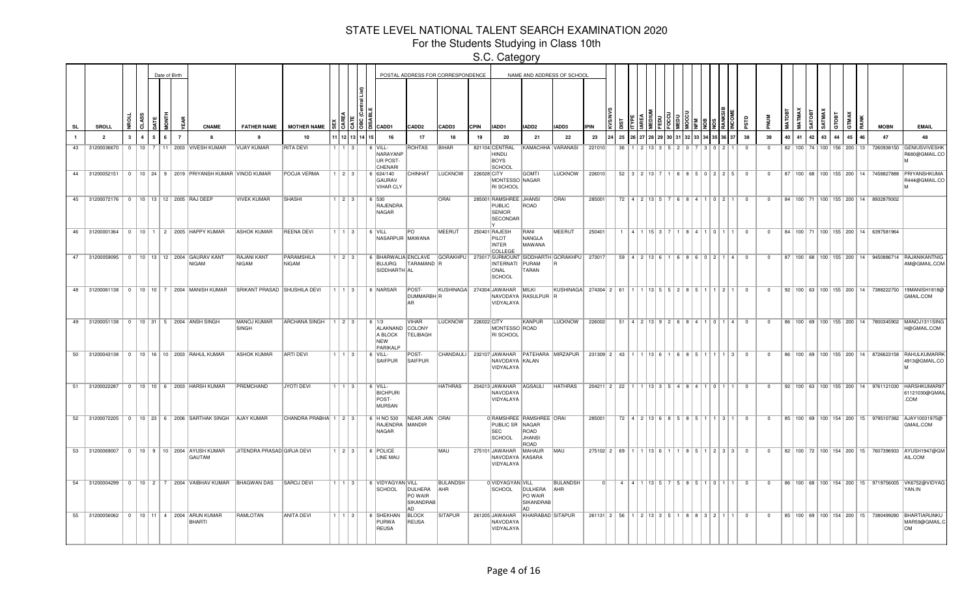For the Students Studying in Class 10th

|           |                         |              |              |                | Date of Birth |                |                                                                          |                                    |                            |                        |    |                                                                      |                                       | POSTAL ADDRESS FOR CORRESPONDENCE |             |                                                                         |                                       | NAME AND ADDRESS OF SCHOOL    |                                                            |    |                                               |  |                   |      |                               |                 |                         |                |    |                       |          |    |     |    |                                                   |                                                                                            |
|-----------|-------------------------|--------------|--------------|----------------|---------------|----------------|--------------------------------------------------------------------------|------------------------------------|----------------------------|------------------------|----|----------------------------------------------------------------------|---------------------------------------|-----------------------------------|-------------|-------------------------------------------------------------------------|---------------------------------------|-------------------------------|------------------------------------------------------------|----|-----------------------------------------------|--|-------------------|------|-------------------------------|-----------------|-------------------------|----------------|----|-----------------------|----------|----|-----|----|---------------------------------------------------|--------------------------------------------------------------------------------------------|
| <b>SL</b> | SROLL                   |              |              |                |               |                | <b>CNAME</b>                                                             | <b>FATHER NAME</b>                 | <b>MOTHER NAME</b>         |                        |    | <b>ট l ŏ l ä   CADD1</b>                                             | <b>CADD2</b>                          | CADD3                             | <b>CPIN</b> | IADD1                                                                   | IADD2                                 | IADD3                         | <b>PIN</b>                                                 |    |                                               |  |                   |      |                               |                 |                         |                |    | MATMA<br><b>SATOB</b> |          |    |     |    | <b>MOBN</b>                                       | <b>EMAIL</b>                                                                               |
|           | $\overline{\mathbf{2}}$ | $\mathbf{3}$ | $\mathbf{A}$ |                |               | $\overline{7}$ | 8                                                                        | $\mathbf{q}$                       | 10                         | 11213                  | 14 | 16                                                                   | 17                                    | 18                                | 19          | 20                                                                      | 21                                    | 22                            | 23                                                         | 25 |                                               |  |                   |      |                               |                 | 38                      | 39             | 40 | 41                    | 43<br>42 | 44 | 45  | 46 | 47                                                | 48                                                                                         |
| 43        | 31200036670             | $\Omega$     | $10^{-1}$    | $\overline{7}$ |               |                | 11   2003   VIVESH KUMAR                                                 | <b>VIJAY KUMAR</b>                 | <b>RITA DEVI</b>           | $1 \mid 3$             |    | 6 VILL-<br>NARAYANP<br>UR POST-<br>CHENARI                           | <b>ROHTAS</b>                         | <b>BIHAR</b>                      |             | 821104 CENTRAL<br>HINDU<br><b>BOYS</b><br>SCHOOL                        | KAMACHHA VARANASI                     |                               | 221010                                                     | 36 |                                               |  |                   |      |                               |                 | $\Omega$                |                |    | 82 100 74 100 156     |          |    | 200 | 13 | 7260938150                                        | <b>GENIUSVIVESHR</b><br>R680@GMAIL.CC                                                      |
|           |                         |              |              |                |               |                | 44   31200052151   0   10   24   9   2019   PRIYANSH KUMAR   VINOD KUMAR |                                    | POOJA VERMA                | $1 \mid 2 \mid 3 \mid$ |    | $\  6 \  624/140$<br>GAURAV<br>VIHAR CLY                             | CHINHAT                               | <b>LUCKNOW</b>                    | 226028 CITY | MONTESSO NAGAR<br><b>RI SCHOOL</b>                                      | <b>GOMTI</b>                          | <b>LUCKNOW</b>                | 226010                                                     |    | $52 \mid 3 \mid 2 \mid 13 \mid$               |  |                   |      | 1   6   8   5   0   2   2   5 |                 | $\overline{\mathbf{0}}$ | $\mathbf{0}$   |    |                       |          |    |     |    |                                                   | 87   100   68   100   155   200   14   7458827888   PRIYANSHKUMA<br>R444@GMAIL.CO          |
|           |                         |              |              |                |               |                | 45 31200072176 0 10 13 12 2005 RAJ DEEP                                  | <b>VIVEK KUMAR</b>                 | <b>SHASHI</b>              | $1 \ 2 \ 3$            |    | 6 530<br>RAJENDRA<br>NAGAR                                           |                                       | ORAI                              |             | 285001 RAMSHREE JHANSI<br>PUBLIC<br>SENIOR<br>SECONDAR                  | ROAD                                  | ORAI                          | 285001                                                     |    | 72   4   2   13   5                           |  |                   |      | 684110211                     |                 | $\overline{\mathbf{0}}$ | $^{\circ}$     |    |                       |          |    |     |    | 84   100   71   100   155   200   14   8932879302 |                                                                                            |
|           |                         |              |              |                |               |                | 46 31200001364 0 10 1 2 2005 HAPPY KUMAR                                 | <b>ASHOK KUMAR</b>                 | <b>REENA DEVI</b>          | 1113                   |    | 6 VILL<br>NASARPUR MAWANA                                            | lPO.                                  | <b>MEERUT</b>                     |             | 250401 RAJESH<br>PILOT<br><b>INTER</b><br><b>COLLEGE</b>                | RANI<br>NANGLA<br>MAWANA              | <b>MEERUT</b>                 | 250401                                                     |    | 1   15   3                                    |  |                   | 8410 |                               |                 | $\overline{0}$          | $\Omega$       |    |                       |          |    |     |    | 84   100   71   100   155   200   14   6397581964 |                                                                                            |
| 47        |                         |              |              |                |               |                | 31200059095 0 10 13 12 2004 GAURAV KANT<br>NIGAM                         | <b>RAJANI KANT</b><br><b>NIGAM</b> | PARAMSHILA<br><b>NIGAM</b> | $1 \ 2 \ 3$            |    | 6 BHARWALIA ENCLAVE GORAKHPU<br><b>BUJURG</b><br>SIDDHARTH AL        | TARAMAND R                            |                                   |             | 273017 SURMOUNT SIDDHARTH GORAKHPU<br>INTERNATI PURAM<br>ONAL<br>SCHOOL | TARAN                                 |                               | 273017                                                     |    | 59   4   2   13   6                           |  | 6   8   6   0   2 |      |                               | $\vert$ 4       | $\overline{0}$          | $\Omega$       |    |                       |          |    |     |    |                                                   | 87   100   68   100   155   200   14   9450886714   RAJANIKANTNIG<br>AM@GMAIL.COM          |
| 48        | 31200061138 0           |              |              |                |               |                | 10   10   7   2004   MANISH KUMAR                                        | SRIKANT PRASAD SHUSHILA DEVI       |                            | $1$ $1$ $3$            |    | 6 NARSAR                                                             | POST-<br>DUMMARBH R<br>AR.            |                                   |             | KUSHINAGA 274304 JAWAHAR MILKI<br>NAVODAYA RASULPUR R<br>VIDYALAYA      |                                       | KUSHINAGA 274304 2 61 1       |                                                            |    | 1 13 5 5 2 8 5 1                              |  |                   |      | 1 2 1 1                       |                 | $\Omega$                | $\Omega$       |    |                       |          |    |     |    |                                                   | 92   100   63   100   155   200   14   7388222750   19MANISH1818@<br>GMAIL.COM             |
| 49        |                         |              |              |                |               |                | 31200051138 0 10 31 5 2004 ANSH SINGH                                    | MANOJ KUMAR<br>SINGH               | ARCHANA SINGH 1 2 3        |                        |    | $6 \mid 1/3$<br>ALAKNAND COLONY<br>A BLOCK<br><b>NEW</b><br>PARIKALP | <b>VIHAR</b><br>TELIBAGH              | <b>LUCKNOW</b>                    | 226022 CITY | MONTESSO ROAD<br>RI SCHOOL                                              | KANPUR                                | <b>LUCKNOW</b>                | 226002                                                     |    | $51$   4   2   13   9   2   6   8   4   1   0 |  |                   |      |                               | $1 \mid 4 \mid$ | $\Omega$                | $\Omega$       |    |                       |          |    |     |    |                                                   | 86   100   69   100   155   200   14   7800345902   MANOJ1311SING<br>H@GMAIL.COM           |
| 50        |                         |              |              |                |               |                | 31200043138   0   10   16   10   2003 RAHUL KUMAR                        | <b>ASHOK KUMAR</b>                 | <b>ARTI DEVI</b>           | $1 \mid 1 \mid 3 \mid$ |    | $6$ VILL-<br>SAIFPUR                                                 | POST-<br>SAIFPUR                      | CHANDAULI                         |             | 232107 JAWAHAR PATEHARA MIRZAPUR<br>NAVODAYA KALAN<br>VIDYALAYA         |                                       |                               | $231309$ 2 43 1 1 1 13 6 1 6 8 5 1 1 1 1 3                 |    |                                               |  |                   |      |                               |                 | $\overline{0}$          | $\mathbf{0}$   |    |                       |          |    |     |    |                                                   | 86   100   69   100   155   200   14   8726623158   RAHULKUMARRK<br>4913@GMAIL.CO          |
| 51        |                         |              |              |                |               |                | 31200022287   0   10   10   6   2003   HARSH KUMAR                       | PREMCHAND                          | <b>JYOTI DEVI</b>          | $1 \mid 1 \mid 3 \mid$ |    | $6$ VILL-<br><b>BICHPURI</b><br>POST-<br><b>MURSAN</b>               |                                       | HATHRAS                           |             | 204213 JAWAHAR AGSAULI<br>NAVODAYA<br>VIDYALAYA                         |                                       | <b>HATHRAS</b>                | 204211 2 22 1 1 1 13 3 5 4 8 4 1 0 1 1                     |    |                                               |  |                   |      |                               |                 | $\overline{\mathbf{0}}$ | $\mathbf{0}$   |    |                       |          |    |     |    |                                                   | 92   100   63   100   155   200   14   9761121030   HARSHKUMAR97<br>61121030@GMAII<br>.COM |
| 52        |                         |              |              |                |               |                | 31200072205 0 10 23 6 2006 SARTHAK SINGH AJAY KUMAR                      |                                    | CHANDRA PRABHA 1 2 3       |                        |    | 6 H NO 530<br>RAJENDRA MANDIR<br><b>NAGAR</b>                        | NEAR JAIN ORAI                        |                                   |             | 0 RAMSHREE RAMSHREE ORAI<br>PUBLIC SR NAGAR<br><b>SEC</b><br>SCHOOL     | ROAD<br>JHANSI<br>ROAD                |                               | 285001                                                     |    | 72 4 2 13 6 8 5 8 5 1                         |  |                   |      | 1 3 1                         |                 | $\overline{0}$          | $\Omega$       |    |                       |          |    |     |    |                                                   | 85   100   69   100   154   200   15   9795107382   AJAY10031975@<br>GMAIL.COM             |
| 53        | 31200069007             |              |              |                |               |                | 0   10   9   10   2004   AYUSH KUMAR<br>GAUTAM                           | <b>JITENDRA PRASAD GIRJA DEVI</b>  |                            | $1$   2   3            |    | 6 POLICE<br>LINE MAU                                                 |                                       | MAU                               |             | 275101 JAWAHAR<br>NAVODAYA KASARA<br>VIDYALAYA                          | MAHAUR                                | MAU                           | $275102$ 2 69 1 1 1 13 6 1 1 1 8 5 1 2 3 3                 |    |                                               |  |                   |      |                               |                 | $\overline{\mathbf{0}}$ | $\Omega$       |    |                       |          |    |     |    |                                                   | 82   100   72   100   154   200   15   7607396933   AYUSH1947@GM<br>AIL.COM                |
|           |                         |              |              |                |               |                | 54 31200004299 0 10 2 7 2004 VAIBHAV KUMAR BHAGWAN DAS                   |                                    | <b>SAROJ DEVI</b>          | $1$ 1 3                |    | 6 VIDYAGYAN VILL<br>SCHOOL                                           | DULHERA<br>PO WAIR<br>SIKANDRAB<br>ΔD | <b>BULANDSH</b><br><b>AHR</b>     |             | 0 VIDYAGYAN VILL<br>SCHOOL                                              | DULHERA<br>PO WAIR<br>SIKANDRAB<br>ΔD | <b>BULANDSH</b><br><b>AHR</b> |                                                            |    | $4$   $4$   $1$   $13$   5                    |  | 5 8 5 1 0         |      |                               |                 | $\overline{\mathbf{0}}$ | $\Omega$       |    |                       |          |    |     |    |                                                   | 86   100   68   100   154   200   15   9719756005   VK6752@VIDYAG<br>YAN.IN                |
|           |                         |              |              |                |               |                | 55 31200056062 0 10 11 4 2004 ARUN KUMAR<br>BHARTI                       | RAMLOTAN                           | <b>ANITA DEVI</b>          | $1 \mid 1 \mid 3 \mid$ |    | 6 SHEKHAN<br>PURWA<br><b>REUSA</b>                                   | <b>BLOCK</b><br><b>REUSA</b>          | <b>SITAPUR</b>                    |             | 261205 JAWAHAR<br>NAVODAYA<br>VIDYALAYA                                 | KHAIRABAD SITAPUR                     |                               | $261131$   2   56   1   2   13   3   5   1   8   8   3   2 |    |                                               |  |                   |      |                               |                 | $\overline{0}$          | $\overline{0}$ |    |                       |          |    |     |    |                                                   | 85   100   69   100   154   200   15   7380499280   BHARTIARUNKU<br>MAR59@GMAIL.C<br>lom   |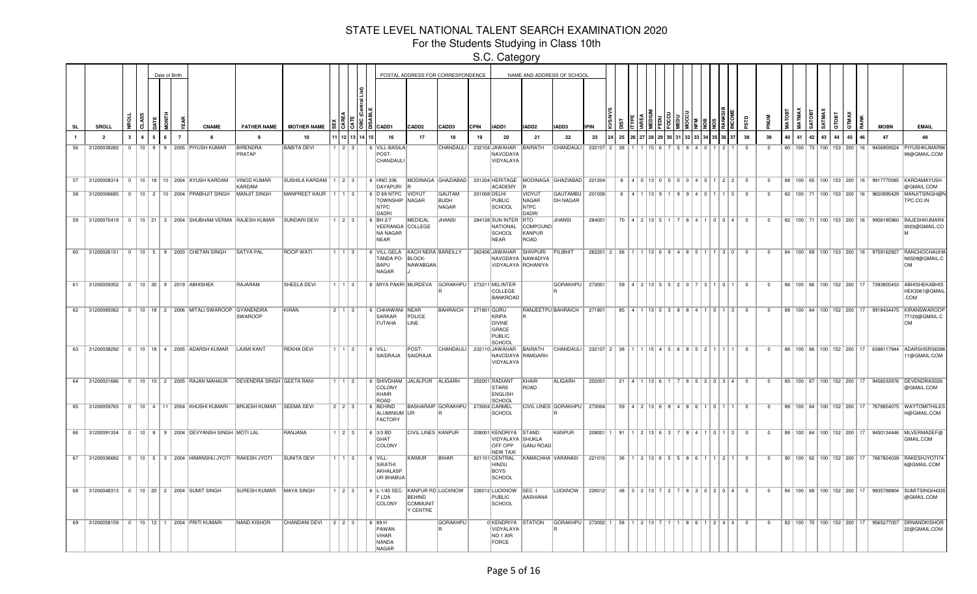For the Students Studying in Class 10th

|           |                                     |             |              |            | Date of Birth  |                                                          |                                                                      |                            |                        |       |                                                                 |                                                 | POSTAL ADDRESS FOR CORRESPONDENCE                            |              |                                                                                |                                                       | NAME AND ADDRESS OF SCHOOL  |                                      |     |                                           |  |                                               |      |                              |                 |                |                |    |    |          |    |    |                                      |                                     |                                                                                                |
|-----------|-------------------------------------|-------------|--------------|------------|----------------|----------------------------------------------------------|----------------------------------------------------------------------|----------------------------|------------------------|-------|-----------------------------------------------------------------|-------------------------------------------------|--------------------------------------------------------------|--------------|--------------------------------------------------------------------------------|-------------------------------------------------------|-----------------------------|--------------------------------------|-----|-------------------------------------------|--|-----------------------------------------------|------|------------------------------|-----------------|----------------|----------------|----|----|----------|----|----|--------------------------------------|-------------------------------------|------------------------------------------------------------------------------------------------|
| <b>SL</b> | SROLL                               |             | ಸ            | <b>ATE</b> |                | <b>CNAME</b>                                             | <b>FATHER NAME</b>                                                   | <b>MOTHER NAME</b>         |                        |       | 3   3    8    13    CADD1                                       | CADD <sub>2</sub>                               | CADD3                                                        | <b>CPIN</b>  | IADD1                                                                          | IADD <sub>2</sub>                                     | IADD3                       | <b>IPIN</b>                          |     |                                           |  |                                               |      |                              |                 |                |                |    |    | ਼ਰ       |    |    |                                      | <b>MOBN</b>                         | <b>EMAIL</b>                                                                                   |
|           | $\overline{2}$                      | $3^{\circ}$ | $\mathbf{A}$ | 6<br>-5    | $\overline{7}$ | -8                                                       | - 9                                                                  | 10                         |                        | 11213 | 16                                                              | 17                                              | 18                                                           | 19           | 20                                                                             | 21                                                    | 22                          | 23                                   | 25  |                                           |  |                                               |      |                              |                 | 38             | 39             | 40 | 41 | 43<br>42 | 44 | 45 | 46                                   | 47                                  | 48                                                                                             |
| 56        | 31200038282                         |             |              |            |                | 0   10   9   8   2005   PIYUSH KUMAR                     | <b>BIRENDRA</b><br>PRATAP                                            | <b>BABITA DEVI</b>         | $1 \mid 2 \mid 3$      |       | 6 VILL-BASILA<br>POST-<br>CHANDAULI                             |                                                 | CHANDAULI                                                    |              | 232104 JAWAHAR<br>NAVODAYA<br>VIDYALAYA                                        | BAIRATH                                               | CHANDAULI                   | 232107 2                             | -38 |                                           |  |                                               |      |                              |                 | $\Omega$       | $\Omega$       |    |    |          |    |    | 80   100   73   100   153   200   16 |                                     | 9456959524 PIYUSHKUMAR96<br>99@GMAIL.COM                                                       |
| 57        |                                     |             |              |            |                | 31200008314   0   10   18   10   2004   AYUSH KARDAM     | <b>VINOD KUMAR</b><br><b>KARDAM</b>                                  | SUSHILA KARDAM   1   2   3 |                        |       | 6 HNO 336<br>DAYAPURI                                           |                                                 | MODINAGA GHAZIABAD 201204 HERITAGE MODINAGA GHAZIABAD 201204 |              | ACADEMY                                                                        |                                                       |                             |                                      |     |                                           |  |                                               |      | 8 4 0 13 0 0 0 0 4 0 1 2 2 0 |                 |                | $\Omega$       |    |    |          |    |    |                                      |                                     | 88   100   65   100   153   200   16   9917770085   KARDAMAYUSH<br>@GMAIL.COM                  |
| 58        | 31200006685                         |             |              |            |                | 0   10   2   10   2004   PRABHJIT SINGH                  | <b>MANJIT SINGH</b>                                                  | MANPREET KAUR              | 1113                   |       | 6 D 69 NTPC<br><b>TOWNSHIP NAGAR</b><br>NTPC<br>DADRI           | <b>VIDYUT</b>                                   | <b>GAUTAM</b><br><b>BUDH</b><br><b>NAGAR</b>                 | 201008 DELHI | PUBLIC<br>SCHOOL                                                               | <b>VIDYUT</b><br>NAGAR<br><b>NTPC</b><br><b>DADRI</b> | <b>GAUTAMBU</b><br>DH NAGAR | 201008                               | 6   | $14$ 1 13 9                               |  |                                               |      | 9   9   4   0   1   1        |                 | $\mathbf{0}$   |                |    |    |          |    |    | 82   100   71   100   153   200   16 | 9650995429                          | MANJITSINGH@N<br>TPC.CO.IN                                                                     |
|           |                                     |             |              |            |                | 59 31200070419 0 10 21 3 2004 SHUBHAM VERMA RAJESH KUMAR |                                                                      | <b>SUNDARI DEVI</b>        | $1 \mid 2 \mid 3 \mid$ |       | 6 BH 2/7<br>VEERANGA COLLEGE<br>NA NAGAR<br>NEAR                | MEDICAL                                         | <b>JHANSI</b>                                                |              | 284128 SUN INTER RTO<br>NATIONAL<br><b>SCHOOL</b><br>NEAR                      | COMPOUND<br>KANPUR<br>ROAD                            | <b>JHANSI</b>               | 284001                               |     | 70 4 2 13 5 1                             |  |                                               |      | 7 8 4 1 0 0 4 0              |                 |                | $\mathbf{0}$   |    |    |          |    |    |                                      |                                     | 82   100   71   100   153   200   16   9956185960   RAJESHKUMAR9<br>0003@GMAIL.CO              |
| 60        |                                     |             |              |            |                | 31200026131 0 10 5 9 2003 CHETAN SINGH                   | <b>SATYA PAL</b>                                                     | <b>ROOP WATI</b>           | 1   1   3              |       | 6 VILL-GELA<br>TANDA PO-<br>BAPU<br><b>NAGAR</b>                | KACH NERA BAREILLY<br><b>BLOCK-</b><br>NAWABGAN |                                                              |              | 262406 JAWAHAR<br>NAVODAYA NAWADIYA<br>VIDYALAYA ROHANIYA                      | SHIVPURI                                              | PILIBHIT                    | 262201 2 26 1 1 13 6 8 4 8 5 1 1 3 0 |     |                                           |  |                                               |      |                              |                 | $\overline{0}$ | $\overline{0}$ |    |    |          |    |    |                                      | 84 100 69 100 153 200 16 9759162927 | <b>RANCHOCHAUHA</b><br>N0509@GMAIL.C<br><b>OM</b>                                              |
| 61        | 31200059352 0 10 30 9 2019 ABHISHEK |             |              |            |                |                                                          | RAJARAM                                                              | SHEELA DEVI                | $1 \mid 1 \mid 3 \mid$ |       | 6 MIYA PAKRI MURDEVA GORAKHPU 273211 MG INTER                   |                                                 |                                                              |              | <b>COLLEGE</b><br><b>BANKROAD</b>                                              |                                                       | GORAKHPU 273001             |                                      |     |                                           |  |                                               |      | 59 4 2 13 5 5 2 0 7 3 1 0 1  |                 | $\overline{0}$ | $\Omega$       |    |    |          |    |    |                                      | 86 100 66 100 152 200 17 7393805453 | <b>ABHISHEKABHIS</b><br>HEK3061@GMAIL<br>.COM                                                  |
| 62        |                                     |             |              |            |                | 31200085062 0 10 18 2 2006 MITALI SWAROOP                | GYANENDRA<br><b>SWAROOP</b>                                          | <b>KIRAN</b>               | $2 \mid 1 \mid 3 \mid$ |       | 6 CHHAWANI NEAR<br><b>SARKAR</b><br><b>FUTAHA</b>               | POLICE<br>LINE                                  | <b>BAHRAICH</b>                                              | 271801 GURU  | KRIPA<br><b>DIVINE</b><br>GRACE<br>PUBLIC<br>SCHOOI                            |                                                       | RANJEETPU BAHRAICH          | 271801                               |     |                                           |  |                                               |      | 85 4 1 13 5 3 9 8 4 1 0 1 3  |                 | $\overline{0}$ | $^{\circ}$     |    |    |          |    |    |                                      |                                     | 88   100   64   100   152   200   17   9918434475   KIRANSWAROOF<br>77120@GMAIL.C<br><b>OM</b> |
|           |                                     |             |              |            |                | 63 31200038292 0 10 18 4 2005 ADARSH KUMAR LAXMI KANT    |                                                                      | <b>REKHA DEVI</b>          | $1 \mid 1 \mid 3 \mid$ |       | $  6$ $  1$<br>SAIDRAJA                                         | POST-<br>SAIDRAJA                               | CHANDAULI 232110 JAWAHAR                                     |              | NAVODAYA RAMGARH<br>VIDYALAYA                                                  | BAIRATH                                               | CHANDAULI                   | 232107 2 38 1 1 1 1 5 4 5 6 8 5 2 1  |     |                                           |  |                                               |      |                              |                 | $\overline{0}$ | $^{\circ}$     |    |    |          |    |    |                                      |                                     | 86   100   66   100   152   200   17   6388117944   ADARSHSRS638<br>11@GMAIL.COM               |
|           |                                     |             |              |            |                |                                                          | 64 31200021686 0 10 10 2 2005 RAJAN MAHAUR DEVENDRA SINGH GEETA RANI |                            | $1$   $1$   $3$        |       | 6 SHIVDHAM<br>COLONY<br>KHAIR<br>ROAD                           | JALALPUR ALIGARH                                |                                                              |              | 202001 RADIANT<br><b>STARS</b><br><b>ENGLISH</b><br>SCHOOL                     | KHAIR<br>ROAD                                         | ALIGARH                     | 202001                               |     | $21 \mid 4 \mid 1 \mid 13 \mid 6 \mid 1$  |  |                                               |      | 7 8 5 2 0 3 4 0              |                 |                | $\overline{0}$ |    |    |          |    |    |                                      |                                     | 85   100   67   100   152   200   17   9456033976   DEVENDRAS026<br>@GMAIL.COM                 |
|           |                                     |             |              |            |                | 65 31200059765 0 10 4 11 2004 KHUSHI KUMARI              | <b>BRIJESH KUMAR</b>                                                 | <b>SEEMA DEVI</b>          | $2 \mid 2 \mid 3 \mid$ |       | 6 BEHIND<br>ALUMINIUM UR<br><b>FACTORY</b>                      |                                                 | BASHARAIP GORAKHPU   273004 CARMEL                           |              | SCHOOL                                                                         |                                                       | CIVIL LINES GORAKHPU        | 273004                               |     |                                           |  | $59$   4   2   13   6   8   4   8   6   1   0 |      |                              |                 | $\overline{0}$ | $^{\circ}$     |    |    |          |    |    |                                      |                                     | 88   100   64   100   152   200   17   7678854075   WAYTOMITHILE<br>H@GMAIL.COM                |
| 66        |                                     |             |              |            |                | 31200091334 0 10 8 9 2004 DEVYANSH SINGH MOTI LAL        |                                                                      | RANJANA                    | $1$   2   3            |       | $6$ 3/3 BD<br>GHAT<br>COLONY                                    | <b>CIVIL LINES KANPUR</b>                       |                                                              |              | 208001 KENDRIYA STAND<br>VIDYALAYA SHUKLA<br><b>OFF OPP</b><br><b>NEW TAXI</b> | <b>GANJ ROAD</b>                                      | <b>KANPUR</b>               | 208001 1 91                          |     | $1 \mid 2 \mid 13 \mid 6 \mid 3$          |  | R   4                                         | 1101 |                              | $1 \mid 3 \mid$ | $\Omega$       | $^{\circ}$     |    |    |          |    |    |                                      |                                     | 88   100   64   100   152   200   17   9450134446   MLVERMADEF@<br>GMAIL.COM                   |
| 67        | 31200036682                         |             |              |            |                | 0   10   5   3   2004   HIMANSHU JYOTI                   | <b>RAKESH JYOTI</b>                                                  | <b>SUNITA DEVI</b>         |                        | 1   3 | $6$ VILL-<br><b>SIKATHI</b><br>AKHALASP<br><b>UR BHABUA</b>     | <b>KAIMUR</b>                                   | BIHAR                                                        |              | 821101 CENTRAL<br>HINDU<br>BOYS<br>SCHOOL                                      | KAMACHHA VARANASI                                     |                             | 221010                               |     |                                           |  | $36$   1   2   13   6   5   5   8   6   1     |      | 112                          |                 | $^{\circ}$     | $\Omega$       |    |    |          |    |    | 90   100   62   100   152   200   17 | 7667824039                          | RAKESHJYOTI7<br>6@GMAIL.COM                                                                    |
| 68        |                                     |             |              |            |                | 31200048313   0   10   20   2   2004 SUMIT SINGH         | SURESH KUMAR   MAYA SINGH                                            |                            | $1 \mid 2 \mid 3 \mid$ |       | 6 L-1/45 SEC- KANPUR RD LUCKNOW<br>F LDA<br>COLONY              | <b>BEHIND</b><br>COMMUNIT<br>Y CENTRE           |                                                              |              | 226012 LUCKNOW<br>PUBLIC<br>SCHOOL                                             | SEC-I<br>AASHIANA                                     | LUCKNOW                     | 226012                               |     | $48$   $3$   $2$   $13$   $7$   $2$   $7$ |  |                                               |      | 830204                       |                 | $\Omega$       | $\Omega$       |    |    |          |    |    | 84   100   68   100   152   200   17 |                                     | 9935788804 SUMITSINGH433<br>@GMAIL.COM                                                         |
| 69        |                                     |             |              |            |                | 31200058159   0   10   12   1   2004   PRITI KUMARI      | NAND KISHOR                                                          | <b>CHANDANI DEVI</b>       | $2$   2   3            |       | 6 89 H<br>PAWAN<br><b>VIHAR</b><br><b>NANDA</b><br><b>NAGAR</b> |                                                 | <b>GORAKHPU</b>                                              |              | 0 KENDRIYA STATION<br>VIDYALAYA<br>NO <sub>1</sub> AIR<br>FORCE                |                                                       | GORAKHPU                    | 273002 1                             |     | 58   1   2   13   7                       |  |                                               |      | 1 8 6 1 2 4 4                |                 | $\overline{0}$ | $^{\circ}$     |    |    |          |    |    | 82   100   70   100   152   200   17 | 9565277057                          | DRNANDKISHOF<br>22@GMAIL.COM                                                                   |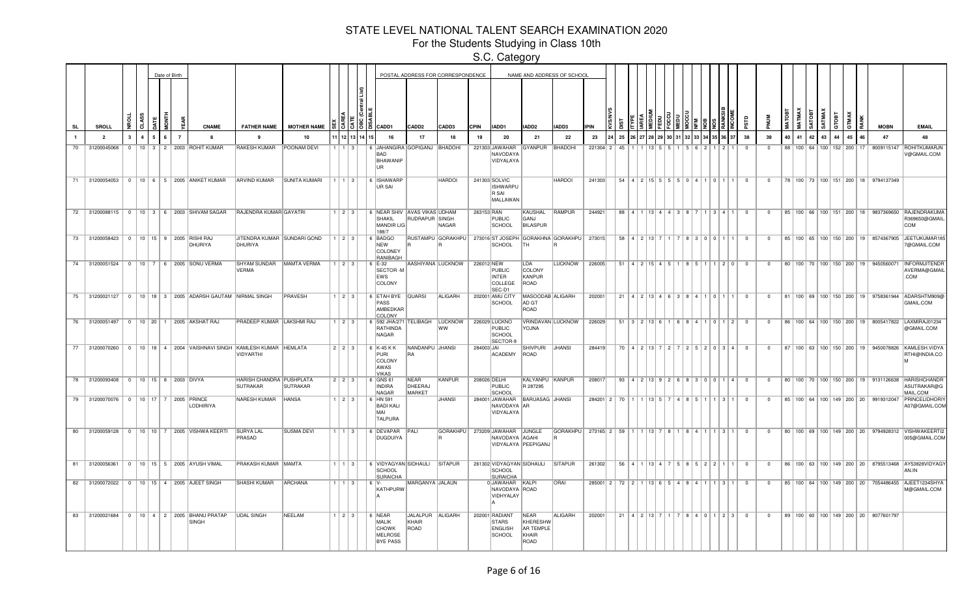For the Students Studying in Class 10th

|           |                                                     |              |   | Date of Birth  |                                                          |                                                                                  |                      |                        |                        |      |                                                                        |                                   | POSTAL ADDRESS FOR CORRESPONDENCE |              |                                                                    |                                                       | NAME AND ADDRESS OF SCHOOL                  |                                         |    |                               |  |  |                                                                                           |                         |                |    |                       |        |        |       |                                      |                                                   |                                                                                          |
|-----------|-----------------------------------------------------|--------------|---|----------------|----------------------------------------------------------|----------------------------------------------------------------------------------|----------------------|------------------------|------------------------|------|------------------------------------------------------------------------|-----------------------------------|-----------------------------------|--------------|--------------------------------------------------------------------|-------------------------------------------------------|---------------------------------------------|-----------------------------------------|----|-------------------------------|--|--|-------------------------------------------------------------------------------------------|-------------------------|----------------|----|-----------------------|--------|--------|-------|--------------------------------------|---------------------------------------------------|------------------------------------------------------------------------------------------|
| <b>SL</b> | SROLL                                               | $\mathbf{a}$ | ξ |                | <b>CNAME</b>                                             | <b>FATHER NAME</b>                                                               | <b>MOTHER NAME</b>   |                        |                        | 1813 | CADD1                                                                  | CADD2                             | CADD3                             | <b>CPIN</b>  | IADD1                                                              | IADD2                                                 | IADD3                                       | <b>IPIN</b>                             |    |                               |  |  |                                                                                           |                         |                |    | <b>MATMAX</b>         | SATOBT | SATMA) | GTOBT | GTMAX                                | <b>MOBN</b>                                       | <b>EMAIL</b>                                                                             |
|           | $\overline{2}$                                      |              |   | $\overline{7}$ |                                                          | - 9                                                                              | 10                   |                        |                        |      | 16                                                                     | 17                                | 18                                | 19           | 20                                                                 | 21                                                    | 22                                          | 23                                      | 25 |                               |  |  |                                                                                           | 38                      | 39             | 40 | 41                    | 42     | 43     | 44    | 45                                   | 47                                                | 48                                                                                       |
| 70        | 31200045068                                         | $\Omega$     |   |                | 10 3 2 2003 ROHIT KUMAR                                  | <b>RAKESH KUMAR</b>                                                              | POONAM DEVI          |                        |                        |      | <b>S JAHANGIRA GOPIGANJ</b><br>BAD<br><b>BHAWANIP</b><br>UR            |                                   | BHADOHI                           |              | 221303 JAWAHAR<br>NAVODAYA<br>VIDYALAYA                            | <b>GYANPUR</b>                                        | <b>BHADOHI</b>                              | 221304 2                                | 45 |                               |  |  |                                                                                           |                         | $\Omega$       |    | 88 100 64 100 152 200 |        |        |       | 17                                   | 8009115147                                        | <b>ROHITKUMARJM</b><br>V@GMAIL.COM                                                       |
|           |                                                     |              |   |                | 71 31200054053 0 10 6 5 2005 ANIKET KUMAR                | <b>ARVIND KUMAR</b>                                                              | <b>SUNITA KUMARI</b> | $1 \mid 1 \mid 3 \mid$ |                        |      | 6 ISHAWARP<br>UR SAI                                                   |                                   | <b>HARDOI</b>                     |              | 241303 SOLVIC<br><b>ISHWARPU</b><br>R SAI<br>MALLAWAN              |                                                       | <b>HARDOI</b>                               | 241303                                  |    |                               |  |  | 54   4   2   15   5   5   5   0   4   1   0   1   1                                       | $\overline{\mathbf{0}}$ | $\overline{0}$ |    |                       |        |        |       |                                      | 78   100   73   100   151   200   18   9794137349 |                                                                                          |
|           |                                                     |              |   |                | 72 31200088115 0 10 3 6 2003 SHIVAM SAGAR                | RAJENDRA KUMAR GAYATRI                                                           |                      | $1 \mid 2 \mid 3 \mid$ |                        |      | 6 NEAR SHIV AVAS VIKAS UDHAM<br>SHAKIL<br><b>MANDIR LIG</b><br>188/7   | RUDRAPUR SINGH                    | NAGAR                             | 263153 RAN   | PUBLIC<br>SCHOOL                                                   | KAUSHAL RAMPUR<br>GANJ<br><b>BILASPUR</b>             |                                             | 244921                                  |    |                               |  |  | 88 4 1 1 3 4 4 3 8 7 1 3 4 1                                                              | $\overline{0}$          | $\mathbf{0}$   |    |                       |        |        |       |                                      |                                                   | 85   100   66   100   151   200   18   9837369650   RAJENDRAKUMA<br>R369650@GMAIL<br>COM |
|           | 73 31200058423 0 10 15 9 2005 RISHI RAJ             |              |   |                | DHURIYA                                                  | JITENDRA KUMAR SUNDARI GOND<br>DHURIYA                                           |                      | $1 \mid 2 \mid 3 \mid$ |                        |      | 6 BADGO<br>NEW<br>COLONEY<br>RANIBAGH                                  |                                   | RUSTAMPU GORAKHPU                 |              | SCHOOL                                                             | TH                                                    | 273016 ST JOSEPH GORAKHNA GORAKHPU   273015 |                                         |    |                               |  |  | 58 4 2 13 7 1 7 8 3 0 0 1 1                                                               | $\overline{0}$          | $\mathbf{0}$   |    |                       |        |        |       |                                      |                                                   | 85   100   65   100   150   200   19   8574367905   JEETUKUMAR18<br>7@GMAIL.COM          |
|           | 74 31200051524 0 10 7 6 2005 SONU VERMA             |              |   |                |                                                          | SHYAM SUNDAR   MAMTA VERMA<br><b>VERMA</b>                                       |                      |                        | $1 \mid 2 \mid 3 \mid$ |      | $6  E-32 $<br>SECTOR-M<br>EWS<br>COLONY                                | AASHIYANA LUCKNOW                 |                                   | 226012 NEW   | PUBLIC<br><b>INTER</b><br>COLLEGE<br>SEC-D1                        | LDA<br>COLONY<br>KANPUR<br>ROAD                       | <b>LUCKNOW</b>                              | 226005                                  |    |                               |  |  | $51$   4   2   15   4   5   1   8   5   1   1   2   0                                     | $\overline{0}$          | $\mathbf{0}$   |    |                       |        |        |       | 80   100   70   100   150   200   19 | 9450560071                                        | INFORMJITENDF<br>AVERMA@GMAIL<br>.COM                                                    |
|           |                                                     |              |   |                | 75 31200021127 0 10 18 3 2005 ADARSH GAUTAM NIRMAL SINGH |                                                                                  | <b>PRAVESH</b>       |                        | $1$   2   3            |      | 6 ETAH BYE QUARSI<br>PASS<br>AMBEDKAR<br>COLONY                        |                                   | ALIGARH                           |              | 202001 AMU CITY<br>SCHOOL                                          | MASOODAB ALIGARH<br>AD GT<br>ROAD                     |                                             | 202001                                  |    |                               |  |  | 21 4 2 13 4 6 3 8 4 1 0 1 1                                                               | $\overline{0}$          | $\Omega$       |    |                       |        |        |       |                                      |                                                   | 81   100   69   100   150   200   19   9758361944   ADARSHTM909@<br>GMAIL.COM            |
|           | 76 31200051497 0 10 20 1 2005 AKSHAT RAJ            |              |   |                |                                                          | PRADEEP KUMAR LAKSHMI RAJ                                                        |                      |                        | 123                    |      | 6 592 JHA/271 TELIBAGH<br>RATHINDA<br><b>NAGAR</b>                     |                                   | <b>LUCKNOW</b><br>lww             |              | 226029 LUCKNO<br><b>PUBLIC</b><br><b>SCHOOL</b><br><b>SECTOR-9</b> | <b>AVLOY</b>                                          | VRINDAVAN LUCKNOW                           | 226029                                  |    |                               |  |  | $51$   3   2   13   6   1   6   8   4   1   0   1   2                                     | $\Omega$                | $\Omega$       |    |                       |        |        |       |                                      |                                                   | 86   100   64   100   150   200   19   8005417822   LAXMIRAJ01234<br>@GMAIL.COM          |
|           |                                                     |              |   |                |                                                          | 77 31200070260 0 10 18 4 2004 VAISHNAVI SINGH KAMLESH KUMAR HEMLATA<br>VIDYARTHI |                      | $2$   $2$   $3$        |                        |      | 6 K-45 K K<br>PURI<br>COLONY<br>AWAS<br><b>VIKAS</b>                   | NANDANPU JHANSI                   |                                   | 284003 JAI   | ACADEMY                                                            | <b>SHIVPURI</b><br>ROAD                               | JHANSI                                      | 284419                                  |    | $70$   4   2   13   7   2   7 |  |  | 252034                                                                                    | $\overline{0}$          | $^{\circ}$     |    |                       |        |        |       |                                      |                                                   | 87   100   63   100   150   200   19   9450078826   KAMLESH. VIDYA<br>RTHI@INDIA.CO      |
|           | 78 31200093408 0 10 15 8 2003 DIVYA                 |              |   |                |                                                          | HARISH CHANDRA   PUSHPLATA<br>SUTRAKAR                                           | <b>SUTRAKAR</b>      | 2 2 3                  |                        |      | 6 GNS 61<br><b>INDIRA</b><br><b>NAGAR</b>                              | <b>NEAR</b><br>DHEERAJ<br>MARKET  | KANPUR                            | 208026 DELHI | <b>PUBLIC</b><br>SCHOOL                                            | KALYANPU KANPUR<br>R 287295                           |                                             | 208017                                  |    |                               |  |  | $93 \mid 4 \mid 2 \mid 13 \mid 9 \mid 2 \mid 6 \mid 8 \mid 3 \mid 0 \mid 0 \mid 1 \mid 4$ | $\overline{0}$          | $\mathbf{0}$   |    |                       |        |        |       |                                      | 80   100   70   100   150   200   19   9131126638 | <b>HARISHCHANDF</b><br>ASUTRAKAR@G<br>MAIL.COM                                           |
|           | 79 31200070076 0 10 17 7 2005 PRINCE                |              |   |                | <b>LODHIRIYA</b>                                         | <b>NARESH KUMAR</b>                                                              | <b>HANSA</b>         |                        | 1   2   3              |      | 6 HN 591<br><b>BADI KALI</b><br>MAI.<br><b>TALPURA</b>                 |                                   | <b>JHANSI</b>                     |              | 284001 JAWAHAR<br>NAVODAYA AR<br>VIDYALAYA                         | <b>BARUASAG JHANSI</b>                                |                                             | 284201 2 70 1 1 1 1 3 5 7 4 8 5 1 1 1 3 |    |                               |  |  |                                                                                           | $\Omega$                | $\mathbf{0}$   |    |                       |        |        |       |                                      | 85   100   64   100   149   200   20   9919312047 | PRINCELIDHORI<br>A07@GMAIL.COM                                                           |
|           |                                                     |              |   |                | 80 31200059128 0 10 10 7 2005 VISHWA KEERTI              | <b>SURYA LAL</b><br>PRASAD                                                       | <b>SUSMA DEVI</b>    |                        | $1 \mid 1 \mid 3$      |      | 6 DEVAPAR<br><b>DUGDUIYA</b>                                           | PALI                              | GORAKHPU 273209 JAWAHAR JUNGLE    |              | NAVODAYA AGAHI                                                     | VIDYALAYA   PEEPIGANJ                                 | GORAKHPU 273165 2 59 1 1 1 3 7 8 1          |                                         |    |                               |  |  | 8411131                                                                                   | $\overline{0}$          | $\mathbf{0}$   |    |                       |        |        |       |                                      |                                                   | 80   100   69   100   149   200   20   9794928312   VISHWAKEERTI2<br>005@GMAIL.COM       |
|           | 81 31200056361   0   10   15   5   2005 AYUSH VIMAL |              |   |                |                                                          | PRAKASH KUMAR MAMTA                                                              |                      |                        | $1 \mid 1 \mid 3 \mid$ |      | 6 VIDYAGYAN SIDHAULI<br>SCHOOL<br><b>SURAICHA</b>                      |                                   | <b>SITAPUR</b>                    |              | SCHOOL<br><b>SURAICHA</b>                                          | 261302 VIDYAGYAN SIDHAULI SITAPUR                     |                                             | 261302                                  |    |                               |  |  | $56$   4   1   13   4   7   5   8   5   2   2   1   1                                     | $\overline{0}$          | $\mathbf{0}$   |    |                       |        |        |       |                                      |                                                   | 86   100   63   100   149   200   20   8795513468   AY53828VIDYAGY<br>AN.IN              |
|           | 82 31200072022 0 10 15 4 2005 AJEET SINGH           |              |   |                |                                                          | <b>SHASHI KUMAR</b>                                                              | ARCHANA              |                        | $1 \mid 3$             |      | I6 IV-<br>KATHPURW                                                     | MARGANYA JALAUN                   |                                   |              | 0JAWAHAR KALPI<br>NAVODAYA ROAD<br>VIDHYALAY                       |                                                       | <b>ORAI</b>                                 | 285001 2 72 2 1 13 6 5 4 8 4 1 1 3      |    |                               |  |  |                                                                                           | $\overline{\mathbf{0}}$ | $^{\circ}$     |    |                       |        |        |       | 85   100   64   100   149   200   20 | 7054486455                                        | AJEET1234SHY/<br>M@GMAIL.COM                                                             |
|           |                                                     |              |   |                | 83 31200021684 0 10 4 2 2005 BHANU PRATAP<br>SINGH       | UDAL SINGH                                                                       | NEELAM               |                        | $1$   2   3            |      | 6   NEAR<br>MALIK<br><b>CHOWK</b><br><b>MELROSE</b><br><b>BYE PASS</b> | JALALPUR ALIGARH<br>KHAIR<br>ROAD |                                   |              | 202001 RADIANT<br><b>STARS</b><br><b>ENGLISH</b><br>SCHOOL         | NEAR<br>KHERESHW<br><b>AR TEMPLE</b><br>KHAIR<br>ROAD | ALIGARH                                     | 202001                                  |    | 21   4   2   13   7           |  |  | 840123                                                                                    | $\overline{0}$          | $\circ$        |    |                       |        |        |       |                                      | 89   100   60   100   149   200   20   8077601797 |                                                                                          |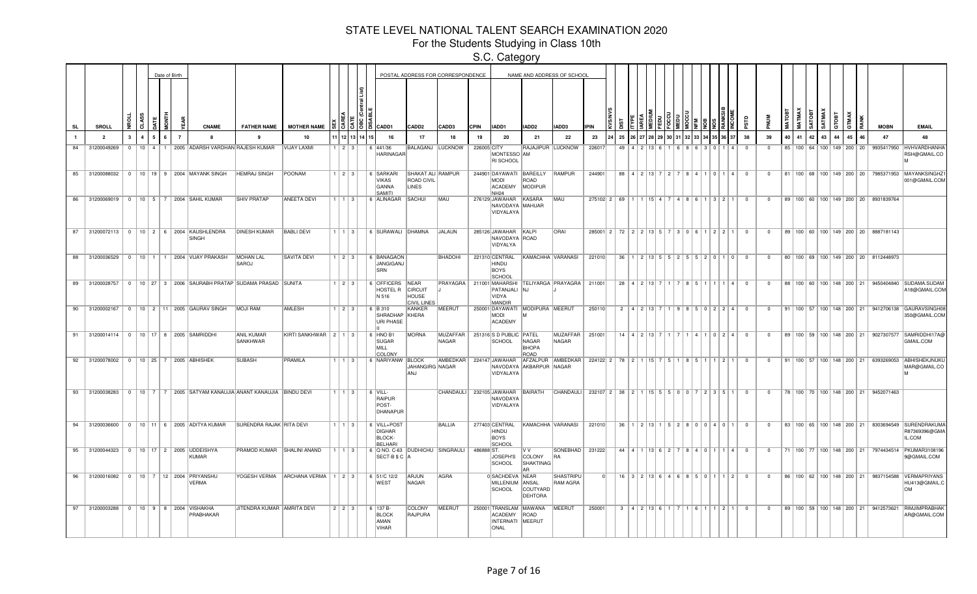For the Students Studying in Class 10th

|                |                                                |              |                        |              | Date of Birth |                |                                                                  |                                                                        |                                        |                        |               |                                                                 |                                                       | POSTAL ADDRESS FOR CORRESPONDENCE |             |                                                               |                                                    | NAME AND ADDRESS OF SCHOOL                        |                                                                  |                                                                    |                               |  |  |                                                                                   |          |                         |                |    |        |                  |       |            |                                      |                                                   |                                                                                             |
|----------------|------------------------------------------------|--------------|------------------------|--------------|---------------|----------------|------------------------------------------------------------------|------------------------------------------------------------------------|----------------------------------------|------------------------|---------------|-----------------------------------------------------------------|-------------------------------------------------------|-----------------------------------|-------------|---------------------------------------------------------------|----------------------------------------------------|---------------------------------------------------|------------------------------------------------------------------|--------------------------------------------------------------------|-------------------------------|--|--|-----------------------------------------------------------------------------------|----------|-------------------------|----------------|----|--------|------------------|-------|------------|--------------------------------------|---------------------------------------------------|---------------------------------------------------------------------------------------------|
| <b>SL</b>      | SROLL                                          | ž.           |                        |              |               |                | <b>CNAME</b>                                                     | <b>FATHER NAME</b>                                                     | <b>MOTHER NAME</b>                     |                        |               | $51515$ is cadd1                                                | CADD2                                                 | CADD3                             | <b>CPIN</b> | IADD1                                                         | IADD2                                              | <b>IADD3</b>                                      | <b>IPIN</b>                                                      |                                                                    |                               |  |  |                                                                                   |          |                         |                |    | MATMAX | SATMAX<br>SATOBT | атовт | <b>MAX</b> |                                      | <b>MOBN</b>                                       | <b>EMAIL</b>                                                                                |
| $\blacksquare$ | $\overline{\phantom{a}}$                       | $\mathbf{3}$ | $\boldsymbol{\Lambda}$ |              |               | $\overline{7}$ | $\mathbf{a}$                                                     | $\mathbf{q}$                                                           | 10                                     |                        | 1 12 13 14 15 | 16                                                              | 17                                                    | 18                                | 19          | 20                                                            | 21                                                 | 22                                                | 23                                                               | 25                                                                 |                               |  |  |                                                                                   |          | 38                      | 39             | 40 | 41     | 42<br>43         | 44    | 45         | 46                                   | 47                                                | 48                                                                                          |
| 84             | 31200049269                                    | $\sim$       |                        | $10$ $4$ $1$ | $\mathbf{1}$  |                | 2005 ADARSH VARDHAN RAJESH KUMAR                                 |                                                                        | VIJAY LAXMI                            | 1 2 3 3                |               | 6 441/36<br><b>HARINAGAR</b>                                    |                                                       | BALAGANJ LUCKNOW                  | 226005 CITY | MONTESSO AM<br>RI SCHOOL                                      | RAJAJIPUR LUCKNOW                                  |                                                   | 226017                                                           | 49                                                                 |                               |  |  |                                                                                   |          | $\Omega$                | $^{\circ}$     |    |        |                  |       |            | 85   100   64   100   149   200   20 |                                                   | 9935417950 HVHVARDHANHA<br>RSH@GMAIL.CO                                                     |
| 85             |                                                |              |                        |              |               |                | 31200088032 0 10 19 9 2004 MAYANK SINGH                          | <b>HEMRAJ SINGH</b>                                                    | POONAM                                 | $1 \mid 2 \mid 3 \mid$ |               | 6 SARKARI<br><b>VIKAS</b><br>GANNA<br>SAMITI                    | SHAKAT ALI RAMPUR<br><b>ROAD CIVIL</b><br>LINES       |                                   |             | <b>MODI</b><br>ACADEMY<br>NH <sub>24</sub>                    | 244901 DAYAWATI BAREILLY RAMPUR<br>ROAD<br>MODIPUR |                                                   | 244901                                                           |                                                                    |                               |  |  | 88 4 2 13 7 2 7 8 4 1 0 1 4                                                       |          | $\overline{0}$          | $\mathbf{0}$   |    |        |                  |       |            |                                      |                                                   | 81   100   68   100   149   200   20   7985371953   MAYANKSINGHZ<br>001@GMAIL.COM           |
| 86             |                                                |              |                        |              |               |                | 31200069019   0   10   5   7   2004   SAHIL KUMAR                | <b>SHIV PRATAP</b>                                                     | <b>ANEETA DEVI</b>                     | $1 \mid 1 \mid 3 \mid$ |               | 6 ALINAGAR SACHUI                                               |                                                       | <b>MAU</b>                        |             | 276129 JAWAHAR KASARA<br>NAVODAYA MAHUAR<br>VIDYALAYA         |                                                    | <b>MAU</b>                                        |                                                                  | $275102$   2   69   1   1   15   4   7   4   8   6   1   3   2   1 |                               |  |  |                                                                                   |          | $\Omega$                | $\Omega$       |    |        |                  |       |            |                                      | 89   100   60   100   149   200   20   8931839764 |                                                                                             |
|                |                                                |              |                        |              |               |                | 87 31200072113 0 10 2 6 2004 KAUSHLENDRA<br>SINGH                | <b>DINESH KUMAR</b>                                                    | <b>BABLI DEVI</b>                      | 1113                   |               | 6 SURAWALI DHAMNA                                               |                                                       | JALAUN                            |             | 285126 JAWAHAR KALPI<br>NAVODAYA ROAD<br>VIDYALYA             |                                                    | <b>ORAI</b>                                       |                                                                  | 285001 2 72 2 2 3 43 5 7 3 0 6 1 2 2 1                             |                               |  |  |                                                                                   |          | $\Omega$                | $^{\circ}$     |    |        |                  |       |            |                                      | 89   100   60   100   149   200   20   8887181143 |                                                                                             |
|                |                                                |              |                        |              |               |                | 88 31200036529 0 10 1 1 2004 VIJAY PRAKASH                       | MOHAN LAL<br><b>SAROJ</b>                                              | SAVITA DEVI                            | $1$   2   3            |               | 6 BANAGAON<br>JANGIGANJ<br>SRN                                  |                                                       | <b>BHADOHI</b>                    |             | 221310 CENTRAL<br>HINDU<br>BOYS<br>SCHOOL                     | KAMACHHA VARANASI                                  |                                                   | 221010                                                           | 36                                                                 |                               |  |  | 1 2 13 5 5 7 8 5 6 7 8 9 0 1 0                                                    |          | $\overline{0}$          | $\mathbf{0}$   |    |        |                  |       |            |                                      | 80   100   69   100   149   200   20   8112448973 |                                                                                             |
|                | 89 31200028757                                 |              |                        |              |               |                |                                                                  | 0   10   27   3   2006   SAURABH PRATAP   SUDAMA PRASAD   SUNITA       |                                        | $1$   2   3            |               | 6 OFFICERS<br><b>HOSTEL R</b><br>N 516                          | NEAR<br>CIRCUIT<br><b>HOUSE</b><br><b>CIVIL LINES</b> |                                   |             | PATANJALI NJ<br>VIDYA<br><b>MANDIR</b>                        |                                                    | PRAYAGRA   211001 MAHARSHI   TELIYARGA   PRAYAGRA | 211001                                                           |                                                                    | $28$   4   2   13   7         |  |  | 1   4                                                                             | $\Omega$ |                         | $\Omega$       |    |        |                  |       |            |                                      |                                                   | 88   100   60   100   148   200   21   9450404840   SUDAMA.SUDAM<br>A18@GMAIL.COM           |
|                |                                                |              |                        |              |               |                | 90 31200002167 0 10 2 11 2005 GAURAV SINGH                       | MOJI RAM                                                               | <b>AMLESH</b>                          | $1 \mid 2 \mid 3 \mid$ |               | 6 B 310<br>SHRADHAP KHERA<br>URI PHASE                          | KANKER                                                | MEERUT                            |             | <b>MODI</b><br><b>ACADEMY</b>                                 | 250001 DAYAWATI MODIPURA MEERUT                    |                                                   | 250110                                                           |                                                                    |                               |  |  | $2   4   2   13   7   1   9   8   5   0   2   2   4  $                            |          | $\Omega$                | $^{\circ}$     |    |        |                  |       |            |                                      |                                                   | 91   100   57   100   148   200   21   9412706138   GAURAVSINGH0<br>350@GMAIL.COM           |
|                |                                                |              |                        |              |               |                | 91 31200014114 0 10 17 8 2005 SAMRIDDHI                          | <b>ANIL KUMAR</b><br><b>SANKHWAR</b>                                   | KIRTI SANKHWAR   2   1   3             |                        |               | 6 HNO B1<br>SUGAR<br>MILL<br>COLONY                             | MORNA                                                 | NAGAR                             |             | MUZAFFAR   251316 S D PUBLIC   PATEL<br>SCHOOL                | NAGAR<br><b>BHOPA</b><br><b>ROAD</b>               | MUZAFFAR   251001<br>NAGAR                        |                                                                  |                                                                    | $14$   4   2   13   7   1   7 |  |  | 4 1 0 2 4                                                                         |          | $\overline{\mathbf{0}}$ | $\mathbf{0}$   |    |        |                  |       |            |                                      | 89   100   59   100   148   200   21   9027307577 | SAMRIDDHI17A@<br>GMAIL.COM                                                                  |
|                | 92 31200078002 0 10 25 7 2005 ABHISHEK         |              |                        |              |               |                |                                                                  | <b>SUBASH</b>                                                          | PRAMILA                                | $1 \mid 1 \mid 3 \mid$ |               | 6 NARIYANW BLOCK                                                | JAHANGIRG NAGAR<br>ANJ                                | AMBEDKAR                          |             | VIDYALAYA                                                     | NAVODAYA AKBARPUR NAGAR                            | 224147 JAWAHAR AFZALPUR AMBEDKAR                  | 224122   2   78   2   1   15   7   5   1   8   5   1   1   2   1 |                                                                    |                               |  |  |                                                                                   |          | $\overline{0}$          | $\mathbf{0}$   |    |        |                  |       |            |                                      | 91   100   57   100   148   200   21   6393269053 | ABHISHEKJNUKL<br>MAR@GMAIL.CO                                                               |
|                |                                                |              |                        |              |               |                |                                                                  | 93 31200038283 0 10 7 7 2005 SATYAM KANAUJIA ANANT KANAUJIA BINDU DEVI |                                        | 1   1   3              |               | $  6$ VILL-<br>RAIPUR<br>POST-<br>DHANAPUR                      |                                                       | CHANDAULI 232105 JAWAHAR          |             | NAVODAYA<br>VIDYALAYA                                         | BAIRATH                                            | CHANDAULI                                         | 232107 2 38 2 1 15 5 5 0 0                                       |                                                                    |                               |  |  | $2$   3   5   1                                                                   |          | $\Omega$                | $^{\circ}$     |    |        |                  |       |            |                                      | 78   100   70   100   148   200   21   9452071463 |                                                                                             |
|                |                                                |              |                        |              |               |                | 94 31200036600   0   10   11   6   2005 ADITYA KUMAR             | SURENDRA RAJAK RITA DEVI                                               |                                        | 1   1   3              |               | 6 VILL+POST<br><b>DIGHAR</b><br><b>BLOCK-</b><br><b>BELHARI</b> |                                                       | <b>BALLIA</b>                     |             | 277403 CENTRAL<br>HINDU<br><b>BOYS</b><br><b>SCHOOL</b>       |                                                    | KAMACHHA VARANASI                                 | 221010                                                           | 36                                                                 |                               |  |  | $1 \mid 2 \mid 13 \mid 1 \mid 5 \mid 2 \mid 8 \mid 0 \mid 0 \mid 4 \mid 0 \mid 1$ |          | $\overline{\mathbf{0}}$ | $\overline{0}$ |    |        |                  |       |            |                                      |                                                   | 83   100   65   100   148   200   21   8303694549   SURENDRAKUMA<br>R87369396@GMA<br>IL.COM |
| 95             |                                                |              |                        |              |               |                | 31200044323   0   10   17   2   2005   UDDEISHYA<br>KUMAR        | PRAMOD KUMAR SHALINI ANAND                                             |                                        | 1   1   3              |               | 6 Q NO. C-63 DUDHICHU SINGRAULI<br>SECT-B \$ C A                |                                                       |                                   | 486888 ST.  | JOSEPH'S<br>SCHOOL                                            | lv v<br>COLONY<br>SHAKTINAG<br>AR                  | SONEBHAD<br>IRA                                   | 231222                                                           |                                                                    | $44$   4   1   13   6   2   7 |  |  | 8   4   0   1   1   4                                                             |          | $\overline{0}$          | $\mathbf{0}$   |    |        |                  |       |            |                                      |                                                   | 71   100   77   100   148   200   21   7974434514   PKUMAR3108196<br>9@GMAIL.COM            |
| 96             |                                                |              |                        |              |               |                | 31200016082   0   10   7   12   2004   PRIYANSHU<br><b>VERMA</b> |                                                                        | YOGESH VERMA ARCHANA VERMA   1   2   3 |                        |               | 6 51/C 12/2<br><b>WEST</b>                                      | ARJUN<br>NAGAR                                        | AGRA                              |             | 0 SACHDEVA NEAR<br>MILLENIUM<br>SCHOOL                        | ANSAL<br>COUTYARD<br>DEHTORA                       | <b>SHASTRIPU</b><br>RAM AGRA                      |                                                                  |                                                                    | 16 3 2 13 6 4 6 8 5 0 1       |  |  | 112                                                                               |          | $\overline{0}$          | $^{\circ}$     |    |        |                  |       |            |                                      |                                                   | 86   100   62   100   148   200   21   9837154588   VERMAPRIYANS<br>HU413@GMAIL.C<br>lom    |
| 97             | 31200003288   0   10   9   8   2004   VISHAKHA |              |                        |              |               |                | PRABHAKAR                                                        | JITENDRA KUMAR AMRITA DEVI                                             |                                        | 2 2 3                  |               | 6 137 B-<br><b>BLOCK</b><br>AMAN<br><b>VIHAR</b>                | COLONY<br>RAJPURA                                     | MEERUT                            |             | 250001 TRANSLAM MAWANA<br>ACADEMY<br>INTERNATI MEERUT<br>ONAL | ROAD                                               | MEERUT                                            | 250001                                                           |                                                                    | 3   4   2   13   6   1        |  |  | 121                                                                               |          | $\Omega$                | $\Omega$       |    |        |                  |       |            |                                      | 89   100   59   100   148   200   21   9412573621 | RIMJIMPRABHAR<br>AR@GMAIL.COM                                                               |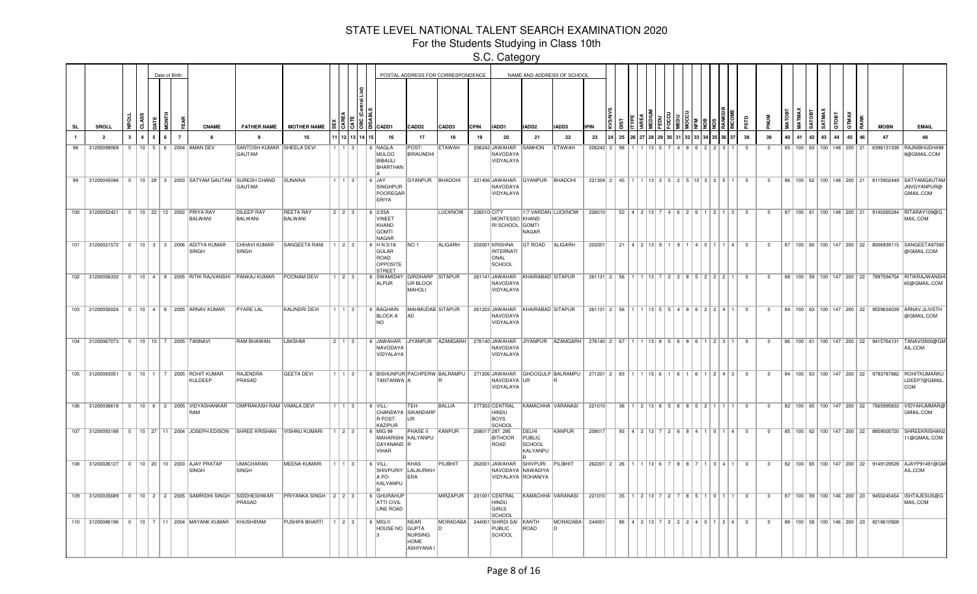For the Students Studying in Class 10th

|                |                                                  |              |              | Date of Birth |                |                |                                                            |                                                                                           |                              |                        |                   |             |                                                              |                                     | POSTAL ADDRESS FOR CORRESPONDENCE |             |                                                                    |                                       | NAME AND ADDRESS OF SCHOOL                             |                                         |             |                                                      |  |  |                                                                                                |                         |                |    |    |    |       |    |                                      |                                                   |                                                                                                |
|----------------|--------------------------------------------------|--------------|--------------|---------------|----------------|----------------|------------------------------------------------------------|-------------------------------------------------------------------------------------------|------------------------------|------------------------|-------------------|-------------|--------------------------------------------------------------|-------------------------------------|-----------------------------------|-------------|--------------------------------------------------------------------|---------------------------------------|--------------------------------------------------------|-----------------------------------------|-------------|------------------------------------------------------|--|--|------------------------------------------------------------------------------------------------|-------------------------|----------------|----|----|----|-------|----|--------------------------------------|---------------------------------------------------|------------------------------------------------------------------------------------------------|
| <b>SL</b>      | SROLL                                            |              | .ਰੋ          |               | ₿<br>₫         |                | CNAME                                                      | <b>FATHER NAME</b>                                                                        | <b>MOTHER NAME</b>           |                        |                   |             | $51515$ $\overline{5}$ $\overline{6}$ $\overline{6}$         | CADD <sub>2</sub>                   | CADD3                             | <b>CPIN</b> | IADD1                                                              | IADD <sub>2</sub>                     | IADD3                                                  | <b>IPIN</b>                             |             |                                                      |  |  |                                                                                                |                         |                |    |    |    | aroan |    |                                      | <b>MOBN</b>                                       | <b>EMAIL</b>                                                                                   |
| $\blacksquare$ | $\overline{\phantom{a}}$                         | $\mathbf{R}$ | $\mathbf{A}$ | 5             | 6 <sup>1</sup> | $\overline{7}$ | $\mathbf{R}$                                               | $\mathbf{q}$                                                                              | 10                           |                        |                   | 12 13 14 15 | 16                                                           | 17                                  | 18                                | 19          | - 20                                                               | 21                                    | - 22                                                   | 23                                      | 25          | 27 28 29 30 31                                       |  |  | 35 36                                                                                          | 38                      | 39             | 40 | 41 | 42 | 43    | 44 | 45<br>46                             | 47                                                | 48                                                                                             |
| 98             | 31200098068                                      |              |              |               |                |                | 0   10   5   6   2004   AMAN DEV                           | SANTOSH KUMAR SHEELA DEVI<br>GAUTAM                                                       |                              |                        | $\vert 3 \vert$   |             | 6 NAGLA<br><b>MULOO</b><br><b>BIBAULI</b><br><b>BHARTHAN</b> | POST-<br>BIRAUNDHI                  | <b>ETAWAH</b>                     |             | 206242 JAWAHAR<br>NAVODAYA<br>VIDYALAYA                            | <b>SAMHON</b>                         | <b>ETAWAH</b>                                          | 206242 2                                | 98          |                                                      |  |  |                                                                                                | $\Omega$                | $\Omega$       |    |    |    |       |    | 85   100   63   100   148   200   21 |                                                   | 6396131338 RAJNIBHUDH499<br>8@GMAIL.COM                                                        |
|                |                                                  |              |              |               |                |                |                                                            | 99 31200045046   0   10   28   3   2003 SATYAM GAUTAM SURESH CHAND SUNAINA<br>GAUTAM      |                              |                        | $1 \, \, 3$       |             | $6$ JAY<br>SINGHPUR<br>POOREGAR<br>ERIYA                     | GYANPUR BHADOHI                     |                                   |             | 221406 JAWAHAR GYANPUR BHADOHI<br>NAVODAYA<br>VIDYALAYA            |                                       |                                                        | 221304 2 45 1 1 1 13 3 0 2 5 10 3 2 5 1 |             |                                                      |  |  |                                                                                                | $\overline{0}$          | $\overline{0}$ |    |    |    |       |    |                                      |                                                   | 86   100   62   100   148   200   21   8115902449   SATYAMGAUTAI<br>JNVGYANPUR@<br>GMAIL.COM   |
|                | 100 31200052421 0 10 22 12 2002 PRIYA RAY        |              |              |               |                |                | BALWANI                                                    | <b>DILEEP RAY</b><br>BALWANI                                                              | <b>REETA RAY</b><br>BALWANI  | $223$                  |                   |             | $6$ 2/25A<br>VINEET<br>KHAND<br><b>GOMTI</b><br><b>NAGAR</b> |                                     | <b>LUCKNOW</b>                    | 226010 CITY | MONTESSO KHAND<br>RI SCHOOL GOMTI                                  | <b>NAGAR</b>                          | 1/7 VARDAN LUCKNOW                                     | 226010                                  |             | $52$   4   2   13   7   4   6   2   6                |  |  | 12113                                                                                          | $\Omega$                | $\Omega$       |    |    |    |       |    |                                      |                                                   | 87   100   61   100   148   200   21   9140265244   RITARAY109@G<br>MAIL.COM                   |
|                |                                                  |              |              |               |                |                | 101 31200021572 0 10 3 3 2006 ADITYA KUMAR<br>SINGH        | CHHAVI KUMAR<br>SINGH                                                                     | $ SANGEETA RAN $   1   2   3 |                        |                   |             | 6 HN 5/18<br>GULAR<br>ROAD<br>OPPOSITE<br><b>STREET</b>      | NO <sub>1</sub>                     | ALIGARH                           |             | 202001 KRISHNA<br><b>INTERNATI</b><br>ONAL<br>SCHOOL               | <b>GT ROAD</b>                        | ALIGARH                                                | 202001                                  |             | $21 \mid 4 \mid 2 \mid 13 \mid 9 \mid 1 \mid 9 \mid$ |  |  | 4 0 1 1 4                                                                                      | $\Omega$                | $\Omega$       |    |    |    |       |    |                                      |                                                   | 87   100   60   100   147   200   22   8006939115   SANGEETA97580<br>@GMAIL.COM                |
|                |                                                  |              |              |               |                |                | 102 31200056332 0 10 4 9 2005 RITIK RAJVANSHI PANKAJ KUMAR |                                                                                           | <b>POONAM DEVI</b>           | $1 \mid 2 \mid 3$      |                   |             | 6 SWAMIDAY<br><b>ALPUR</b>                                   | GIRDHARP<br>UR BLOCK<br>MAHOLI      | <b>SITAPUR</b>                    |             | 261141 JAWAHAR<br>NAVODAYA<br>VIDYALAYA                            | KHAIRABAD SITAPUR                     |                                                        | 261131 2 56                             |             | $ 13 $ 7                                             |  |  | 2 2 8 5 2 2 2 1                                                                                | $\sqrt{ }$              | $\Omega$       |    |    |    |       |    |                                      |                                                   | 88   100   59   100   147   200   22   7897594754   RITIKRAJWANSH<br>65@GMAIL.COM              |
|                |                                                  |              |              |               |                |                | 103 31200056024 0 10 4 8 2005 ARNAV KUMAR                  | <b>PYARE LAL</b>                                                                          | <b>KALINDRI DEVI</b>         |                        | $1 \vert 3 \vert$ |             | 6 BAGHAIN<br><b>BLOCK A</b><br><b>NO</b>                     | MAHMUDAB SITAPUR<br>lad             |                                   |             | 261203 JAWAHAR KHAIRABAD SITAPUR<br>NAVODAYA<br>VIDYALAYA          |                                       |                                                        | 261131 2 56                             |             |                                                      |  |  | $1 \mid 13 \mid 5 \mid 5 \mid 4 \mid 8 \mid 6 \mid 2 \mid 2 \mid 4 \mid 1$                     | $\overline{0}$          | $^{\circ}$     |    |    |    |       |    |                                      |                                                   | 84   100   63   100   147   200   22   9559634039   ARNAV.JLIVSTH<br>@GMAIL.COM                |
|                | 104 31200067073   0   10   10   7   2005 TANNAVI |              |              |               |                |                |                                                            | <b>RAM BHAWAN</b>                                                                         | <b>LAKSHMI</b>               | 2   1   3              |                   |             | 6 JAWAHAR JIYANPUR<br>NAVODAYA<br>VIDYALAYA                  |                                     | AZAMGARH                          |             | NAVODAYA<br>VIDYALAYA                                              |                                       | 276140 JAWAHAR JIYANPUR AZAMGARH                       | 276140 2 67                             |             |                                                      |  |  | 1 13 8 5 6 8 6 1 2 3 1                                                                         | $\overline{0}$          | $\mathbf{0}$   |    |    |    |       |    |                                      | 86   100   61   100   147   200   22   9415764131 | TANAVI3500@GM<br>AIL.COM                                                                       |
|                |                                                  |              |              |               |                |                | 105 31200083051 0 10 1 7 2005 ROHIT KUMAR<br>KULDEEP       | RAJENDRA<br>PRASAD                                                                        | <b>GEETA DEVI</b>            |                        | $1 \mid 3 \mid$   |             | 6 BISHUNPUR PACHPERW BALRAMPU<br>TANTANWA A                  |                                     |                                   |             | NAVODAYA UR<br>VIDYALAYA                                           |                                       | 271206 JAWAHAR GHOOGULP BALRAMPU   271201   2   83   1 |                                         |             | 11561116                                             |  |  | 1243                                                                                           | $\Omega$                | $\overline{0}$ |    |    |    |       |    |                                      |                                                   | 84   100   63   100   147   200   22   9793787882   ROHITKUMARKU<br>LDEEP7@GMAIL<br><b>COM</b> |
|                |                                                  |              |              |               |                |                | 106 31200036618 0 10 6 2 2005 VIDYASHANKAR<br>RAM          | OMPRAKASH RAM VIMALA DEVI                                                                 |                              | 1113                   |                   |             | $6$ VILL-<br>R POST-<br><b>KAZIPUR</b>                       | TEH-<br>CHANDAYA SIKANDARP<br>lur.  | <b>BALLIA</b>                     |             | 277303 CENTRAL<br>HINDU<br>BOYS<br>SCHOOL                          | KAMACHHA VARANASI                     |                                                        | 221010                                  |             |                                                      |  |  | $36$   1   2   13   6   5   6   8   5   2   1   1   1                                          | $\overline{0}$          | $\mathbf{0}$   |    |    |    |       |    |                                      | 82   100   65   100   147   200   22   7565995833 | VIDYAKUMMAR@<br>GMAIL.COM                                                                      |
|                |                                                  |              |              |               |                |                |                                                            | 107 31200093188   0   10   27   11   2004   JOSEPH EDISON   SHREE KRISHAN   VISHNU KUMARI |                              | $1 \mid 2 \mid 3 \mid$ |                   |             | 6 MIG 99<br>MAHARISHI KALYANPU<br>DAYANAND R<br><b>VIHAR</b> | <b>PHASE II</b>                     | KANPUR                            |             | 208017 287, 295<br><b>BITHOOR</b><br>ROAD                          | DELHI<br>PUBLIC<br>SCHOOL<br>KALYANPU | KANPUR                                                 | 208017                                  |             |                                                      |  |  | $93 \mid 4 \mid 2 \mid 13 \mid 7 \mid 2 \mid 6 \mid 8 \mid 4 \mid 1 \mid 0 \mid 1 \mid 4 \mid$ | $\overline{\mathbf{0}}$ | $\overline{0}$ |    |    |    |       |    |                                      |                                                   | 85   100   62   100   147   200   22   8859005720 SHREEKRISHAN<br>1@GMAIL.COM                  |
| 108            |                                                  |              |              |               |                |                | 31200026127 0 10 20 10 2003 AJAY PRATAP<br>SINGH           | <b>UMACHARAN</b><br>SINGH                                                                 | <b>MEENA KUMARI</b>          | $1 \mid 1 \mid 3 \mid$ |                   |             | 6 VILL-<br>SHIVPURIY LALAURIKH<br>A PO-<br>KALYANPU          | <b>KHAS</b><br>ERA                  | <b>PILIBHIT</b>                   |             | 262001 JAWAHAR SHIVPURI<br>NAVODAYA NAWADIYA<br>VIDYALAYA ROHANIYA |                                       | PILIBHIT                                               |                                         | 262201 2 26 | 1 13 6 7 8 8                                         |  |  | 131411                                                                                         | $\Omega$                | $\Omega$       |    |    |    |       |    |                                      |                                                   | 82   100   65   100   147   200   22   9149129539   AJAYP91491@GM<br>AIL.COM                   |
|                |                                                  |              |              |               |                |                | 109 31200035689 0 10 2 2 2005 SAMRIDHI SINGH SIDDHESHWAR   | PRASAD                                                                                    | PRIYANKA SINGH 2 2 3         |                        |                   |             | 6 GHURAHUP<br><b>ATTI CIVIL</b><br><b>LINE ROAD</b>          |                                     | MIRZAPUR   231001 CENTRAL         |             | <b>HINDU</b><br>GIRLS<br>SCHOOL                                    |                                       | KAMACHHA VARANASI                                      | 221010                                  |             | $35$   1   2   13   7   2   7   8   5   1   0   1    |  |  |                                                                                                | $\overline{0}$          | $\Omega$       |    |    |    |       |    |                                      |                                                   | 87   100   59   100   146   200   23   9450245454   ISHTAJESUS@G<br>MAIL.COM                   |
|                |                                                  |              |              |               |                |                | 110 31200086196 0 10 7 11 2004 MAYANK KUMAR                | KHUSHIRAM                                                                                 | PUSHPA BHARTI                | 1   2   3              |                   |             | $6$ MIG-II<br>HOUSE NO GUPTA                                 | NEAR<br>NURSING<br>HOME<br>ASHIYANA | MORADABA 244001 SHIRDI SAI        |             | PUBLIC<br>SCHOOL                                                   | KANTH<br>ROAD                         | MORADABA                                               | 244001                                  |             |                                                      |  |  | 86   4   2   13   7   2   2   2   4   0   1   2   4                                            | $\overline{0}$          | $\overline{0}$ |    |    |    |       |    |                                      | 88   100   58   100   146   200   23   8218610928 |                                                                                                |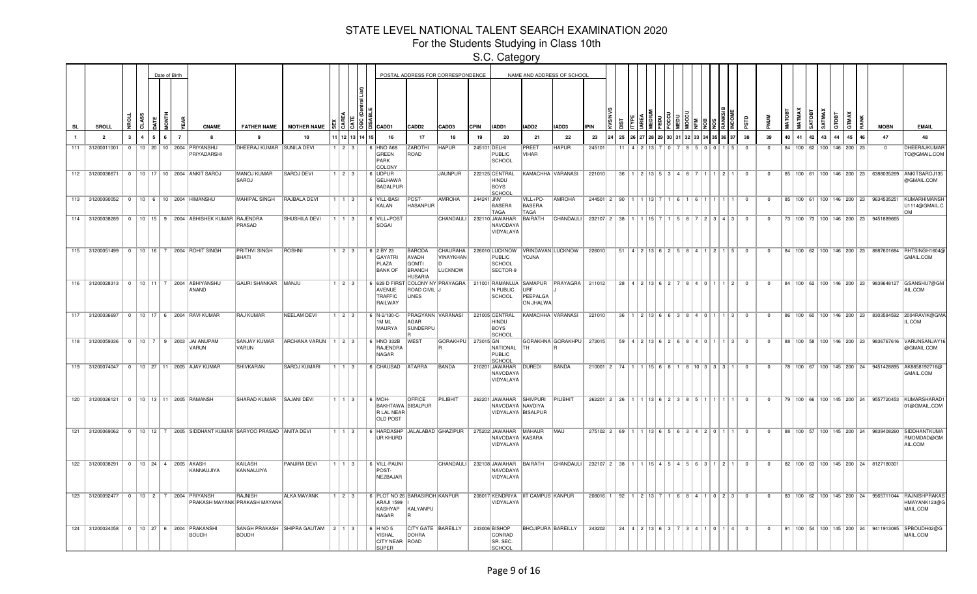For the Students Studying in Class 10th

|     |                 |              |   | Date of Birth |               |                                                                        |                                          |                                   |                        |      |                |                                                                                                              |                                                                    | POSTAL ADDRESS FOR CORRESPONDENCE |             |                                                                   |                                     | NAME AND ADDRESS OF SCHOOL                  |                                                                  |                                                                      |  |                     |        |                                                       |                         |                |              |                                      |                               |              |       |              |                                                   |                                                                                              |
|-----|-----------------|--------------|---|---------------|---------------|------------------------------------------------------------------------|------------------------------------------|-----------------------------------|------------------------|------|----------------|--------------------------------------------------------------------------------------------------------------|--------------------------------------------------------------------|-----------------------------------|-------------|-------------------------------------------------------------------|-------------------------------------|---------------------------------------------|------------------------------------------------------------------|----------------------------------------------------------------------|--|---------------------|--------|-------------------------------------------------------|-------------------------|----------------|--------------|--------------------------------------|-------------------------------|--------------|-------|--------------|---------------------------------------------------|----------------------------------------------------------------------------------------------|
|     | SROLL           |              | R |               |               | <b>CNAME</b>                                                           | <b>FATHER NAME</b>                       | <b>MOTHER NAME</b>                |                        |      | $\frac{15}{3}$ | CADD1                                                                                                        | CADD <sub>2</sub>                                                  | CADD3                             | <b>CPIN</b> | IADD1                                                             | ADD2                                | ADD3                                        | <b>IPIN</b>                                                      |                                                                      |  |                     |        |                                                       |                         | <b>MUN</b>     |              | <b>MATOI</b>                         | <b>MATMAX</b><br><b>SATOB</b> | <b>SATMA</b> | GTOBT | <b>GTMAX</b> | <b>MOBN</b>                                       | <b>EMAIL</b>                                                                                 |
|     | $\overline{2}$  | $\mathbf{3}$ |   |               |               |                                                                        | $\mathbf{q}$                             | 10                                |                        | 1211 | 13 14          | 16                                                                                                           | 17                                                                 | 18                                | 19          | 20                                                                | 21                                  | 22                                          | 23                                                               | 25                                                                   |  |                     |        |                                                       | 38                      | 39             |              | 40<br>41                             | 42                            | 43           | 44    | 45           | 47                                                | 48                                                                                           |
| 111 | 31200011001     | $\Omega$     |   |               | 10 20 10 2004 | PRIYANSHU<br>PRIYADARSHI                                               | DHEERAJ KUMAR SUNILA DEVI                |                                   | $1 \ 2 \ 3$            |      |                | HNO A68<br>GREEN<br>PARK<br>COLONY                                                                           | <b>ZAROTHI</b><br>ROAD                                             | <b>HAPUR</b>                      |             | 245101 DELHI<br>PUBLIC<br>SCHOOL                                  | PREET<br>VIHAR                      | <b>HAPUR</b>                                | 245101                                                           | 11                                                                   |  |                     |        |                                                       | $\Omega$                | $\Omega$       |              | 84 100 62 100 146 200 23             |                               |              |       |              | $\Omega$                                          | DHEERAJKUMAI<br>TO@GMAIL.COM                                                                 |
|     | 112 31200036671 |              |   |               |               | 0   10   17   10   2004   ANKIT SAROJ                                  | MANOJ KUMAR<br>SAROJ                     | SAROJ DEVI                        | $1 \mid 2 \mid 3 \mid$ |      |                | 6 UDPUR<br>GELHAWA<br>BADALPUR                                                                               |                                                                    | JAUNPUR                           |             | 222125 CENTRAL<br>HINDU<br>BOYS<br>SCHOOL                         |                                     | KAMACHHA VARANASI                           | 221010                                                           |                                                                      |  |                     |        | $36   1   2   13   5   3   4   8   7   1   1   2   1$ | $\overline{0}$          | $\overline{0}$ |              | 85   100   61   100   146   200   23 |                               |              |       |              | 6388035269                                        | ANKITSAROJ135<br>@GMAIL.COM                                                                  |
|     |                 |              |   |               |               | 113 31200090052   0   10   6   10   2004   HIMANSHU                    | MAHIPAL SINGH                            | RAJBALA DEVI                      | 1   1   3              |      |                | 6 VILL-BASI<br>KALAN                                                                                         | POST-<br>HASANPUR                                                  | AMROHA                            | 244241 JNV  | <b>BASERA</b><br>TAGA                                             | VILL+PO-<br><b>BASERA</b><br>TAGA   | <b>AMROHA</b>                               |                                                                  | 244501   2   90   1   1   13   7   1   6   1   6   1   1   1   1   1 |  |                     |        |                                                       | $\overline{0}$          | $\overline{0}$ |              |                                      |                               |              |       |              | 85   100   61   100   146   200   23   9634535251 | <b>KUMARHIMANSI</b><br>U1114@GMAIL.C<br><b>OM</b>                                            |
|     |                 |              |   |               |               | 114 31200038289 0 10 15 9 2004 ABHISHEK KUMAR RAJENDRA                 | PRASAD                                   | <b>SHUSHILA DEVI</b>              | $1$   $1$   $3$        |      |                | 6 VILL+POST<br>SOGAI                                                                                         |                                                                    | CHANDAULI 232110 JAWAHAR          |             | NAVODAYA<br>VIDYALAYA                                             | BAIRATH                             | <b>CHANDAULI</b>                            | 232107   2   38   1   1   15   7   1   5   8   7   2   3   4   3 |                                                                      |  |                     |        |                                                       | $\Omega$                | $\Omega$       |              |                                      |                               |              |       |              | 73   100   73   100   146   200   23   9451889665 |                                                                                              |
|     |                 |              |   |               |               | 115 31200051499   0   10   16   7   2004   ROHIT SINGH                 | <b>PRITHVI SINGH</b><br>BHATI            | <b>ROSHNI</b>                     | $1 \ 2 \ 3$            |      |                | 6 2 BY 23<br>GAYATRI<br>PLAZA<br><b>BANK OF</b>                                                              | <b>BARODA</b><br>AVADH<br>GOMTI<br><b>BRANCH</b><br><b>HUSARIA</b> | VINAYKHAN<br><b>LUCKNOW</b>       |             | <b>PUBLIC</b><br>SCHOOL<br>SECTOR-9                               | YOJNA                               | CHAURAHA   226010 LUCKNOW VRINDAVAN LUCKNOW | 226010                                                           |                                                                      |  |                     |        | $51$   4   2   13   6   2   5   8   4   1   2   1   5 | $\Omega$                | $\Omega$       |              |                                      |                               |              |       |              |                                                   | 84   100   62   100   146   200   23   8887601684   RHTSINGH1604@<br>GMAIL.COM               |
|     |                 |              |   |               |               | 116 31200028313 0 10 11 7 2004 ABHIYANSHU<br>ANAND                     | GAURI SHANKAR   MANJU                    |                                   | $1 \ 2 \ 3$            |      |                | 6 629 D FIRST COLONY NY PRAYAGRA   211001 RAMANUJA SAMAPUR PRAYAGRA   211012<br>AVENUE<br>TRAFFIC<br>RAILWAY | ROAD CIVIL J<br>LINES                                              |                                   |             | N PUBLIC<br><b>SCHOOL</b>                                         | LIRE<br>PEEPALGA<br>ON JHALWA       |                                             |                                                                  |                                                                      |  |                     |        | 28 4 2 13 6 2 7 8 4 0 1 1 2                           | $\Omega$                | $\Omega$       |              |                                      |                               |              |       |              |                                                   | 84   100   62   100   146   200   23   9839648127   GSANSHU7@GM<br>AIL.COM                   |
|     |                 |              |   |               |               | 117 31200036697   0   10   17   6   2004   RAVI KUMAR                  | RAJ KUMAR                                | NEELAM DEVI                       | $1$   2   3            |      |                | 6 N-2/130-C-<br>1M <sub>ML</sub><br>MAURYA                                                                   | <b>AGAR</b><br>SUNDERPU                                            | PRAGYANN VARANASI                 |             | 221005 CENTRAL<br>HINDU<br>BOYS<br>SCHOOL                         |                                     | KAMACHHA VARANASI                           | 221010                                                           |                                                                      |  |                     |        | 36 1 2 13 6 6 3 8 4 0 1 1 3                           | $\Omega$                | $\Omega$       |              |                                      |                               |              |       |              |                                                   | 86   100   60   100   146   200   23   8303584592   2004RAVIK@GMA<br>IL.COM                  |
|     | 118 31200059336 |              |   |               |               | 0   10   7   9   2003   JAI ANUPAM<br>VARUN                            | SANJAY KUMAR<br>VARUN                    | ARCHANA VARUN 1 2 3               |                        |      |                | 6 HNO 332B<br>RAJENDRA<br>NAGAR                                                                              | <b>WEST</b>                                                        | GORAKHPU   273015 GN              |             | NATIONAL<br>PUBLIC<br>SCHOOL                                      | TH.                                 | GORAKHNA GORAKHPU   273015                  |                                                                  |                                                                      |  |                     |        | $59$   4   2   13   6   2   6   8   4   0   1   1   3 | $\overline{\mathbf{0}}$ | $\overline{0}$ |              |                                      |                               |              |       |              |                                                   | 88   100   58   100   146   200   23   9836767616   VARUNSANJAY1<br>@GMAIL.COM               |
|     | 119 31200074047 |              |   |               |               | 0   10   27   11   2005   AJAY KUMAR                                   | SHIVKARAN                                | <b>SAROJ KUMARI</b>               | $1 \mid 1 \mid 3 \mid$ |      |                | 6 CHAUSAD ATARRA                                                                                             |                                                                    | BANDA                             |             | 210201 JAWAHAR<br>NAVODAYA<br>VIDYALAYA                           | <b>DUREDI</b>                       | BANDA                                       |                                                                  | $210001$   2   74   1   1   15   6   8   1                           |  |                     | 810333 |                                                       | $\overline{0}$          | $\overline{0}$ |              |                                      |                               |              |       |              |                                                   | 78   100   67   100   145   200   24   9451428895   AK8858192716@<br>GMAIL.COM               |
|     |                 |              |   |               |               | 120 31200026121 0 10 13 11 2005 RAMANSH                                | SHARAD KUMAR SAJANI DEVI                 |                                   | $1 \mid 1 \mid 3 \mid$ |      |                | 6 MOH-<br><b>BAKHTAWA BISALPUR</b><br>R LAL NEAR<br><b>OLD POST</b>                                          | <b>OFFICE</b>                                                      | PILIBHIT                          |             | 262201 JAWAHAR SHIVPURI<br>NAVODAYA NAVDIYA<br>VIDYALAYA BISALPUR |                                     | PILIBHIT                                    |                                                                  | $262201$   2   26   1   1   13   6   2   3   8   5   1   1   1       |  |                     |        |                                                       | $\overline{0}$          | $\overline{0}$ |              |                                      |                               |              |       |              |                                                   | 79   100   66   100   145   200   24   9557720453   KUMARSHARAD<br>01@GMAIL.COM              |
|     |                 |              |   |               |               | 121 31200069062 0 10 12 7 2005 SIDDHANT KUMAR SARYOO PRASAD ANITA DEVI |                                          |                                   | $1 \mid 1 \mid 3 \mid$ |      |                | 6 HARDASHP JALALABAD GHAZIPUR   275202 JAWAHAR MAHAUR<br>UR KHURD                                            |                                                                    |                                   |             | NAVODAYA KASARA<br>VIDYALAYA                                      |                                     | MAU                                         | $275102$   2   69   1   1   13   6   5   6   3   4   2   0   1   |                                                                      |  |                     |        |                                                       | $\overline{\mathbf{0}}$ | $\overline{0}$ |              |                                      |                               |              |       |              | 88   100   57   100   145   200   24   9839408260 | <b>SIDDHANTKUM</b><br>RMOMDAD@GM<br>AIL.COM                                                  |
|     | 122 31200038291 |              |   |               |               | 0   10   24   4   2005   AKASH<br>KANNAUJIYA                           | KAILASH<br>KANNAUJIYA                    | <b>PANJIRA DEVI</b>               |                        |      |                | 1   1   3     6   VILL-PAUNI<br>POST-<br>NEZBAJAR                                                            |                                                                    |                                   |             | CHANDAULI 232108 JAWAHAR<br>NAVODAYA<br>VIDYALAYA                 |                                     | BAIRATH CHANDAULI                           | 232107 2 38 1 1 1 15 4 5 4 5 6 3 1 2 1                           |                                                                      |  |                     |        |                                                       | $\overline{0}$          |                | $\mathbf{0}$ |                                      |                               |              |       |              | 82   100   63   100   145   200   24   8127180301 |                                                                                              |
|     |                 |              |   |               |               | 123 31200092477   0   10   2   7   2004   PRIYANSH                     | RAJNISH<br>PRAKASH MAYANK PRAKASH MAYANK | <b>ALKA MAYANK</b>                | 1123                   |      |                | 6 PLOT NO 26 BARASIROH KANPUR<br>ARAJI 1599<br>KASHYAP<br>NAGAR                                              | KALYANPU                                                           |                                   |             | VIDYALAYA                                                         | 208017 KENDRIYA   IIT CAMPUS KANPUR |                                             | 208016 1 92 1 2 13 7                                             |                                                                      |  |                     |        | 1 6 8 4 1 0 2 3                                       | $\overline{0}$          | $\overline{0}$ |              |                                      |                               |              |       |              |                                                   | 83   100   62   100   145   200   24   9565711044   RAJNISHPRAKA<br>HMAYANK123@G<br>MAIL.COM |
|     |                 |              |   |               |               | 124 31200024058 0 10 27 6 2004 PRAKANSHI<br><b>BOUDH</b>               | <b>BOUDH</b>                             | SANGH PRAKASH SHIPRA GAUTAM 2 1 3 |                        |      |                | $6$ HNO 5<br><b>VISHAL</b><br>CITY NEAR ROAD<br><b>SUPER</b>                                                 | CITY GATE   BAREILLY<br>DOHRA                                      |                                   |             | 243006 BISHOP<br>CONRAD<br>SR. SEC.<br><b>SCHOOL</b>              | <b>BHOJIPURA BAREILLY</b>           |                                             | 243202                                                           |                                                                      |  | $24$ $4$ $2$ 13 6 3 |        | 3410114                                               | $\Omega$                | $\overline{0}$ |              |                                      |                               |              |       |              |                                                   | 91   100   54   100   145   200   24   9411913085   SPBOUDH02@G<br>MAIL.COM                  |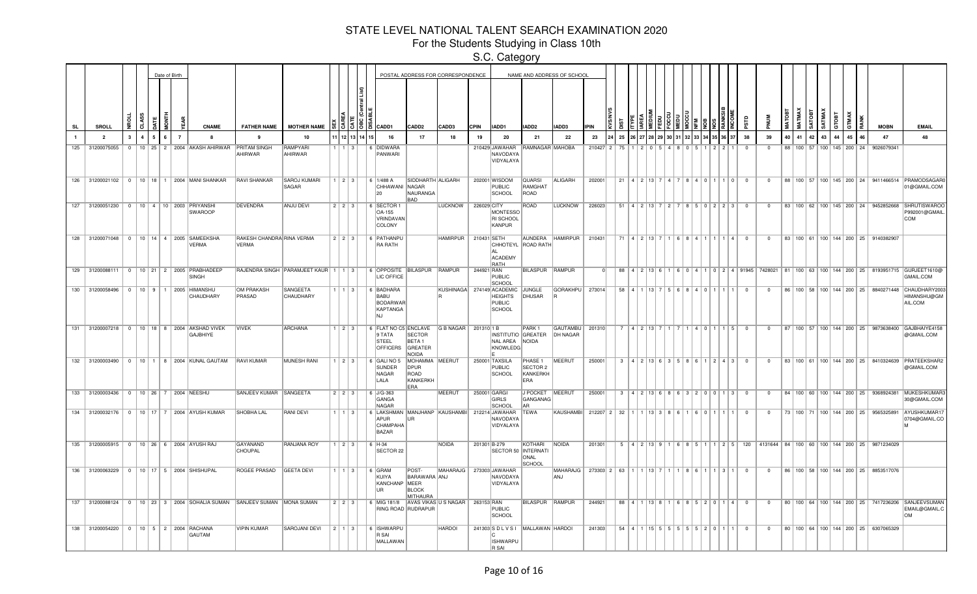For the Students Studying in Class 10th

|     |                 |                         |                | Date of Birth |                |                |                                                                   |                                                                       |                                           |                        |          |                                                                                       |                                                    | POSTAL ADDRESS FOR CORRESPONDENCE |              |                                                                        |                                        | NAME AND ADDRESS OF SCHOOL                               |             |    |  |                |  |                                                           |                         |                |    |               |        |        |       |                                      |                                                                            |                                                                                                                                                       |
|-----|-----------------|-------------------------|----------------|---------------|----------------|----------------|-------------------------------------------------------------------|-----------------------------------------------------------------------|-------------------------------------------|------------------------|----------|---------------------------------------------------------------------------------------|----------------------------------------------------|-----------------------------------|--------------|------------------------------------------------------------------------|----------------------------------------|----------------------------------------------------------|-------------|----|--|----------------|--|-----------------------------------------------------------|-------------------------|----------------|----|---------------|--------|--------|-------|--------------------------------------|----------------------------------------------------------------------------|-------------------------------------------------------------------------------------------------------------------------------------------------------|
| SL  |                 | <b>SROLL</b>            | ğ<br>ਰੋ        | ā             | i<br>36        |                | <b>CNAME</b>                                                      | <b>FATHER NAME</b>                                                    | <b>MOTHER NAME</b>                        |                        |          | $\frac{5}{6}$ $\frac{5}{6}$ $\frac{18}{6}$ $\frac{20}{6}$ $\frac{20}{10}$             | CADD <sub>2</sub>                                  | CADD3                             | <b>CPIN</b>  | IADD1                                                                  | IADD2                                  | IADD3                                                    | <b>IPIN</b> |    |  |                |  |                                                           |                         |                |    | <b>MATMAX</b> | SATOBT | SATMAY | атовт | GTMAX<br>RAN                         | <b>MOBN</b>                                                                | <b>EMAIL</b>                                                                                                                                          |
|     |                 | $\overline{\mathbf{2}}$ | $\overline{A}$ | 5             | 6 <sup>1</sup> | $\overline{7}$ |                                                                   |                                                                       | 10                                        |                        | 12 13 14 | 16                                                                                    | 17                                                 | 18                                | 19           | 20                                                                     | 21                                     | 22                                                       | 23          | 25 |  |                |  |                                                           | 38                      | 39             | 40 | 41            | 42     | 43     | 44    | 45<br>46                             | 47                                                                         | 48                                                                                                                                                    |
| 125 |                 | 31200075055             |                |               |                |                | 0   10   25   2   2004   AKASH AHIRWAR   PRITAM SINGH             | AHIRWAR                                                               | RAMPYARI<br>AHIRWAR                       | 1   1   3              |          | 6 DIDWARA<br>PANWARI                                                                  |                                                    |                                   |              | 210429 JAWAHAR<br>NAVODAYA<br>VIDYALAYA                                | RAMNAGAR MAHOBA                        |                                                          | 210427 2    | 75 |  |                |  |                                                           | $\overline{0}$          | $^{\circ}$     |    |               |        |        |       | 88   100   57   100   145   200   24 | 9026079341                                                                 |                                                                                                                                                       |
|     |                 |                         |                |               |                |                | 126 31200021102 0 10 18 1 2004 MANI SHANKAR                       | RAVI SHANKAR                                                          | <b>SAROJ KUMARI</b><br>SAGAR              | $1 \mid 2 \mid 3 \mid$ |          | 6   1/488 A<br>CHHAWANI NAGAR<br>20                                                   | SIDDHARTH ALIGARH<br>NAURANGA<br>BAD               |                                   |              | 202001 WISDOM<br>PUBLIC<br>SCHOOL                                      | <b>QUARSI</b><br>RAMGHAT<br>ROAD       | ALIGARH                                                  | 202001      |    |  |                |  | 21   4   2   13   7   4   7   8   4   0   1   1   0       | $\overline{0}$          | $\overline{0}$ |    |               |        |        |       |                                      |                                                                            | 88   100   57   100   145   200   24   9411466514   PRAMODSAGAR(<br>01@GMAIL.COM                                                                      |
|     |                 |                         |                |               |                |                | 127 31200051230 0 10 4 10 2003 PRIYANSHI<br><b>SWAROOP</b>        | <b>DEVENDRA</b>                                                       | <b>ANJU DEVI</b>                          | 2   2   3              |          | 6 SECTOR 1<br>OA-155<br>VRINDAVAN<br>COLONY                                           |                                                    | LUCKNOW                           | 226029 CITY  | <b>MONTESSO</b><br>RI SCHOOL<br>KANPUR                                 | ROAD                                   | LUCKNOW                                                  | 226023      |    |  |                |  | $51$   4   2   13   7   2   7   8   5   0   2   2   3   0 |                         | $\overline{0}$ |    |               |        |        |       |                                      |                                                                            | 83   100   62   100   145   200   24   9452852668   SHRUTISWAROO<br>P992001@GMAIL<br>COM                                                              |
|     |                 |                         |                |               |                |                | 128 31200071048 0 10 14 4 2005 SAMEEKSHA<br><b>VERMA</b>          | RAKESH CHANDRA RINA VERMA<br><b>VERMA</b>                             |                                           | 2   2   3              |          | 6 PATHANPU<br>RA RATH                                                                 |                                                    | HAMIRPUR 210431 SETH              |              | ACADEMY<br><b>RATH</b>                                                 | CHHOTEYL ROAD RATH                     | AUNDERA HAMIRPUR                                         | 210431      |    |  |                |  | 71   4   2   13   7   1   6   8   4   1   1   1   4       | $\overline{0}$          | $\circ$        |    |               |        |        |       |                                      | 83   100   61   100   144   200   25   9140382907                          |                                                                                                                                                       |
|     |                 |                         |                |               |                |                | 129 31200088111 0 10 21 2 2005 PRABHADEEP<br>SINGH                |                                                                       | RAJENDRA SINGH PARAMJEET KAUR   1   1   3 |                        |          | 6 OPPOSITE BILASPUR RAMPUR<br>LIC OFFICE                                              |                                                    |                                   | 244921 RAN   | PUBLIC<br>SCHOOL                                                       | BILASPUR RAMPUR                        |                                                          | - Ol        |    |  |                |  |                                                           |                         |                |    |               |        |        |       |                                      |                                                                            | 88   4   2   13   6   1   6   0   4   1   0   2   4   91945   7428021   81   100   63   100   144   200   25   8193951715   GURJEET1610@<br>GMAIL.COM |
|     | 130 31200058496 |                         |                |               |                |                | 0   10   9   1   2005   HIMANSHU<br>CHAUDHARY                     | OM PRAKASH<br>PRASAD                                                  | SANGEETA<br>CHAUDHARY                     | $1 \mid 1 \mid 3 \mid$ |          | 6 BADHARA<br><b>BABU</b><br><b>BODARWAR</b><br>KAPTANGA<br>N.I                        |                                                    |                                   |              | KUSHINAGA 274149 ACADEMIC<br><b>HEIGHTS</b><br><b>PUBLIC</b><br>SCHOOL | JUNGLE<br>DHUSAR                       | GORAKHPU                                                 | 273014      |    |  |                |  | 58 4 1 1 3 7 5 6 8 4 0 1 1 1                              | $\Omega$                | $\Omega$       |    |               |        |        |       | 86   100   58   100   144   200   25 |                                                                            | 8840271448 CHAUDHARY2003<br>HIMANSHU@GM<br>AIL.COM                                                                                                    |
| 131 |                 |                         |                |               |                |                | 31200007218 0 10 18 8 2004 AKSHAD VIVEK<br>GAJBHIYE               | <b>VIVEK</b>                                                          | <b>ARCHANA</b>                            | 1   2   3              |          | 6 FLAT NO C5 ENCLAVE<br>9 TATA<br><b>STEEL</b><br>OFFICERS GREATER                    | <b>SECTOR</b><br>BETA <sub>1</sub><br><b>NOIDA</b> | G B NAGAR                         | 201310 1B    | NAL AREA NOIDA<br>KNOWLEDG                                             | PARK 1<br>INSTITUTIO GREATER           | GAUTAMBU<br>DH NAGAR                                     | 201310      |    |  | 7 4 2 13 7 1 7 |  | 1   4   0   1   1   5                                     | $\overline{\mathbf{0}}$ | $\mathbf{0}$   |    |               |        |        |       |                                      |                                                                            | 87   100   57   100   144   200   25   9873638400   GAJBHAIYE4158<br>@GMAIL.COM                                                                       |
|     |                 |                         |                |               |                |                | 132 31200003490   0   10   1   8   2004 KUNAL GAUTAM   RAVI KUMAR |                                                                       | MUNESH RANI                               | 123                    |          | 6 GALI NO 5<br>SUNDER<br>NAGAR<br>LALA                                                | MOHAMMA MEERUT<br>DPUR<br>ROAD<br>KANKERKH<br>ERA  |                                   |              | 250001 TAXSILA<br><b>PUBLIC</b><br>SCHOOL                              | PHASE 1<br>SECTOR 2<br>KANKERKH<br>ERA | MEERUT                                                   | 250001      |    |  |                |  | $3   4   2   13   6   3   5   8   6   1   2   4   3   0$  |                         | $^{\circ}$     |    |               |        |        |       |                                      |                                                                            | 83   100   61   100   144   200   25   8410324639   PRATEEKSHAR2<br>@GMAIL.COM                                                                        |
|     |                 |                         |                |               |                |                | 133 31200003436   0   10   26   7   2004   NEESHU                 | SANJEEV KUMAR SANGEETA                                                |                                           | 2 2 3                  |          | $6$ J/G-363<br>GANGA<br><b>NAGAR</b>                                                  |                                                    | MEERUT                            | 250001 GARGI | <b>GIRLS</b><br><b>SCHOOL</b>                                          | J POCKET   MEERUT<br>GANGANAG<br>AR.   |                                                          | 250001      |    |  |                |  | $3   4   2   13   6   8   6   3   2   0   0   1   3   0$  |                         | $^{\circ}$     |    |               |        |        |       |                                      |                                                                            | 84   100   60   100   144   200   25   9368924381   MUKESHKUMAR<br>30@GMAIL.COM                                                                       |
|     |                 |                         |                |               |                |                | 134 31200032176 0 10 17 7 2004 AYUSH KUMAR                        | <b>SHOBHA LAL</b>                                                     | <b>RANI DEVI</b>                          | $1 \mid 1 \mid 3 \mid$ |          | 6 LAKSHMAN MANJHANP KAUSHAMBI 212214 JAWAHAR TEWA<br>APUR<br>CHAMPAHA<br><b>BAZAR</b> | <b>UR</b>                                          |                                   |              | NAVODAYA<br>VIDYALAYA                                                  |                                        | KAUSHAMBI 212207 2 32 1 1 1 3 3 8 6 1 6 0 1 1            |             |    |  |                |  |                                                           | $\overline{\mathbf{0}}$ | $^{\circ}$     |    |               |        |        |       |                                      |                                                                            | 73   100   71   100   144   200   25   9565325891  AYUSHKUMAR11<br>0704@GMAIL.CO                                                                      |
|     |                 |                         |                |               |                |                | 135 31200005915   0   10   26   6   2004 AYUSH RAJ                | GAYANAND<br><b>CHOUPAL</b>                                            | <b>RANJANA ROY</b>                        | $1 \mid 2 \mid 3 \mid$ |          | $6 \vert A-34$<br>SECTOR 22                                                           |                                                    | NOIDA                             | 201301 B-279 | SECTOR 50 INTERNATI                                                    | KOTHARI NOIDA<br>ONAL<br><b>SCHOOL</b> |                                                          | 201301      |    |  |                |  |                                                           |                         |                |    |               |        |        |       |                                      | 5 4 2 13 9 1 6 8 5 1 1 2 5 120 4131644 84 100 60 100 144 200 25 9871234029 |                                                                                                                                                       |
|     |                 |                         |                |               |                |                | 136 31200063229 0 10 17 5 2004 SHISHUPAL                          | ROGEE PRASAD GEETA DEVI                                               |                                           | $1 \mid 1 \mid 3 \mid$ |          | $6$ GRAM<br>KUIYA<br>KANCHANP MEER<br><b>IIR</b>                                      | POST-<br>BARAWARA ANJ<br><b>BLOCK</b><br>MITHAURA  | MAHARAJG   273303 JAWAHAR         |              | NAVODAYA<br>VIDYALAYA                                                  |                                        | MAHARAJG   273303   2   63   1   1   13   7   1  <br>ANJ |             |    |  |                |  | 8611131                                                   | $\overline{0}$          | $^{\circ}$     |    |               |        |        |       |                                      | 86   100   58   100   144   200   25   8853517076                          |                                                                                                                                                       |
|     |                 |                         |                |               |                |                |                                                                   | 137 31200088124 0 10 23 3 2004 SOHALIA SUMAN SANJEEV SUMAN MONA SUMAN |                                           | $223$                  |          | 6 MIG 181/8                                                                           | RING ROAD RUDRAPUR                                 | AVAS VIKAS U S NAGAR   263153 RAN |              | PUBLIC<br>SCHOOL                                                       | BILASPUR RAMPUR                        |                                                          | 244921      |    |  |                |  | 88 4 1 1 3 8 1 6 8 5 2 0 1 4 0                            |                         | $^{\circ}$     |    |               |        |        |       |                                      |                                                                            | 80   100   64   100   144   200   25   7417236206   SANJEEVSUMAN<br>EMAIL@GMAIL.C<br><b>OM</b>                                                        |
|     |                 |                         |                |               |                |                | 138 31200054220 0 10 5 2 2004 RACHANA<br>GAUTAM                   | <b>VIPIN KUMAR</b>                                                    | <b>SAROJANI DEVI</b>                      |                        |          | 6 ISHWARPU<br>R SAI<br>MALLAWAN                                                       |                                                    | <b>HARDOI</b>                     |              | <b>ISHWARPU</b><br>R SAI                                               | 241303 SDLVSI MALLAWAN HARDOI          |                                                          | 241303      |    |  |                |  | 54 4 1 1 1 5 5 5 5 5 5 5 6 7 0 1                          | $\Omega$                | $\mathbf 0$    |    |               |        |        |       |                                      | 80   100   64   100   144   200   25   6307065329                          |                                                                                                                                                       |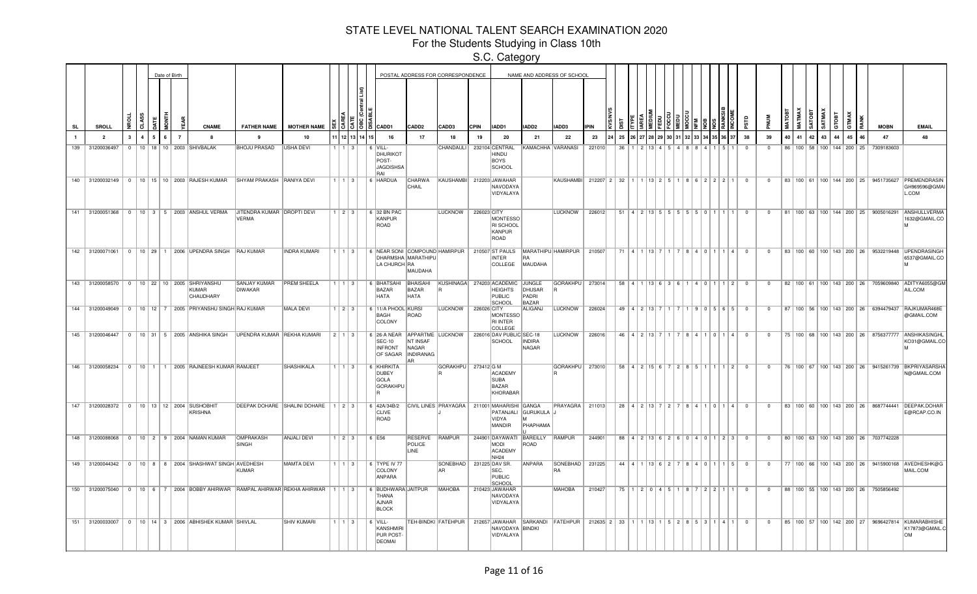For the Students Studying in Class 10th

|    |     |                 |              |    |  | Date of Birth  |                                                                  |                                                                                                      |                                          |                        |            |                                       |                                              |                                  | POSTAL ADDRESS FOR CORRESPONDENCE             |             |                                                                               |                                           | NAME AND ADDRESS OF SCHOOL                                              |             |    |                                         |  |      |       |                                                             |                |          |                |    |                         |        |                                      |              |   |                                                   |                                                                                                 |
|----|-----|-----------------|--------------|----|--|----------------|------------------------------------------------------------------|------------------------------------------------------------------------------------------------------|------------------------------------------|------------------------|------------|---------------------------------------|----------------------------------------------|----------------------------------|-----------------------------------------------|-------------|-------------------------------------------------------------------------------|-------------------------------------------|-------------------------------------------------------------------------|-------------|----|-----------------------------------------|--|------|-------|-------------------------------------------------------------|----------------|----------|----------------|----|-------------------------|--------|--------------------------------------|--------------|---|---------------------------------------------------|-------------------------------------------------------------------------------------------------|
| SL |     | <b>SROLL</b>    |              | a. |  |                | <b>CNAME</b>                                                     | <b>FATHER NAME</b>                                                                                   | <b>MOTHER NAME</b>                       |                        | 1913       | CADD1                                 |                                              | CADD <sub>2</sub>                | CADD3                                         | <b>CPIN</b> | IADD1                                                                         | IADD2                                     | IADD3                                                                   | <b>IPIN</b> |    |                                         |  |      |       |                                                             |                |          |                |    | MATMAX<br><b>SATOBT</b> | SATMA) | стовт                                | <b>GTMAX</b> | Ř | <b>MOBN</b>                                       | <b>EMAIL</b>                                                                                    |
|    |     | $\overline{2}$  | $\mathbf{r}$ |    |  | $\overline{7}$ | -8                                                               | 9                                                                                                    | 10                                       |                        | 12 13 14 1 |                                       | 16                                           | 17                               | 18                                            | 19          | 20                                                                            | -21                                       | 22                                                                      | 23          | 25 |                                         |  |      |       |                                                             | 38             |          | 39             | 40 | 41<br>42                | 43     | 44                                   | 45           |   | 47                                                | 48                                                                                              |
|    | 139 | 31200036497     |              |    |  |                | 0   10   18   10   2003   SHIVBALAK                              | <b>BHOJU PRASAD</b>                                                                                  | USHA DEVI                                |                        | l 3.       | 6 VILL-<br>POST-<br>RAI               | DHURIKOT<br><b>JAGDISHSA</b>                 |                                  | CHANDAULI                                     |             | 232104 CENTRAL<br>HINDU<br><b>BOYS</b><br>SCHOOL                              |                                           | KAMACHHA VARANASI                                                       | 221010      | 36 |                                         |  |      |       |                                                             |                | $\Omega$ |                |    |                         |        | 86 100 58 100 144 200 25             |              |   | 7309183603                                        |                                                                                                 |
|    |     |                 |              |    |  |                | 140 31200032149 0 10 15 10 2003 RAJESH KUMAR                     | SHYAM PRAKASH RANIYA DEVI                                                                            |                                          | $1 \mid 1 \mid 3 \mid$ |            | 6 HARDUA                              |                                              | CHARWA<br>CHAIL                  | KAUSHAMBI 212203 JAWAHAR                      |             | NAVODAYA<br>VIDYALAYA                                                         |                                           | KAUSHAMBI 212207 2 32                                                   |             |    | $1 \mid 1 \mid 13 \mid 2 \mid 5 \mid 1$ |  |      |       | 862221                                                      | $\overline{0}$ |          | $\mathbf{0}$   |    |                         |        |                                      |              |   | 83   100   61   100   144   200   25   9451735627 | PREMENDRASIN<br>GH969596@GMAI<br>L.COM                                                          |
|    |     |                 |              |    |  |                | 141 31200051368 0 10 3 5 2003 ANSHUL VERMA                       | JITENDRA KUMAR DROPTI DEVI<br><b>VERMA</b><br>142 31200071061 0 10 29 1 2006 UPENDRA SINGH RAJ KUMAR | <b>INDRA KUMARI</b>                      | $1$   2   3            |            | 6 32 BN PAC<br>KANPUR<br>ROAD         |                                              |                                  | <b>LUCKNOW</b>                                | 226023 CITY | <b>MONTESSO</b><br><b>RI SCHOOL</b><br>KANPUR<br>ROAD                         |                                           | LUCKNOW                                                                 | 226012      |    |                                         |  |      |       | $51   4   2   13   5   5   5   5   5   0   1   1   1$       | $\overline{0}$ |          | $\mathbf{0}$   |    |                         |        | 81   100   63   100   144   200   25 |              |   | 9005016291                                        | ANSHULLVERMA<br>1632@GMAIL.CO                                                                   |
|    |     |                 |              |    |  |                |                                                                  |                                                                                                      |                                          | $1 \mid 1 \mid 3 \mid$ |            |                                       | DHARMSHA MARATHIPU<br>LA CHURCH RA           | MAUDAHA                          |                                               |             | <b>INTER</b><br>COLLEGE                                                       | <b>IRA</b><br>MAUDAHA                     | 6 NEAR SONI COMPOUND HAMIRPUR 210507 ST PAULS MARATHIPU HAMIRPUR 210507 |             |    |                                         |  |      |       | 71   4   1   13   7   1   7   8   4   0   1   1   4   0     |                |          | $\overline{0}$ |    |                         |        |                                      |              |   |                                                   | 83   100   60   100   143   200   26   9532219448   UPENDRASINGH<br>6537@GMAIL.CO               |
|    |     |                 |              |    |  |                | 143 31200058570 0 10 22 10 2005 SHRIYANSHU<br>KUMAR<br>CHAUDHARY | <b>SANJAY KUMAR</b><br><b>DIWAKAR</b>                                                                | <b>PREM SHEELA</b>                       | $1 \mid 1 \mid 3 \mid$ |            | <b>BAZAR</b><br><b>HATA</b>           | 6 BHATSAHI BHAISAHI                          | BAZAR<br>HATA                    | KUSHINAGA 274203 ACADEMIC                     |             | <b>HEIGHTS</b><br>PUBLIC<br><b>SCHOOL</b>                                     | JUNGLE<br>DHUSAR<br>PADRI<br><b>BAZAR</b> | GORAKHPU   273014                                                       |             |    |                                         |  |      |       | $58$   4   1   13   6   3   6   1   4   0   1   1   2   0   |                |          | $\overline{0}$ |    |                         |        |                                      |              |   |                                                   | 82   100   61   100   143   200   26   7059609840   ADITYA6055@GM<br>AIL.COM                    |
|    |     |                 |              |    |  |                |                                                                  | 144 31200049049   0   10   12   7   2005 PRIYANSHU SINGH RAJ KUMAR                                   | MALA DEVI                                | $1 \mid 2 \mid 3 \mid$ |            | BAGH<br>COLONY                        | 6 11/A PHOOL KURSI                           | ROAD                             | LUCKNOW                                       | 226026 CITY | MONTESSO<br><b>RI INTER</b><br>COLLEGE                                        | ALIGANJ                                   | <b>LUCKNOW</b>                                                          | 226024      |    | 49   4   2   13   7   1   7             |  |      |       | 9 0 5 6 5                                                   | $\overline{0}$ |          | $\mathbf{0}$   |    |                         |        |                                      |              |   |                                                   | 87   100   56   100   143   200   26   6394479437   RAJKUMAR468E<br>@GMAIL.COM                  |
|    |     |                 |              |    |  |                | 145 31200046447 0 10 31 5 2005 ANSHIKA SINGH                     | UPENDRA KUMAR REKHA KUMARI                                                                           |                                          | $2$ 1 3                |            | 6 26-A NEAR<br><b>SEC-10</b>          | <b>INFRONT</b><br>OF SAGAR  INDIRANAG<br>AR. | NT INSAF<br>NAGAR                | APPARTME LUCKNOW                              |             | 226016 DAV PUBLIC SEC-18<br>SCHOOL                                            | <b>INDIRA</b><br>NAGAR                    | <b>LUCKNOW</b>                                                          | 226016      |    | $46$   $4$   $2$   $13$   $7$   $1$     |  |      |       | 8410114                                                     | $\Omega$       |          | $\Omega$       |    |                         |        |                                      |              |   |                                                   | 75   100   68   100   143   200   26   8756377777   ANSHIKASINGHL<br>KO31@GMAIL.CO              |
|    |     |                 |              |    |  |                |                                                                  | 146 31200058234 0 10 1 1 2005 RAJNEESH KUMAR RAMJEET                                                 | <b>SHASHIKALA</b>                        | 1113                   |            | 6 KHIRKITA<br>DUBEY<br><b>GOLA</b>    | <b>GORAKHPU</b>                              |                                  | GORAKHPU   273412 G M                         |             | <b>ACADEMY</b><br><b>SUBA</b><br><b>BAZAR</b><br>KHORABAR                     |                                           | GORAKHPU   273010                                                       |             |    |                                         |  |      |       | 58 4 2 15 6 7 2 8 5 1 1 1 2                                 | $\Omega$       |          | $\Omega$       |    |                         |        |                                      |              |   |                                                   | 76   100   67   100   143   200   26   9415261739   BKPRIYASARSHA<br>N@GMAIL.COM                |
|    |     | 147 31200028372 |              |    |  |                | 0   10   13   12   2004   SUSHOBHIT<br>KRISHNA                   |                                                                                                      | DEEPAK DOHARE SHALINI DOHARE   1   2   3 |                        |            | 6 42A/34B/2<br>CLIVE<br>ROAD          |                                              |                                  | CIVIL LINES PRAYAGRA   211001 MAHARISHI GANGA |             | VIDYA<br>MANDIR                                                               | PATANJALI GURUKULA J<br>امدا<br>PHAPHAMA  | <b>PRAYAGRA</b> 211013                                                  |             |    | 28 4 2 13 7 2 7                         |  |      |       | 8   4   1   0   1   4                                       | $\Omega$       |          | $\Omega$       |    |                         |        |                                      |              |   |                                                   | 83   100   60   100   143   200   26   8687744441   DEEPAK.DOHAF<br>E@RCAP.CO.IN                |
|    |     |                 |              |    |  |                | 148 31200088068 0 10 2 9 2004 NAMAN KUMAR                        | <b>OMPRAKASH</b><br>SINGH                                                                            | <b>ANJALI DEVI</b>                       | $1$   2   3            |            | 6 E56                                 |                                              | RESERVE RAMPUR<br>POLICE<br>LINE |                                               |             | 244901 DAYAWATI BAREILLY<br><b>MODI</b><br><b>ACADEMY</b><br>NH <sub>24</sub> | ROAD                                      | RAMPUR                                                                  | 244901      |    |                                         |  |      |       | 88 4 2 13 6 2 6 0 4 0 1 2 3                                 | $\overline{0}$ |          | $^{\circ}$     |    |                         |        |                                      |              |   | 80 100 63 100 143 200 26 7037742228               |                                                                                                 |
|    |     |                 |              |    |  |                |                                                                  | 149 31200044342   0   10   8   8   2004 SHASHWAT SINGH AVEDHESH<br>KUMAR                             | <b>MAMTA DEVI</b>                        | $1 \mid 1 \mid 3 \mid$ |            | 6 TYPE IV 77<br>COLONY<br>ANPARA      |                                              |                                  | SONEBHAD   231225 DAV SR.<br>AR               |             | SEC.<br>PUBLIC<br>SCHOOL                                                      | ANPARA                                    | SONEBHAD   231225<br>RA                                                 |             |    | $44$   4   1   13   6   2               |  |      |       | 8401115                                                     | $\overline{0}$ |          | $\mathbf{0}$   |    |                         |        |                                      |              |   |                                                   | 77   100   66   100   143   200   26   9415900168   AVEDHESHK@G<br>MAIL.COM                     |
|    |     |                 |              |    |  |                |                                                                  | 150 31200075040 0 10 6 7 2004 BOBBY AHIRWAR RAMPAL AHIRWAR REKHA AHIRWAR                             |                                          | 1113                   |            | THANA<br><b>AJNAR</b><br><b>BLOCK</b> | 6 BUDHWARA JAITPUR                           |                                  | <b>MAHOBA</b>                                 |             | 210423 JAWAHAR<br>NAVODAYA<br>VIDYALAYA                                       |                                           | <b>MAHOBA</b>                                                           | 210427      | 75 | 1210445                                 |  | $R1$ | 12211 |                                                             | $\Omega$       |          | $\mathbf{0}$   |    |                         |        |                                      |              |   | 88   100   55   100   143   200   26   7505856492 |                                                                                                 |
|    |     |                 |              |    |  |                | 151 31200033007 0 10 14 3 2006 ABHISHEK KUMAR SHIVLAL            |                                                                                                      | <b>SHIV KUMARI</b>                       | $1$   1   3            |            | $6$ VILL-<br><b>DEOMAI</b>            | KANSHMIRI<br>PUR POST-                       |                                  |                                               |             | NAVODAYA BINDKI<br>VIDYALAYA                                                  |                                           | TEH-BINDKI FATEHPUR   212657 JAWAHAR SARKANDI FATEHPUR   212635 2   33  |             |    |                                         |  |      |       | $1   1   1   1   1   1   1   5   2   8   5   3   1   4   1$ | $\Omega$       |          | $\mathbf 0$    |    |                         |        |                                      |              |   |                                                   | 85   100   57   100   142   200   27   9696427814   KUMARABHISHE<br>K17873@GMAIL.C<br><b>OM</b> |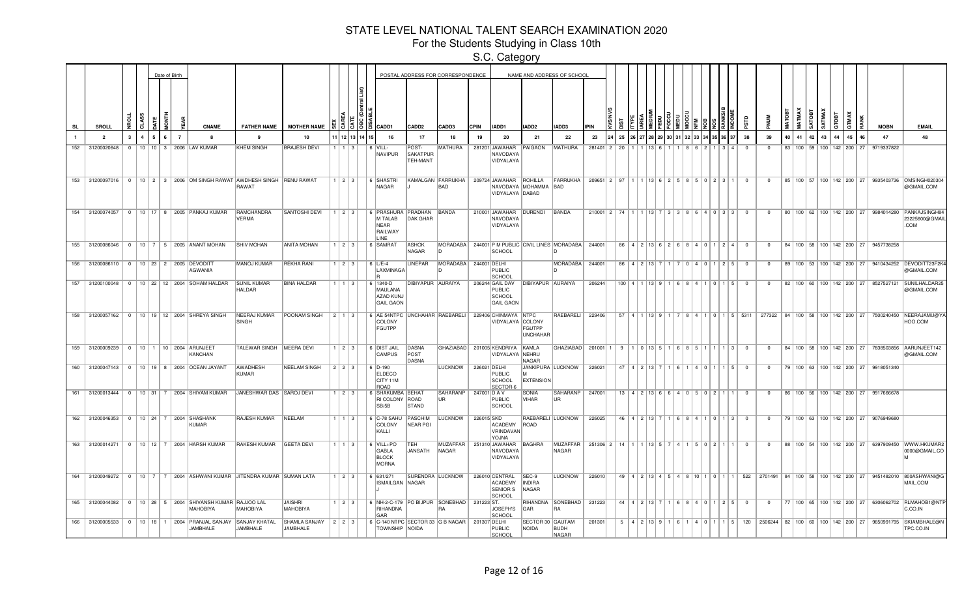For the Students Studying in Class 10th

|              |                                                 |                |   | Date of Birth |   |                |                                                                             |                                                                                            |                                        |                        |                        |                                                                          |                                             | POSTAL ADDRESS FOR CORRESPONDENCE |              |                                                         |                                       | NAME AND ADDRESS OF SCHOOL                        |               |                 |                             |                  |                |     |                                                          |                |                                  |    |    |              |                 |             |                                      |                                                   |                                                                                                                                                  |
|--------------|-------------------------------------------------|----------------|---|---------------|---|----------------|-----------------------------------------------------------------------------|--------------------------------------------------------------------------------------------|----------------------------------------|------------------------|------------------------|--------------------------------------------------------------------------|---------------------------------------------|-----------------------------------|--------------|---------------------------------------------------------|---------------------------------------|---------------------------------------------------|---------------|-----------------|-----------------------------|------------------|----------------|-----|----------------------------------------------------------|----------------|----------------------------------|----|----|--------------|-----------------|-------------|--------------------------------------|---------------------------------------------------|--------------------------------------------------------------------------------------------------------------------------------------------------|
| <b>SL</b>    | SROLL                                           |                |   |               |   |                | CNAME                                                                       | <b>FATHER NAME</b>                                                                         | <b>MOTHER NAME</b>                     |                        |                        | o la capp1                                                               | CADD <sub>2</sub>                           | CADD3                             | <b>CPIN</b>  | <b>IADD1</b>                                            | IADD <sub>2</sub>                     | IADD3                                             | <b>IPIN</b>   |                 |                             |                  |                |     |                                                          |                |                                  |    |    | <b>GOTAS</b> | SATMAX<br>стовт | <b>GTMA</b> |                                      | <b>MOBN</b>                                       | <b>EMAIL</b>                                                                                                                                     |
| $\mathbf{1}$ | $\overline{\phantom{a}}$                        | $\mathbf{3}$   | 4 |               | 6 | $\overline{7}$ | я.                                                                          | $\mathbf{q}$                                                                               | 10                                     |                        | 12 13 14 1             | 16                                                                       | 17                                          | 18                                | 19           | 20                                                      | 21                                    | 22                                                | 23            | 25              |                             |                  |                |     |                                                          | 38             | 39                               | 40 | 41 | 42           | 43<br>44        |             | 45<br>46                             | 47                                                | 48                                                                                                                                               |
| 152          | 31200020648                                     | $\overline{0}$ |   |               |   |                | 10   10   3   2006   LAV KUMAR                                              | <b>KHEM SINGH</b>                                                                          | <b>BRAJESH DEVI</b>                    |                        | $1 \mid 3 \mid$        | 6 VILL-<br><b>NAVIPUR</b>                                                | POST-<br><b>SAKATPUR</b><br><b>TEH-MANT</b> | MATHURA                           |              | 281201 JAWAHAR<br>NAVODAYA<br>VIDYALAYA                 | PAIGAON                               | <b>MATHURA</b>                                    | 281401 2      | 20              |                             |                  |                |     | $\mathbf{A}$                                             | $\Omega$       | $^{\circ}$                       |    |    |              |                 |             | 83   100   59   100   142   200   27 | 9719337822                                        |                                                                                                                                                  |
| 153          |                                                 |                |   |               |   |                |                                                                             | 31200097016   0   10   2   3   2006   OM SINGH RAWAT   AWDHESH SINGH   RENU RAWAT<br>RAWAT |                                        |                        | $1 \mid 2 \mid 3 \mid$ | 6 SHASTRI<br>NAGAR                                                       |                                             | KAMALGAN FARRUKHA<br><b>BAD</b>   |              | 209724 JAWAHAR ROHILLA<br>VIDYALAYA DABAD               | NAVODAYA MOHAMMA BAD                  | FARRUKHA                                          | 209651 2 97   |                 |                             |                  |                |     | 1 13 6 2 5 8 5 0 2 3 1                                   | $\overline{0}$ | $\mathbf{0}$                     |    |    |              |                 |             | 85   100   57   100   142   200   27 |                                                   | 9935403736 OMSINGH02030<br>@GMAIL.COM                                                                                                            |
|              |                                                 |                |   |               |   |                | 154 31200074057   0   10   17   8   2005   PANKAJ KUMAR                     | RAMCHANDRA<br><b>VERMA</b>                                                                 | <b>SANTOSHI DEVI</b>                   |                        | 1123                   | 6 PRASHURA PRADHAN<br>M TALAB<br><b>NEAR</b><br>RAILWAY<br>LINE          | <b>DAK GHAR</b>                             | BANDA                             |              | 210001 JAWAHAR DURENDI<br>NAVODAYA<br>VIDYALAYA         |                                       | BANDA                                             | $210001$ 2 74 |                 |                             |                  |                |     | $1$   13   7   3   3   8   6   4   0   3   3             | $\overline{0}$ | $\mathbf{0}$                     |    |    |              |                 |             |                                      |                                                   | 80   100   62   100   142   200   27   9984014280   PANKAJSINGH84<br>23225600@GMAIL<br>.COM                                                      |
|              | 155 31200086046                                 |                |   |               |   |                | 0   10   7   5   2005   ANANT MOHAN                                         | <b>SHIV MOHAN</b>                                                                          | <b>ANITA MOHAN</b>                     |                        | $1 \mid 2 \mid 3 \mid$ | 6 SAMRAT                                                                 | <b>ASHOK</b><br>NAGAR                       |                                   |              | <b>SCHOOL</b>                                           |                                       | MORADABA   244001 P M PUBLIC CIVIL LINES MORADABA | 244001        |                 |                             |                  |                |     | 86 4 2 13 6 2 6 8 4 0 1 2 4                              | $\overline{0}$ | $\mathbf{0}$                     |    |    |              |                 |             |                                      | 84   100   58   100   142   200   27   9457738258 |                                                                                                                                                  |
| 156          | 31200086110   0   10   23   2   2005   DEVODITT |                |   |               |   |                | <b>AGWANIA</b>                                                              | <b>MANOJ KUMAR</b>                                                                         | <b>REKHA RANI</b>                      |                        | $1 \mid 2 \mid 3 \mid$ | $6$ L/E-4<br>LAXMINAGA                                                   | <b>LINEPAR</b>                              | MORADABA 244001 DELHI             |              | <b>PUBLIC</b><br>SCHOOL                                 |                                       | <b>MORADABA</b>                                   | 244001        |                 |                             |                  |                |     | 86   4   2   13   7   1   7   0   4   0   1   2   5      | $\overline{0}$ | $\mathbf{0}$                     |    |    |              |                 |             |                                      |                                                   | 89   100   53   100   142   200   27   9410434252   DEVODITT23F2K<br>@GMAIL.COM                                                                  |
| 157          | 31200100048                                     |                |   |               |   |                | 0   10   22   12   2004   SOHAM HALDAR                                      | <b>SUNIL KUMAR</b><br><b>HALDAR</b>                                                        | <b>BINA HALDAR</b>                     |                        | $1 \mid 3 \mid$        | 6 1340-D<br><b>MAULANA</b><br>AZAD KUNJ<br><b>GAIL GAON</b>              | DIBIYAPUR AURAIYA                           |                                   |              | 206244 GAIL DAV<br>PUBLIC<br>SCHOOL<br><b>GAIL GAON</b> | <b>DIBIYAPUR AURAIYA</b>              |                                                   | 206244        |                 |                             |                  |                |     | $100$   4   1   13   9   1   6   8   4   1   0   1   5   | $\Omega$       | $\Omega$                         |    |    |              |                 |             | 82 100 60 100 142 200 27             | 8527527121                                        | SUNILHALDAR25<br>@GMAIL.COM                                                                                                                      |
|              |                                                 |                |   |               |   |                | 158 31200057162 0 10 19 12 2004 SHREYA SINGH                                | NEERAJ KUMAR<br>SINGH                                                                      | POONAM SINGH                           |                        | 2 1 3                  | 6   AE 54NTPC   UNCHAHAR   RAEBARELI  <br><b>COLONY</b><br><b>FGUTPP</b> |                                             |                                   |              | 229406 CHINMAYA NTPC<br>VIDYALAYA COLONY                | FGUTPP<br><b>UNCHAHAR</b>             | RAEBARELI                                         | 229406        |                 |                             |                  |                |     |                                                          |                |                                  |    |    |              |                 |             |                                      |                                                   | 57   4   1   13   9   1   7   8   4   1   0   1   5   5311   277322   84   100   58   100   142   200   27   7500240450   NEERAJAMU@Y<br>HOO.COM |
|              | 159 31200009239 0 10 1 10 2004 ARUNJEET         |                |   |               |   |                | KANCHAN                                                                     | TALEWAR SINGH   MEERA DEVI                                                                 |                                        |                        | $1 \mid 2 \mid 3 \mid$ | 6 DIST JAIL<br><b>CAMPUS</b>                                             | DASNA<br>POST<br>DASNA                      |                                   |              | GHAZIABAD 201005 KENDRIYA KAMLA<br>VIDYALAYA NEHRU      | NAGAR                                 | GHAZIABAD 201001                                  |               |                 |                             |                  |                |     | $9   1   0   13   5   1   6   8   5   1   1   1   3   0$ |                | $\mathbf{0}$                     |    |    |              |                 |             | 84   100   58   100   142   200   27 |                                                   | 7838503856 AARUNJEET142<br>@GMAIL.COM                                                                                                            |
|              |                                                 |                |   |               |   |                | 160 31200047143 0 10 19 8 2004 OCEAN JAYANT                                 | <b>AWADHESH</b><br>KUMAR                                                                   | <b>NEELAM SINGH</b>                    |                        | $223$                  | 6 D-190<br><b>ELDECO</b><br>CITY 11M<br>ROAD                             |                                             | <b>LUCKNOW</b>                    | 226021 DELHI | PUBLIC<br>SCHOOL<br>SECTOR-6                            | JANKIPURA LUCKNOW<br><b>EXTENSION</b> |                                                   | 226021        | 47 <sup>1</sup> |                             |                  |                | ∣ ∩ | $1 \,$ 5                                                 | $\Omega$       | $\Omega$                         |    |    |              |                 |             |                                      | 79   100   63   100   142   200   27   9918051340 |                                                                                                                                                  |
|              |                                                 |                |   |               |   |                | 161 31200013444   0   10   31   7   2004 SHIVAM KUMAR                       | JANESHWAR DAS SAROJ DEVI                                                                   |                                        | $1 \mid 2 \mid 3 \mid$ |                        | 6 SHAKUMBA BEHAT<br><b>RI COLONY</b><br>SB/5B                            | ROAD<br>STAND                               | SAHARANP   247001   D A V<br>UR.  |              | PUBLIC<br>SCHOOL                                        | SONIA<br>VIHAR                        | SAHARANP<br>UR.                                   | 247001        |                 |                             |                  |                |     | $13   4   2   13   6   6   4   0   5   0 2   1   1$      | $\Omega$       | $\overline{0}$                   |    |    |              |                 |             |                                      | 86   100   56   100   142   200   27   9917666678 |                                                                                                                                                  |
| 162          | 31200046353                                     |                |   |               |   |                | 0   10   24   7   2004   SHASHANK<br><b>KUMAR</b>                           | <b>RAJESH KUMAR</b>                                                                        | NEELAM                                 |                        | $1 \mid 3 \mid$        | 6 C-78 SAHU<br>COLONY<br>KALLI                                           | PASCHIM<br><b>NEAR PGI</b>                  | LUCKNOW                           | 226015 SKD   | <b>ACADEMY</b><br>VRINDAVAN<br><b>YOJNA</b>             | RAEBARELI LUCKNOW<br>ROAD             |                                                   | 226025        |                 | $46$   $4$   $2$   $13$   7 |                  |                |     | 6   8   4   1   0   1   3                                | $\overline{0}$ | $\mathbf 0$                      |    |    |              |                 |             | 79   100   63   100   142   200   27 | 9076949680                                        |                                                                                                                                                  |
| 163          | 31200014271                                     | $\Omega$       |   |               |   |                | 10   12   7   2004 HARSH KUMAR                                              | RAKESH KUMAR                                                                               | <b>GEETA DEVI</b>                      |                        | $\vert 3 \vert$        | 6 VILL+PO<br>GABLA<br><b>BLOCK</b><br><b>MORNA</b>                       | TEH<br>JANSATH                              | MUZAFFAR  <br>NAGAR               |              | 251310 JAWAHAR<br>NAVODAYA<br>VIDYALAYA                 | BAGHRA                                | MUZAFFAR<br>NAGAR                                 | 251306 2      | 14              |                             | $1$   13   5   7 | $\overline{A}$ |     | 5 0 2 1 1                                                | $\overline{0}$ | $^{\circ}$                       |    |    |              |                 |             | 88   100   54   100   142   200   27 |                                                   | 6397909450 WWW.HKUMAR2<br>0000@GMAIL.CO                                                                                                          |
|              |                                                 |                |   |               |   |                |                                                                             | 164 31200049272 0 10 7 7 2004 ASHWANI KUMAR JITENDRA KUMAR SUMAN LATA                      |                                        |                        | $1 \mid 2 \mid 3 \mid$ | 6 631/271<br>ISMAILGAN NAGAR                                             | SURENDRA LUCKNOW                            |                                   |              | 226010 CENTRAL<br>ACADEMY<br><b>SENIOR S</b><br>SCHOOL  | SEC-9<br><b>INDIRA</b><br>NAGAR       | LUCKNOW                                           | 226010        |                 |                             |                  |                |     | 49   4   2   13   4   5   4   8   10   1   0   1   1     |                |                                  |    |    |              |                 |             |                                      |                                                   | 522   2701491   84   100   58   100   142   200   27   9451482010  800ASHWANI@G<br>MAIL.COM                                                      |
|              |                                                 |                |   |               |   |                | 165 31200044082 0 10 28 5 2004 SHIVANSH KUMAR RAJJOO LAL<br><b>MAHOBIYA</b> | <b>MAHOBIYA</b>                                                                            | <b>JAISHRI</b><br><b>MAHOBIYA</b>      |                        | $1 \ 2 \ 3$            | 6 NH-2-C-179 PO BIJPUR SONEBHAD<br>RIHANDNA<br>GAR                       |                                             |                                   | 231223 ST.   | JOSEPH'S<br>SCHOOL                                      | GAR                                   | RIHANDNA SONEBHAD<br><b>RA</b>                    | 231223        |                 |                             |                  |                |     | 44   4   2   13   7   1   6   8   4   0   1   2   5      | $\overline{0}$ | $\mathbf 0$                      |    |    |              |                 |             |                                      |                                                   | 77   100   65   100   142   200   27   6306062702   RLMAHOB1@NTF<br>C.CO.IN                                                                      |
|              |                                                 |                |   |               |   |                | 166 31200005533 0 10 18 1 2004 PRANJAL SANJAY<br><b>JAMBHALE</b>            | <b>SANJAY KHATAL</b><br>JAMBHALE                                                           | SHAMLA SANJAY 2 2 3<br><b>JAMBHALE</b> |                        |                        | 6 C-140 NTPC SECTOR 33 G B NAGAR<br><b>TOWNSHIP NOIDA</b>                |                                             |                                   | 201307 DELHI | PUBLIC<br>SCHOOL                                        | SECTOR 30 GAUTAM<br>NOIDA             | <b>BUDH</b><br>NAGAR                              | 201301        |                 | 5   4   2   13   9   1   6  |                  |                |     |                                                          | 4 0 1 1 5 120  | 2506244 82 100 60 100 142 200 27 |    |    |              |                 |             |                                      |                                                   | 9650991795 SKIAMBHALE@N<br>TPC.CO.IN                                                                                                             |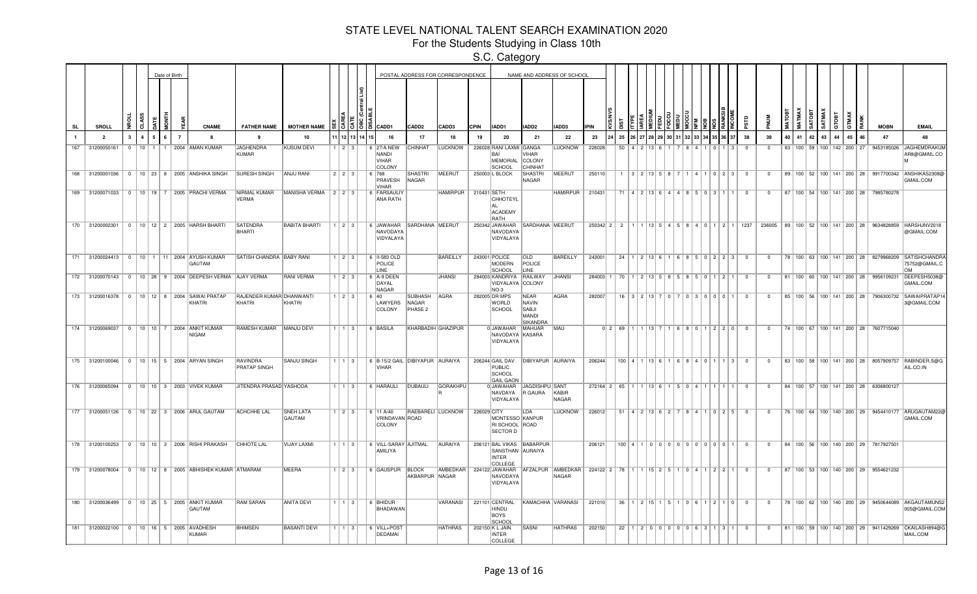For the Students Studying in Class 10th

|     |                                         |             |                 | Date of Birth |                |                                                                 |                                    |                            |                         |                                                                                                          |                                           | POSTAL ADDRESS FOR CORRESPONDENCE |             |                                                              |                                                                         | NAME AND ADDRESS OF SCHOOL |                                      |                 |                                                |  |  |                                                           |                         |                |    |    |                        |       |    |                                      |                                                   |                                                                                          |
|-----|-----------------------------------------|-------------|-----------------|---------------|----------------|-----------------------------------------------------------------|------------------------------------|----------------------------|-------------------------|----------------------------------------------------------------------------------------------------------|-------------------------------------------|-----------------------------------|-------------|--------------------------------------------------------------|-------------------------------------------------------------------------|----------------------------|--------------------------------------|-----------------|------------------------------------------------|--|--|-----------------------------------------------------------|-------------------------|----------------|----|----|------------------------|-------|----|--------------------------------------|---------------------------------------------------|------------------------------------------------------------------------------------------|
| SL  | <b>SROLL</b>                            |             |                 |               |                | <b>CNAME</b>                                                    | <b>FATHER NAME</b>                 | <b>MOTHER NAME</b>         |                         | $\ddot{\circ}$ $\ddot{\circ}$ $\ddot{\circ}$ $\ddot{\circ}$ $\ddot{\circ}$ $\ddot{\circ}$ $\ddot{\circ}$ | CADD <sub>2</sub>                         | CADD3                             | <b>CPIN</b> | IADD1                                                        | IADD2                                                                   | IADD3                      | <b>IPIN</b>                          |                 |                                                |  |  |                                                           |                         |                |    |    | <b>TBOLY</b><br>SATMAX | стовт |    |                                      | <b>MOBN</b>                                       | <b>EMAIL</b>                                                                             |
|     | $\overline{2}$                          | $3^{\circ}$ | $\mathbf{a}$    | 5             | $\overline{7}$ | -8                                                              | 9                                  | 10                         | 1 12 13 14 15           | 16                                                                                                       | 17                                        | 18                                | 19          | 20                                                           | 21                                                                      | 22                         | 23                                   | 25              |                                                |  |  |                                                           | 38                      | 39             | 40 | 41 | 42                     | 43    | 44 | 45<br>46                             | 47                                                | 48                                                                                       |
| 167 | 31200050161                             | $\Omega$    | 10 <sup>1</sup> |               |                | 2004 AMAN KUMAR                                                 | <b>JAGHENDRA</b><br>KUMAR          | <b>KUSUM DEVI</b>          | $\vert 2 \vert 3 \vert$ | 6 27/A NEW<br>NANDI<br><b>VIHAR</b><br>COLONY                                                            | CHINHAT                                   | <b>LUCKNOW</b>                    |             | 226028 RANI LAXMI GANGA<br>l RΔI<br><b>MEMORIAL</b><br>SCHOO | VIHAR<br>COLONY<br>CHINHAT                                              | <b>LUCKNOW</b>             | 226028                               | 50              |                                                |  |  |                                                           | $\Omega$                | $\mathbf{0}$   |    |    |                        |       |    | 83   100   59   100   142   200   27 | 9453185026                                        | JAGHEMDRAKUM<br>AR8@GMAIL.CO                                                             |
|     | 168 31200001036                         |             |                 |               |                | 0   10   23   8   2005   ANSHIKA SINGH                          | <b>SURESH SINGH</b>                | ANJU RANI                  | 223                     | 6 768<br>PRAVESH<br><b>VIHAR</b>                                                                         | SHASTRI<br>NAGAR                          | MEERUT                            |             | 250003 L BLOCK                                               | SHASTRI<br>NAGAR                                                        | MEERUT                     | 250110                               |                 | $1 \mid 3 \mid 2 \mid 13 \mid 5 \mid 8 \mid 7$ |  |  | 1   4   1   0   2   3                                     | $\overline{0}$          | $\overline{0}$ |    |    |                        |       |    |                                      | 89   100   52   100   141   200   28   9917700342 | ANSHIKAS2308@<br>GMAIL.COM                                                               |
|     |                                         |             |                 |               |                | 169 31200071033 0 10 19 7 2005 PRACHI VERMA                     | NIRMAL KUMAR<br>VERMA              | MANISHA VERMA   2   2   3  |                         | 6 FARSAULIY<br><b>ANA RATH</b>                                                                           |                                           | HAMIRPUR                          | 210431 SETH | <b>CHHOTEYL</b><br><b>ACADEMY</b><br>RATH                    |                                                                         | <b>HAMIRPUR</b>            | 210431                               | 71              |                                                |  |  | 4 2 13 6 4 4 85 03 1 1                                    | $\Omega$                | $\Omega$       |    |    |                        |       |    | 87   100   54   100   141   200   28 | 7985780278                                        |                                                                                          |
|     |                                         |             |                 |               |                | 170 31200002301 0 10 12 2 2005 HARSH BHARTI                     | <b>SATENDRA</b><br>BHARTI          | <b>BABITA BHARTI</b>       | 123                     | 6 JAWAHAR SARDHANA MEERUT<br>NAVODAYA<br>VIDYALAYA                                                       |                                           |                                   |             | 250342 JAWAHAR<br>NAVODAYA<br>VIDYALAYA                      | SARDHANA MEERUT                                                         |                            |                                      | $250342$ 2 2    |                                                |  |  | 1   13   5   4   5   8   4   0   1   2   1   1237         |                         | 236005         |    |    |                        |       |    |                                      | 89   100   52   100   141   200   28   9634828859 | HARSHJNV2018<br>@GMAIL.COM                                                               |
| 171 |                                         |             |                 |               |                | 31200024413 0 10 1 11 2004 AYUSH KUMAR<br>GAUTAM                | SATISH CHANDRA BABY RANI           |                            | $1$   2   3             | 6 11-583 OLD<br>POLICE<br>LINE                                                                           |                                           | <b>BAREILLY</b>                   |             | 243001 POLICE<br><b>MODERN</b><br><b>SCHOOL</b>              | <b>OLD</b><br>POLICE<br>LINE                                            | <b>BAREILLY</b>            | 243001                               |                 |                                                |  |  | $24$   1   2   13   6   1   6   8   5   0   2   2   3     | $\overline{0}$          | $\mathbf{0}$   |    |    |                        |       |    |                                      |                                                   | 78   100   63   100   141   200   28   8279968209   SATISHCHANDRA<br>75752@GMAIL.C<br>٦M |
|     |                                         |             |                 |               |                | 172 31200070143 0 10 28 9 2004 DEEPESH VERMA AJAY VERMA         |                                    | <b>RANI VERMA</b>          | $1 \ 2 \ 3$             | 6 A-9 DEEN<br>DAYAL<br>NAGAR                                                                             |                                           | <b>JHANSI</b>                     |             | 284003 KANDRIYA<br>VIDYALAYA COLONY<br>NO-3                  | RAILWAY                                                                 | <b>JHANSI</b>              | 284003 1                             |                 |                                                |  |  | 70   1   2   13   5   8   5   8   5   0   1   2   1       | $\overline{0}$          | $^{\circ}$     |    |    |                        |       |    |                                      | 81   100   60   100   141   200   28   9956109231 | DEEPESH5038@<br>GMAIL.COM                                                                |
| 173 | 31200016378 0                           |             |                 |               |                | 10   12   8   2004   SAWAI PRATAP<br>KHATRI                     | RAJENDER KUMAR DHANWANTI<br>KHATRI | KHATRI                     | 2 3                     | 6 40<br>LAWYERS<br>COLONY                                                                                | <b>SUBHASH</b><br><b>NAGAR</b><br>PHASE 2 | AGRA                              |             | 282005 DR MPS<br><b>WORLD</b><br><b>SCHOOL</b>               | NEAR<br><b>NAVIN</b><br><b>SABJI</b><br><b>MANDI</b><br><b>SIKANDRA</b> | AGRA                       | 282007                               |                 | $16$   $3$   $2$   $13$   $7$   $0$            |  |  | 0 3 0 0 0 1                                               | $\overline{0}$          | $^{\circ}$     |    |    |                        |       |    | 85   100   56   100   141   200   28 | 7906300732                                        | SAWAIPRATAP1<br>3@GMAIL.COM                                                              |
|     |                                         |             |                 |               |                | 174 31200069037 0 10 10 7 2004 ANKIT KUMAR<br>NIGAM             | RAMESH KUMAR   MANJU DEVI          |                            | $1 \mid 1 \mid 3 \mid$  | 6 BASILA                                                                                                 |                                           | KHARBADIH GHAZIPUR                |             | 0 JAWAHAR MAHUAR<br>NAVODAYA KASARA<br>VIDYALAYA             |                                                                         | MAU                        |                                      | $0 \times 2$ 69 | 1   13                                         |  |  | 1 6 8 0 1 2 2 0                                           | $\Omega$                | $^{\circ}$     |    |    |                        |       |    |                                      | 74   100   67   100   141   200   28   7607715040 |                                                                                          |
|     |                                         |             |                 |               |                | 175 31200100046 0 10 15 5 2004 ARYAN SINGH                      | <b>RAVINDRA</b><br>PRATAP SINGH    | <b>SANJU SINGH</b>         | $1 \mid 1 \mid 3 \mid$  | 6 B-15/2 GAIL DIBIYAPUR AURAIYA<br>VIHAR                                                                 |                                           |                                   |             | PUBLIC<br>SCHOOL<br><b>GAIL GAON</b>                         |                                                                         |                            | 206244                               |                 | $100$   4   1   13   6                         |  |  | 6   8   4   0   1   1   3                                 | $\overline{0}$          | $^{\circ}$     |    |    |                        |       |    |                                      |                                                   | 83   100   58   100   141   200   28   8057909757   RABINDER.S@G<br>AIL.CO.IN            |
|     |                                         |             |                 |               |                | 176 31200065094 0 10 10 3 2003 VIVEK KUMAR                      | <b>JITENDRA PRASAD YASHODA</b>     |                            | $1$   1   3             | 6 HARAULI                                                                                                | <b>DUBAULI</b>                            | <b>GORAKHPU</b>                   |             | 0 JAWAHAR<br>NAVDAYA<br>VIDYALAYA                            | JAGDISHPU SANT<br>R GAURA                                               | KABIR<br>NAGAR             |                                      | 272164 2 65     | 1   1   13   6   1   5   0   4   1             |  |  | .                                                         | $\Omega$                | $\mathbf{0}$   |    |    |                        |       |    |                                      | 84   100   57   100   141   200   28   6306800127 |                                                                                          |
|     |                                         |             |                 |               |                | 177 31200051126 0 10 22 3 2006 ARUL GAUTAM                      | <b>ACHCHHE LAL</b>                 | <b>SNEH LATA</b><br>GAUTAM | $1 \mid 2 \mid 3 \mid$  | 6 11 A/40<br>VRINDAVAN ROAD<br>COLONY                                                                    |                                           | RAEBARELI LUCKNOW                 | 226029 CITY | MONTESSO KANPUR<br>RI SCHOOL ROAD<br>SECTOR D                | LDA                                                                     | <b>LUCKNOW</b>             | 226012                               | 51              | $4$   2   13   6   2   7                       |  |  | 8   4   1   0   2   5                                     | $\Omega$                | $\mathbf{0}$   |    |    |                        |       |    |                                      |                                                   | 76   100   64   100   140   200   29   9454410177   ARUGAUTAM22<br>GMAIL.COM             |
|     |                                         |             |                 |               |                | 178 31200100253 0 10 10 3 2006 RISHI PRAKASH                    | CHHOTE LAL                         | VIJAY LAXMI                | $1 \mid 1 \mid 3 \mid$  | 6 VILL-SARAY AJITMAL<br>AMILIYA                                                                          |                                           | AURAIYA                           |             | SANSTHAN AURAIYA<br><b>INTER</b><br>COLLEGE                  | 206121 BAL VIKAS BABARPUR                                               |                            | 206121                               |                 |                                                |  |  | 100 4 1 0 0 0 0 0 0 0 0 0 0 0 0 1                         | $\overline{0}$          | $\mathbf{0}$   |    |    |                        |       |    |                                      | 84   100   56   100   140   200   29   7817927501 |                                                                                          |
|     |                                         |             |                 |               |                | 179 31200078004   0   10   12   8   2005 ABHISHEK KUMAR ATMARAM |                                    | MEERA                      |                         | $1 \mid 2 \mid 3 \mid$ 6 GAUSPUR BLOCK                                                                   | AKBARPUR NAGAR                            | AMBEDKAR                          |             | 224122 JAWAHAR<br>NAVODAYA<br>VIDYALAYA                      |                                                                         | AFZALPUR AMBEDKAR<br>NAGAR | 224122   2   78   1   1   15   2   5 |                 |                                                |  |  | 0 4 1 2 2 1                                               | $\overline{0}$          | $^{\circ}$     |    |    |                        |       |    |                                      | 87   100   53   100   140   200   29   9554621232 |                                                                                          |
|     |                                         |             |                 |               |                | 180 31200036499 0 10 25 5 2005 ANKIT KUMAR<br>GAUTAM            | <b>RAM SARAN</b>                   | <b>ANITA DEVI</b>          | $1 \mid 1 \mid 3 \mid$  | 6 BHIDUR<br>BHADAWAN                                                                                     |                                           | VARANASI                          |             | 221101 CENTRAL<br>HINDU<br><b>BOYS</b><br>SCHOOL             |                                                                         | KAMACHHA VARANASI          | 221010                               |                 |                                                |  |  | $36$   1   2   15   1   5   1   0   6   1   2   1   0   0 |                         | $^{\circ}$     |    |    |                        |       |    |                                      |                                                   | 78   100   62   100   140   200   29   9450644089   AKGAUTAMUNS2<br>005@GMAIL.COM        |
|     | 181 31200022100 0 10 16 5 2005 AVADHESH |             |                 |               |                | KUMAR                                                           | <b>BHIMSEN</b>                     | <b>BASANTI DEVI</b>        | 1113                    | $6$ VILL+POST<br>DEDAMAI                                                                                 |                                           | <b>HATHRAS</b>                    |             | 202150 K L JAIN<br><b>INTER</b><br>COLLEGE                   | SASNI                                                                   | <b>HATHRAS</b>             | 202150                               | 22              |                                                |  |  | 1 2 0 0 0 0 0 0 0 0 0 6 3 1 1 3 1 1                       | $\overline{\mathbf{0}}$ | $\overline{0}$ |    |    |                        |       |    |                                      |                                                   | 81   100   59   100   140   200   29   9411429269   CKAILASH894@G<br>MAIL.COM            |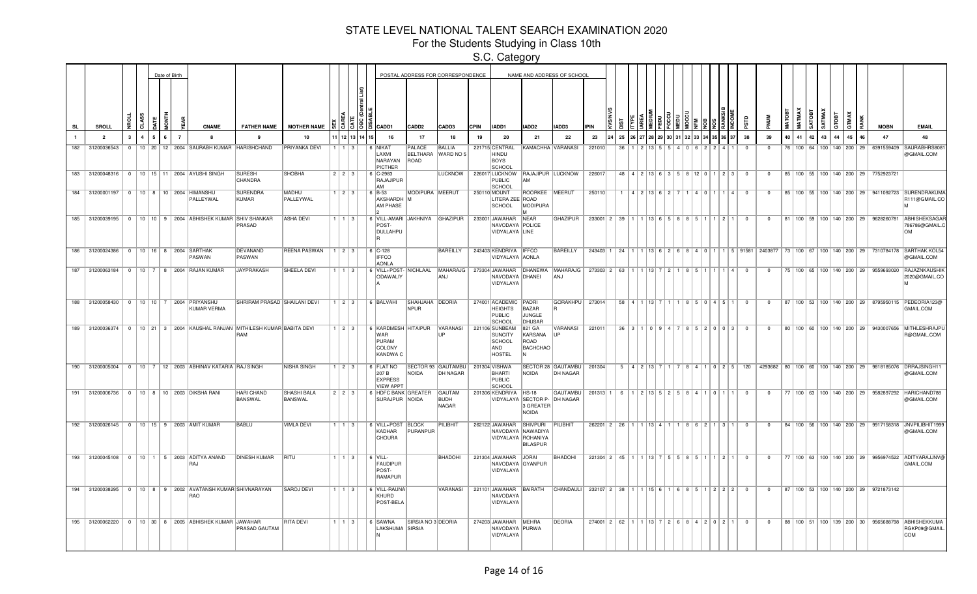For the Students Studying in Class 10th

|    |                |  |                |   | Date of Birth |                |                                                                      |                                                                                            |                               |                        |                  |            |                                                                  |                            | POSTAL ADDRESS FOR CORRESPONDENCE     |             |                                                                    |                                                                    | NAME AND ADDRESS OF SCHOOL                    |                                                                        |               |                              |  |  |                                                                            |                                                            |                |    |          |    |    |    |    |                                                   |                                                                                                           |
|----|----------------|--|----------------|---|---------------|----------------|----------------------------------------------------------------------|--------------------------------------------------------------------------------------------|-------------------------------|------------------------|------------------|------------|------------------------------------------------------------------|----------------------------|---------------------------------------|-------------|--------------------------------------------------------------------|--------------------------------------------------------------------|-----------------------------------------------|------------------------------------------------------------------------|---------------|------------------------------|--|--|----------------------------------------------------------------------------|------------------------------------------------------------|----------------|----|----------|----|----|----|----|---------------------------------------------------|-----------------------------------------------------------------------------------------------------------|
| SL | <b>SROLL</b>   |  | ಕ              |   | õ             |                | <b>CNAME</b>                                                         | <b>FATHER NAME</b>                                                                         | <b>MOTHER NAME</b>            |                        |                  |            | CADD1                                                            | CADD <sub>2</sub>          | CADD3                                 | <b>CPIN</b> | IADD1                                                              | IADD <sub>2</sub>                                                  | IADD3                                         | <b>IPIN</b>                                                            |               |                              |  |  |                                                                            |                                                            |                |    |          |    |    |    |    | <b>MOBN</b>                                       | <b>EMAIL</b>                                                                                              |
|    | $\overline{2}$ |  | $\overline{A}$ | 5 | ĥ.            | $\overline{7}$ |                                                                      |                                                                                            | 10                            |                        |                  | 12 13 14 T | 16                                                               | 17                         | 18                                    | 19          | 20                                                                 | 21                                                                 | 22                                            | 23                                                                     | 25            |                              |  |  |                                                                            | 38                                                         | 39             | 40 | 42<br>41 | 43 | 44 | 45 | 46 | 47                                                | 48                                                                                                        |
|    |                |  |                |   |               |                | 182 31200036543 0 10 20 12 2004 SAURABH KUMAR HARISHCHAND            |                                                                                            | <b>PRIYANKA DEVI</b>          | $1 \mid 1 \mid 3$      |                  |            | 6 NIKAT<br>LAXMI<br>NARAYAN<br>PICTHER                           | PALACE<br>BELTHARA<br>ROAD | <b>BALLIA</b><br>WARD NO 5            |             | 221715 CENTRAL<br>HINDU<br>BOYS<br>SCHOOL                          |                                                                    | KAMACHHA VARANASI                             | 221010                                                                 | 36            |                              |  |  | $\vert$ $\vert$ $\vert$ 1                                                  | $\Omega$                                                   | $\Omega$       |    |          |    |    |    |    |                                                   | 76   100   64   100   140   200   29   6391559409   SAURABHRS808<br>@GMAIL.COM                            |
|    |                |  |                |   |               |                | 183 31200048316   0   10   15   11   2004 AYUSHI SINGH               | <b>SURESH</b><br>CHANDRA                                                                   | SHOBHA                        | 2 2 3                  |                  |            | $  6  $ C-2983<br>RAJAJIPUR<br>AM                                |                            | LUCKNOW                               |             | PUBLIC<br><b>SCHOOL</b>                                            | l AM                                                               | 226017 LUCKNOW RAJAJIPUR LUCKNOW              | 226017                                                                 |               |                              |  |  |                                                                            | 48 4 2 13 6 3 5 8 12 0 1 2 3 0                             | $\mathbf{0}$   |    |          |    |    |    |    | 85   100   55   100   140   200   29   7752923721 |                                                                                                           |
|    |                |  |                |   |               |                | 184 31200001197   0   10   8   10   2004   HIMANSHU<br>PALLEYWAL     | SURENDRA<br>KUMAR                                                                          | <b>MADHU</b><br>PALLEYWAL     | $1 \mid 2 \mid 3 \mid$ |                  |            | 6 B-53<br>AKSHARDH M<br><b>AM PHASE</b>                          | MODIPURA MEERUT            |                                       |             | 250110 MOUNT<br>LITERA ZEE ROAD<br>SCHOOL                          | ROORKEE MEERUT<br>MODIPURA<br>lм.                                  |                                               | 250110                                                                 |               | 1   4   2   13   6   2   7   |  |  | 4011114                                                                    | $\sqrt{ }$                                                 | $\Omega$       |    |          |    |    |    |    |                                                   | 85   100   55   100   140   200   29   9411092723   SURENDRAKUMA<br>R111@GMAIL.CO                         |
|    |                |  |                |   |               |                | 185 31200039195 0 10 10 9 2004 ABHISHEK KUMAR SHIV SHANKAR           | PRASAD                                                                                     | <b>ASHA DEVI</b>              |                        | $1 \mid 3 \mid$  |            | 6 VILL-AMARI JAKHNIYA GHAZIPUR<br>POST-<br>DULLAHPU              |                            |                                       |             | 233001 JAWAHAR NEAR<br>NAVODAYA POLICE<br>VIDYALAYA LINE           |                                                                    | <b>GHAZIPUR</b>                               |                                                                        | 233001 2 39   |                              |  |  | $1 \mid 13 \mid 6 \mid 5 \mid 8 \mid 8 \mid 5 \mid 1 \mid 1 \mid 2 \mid 1$ | $\overline{0}$                                             | $^{\circ}$     |    |          |    |    |    |    | 81   100   59   100   140   200   29   9628260781 | ABHISHEKSAGAF<br>786786@GMAIL.C<br><b>NO</b>                                                              |
|    |                |  |                |   |               |                | 186 31200024386 0 10 16 8 2004 SARTHAK<br>PASWAN                     | DEVANAND<br>PASWAN                                                                         | <b>REENA PASWAN</b>           | $1 \mid 2 \mid 3 \mid$ |                  |            | 6 C-128<br><b>IFFCO</b><br><b>AONLA</b>                          |                            | <b>BAREILLY</b>                       |             | 243403 KENDRIYA   IFFCO<br>VIDYALAYA AONLA                         |                                                                    | <b>BAREILLY</b>                               | 243403 1                                                               |               |                              |  |  |                                                                            |                                                            |                |    |          |    |    |    |    |                                                   | 24 1 1 13 6 2 6 8 4 0 1 1 5 91581 2403877 73 100 67 100 140 200 29 7310784178 SARTHAK.KOL54<br>@GMAIL.COM |
|    |                |  |                |   |               |                | 187 31200063184 0 10 7 8 2004 RAJAN KUMAR                            | JAYPRAKASH                                                                                 | <b>SHEELA DEVI</b>            |                        | $1 \vert 3$      |            | 6 VILL+POST- NICHLAAL<br>ODAWALIY                                |                            | <b>MAHARAJG</b><br>ANJ                |             | NAVODAYA DHANEI<br>VIDYALAYA                                       |                                                                    | 273304 JAWAHAR DHANEWA MAHARAJG<br><b>ANJ</b> | 273303 2 63 1 1 3 7 2 1 8 5 1 1                                        |               |                              |  |  | 1141                                                                       | $\Omega$                                                   | $\Omega$       |    |          |    |    |    |    | 75   100   65   100   140   200   29   9559693020 | RAJAZNKAUSHIK<br>2020@GMAIL.CO                                                                            |
|    |                |  |                |   |               |                | 188 31200058430 0 10 10 7 2004 PRIYANSHU<br>KUMAR VERMA              | SHRIRAM PRASAD SHAILANI DEVI                                                               |                               | $1$ 2 3                |                  |            | 6 BALVAHI                                                        | SHAHJAHA DEORIA<br>NPUR    |                                       |             | 274001 ACADEMIC<br><b>HEIGHTS</b><br>PUBLIC<br>SCHOOL              | PADRI<br>BAZAR<br>JUNGLE<br><b>DHUSAR</b>                          | <b>GORAKHPU</b>                               | 273014                                                                 |               |                              |  |  | 58 4 1 13 7 1 1 8 5 0 4 5 1                                                | $\overline{0}$                                             | $\mathbf{0}$   |    |          |    |    |    |    |                                                   | 87   100   53   100   140   200   29   8795950115   PEDEORIA123@<br>GMAIL.COM                             |
|    |                |  |                |   |               |                |                                                                      | 189 31200036374   0   10   21   3   2004 KAUSHAL RANJAN MITHILESH KUMAR BABITA DEVI<br>RAM |                               | $1 \mid 2 \mid 3 \mid$ |                  |            | 6 KARDMESH HITAIPUR<br><b>WAR</b><br>PURAM<br>COLONY<br>KANDWA C |                            | VARANASI                              |             | 221106 SUNBEAM<br>SUNCITY<br>SCHOOL<br>AND<br>HOSTEL               | 821 GA<br>KARSANA<br>ROAD<br>BACHCHAO                              | VARANASI<br>l IP                              | 221011                                                                 |               |                              |  |  | $36$   3   1   0   9   4   7   8   5   2   0   0   3                       | $\overline{0}$                                             | $\mathbf{0}$   |    |          |    |    |    |    |                                                   | 80   100   60   100   140   200   29   9430007656   MITHLESHRAJPI<br>R@GMAIL.COM                          |
|    |                |  |                |   |               |                | 190   31200005004   0   10   7   12   2003 ABHINAV KATARIA RAJ SINGH |                                                                                            | <b>NISHA SINGH</b>            | $1 \mid 2 \mid 3 \mid$ |                  |            | $6$ FLAT NO<br>207 B<br><b>EXPRESS</b><br><b>VIEW APPT</b>       | NOIDA                      | SECTOR 93 GAUTAMBU<br>DH NAGAR        |             | 201304 VISHWA<br>BHARTI<br>PUBLIC<br>SCHOOL                        | NOIDA                                                              | SECTOR 28 GAUTAMBU<br><b>DH NAGAR</b>         | 201304                                                                 |               |                              |  |  |                                                                            | $5   4   2   13   7   1   7   8   4   1   0   2   5   120$ |                |    |          |    |    |    |    |                                                   | 4293682   80   100   60   100   140   200   29   9818185076   DRRAJSINGH11<br>@GMAIL.COM                  |
|    |                |  |                |   |               |                | 191 31200006736 0 10 8 10 2003 DIKSHA RANI                           | <b>HARI CHAND</b><br>BANSWAL                                                               | <b>SHASHI BALA</b><br>BANSWAL | $223$                  |                  |            | 6 HDFC BANK GREATER<br>SURAJPUR NOIDA                            |                            | <b>GAUTAM</b><br><b>BUDH</b><br>NAGAR |             | 201306 KENDRIYA                                                    | <b>HS-18</b><br>VIDYALAYA SECTOR P- DH NAGAR<br>3 GREATER<br>NOIDA | <b>GAUTAMBU</b>                               | 201313 1                                                               | -6            | $1$   2   13   5   2   5   8 |  |  |                                                                            | $\Omega$                                                   | $\Omega$       |    |          |    |    |    |    |                                                   | 77   100   63   100   140   200   29   9582897292   HARICHAND788<br>@GMAIL.COM                            |
|    |                |  |                |   |               |                | 192 31200026145 0 10 15 9 2003 AMIT KUMAR                            | <b>BABLU</b>                                                                               | <b>VIMLA DEVI</b>             |                        | $1 \overline{3}$ |            | 6 VILL+POST BLOCK<br>KADHAR<br><b>CHOURA</b>                     | PURANPUR                   | PILIBHIT                              |             | 262122 JAWAHAR SHIVPURI<br>NAVODAYA NAWADIYA<br>VIDYALAYA ROHANIYA | <b>BILASPUR</b>                                                    | PILIBHIT                                      |                                                                        | 262201 2 26   |                              |  |  | $1$ 13 4 1 1 1 8 6 2 1 3 1 1                                               | $\Omega$                                                   | $\Omega$       |    |          |    |    |    |    |                                                   | 84   100   56   100   140   200   29   9917158318   JNVPILIBHIT1999<br>@GMAIL.COM                         |
|    |                |  |                |   |               |                | 193 31200045108 0 10 1 5 2003 ADITYA ANAND<br>RAJ                    | <b>DINESH KUMAR</b>                                                                        | RITU                          | $1 \mid 1 \mid 3$      |                  |            | $6$ VILL-<br><b>FAUDIPUR</b><br>POST-<br><b>RAMAPUR</b>          |                            | <b>BHADOHI</b>                        |             | 221304 JAWAHAR JORAI<br>NAVODAYA GYANPUR<br>VIDYALAYA              |                                                                    | BHADOHI                                       |                                                                        | $221304$ 2 45 |                              |  |  | 1 1 1 1 1 3   7   5   5   8   5   1   1   2   1                            | $\overline{0}$                                             | $\mathbf{0}$   |    |          |    |    |    |    |                                                   | 77   100   63   100   140   200   29   9956974522   ADITYARAJJNV@<br>GMAIL.COM                            |
|    |                |  |                |   |               |                | 194 31200038295 0 10 8 9 2002 AVATANSH KUMAR SHIVNARAYAN<br>RAO      |                                                                                            | SAROJ DEVI                    | $1 \mid 1 \mid 3 \mid$ |                  |            | 6 VILL-RAUNA<br>KHURD<br>POST-BELA                               |                            | VARANASI                              |             | 221101 JAWAHAR BAIRATH<br>NAVODAYA<br>VIDYALAYA                    |                                                                    | CHANDAULI                                     | $232107$   2   38   1   1   15   6   1   6   8   5   1   2   2   2     |               |                              |  |  |                                                                            | $\overline{0}$                                             | $\mathbf{0}$   |    |          |    |    |    |    | 87   100   53   100   140   200   29   9721873142 |                                                                                                           |
|    |                |  |                |   |               |                | 195 31200062220 0 10 30 8 2005 ABHISHEK KUMAR JAWAHAR                | PRASAD GAUTAM                                                                              | <b>RITA DEVI</b>              | $1 \mid 1 \mid 3 \mid$ |                  |            | 6 SAWNA<br>LAKSHUMA SIRSIA                                       | SIRSIA NO 3 DEORIA         |                                       |             | 274203 JAWAHAR MEHRA<br>NAVODAYA PURWA<br>VIDYALAYA                |                                                                    | DEORIA                                        | $274001$   2   62   1   1   13   7   2   6   8   4   2   0   2   1   0 |               |                              |  |  |                                                                            |                                                            | $\overline{0}$ |    |          |    |    |    |    |                                                   | 88   100   51   100   139   200   30   9565688798   ABHISHEKKUMA<br>RGKP09@GMAIL<br><b>COM</b>            |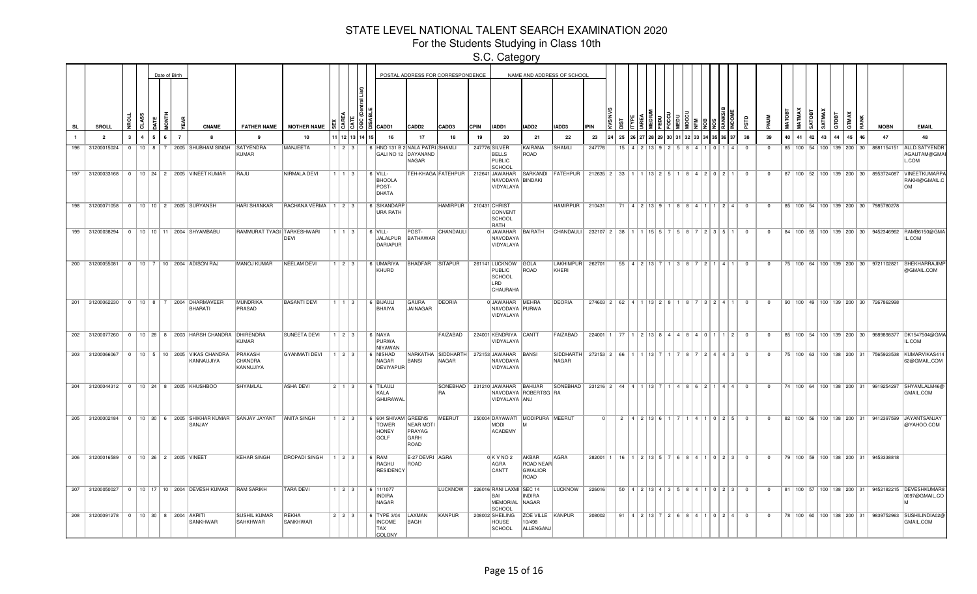For the Students Studying in Class 10th

|              |                                         |                |                |                | Date of Birth  |                                                                                |                                        |                           |                        |                |                                                             |                                     | POSTAL ADDRESS FOR CORRESPONDENCE   |             |                                                                     |                                              | NAME AND ADDRESS OF SCHOOL    |                                          |    |                    |        |  |          |                                                                                                |                          |                |                 |        |               |        |       |                                      |                                                   |                                                                                            |
|--------------|-----------------------------------------|----------------|----------------|----------------|----------------|--------------------------------------------------------------------------------|----------------------------------------|---------------------------|------------------------|----------------|-------------------------------------------------------------|-------------------------------------|-------------------------------------|-------------|---------------------------------------------------------------------|----------------------------------------------|-------------------------------|------------------------------------------|----|--------------------|--------|--|----------|------------------------------------------------------------------------------------------------|--------------------------|----------------|-----------------|--------|---------------|--------|-------|--------------------------------------|---------------------------------------------------|--------------------------------------------------------------------------------------------|
| <b>SL</b>    | <b>SROLL</b>                            | ž.             | ಕ              |                |                | <b>CNAME</b>                                                                   | <b>FATHER NAME</b>                     | <b>MOTHER NAME</b>        |                        |                | IS IB I LCADD1                                              | CADD2                               | CADD3                               | <b>CPIN</b> | IADD1                                                               | IADD2                                        | IADD3                         | <b>IPIN</b>                              |    |                    |        |  |          |                                                                                                |                          |                |                 | MATMAX | <b>SATOBT</b> | SATMAX | атовт | GTMAX                                | <b>MOBN</b>                                       | <b>EMAIL</b>                                                                               |
| $\mathbf{1}$ | $\overline{2}$                          | $\mathbf{3}$   | $\overline{4}$ | 5 <sup>1</sup> | $\overline{7}$ | -8                                                                             |                                        | 10                        |                        | 11 12 13 14 15 | 16                                                          | 17                                  | -18                                 | 19          | 20                                                                  | 21                                           | 22                            | 23                                       | 25 |                    |        |  |          |                                                                                                | 38                       | 39             | 40 <sup>1</sup> | 41     | 42            | 43     | 44    | 45<br>46                             | 47                                                | 48                                                                                         |
| 196          | 31200015024                             | $\overline{0}$ | $10$   8       |                |                | 2005 SHUBHAM SINGH                                                             | SATYENDRA<br>KUMAR                     | <b>MANJEETA</b>           | 1 2 3 3                |                | 6 HNO 131 B 2 NALA PATRI SHAMLI<br>GALI NO 12 DAYANAND      | NAGAR                               |                                     |             | 247776 SILVER<br><b>BELLS</b><br>PUBLIC<br><b>SCHOOL</b>            | KAIRANA<br>ROAD                              | SHAMLI                        | 247776                                   |    |                    |        |  |          |                                                                                                | $^{\circ}$               | $\mathbf{0}$   |                 |        |               |        |       | 85   100   54   100   139   200   30 |                                                   | 8881154151 ALLD.SATYENDR<br>AGAUTAM@GMAI<br>L.COM                                          |
|              |                                         |                |                |                |                | 197 31200033168   0   10   24   2   2005   VINEET KUMAR                        | RAJU                                   | NIRMALA DEVI              | 1 1 3                  |                | $6$ VILL-<br><b>BHOOLA</b><br>POST-<br>DHATA                |                                     | TEH-KHAGA FATEHPUR   212641 JAWAHAR |             | NAVODAYA BINDAKI<br>VIDYALAYA                                       |                                              | SARKANDI FATEHPUR             | 212635 2 33 1 1 1 3 2 5 1                |    |                    |        |  |          | 842021                                                                                         | $\overline{\mathbf{0}}$  | $^{\circ}$     |                 |        |               |        |       |                                      |                                                   | 87   100   52   100   139   200   30   8953724087   VINEETKUMARPA<br>RAKHI@GMAIL.C<br>lom. |
|              | 198 31200071058 0 10 10 2 2005 SURYANSH |                |                |                |                |                                                                                | <b>HARI SHANKAR</b>                    | RACHANA VERMA   1   2   3 |                        |                | 6 SIKANDARF<br>URA RATH                                     |                                     | <b>HAMIRPUR</b>                     |             | 210431 CHRIST<br>CONVENT<br>SCHOOL<br>RATH                          |                                              | HAMIRPUR   210431             |                                          |    |                    |        |  |          | 71   4   2   13   9   1   8   8   4   1   1   2   4                                            | $\overline{\mathbf{0}}$  | $\Omega$       |                 |        |               |        |       |                                      | 85   100   54   100   139   200   30   7985780278 |                                                                                            |
|              |                                         |                |                |                |                | 199 31200038294   0   10   10   11   2004 SHYAMBABU                            | RAMMURAT TYAGI TARKESHWARI             | DEVI                      | 11131                  |                | $\sqrt{6}$ VILL-<br>JALALPUR BATHAWAR<br>DARIAPUR           | POST-                               | CHANDAULI                           |             | 0 JAWAHAR<br>NAVODAYA<br>VIDYALAYA                                  | BAIRATH                                      | <b>CHANDAULI</b>              | 232107 2 38                              |    |                    | 111555 |  | $12$ 3 5 |                                                                                                | $\overline{0}$           | $^{\circ}$     |                 |        |               |        |       |                                      |                                                   | 84   100   55   100   139   200   30   9452346962   RAMB6150@GMA<br>IL.COM                 |
|              |                                         |                |                |                |                | 200 31200055081   0   10   7   10   2004 ADISON RAJ                            | MANOJ KUMAR                            | NEELAM DEVI               |                        |                | $1 \mid 2 \mid 3 \mid$ 6 UMARIYA<br>KHURD                   | BHADFAR SITAPUR                     |                                     |             | 261141 LUCKNOW GOLA<br>PUBLIC<br><b>SCHOOL</b><br>LRD<br>CHAURAHA   | ROAD                                         | LAKHIMPUR<br>KHERI            | 262701                                   |    |                    |        |  |          | $55$   4   2   13   7   1   3   8   7   2   1   4   1                                          | $\overline{0}$           | $\overline{0}$ |                 |        |               |        |       |                                      | 75   100   64   100   139   200   30   9721102821 | SHEKHARRAJIMI<br>@GMAIL.COM                                                                |
|              |                                         |                |                |                |                | 201 31200062230 0 10 8 7 2004 DHARMAVEER<br>BHARATI                            | <b>MUNDRIKA</b><br>PRASAD              | <b>BASANTI DEVI</b>       | $1 \mid 1 \mid 3 \mid$ |                | 6 BIJAULI<br>BHAIYA                                         | GAURA<br>JAINAGAR                   | DEORIA                              |             | 0 JAWAHAR MEHRA<br>NAVODAYA PURWA<br>VIDYALAYA                      |                                              | DEORIA                        | $274603$ 2 62 4 1 13 2 8 1 8 7 3 2 4 1   |    |                    |        |  |          |                                                                                                | $\overline{0}$           | $\mathbf{0}$   |                 |        |               |        |       |                                      | 90   100   49   100   139   200   30   7267862998 |                                                                                            |
|              |                                         |                |                |                |                | 202 31200077260 0 10 28 8 2003 HARSH CHANDRA DHIRENDRA                         | KUMAR                                  | <b>SUNEETA DEVI</b>       | $1 \mid 2 \mid 3 \mid$ |                | 6   NAYA<br>PURWA<br>NIYAWAN                                |                                     | FAIZABAD                            |             | 224001 KENDRIYA CANTT<br>VIDYALAYA                                  |                                              | FAIZABAD                      | $224001$ 1 77 1 2 13 8 4 4 8 4 0 1 1 2 0 |    |                    |        |  |          |                                                                                                |                          | $\overline{0}$ |                 |        |               |        |       |                                      |                                                   | 85   100   54   100   139   200   30   9889898377   DK1547504@GMA<br>IL.COM                |
|              |                                         |                |                |                |                | 203 31200066067 0 10 5 10 2005 VIKAS CHANDRA<br>KANNAUJIYA                     | PRAKASH<br><b>CHANDRA</b><br>KANNUJIYA | <b>GYANMATI DEVI</b>      | $1 \mid 2 \mid 3 \mid$ |                | 6 NISHAD<br>NAGAR<br>DEVIYAPUR                              | BANSI                               | NARKATHA SIDDHARTH<br>NAGAR         |             | 272153 JAWAHAR<br>NAVODAYA<br>VIDYALAYA                             | BANSI                                        | SIDDHARTH<br>NAGAR            | 272153 2 66 1 1 1 13 7 1                 |    |                    |        |  |          | 8   7   2   4   4   3                                                                          | $\overline{\mathbf{0}}$  | $\Omega$       |                 |        |               |        |       | 75   100   63   100   138   200   31 |                                                   | 7565923538 KUMARVIKAS41<br>62@GMAIL.COM                                                    |
|              | 204 31200044312 0 10 24 8 2005 KHUSHBOO |                |                |                |                |                                                                                | SHYAMLAL                               | <b>ASHA DEVI</b>          | $2 \mid 1 \mid 3 \mid$ |                | 6 TILAULI<br>KALA<br>GHURAWAL                               |                                     | IRA                                 |             | SONEBHAD 231210 JAWAHAR BAHUAR<br>VIDYALAYA ANJ                     | NAVODAYA ROBERTSG RA                         | SONEBHAD 231216 2 44 4 1 13 7 |                                          |    |                    |        |  |          | 4 8 6 2 1 4 4                                                                                  | $\Omega$                 | $\overline{0}$ |                 |        |               |        |       |                                      | 74   100   64   100   138   200   31   9919254297 | SHYAMLALM46@<br>GMAIL.COM                                                                  |
|              |                                         |                |                |                |                | 205 31200002184   0   10   30   6   2005 SHIKHAR KUMAR SANJAY JAYANT<br>SANJAY |                                        | <b>ANITA SINGH</b>        | $1 \mid 2 \mid 3 \mid$ |                | 6 604 SHIVAM GREENS<br><b>TOWER</b><br><b>HONEY</b><br>GOLF | NEAR MOTI<br>PRAYAG<br>GARH<br>ROAD | MEERUT                              |             | MODI<br><b>ACADEMY</b>                                              | 250004 DAYAWATI MODIPURA MEERUT              |                               |                                          |    | 2   4   2   13   6 |        |  |          | 4 1 0 2 5                                                                                      | $\overline{\phantom{0}}$ | $^{\circ}$     |                 |        |               |        |       | 82   100   56   100   138   200   31 | 9412397599                                        | JAYANTSANJAY<br>@YAHOO.COM                                                                 |
| 206          | 31200016589 0 10 26 2 2005 VINEET       |                |                |                |                |                                                                                | <b>KEHAR SINGH</b>                     | <b>DROPADI SINGH</b>      | $1 \t2 \t3$            |                | 6 RAM<br>RAGHU<br><b>RESIDENCY</b>                          | E-27 DEVRI AGRA<br>ROAD             |                                     |             | 0KVNO <sub>2</sub><br>AGRA<br>CANTT                                 | AKBAR<br><b>ROAD NEAR</b><br>GWALIOR<br>ROAD | <b>AGRA</b>                   | 282001                                   | 16 |                    |        |  |          | $1 \ 2 \ 13 \ 5 \ 7 \ 6 \ 8 \ 4 \ 1 \ 1 \ 0 \ 2 \ 3$                                           | $\Omega$                 | $\Omega$       |                 |        |               |        |       | 79   100   59   100   138   200   31 | 9453338818                                        |                                                                                            |
|              |                                         |                |                |                |                | 207 31200050027   0   10   17   10   2004 DEVESH KUMAR   RAM SARIKH            |                                        | <b>TARA DEVI</b>          | $1 \mid 2 \mid 3 \mid$ |                | 6 11/1077<br><b>INDIRA</b><br>NAGAR                         |                                     | LUCKNOW                             |             | 226016 RANI LAXMI SEC 14<br>BAI<br><b>MEMORIAL</b><br><b>SCHOOL</b> | <b>INDIRA</b><br>NAGAR                       | <b>LUCKNOW</b>                | 226016                                   |    |                    |        |  |          | $50   4   2   13   4   3   5   8   4   1   0   2   3   0$                                      |                          | $^{\circ}$     |                 |        |               |        |       |                                      |                                                   | 81   100   57   100   138   200   31   9452182215   DEVESHKUMAR8<br>0097@GMAIL.CO          |
|              | 208 31200091278 0 10 30 8 2004 AKRITI   |                |                |                |                | SANKHWAR                                                                       | <b>SUSHIL KUMAR</b><br>SAHKHWAR        | REKHA<br>SANKHWAR         | 223                    |                | 6 TYPE 3/04<br><b>INCOME</b><br><b>TAX</b><br>COLONY        | LAXMAN<br>BAGH                      | KANPUR                              |             | 208002 SHEILING<br><b>HOUSE</b><br>SCHOOL                           | ZOE VILLE KANPUR<br>10/498<br>ALLENGANJ      |                               | 208002                                   |    |                    |        |  |          | $91 \mid 4 \mid 2 \mid 13 \mid 7 \mid 2 \mid 6 \mid 8 \mid 4 \mid 1 \mid 0 \mid 2 \mid 4 \mid$ | $\overline{\phantom{0}}$ | $\overline{0}$ |                 |        |               |        |       |                                      |                                                   | 78   100   60   100   138   200   31   9839752963   SUSHILINDIA02@<br>GMAIL.COM            |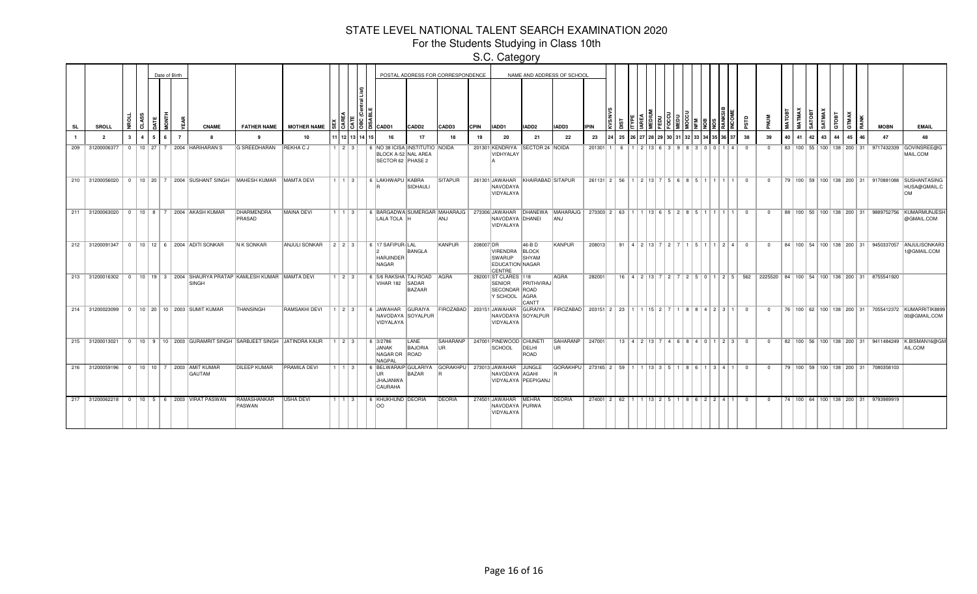For the Students Studying in Class 10th

|     |                                                     |              |                |                | Date of Birth |                |                                                        |                                                                                        |                                                  |       |                        |                |                                                                                                                     |                        | POSTAL ADDRESS FOR CORRESPONDENCE |             |                                                                    |                                     | NAME AND ADDRESS OF SCHOOL                                                   |                                                                    |    |            |  |  |                                                           |   |                |                |                 |    |    |       |    |    |    |                                                                             |                                                                                    |
|-----|-----------------------------------------------------|--------------|----------------|----------------|---------------|----------------|--------------------------------------------------------|----------------------------------------------------------------------------------------|--------------------------------------------------|-------|------------------------|----------------|---------------------------------------------------------------------------------------------------------------------|------------------------|-----------------------------------|-------------|--------------------------------------------------------------------|-------------------------------------|------------------------------------------------------------------------------|--------------------------------------------------------------------|----|------------|--|--|-----------------------------------------------------------|---|----------------|----------------|-----------------|----|----|-------|----|----|----|-----------------------------------------------------------------------------|------------------------------------------------------------------------------------|
| SL  | <b>SROLL</b>                                        |              | 5              |                |               |                | <b>CNAME</b>                                           |                                                                                        | FATHER NAME MOTHER NAME                          |       |                        |                | IS IS IS IS ICADD1                                                                                                  | CADD <sub>2</sub>      | CADD3                             | <b>CPIN</b> | IADD1                                                              | IADD <sub>2</sub>                   | IADD3                                                                        | <b>IPIN</b>                                                        |    |            |  |  |                                                           |   |                |                |                 |    | ē, | ATMAX | c  | 3  |    | <b>MOBN</b>                                                                 | <b>EMAIL</b>                                                                       |
|     | $\overline{2}$                                      | $\mathbf{3}$ | $\overline{4}$ | 5 <sup>1</sup> |               | $\overline{7}$ | $\mathbf{R}$                                           | $\mathbf{q}$                                                                           | 10                                               |       |                        | 11 12 13 14 15 | 16                                                                                                                  | 17                     | 18                                | 19          | 20                                                                 | 21                                  | 22                                                                           | 23                                                                 | 25 |            |  |  |                                                           |   | 38             | 39             | 40 <sup>1</sup> | 41 | 42 | 43    | 44 | 45 | 46 | 47                                                                          | 48                                                                                 |
| 209 | 31200006377                                         |              |                |                |               |                | 0   10   27   7   2004   HARIHARAN S                   | <b>G SREEDHARAN</b>                                                                    | REKHA C J                                        |       | $1$   2   3            |                | 6   NO 38 ICISA   INSTITUTIO   NOIDA<br>BLOCK A-52 NAL AREA<br>SECTOR 62 PHASE 2                                    |                        |                                   |             | 201301 KENDRIYA<br>VIDHYALAY                                       | <b>SECTOR 24 NOIDA</b>              |                                                                              | 201301 1                                                           | -6 | 2 13 6 3 9 |  |  | 83001                                                     | 4 | $\overline{0}$ | $^{\circ}$     |                 |    |    |       |    |    |    |                                                                             | 83   100   55   100   138   200   31   9717432339   GOVINSREE@G<br>MAIL.COM        |
|     |                                                     |              |                |                |               |                |                                                        | 210 31200056020 0 10 20 7 2004 SUSHANT SINGH MAHESH KUMAR MAMTA DEVI                   |                                                  |       |                        |                | │1 │1 │3 │ │6 │LAKHWAPU │KABRA                                                                                      | SIDHAULI               | <b>SITAPUR</b>                    |             | 261301 JAWAHAR<br>NAVODAYA<br>VIDYALAYA                            | KHAIRABAD SITAPUR                   |                                                                              | $261131$   2   56   1   2   13   7   5   6   8   5   1   1   1   1 |    |            |  |  |                                                           |   | $\overline{0}$ | $\overline{0}$ |                 |    |    |       |    |    |    | 79   100   59   100   138   200   31   9170881088                           | SUSHANTASING<br>HUSA@GMAIL.C<br>lom                                                |
|     |                                                     |              |                |                |               |                | 211 31200063020   0   10   8   7   2004 AKASH KUMAR    | DHARMENDRA<br>PRASAD                                                                   | MAINA DEVI                                       |       | $1 \mid 1 \mid 3 \mid$ |                | 6 BARGADWA SUMERGAR MAHARAJG 273306 JAWAHAR DHANEWA MAHARAJG 273303 2 63 1 1 1 3 6 5 2 8 5 1 1 1 1 1<br>LALA TOLA H |                        | ANJ                               |             | NAVODAYA DHANEI<br>VIDYALAYA                                       |                                     | ANJ                                                                          |                                                                    |    |            |  |  |                                                           |   | $\overline{0}$ | $\Omega$       |                 |    |    |       |    |    |    | 88   100   50   100   138   200   31   9889752756                           | KUMARMUNJESH<br>@GMAIL.COM                                                         |
|     |                                                     |              |                |                |               |                | 212 31200091347   0   10   12   6   2004 ADITI SONKAR  | N K SONKAR                                                                             | ANJULI SONKAR   2   2   3     6   17 SAFIPUR-LAL |       |                        |                | <b>HARJINDER</b><br>NAGAR                                                                                           | BANGLA                 | KANPUR                            | 208007 DR   | VIRENDRA BLOCK<br>SWARUP<br><b>EDUCATION NAGAR</b><br>CENTRE       | 46-B D<br>SHYAM                     | KANPUR                                                                       | 208013                                                             |    |            |  |  | 91   4   2   13   7   2   7   1   5   1   1   2   4   0   |   |                | $^{\circ}$     |                 |    |    |       |    |    |    | 84   100   54   100   138   200   31   9450337057                           | ANJULISONKAR3<br>1@GMAIL.COM                                                       |
|     |                                                     |              |                |                |               |                | <b>SINGH</b>                                           | 213   31200016302   0   10   19   3   2004   SHAURYA PRATAP KAMLESH KUMAR   MAMTA DEVI |                                                  |       | $1 \mid 2 \mid 3 \mid$ |                | 6 5/6 RAKSHA TAJ ROAD AGRA<br>VIHAR 182 SADAR                                                                       | BAZAAR                 |                                   |             | 282001 ST CLARES 118<br><b>SENIOR</b><br>SECONDAR ROAD<br>Y SCHOOL | PRITHVIRAJ<br>AGRA<br>CANTT         | <b>AGRA</b>                                                                  | 282001                                                             |    |            |  |  |                                                           |   |                |                |                 |    |    |       |    |    |    | 16 4 2 13 7 2 7 2 5 0 1 2 5 662 2225520 84 100 54 100 138 200 31 8755541920 |                                                                                    |
|     |                                                     |              |                |                |               |                | 214 31200023099 0 10 20 10 2003 SUMIT KUMAR            | <b>THANSINGH</b>                                                                       | <b>RAMSAKHI DEVI</b>                             |       | 1   2   3              |                | 6 JAWAHAR GURAIYA<br>NAVODAYA SOYALPUR<br>VIDYALAYA                                                                 |                        | FIROZABAD 203151 JAWAHAR          |             | VIDYALAYA                                                          | <b>GURAIYA</b><br>NAVODAYA SOYALPUR | FIROZABAD   203151   2   23   1   1   15   2   7   1   8   8   4   2   3   1 |                                                                    |    |            |  |  |                                                           |   | $\overline{0}$ | $\mathbf{0}$   |                 |    |    |       |    |    |    |                                                                             | 76   100   62   100   138   200   31   7055412372   KUMARRITIK8899<br>00@GMAIL.COM |
|     |                                                     |              |                |                |               |                |                                                        | 215 31200013021   0   10   9   10   2003 GURAMRIT SINGH SARBJEET SINGH JATINDRA KAUR   |                                                  | 1 2 3 |                        |                | $6 \mid 3/2786$<br>JANAK<br>NAGAR DR ROAD<br>NAGPAL                                                                 | LANE<br><b>BAJORIA</b> | lur.                              |             | SAHARANP   247001 PINEWOOD CHUNETI<br><b>SCHOOL</b>                | DELHI<br>ROAD                       | SAHARANP<br>UR                                                               | 247001                                                             |    |            |  |  | $13   4   2   13   7   4   6   8   4   0   1   2   3   0$ |   |                | $\mathbf{0}$   |                 |    |    |       |    |    |    |                                                                             | 82   100   56   100   138   200   31   9411484249   K.BISMAN16@GM<br>AIL.COM       |
|     | 216 31200059196   0   10   10   7   2003 AMIT KUMAR |              |                |                |               |                | GAUTAM                                                 | <b>DILEEP KUMAR</b>                                                                    | <b>PRAMILA DEVI</b>                              |       | $1 \mid 1 \mid 3$      |                | 6 BELWARAIP GULARIYA<br>UR.<br>JHAJANWA<br>CAURAHA                                                                  | BAZAR                  | GORAKHPU   273013 JAWAHAR         |             | NAVODAYA AGAHI                                                     | JUNGLE<br>VIDYALAYA PEEPIGANJ       | <b>GORAKHPU</b>                                                              | 273165 2 59 1 1 1 13 3 5 1                                         |    |            |  |  | 8   6   1   3   4   1                                     |   | $^{\circ}$     | $^{\circ}$     |                 |    |    |       |    |    |    | 79   100   59   100   138   200   31   7080358103                           |                                                                                    |
|     |                                                     |              |                |                |               |                | 217 31200062218   0   10   5   6   2003   VIRAT PASWAN | RAMASHANKAR<br>PASWAN                                                                  | USHA DEVI                                        |       | 1   1   3              |                | 6 KHUKHUND DEORIA<br>loo                                                                                            |                        | DEORIA                            |             | 274501 JAWAHAR MEHRA<br>NAVODAYA PURWA<br>VIDYALAYA                |                                     | DEORIA                                                                       | 274001 2 62 1 1 1 1 1 1 1 2 5 1                                    |    |            |  |  | 862241                                                    |   | $^{\circ}$     | $^{\circ}$     |                 |    |    |       |    |    |    | 74   100   64   100   138   200   31   9793989919                           |                                                                                    |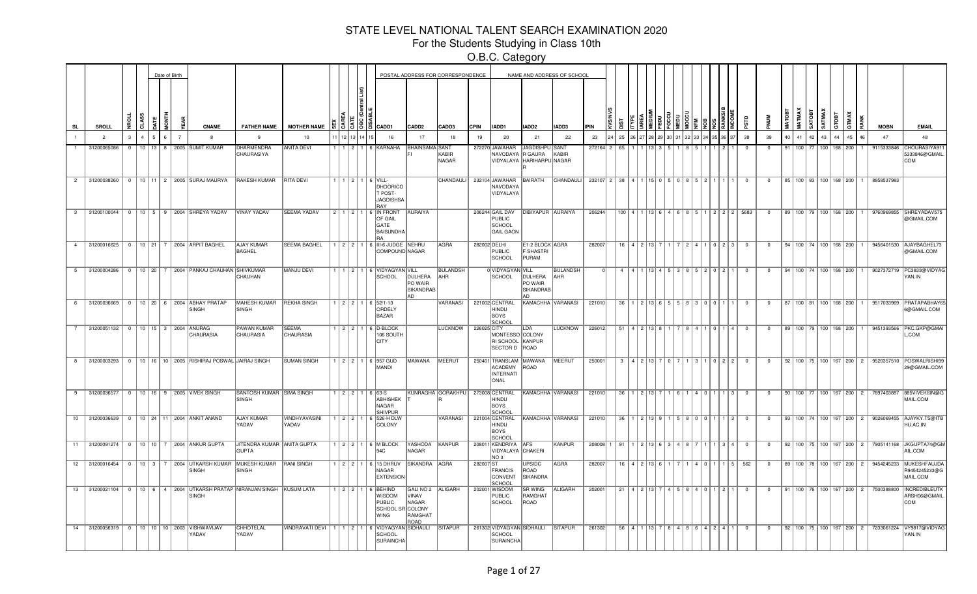For the Students Studying in Class 10th

O.B.C. Category

|             |                                   |  |                 | Date of Birth   |   |                                                          |                                                                             |                                  |  |                                                                                              |                                                        | POSTAL ADDRESS FOR CORRESPONDENCE  |             |                                                                 |                                       | NAME AND ADDRESS OF SCHOOL |                                        |    |                                               |          |              |           |                                                       |                                                             |                |    |    |              |                         |                                     |              |                                                  |                                                                                                |
|-------------|-----------------------------------|--|-----------------|-----------------|---|----------------------------------------------------------|-----------------------------------------------------------------------------|----------------------------------|--|----------------------------------------------------------------------------------------------|--------------------------------------------------------|------------------------------------|-------------|-----------------------------------------------------------------|---------------------------------------|----------------------------|----------------------------------------|----|-----------------------------------------------|----------|--------------|-----------|-------------------------------------------------------|-------------------------------------------------------------|----------------|----|----|--------------|-------------------------|-------------------------------------|--------------|--------------------------------------------------|------------------------------------------------------------------------------------------------|
| <b>SL</b>   | SROLL                             |  | š<br>å.         | ā               | 틑 | CNAME                                                    | <b>FATHER NAME</b>                                                          | <b>MOTHER NAME</b>               |  | CADD1                                                                                        | CADD <sub>2</sub>                                      | CADD3                              | <b>CPIN</b> | IADD1                                                           | IADD <sub>2</sub>                     | IADD3                      | <b>IPIN</b>                            |    |                                               |          |              |           |                                                       | аrs                                                         |                | Š  |    | <b>SATMA</b> | GTOBT                   | Š                                   |              | <b>MOBN</b>                                      | <b>EMAIL</b>                                                                                   |
|             | $\overline{2}$                    |  |                 |                 |   |                                                          | $\mathbf{q}$                                                                | 10                               |  | 16                                                                                           | 17                                                     | 18                                 | 19          | 20                                                              | 21                                    | 22                         | 23                                     | 25 |                                               |          |              |           |                                                       | 38                                                          | 39             | 40 | 41 | 42<br>43     |                         | 45                                  |              | 47                                               | 48                                                                                             |
|             | 31200065086                       |  | 10 <sup>1</sup> | 13 <sup>1</sup> | 8 | 2005 SUMIT KUMAR                                         | DHARMENDRA<br><b>CHAURASIYA</b>                                             | <b>ANITA DEVI</b>                |  | KARNAHA                                                                                      | <b>BHAINSAMA</b>                                       | SANT<br>KABIR<br><b>NAGAR</b>      |             | 272270 JAWAHAR<br>NAVODAYA R GAURA<br>VIDYALAYA HARIHARPU NAGAR | <b>JAGDISHPU SANT</b>                 | KABIR                      | 272164 2                               |    |                                               |          |              |           |                                                       |                                                             |                | 91 |    |              | 100 <sup>1</sup><br>881 | 200                                 |              | 9115333846                                       | CHOURASIYA91<br>5333846@GMAIL<br>COM                                                           |
|             |                                   |  |                 |                 |   | 2 31200038260 0 10 11 2 2005 SURAJ MAURYA                | <b>RAKESH KUMAR</b>                                                         | <b>RITA DEVI</b>                 |  | $1$   $1$   $2$   $1$   $6$   VILL-<br><b>DHOORICO</b><br>T POST-<br><b>JAGDISHSA</b><br>RAY |                                                        | CHANDAULI <sup>I</sup>             |             | 232104 JAWAHAR<br>NAVODAYA<br>VIDYALAYA                         | BAIRATH                               | CHANDAULI                  | 232107 2 38 4 1 1 15 0 5 0 8 5 2 1 1 1 |    |                                               |          |              |           |                                                       | $\overline{0}$                                              | $\overline{0}$ |    |    |              |                         |                                     |              | 85   100   83   100   168   200   1   8858537983 |                                                                                                |
|             |                                   |  |                 |                 |   | 3 31200100044 0 10 5 9 2004 SHREYA YADAV                 | <b>VINAY YADAV</b>                                                          | <b>SEEMA YADAV</b>               |  | 2 1 2 1 6 IN FRONT<br><b>OF GAIL</b><br>GATE<br><b>BAISUNDHA</b><br>RA                       | <b>AURAIYA</b>                                         |                                    |             | 206244 GAIL DAV<br>PUBLIC<br>SCHOOL<br><b>GAIL GAON</b>         | DIBIYAPUR AURAIYA                     |                            | 206244                                 |    |                                               |          |              |           |                                                       | 100   4   1   13   6   4   6   8   5   1   2   2   2   5683 | $\overline{0}$ |    |    |              |                         |                                     |              |                                                  | 89   100   79   100   168   200   1   9760969855   SHREYADAV575<br>@GMAIL.COM                  |
|             |                                   |  |                 |                 |   | 4 31200016625 0 10 21 7 2004 ARPIT BAGHEL                | <b>AJAY KUMAR</b><br><b>BAGHEL</b>                                          | <b>SEEMA BAGHEL</b>              |  | 1   2   2   1   6   III-6 JUDGE   NEHRU<br>COMPOUND NAGAR                                    |                                                        | AGRA                               |             | 282002 DELHI<br>PUBLIC<br><b>SCHOOL</b>                         | E1-2 BLOCK AGRA<br>F SHASTRI<br>PURAM |                            | 282007                                 |    | $16$   4   2   13   7                         |          |              |           | 1   7   2   4   1   0   2   3                         | $\overline{\mathbf{0}}$                                     | $\overline{0}$ |    |    |              |                         | 94   100   74   100   168   200   1 |              |                                                  | 9456401530 AJAYBAGHEL73<br>@GMAIL.COM                                                          |
|             |                                   |  |                 |                 |   | 5 31200004286 0 10 20 7 2004 PANKAJ CHAUHAN SHIVKUMAR    | CHAUHAN                                                                     | MANJU DEVI                       |  | 1 2 1 6 VIDYAGYAN VILL<br><b>SCHOOL</b>                                                      | DULHERA<br>PO WAIR<br>SIKANDRAB<br>AD.                 | <b>BULANDSH</b><br>AHR             |             | 0 VIDYAGYAN VILL<br>SCHOOL                                      | DULHERA<br>PO WAIR<br>SIKANDRAB<br>AD | <b>BULANDSH</b><br>AHR     |                                        | -4 |                                               |          |              |           | 53852021                                              | $\overline{0}$                                              | $\mathbf{0}$   |    |    |              |                         |                                     |              |                                                  | 94   100   74   100   168   200   1   9027372719   PC3833@VIDYAC<br>YAN.IN                     |
| 6           |                                   |  |                 |                 |   | 31200036669 0 10 20 6 2004 ABHAY PRATAP<br>SINGH         | MAHESH KUMAR   REKHA SINGH<br>SINGH                                         |                                  |  | $1$   2   2   1   6   52/1-13<br>ORDELY<br><b>BAZAR</b>                                      |                                                        | VARANASI                           |             | 221002 CENTRAL<br>HINDU<br>BOYS<br>SCHOOL                       | KAMACHHA VARANASI                     |                            | 221010                                 | 36 |                                               |          |              |           | 1 2 13 6 5 5 83 0 0 1 1                               | $\overline{0}$                                              | $\overline{0}$ |    |    |              |                         |                                     |              |                                                  | 87   100   81   100   168   200   1   9517033969   PRATAPABHAY6<br>6@GMAIL.COM                 |
| $7^{\circ}$ | 31200051132 0 10 15 3 2004 ANURAG |  |                 |                 |   | <b>CHAURASIA</b>                                         | <b>PAWAN KUMAR</b><br><b>CHAURASIA</b>                                      | <b>SFFMA</b><br><b>CHAURASIA</b> |  | 1 2 2 1 6 D-BLOCK<br>106 SOUTH<br><b>CITY</b>                                                |                                                        | <b>LUCKNOW</b>                     | 226025 CITY | MONTESSO COLONY<br>RI SCHOOL KANPUR<br>SECTOR D ROAD            | LDA                                   | LUCKNOW                    | 226012                                 |    |                                               |          |              |           | $51$   4   2   13   8   1   7   8   4   1   0   1   4 | $\Omega$                                                    | $\Omega$       |    |    |              |                         | 89 100 79 100 168 200               | $\mathbf{1}$ | 9451393566                                       | PKC.GKP@GMAI<br>L.COM                                                                          |
| 8           |                                   |  |                 |                 |   | 31200003293 0 10 16 10 2005 RISHIRAJ POSWAL JAIRAJ SINGH |                                                                             | <b>SUMAN SINGH</b>               |  | 1 2 2 1 6 957 GUD<br><b>MANDI</b>                                                            | MAWANA                                                 | <b>MEERUT</b>                      |             | 250401 TRANSLAM MAWANA<br><b>ACADEMY</b><br>INTERNATI<br>ONAL   | ROAD                                  | MEERUT                     | 250001                                 |    | $3$   4   2   13   7                          | $\Omega$ |              |           | $311022$                                              | $\overline{0}$                                              | $\overline{0}$ |    |    |              |                         |                                     |              |                                                  | 92   100   75   100   167   200   2   9520357510   POSWALRISHI99<br>29@GMAIL.COM               |
|             |                                   |  |                 |                 |   | 9 31200036577 0 10 16 9 2005 VIVEK SINGH                 | SANTOSH KUMAR SIMA SINGH<br>SINGH                                           |                                  |  | $1$   2   2   1   6   63-S<br><b>ABHISHEK</b><br>NAGAR<br><b>SHIVPUR</b>                     |                                                        | KUNRAGHA GORAKHPU   273008 CENTRAL |             | <b>HINDU</b><br>BOYS<br>SCHOOL                                  |                                       | KAMACHHA VARANASI          | 221010                                 |    | $36$   1   2   13   7                         |          | $1 \rceil 6$ | 4   0   1 | l 1   3                                               | $\overline{0}$                                              | $\mathbf{0}$   |    |    |              |                         |                                     |              | 90   100   77   100   167   200   2   7897403887 | 885VIVEKSIN@G<br>MAIL.COM                                                                      |
|             |                                   |  |                 |                 |   | 10 31200036639 0 10 24 11 2004 ANKIT ANAND               | <b>AJAY KUMAR</b><br>YADAV                                                  | VINDHYAVASINI<br>YADAV           |  | 1 2 2 1 6 526-H DLW<br>COLONY                                                                |                                                        | VARANASI                           |             | 221004 CENTRAL<br><b>HINDU</b><br>BOYS<br><b>SCHOOL</b>         | KAMACHHA VARANASI                     |                            | 221010                                 |    | $36$   1   2   13   9   1   5   8   0   0   1 |          |              |           | l 1   3                                               | $\overline{0}$                                              | $^{\circ}$     |    |    |              |                         |                                     |              |                                                  | 93   100   74   100   167   200   2   9026069455   AJAYKY.TS@ITB<br>HU.AC.IN                   |
|             |                                   |  |                 |                 |   | 11 31200091274   0   10   10   7   2004 ANKUR GUPTA      | JITENDRA KUMAR ANITA GUPTA<br><b>GUPTA</b>                                  |                                  |  | $1 \mid 2 \mid 2 \mid 1 \mid 6 \mid M$ BLOCK<br>Q∆C.                                         | YASHODA<br>NAGAR                                       | KANPUR                             |             | 208011 KENDRIYA AFS<br>VIDYALAYA CHAKERI<br>NO <sub>3</sub>     |                                       | KANPUR                     | 208008 1 91                            |    | 1 2 13 6 3 4 8 7                              |          |              |           | 1   1   3   4                                         | $\overline{0}$                                              | $\mathbf{0}$   |    |    |              |                         |                                     |              |                                                  | 92   100   75   100   167   200   2   7905141168   JKGUPTA74@GM<br>AIL.COM                     |
|             |                                   |  |                 |                 |   | <b>SINGH</b>                                             | 12 31200016454 0 10 3 7 2004 UTKARSH KUMAR MUKESH KUMAR RANI SINGH<br>SINGH |                                  |  | 1 2 2 1 6 15 DHRUV<br>NAGAR<br><b>EXTENSION</b>                                              | SIKANDRA AGRA                                          |                                    | 282007 ST   | <b>FRANCIS</b><br><b>CONVENT</b><br>SCHOOL                      | <b>UPSIDC</b><br>ROAD<br>SIKANDRA     | AGRA                       | 282007                                 |    | $16$   4   2   13   6   1   7                 |          |              | $4$ 0 1   | 1151                                                  | 562                                                         | $\mathbf{0}$   |    |    |              |                         |                                     |              |                                                  | 89   100   78   100   167   200   2   9454245233   MUKESHFAUJDA<br>R9454245233@G<br>MAIL.COM   |
|             |                                   |  |                 |                 |   | SINGH                                                    | 13 31200021104 0 10 6 4 2004 UTKARSH PRATAP NIRANJAN SINGH KUSUM LATA       |                                  |  | 1 2 2 1 6 BEHIND<br>WISDOM<br><b>PUBLIC</b><br>SCHOOL SR COLONY<br>WING                      | GALI NO 2 ALIGARH<br>VINAY<br>NAGAR<br>RAMGHAT<br>ROAD |                                    |             | 202001 WISDOM<br>PUBLIC<br>SCHOOL                               | <b>SR WING</b><br>RAMGHAT<br>ROAD     | ALIGARH                    | 202001                                 |    | 21   4   2   13   7                           |          | $4$ 5 $8$    | 401       | 1211                                                  | $\overline{0}$                                              | $\overline{0}$ |    |    |              |                         |                                     |              |                                                  | 91   100   76   100   167   200   2   7500388800   INCREDIBLEUTH<br>ARSH06@GMAIL<br><b>COM</b> |
|             |                                   |  |                 |                 |   | 14 31200056319 0 10 10 10 10 2003 VISHWAVIJAY<br>YADAV   | <b>CHHOTELAL</b><br>YADAV                                                   | <b>VINDRAVATI DEVI</b>           |  | 1 1 2 1 6 VIDYAGYAN SIDHAULI<br><b>SCHOOL</b><br><b>SURAINCHA</b>                            |                                                        | <b>SITAPUR</b>                     |             | 261302 VIDYAGYAN SIDHAULI<br>SCHOOL<br>SURAINCHA                |                                       | SITAPUR                    | 261302                                 |    | $56$   4   1   13   7                         |          |              |           | 84864941                                              | $\overline{0}$                                              | $\overline{0}$ |    |    |              |                         |                                     |              |                                                  | 92   100   75   100   167   200   2   7233061224   VY9817@VIDYAG<br>YAN.IN                     |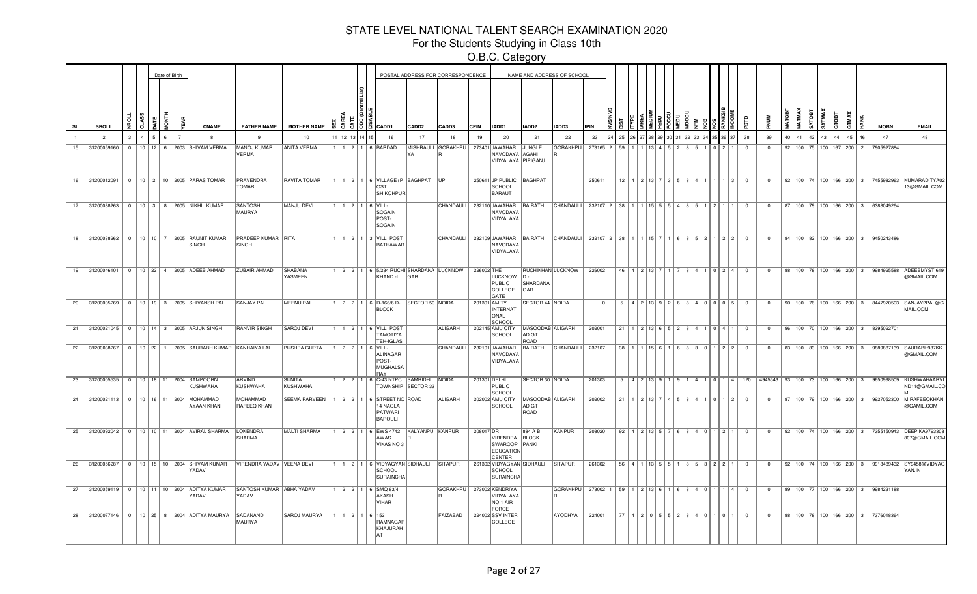For the Students Studying in Class 10th

O.B.C. Category

|    |                |               |       | Date of Birth |   |                |                                                                   |                                   |                                        |           |          |                                                                                          |                        | POSTAL ADDRESS FOR CORRESPONDENCE |             |                                                        |                                          | NAME AND ADDRESS OF SCHOOL |             |    |                             |                                |                                               |      |                           |                         |                |    |    |    |                                 |    |                                     |                                                  |                                                                                            |
|----|----------------|---------------|-------|---------------|---|----------------|-------------------------------------------------------------------|-----------------------------------|----------------------------------------|-----------|----------|------------------------------------------------------------------------------------------|------------------------|-----------------------------------|-------------|--------------------------------------------------------|------------------------------------------|----------------------------|-------------|----|-----------------------------|--------------------------------|-----------------------------------------------|------|---------------------------|-------------------------|----------------|----|----|----|---------------------------------|----|-------------------------------------|--------------------------------------------------|--------------------------------------------------------------------------------------------|
| SL | <b>SROLL</b>   |               | CLASS |               | 흏 |                | <b>CNAME</b>                                                      | <b>FATHER NAME</b>                | <b>MOTHER NAME</b>                     |           | 8 I ã    | CADD1                                                                                    | CADD <sub>2</sub>      | CADD3                             | <b>CPIN</b> | IADD1                                                  | IADD <sub>2</sub>                        | IADD3                      | <b>IPIN</b> |    |                             |                                |                                               |      |                           | αß                      |                |    |    |    | <b>RBOLD</b>                    |    |                                     | <b>MOBN</b>                                      | <b>EMAIL</b>                                                                               |
|    | $\overline{2}$ | $\mathcal{R}$ |       |               |   | $\overline{7}$ | $\mathbf{R}$                                                      | $\mathbf{q}$                      | 10                                     |           | 12 13 14 | 16                                                                                       | 17                     | 18                                | 19          | 20                                                     | 21                                       | 22                         | 23          | 25 |                             |                                |                                               |      |                           | 38                      | 39             | 40 | 41 | 42 | 43                              | 44 | 45                                  | 47                                               | 48                                                                                         |
| 15 | 31200059160    | $\Omega$      |       |               |   |                | 10   12   6   2003   SHIVAM VERMA                                 | MANOJ KUMAR<br>VERMA              | <b>ANITA VERMA</b>                     |           |          | 1 2 1 6 BARDAD                                                                           |                        | MISHRAULI GORAKHPU                |             | 273401 JAWAHAR<br>NAVODAYA AGAHI<br>VIDYALAYA PIPIGANJ | JUNGLE                                   | <b>GORAKHPU</b>            | 273165 2    | 59 |                             |                                |                                               |      |                           |                         | $\Omega$       |    |    |    | 92   100   75   100   167   200 |    |                                     | 7905927884                                       |                                                                                            |
|    |                |               |       |               |   |                | 16 31200012091 0 10 2 10 2005 PARAS TOMAR                         | PRAVENDRA<br>TOMAR                | <b>RAVITA TOMAR</b>                    |           |          | 1   1   2   1   6   VILLAGE+P   BAGHPAT<br>OST<br>SHIKOHPUR                              |                        | ll IP                             |             | 250611 JP PUBLIC BAGHPAT<br>SCHOOL<br>BARAUT           |                                          |                            | 25061       |    |                             |                                | $12$   4   2   13   7   3   5   8   4   1   1 |      | l 1   3                   | $\overline{0}$          | $\overline{0}$ |    |    |    |                                 |    |                                     |                                                  | 92   100   74   100   166   200   3   7455982963   KUMARADITYA02<br>3@GMAIL.COM            |
|    |                |               |       |               |   |                | 17 31200038263 0 10 3 8 2005 NIKHIL KUMAR                         | <b>SANTOSH</b><br>MAURYA          | MANJU DEVI                             |           |          | $1$   2   1   6   VILL-<br>SOGAIN<br>POST-<br>SOGAIN                                     |                        | CHANDAULI                         |             | 232110 JAWAHAR<br>NAVODAYA<br>VIDYALAYA                | BAIRATH                                  | <b>CHANDAULI</b>           | 232107 2 38 |    |                             |                                | 1 115   5   5   4   8   5   1   2   1         |      |                           | $\overline{0}$          | $\overline{0}$ |    |    |    |                                 |    |                                     | 87   100   79   100   166   200   3   6388049264 |                                                                                            |
|    |                |               |       |               |   |                | 18 31200038262 0 10 10 7 2005 RAUNIT KUMAR<br>SINGH               | PRADEEP KUMAR RITA<br>SINGH       |                                        |           |          | 1   1   2   1   3   VILL+POST<br><b>BATHAWAR</b>                                         |                        | <b>CHANDAULI</b>                  |             | 232109 JAWAHAR BAIRATH<br>NAVODAYA<br>VIDYALAYA        |                                          | CHANDAULI                  | 232107 2 38 |    |                             |                                |                                               |      | 6   8   5   2   1   2   2 | $\Omega$                | $\overline{0}$ |    |    |    |                                 |    |                                     | 84   100   82   100   166   200   3   9450243486 |                                                                                            |
|    |                |               |       |               |   |                | 19 31200046101 0 10 22 4 2005 ADEEB AHMAD                         | <b>ZUBAIR AHMAD</b>               | SHABANA<br>YASMEEN                     |           |          | 1   2   2   1   6   5/234 RUCHI SHARDANA LUCKNOW  <br>KHAND -I                           | <b>GAR</b>             |                                   | 226002 THE  | LUCKNOW D-I<br>PUBLIC<br>COLLEGE<br>GATE               | SHARDANA<br>GAR                          | RUCHIKHAN LUCKNOW          | 226002      |    | 46   4   2   13             |                                |                                               |      |                           | $\overline{\mathbf{0}}$ | $\mathbf{0}$   |    |    |    |                                 |    |                                     |                                                  | 88   100   78   100   166   200   3   9984925588   ADEEBMYST.619<br>@GMAIL.COM             |
|    |                |               |       |               |   |                | 20 31200005269 0 10 19 3 2005 SHIVANSH PAL                        | <b>SANJAY PAL</b>                 | MEENU PAL                              |           |          | $1$   2   2   1   6   D-166/6 D-<br><b>BLOCK</b>                                         | <b>SECTOR 50 NOIDA</b> |                                   |             | 201301 AMITY<br>INTERNATI<br>ONAL<br>SCHOOL            | SECTOR 44 NOIDA                          |                            |             | 5  |                             |                                |                                               |      | 4 2 13 9 2 6 8 4 0 0 0 5  | $\overline{0}$          | $\mathbf{0}$   |    |    |    |                                 |    |                                     |                                                  | 90   100   76   100   166   200   3   8447970503 SANJAY2PAL@G<br>MAIL.COM                  |
|    |                |               |       |               |   |                | 21 31200021045 0 10 14 3 2005 ARJUN SINGH                         | <b>RANVIR SINGH</b>               | <b>SAROJ DEVI</b>                      |           |          | 1 2 1 6 VILL+POST<br><b>TAMOTIYA</b><br>TEH-IGLAS                                        |                        | <b>ALIGARH</b>                    |             | 202145 AMU CITY<br>SCHOOL                              | MASOODAB ALIGARH<br>AD GT<br><b>ROAD</b> |                            | 202001      | 21 |                             |                                |                                               |      | 1 2 13 6 5 2 8 4 1 0 4 1  | $\overline{0}$          | $\mathbf{0}$   |    |    |    |                                 |    |                                     | 96   100   70   100   166   200   3   8395022701 |                                                                                            |
| 22 |                |               |       |               |   |                | 31200038267   0   10   22   1   2005   SAURABH KUMAR KANHAIYA LAL |                                   | <b>PUSHPA GUPTA</b>                    |           |          | $1$   2   2   1   6   VILL-<br><b>ALINAGAR</b><br>POST-<br><b>MUGHALSA</b><br><b>RAY</b> |                        | CHANDAULI                         |             | 232101 JAWAHAR<br>NAVODAYA<br>VIDYALAYA                | BAIRATH                                  | CHANDAULI                  | 232107      | 38 | $115$ $R$                   | 6   R                          | 300                                           |      | $2$   2                   | $\Omega$                | $\Omega$       |    |    |    |                                 |    | 83   100   83   100   166   200   3 |                                                  | 9889887139 SAURABH987KK<br>@GMAIL.COM                                                      |
|    |                |               |       |               |   |                | 23 31200005535 0 10 18 11 2004 SAMPOORN<br>KUSHWAHA               | ARVIND<br>KUSHWAHA                | SUNITA<br>KUSHWAHA                     |           |          | 1 2 2 1 6 C-43 NTPC SAMRIDHI                                                             | TOWNSHIP SECTOR 33     | NOIDA                             |             | 201301 DELHI<br>PUBLIC<br>SCHOOL                       | SECTOR 30 NOIDA                          |                            | 201303      |    |                             | 5   4   2   13   9   1   9   1 |                                               |      |                           | 4   1   0   1   4   120 |                |    |    |    |                                 |    |                                     |                                                  | 4945543   93   100   73   100   166   200   3   9650998509   KUSHWAHAARVI<br>ND11@GMAIL.CC |
| 24 |                |               |       |               |   |                | 31200021113   0   10   16   11   2004   MOHAMMAD<br>AYAAN KHAN    | MOHAMMAD<br><b>RAFEEQ KHAN</b>    | SEEMA PARVEEN 1 2 2 1 6 STREET NO ROAD |           |          | 14 NAGLA<br>PATWARI<br><b>BAROULI</b>                                                    |                        | <b>ALIGARH</b>                    |             | 202002 AMU CITY<br>SCHOOL                              | MASOODAB ALIGARH<br>AD GT<br>ROAD        |                            | 202002      | 21 | 2 13 7                      | 4 5 8                          |                                               |      | 4   1   0   1   2         | $\Omega$                | $\mathbf{0}$   |    |    |    |                                 |    | 87   100   79   100   166   200   3 |                                                  | 9927052300 M.RAFEEQKHAN<br>@GAMIL.COM                                                      |
|    |                |               |       |               |   |                | 25 31200092042 0 10 10 11 2004 AVIRAL SHARMA                      | <b>LOKENDRA</b><br><b>SHARMA</b>  | MALTI SHARMA                           |           |          | 1   2   2   1 6   EWS 4742   KALYANPU   KANPUR<br>AWAS<br>VIKAS NO 3                     |                        |                                   | 208017 DR   | VIRENDRA<br>SWAROOP<br><b>EDUCATION</b><br>CENTER      | 884 A B<br><b>BLOCK</b><br>PANKI         | KANPUR                     | 208020      | 92 | 4 2 1 1 3 5                 |                                |                                               | 4011 | 1211                      | $\overline{0}$          | $\mathbf{0}$   |    |    |    |                                 |    |                                     |                                                  | 92   100   74   100   166   200   3   7355150943   DEEPIKA9793308<br>807@GMAIL.COM         |
|    |                |               |       |               |   |                | 26 31200056287 0 10 15 10 2004 SHIVAM KUMAR<br>YADAV              | VIRENDRA YADAV VEENA DEVI         |                                        |           |          | 1   1   2   1   6   VIDYAGYAN SIDHAULI<br><b>SCHOOL</b><br><b>SURAINCHA</b>              |                        | <b>SITAPUR</b>                    |             | 261302 VIDYAGYAN SIDHAULI<br>SCHOOL<br>SURAINCHA       |                                          | <b>SITAPUR</b>             | 261302      |    | 56   4   1   13   5   5   1 |                                |                                               |      | 8   5   3   2   2   1     | $\overline{0}$          | $\overline{0}$ |    |    |    |                                 |    |                                     |                                                  | 92   100   74   100   166   200   3   9918489432   SY9458@VIDYAG<br>YAN.IN                 |
|    |                |               |       |               |   |                | 27 31200059119 0 10 11 10 2004 ADITYA KUMAR<br>YADAV              | SANTOSH KUMAR ABHA YADAV<br>YADAV |                                        |           |          | 1   2   2   1   6   SMQ 83/4<br>AKASH<br><b>VIHAR</b>                                    |                        | GORAKHPU                          |             | 273002 KENDRIYA<br>VIDYALAYA<br>NO 1 AIR<br>FORCE      |                                          | GORAKHPU                   | 273002 1    | 59 |                             |                                | 1 2 13 6 1 6 8 4 0 1                          |      | <b>114</b>                | $\overline{0}$          | $\mathbf{0}$   |    |    |    |                                 |    |                                     | 89   100   77   100   166   200   3   9984231188 |                                                                                            |
|    |                |               |       |               |   |                | 28 31200077146 0 10 25 8 2004 ADITYA MAURYA                       | SADANAND<br>MAURYA                | <b>SAROJ MAURYA</b>                    | 1 1 1 2 1 |          | 1 6 1 1 5 2<br>RAMNAGAR<br>KHAJURAH                                                      |                        | FAIZABAD                          |             | 224002 SSV INTER<br>COLLEGE                            |                                          | AYODHYA                    | 224001      |    |                             |                                | 2840                                          |      | 1011                      | $\Omega$                | $\overline{0}$ |    |    |    |                                 |    |                                     | 88   100   78   100   166   200   3   7376018364 |                                                                                            |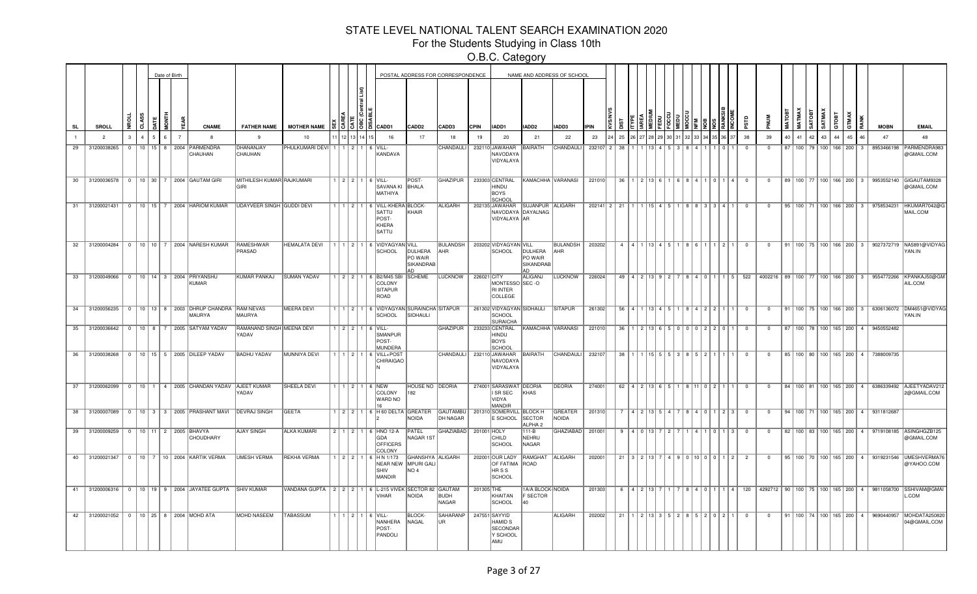For the Students Studying in Class 10th

O.B.C. Category

|           |                                      |                |  | Date of Birth |                |                                                                   |                                   |                                                                    |  |        |                                                                              |                                                 | POSTAL ADDRESS FOR CORRESPONDENCE |             |                                                                      |                                                       | NAME AND ADDRESS OF SCHOOL     |             |                                 |                         |                                           |                 |             |                                                       |                |                |    |                  |                                 |       |       |   |                                                  |                                                                                                   |
|-----------|--------------------------------------|----------------|--|---------------|----------------|-------------------------------------------------------------------|-----------------------------------|--------------------------------------------------------------------|--|--------|------------------------------------------------------------------------------|-------------------------------------------------|-----------------------------------|-------------|----------------------------------------------------------------------|-------------------------------------------------------|--------------------------------|-------------|---------------------------------|-------------------------|-------------------------------------------|-----------------|-------------|-------------------------------------------------------|----------------|----------------|----|------------------|---------------------------------|-------|-------|---|--------------------------------------------------|---------------------------------------------------------------------------------------------------|
| <b>SL</b> | SROLL                                | 뜾              |  |               |                | <b>CNAME</b>                                                      | <b>FATHER NAME</b>                | <b>MOTHER NAME</b>                                                 |  | $35$ 3 | CADD1                                                                        | CADD2                                           | CADD3                             | <b>CPIN</b> | IADD1                                                                | IADD2                                                 | <b>IADD3</b>                   | <b>IPIN</b> |                                 |                         |                                           |                 |             |                                                       | аrs            |                |    | MATMAX<br>SATOBT | SATMAX                          | GTOBT | GTMAX |   | <b>MOBN</b>                                      | <b>EMAIL</b>                                                                                      |
|           | $\overline{2}$                       | з              |  |               | $\overline{7}$ | -8                                                                | -9                                | 10                                                                 |  |        | 16                                                                           | 17                                              | 18                                | 19          | 20                                                                   | 21                                                    | 22                             | 23          | 25                              |                         |                                           |                 |             |                                                       | 38             | 39             | 40 | 41               | 42<br>43                        | 44    | 45    |   | 47                                               | 48                                                                                                |
| 29        | 31200038265                          | $\Omega$       |  |               |                | 10   15   8   2004   PARMENDRA<br>CHAUHAN                         | <b>DHANANJAY</b><br>CHAUHAN       | PHULKUMARI DEVI   1   1   2   1   6   VILL-                        |  |        | KANDAVA                                                                      |                                                 | <b>CHANDAULI</b>                  |             | 232110 JAWAHAR<br>NAVODAYA<br>VIDYALAYA                              | <b>BAIRATH</b>                                        | CHANDAULI                      | 232107 2    | 38                              |                         |                                           |                 |             |                                                       |                | $\Omega$       |    |                  | 87   100   79   100   166   200 |       |       | 3 | 8953466198                                       | PARMENDRA983<br>@GMAIL.COM                                                                        |
|           |                                      |                |  |               |                | 30 31200036578 0 10 30 7 2004 GAUTAM GIRI                         | MITHILESH KUMAR RAJKUMARI<br>GIRI |                                                                    |  |        | $1$   2   2   1   6   VILL-<br>SAVANA KI BHALA<br>MATHIYA                    | POST-                                           | <b>GHAZIPUR</b>                   |             | 233303 CENTRAL<br>HINDU<br>BOYS<br>SCHOOL                            |                                                       | KAMACHHA VARANASI              | 221010      |                                 |                         |                                           |                 |             | 36   1   2   13   6   1   6   8   4   1   0   1   4   | $\overline{0}$ | $\mathbf{0}$   |    |                  |                                 |       |       |   |                                                  | 89   100   77   100   166   200   3   9953552140   GIGAUTAM9328<br>@GMAIL.COM                     |
|           |                                      |                |  |               |                | 31 31200021431 0 10 15 7 2004 HARIOM KUMAR                        | UDAYVEER SINGH GUDDI DEVI         |                                                                    |  |        | 1   1   2   1   6   VILL-KHERA   BLOCK-<br>lsattu<br>POST-<br>KHERA<br>SATTU | KHAIR                                           | <b>ALIGARH</b>                    |             | 202135 JAWAHAR SUJANPUR ALIGARH<br>NAVODAYA DAYALNAG<br>VIDYALAYA AR |                                                       |                                |             | $202141$ 2 21 1 1 1 1 1 1 4 5 1 |                         |                                           |                 |             | 8   8   3   3   4   1                                 | $\overline{0}$ | $\overline{0}$ |    |                  |                                 |       |       |   | 95 100 71 100 166 200 3 9758534231               | HKUMAR7042@G<br>MAIL.COM                                                                          |
|           |                                      |                |  |               |                | 32 31200004284 0 10 10 7 2004 NARESH KUMAR                        | RAMESHWAR<br>PRASAD               | <b>HEMALATA DEVI</b>                                               |  |        | 1 1 2 1 6 VIDYAGYAN VILL<br>SCHOOL                                           | DULHERA<br>PO WAIR<br>SIKANDRAB<br>ΔD           | <b>BULANDSH</b><br><b>AHR</b>     |             | 203202 VIDYAGYAN VILL<br><b>SCHOOL</b>                               | DULHERA<br>PO WAIR<br><b>SIKANDRAB</b><br>AD          | <b>BULANDSH</b><br><b>AHR</b>  | 203202      | $\overline{4}$                  |                         | 4 1 1 1 1 4 $\vert$ 5 $\vert$ 1           |                 | 8   6   1   | 11211                                                 | $\overline{0}$ | $\overline{0}$ |    |                  |                                 |       |       |   |                                                  | 91   100   75   100   166   200   3   9027372719   NA5891@VIDYAC<br>YAN.IN                        |
| 33        |                                      |                |  |               |                | 31200049066 0 10 14 3 2004 PRIYANSHU<br><b>KUMAR</b>              | <b>KUMAR PANKAJ</b>               | <b>SUMAN YADAV</b>                                                 |  |        | 1 2 2 1 6 B2/M45 SBI<br>COLONY<br>SITAPUR<br>ROAD                            | <b>SCHEME</b>                                   | <b>LUCKNOW</b>                    | 226021 CITY | MONTESSO SEC -O<br><b>RI INTER</b><br>COLLEGE                        | <b>ALIGANJ</b>                                        | <b>LUCKNOW</b>                 | 226024      |                                 |                         |                                           |                 |             |                                                       |                |                |    |                  |                                 |       |       |   |                                                  | 49 4 2 13 9 2 7 8 4 0 1 1 5 22 4002216 89 100 77 100 166 200 3 9554772266 KPANKAJ50@GM<br>AIL.COM |
| 34        | 31200056235                          |                |  |               |                | 0   10   13   8   2003   DHRUP CHANDRA   RAM NEVAS<br>MAURYA      | MAURYA                            | <b>MEERA DEVI</b>                                                  |  |        | 1   2   1   6   VIDYAGYAN SURAINCHA SITAPUR<br><b>SCHOOL</b>                 | SIDHAULI                                        |                                   |             | 261302 VIDYAGYAN SIDHAULI<br><b>SCHOOL</b><br><b>SURAICHA</b>        |                                                       | <b>SITAPUR</b>                 | 261302      |                                 |                         |                                           |                 |             | $56$   4   1   13   4   5   1   8   4   2   2   1   1 | $\overline{0}$ | $\overline{0}$ |    |                  |                                 |       |       |   |                                                  | 91   100   75   100   166   200   3   6306136072   DM4651@VIDYAC<br>YAN.IN                        |
|           | 35 31200036642                       | $\overline{0}$ |  |               |                | 10 8 7 2005 SATYAM YADAV                                          | YADAV                             | RAMANAND SINGH MEENA DEVI                                          |  |        | 2 2 1 6 VILL-<br>SMANPUR<br>POST-<br>MUNDERA                                 |                                                 | <b>GHAZIPUR</b>                   |             | 233233 CENTRAL<br>UONIH<br><b>BOYS</b><br>SCHOOL                     |                                                       | KAMACHHA VARANASI              | 221010      |                                 |                         |                                           |                 |             | 36 1 2 3 6 5 0 0 0 2 2 0 1                            | $\overline{0}$ | $\mathbf{0}$   |    |                  |                                 |       |       |   | 87   100   78   100   165   200   4   9450552482 |                                                                                                   |
|           | 36 31200038268                       |                |  |               |                | 0   10   15   5   2005   DILEEP YADAV                             | <b>BADHU YADAV</b>                | MUNNIYA DEVI                                                       |  |        | 1   1   2   1   6   VILL+POST<br>CHIRAIGAO                                   |                                                 | CHANDAULI                         |             | 232110 JAWAHAR<br>NAVODAYA<br>VIDYALAYA                              | BAIRATH                                               | CHANDAULI                      | 232107      |                                 |                         | $38$   1   1   15   5   5   3   8   5   2 |                 |             | <b>111</b>                                            | $\Omega$       | $\mathbf{0}$   |    |                  |                                 |       |       |   | 85   100   80   100   165   200   4   7388009735 |                                                                                                   |
|           |                                      |                |  |               |                | 37 31200062099 0 10 1 4 2005 CHANDAN YADAV AJEET KUMAR            | YADAV                             | <b>SHEELA DEVI</b>                                                 |  |        | $112116$ NEW<br>COLONY<br><b>WARD NO</b><br>16                               | HOUSE NO DEORIA<br>182                          |                                   |             | 274001 SARASWAT DEORIA<br><b>SR SEC</b><br>VIDYA<br><b>MANDIR</b>    | KHAS                                                  | DEORIA                         | 274001      |                                 |                         | $62$   4   2   13   6   5                 |                 | 8111021     |                                                       | $\overline{0}$ | $\mathbf{0}$   |    |                  |                                 |       |       |   |                                                  | 84   100   81   100   165   200   4   6386339492   AJEETYADAV212<br>2@GMAIL.COM                   |
|           |                                      |                |  |               |                | 38 31200007089 0 10 3 3 2005 PRASHANT MAVI DEVRAJ SINGH           |                                   | <b>GEETA</b>                                                       |  |        | 1   2   2   1   6   H 60 DELTA GREATER                                       | NOIDA                                           | <b>GAUTAMBU</b><br>DH NAGAR       |             | 201310 SOMERVILL<br>E SCHOOL                                         | <b>BLOCK H</b><br><b>SECTOR</b><br>ALPHA <sub>2</sub> | <b>GREATER</b><br><b>NOIDA</b> | 201310      |                                 |                         | 4 2 13 5 4                                |                 |             | 88401128                                              | $\overline{0}$ | $\overline{0}$ |    |                  |                                 |       |       |   | 94   100   71   100   165   200   4   9311812687 |                                                                                                   |
|           | 39 31200009259 0 10 11 2 2005 BHAVYA |                |  |               |                | <b>CHOUDHARY</b>                                                  | <b>AJAY SINGH</b>                 | <b>ALKA KUMARI</b>                                                 |  |        | 2 1 2 1 6 HNO 12-A<br>GDA<br><b>OFFICERS</b><br>COLONY                       | <b>PATEL</b><br>NAGAR 1ST                       | <b>GHAZIABAD</b>                  | 201001 HOLY | CHILD<br>SCHOOL                                                      | 111-B<br>NEHRU<br>NAGAR                               | <b>GHAZIABAD</b>               | 201001      |                                 | 4 0 1 1 2 7             |                                           |                 |             | $10113$                                               | $\Omega$       | $\Omega$       |    |                  |                                 |       |       |   |                                                  | 82   100   83   100   165   200   4   9719108185   ASINGHGZB125<br>@GMAIL.COM                     |
| 40        |                                      |                |  |               |                | 31200021347 0 10 7 10 2004 KARTIK VERMA                           | <b>UMESH VERMA</b>                | REKHA VERMA                                                        |  |        | $1$   2   2   1   6   H N 1/173<br><b>SHIV</b><br><b>MANDIR</b>              | GHANSHYA ALIGARH<br>NEAR NEW MPURI GALI<br>NO 4 |                                   |             | 202001 OUR LADY<br>OF FATIMA ROAD<br>HRSS<br>SCHOOL                  | RAMGHAT                                               | ALIGARH                        | 202001      | 21                              | $3 \mid 2 \mid 13 \mid$ |                                           | $\vert A \vert$ |             | 110   0   0   1   2                                   | $\overline{2}$ | $^{\circ}$     |    |                  |                                 |       |       |   | 95   100   70   100   165   200   4   9319231546 | UMESHVERMA7<br>@YAHOO.COM                                                                         |
| 41        |                                      |                |  |               |                | 31200006316   0   10   19   9   2004   JAYATEE GUPTA   SHIV KUMAR |                                   | VANDANA GUPTA   2   2   2   1   6   L-215 VIVEK SECTOR 82   GAUTAM |  |        | VIHAR                                                                        | <b>NOIDA</b>                                    | <b>BUDH</b><br>NAGAR              | 201305 THE  | KHAITAN<br><b>SCHOOL</b>                                             | 1A/A BLOCK-NOIDA<br>F SECTOR<br>40                    |                                | 201303      | - 6                             | $4$   2   13            |                                           |                 | $8$   4   0 | 114                                                   | 120            |                |    |                  |                                 |       |       |   |                                                  | 4292712 90 100 75 100 165 200 4 9811058700 SSHIVAM@GMAI<br>.COM                                   |
| 42        |                                      |                |  |               |                | 31200021052 0 10 25 8 2004 MOHD ATA                               | <b>MOHD NASEEM</b>                | <b>TABASSUM</b>                                                    |  |        | ∣1   2   1   6   VILL-<br>NANHERA<br>POST-<br>PANDOLI                        | <b>BLOCK</b><br>NAGAL                           | <b>SAHARANP</b><br>UR             |             | 247551 SAYYID<br>HAMID S<br><b>SECONDAF</b><br>Y SCHOOL<br>AMU       |                                                       | <b>ALIGARH</b>                 | 202002      | 21                              |                         | $1 \mid 2 \mid 13 \mid 3 \mid 5 \mid 2$   |                 |             | 852021                                                | $\Omega$       | $\Omega$       |    |                  |                                 |       |       |   | 91   100   74   100   165   200   4   9690440957 | MOHDATA250820<br>04@GMAIL.COM                                                                     |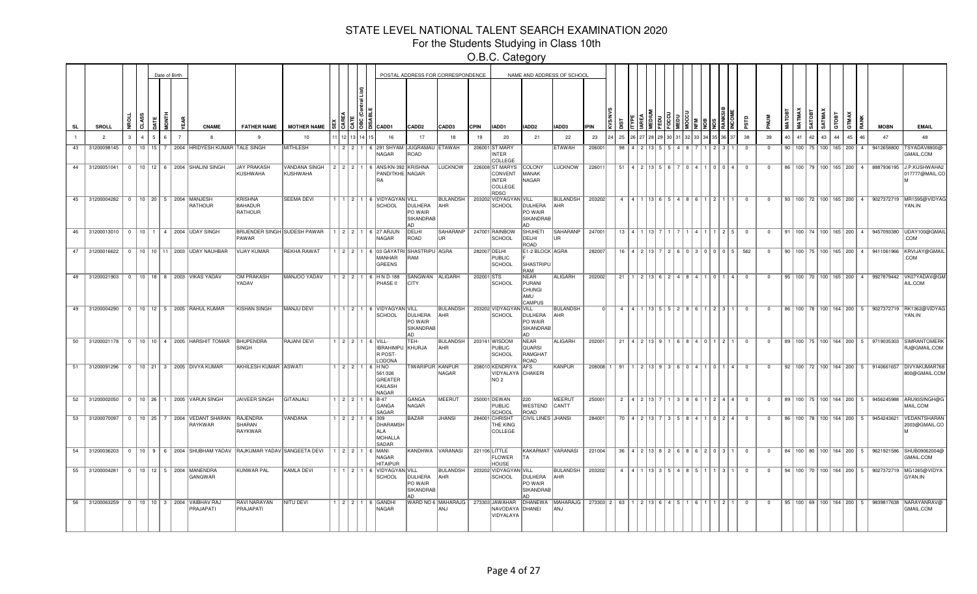For the Students Studying in Class 10th

|           |                                       |           |   | Date of Birth |                                                                         |                                  |                                                             |  |                                                                            |                                               | POSTAL ADDRESS FOR CORRESPONDENCE |             |                                                               |                                                   | NAME AND ADDRESS OF SCHOOL |             |    |                                                            |  |           |                                                                        |                                                       |                         |                |    |    |              |                                 |       |                                     |                                                  |                                                                               |
|-----------|---------------------------------------|-----------|---|---------------|-------------------------------------------------------------------------|----------------------------------|-------------------------------------------------------------|--|----------------------------------------------------------------------------|-----------------------------------------------|-----------------------------------|-------------|---------------------------------------------------------------|---------------------------------------------------|----------------------------|-------------|----|------------------------------------------------------------|--|-----------|------------------------------------------------------------------------|-------------------------------------------------------|-------------------------|----------------|----|----|--------------|---------------------------------|-------|-------------------------------------|--------------------------------------------------|-------------------------------------------------------------------------------|
| <b>SL</b> | <b>SROLL</b>                          | ಕ         | 틑 |               | <b>CNAME</b>                                                            | <b>FATHER NAME</b>               | <b>MOTHER NAME</b>                                          |  | CADD1                                                                      | CADD <sub>2</sub>                             | CADD3                             | <b>CPIN</b> | IADD1                                                         | IADD <sub>2</sub>                                 | IADD3                      | <b>IPIN</b> |    |                                                            |  |           |                                                                        |                                                       |                         |                |    |    | <b>ISOLY</b> | SATMAX                          | атовт | <b>TMAX</b>                         | <b>MOBN</b>                                      | <b>EMAIL</b>                                                                  |
|           | $\overline{2}$                        |           |   |               |                                                                         |                                  | 10                                                          |  | 16                                                                         | 17                                            | 18                                | 19          | 20                                                            | 21                                                | 22                         | 23          | 25 |                                                            |  |           |                                                                        |                                                       | 38                      | 39             | 40 | 41 | 42           | 43                              |       | 45                                  | 47                                               | 48                                                                            |
| 43        | 31200098145                           | $0$ 10 15 |   |               | 2004 HRIDYESH KUMAR                                                     | <b>TALE SINGH</b>                | <b>MITHLESH</b>                                             |  | 2 2 1 6 291 SHYAM<br><b>NAGAR</b>                                          | JUGRAMAU ETAWAH<br>ROAD                       |                                   |             | 206001 ST MARY<br>INTER<br>COLLEGE                            |                                                   | <b>ETAWAH</b>              | 20600       | 98 |                                                            |  |           |                                                                        |                                                       | $^{\circ}$              | $\mathbf{0}$   |    |    |              | 90   100   75   100   165   200 |       | $\sim$ 4                            | 9412658800                                       | <b>TSYADAV8800@</b><br>GMAIL.COM                                              |
|           |                                       |           |   |               | 44 31200051041 0 10 12 6 2004 SHALINI SINGH                             | <b>JAY PRAKASH</b><br>KUSHWAHA   | <b>VANDANA SINGH</b><br>KUSHWAHA                            |  | 2   2   2   1   6   ANS/KN-392   KRISHNA<br>PANDITKHE NAGAR<br>RA          |                                               | LUCKNOW                           |             | 226008 ST MARYS<br>CONVENT<br><b>INTER</b><br>COLLEGE<br>RDSO | COLONY<br>MANAK<br>NAGAR                          | <b>LUCKNOW</b>             | 226011      | 51 | 4   9   1 3                                                |  |           |                                                                        | $\left  \right $ $\left  \right $ $\left  \right $    | - 0                     | $\Omega$       |    |    |              |                                 |       |                                     | 86   100   79   100   165   200   4   8887936195 | <b>J.P.KUSHWAHA2</b><br>017777@MAIL.CO                                        |
|           | 45 31200004282 0 10 20 5 2004 MANJESH |           |   |               | <b>RATHOUR</b>                                                          | KRISHNA<br>BAHADUR<br>RATHOUR    | <b>SEEMA DEVI</b>                                           |  | 1 1 2 1 6 VIDYAGYAN VILL<br><b>SCHOOL</b>                                  | <b>DULHERA</b><br>PO WAIR<br>SIKANDRAB<br>AD. | <b>BULANDSH</b><br><b>AHR</b>     |             | 203202 VIDYAGYAN VILL<br>SCHOOL                               | DULHERA<br>PO WAIR<br>SIKANDRAB<br>AD             | BULANDSH  <br>AHR          | 203202      |    |                                                            |  |           | 4 4 1 1 1 1 1 1 1 6 $\mid 5 \mid 4 \mid 8 \mid 6 \mid 1 \mid 2 \mid 1$ |                                                       | $\overline{0}$          | $\Omega$       |    |    |              |                                 |       |                                     |                                                  | 93   100   72   100   165   200   4   9027372719   MR1595@VIDYAG<br>YAN.IN    |
|           |                                       |           |   |               | 46 31200013010 0 10 1 4 2004 UDAY SINGH                                 | PAWAR                            | BRIJENDER SINGH SUDESH PAWAR   1   2   2   1   6   27 ARJUN |  | NAGAR                                                                      | DELHI<br>ROAD                                 | SAHARANP<br>UR.                   |             | 247001 RAINBOW<br><b>SCHOOL</b>                               | <b>SHUHETI</b><br>DELHI<br>ROAD                   | SAHARANP<br>lur.           | 247001      |    | 13   4   1   13                                            |  |           |                                                                        | 1   2   5                                             | $\overline{0}$          | $\overline{0}$ |    |    |              |                                 |       |                                     |                                                  | 91   100   74   100   165   200   4   9457093380   UDAY100@GMAIL<br>COM.      |
|           |                                       |           |   |               | 47 31200016622 0 10 10 11 2003 UDAY NAUHBAR                             | <b>VIJAY KUMAR</b>               | <b>REKHA RAWAT</b>                                          |  | 1 2 2 1 6 03 GAYATRI SHASTRIPU AGRA<br><b>MANHAR</b><br><b>GREENS</b>      | <b>RAM</b>                                    |                                   |             | 282007 DELHI<br>PUBLIC<br>SCHOOL                              | E1-2 BLOCK AGRA<br>SHASTRIPU<br><b>RAM</b>        |                            | 282007      |    | $16$   4   2   13                                          |  |           | 260300015                                                              |                                                       | 562                     | $^{\circ}$     |    |    |              |                                 |       |                                     | 90   100   75   100   165   200   4   9411061966 | KRVIJAY@GMAIL<br>COM.                                                         |
|           |                                       |           |   |               | 48 31200021903 0 10 18 8 2003 VIKAS YADAV                               | OM PRAKASH<br>YADAV              | MANJOO YADAV                                                |  | 1 2 2 1 6 HN D-188<br>PHASE II                                             | SANGWAN ALIGARH<br><b>CITY</b>                |                                   | 202001 STS  | <b>SCHOOL</b>                                                 | NEAR<br>PURANI<br><b>CHUNGI</b><br>lamu<br>CAMPUS | ALIGARH                    | 202002      | 21 |                                                            |  |           | 1   2   13   6   2   4   8   4   1   0   1   4                         |                                                       | $\overline{\mathbf{0}}$ | $^{\circ}$     |    |    |              |                                 |       |                                     | 95   100   70   100   165   200   4   9927879442 | VK07YADAV@GM<br>AIL.COM                                                       |
| 49        |                                       |           |   |               | 31200004290   0   10   12   5   2005   RAHUL KUMAR                      | KISHAN SINGH                     | MANJU DEVI                                                  |  | $1 \mid 2 \mid 1 \mid 6$ VIDYAGYAN VILL<br><b>SCHOOL</b>                   | <b>DULHERA</b><br>PO WAIR<br>SIKANDRAB<br>lad | <b>BULANDSH</b><br>AHR            |             | 203202 VIDYAGYAN VILL<br><b>SCHOOL</b>                        | DULHERA<br>PO WAIR<br>SIKANDRAB<br>AD.            | <b>BULANDSH</b><br>AHR     |             | 4  |                                                            |  |           | $4$   1   13   5   5   2   8   6   1   2   3   1                       |                                                       | $\Omega$                | $^{\circ}$     |    |    |              |                                 |       |                                     |                                                  | 86   100   78   100   164   200   5   9027372719   RK1362@VIDYAG<br>YAN.IN    |
|           |                                       |           |   |               | 50 31200021178 0 10 10 4 2005 HARSHIT TOMAR BHUPENDRA                   | SINGH                            | <b>RAJANI DEVI</b>                                          |  | $1$   2   2   1   6   VILL-<br>IBRAHIMPU KHURJA<br>R POST-<br><b>ODONA</b> | TEH-                                          | <b>BULANDSH</b><br>AHR            |             | 203141 WISDOM<br>PUBLIC<br><b>SCHOOL</b>                      | NEAR<br>lquarsi<br>RAMGHAT<br>ROAD                | ALIGARH                    | 202001      | 21 |                                                            |  | 4   0   1 |                                                                        | 1211                                                  | $\overline{0}$          | $\mathbf{0}$   |    |    |              |                                 |       |                                     |                                                  | 89   100   75   100   164   200   5   9719035303 SIMRANTOMERK<br>RJ@GMAIL.COM |
|           |                                       |           |   |               | 51 31200091296 0 10 21 3 2005 DIVYA KUMAR                               | <b>AKHILESH KUMAR ASWATI</b>     |                                                             |  | $1$ $2$ $2$ $1$ $6$ $HNO$<br>561/326<br><b>GREATER</b><br>KAILASH<br>NAGAR | TIWARIPUR KANPUR                              | NAGAR                             |             | 208010 KENDRIYA AFS<br>VIDYALAYA CHAKERI<br>NO 2              |                                                   | <b>KANPUR</b>              | 208008      | 91 |                                                            |  |           |                                                                        |                                                       | $\overline{0}$          | $\mathbf{0}$   |    |    |              |                                 |       |                                     | 92   100   72   100   164   200   5   9140661657 | DIVYAKUMAR768<br>800@GMAIL.COM                                                |
| 52        |                                       |           |   |               | 31200002050   0   10   26   1   2005   VARUN SINGH                      | JAIVEER SINGH                    | GITANJALI                                                   |  | $1 \mid 2 \mid 2 \mid 1 \mid 6 \mid B-47$<br>GANGA<br>SAGAR                | GANGA<br>NAGAR                                | MEERUT                            |             | 250001 DEWAN<br>PUBLIC<br>SCHOOL                              | 220<br>WESTEND<br>ROAD                            | MEERUT<br>CANTT            | 250001      |    |                                                            |  |           | $2   4   2   13   7   1   3   8   6   1   2   4   4$                   |                                                       | $\overline{0}$          | $\overline{0}$ |    |    |              |                                 |       |                                     |                                                  | 89   100   75   100   164   200   5   9456245988   ARU93SINGH@G<br>MAIL.COM   |
|           |                                       |           |   |               | 53 31200070097 0 10 25 7 2004 VEDANT SHARAN RAJENDRA<br>RAYKWAR         | SHARAN<br>RAYKWAR                | <b>VANDANA</b>                                              |  | $1$   2   2   1   6   309<br>DHARAMSH<br>ALA<br>MOHALLA<br>SADAR           | BAZAR                                         | <b>JHANSI</b>                     |             | 284001 CHRISHT<br><b>THE KING</b><br>COLLEGE                  | <b>CIVIL LINES JHANSI</b>                         |                            | 284001      |    |                                                            |  |           | 70   4   2   13   7   3   5   8   4   1   0   2   4                    |                                                       | $\overline{0}$          | $\mathbf{0}$   |    |    |              |                                 |       | 86   100   78   100   164   200   5 | 9454243621                                       | VEDANTSHARAN<br>2003@GMAIL.CO                                                 |
|           |                                       |           |   |               | 54 31200036203 0 10 9 6 2004 SHUBHAM YADAV RAJKUMAR YADAV SANGEETA DEVI |                                  |                                                             |  | 1 2 2 1 6 MANI<br><b>NAGAR</b><br><b>HITAIPUR</b>                          |                                               | KANDHWA VARANASI                  |             | 221106 LITTLE<br>FLOWER<br><b>HOUSE</b>                       | KAKARMAT VARANASI<br><b>TA</b>                    |                            | 221004      |    |                                                            |  |           |                                                                        | $36$   4   2   13   8   2   6   8   6   2   0   3   1 | $\overline{\mathbf{0}}$ | $\overline{0}$ |    |    |              |                                 |       |                                     | 84   100   80   100   164   200   5   9621921586 | SHUB09062004@<br>GMAIL.COM                                                    |
|           |                                       |           |   |               | 55 31200004281 0 10 12 5 2004 MANENDRA<br>GANGWAR                       | KUNWAR PAL                       | KAMLA DEVI                                                  |  | 1 2 1 6 VIDYAGYAN VILL<br>SCHOOL                                           | DULHERA<br>PO WAIR<br>SIKANDRAB<br>lan        | <b>BULANDSH</b><br>AHR            |             | 203202 VIDYAGYAN VILL<br>SCHOOL                               | DULHERA<br>PO WAIR<br><b>SIKANDRAB</b><br>Δn      | BULANDSH<br>AHR            | 203202      |    | $4$   $4$   $1$   $13$   $3$   $5$   $4$   $8$   $5$   $1$ |  |           |                                                                        | 3 1                                                   | $\Omega$                | $\Omega$       |    |    |              | 94   100   70   100   164   200 |       | 5                                   | 9027372719                                       | MG1265@VIDYA<br>GYAN.IN                                                       |
| 56        |                                       |           |   |               | 31200063259 0 10 10 3 2004 VAIBHAV RAJ<br>PRAJAPATI                     | <b>RAVI NARAYAN</b><br>PRAJAPATI | <b>NITU DEVI</b>                                            |  | 1 2 2 1 6 GANDHI<br>NAGAR                                                  |                                               | WARD NO 6 MAHARAJG<br>ANJ         |             | 273303 JAWAHAR<br>NAVODAYA DHANEI<br>VIDYALAYA                | <b>DHANEWA</b>                                    | MAHARAJG<br><b>ANJ</b>     | 273303 2 63 |    | 2 1 1 3 1 6 1 4 1 5                                        |  |           |                                                                        | 1211                                                  | $\Omega$                | $\Omega$       |    |    |              |                                 |       | 95   100   69   100   164   200   5 |                                                  | 9839817638 NARAYANRAV@<br>GMAIL.COM                                           |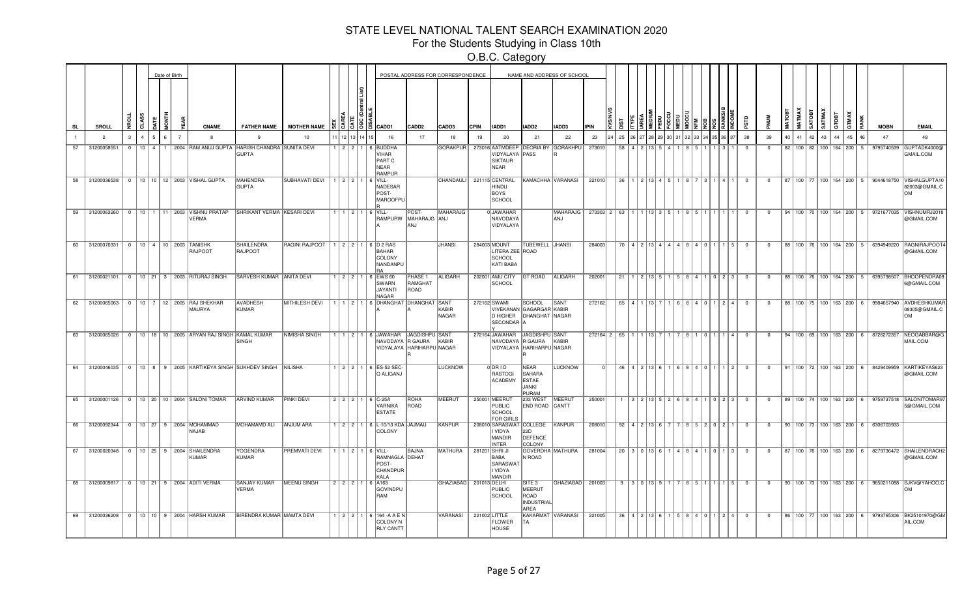For the Students Studying in Class 10th

|           |                |          |                 |                | Date of Birth |                |                                                                     |                                                                    |                                              |                 |          |      |                                                                                                     |                            | POSTAL ADDRESS FOR CORRESPONDENCE |             |                                                                     |                                                                        | NAME AND ADDRESS OF SCHOOL         |             |                                                                   |                   |           |                                           |  |       |                                                     |                         |                |        |               |               |        |                                 |            |                                                  |                                                                                                |
|-----------|----------------|----------|-----------------|----------------|---------------|----------------|---------------------------------------------------------------------|--------------------------------------------------------------------|----------------------------------------------|-----------------|----------|------|-----------------------------------------------------------------------------------------------------|----------------------------|-----------------------------------|-------------|---------------------------------------------------------------------|------------------------------------------------------------------------|------------------------------------|-------------|-------------------------------------------------------------------|-------------------|-----------|-------------------------------------------|--|-------|-----------------------------------------------------|-------------------------|----------------|--------|---------------|---------------|--------|---------------------------------|------------|--------------------------------------------------|------------------------------------------------------------------------------------------------|
| <b>SL</b> | <b>SROLL</b>   | £        |                 |                |               |                | <b>CNAME</b>                                                        | <b>FATHER NAME</b>                                                 | <b>MOTHER NAME</b>                           |                 |          | 3592 | <b>CADD1</b>                                                                                        | CADD2                      | <b>CADD3</b>                      | <b>CPIN</b> | IADD1                                                               | IADD2                                                                  | IADD3                              | <b>IPIN</b> |                                                                   |                   |           |                                           |  |       |                                                     |                         |                | MATOBT | MATMAX        | <b>RATOBT</b> | SATMAX | GTOBT                           | <b>MAX</b> | <b>MOBN</b>                                      | <b>EMAIL</b>                                                                                   |
|           | $\overline{2}$ | 3        |                 |                |               | $\overline{7}$ | -8                                                                  | 9                                                                  | 10                                           |                 | 12 13 14 |      | 16                                                                                                  | 17                         | 18                                | 19          | 20                                                                  | 21                                                                     | 22                                 | 23          | 25                                                                |                   |           |                                           |  |       |                                                     | 38                      | 39             | 40     | 41            | 42            | 43     |                                 | 45         | 47                                               | 48                                                                                             |
| 57        | 31200058551    | $\Omega$ | 10 <sup>1</sup> | $\overline{4}$ | 1.            |                |                                                                     | 2004 RAM ANUJ GUPTA HARISH CHANDRA SUNITA DEVI<br><b>GUPTA</b>     |                                              |                 | 2121     |      | 6 BUDDHA<br><b>VIHAR</b><br>PART C<br>NEAR<br><b>RAMPUR</b>                                         |                            | <b>GORAKPUR</b>                   |             | VIDYALAYA PASS<br><b>SIKTAUR</b><br>NEAR                            |                                                                        | 273016 AATMDEEP DEORIA BY GORAKHPU | 273010      | 58                                                                |                   |           |                                           |  |       |                                                     | $\Omega$                | $\Omega$       |        | 82   100   82 |               |        | 100 164 200                     | 5.         | 9795740539                                       | GUPTADK4000@<br>GMAIL.COM                                                                      |
| 58        | 31200036538 0  |          |                 |                |               |                | 10   10   12   2003   VISHAL GUPTA                                  | <b>MAHENDRA</b><br><b>GUPTA</b>                                    | SUBHAVATI DEVI   1   2   2   1               |                 |          |      | $6$ VILL-<br>NADESAR<br>POST-<br>MAROOFPU                                                           |                            | <b>CHANDAULI</b>                  |             | 221115 CENTRAL<br>HINDU<br>BOYS<br>SCHOOL                           |                                                                        | KAMACHHA VARANASI                  | 221010      | 36                                                                |                   | 1 2 1 1 3 |                                           |  | l 3   | I 4 I 1                                             | $\Omega$                | $\mathbf{0}$   |        |               |               |        |                                 |            |                                                  | 87   100   77   100   164   200   5   9044618750   VISHALGUPTA10<br>82003@GMAIL.C<br><b>OM</b> |
| 59        | 31200063260    |          |                 |                |               |                | 0   10   1   11   2003   VISHNU PRATAP<br><b>VERMA</b>              | SHRIKANT VERMA KESARI DEVI                                         |                                              |                 |          |      | $1$   $1$   $2$   $1$   6   VILL<br>RAMPURW MAHARAJG ANJ                                            | POST-<br>lanj              | MAHARAJG                          |             | 0JAWAHAR<br>NAVODAYA<br>VIDYALAYA                                   |                                                                        | <b>MAHARAJG</b><br>ANJ             | 273303 2 63 |                                                                   |                   |           |                                           |  |       |                                                     | $\overline{0}$          | $\mathbf{0}$   |        |               |               |        |                                 |            | 94   100   70   100   164   200   5   9721677035 | VISHNUMRJ2018<br>@GMAIL.COM                                                                    |
| 60        | 31200070331    |          |                 |                |               |                | 0   10   4   10   2003   TANISHK<br>RAJPOOT                         | SHAILENDRA<br>RAJPOOT                                              | RAGINI RAJPOOT   1   2   2   1   6   D 2 RAS |                 |          |      | BAHAR<br>COLONY<br>NANDANPU<br><b>RA</b>                                                            |                            | <b>JHANSI</b>                     |             | 284003 MOUNT<br>LITERA ZEE ROAD<br>SCHOOL<br>KATI BABA              | TUBEWELL JHANSI                                                        |                                    | 284003      |                                                                   |                   |           | $70$   4   2   13   4   4   4   8   4   0 |  |       | <u> 1   5  </u>                                     | $^{\circ}$              | $^{\circ}$     |        |               |               |        |                                 |            | 88   100   76   100   164   200   5   6394949220 | <b>RAGNIRAJPOOT</b><br>@GMAIL.COM                                                              |
|           |                |          |                 |                |               |                | 61 31200021101 0 10 21 3 2003 RITURAJ SINGH                         | SARVESH KUMAR ANITA DEVI                                           |                                              |                 |          |      | 1 2 2 1 6 EWS 60<br>SWARN<br>JAYANTI<br><b>NAGAR</b>                                                | PHASE 1<br>RAMGHAT<br>ROAD | <b>ALIGARH</b>                    |             | 202001 AMU CITY<br>SCHOOL                                           | <b>GT ROAD</b>                                                         | ALIGARH                            | 202001      | 21                                                                |                   |           | 1 2 1 1 3 5 5                             |  |       | $1$ 5 8 $4$ 1 1 0 2 3                               | $\overline{0}$          | $^{\circ}$     |        |               |               |        |                                 |            | 88   100   76   100   164   200   5   6395798507 | <b>BHOOPENDRA09</b><br>6@GMAIL.COM                                                             |
|           | 62 31200065063 |          |                 |                |               |                | 0   10   7   12   2005   RAJ SHEKHAR<br>MAURYA                      | <b>AVADHESH</b><br>KUMAR                                           | <b>MITHILESH DEVI</b>                        |                 |          |      | 1   1   2   1   6   DHANGHAT   DHANGHAT   SANT                                                      |                            | KABIR<br>NAGAR                    |             | 272162 SWAMI<br>SECONDAR A                                          | <b>SCHOOL</b><br>VIVEKANAN GAGARGAR KABIR<br>D HIGHER   DHANGHAT NAGAR | SANT                               | 272162      |                                                                   | $65$   4   1   13 |           |                                           |  | 140   | $2$ $4$                                             | $\overline{0}$          | $^{\circ}$     |        |               |               |        |                                 |            |                                                  | 88   100   75   100   163   200   6   9984657940   AVDHESHKUMAF<br>08305@GMAIL.C<br><b>OM</b>  |
| 63        |                |          |                 |                |               |                | 31200065026   0   10   18   10   2005   ARYAN RAJ SINGH KAMAL KUMAR | <b>SINGH</b>                                                       | NIMISHA SINGH                                |                 |          |      | 1   1   2   1   6   JAWAHAR   JAGDISHPU SANT<br>NAVODAYA R GAURA KABIR<br>VIDYALAYA HARIHARPU NAGAR |                            |                                   |             | 272164 JAWAHAR                                                      | JAGDISHPU SANT<br>NAVODAYA R GAURA KABIR<br>VIDYALAYA HARIHARPU NAGAR  |                                    |             | $272164$ $2$ $65$ $11$ $113$ $7$ $11$ $7$ $8$ $10$ $10$ $11$ $14$ |                   |           |                                           |  |       |                                                     | $\overline{0}$          | $\overline{0}$ |        |               |               |        |                                 |            | 94   100   69   100   163   200   6   8726272357 | NEOGABBAR@G<br>MAIL.COM                                                                        |
|           |                |          |                 |                |               |                |                                                                     | 64 31200046035 0 10 8 9 2005 KARTIKEYA SINGH SUKHDEV SINGH NILISHA |                                              |                 |          |      | 1 2 2 1 6 ES-52 SEC<br><b>Q ALIGANJ</b>                                                             |                            | <b>LUCKNOW</b>                    |             | $0$ DRID<br>RASTOGI<br>ACADEMY                                      | <b>NEAR</b><br>SAHARA<br><b>ESTAE</b><br><b>JANKI</b><br>PURAM         | <b>LUCKNOW</b>                     |             |                                                                   |                   |           |                                           |  |       | 46   4   2   13   6   1   6   8   4   0   1   1   2 | $\overline{0}$          | $\mathbf{0}$   |        |               |               |        |                                 |            |                                                  | 91   100   72   100   163   200   6   8429409959   KARTIKEYAS623<br>@GMAIL.COM                 |
|           |                |          |                 |                |               |                | 65 31200001126 0 10 20 10 2004 SALONI TOMAR                         | <b>ARVIND KUMAR</b>                                                | <b>PINKI DEVI</b>                            |                 |          |      | 2 2 2 1 6 C-25A<br>VARNIKA<br>ESTATE                                                                | <b>ROHA</b><br>ROAD        | <b>MEERUT</b>                     |             | 250001 MEERUT<br><b>PUBLIC</b><br>SCHOOL<br><b>FOR GIRLS</b>        | <b>233 WEST</b><br>END ROAD CANTT                                      | <b>MEERUT</b>                      | 250001      |                                                                   |                   |           | 31213552688411                            |  |       |                                                     | $\overline{0}$          | $\mathbf{0}$   |        |               |               |        |                                 |            | 89   100   74   100   163   200   6   9759737518 | SALONITOMAR9<br>5@GMAIL.COM                                                                    |
| 66        |                |          |                 |                |               |                | 31200092344   0   10   27   9   2004   MOHAMMAD<br>NAJAB            | MOHAMAMD ALI                                                       | ANJUM ARA                                    |                 |          |      | 1   2   2   1   6   L-10/13 KDA   JAJMAU<br>COLONY                                                  |                            | KANPUR                            |             | 208010 SARASWAT COLLEGE<br>I VIDYA<br>MANDIR<br><b>NTER</b>         | 22D<br>DEFENCE<br>COLONY                                               | KANPUR                             | 208010      | 92                                                                |                   |           | 4 2 13 6                                  |  | 5202  |                                                     | $\overline{\mathbf{0}}$ | $\overline{0}$ |        |               |               |        | 90   100   73   100   163   200 |            | 6 6306703933                                     |                                                                                                |
|           |                |          |                 |                |               |                | 67 31200020348 0 10 25 9 2004 SHAILENDRA<br>KUMAR                   | <b>YOGENDRA</b><br>KUMAR                                           | <b>PREMVATI DEVI</b>                         |                 |          |      | $1$   $1$   $2$   $1$   $6$   VILL-<br>RAMNAGLA DEHAT<br>POST-<br>CHANDPUR<br>KALA                  | BAJNA                      | MATHURA                           |             | 281201 SHRI JI<br>BABA<br>SARASWAT<br><b>VIDYA</b><br><b>JANDIR</b> | N ROAD                                                                 | GOVERDHA MATHURA                   | 281004      |                                                                   |                   |           | 20   3   0   13   6                       |  |       | 1 4 8 4 1 0 1 1 3                                   | $\overline{0}$          | $^{\circ}$     |        |               |               |        |                                 |            |                                                  | 87    100    76    100    163    200    6    8279736472    SHAILENDRACH2<br>@GMAIL.COM         |
| 68        | 31200009817    | $\Omega$ |                 |                |               |                | 10   21   9   2004   ADITI VERMA                                    | SANJAY KUMAR<br>VERMA                                              | MEENU SINGH                                  | $2$   2   2   1 |          |      | 6 A163<br><b>GOVINDPU</b><br>RAM                                                                    |                            | GHAZIABAD                         |             | 201013 DELHI<br><b>PUBLIC</b><br>SCHOOL                             | SITE 3<br>MEERUT<br>ROAD<br>INDUSTRIAL<br>AREA                         | GHAZIABAD <sup> </sup>             | 201003      | 9                                                                 |                   |           | 3 0 1 1 3 9                               |  | 8 5 1 | 15                                                  | $\Omega$                | $\Omega$       |        |               |               |        |                                 |            |                                                  | 90   100   73   100   163   200   6   9650211088   SJKV@YAHOO.C<br>OМ                          |
| 69        |                |          |                 |                |               |                | 31200036208   0   10   10   9   2004   HARSH KUMAR                  | BIRENDRA KUMAR MAMTA DEVI                                          |                                              |                 |          |      | 1 2 2 1 6 164 - A A E N<br>COLONY N<br><b>RLY CANTT</b>                                             |                            | VARANASI                          |             | 221002 LITTLE<br>FLOWER<br><b>HOUSE</b>                             | TА                                                                     | KAKARMAT VARANASI                  | 221005      |                                                                   |                   |           |                                           |  |       | 36   4   2   13   6   1   5   8   4   0   1   2   4 | $\overline{0}$          | $\overline{0}$ |        |               |               |        |                                 |            |                                                  | 86   100   77   100   163   200   6   9793765306   BK25101970@GM<br>AIL.COM                    |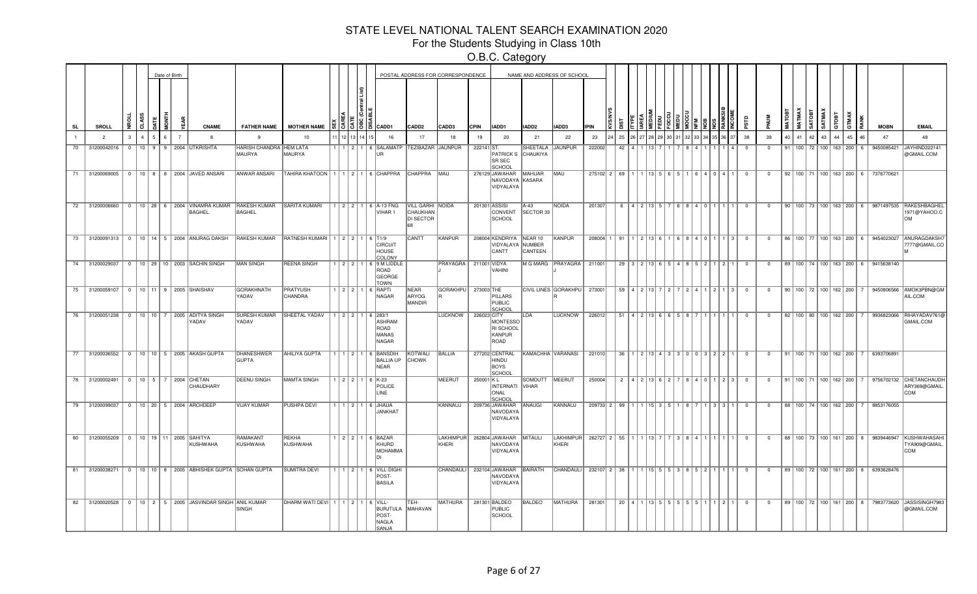For the Students Studying in Class 10th

|           |                                        |               |            | Date of Birth  |                                                                                  |                                   |                                              |               |      |                                                               |                                                  | POSTAL ADDRESS FOR CORRESPONDENCE |             |                                                             |                                  | NAME AND ADDRESS OF SCHOOL |                               |                                                                                    |                               |               |                                           |      |      |                                                                |                         |                |    |    |                                     |                       |          |                                                  |                                                                                        |
|-----------|----------------------------------------|---------------|------------|----------------|----------------------------------------------------------------------------------|-----------------------------------|----------------------------------------------|---------------|------|---------------------------------------------------------------|--------------------------------------------------|-----------------------------------|-------------|-------------------------------------------------------------|----------------------------------|----------------------------|-------------------------------|------------------------------------------------------------------------------------|-------------------------------|---------------|-------------------------------------------|------|------|----------------------------------------------------------------|-------------------------|----------------|----|----|-------------------------------------|-----------------------|----------|--------------------------------------------------|----------------------------------------------------------------------------------------|
| <b>SL</b> | SROLL                                  |               |            |                | <b>CNAME</b>                                                                     | <b>FATHER NAME</b>                | <b>MOTHER NAME</b>                           |               | 1813 | CADD1                                                         | CADD <sub>2</sub>                                | CADD3                             | <b>CPIN</b> | IADD1                                                       | IADD2                            | IADD3                      | <b>IPIN</b>                   |                                                                                    |                               |               |                                           |      |      |                                                                |                         |                |    |    | <b>ROTA</b>                         | SATMA)<br>атовт       |          | <b>MOBN</b>                                      | <b>EMAIL</b>                                                                           |
|           | $\overline{2}$                         | $\mathcal{R}$ | $\sqrt{2}$ | $\overline{7}$ | $\mathbf{R}$                                                                     | $\mathbf{q}$                      | 10                                           |               |      | 16                                                            | 17                                               | 18                                | 19          | 20                                                          | 21                               | 22                         | 23                            | 25                                                                                 |                               |               |                                           |      |      |                                                                | 38                      | 39             | 40 | 41 | 42                                  | 43<br>$\overline{44}$ | 45<br>46 | 47                                               | 48                                                                                     |
|           | 70 31200042016 0                       |               |            |                | 10   9   9   2004 UTKRISHTA                                                      | HARISH CHANDRA HEM LATA<br>MAURYA | MAURYA                                       |               |      | │1│2│1│6│SALAMATP<br>IIR.                                     | TEZIBAZAR JAUNPUR                                |                                   | 222141 ST.  | PATRICK S<br>SR SEC<br><b>SCHOO</b>                         | SHEETALA JAUNPUR<br>CHAUKIYA     |                            | 222002                        |                                                                                    | $42$   4   1   13             |               |                                           |      |      | $\mathbf{A}$                                                   | - 0                     | $\Omega$       |    |    |                                     |                       |          | 91   100   72   100   163   200   6   9450085421 | JAYHIND222141<br>@GMAIL.COM                                                            |
|           |                                        |               |            |                | 71 31200069005   0   10   8   8   2004 JAVED ANSARI                              | ANWAR ANSARI                      | TAHIRA KHATOON   1   1   2   1   6   CHAPPRA |               |      |                                                               | CHAPPRA MAU                                      |                                   |             | 276129 JAWAHAR<br>NAVODAYA KASARA<br>VIDYALAYA              | MAHUAR                           | <b>MAU</b>                 |                               | $275102$ $2$ $69$ $1$ $1$ $1$ $13$ $5$ $6$ $5$ $1$ $1$ $6$ $4$ $1$ $0$ $4$ $1$ $1$ |                               |               |                                           |      |      |                                                                | $\overline{\mathbf{0}}$ | $\overline{0}$ |    |    |                                     |                       |          | 92   100   71   100   163   200   6   7376770621 |                                                                                        |
|           |                                        |               |            |                | 72 31200006660 0 10 28 6 2004 VINAMRA KUMAR RAKESH KUMAR SARITA KUMARI<br>BAGHEL | BAGHEL                            |                                              |               |      | 1 2 2 1 6 A-13 FNG<br>VIHAR 1                                 | <b>VILL GARHI NOIDA</b><br>CHAUKHAN<br>DI SECTOR |                                   |             | 201301 ASSISI<br>CONVENT<br>SCHOOL                          | IA-43<br>SECTOR 33               | NOIDA                      | 201307                        |                                                                                    |                               |               |                                           |      |      | $6$   4   2   13   5   7   6   8   4   0 $\boxed{1}$ 1   1   1 | $\overline{0}$          | $\overline{0}$ |    |    |                                     |                       |          |                                                  | 90   100   73   100   163   200   6   9871497535   RAKESHBAGHEL<br>1971@YAHOO.C<br>lом |
|           |                                        |               |            |                | 73 31200091313 0 10 14 5 2004 ANURAG DAKSH                                       | <b>RAKESH KUMAR</b>               | RATNESH KUMARI   1   2   2   1   6   T1/9    |               |      | <b>CIRCUIT</b><br><b>HOUSE</b><br>COLONY                      | <b>CANTT</b>                                     | KANPUR                            |             | 208004 KENDRIYA NEAR 10<br>VIDYALAYA NUMBER<br>CANTT        | CANTEEN                          | KANPUR                     | 208004                        | 91                                                                                 |                               |               | 1   2   13   6   1   6   8   4   0   1    |      |      | $\overline{3}$                                                 | $^{\circ}$              | $\mathbf{0}$   |    |    |                                     |                       |          | 86   100   77   100   163   200   6   9454023027 | <b>ANURAGDAKSH</b><br>7777@GMAIL.CO                                                    |
|           |                                        |               |            |                | 74 31200029037   0   10   29   10   2003 SACHIN SINGH                            | MAN SINGH                         | <b>REENA SINGH</b>                           |               |      | 1 2 2 1 6 9 M LIDDLE<br>ROAD<br>GEORGE<br><b>TOWN</b>         |                                                  | PRAYAGRA   211001 VIDYA           |             | VAHINI                                                      |                                  | M G MARG PRAYAGRA   211001 |                               |                                                                                    |                               |               |                                           |      |      | $29$   3   2   13   6   5   4   8   5   2   1   2   1          | $\overline{\mathbf{0}}$ | $\mathbf 0$    |    |    |                                     |                       |          | 89   100   74   100   163   200   6   9415638140 |                                                                                        |
| 75        |                                        |               |            |                | 31200059107   0   10   11   9   2005   SHAISHAV                                  | <b>GORAKHNATH</b><br>YADAV        | <b>PRATYUSH</b><br>CHANDRA                   |               |      | 1 2 2 1 6 RAPTI<br>NAGAR                                      | NEAR<br>ARYOG<br>MANDIR                          | <b>GORAKHPU</b>                   | 273003 THE  | PILLARS<br>PUBLIC<br>SCHOOL                                 |                                  | CIVIL LINES GORAKHPU       | 273001                        | 59                                                                                 | 4 2 1 1 3 1                   | $\mathcal{P}$ |                                           | 1214 | 1121 | $\overline{3}$                                                 | $\Omega$                | $\Omega$       |    |    | 90   100   72   100   162   200     |                       |          |                                                  | 9450806566 AMOK3PBN@GM<br>AIL.COM                                                      |
| 76        |                                        |               |            |                | 31200051238 0 10 10 7 2005 ADITYA SINGH<br>YADAV                                 | <b>SURESH KUMAR</b><br>YADAV      | <b>SHEETAL YADAV</b>                         |               |      | 1   2   2   1   6   283/1<br>ASHRAM<br>ROAD<br>MANAS<br>NAGAR |                                                  | <b>LUCKNOW</b>                    | 226023 CITY | <b>MONTESSO</b><br>RI SCHOOL<br>KANPUR<br>ROAD              | LDA                              | <b>LUCKNOW</b>             | 226012                        |                                                                                    | $51$   4   2   13   6   6   5 |               |                                           |      |      |                                                                | $\Omega$                | $^{\circ}$     |    |    | 82   100   80   100   162   200     |                       |          | 9936823066                                       | RIHAYADAV761@<br>GMAIL.COM                                                             |
|           |                                        |               |            |                | 77 31200036552 0 10 10 5 2005 AKASH GUPTA                                        | DHANESHWER<br><b>GUPTA</b>        | <b>AHILIYA GUPTA</b>                         |               |      | 1   1   2   1   6  BANSDIH<br><b>BALLIA UP</b><br><b>NEAR</b> | KOTWALI<br><b>CHOWK</b>                          | BALLIA                            |             | 277202 CENTRAL<br><b>HINDU</b><br><b>BOYS</b><br>SCHOOL     |                                  | KAMACHHA VARANASI          | 221010                        |                                                                                    |                               |               |                                           |      |      | $36$   1   2   13   4   3   3   0   0   3   2   2   1          | $\overline{0}$          | $\overline{0}$ |    |    |                                     |                       |          | 91   100   71   100   162   200   7   6393706891 |                                                                                        |
|           | 78 31200002491 0 10 5 7 2004 CHETAN    |               |            |                | CHAUDHARY                                                                        | <b>DEENU SINGH</b>                | MAMTA SINGH                                  |               |      | $1$ $2$ $2$ $1$ $6$ $K-23$<br>POLICE<br>LINE                  |                                                  | <b>MEERUT</b>                     | 250001 KL   | INTERNATI<br>ONAL<br><b>SCHOOL</b>                          | SOMDUTT   MEERUT<br><b>VIHAR</b> |                            | 250004                        |                                                                                    |                               |               |                                           |      |      | $2   4   2   13   6   2   7   8   4   0   1   2   3  $         | $^{\circ}$              | $\mathbf{O}$   |    |    | 91 100 71 100 162 200 7             |                       |          |                                                  | 9756702132 CHETANCHAUDH<br>ARY369@GMAIL.<br>ICOM                                       |
|           |                                        |               |            |                | 79 31200099037 0 10 20 5 2004 ARCHDEEP                                           | <b>VIJAY KUMAR</b>                | <b>PUSHPA DEVI</b>                           |               |      | $1 \mid 1 \mid 2 \mid 1 \mid 6$ JHAUA<br>JANKHAT              |                                                  | KANNAUJ                           |             | 209736 JAWAHAR<br>NAVODAYA<br>VIDYALAYA                     | ANAUGI                           | KANNAUJ                    | 209733 2 99 1 1 1 1 5 3 5 1 8 |                                                                                    |                               |               |                                           |      |      | $1 \,   \, 3 \,   \, 3 \,   \, 1 \,  $                         | $\overline{\mathbf{0}}$ | $\overline{0}$ |    |    | 88   100   74   100   162   200     |                       |          | 8853176055                                       |                                                                                        |
|           | 80 31200055209 0 10 19 11 2005 SAHITYA |               |            |                | KUSHWAHA                                                                         | RAMAKANT<br>KUSHWAHA              | REKHA<br>KUSHWAHA                            |               |      | 1 2 2 1 6 BAZAR<br>KHURD<br><b>MOHAMMA</b>                    |                                                  | KHERI                             |             | LAKHIMPUR   262804 JAWAHAR MITAULI<br>NAVODAYA<br>VIDYALAYA |                                  | <b>LAKHIMPUR</b><br>KHERI  | 262727 2 55                   |                                                                                    |                               |               | 1 1 1 1 1 2   7   7   3   8   4   1   1   |      |      | <b>1111</b>                                                    | $\overline{\mathbf{0}}$ | $^{\circ}$     |    |    |                                     |                       |          | 88   100   73   100   161   200   8   9839446947 | <b>KUSHWAHASAH</b><br>TYA909@GMAIL<br>ICOM                                             |
| 81        |                                        |               |            |                | 31200038271 0 10 10 10 8 2005 ABHISHEK GUPTA SOHAN GUPTA                         |                                   | <b>SUMITRA DEVI</b>                          | 1   1   2   1 |      | 6 VILL-DIGHI<br>POST-<br><b>BASILA</b>                        |                                                  | CHANDAULI                         |             | 232104 JAWAHAR BAIRATH<br>NAVODAYA<br>VIDYALAYA             |                                  | <b>CHANDAULI</b>           | 232107 2 38                   |                                                                                    |                               |               | 1   15   5   5   3   8   5   2   1        |      |      | <b>1</b>                                                       | $\overline{0}$          | $^{\circ}$     |    |    | 89 100 72 100 161 200               |                       | 8        | 6393628476                                       |                                                                                        |
| 82        | 31200020528                            | $\Omega$      |            |                | 10 2 5 2005 JASVINDAR SINGH ANIL KUMAR                                           | SINGH                             | DHARM WATI DEVI   1   1   2   1   6   VILL-  |               |      | <b>BURJTULA</b><br>POST-<br>NAGLA<br>SANJA                    | TFH-<br>MAHAVAN                                  | MATHURA                           |             | 281301 BALDEO<br>PUBLIC<br>SCHOOL                           | BALDEO                           | MATHURA                    | 281301                        |                                                                                    |                               |               | $20$   4   1   13   5   5   5   5   5   1 |      |      | $1211$                                                         | $\overline{0}$          | $\overline{0}$ |    |    | 89   100   72   100   161   200   8 |                       |          |                                                  | 7983773620 JASSISINGH7983<br>@GMAIL.COM                                                |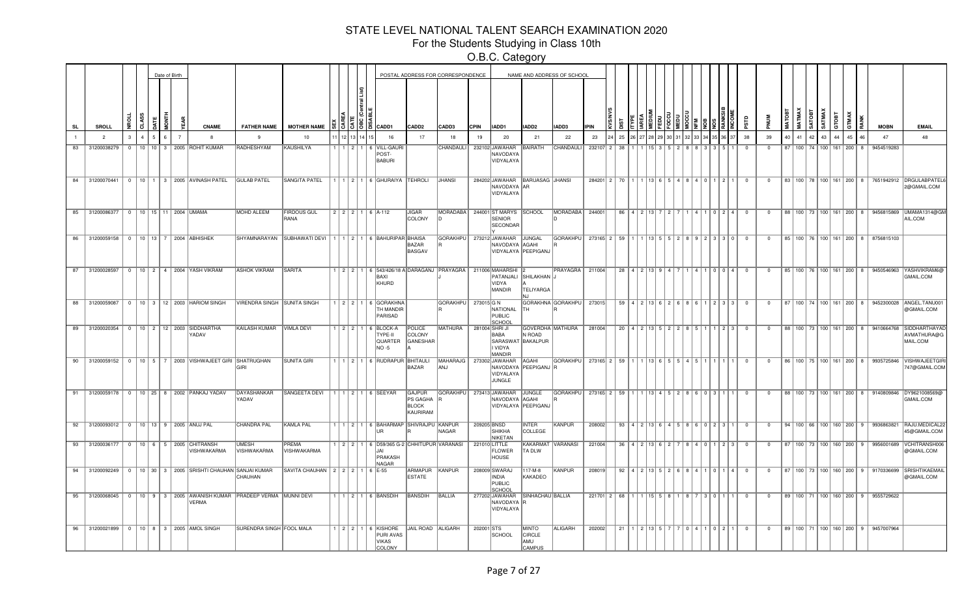For the Students Studying in Class 10th

|           |    |                                        |          |    | Date of Birth |  |                                                                                  |                             |                                                                    |       |                     |                                                                              |                                                       | POSTAL ADDRESS FOR CORRESPONDENCE    |               |                                                                         |                                                       | NAME AND ADDRESS OF SCHOOL                      |                                            |                                                                  |                                               |  |  |                                                           |      |                         |                |    |                                 |                        |       |    |                                     |                                                  |                                                                                      |
|-----------|----|----------------------------------------|----------|----|---------------|--|----------------------------------------------------------------------------------|-----------------------------|--------------------------------------------------------------------|-------|---------------------|------------------------------------------------------------------------------|-------------------------------------------------------|--------------------------------------|---------------|-------------------------------------------------------------------------|-------------------------------------------------------|-------------------------------------------------|--------------------------------------------|------------------------------------------------------------------|-----------------------------------------------|--|--|-----------------------------------------------------------|------|-------------------------|----------------|----|---------------------------------|------------------------|-------|----|-------------------------------------|--------------------------------------------------|--------------------------------------------------------------------------------------|
| <b>SL</b> |    | <b>SROLL</b>                           |          | रे |               |  | <b>CNAME</b>                                                                     | <b>FATHER NAME</b>          | <b>MOTHER NAME</b>                                                 |       | <u>၂၅ မွ မြ</u> ို့ | CADD1                                                                        | CADD <sub>2</sub>                                     | CADD3                                | <b>CPIN</b>   | IADD1                                                                   | IADD2                                                 | IADD3                                           | <b>IPIN</b>                                |                                                                  |                                               |  |  |                                                           |      |                         |                |    |                                 | SATMAY<br><b>GOTAS</b> | GTOBT |    |                                     | <b>MOBN</b>                                      | <b>EMAIL</b>                                                                         |
|           |    | $\overline{2}$                         |          |    |               |  |                                                                                  | 9                           | 10                                                                 |       |                     | 16                                                                           | 17                                                    | 18                                   | 19            | 20                                                                      | 21                                                    | 22                                              | 23                                         | 25                                                               |                                               |  |  |                                                           |      | 38                      | 39             | 40 |                                 | 42<br>43               |       | 45 |                                     | 47                                               | 48                                                                                   |
|           | 83 | 31200038279                            |          |    |               |  | 0   10   10   3   2005   ROHIT KUMAR                                             | RADHESHYAM                  | KAUSHILYA                                                          | 11211 |                     | 6 VILL-GAURI<br>POST-<br><b>BABURI</b>                                       |                                                       | CHANDAULI                            |               | 232102 JAWAHAR<br>NAVODAYA<br>VIDYALAYA                                 | BAIRATH                                               | CHANDAULI                                       |                                            | 232107 2 38                                                      |                                               |  |  |                                                           |      | $\Omega$                | $\Omega$       |    | 87   100   74   100   161   200 |                        |       |    | 8                                   | 9454519283                                       |                                                                                      |
|           |    |                                        |          |    |               |  | 84 31200070441 0 10 1 3 2005 AVINASH PATEL                                       | <b>GULAB PATEL</b>          | <b>SANGITA PATEL</b>                                               |       |                     | $111216$ GHURAIYA TEHROLI                                                    |                                                       | <b>JHANSI</b>                        |               | 284202 JAWAHAR BARUASAG JHANSI<br>NAVODAYA AR<br>VIDYALAYA              |                                                       |                                                 |                                            | 284201   2   70   1   1   13   6   5   4   8   4   0   1   2   1 |                                               |  |  |                                                           |      | $\overline{0}$          | $\overline{0}$ |    |                                 |                        |       |    |                                     |                                                  | 83   100   78   100   161   200   8   7651942912   DRGULABPATEL<br>2@GMAIL.COM       |
|           |    | 85 31200086377 0 10 15 11 2004 UMAMA   |          |    |               |  |                                                                                  | <b>MOHD ALEEM</b>           | <b>FIRDOUS GUL</b><br>RANA                                         |       |                     | 2 2 2 1 6 A-112                                                              | <b>JIGAR</b><br>COLONY                                | <b>MORADABA</b>                      |               | 244001 ST MARYS SCHOOL<br><b>SENIOR</b><br>SECONDAR                     |                                                       | MORADABA                                        | 244001                                     |                                                                  | 86   4   2   13   7   2   7   1               |  |  | 4110244                                                   |      | $\overline{0}$          | $\overline{0}$ |    |                                 |                        |       |    |                                     |                                                  | 88   100   73   100   161   200   8   9456815869   UMAMA1314@GM<br>AIL.COM           |
|           |    | 86 31200059158 0 10 13 7 2004 ABHISHEK |          |    |               |  |                                                                                  |                             | SHYAMNARAYAN SUBHAWATI DEVI   1   1   2   1   6   BAHURIPAR BHAISA |       |                     |                                                                              | <b>BAZAR</b><br>BASGAV                                |                                      |               | GORAKHPU 273212 JAWAHAR JUNGAL<br>NAVODAYA AGAHI<br>VIDYALAYA PEEPIGANJ |                                                       | GORAKHPU                                        | $273165$<br>2 59 1 1 1 3 5 5 2 8 9 2 3 3 0 |                                                                  |                                               |  |  |                                                           |      | $^{\circ}$              | $\mathbf{O}$   |    |                                 |                        |       |    |                                     | 85   100   76   100   161   200   8   8756815103 |                                                                                      |
|           |    | 87 31200028597                         |          |    |               |  | 0   10   2   4   2004   YASH VIKRAM                                              | <b>ASHOK VIKRAM</b>         | <b>SARITA</b>                                                      |       |                     | 1 2 2 1 6 543/426/18 A DARAGANJ PRAYAGRA 211006 MAHARSHI<br>BAXI<br>KHURD    |                                                       |                                      |               | VIDYA<br>MANDIR                                                         | PATANJALI SHILAKHAN J<br><b>TELIYARGA</b>             | PRAYAGRA   211004                               |                                            |                                                                  | 28 4 2 13 9                                   |  |  | 4 1 0 0 1 4                                               |      | $\overline{0}$          | $\overline{0}$ |    |                                 |                        |       |    |                                     | 85   100   76   100   161   200   8   9450546963 | YASHVIKRAM6@<br>GMAIL.COM                                                            |
|           |    | 88 31200059087                         |          |    |               |  | 0   10   3   12   2003   HARIOM SINGH                                            | VIRENDRA SINGH SUNITA SINGH |                                                                    |       |                     | $2$ 2 1 6 GORAKHNA<br><b>TH MANDIR</b><br>PARISAD                            |                                                       | GORAKHPU   273015 G N                |               | NATIONAL<br>PUBLIC<br>SCHOOI                                            | TH                                                    | GORAKHNA GORAKHPU                               | 273015                                     |                                                                  |                                               |  |  | 59 4 2 13 6 2 6 8 6 1 2 3 3                               |      | $\overline{0}$          | $\mathbf 0$    |    |                                 |                        |       |    |                                     |                                                  | 87   100   74   100   161   200   8   9452300028   ANGEL.TANU00<br>@GMAIL.COM        |
|           |    | 89 31200020354                         |          |    |               |  | 0   10   2   12   2003   SIDDHARTHA<br>YADAV                                     | KAILASH KUMAR   VIMLA DEVI  |                                                                    |       |                     | 1 2 2 1 6 BLOCK-A<br>TYPE-II<br><b>QUARTER</b><br>NO -5                      | POLICE<br>COLONY<br>GANESHAR                          | MATHURA                              | 281004 SHRIJI | BABA<br>SARASWAT BAKALPUR<br><b>VIDYA</b><br>MANDIR                     | N ROAD                                                | GOVERDHA MATHURA                                | 281004                                     |                                                                  | $20$   4   2   13   5   2   2   8   5   1   1 |  |  | 1213                                                      |      | $\overline{0}$          | $^{\circ}$     |    |                                 |                        |       |    |                                     | 88 100 73 100 161 200 8 9410664768               | <b>SIDDHARTHAYA</b><br>AVMATHURA@G<br>MAIL.COM                                       |
|           |    |                                        |          |    |               |  | 90 31200059152 0 10 5 7 2003 VISHWAJEET GIRI SHATRUGHAN                          | GIRI                        | <b>SUNITA GIRI</b>                                                 |       |                     | 1   1   2   1   6   RUDRAPUR   BHITAULI                                      | BAZAR                                                 | MAHARAJG 273302 JAWAHAR AGAHI<br>ANJ |               | NAVODAYA PEEPIGANJ R<br>VIDYALAYA<br>JUNGLE                             |                                                       | GORAKHPU 273165 2 59 1 1 1 13 6 5 5 4 5 1 1     |                                            |                                                                  |                                               |  |  |                                                           | .    | $\overline{0}$          | $\overline{0}$ |    |                                 |                        |       |    |                                     |                                                  | 86   100   75   100   161   200   8   9935725846   VISHWAJEETGIF<br>747@GMAIL.COM    |
|           |    |                                        |          |    |               |  | 91 31200059178 0 10 25 8 2002 PANKAJ YADAV                                       | DAYASHANKAR<br>YADAV        | SANGEETA DEVI                                                      |       |                     | $11$ $12$ $16$ SEEYAR                                                        | <b>GAJPUR</b><br>PS GAGHA<br><b>BLOCK</b><br>KAURIRAM | GORAKHPU 273413 JAWAHAR JUNGLE       |               | NAVODAYA AGAHI<br>VIDYALAYA   PEEPIGANJ                                 |                                                       | GORAKHPU 273165 2 59 1 1 1 13 4 5 2 8 6 0 3 1 1 |                                            |                                                                  |                                               |  |  |                                                           |      | $\overline{0}$          | $\overline{0}$ |    |                                 |                        |       |    |                                     |                                                  | 88    100    73    100    161    200    8    9140809846   DY9621008569@<br>GMAIL.COM |
|           | 92 | 31200093012 0 10 13 9 2005 ANUJ PAL    |          |    |               |  |                                                                                  | CHANDRA PAL                 | KAMLA PAL                                                          |       |                     | 1   1   2   1   6   BAHARMAP   SHIVRAJPU   KANPUR<br><b>IIR</b>              |                                                       | NAGAR                                | 209205 BNSD   | <b>SHIKHA</b><br>NIKETAN                                                | <b>INTER</b><br>COLLEGE                               | KANPUR                                          | 208002                                     |                                                                  |                                               |  |  | $93   4   2   13   6   4   5   8   6   0   2   3   1   0$ |      |                         | $\overline{0}$ |    |                                 |                        |       |    |                                     | 94   100   66   100   160   200   9   9936863821 | RAJU.MEDICAL2<br>45@GMAIL.COM                                                        |
|           |    |                                        |          |    |               |  | 93 31200036177 0 10 6 5 2005 CHITRANSH<br><b>VISHWAKARMA</b>                     | <b>UMESH</b><br>VISHWAKARMA | PREMA<br>VISHWAKARMA                                               |       |                     | 1 2 2 1 6 D59/365 G-2 CHHITUPUR VARANASI<br>I.JAI<br>PRAKASH<br><b>NAGAR</b> |                                                       |                                      |               | 221010 LITTLE<br><b>FLOWER</b><br><b>HOUSE</b>                          | TA DLW                                                | KAKARMAT VARANASI                               | 221004                                     |                                                                  |                                               |  |  | 36   4   2   13   6   2   7   8   4   0   1   2   3       |      | $^{\circ}$              | $\Omega$       |    |                                 |                        |       |    | 87   100   73   100   160   200   9 |                                                  | 9956001689 VCHITRANSH006<br>@GMAIL.COM                                               |
|           | 94 | 31200092249                            | $\Omega$ |    |               |  | 10 30 3 2005 SRISHTI CHAUHAN SANJAI KUMAR                                        | CHAUHAN                     | SAVITA CHAUHAN   2   2   2   1   6   E-55                          |       |                     |                                                                              | ARMAPUR<br><b>ESTATE</b>                              | KANPUR                               |               | 208009 SWARAJ<br>INDIA<br>PUBLIC<br>SCHOOL                              | 117-M-8<br>KAKADEO                                    | KANPUR                                          | 208019                                     | 92                                                               | 4   2   13   5   2   6   8   4   1   0   1    |  |  |                                                           | 14 I | $\Omega$                | $\Omega$       |    |                                 |                        |       |    | 87   100   73   100   160   200   9 | 9170336699                                       | <b>SRISHTIKAEMAI</b><br>@GMAIL.COM                                                   |
|           | 95 |                                        |          |    |               |  | 31200068045 0 10 9 3 2005 AWANISH KUMAR PRADEEP VERMA MUNNI DEVI<br><b>VERMA</b> |                             |                                                                    |       |                     | 1 1 2 1 6 BANSDIH                                                            | BANSDIH                                               | BALLIA                               |               | 277202 JAWAHAR<br>NAVODAYA R<br>VIDYALAYA                               | SINHACHAU BALLIA                                      |                                                 |                                            | $221701$ 2 68                                                    |                                               |  |  |                                                           |      | $\overline{0}$          | $^{\circ}$     |    | 89 100 71 100 160 200           |                        |       |    |                                     | 9555729622                                       |                                                                                      |
|           |    |                                        |          |    |               |  | 96 31200021899   0   10   8   3   2005 AMOL SINGH                                | SURENDRA SINGH FOOL MALA    |                                                                    |       |                     | $1   2   2   1   6  $ KISHORE<br>PURI AVAS<br><b>VIKAS</b><br>COLONY         | JAIL ROAD ALIGARH                                     |                                      | 202001 STS    | SCHOOL                                                                  | <b>MINTO</b><br><b>CIRCLE</b><br>AMU<br><b>CAMPUS</b> | ALIGARH                                         | 202002                                     | 21                                                               |                                               |  |  | 0   4   1   0   2   1                                     |      | $\overline{\mathbf{0}}$ | $\overline{0}$ |    |                                 |                        |       |    |                                     | 89   100   71   100   160   200   9   9457007964 |                                                                                      |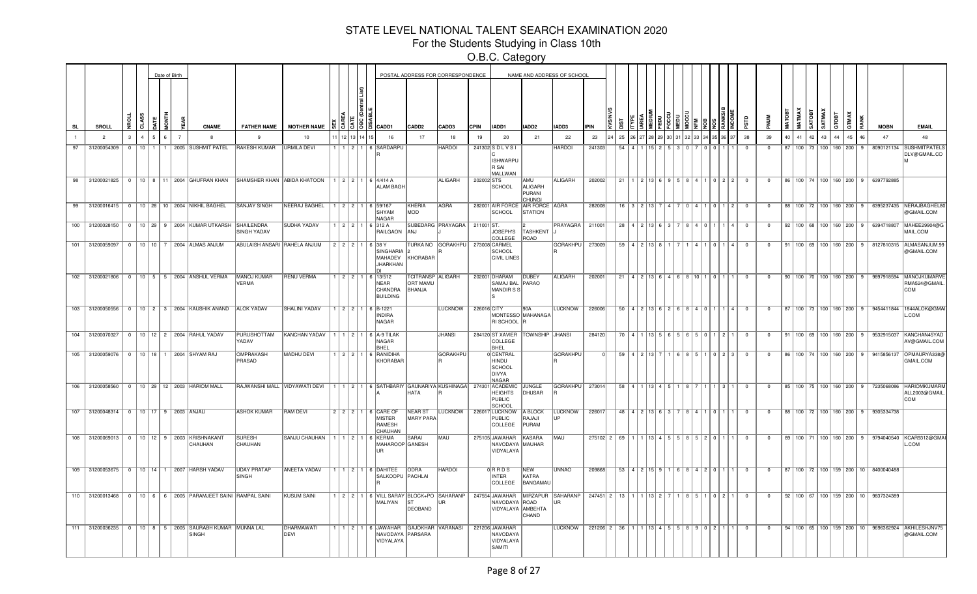For the Students Studying in Class 10th

|           |                                       |                |              | Date of Birth |                |                                                                          |                                    |                                                                                                              |         |              |               |                                                                                    |                                                       | POSTAL ADDRESS FOR CORRESPONDENCE |             |                                                          |                                                  | NAME AND ADDRESS OF SCHOOL |                                                                    |    |                                                       |  |  |               |        |                         |                         |    |                                 |        |             |                                     |                                                   |                                                                                |
|-----------|---------------------------------------|----------------|--------------|---------------|----------------|--------------------------------------------------------------------------|------------------------------------|--------------------------------------------------------------------------------------------------------------|---------|--------------|---------------|------------------------------------------------------------------------------------|-------------------------------------------------------|-----------------------------------|-------------|----------------------------------------------------------|--------------------------------------------------|----------------------------|--------------------------------------------------------------------|----|-------------------------------------------------------|--|--|---------------|--------|-------------------------|-------------------------|----|---------------------------------|--------|-------------|-------------------------------------|---------------------------------------------------|--------------------------------------------------------------------------------|
| <b>SL</b> | SROLL                                 |                |              |               |                | <b>CNAME</b>                                                             | <b>FATHER NAME</b>                 | <b>MOTHER NAME</b>                                                                                           |         |              | $\frac{8}{5}$ | CADD1                                                                              | CADD <sub>2</sub>                                     | CADD3                             | <b>CPIN</b> | IADD1                                                    | IADD <sub>2</sub>                                | IADD3                      | <b>LIPIN</b>                                                       |    |                                                       |  |  |               |        |                         |                         |    |                                 | SATMAX | <b>ROAE</b> |                                     | <b>MOBN</b>                                       | <b>EMAIL</b>                                                                   |
|           | $\overline{2}$                        | 3              | $\mathbf{r}$ |               | $\overline{7}$ |                                                                          |                                    | 10                                                                                                           |         |              |               | 16                                                                                 | 17                                                    | 18                                | 19          | 20                                                       | 21                                               | 22                         | 23                                                                 | 25 |                                                       |  |  |               |        | 38                      | 39                      | 40 | 41                              | 42     | 43<br>44    | 45<br>16                            | 47                                                | 48                                                                             |
| 97        | 31200054309                           | $\Omega$       |              |               |                | 10   1   1   2005 SUSHMIT PATEL                                          | <b>RAKESH KUMAR</b>                | <b>URMILA DEVI</b>                                                                                           |         |              |               | 1 1 2 1 6 SARDARPU                                                                 |                                                       | <b>HARDOI</b>                     |             | 241302 SDLVSI<br>ISHWARPU<br>R SAI<br><b>MALLWAN</b>     |                                                  | <b>HARDOI</b>              | 241303                                                             | 54 |                                                       |  |  |               |        | $\Omega$                | $\Omega$                |    | 87   100   73   100   160   200 |        |             | $\mathbf{q}$                        | 8090121134                                        | <b>SUSHMITPATELS</b><br>DLV@GMAIL.CO                                           |
|           |                                       |                |              |               |                |                                                                          |                                    | 98 31200021825 0 10 8 11 2004 GHUFRAN KHAN SHAMSHER KHAN ABIDA KHATOON 1 2 2 1 6 4/414 A                     |         |              |               | <b>ALAM BAGH</b>                                                                   |                                                       | <b>ALIGARH</b>                    | 202002 STS  | <b>SCHOOL</b>                                            | <b>AMU</b><br>ALIGARH<br>PURANI<br><b>CHUNGI</b> | ALIGARH                    | 202002                                                             | 21 | 1 2 13 6 9 5 8 4 1 0 2 2                              |  |  |               |        | $\overline{0}$          | $\mathbf 0$             |    |                                 |        |             |                                     | 86   100   74   100   160   200   9   6397792885  |                                                                                |
|           |                                       |                |              |               |                | 99 31200016415 0 10 28 10 2004 NIKHIL BAGHEL                             | <b>SANJAY SINGH</b>                | NEERAJ BAGHEL                                                                                                |         |              |               | 12211659/167<br>SHYAM<br>NAGAR                                                     | KHERIA<br>MOD                                         | AGRA                              |             | SCHOOL                                                   | 282001 AIR FORCE AIR FORCE AGRA<br>STATION       |                            | 282008                                                             |    | 16   3   2   13   7   4   7   0   4   1   0   1   2   |  |  |               |        | $\overline{0}$          | $\overline{0}$          |    |                                 |        |             |                                     |                                                   | 88   100   72   100   160   200   9   6395237435  NERAJBAGHEL8<br>@GMAIL.COM   |
|           |                                       |                |              |               |                | 100 31200028150 0 10 29 9 2004 KUMAR UTKARSH SHAILENDRA                  | SINGH YADAV                        | <b>SUDHA YADAV</b>                                                                                           |         |              |               | $1$   2   2   1   6   312 A<br>RAILGAON                                            | IAN.I                                                 | SUBEDARG PRAYAGRA   211001 ST.    |             | JOSEPH'S<br>COLLEGE                                      | <b>TASHKENT</b><br>ROAD                          | PRAYAGRA 211001            |                                                                    |    | 28 4 2 13 6 3 7 8 4 0 1                               |  |  |               | 14 I   | $\overline{\mathbf{0}}$ | $\Omega$                |    | 92   100   68   100   160   200 |        |             | 9                                   |                                                   | 6394718807 MAHEE29904@G<br>MAIL.COM                                            |
|           |                                       |                |              |               |                | 101 31200059097 0 10 10 7 2004 ALMAS ANJUM                               | ABULAISH ANSARI RAHELA ANJUM       |                                                                                                              |         |              |               | $2$ $2$ $2$ $1$ $6$ 38 Y<br>SINGHARIA<br>MAHADEV<br><b>JHARKHAN</b>                | KHORABAR                                              | TURKA NO GORAKHPU                 |             | 273008 CARMEL<br>SCHOOL<br><b>CIVIL LINES</b>            |                                                  | <b>GORAKHPU</b>            | 273009                                                             |    | $59$   4   2   13   8                                 |  |  |               |        | $\Omega$                | $\Omega$                |    |                                 |        |             | 91   100   69   100   160   200   9 |                                                   | 8127810315 ALMASANJUM.99<br>@GMAIL.COM                                         |
|           |                                       |                |              |               |                | 102 31200021806 0 10 5 5 2004 ANSHUL VERMA                               | MANOJ KUMAR<br><b>VERMA</b>        | <b>RENU VERMA</b>                                                                                            | 12211   |              |               | $6$   13/512<br>NEAR<br>CHANDRA<br><b>BUILDING</b>                                 | <b>TCITRANSP ALIGARH</b><br><b>ORT MAMU</b><br>BHANJA |                                   |             | 202001 DHARAM<br>SAMAJ BAL<br>MANDIRSS                   | <b>DUBEY</b><br>PARAO                            | ALIGARH                    | 202001                                                             | 21 |                                                       |  |  |               |        | $\overline{0}$          | $^{\circ}$              |    | 90 100 70 100 160 200           |        |             |                                     |                                                   | 9897918594 MANOJKUMARV<br>RMA524@GMAIL<br><b>COM</b>                           |
|           |                                       |                |              |               |                | 103 31200050556 0 10 2 3 2004 KAUSHIK ANAND ALOK YADAV                   |                                    | <b>SHALINI YADAV</b>                                                                                         | 1 2 2 1 |              |               | 6 B-1221<br><b>INDIRA</b><br>NAGAR                                                 |                                                       | LUCKNOW                           | 226016 CITY | RI SCHOOL                                                | 190A<br>MONTESSO MAHANAGA                        | LUCKNOW                    | 226006                                                             |    | $50$   4   2   13   6   2   6   8   4   0   1   1   4 |  |  |               |        | $\overline{0}$          | $\overline{0}$          |    |                                 |        |             | 87   100   73   100   160   200   9 |                                                   | 9454411844 1844ALOK@GMA<br>L.COM                                               |
|           | 104 31200070327                       | $\overline{0}$ |              |               |                | 10   12   2   2004   RAHUL YADAV                                         | <b>PURUSHOTTAM</b><br>YADAV        | <b>KANCHAN YADAV</b>                                                                                         | 111211  |              |               | 6 A-9 TILAK<br>NAGAR<br><b>BHEL</b>                                                |                                                       | <b>JHANSI</b>                     |             | 284120 ST XAVIER<br>COLLEGE<br>BHEL                      | TOWNSHIP JHANSI                                  |                            | 284120                                                             |    | 70   4   1   13   5   6   5   6   5   0   1   2   1   |  |  |               |        | $^{\circ}$              | $\mathbf{0}$            |    | 91   100   69   100   160   200 |        |             |                                     | 9532915037                                        | KANCHAN45YAD<br>AV@GMAIL.COM                                                   |
|           | 105 31200059076 0                     |                |              |               |                | 10   18   1   2004 SHYAM RAJ                                             | OMPRAKASH<br>PRASAD                | MADHU DEVI                                                                                                   |         | $12$   2   1 |               | 6 RANIDIHA<br>KHORABAR                                                             |                                                       | <b>GORAKHPU</b>                   |             | 0 CENTRAL<br>HINDU<br>SCHOOL<br>DIVYA<br>NAGAR           |                                                  | <b>GORAKHPU</b>            |                                                                    |    | $59$   4   2   13   7                                 |  |  | $0 2 3$       |        | $\overline{0}$          | $\overline{\mathbf{0}}$ |    | 86   100   74   100   160   200 |        |             |                                     | 9415856137                                        | OPMAURYA338@<br>GMAIL.COM                                                      |
|           |                                       |                |              |               |                | 106 31200058560 0 10 29 12 2003 HARIOM MALL                              |                                    | RAJWANSHI MALL VIDYAWATI DEVI   1   1   2   1   6   SATHBARIY GAUNARIYA KUSHINAGA   274301 ACADEMIC   JUNGLE |         |              |               |                                                                                    | <b>HATA</b>                                           |                                   |             | <b>HEIGHTS</b><br>PUBLIC<br><b>SCHOOL</b>                | DHUSAR                                           | GORAKHPU                   | 273014                                                             |    | $58$   4   1   13   4   5                             |  |  |               | 13 I 1 | $\overline{0}$          | $\mathbf{0}$            |    | 85   100   75   100   160   200 |        |             |                                     | 7235068086                                        | <b>HARIOMKUMARM</b><br>ALL2003@GMAIL<br><b>COM</b>                             |
|           | 107 31200048314 0 10 17 9 2003 ANJALI |                |              |               |                |                                                                          | <b>ASHOK KUMAR</b>                 | <b>RAM DEVI</b>                                                                                              |         |              |               | 2 2 2 1 6 CARE OF<br>MISTER<br>RAMESH<br>CHAUHAN                                   | NEAR ST<br>MARY PARA                                  | <b>LUCKNOW</b>                    |             | 226017 LUCKNOW<br><b>PUBLIC</b><br><b>COLLEGE</b>        | A BLOCK<br>RAJAJI<br>PURAM                       | <b>LUCKNOW</b><br>lı ıp    | 226017                                                             |    | $48$   $4$   $2$   $13$   $6$   $3$                   |  |  |               |        | $\Omega$                | $^{\circ}$              |    |                                 |        |             |                                     | 88   100   72   100   160   200   9   9305334738  |                                                                                |
|           |                                       |                |              |               |                | 108 31200069013 0 10 12 9 2003 KRISHNAKANT<br>CHAUHAN                    | <b>SURESH</b><br>CHAUHAN           | SANJU CHAUHAN   1   1   2   1   6   KERMA                                                                    |         |              |               | MAHAROOP GANESH                                                                    | SARAI                                                 | MAU                               |             | 275105 JAWAHAR<br>NAVODAYA MAUHAR<br>VIDYALAYA           | KASARA                                           | MAU                        | $275102$ $2$ $69$ $1$ $1$ $13$ $4$ $5$ $5$ $8$ $5$ $2$ $0$ $1$ $1$ |    |                                                       |  |  |               |        | $\Omega$                | $\Omega$                |    |                                 |        |             |                                     | 89   100   71   100   160   200   9   9794040540  | KCAR9312@GMAI<br>L.COM                                                         |
|           |                                       |                |              |               |                | 109 31200053675 0 10 14 1 2007 HARSH YADAV                               | <b>UDAY PRATAP</b><br><b>SINGH</b> | <b>ANEETA YADAV</b>                                                                                          |         |              |               | 1 1 2 1 6 DAHITEE<br>SALKOOPU PACHLAI                                              | <b>ODRA</b>                                           | <b>HARDOI</b>                     |             | $0$ RRDS<br><b>INTER</b><br>COLLEGE                      | NEW<br>KATRA<br>BANGAMAU                         | <b>UNNAO</b>               | 209868                                                             |    | $53$   4   2   15   9   1   6   8   4   2   0   1     |  |  |               | I 1 I  | $\overline{\mathbf{0}}$ | $\overline{0}$          |    |                                 |        |             |                                     | 87   100   72   100   159   200   10   8400040488 |                                                                                |
|           |                                       |                |              |               |                | 110 31200013468 0 10 6 6 2005 PARAMJEET SAINI RAMPAL SAINI               |                                    | <b>KUSUM SAINI</b>                                                                                           |         |              |               | 1 2 2 1 6 VILL SARAY BLOCK+PO SAHARANP<br>MALIYAN                                  | <b>ST</b><br>DEOBAND                                  | IUR.                              |             | 247554 JAWAHAR<br>NAVODAYA ROAD<br>VIDYALAYA AMBEHTA     | MIRZAPUR<br>CHAND                                | <b>SAHARANP</b><br>LIR     | $247451$ 2 13                                                      |    | 1 1 1 3 1 2 1                                         |  |  | 1 8 5 1 0 2 1 |        | $\overline{0}$          | $^{\circ}$              |    |                                 |        |             |                                     | 92   100   67   100   159   200   10   9837324389 |                                                                                |
|           |                                       |                |              |               |                | 111 31200036235   0   10   8   5   2005 SAURABH KUMAR MUNNA LAL<br>SINGH |                                    | DHARMAWATI<br>DEVI                                                                                           |         |              |               | 1   1   2   1   6   JAWAHAR   GAJOKHAR   VARANASI<br>NAVODAYA PARSARA<br>VIDYALAYA |                                                       |                                   |             | 221206 JAWAHAR<br>NAVODAYA<br>VIDYALAYA<br><b>SAMITI</b> |                                                  | LUCKNOW                    | 221206 2 36 1 1 1 13 4 5 5 8 9 0 2 1 1                             |    |                                                       |  |  |               |        | $\overline{0}$          | $\overline{0}$          |    |                                 |        |             |                                     |                                                   | 94   100   65   100   159   200   10   9696362924  AKHILESHJNV75<br>@GMAIL.COM |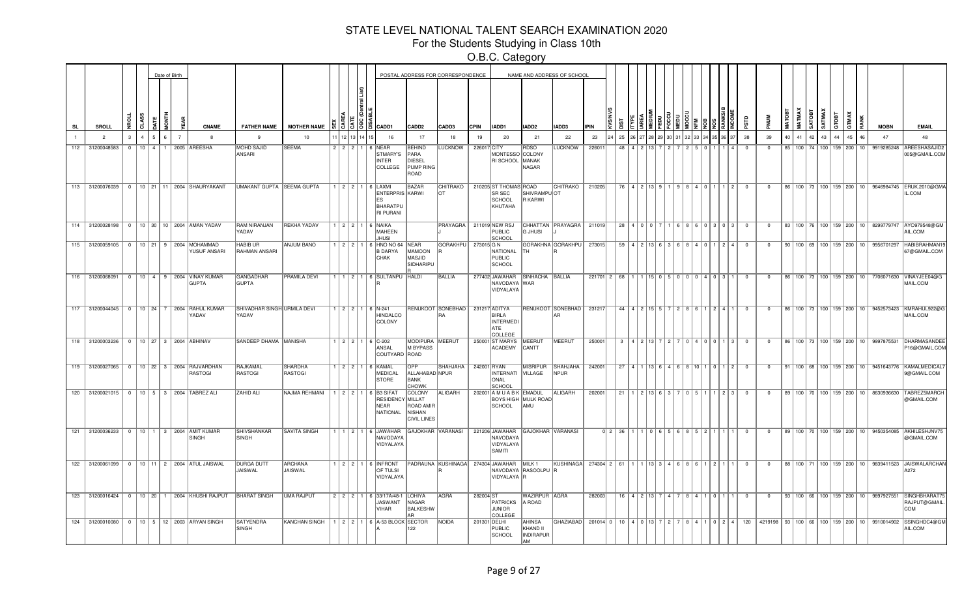For the Students Studying in Class 10th

|           |     |                                        |   | Date of Birth |  |                                                               |                                      |                                                       |         |  |                                                                                                                                                                                                                                                                                                                     |                                                            | POSTAL ADDRESS FOR CORRESPONDENCE     |             |                                                                   |                                                     | NAME AND ADDRESS OF SCHOOL |                                        |                  |          |                               |             |           |     |                           |                   |                |                |                |    |    |                                 |       |                                      |                                                   |                                                                                          |
|-----------|-----|----------------------------------------|---|---------------|--|---------------------------------------------------------------|--------------------------------------|-------------------------------------------------------|---------|--|---------------------------------------------------------------------------------------------------------------------------------------------------------------------------------------------------------------------------------------------------------------------------------------------------------------------|------------------------------------------------------------|---------------------------------------|-------------|-------------------------------------------------------------------|-----------------------------------------------------|----------------------------|----------------------------------------|------------------|----------|-------------------------------|-------------|-----------|-----|---------------------------|-------------------|----------------|----------------|----------------|----|----|---------------------------------|-------|--------------------------------------|---------------------------------------------------|------------------------------------------------------------------------------------------|
| <b>SL</b> |     | <b>SROLL</b>                           | ç |               |  | <b>CNAME</b>                                                  | <b>FATHER NAME</b>                   | <b>MOTHER NAME</b>                                    |         |  | $\frac{1}{2}$ $\frac{1}{2}$ $\frac{1}{2}$ $\frac{1}{2}$ $\frac{1}{2}$ $\frac{1}{2}$ $\frac{1}{2}$ $\frac{1}{2}$ $\frac{1}{2}$ $\frac{1}{2}$ $\frac{1}{2}$ $\frac{1}{2}$ $\frac{1}{2}$ $\frac{1}{2}$ $\frac{1}{2}$ $\frac{1}{2}$ $\frac{1}{2}$ $\frac{1}{2}$ $\frac{1}{2}$ $\frac{1}{2}$ $\frac{1}{2}$ $\frac{1}{2}$ | CADD <sub>2</sub>                                          | CADD3                                 | <b>CPIN</b> | IADD1                                                             | IADD2                                               | IADD3                      | <b>IPIN</b>                            |                  |          |                               |             |           |     |                           |                   |                |                |                | ş  |    | SATMA                           | GTOBI | GTMA)                                | <b>MOBN</b>                                       | <b>EMAIL</b>                                                                             |
|           |     | $\overline{2}$                         |   |               |  |                                                               | 9                                    | 10                                                    |         |  | 16                                                                                                                                                                                                                                                                                                                  | 17                                                         | 18                                    | 19          | 20                                                                | 21                                                  | 22                         | 23                                     | 25               |          |                               |             |           |     |                           |                   |                | 38             | 39             | 40 | 41 | 42                              | 43    | 45                                   | 47                                                | 48                                                                                       |
|           | 112 | 31200048583                            |   |               |  | 0   10   4   1   2005   AREESHA                               | <b>MOHD SAJID</b><br>ANSARI          | <b>SEEMA</b>                                          | 2 2 2 1 |  | 6 NEAR<br><b>STMARY'S</b><br><b>INTER</b><br>COLLEGE                                                                                                                                                                                                                                                                | <b>BEHIND</b><br>PARA<br>DIESEL<br>PUMP RING<br>ROAD       | <b>LUCKNOW</b>                        | 226017 CITY | MONTESSO COLONY<br>RI SCHOOL MANAK                                | <b>RDSO</b><br><b>NAGAR</b>                         | <b>LUCKNOW</b>             | 226011                                 | 48               |          |                               |             |           |     |                           |                   |                |                |                |    |    | 85   100   74   100   159   200 |       | 10                                   | 9919285248                                        | AREESHASAJID2<br>005@GMAIL.COM                                                           |
|           | 113 | 31200076039                            |   |               |  | 0   10   21   11   2004   SHAURYAKANT                         | UMAKANT GUPTA SEEMA GUPTA            |                                                       |         |  | $1$   2   2   1   6   LAXMI<br>ENTERPRIS KARWI<br><b>IES</b><br>BHARATPU<br>RI PURANI                                                                                                                                                                                                                               | <b>BAZAR</b>                                               | <b>CHITRAKO</b><br>lот                |             | 210205 ST THOMAS<br>SR SEC<br>SCHOOL<br>KHUTAHA                   | ROAD<br>SHIVRAMPUOT<br>R KARWI                      | <b>CHITRAKO</b>            | 210205                                 |                  |          | 76   4   2   13   9   1       |             |           |     | 9   8   4   0   1   1   2 |                   |                | $\overline{0}$ | $\overline{0}$ |    |    |                                 |       | 86   100   73   100   159   200   10 | 9646984745                                        | ERUK.2010@GMA<br>IL.COM                                                                  |
|           |     |                                        |   |               |  | 114 31200028198 0 10 30 10 2004 AMAN YADAV                    | RAM NIRANJAN<br>YADAV                | <b>REKHA YADAV</b>                                    |         |  | 1 2 2 1 6 NAIKA<br>MAHEEN<br><b>JHUSI</b>                                                                                                                                                                                                                                                                           |                                                            | <b>PRAYAGRA</b>                       |             | 211019 NEW RSJ<br>PUBLIC<br>SCHOOL                                | <b>G JHUSI</b>                                      | CHHATTAN PRAYAGRA   211019 |                                        |                  |          | $28$   4   0   0   7          |             |           |     |                           |                   | 6 8 6 0 3 0 3  |                | $\Omega$       |    |    |                                 |       |                                      | 83   100   76   100   159   200   10   8299779747 | AYO979548@GM<br>AIL.COM                                                                  |
|           |     |                                        |   |               |  | 115 31200059105 0 10 21 9 2004 MOHAMMAD<br>YUSUF ANSARI       | <b>HABIB UR</b><br>RAHMAN ANSARI     | <b>ANJUM BANO</b>                                     |         |  | 1 2 2 1 6 HNO NO 64<br><b>B DARYA</b><br>CHAK                                                                                                                                                                                                                                                                       | NEAR<br>MAMOON<br>MASJID<br>SIDHARIPU                      | <b>GORAKHPU</b>                       | 273015 G N  | NATIONAL<br>PUBLIC<br>SCHOOL                                      | тн                                                  | GORAKHNA GORAKHPU          | 273015                                 |                  |          | $59$   4   2   13   6   3     |             |           |     | l n                       | 121               |                | $\Omega$       | $\Omega$       |    |    |                                 |       | 90   100   69   100   159   200   10 | 9956701297                                        | HABIBRAHMAN1<br>37@GMAIL.COM                                                             |
|           |     | 116 31200068091                        |   |               |  | 0   10   4   9   2004   VINAY KUMAR<br>GUPTA                  | GANGADHAR<br><b>GUPTA</b>            | PRAMILA DEVI                                          |         |  | 1   1   2   1   6   SULTANPU   HALDI                                                                                                                                                                                                                                                                                |                                                            | BALLIA                                |             | 277402 JAWAHAR<br>NAVODAYA WAR<br>VIDYALAYA                       | SINHACHA BALLIA                                     |                            | 221701 2 68 1 1 1 15 0 5 0 0 0 0 4 0 3 |                  |          |                               |             |           |     |                           |                   |                | $\overline{0}$ | $\mathbf 0$    |    |    |                                 |       |                                      | 86   100   73   100   159   200   10   7706071630 | VINAYJEE04@G<br>MAIL.COM                                                                 |
|           |     |                                        |   |               |  | 117 31200044045   0   10   24   7   2004 RAHUL KUMAR<br>YADAV | SHIVADHAR SINGH URMILA DEVI<br>YADAV |                                                       |         |  | $1$   2   2   1   6   N-241<br><b>HINDALCO</b><br>COLONY                                                                                                                                                                                                                                                            |                                                            | <b>RENUKOOT SONEBHAD</b><br><b>RA</b> |             | 231217 ADITYA<br>BIRLA<br>INTERMEDI<br>ATE<br>COLLEGE             |                                                     | RENUKOOT SONEBHAD   231217 |                                        |                  |          | $44$   $4$   $2$   15   5   7 |             |           |     | 8 6 1 2 4                 |                   |                | $\overline{0}$ | $\overline{0}$ |    |    |                                 |       |                                      | 86   100   73   100   159   200   10   9452573423 | KMRAHUL922@C<br>MAIL.COM                                                                 |
|           |     | 118 31200003236 0 10 27 3 2004 ABHINAV |   |               |  |                                                               | SANDEEP DHAMA   MANISHA              |                                                       |         |  | 1 2 2 1 6 C-202<br>ANSAL<br>COUTYARD ROAD                                                                                                                                                                                                                                                                           | MODIPURA MEERUT<br>M BYPASS                                |                                       |             | 250001 ST MARYS MEERUT<br>ACADEMY                                 | CANTT                                               | MEERUT                     | 250001                                 | 3                |          |                               |             |           |     | 4   0   0   1             |                   | 3              | $\overline{0}$ | $^{\circ}$     |    |    |                                 |       | 86   100   73   100   159   200   10 | 9997875531                                        | DHARMASANDEE<br>P16@GMAIL.COM                                                            |
|           |     | 119 31200027065 0                      |   |               |  | 10   22   3   2004  RAJVARDHAN<br>RASTOGI                     | RAJKAMAL<br>RASTOGI                  | SHARDHA<br>RASTOGI                                    |         |  | 2   2   1   6   KAMAL<br><b>MEDICAL</b><br>STORE                                                                                                                                                                                                                                                                    | ALLAHABAD NPUR<br><b>BANK</b><br>CHOWK                     | SHAHJAHA                              | 242001 RYAN | INTERNATI VILLAGE<br><b>ONAL</b><br>SCHOOL                        | MISRIPUR                                            | SHAHJAHA<br><b>NPUR</b>    | 242001                                 |                  | $27$   4 |                               |             | 136468101 |     |                           | 1011              | $\overline{2}$ | $\overline{0}$ | 0              |    |    |                                 |       | 91   100   68   100   159   200   10 |                                                   | 9451643776 KAMALMEDICAL<br>9@GMAIL.COM                                                   |
|           |     | 120 31200021015 0                      |   |               |  | 10   5   3   2004   TABREZ ALI                                | ZAHID ALI                            | NAJMA REHMANI                                         |         |  | 1 2 2 1 6 B3 SIFAT<br>RESIDENCY MILLAT<br><b>NEAR</b><br>NATIONAL                                                                                                                                                                                                                                                   | <b>COLONY</b><br>ROAD AMIR<br>NISHAN<br><b>CIVIL LINES</b> | <b>ALIGARH</b>                        |             | 202001 A M U A B K EMADUL<br><b>BOYS HIGH MULK ROAD</b><br>SCHOOL | AMU                                                 | ALIGARH                    | 202001                                 | 21 <sub>1</sub>  |          | 2 1 1 3 1 6 1 3               |             |           |     |                           | $1 \mid 2 \mid 3$ |                | $^{\circ}$     | $\Omega$       |    |    |                                 |       | 89   100   70   100   159   200   10 | 8630936630                                        | TABREZ5MARCH<br>@GMAIL.COM                                                               |
|           |     |                                        |   |               |  | 121 31200036233 0 10 1 3 2004 AMIT KUMAR<br>SINGH             | <b>SHIVSHANKAR</b><br><b>SINGH</b>   | <b>SAVITA SINGH</b>                                   |         |  | 1   1   2   1   6   JAWAHAR   GAJOKHAR   VARANASI<br>NAVODAYA<br>VIDYALAYA                                                                                                                                                                                                                                          |                                                            |                                       |             | 221206 JAWAHAR<br>NAVODAYA<br>VIDYALAYA<br>SAMITI                 | GAJOKHAR VARANASI                                   |                            |                                        | $0$   2   36   1 |          |                               | $0$ $6$ $5$ |           | IЯ. | 15211                     |                   |                | $\Omega$       | $\overline{0}$ |    |    |                                 |       | 89   100   70   100   159   200   10 |                                                   | 9450354085 AKHILESHJNV75<br>@GMAIL.COM                                                   |
|           | 122 |                                        |   |               |  | 31200061099   0   10   11   2   2004 ATUL JAISWAL             | <b>DURGA DUTT</b><br>JAISWAL         | ARCHANA<br>JAISWAL                                    |         |  | 1 2 2 1 6 INFRONT<br><b>OF TULSI</b><br>VIDYALAYA                                                                                                                                                                                                                                                                   |                                                            | PADRAUNA KUSHINAGA                    |             | 274304 JAWAHAR<br>NAVODAYA RASOOLPU R<br>VIDYALAYA R              | MILK <sub>1</sub>                                   | KUSHINAGA 274304 2 61 1    |                                        |                  |          | 1 1 13 3 4 6 8 8 6 1 2        |             |           |     |                           |                   |                | $\overline{0}$ | $^{\circ}$     |    |    |                                 |       | 88   100   71   100   159   200   10 |                                                   | 9839411523 JAISWALARCHAM<br>A272                                                         |
|           |     |                                        |   |               |  | 123 31200016424 0 10 20 1 2004 KHUSHI RAJPUT                  | <b>BHARAT SINGH</b>                  | <b>UMA RAJPUT</b>                                     |         |  | 2 2 2 1 6 33/17A/48-1 LOHIYA<br>JASWANT<br>VIHAR                                                                                                                                                                                                                                                                    | NAGAR<br><b>BALKESHW</b>                                   | AGRA                                  | 282004 ST   | PATRICKS<br>JUNIOR<br>COLLEGE                                     | WAZIRPUR AGRA<br>A ROAD                             |                            | 282003                                 |                  |          | 16   4   2   13   7           |             |           |     | 88411011                  |                   |                | $\overline{0}$ | $\overline{0}$ |    |    |                                 |       |                                      |                                                   | 93   100   66   100   159   200   10   9897927551   SINGHBHARAT7!<br>RAJPUT@GMAIL<br>COM |
|           |     |                                        |   |               |  | 124 31200010080 0 10 5 12 2003 ARYAN SINGH                    | <b>SATYENDRA</b><br><b>SINGH</b>     | KANCHAN SINGH   1   2   2   1   6   A-53 BLOCK SECTOR |         |  |                                                                                                                                                                                                                                                                                                                     | 122                                                        | <b>NOIDA</b>                          |             | 201301 DELHI<br><b>PUBLIC</b><br>SCHOOL                           | <b>AHINSA</b><br>KHAND II<br><b>INDIRAPUR</b><br>AM | GHAZIABAD                  | $201014$ 0                             |                  |          | $10$   4   0   13             |             |           |     |                           |                   | 4110244        | 120            |                |    |    |                                 |       |                                      |                                                   | 4219198 93 100 66 100 159 200 10 9910014902 SSINGHDC4@GM<br>AIL.COM                      |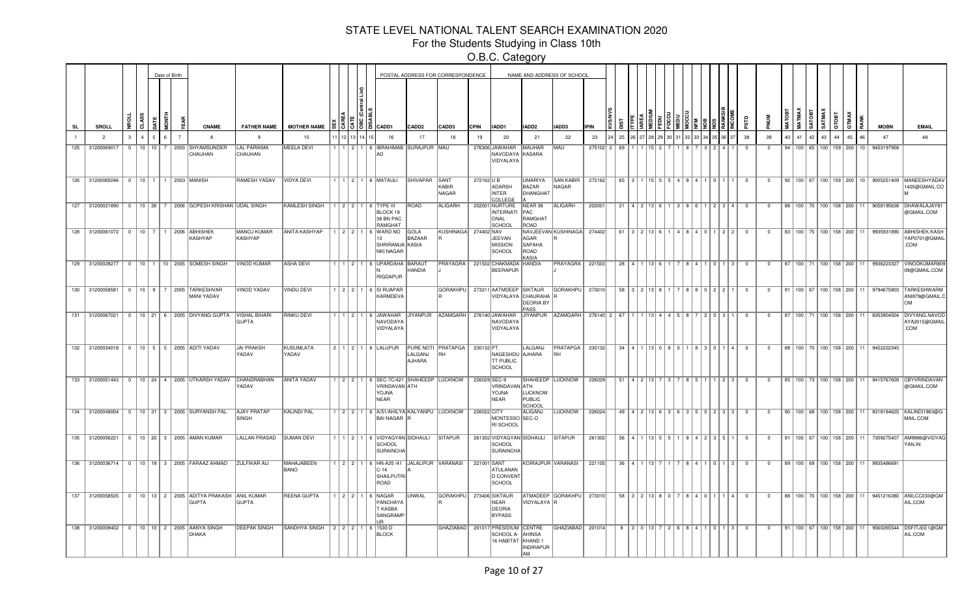For the Students Studying in Class 10th

|           |                                      |                |           |                   | Date of Birth  |                                                                          |                               |                                  |                 |      |                                                                                                     |                       | POSTAL ADDRESS FOR CORRESPONDENCE |              |                                                                               |                                                    | NAME AND ADDRESS OF SCHOOL     |             |      |            |                                     |        |          |           |                                                       |                |                         |    |                                 |                    |        |                 |                                      |                                                   |                                                                                            |
|-----------|--------------------------------------|----------------|-----------|-------------------|----------------|--------------------------------------------------------------------------|-------------------------------|----------------------------------|-----------------|------|-----------------------------------------------------------------------------------------------------|-----------------------|-----------------------------------|--------------|-------------------------------------------------------------------------------|----------------------------------------------------|--------------------------------|-------------|------|------------|-------------------------------------|--------|----------|-----------|-------------------------------------------------------|----------------|-------------------------|----|---------------------------------|--------------------|--------|-----------------|--------------------------------------|---------------------------------------------------|--------------------------------------------------------------------------------------------|
| <b>SL</b> | SROLL                                |                | ते        |                   |                | <b>CNAME</b>                                                             | <b>FATHER NAME</b>            | <b>MOTHER NAME</b>               |                 | 1913 | CADD1                                                                                               | CADD <sub>2</sub>     | CADD3                             | <b>CPIN</b>  | IADD1                                                                         | IADD2                                              | IADD3                          | <b>IPIN</b> |      |            |                                     |        |          |           |                                                       |                |                         |    |                                 |                    | SATMAX | GTOBT           |                                      | <b>MOBN</b>                                       | <b>EMAIL</b>                                                                               |
|           | $\overline{2}$                       | 3              | $\Lambda$ | 5                 | $\overline{7}$ |                                                                          | $\mathbf{q}$                  | 10                               | 12 <sup>1</sup> |      | 16                                                                                                  | 17                    | 18                                | 19           | 20                                                                            | 21                                                 | 22                             | 23          | 25   |            |                                     |        |          |           |                                                       | 38             | 39                      | 40 | 41                              | 42                 | 43     | $\overline{44}$ | 45<br>16                             | 47                                                | 48                                                                                         |
| 125       | 31200069017                          | $\Omega$       |           | $10$   $10$   $7$ |                | 2003 SHYAMSUNDER<br>CHAUHAN                                              | <b>LAL PARIKMA</b><br>CHAUHAN | <b>MEELA DEVI</b>                |                 |      | 1   1   2   1   6   IBRAHIMAB SURAJPUR MAU<br>AD                                                    |                       |                                   |              | 276306 JAWAHAR<br>NAVODAYA KASARA<br>VIDYALAYA                                | MAUHAR                                             | MAU                            | 275102 2    | 69   |            |                                     |        |          |           |                                                       | $\Omega$       | $\Omega$                |    | 94 100 65 100 159 200           |                    |        |                 | $10^{-1}$                            | 9453197958                                        |                                                                                            |
|           | 126 31200065046 0 10 1 1 2003 MANISH |                |           |                   |                |                                                                          | <b>RAMESH YADAV</b>           | VIDYA DEVI                       |                 |      | 1   1   2   1   6   MATAULI                                                                         | SHIVAPAR SANT         | KABIR<br>NAGAR                    | 272162 U B   | ADARSH<br><b>INTER</b><br>COLLEGE                                             | <b>UMARIYA</b><br>BAZAR<br>DHANGHAT                | <b>SAN KABIR</b><br>NAGAR      | 272162      |      |            | 65 3 1 1 1 1 1 5 1 5                | 548410 |          |           |                                                       | $\overline{0}$ | $\overline{0}$          |    |                                 |                    |        |                 |                                      |                                                   | 92   100   67   100   159   200   10   9005251409   MANEESHYADAV<br>1405@GMAIL.CO          |
|           |                                      |                |           |                   |                | 127 31200021890 0 10 26 7 2006 GOPESH KRISHAN UDAL SINGH                 |                               | <b>KAMLESH SINGH</b>             |                 |      | 1 1 2 2 1 6 TYPE III<br>BLOCK 18<br>38 BN PAC<br>RAMGHAT                                            | <b>ROAD</b>           | ALIGARH                           |              | 202001 NURTURE<br>INTERNATI<br>ONAL<br>SCHOOI                                 | NEAR 38<br><b>PAC</b><br><b>RAMGHAT</b><br>ROAD    | ALIGARH                        | 202001      |      |            | 21   4   2   13   6                 |        |          |           | 1 3 8 6 1 1 2 3 4                                     | $\overline{0}$ | $\overline{0}$          |    |                                 |                    |        |                 |                                      |                                                   | 88   100   70   100   158   200   11   9058195638   DHAWALAJAY81<br>@GMAIL.COM             |
|           |                                      |                |           |                   |                | 128 31200061072 0 10 7 1 2006 ABHISHEK<br>KASHYAP                        | MANOJ KUMAR<br>KASHYAP        | <b>ANITA KASHYAP</b>             |                 |      | 1 2 2 1 6 WARD NO<br>13<br>SHRIRAMJA KASIA<br><b>NKI NAGAR</b>                                      | <b>GOLA</b><br>BAZAAR | KUSHINAGA 274402 NAV              |              | JEEVAN<br><b>IMISSION</b><br><b>SCHOOL</b>                                    | AGAR<br><b>SAPAHA</b><br>ROAD<br>KASIA             | NAVJEEVAN KUSHINAGA 274402     |             |      | $61$   $3$ |                                     |        |          |           | $222$                                                 | $\Omega$       | $\Omega$                |    |                                 |                    |        |                 |                                      |                                                   | 83   100   75   100   158   200   11   9935931890   ABHISHEK.KASH<br>YAP0701@GMAIL<br>.COM |
|           |                                      |                |           |                   |                | 129 31200028277   0   10   1   10   2005 SOMESH SINGH                    | VINOD KUMAR                   | ASHA DEVI                        |                 |      | 1   1   2   1   6   UPARDAHA   BARAUT<br>RIGDAPUR                                                   | HANDIA                | PRAYAGRA                          |              | 221502 CHAKMADA HANDIA<br>BEERAPUR                                            |                                                    | PRAYAGRA                       | 221503      |      |            | $28$   4   1   13   6               |        |          | $1$ 0 $1$ | 3                                                     | $\Omega$       | $\Omega$                |    |                                 |                    |        |                 |                                      | 87   100   71   100   158   200   11   9936223327 | VINODKUMAR80<br>09@GMAIL.COM                                                               |
| 130       | 31200058581                          |                |           |                   |                | 0   10   9   7   2005   TARKESHVAR<br>MANI YADAV                         | <b>VINOD YADAV</b>            | <b>VINDU DEVI</b>                |                 |      | 1 2 2 1 6 SI RUAPAR<br><b>KARMDEVA</b>                                                              |                       | <b>GORAKHPU</b>                   |              | 273211 AATMDEEP SIKTAUR                                                       | VIDYALAYA   CHAURAHA  <br><b>DEORIA BY</b><br>PASS | <b>GORAKHPU</b>                | 273010      | 58 L | $\sim$     |                                     |        |          | 101212    |                                                       | $\Omega$       | $\Omega$                | 91 |                                 | 100 67 100 158 200 |        |                 | 11                                   | 9794675803                                        | <b>TARKESHWARM</b><br>ANI879@GMAIL.C<br>lом                                                |
| 131       | 31200067021                          | $\overline{0}$ |           |                   |                | 10 21 6 2005 DIVYANG GUPTA VISHAL BIHARI                                 | <b>GUPTA</b>                  | <b>RINKU DEVI</b>                | 11211           |      | 6 JAWAHAR JIYANPUR<br>NAVODAYA<br>VIDYALAYA                                                         |                       | <b>AZAMGARH</b>                   |              | 276140 JAWAHAR<br>NAVODAYA<br>VIDYALAYA                                       | <b>JIYANPUR</b>                                    | <b>AZAMGARH</b>                | 276140 2    | 67   |            |                                     |        |          |           | I 0 I 3                                               | $^{\circ}$     | $^{\circ}$              | 87 |                                 | 100 71 100 158 200 |        |                 |                                      | 8353904504                                        | DIVYANG.NAVOD<br>AYA2015@GMAIL<br>.COM                                                     |
|           | 132 31200034018                      |                |           |                   |                | 0   10   5   5   2005   ADITI YADAV                                      | JAI PRAKSH<br>YADAV           | KUSUMLATA<br>YADAV               |                 |      | 2 1 2 1 6 LALUPUR                                                                                   | LALGANJ<br>AJHARA     | PURE NOTI PRATAPGA<br>RН          | 230132 PT.   | NAGESHDU AJHARA<br><b>TT PUBLIC</b><br><b>SCHOOL</b>                          | LALGANJ                                            | <b>PRATAPGA</b>   230132<br>RH |             |      |            |                                     |        |          |           | 34   4   1   13   0   8   0   1   8   3   0   1   4   | $\overline{0}$ | $\overline{\mathbf{0}}$ |    | 88   100   70   100   158   200 |                    |        |                 | 11 <sup>1</sup>                      | 9452222345                                        |                                                                                            |
|           |                                      |                |           |                   |                | 133 31200051443 0 10 24 4 2005 UTKARSH YADAV CHANDRABHAN                 | YADAV                         | <b>ANITA YADAV</b>               |                 |      | 1   2   2   1   6   SEC-7C/421   SHAHEEDP   LUCKNOW<br>VRINDAVAN ATH<br><b>AVLOY</b><br><b>NEAR</b> |                       |                                   | 226029 SEC-9 | VRINDAVAN ATH<br>YOJNA<br>NEAR                                                | <b>LUCKNOW</b><br>PUBLIC<br><b>SCHOOL</b>          | SHAHEEDP LUCKNOW               | 226029      |      |            | $51$   4   2   13                   |        |          |           | 213                                                   | $\Omega$       | $\Omega$                |    |                                 |                    |        |                 |                                      | 85   100   73   100   158   200   11   9415767609 | <b>CBYVRINDAVAN</b><br>@GMAIL.COM                                                          |
|           |                                      |                |           |                   |                | 134 31200049004 0 10 31 3 2005 SURYANSH PAL                              | <b>AJAY PRATAP</b><br>SINGH   | <b>KALINDI PAL</b>               |                 |      | 1 2 2 1 6 A/51/AHILYA KALYANPU LUCKNOW<br>BAI NAGAR R                                               |                       |                                   | 226022 CITY  | MONTESSO SEC-O<br><b>RI SCHOOL</b>                                            | ALIGANJ                                            | LUCKNOW                        | 226024      |      |            |                                     |        |          |           | 49 4 2 13 6 3 6 3 5 0 2 3 3                           | $\Omega$       | $\Omega$                |    |                                 |                    |        |                 |                                      | 90 100 68 100 158 200 11 8318184625               | KALINDI1963@G<br>MAIL.COM                                                                  |
|           | 135 31200056221                      |                |           |                   |                | 0   10   20   3   2005   AMAN KUMAR                                      | <b>LALLAN PRASAD</b>          | <b>SUMAN DEVI</b>                |                 |      | 1   1   2   1   6   VIDYAGYAN SIDHAULI<br>SCHOOL<br><b>SURAINCHA</b>                                |                       | SITAPUR                           |              | 261302 VIDYAGYAN SIDHAULI<br>SCHOOL<br>SURAINCHA                              |                                                    | <b>SITAPUR</b>                 | 261302      |      |            |                                     |        |          |           | $56$   4   1   13   5   5   1   8   4   2   3   5   1 | $\overline{0}$ | $\overline{0}$          |    |                                 |                    |        |                 |                                      | 91   100   67   100   158   200   11   7309275407 | AM9986@VIDYAO<br>YAN.IN                                                                    |
| 136       | 31200036714                          |                |           |                   |                | 0   10   18   3   2005   FARAAZ AHMAD                                    | <b>ZULFIKAR ALI</b>           | <b>MAHAJABEEN</b><br><b>BANO</b> |                 |      | $1$   2   2   1   6   HN-A35 /41<br>C-14<br><b>SHAILPUTRI</b><br>ROAD                               | JALALIPUR VARANASI    |                                   | 221001 SANT  | ATULANAN<br>D CONVENT<br>SCHOOL                                               | KOIRAJPUR VARANASI                                 |                                | 221105      |      |            | $36$   4   1   13   7               |        | 7884     |           | 1011<br>l 3                                           | $^{\circ}$     | $^{\circ}$              |    |                                 |                    |        |                 | 89   100   69   100   158   200   11 | 9935486691                                        |                                                                                            |
|           |                                      |                |           |                   |                | 137 31200058505 0 10 13 2 2005 ADITYA PRAKASH ANIL KUMAR<br><b>GUPTA</b> | GUPTA                         | <b>REENA GUPTA</b>               |                 |      | 1 2 2 1 6 NAGAR<br>PANCHAYA<br>T KASBA<br>SANGRAMP<br>ID                                            | <b>UNWAL</b>          | GORAKHPU 273406 SIKTAUR           |              | NEAR<br>DEORIA<br><b>BYPASS</b>                                               | VIDYALAYA R                                        | ATMADEEP GORAKHPU   273010     |             |      |            | $58$   $3$   $2$   $13$   $8$   $0$ |        | 1814 I O |           | I 4 I                                                 | $\overline{0}$ | $^{\circ}$              |    |                                 |                    |        |                 |                                      |                                                   | 88   100   70   100   158   200   11   9451216380   ANILCC033@GM<br>AIL.COM                |
|           | 138 31200008402                      |                |           |                   |                | 0   10   10   2   2005   AANYA SINGH<br>DHAKA                            | <b>DEEPAK SINGH</b>           | SANDHYA SINGH                    |                 |      | $2$   2   2   1   6   1530-D<br><b>BLOCK</b>                                                        |                       |                                   |              | GHAZIABAD   201017 PRESIDIUM CENTRE<br>SCHOOL A- AHINSA<br>16 HABITAT KHAND 1 | INDIRAPUR<br>AM                                    | GHAZIABAD   201014             |             |      |            | 8 3 0 13 7                          |        |          |           | $\overline{3}$                                        | $\Omega$       | $\Omega$                |    |                                 |                    |        |                 |                                      |                                                   | 91   100   67   100   158   200   11   9560265544   DSFITJEE1@GM<br>AIL.COM                |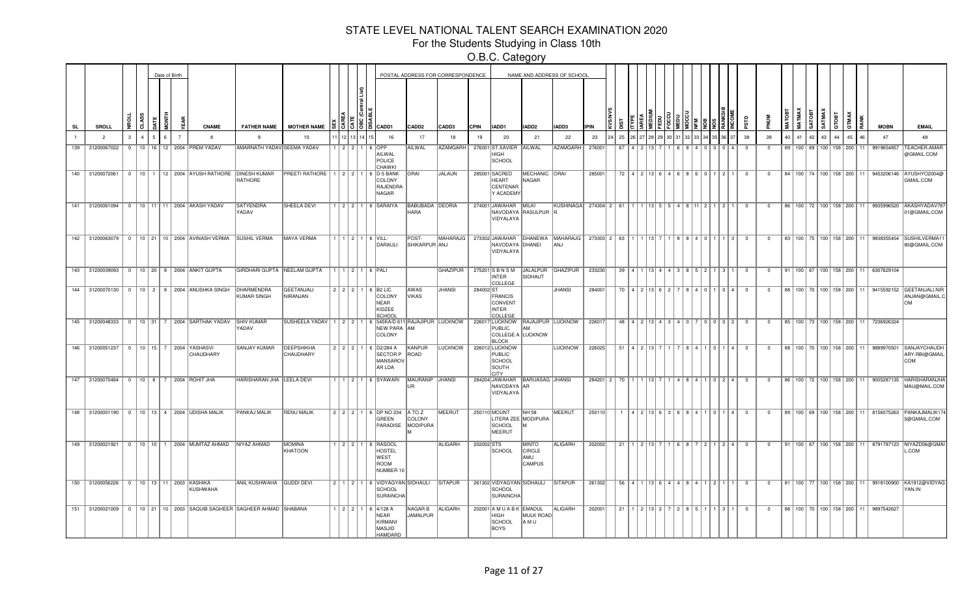For the Students Studying in Class 10th

|           |     |                   |              |   | Date of Birth |                |                                                                  |                                                                |                                                                        |               |       |                                                                                 |                                       | POSTAL ADDRESS FOR CORRESPONDENCE |             |                                                               |                                                       | NAME AND ADDRESS OF SCHOOL                                              |                                        |    |                                                           |  |                                                 |  |           |                |                |    |               |               |                 |                 |                                      |                                                   |                                                                                    |
|-----------|-----|-------------------|--------------|---|---------------|----------------|------------------------------------------------------------------|----------------------------------------------------------------|------------------------------------------------------------------------|---------------|-------|---------------------------------------------------------------------------------|---------------------------------------|-----------------------------------|-------------|---------------------------------------------------------------|-------------------------------------------------------|-------------------------------------------------------------------------|----------------------------------------|----|-----------------------------------------------------------|--|-------------------------------------------------|--|-----------|----------------|----------------|----|---------------|---------------|-----------------|-----------------|--------------------------------------|---------------------------------------------------|------------------------------------------------------------------------------------|
| <b>SL</b> |     | SROLL             |              |   |               |                | <b>CNAME</b>                                                     | <b>FATHER NAME</b>                                             | <b>MOTHER NAME</b>                                                     |               | 1513. | CADD1                                                                           | CADD <sub>2</sub>                     | CADD3                             | <b>CPIN</b> | IADD1                                                         | IADD <sub>2</sub>                                     | IADD3                                                                   | <b>IPIN</b>                            |    |                                                           |  |                                                 |  |           |                |                |    |               | <b>GATOBT</b> | SATMAX<br>GTOBT | TMAX<br>7       |                                      | <b>MOBN</b>                                       | <b>EMAIL</b>                                                                       |
|           |     | $\overline{2}$    | $\mathbf{3}$ | 5 | ĥ             | $\overline{7}$ | -8                                                               | $\mathbf{q}$                                                   | 10                                                                     | 12            |       | 16                                                                              | 17                                    | 18                                | 19          | 20                                                            | 21                                                    | 22                                                                      | 23                                     | 25 |                                                           |  |                                                 |  |           | 38             | 39             | 40 | 41            | 42            | 43              | 44              |                                      | 47                                                | 48                                                                                 |
|           | 139 | 31200067022       | $\Omega$     |   |               |                | 10   16   12   2004   PREM YADAV                                 | <b>AMARNATH YADAV SEEMA YADAV</b>                              |                                                                        | 1 2 2 2 1     |       | 6 IOPP<br>AILWAL<br>POLICE<br><b>HAWKI</b>                                      | AILWAL                                | <b>AZAMGARH</b>                   |             | 276001 ST.XAVIER<br>HIGH<br>SCHOOL                            | AILWAL                                                | <b>AZAMGARH</b>                                                         | 276001                                 | 67 |                                                           |  |                                                 |  |           | - 0            | $\Omega$       |    | 89 100 69     |               |                 | 100   158   200 | 11                                   | 9919654857                                        | <b>TEACHER.AMAF</b><br>@GMAIL.COM                                                  |
|           | 140 | 31200072061       |              |   |               |                | 0   10   1   12   2004   AYUSH RATHORE   DINESH KUMAR            | RATHORE                                                        | PREETI RATHORE $\vert 1 \vert 2 \vert 2 \vert 1$                       |               |       | 6 D-5 BANK<br>COLONY<br>RAJENDRA<br>NAGAR                                       | <b>ORAI</b>                           | <b>JALAUN</b>                     |             | 285001 SACRED<br>HEART<br>CENTENAR<br>Y ACADEMY               | MECHANIC ORAI<br>NAGAR                                |                                                                         | 285001                                 | 72 | 4 2 13 6 4 6 8 6 0 1                                      |  |                                                 |  | 211       | $^{\circ}$     | $^{\circ}$     |    |               |               |                 |                 | 84   100   74   100   158   200   11 |                                                   | 9453206146 AYUSHYO2004@<br>GMAIL.COM                                               |
|           |     |                   |              |   |               |                | 141 31200061094 0 10 11 11 2004 AKASH YADAV                      | <b>SATYENDRA</b><br>YADAV                                      | <b>SHEELA DEVI</b>                                                     |               |       | 1 2 2 1 6 SARAIYA                                                               | <b>BABUBADA DEORIA</b><br><b>HARA</b> |                                   |             | 274001 JAWAHAR<br>VIDYALAYA                                   | MILKI<br>NAVODAYA RASULPUR                            | KUSHINAGA 274304 2 61                                                   |                                        |    |                                                           |  | $13$ 5 5 $\overline{5}$ 6 4 8 11 $\overline{2}$ |  | $2$ 1     |                | $\Omega$       |    |               |               |                 |                 |                                      |                                                   | 86   100   72   100   158   200   11   9935996520   AKASHYADAV78<br>01@GMAIL.COM   |
|           |     |                   |              |   |               |                | 142 31200063079 0 10 21 10 2004 AVINASH VERMA SUSHIL VERMA       |                                                                | MAYA VERMA                                                             |               |       | $1$   $1$   $2$   $1$   6   VILL-<br>DARAULI                                    | POST-<br>SHIKARPUR ANJ                |                                   |             | NAVODAYA DHANEI<br>VIDYALAYA                                  |                                                       | MAHARAJG   273302 JAWAHAR   DHANEWA   MAHARAJG   273303   2   63<br>ANJ |                                        |    |                                                           |  | R R 1 R 1 10                                    |  | 1   3     | $\overline{0}$ | $\overline{0}$ |    |               |               |                 |                 |                                      |                                                   | 83   100   75   100   158   200   11   9838355454   SUSHILVERMA1<br>80@GMAIL.COM   |
|           |     |                   |              |   |               |                | 143 31200039093 0 10 20 9 2004 ANKIT GUPTA                       | GIRDHARI GUPTA NEELAM GUPTA                                    |                                                                        |               |       | $1$   $1$   $2$   $1$   $6$   $PALI$                                            |                                       | <b>GHAZIPUR</b>                   |             | 275201 SBNSM<br><b>INTER</b><br>COLLEGE                       | <b>JALALPUR</b><br>SIDHAUT                            | GHAZIPUR 233230                                                         |                                        |    | $39$   4   1   13   4   4   3   8   5   2   1   3   1   0 |  |                                                 |  |           |                | $\overline{0}$ |    |               |               |                 |                 |                                      | 91   100   67   100   158   200   11   6307629104 |                                                                                    |
|           |     |                   |              |   |               |                | 144 31200070130   0   10   2   9   2004 ANUSHKA SINGH            | DHARMENDRA<br><b>KUMAR SINGH</b>                               | GEETANJALI<br>NIRANJAN                                                 |               |       | 2   2   2   1   6   B2 LIC<br>COLONY<br><b>NEAR</b><br>KIDZEE<br>SCHOOL         | AWAS<br><b>VIKAS</b>                  | <b>JHANSI</b>                     | 284002 ST   | <b>FRANCIS</b><br>CONVENT<br><b>INTER</b><br>COLLEGE          |                                                       | <b>JHANSI</b>                                                           | 284001                                 |    | 70   4   2   13   6   2   7   8   4   0   1               |  |                                                 |  | I 0 I 4 I | $\Omega$       | $\overline{0}$ |    |               |               |                 |                 |                                      |                                                   | 88   100   70   100   158   200   11   9415592152   GEETANJALI.NIR<br>ANJAN@GMAIL. |
|           |     | 145 31200048333 0 |              |   |               |                | 10 31 7 2004 SARTHAK YADAV                                       | <b>SHIV KUMAR</b><br>YADAV                                     | SUSHEELA YADAV   1   2   2   1   6   545KA/D 611   RAJAJIPUR   LUCKNOW |               |       | NEW PARA AM<br>COLONY                                                           |                                       |                                   |             | 226017 LUCKNOW<br>PUBLIC<br>COLLEGE A LUCKNOW<br><b>BLOCK</b> | RAJAJIPUR LUCKNOW<br>AM                               |                                                                         | 226017                                 |    | 48 4 2 13 4 3 4 0 7 0 0 0 2                               |  |                                                 |  |           | $\overline{0}$ | $\overline{0}$ |    |               |               |                 |                 |                                      | 85   100   73   100   158   200   11   7236926324 |                                                                                    |
|           |     |                   |              |   |               |                | 146 31200051237   0   10   15   7   2004   YASHASVI<br>CHAUDHARY | SANJAY KUMAR                                                   | DEEPSHIKHA<br><b>CHAUDHARY</b>                                         |               |       | $2$   2   2   1   6   D2/284 A<br><b>SECTOR P</b><br><b>MANSAROV</b><br>AR LDA  | KANPUR<br>ROAD                        | LUCKNOW                           |             | 226012 LUCKNOW<br>PUBLIC<br>SCHOOL<br>SOUTH<br><b>CITY</b>    |                                                       | LUCKNOW                                                                 | 226025                                 |    | $51$   4   2   13   7   1   7   8   4   1   0   1   4     |  |                                                 |  |           | $\Omega$       | $^{\circ}$     |    |               |               |                 |                 | 88   100   70   100   158   200   11 |                                                   | 9889970501 SANJAYCHAUDH<br>ARY.RBI@GMAIL<br><b>COM</b>                             |
|           |     |                   |              |   |               |                | 147 31200070484   0   10   8   7   2004 ROHIT JHA                | HARISHARAN JHA LEELA DEVI                                      |                                                                        |               |       | 1   1   2   1   6   SYAWARI                                                     | MAURANIP JHANSI                       |                                   |             | 284204 JAWAHAR BARUASAG JHANSI<br>NAVODAYA AR<br>VIDYALAYA    |                                                       |                                                                         | 284201 2 70 1 1 1 13 7 1 4 8 4 1 0 2 4 |    |                                                           |  |                                                 |  |           | $\overline{0}$ | $\overline{0}$ |    |               |               |                 |                 | 86   100   72   100   158   200   11 | 9005287135                                        | HARISHARANJHA<br>MAU@MAIL.COM                                                      |
|           |     |                   |              |   |               |                | 148 31200001190 0 10 13 4 2004 UDISHA MALIK                      | <b>PANKAJ MALIK</b>                                            | <b>RENU MALIK</b>                                                      |               |       | 2 2 2 1 6 DP NO 234<br>GREEN<br>PARADISE                                        | ATOZ<br>COLONY<br>MODIPURA            | <b>MEERUT</b>                     |             | 250110 MOUNT<br>LITERA ZEE MODIPURA<br>SCHOOL<br>MEERUT       | NH 58                                                 | <b>MEERUT</b>                                                           | 250110                                 |    | $4$   2   13   6   3   6   8   4   1   0                  |  |                                                 |  | $1$ $4$   | $\overline{0}$ | $\overline{0}$ |    |               |               |                 |                 |                                      | 89 100 69 100 158 200 11 8156075263               | PANKAJMALIK17<br>5@GMAIL.COM                                                       |
|           |     |                   |              |   |               |                | 149 31200021921 0 10 10 1 2004 MUMTAZ AHMAD NIYAZ AHMAD          |                                                                | <b>MOMINA</b><br>KHATOON                                               |               |       | 1   2   2   1   6   RASOOL<br><b>HOSTEL</b><br>WEST<br><b>ROOM</b><br>NUMBER 10 |                                       | ALIGARH                           | 202002 STS  | <b>SCHOOL</b>                                                 | <b>MINTO</b><br><b>CIRCLE</b><br>AMU<br><b>CAMPUS</b> | ALIGARH                                                                 | 202002                                 | 21 | $1 \mid 2 \mid 13 \mid$                                   |  | 6872                                            |  | $2   4  $ | $\overline{0}$ | $^{\circ}$     |    |               |               |                 |                 | 91   100   67   100   158   200   11 |                                                   | 8791787123 NIYAZD56@GMAI<br>L.COM                                                  |
|           | 150 | 31200056226       | $\Omega$     |   |               |                | 10   13   11   2003   KASHIKA<br><b>KUSHWAHA</b>                 | ANIL KUSHWAHA GUDDI DEVI                                       |                                                                        |               |       | 2   1   2   1   6   VIDYAGYAN SIDHAULI<br>SCHOOL<br><b>SURAINCHA</b>            |                                       | <b>SITAPUR</b>                    |             | 261302 VIDYAGYAN SIDHAULI<br><b>SCHOOL</b><br>SURAINCHA       |                                                       | <b>SITAPUR</b>                                                          | 261302                                 | 56 | $4$ 1 13 6 4 4 4 8                                        |  |                                                 |  |           | $\Omega$       | $\Omega$       |    | 81   100   77 |               |                 | 100 158 200     | <b>11</b>                            |                                                   | 9918100900 KA1912@VIDYAG<br>YAN.IN                                                 |
|           | 151 | 31200021009 0     |              |   |               |                |                                                                  | 10   21   10   2003   SAQUIB SAGHEER   SAGHEER AHMAD   SHABANA |                                                                        | 1   2   2 ∏ 1 |       | 6 4/128 A<br>NEAR<br>KIRMANI<br>MASJID<br>HAMDARD                               | NAGAR <sub>B</sub><br>JAMALPUR        | ALIGARH                           |             | 202001 A M U A B K EMADUL<br>HIGH<br>SCHOOL<br>BOYS           | <b>MULK ROAD</b><br>AM U                              | ALIGARH                                                                 | 202001                                 | 21 | 1 2 13 2                                                  |  | 2   8   5                                       |  |           | $\Omega$       | $^{\circ}$     |    |               |               |                 |                 | 88   100   70   100   158   200   11 | 9897542627                                        |                                                                                    |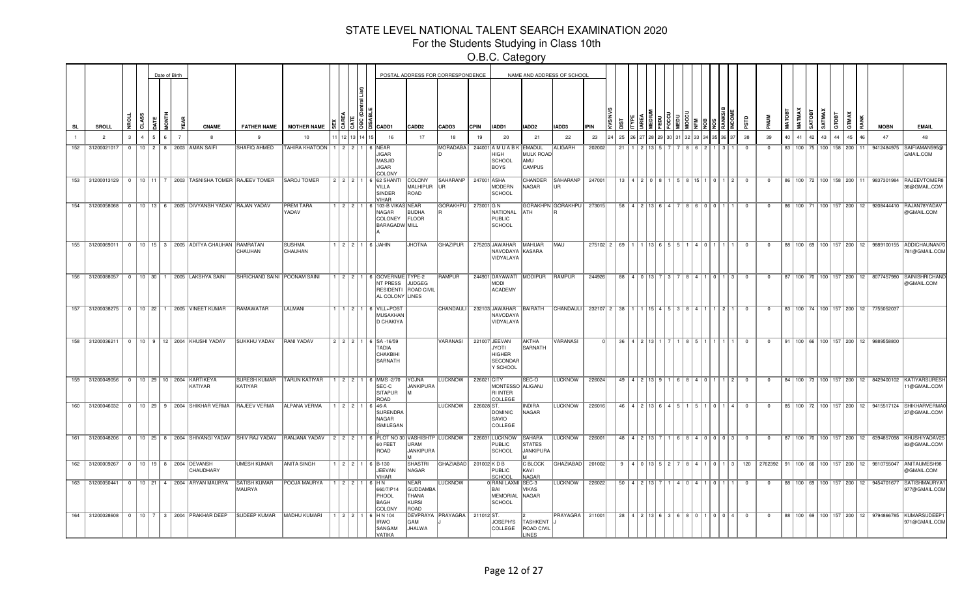For the Students Studying in Class 10th

|           |                                                  |               |                    |   | Date of Birth  |                                                            |                                     |                                                                                    |         |        |                                                                                  |                                                          | POSTAL ADDRESS FOR CORRESPONDENCE |             |                                                                 |                                                    | NAME AND ADDRESS OF SCHOOL |                                           |    |              |                                       |  |           |                                                                                                                            |                |                         |    |                                 |                        |           |    |     |                                                   |                                                                                          |
|-----------|--------------------------------------------------|---------------|--------------------|---|----------------|------------------------------------------------------------|-------------------------------------|------------------------------------------------------------------------------------|---------|--------|----------------------------------------------------------------------------------|----------------------------------------------------------|-----------------------------------|-------------|-----------------------------------------------------------------|----------------------------------------------------|----------------------------|-------------------------------------------|----|--------------|---------------------------------------|--|-----------|----------------------------------------------------------------------------------------------------------------------------|----------------|-------------------------|----|---------------------------------|------------------------|-----------|----|-----|---------------------------------------------------|------------------------------------------------------------------------------------------|
| <b>SL</b> | SROLL                                            | ನ             |                    |   |                | <b>CNAME</b>                                               | <b>FATHER NAME</b>                  | <b>MOTHER NAME</b>                                                                 |         |        | O CADD1                                                                          | CADD <sub>2</sub>                                        | CADD3                             | <b>CPIN</b> | IADD1                                                           | IADD <sub>2</sub>                                  | IADD3                      | <b>IPIN</b>                               |    |              |                                       |  |           |                                                                                                                            |                |                         |    |                                 | <b>GOTAS</b><br>SATMA) | roer<br>ਨ |    |     | <b>MOBN</b>                                       | <b>EMAIL</b>                                                                             |
|           | $\overline{2}$                                   | $\mathcal{R}$ | $\mathbf{A}$<br>5. | 6 | $\overline{7}$ | $\mathbf{R}$                                               | $\mathbf{q}$                        | 10                                                                                 |         |        | 16                                                                               | 17                                                       | 18                                | 19          | 20                                                              | 21                                                 | 22                         | 23                                        | 25 |              |                                       |  |           |                                                                                                                            | 38             | 39                      | 40 | 41                              | 42<br>43               |           | 45 | 46  | 47                                                | 48                                                                                       |
| 152       | 31200021017                                      | $\Omega$      |                    |   |                | 10   2   8   2003   AMAN SAIFI                             | SHAFIQ AHMED                        | TAHIRA KHATOON   1   2   2   1                                                     |         |        | 6 NEAR<br><b>JIGAR</b><br><b>MASJID</b><br><b>JIGAR</b><br>COLONY                |                                                          | MORADABA                          |             | 244001 A M U A B K EMADUL<br>HIGH<br>SCHOOL<br>BOYS             | <b>MULK ROAD</b><br>AMU<br><b>CAMPUS</b>           | ALIGARH                    | 202002                                    | 21 |              |                                       |  |           |                                                                                                                            | - 0            | - 0                     | 83 | $100$ 75   100   158   200      |                        |           |    | 11. |                                                   | 9412484975 SAIFIAMAN595@<br>GMAIL.COM                                                    |
|           |                                                  |               |                    |   |                | 153 31200013129 0 10 11 7 2003 TASNISHA TOMER RAJEEV TOMER |                                     | SAROJ TOMER                                                                        |         |        | 2   2   2   1   6   62 SHANTI<br>VILLA<br>SINDER<br><b>VIHAR</b>                 | COLONY<br>MALHIPUR<br>ROAD                               | SAHARANP<br><b>IUR</b>            | 247001 ASHA | MODERN<br>SCHOOL                                                | CHANDER<br>NAGAR                                   | SAHARANP   247001<br>UR    |                                           |    |              | $13 \mid 4 \mid 2 \mid 0 \mid 8 \mid$ |  | 5 8 1 1 5 | 0   1   2                                                                                                                  | $\overline{0}$ | $\overline{0}$          |    |                                 |                        |           |    |     |                                                   | 86   100   72   100   158   200   11   9837301984   RAJEEVTOMER8<br>36@GMAIL.COM         |
|           |                                                  |               |                    |   |                | 154 31200058068 0 10 13 6 2005 DIVYANSH YADAV RAJAN YADAV  |                                     | <b>PREM TARA</b><br>YADAV                                                          |         |        | 1   2   2   1   6   103-B VIKAS NEAR<br>NAGAR<br>COLONEY<br><b>BARAGADW MILL</b> | <b>BUDHA</b><br>FLOOR                                    | <b>GORAKHPU</b>                   | 273001 G N  | NATIONAL<br>PUBLIC<br>SCHOOL                                    | ATH                                                | GORAKHPN GORAKHPU   273015 |                                           |    |              | 58   4   2   13   6                   |  |           | 860001                                                                                                                     |                | $\Omega$                |    |                                 |                        |           |    |     |                                                   | 86   100   71   100   157   200   12   9208444410   RAJAN78YADAV<br>@GMAIL.COM           |
|           |                                                  |               |                    |   |                | 155 31200069011 0 10 15 3 2005 ADITYA CHAUHAN RAMRATAN     | CHAUHAN                             | <b>SUSHMA</b><br>CHAUHAN                                                           |         |        | $1$ $2$ $2$ $1$ $1$ $6$ JAHIN                                                    | <b>JHOTNA</b>                                            | <b>GHAZIPUR</b>                   |             | 275203 JAWAHAR<br>NAVODAYA KASARA<br>VIDYALAYA                  | MAHUAR                                             | MAU                        | $275102$ 2 69                             |    |              |                                       |  |           |                                                                                                                            | $\Omega$       | $\Omega$                |    |                                 |                        |           |    |     |                                                   | 88   100   69   100   157   200   12   9889100155   ADDICHAUNAN7<br>781@GMAIL.COM        |
|           |                                                  |               |                    |   |                | 156 31200088057 0 10 30 1 2005 LAKSHYA SAINI               | <b>SHRICHAND SAINI POONAM SAINI</b> |                                                                                    |         |        | 1 2 2 1 6 GOVERNME TYPE-2<br>NT PRESS<br>AL COLONY LINES                         | JUDGEG<br>RESIDENTI ROAD CIVIL                           | <b>RAMPUR</b>                     |             | 244901 DAYAWATI MODIPUR RAMPUR<br><b>MODI</b><br>ACADEMY        |                                                    |                            | 244926                                    |    |              | 88 4 0 13 7                           |  |           | 3   7   8   4   1   0   1   3                                                                                              | $\overline{0}$ | $\overline{0}$          |    |                                 |                        |           |    |     |                                                   | 87   100   70   100   157   200   12   8077457980 SAINISHRICHAND<br>@GMAIL.COM           |
|           |                                                  |               |                    |   |                | 157 31200038275   0   10   22   1   2005   VINEET KUMAR    | RAMAWATAR                           | LALMANI                                                                            |         |        | $1 \mid 2 \mid 1 \mid 6$ VILL+POST<br><b>MUSAKHAN</b><br>D CHAKIYA               |                                                          | CHANDAULI                         |             | 232103 JAWAHAR<br>NAVODAYA<br>VIDYALAYA                         | BAIRATH                                            | <b>CHANDAULI</b>           | 232107 2 38 1 1 1 1 1 1 1 1 5   3   8   4 |    |              |                                       |  |           | $1$  2  $1$                                                                                                                | $\overline{0}$ | $\overline{0}$          |    |                                 |                        |           |    |     | 83   100   74   100   157   200   12   7755052037 |                                                                                          |
|           |                                                  |               |                    |   |                | 158 31200036211 0 10 9 12 2004 KHUSHI YADAV                | <b>SUKKHU YADAV</b>                 | <b>RANI YADAV</b>                                                                  |         |        | 2 2 2 1 6 SA-16/59<br>TADIA<br>CHAKBIHI<br>SARNATH                               |                                                          | VARANASI                          |             | 221007 JEEVAN<br>JYOTI<br><b>HIGHER</b><br>SECONDAR<br>Y SCHOOL | AKTHA<br>SARNATH                                   | <b>VARANASI</b>            |                                           |    |              | $36$   4   2   13   1                 |  | 185       |                                                                                                                            | $\overline{0}$ | $\overline{0}$          |    |                                 |                        |           |    |     | 91   100   66   100   157   200   12   9889558800 |                                                                                          |
|           | 159 31200049056 0 10 29 10 2004 KARTIKEYA        |               |                    |   |                | KATIYAR                                                    | <b>SURESH KUMAR</b><br>KATIYAR      | <b>TARUN KATIYAR</b>                                                               |         |        | 1   2   2   1   6   MMS -2/70<br>SEC-C<br><b>SITAPUR</b><br>ROAD                 | <b>YOJNA</b><br>JANKIPURA                                | LUCKNOW                           | 226021 CITY | MONTESSO ALIGANJ<br><b>RI INTER</b><br>COLLEGE                  | SEC-O                                              | LUCKNOW                    | 226024                                    |    |              |                                       |  |           | 49   4   2   13   9   1   6   8   4   0   1   1   2                                                                        | $\overline{0}$ | $\overline{0}$          |    |                                 |                        |           |    |     |                                                   | 84    100    73    100    157    200    12    8429400102    KATIYARSURESI<br>1@GMAIL.COM |
|           |                                                  |               |                    |   |                | 160 31200046032 0 10 29 9 2004 SHIKHAR VERMA RAJEEV VERMA  |                                     | <b>ALPANA VERMA</b>                                                                |         |        | $1$   2   2   1   6   46-A<br>SURENDRA<br>NAGAR<br><b>ISMILEGAN</b>              |                                                          | <b>LUCKNOW</b>                    | 226028 ST.  | DOMINIC<br><b>SAVIO</b><br>COLLEGE                              | <b>INDIRA</b><br>NAGAR                             | <b>LUCKNOW</b>             | 226016                                    |    |              | 46   4   2   13   6                   |  |           |                                                                                                                            |                | $\overline{\mathbf{0}}$ |    |                                 |                        |           |    |     | 85   100   72   100   157   200   12   9415517124 | <b>SHIKHARVERMA</b><br>27@GMAIL.COM                                                      |
|           |                                                  |               |                    |   |                |                                                            |                                     | 161 31200048206 0 10 25 8 2004 SHIVANGI YADAV SHIV RAJ YADAV RANJANA YADAV 2 2 2 1 |         |        | 6 PLOT NO 30 VASHISHTP LUCKNOW<br>60 FEET<br>ROAD                                | URAM<br>JANKIPURA                                        |                                   |             | 226031 LUCKNOW<br>PUBLIC<br>SCHOOL                              | <b>SAHARA</b><br><b>STATES</b><br><b>JANKIPURA</b> | LUCKNOW   226001           |                                           |    | $48$   4   2 |                                       |  |           | 6.8.4.0.0.0.19                                                                                                             | $\overline{0}$ | $\overline{\mathbf{0}}$ |    |                                 |                        |           |    |     |                                                   | 87   100   70   100   157   200   12   6394857098 KHUSHIYADAV25<br>83@GMAIL.COM          |
|           | 162 31200009267   0   10   19   8   2004 DEVANSH |               |                    |   |                | CHAUDHARY                                                  | <b>UMESH KUMAR</b>                  | <b>ANITA SINGH</b>                                                                 |         |        | $1$   2   2   1   6   B-130<br>JEEVAN<br><b>VIHAR</b>                            | SHASTRI<br>NAGAR                                         | GHAZIABAD 201002 K D B            |             | <b>PUBLIC</b><br>SCHOOL                                         | C BLOCK<br><b>KAVI</b><br><b>NAGAR</b>             | GHAZIABAD 201002           |                                           |    |              |                                       |  |           | $9   4   0   13   5   2   7   8   4   1   0   1   3   120$                                                                 |                |                         |    |                                 |                        |           |    |     |                                                   | 2762392   91   100   66   100   157   200   12   9810755047   ANITAUMESH98<br>@GMAIL.COM |
|           |                                                  |               |                    |   |                | 163 31200050441 0 10 21 4 2004 ARYAN MAURYA                | <b>SATISH KUMAR</b><br>MAURYA       | <b>POOJA MAURYA</b>                                                                | 1 2 2 2 |        | IH N<br>660/7/P14<br>PHOOL<br>BAGH<br>COLONY                                     | <b>NEAR</b><br>GUDDAMBA<br><b>THANA</b><br>KURSI<br>ROAD | LUCKNOW                           |             | 0 RANI LAXMI<br>l R∆I<br>MEMORIAL NAGAR<br>SCHOOL               | SEC-3<br><b>VIKAS</b>                              | LUCKNOW                    | 226022                                    |    | 50   4   2   |                                       |  |           |                                                                                                                            |                | $\Omega$                |    | 88   100   69   100   157   200 |                        |           |    | 12  | 9454701677                                        | <b>SATISHMAURYA</b><br>977@GMAIL.COM                                                     |
|           |                                                  |               |                    |   |                | 164 31200028608 0 10 7 3 2004 PRAKHAR DEEP                 | SUDEEP KUMAR   MADHU KUMARI         |                                                                                    |         | 121211 | $6$ HN 104<br>irwo<br>SANGAM<br>VATIKA                                           | GAM<br>JHALWA                                            | DEVPRAYA PRAYAGRA                 | 211012ST    | JOSEPH'S<br>COLLEGE                                             | <b>TASHKENT</b><br><b>ROAD CIVIL</b><br>LINES      | PRAYAGRA   211001          |                                           |    |              | $28$   4   2   13   6                 |  |           | $\begin{array}{c c c c c c c c c} \hline \multicolumn{3}{c }{\textbf{0} & \textbf{0} & \textbf{0} & \textbf{4}\end{array}$ | $\Omega$       | - 0                     |    |                                 |                        |           |    |     |                                                   | 88   100   69   100   157   200   12   9794866785   KUMARSUDEEP1<br>971@GMAIL.COM        |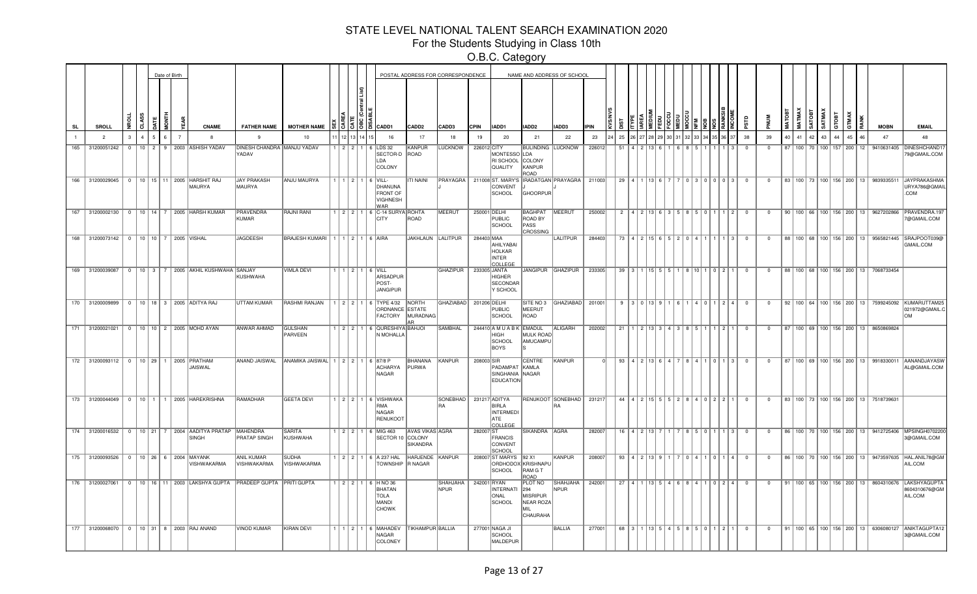For the Students Studying in Class 10th

|           |                                        |               |          | Date of Birth  |                                                                   |                                                                       |                                                |               |                                                                                                                                                                                                                                                                                                             |                                    | POSTAL ADDRESS FOR CORRESPONDENCE |              |                                                              |                                                            | NAME AND ADDRESS OF SCHOOL                                   |             |    |                                    |  |  |                                                           |                         |                         |    |    |                    |              |                 |    |     |                                                   |                                                                                                   |
|-----------|----------------------------------------|---------------|----------|----------------|-------------------------------------------------------------------|-----------------------------------------------------------------------|------------------------------------------------|---------------|-------------------------------------------------------------------------------------------------------------------------------------------------------------------------------------------------------------------------------------------------------------------------------------------------------------|------------------------------------|-----------------------------------|--------------|--------------------------------------------------------------|------------------------------------------------------------|--------------------------------------------------------------|-------------|----|------------------------------------|--|--|-----------------------------------------------------------|-------------------------|-------------------------|----|----|--------------------|--------------|-----------------|----|-----|---------------------------------------------------|---------------------------------------------------------------------------------------------------|
| <b>SL</b> | <b>SROLL</b>                           | 5             |          |                | <b>CNAME</b>                                                      | <b>FATHER NAME</b>                                                    | <b>MOTHER NAME</b>                             |               | $\frac{12}{3}$ $\frac{12}{3}$ $\frac{12}{3}$ $\frac{12}{3}$ $\frac{12}{3}$ $\frac{12}{3}$ $\frac{12}{3}$ $\frac{12}{3}$ $\frac{12}{3}$ $\frac{12}{3}$ $\frac{12}{3}$ $\frac{12}{3}$ $\frac{12}{3}$ $\frac{12}{3}$ $\frac{12}{3}$ $\frac{12}{3}$ $\frac{12}{3}$ $\frac{12}{3}$ $\frac{12}{3}$ $\frac{12}{3}$ | CADD <sub>2</sub>                  | CADD3                             | <b>CPIN</b>  | IADD1                                                        | IADD2                                                      | IADD3                                                        | <b>IPIN</b> |    |                                    |  |  |                                                           | qisc                    |                         |    |    |                    | <b>SATMA</b> | GTOBT           |    |     | <b>MOBN</b>                                       | <b>EMAIL</b>                                                                                      |
|           | $\overline{2}$                         | $\mathcal{R}$ |          | $\overline{7}$ | -8                                                                | $\mathbf{q}$                                                          | 10                                             |               | 16                                                                                                                                                                                                                                                                                                          | 17                                 | 18                                | 19           | 20                                                           | 21                                                         | 22                                                           | 23          | 25 |                                    |  |  |                                                           | 38                      | 39                      | 40 | 41 | 42                 | 43           | $\overline{44}$ | 45 | 16. | 47                                                | 48                                                                                                |
| 165       | 31200051242                            | $\Omega$      | $10$   2 |                | 9 2003 ASHISH YADAV                                               | DINESH CHANDRA MANJU YADAV<br>YADAV                                   |                                                | 1   2   2   1 | 6 LDS 32<br>SECTOR-D<br>LDA<br>COLONY                                                                                                                                                                                                                                                                       | KANPUR<br>ROAD                     | <b>LUCKNOW</b>                    | 226012 CITY  | MONTESSO LDA<br>RI SCHOOL<br>QUALITY                         | <b>BULINDING LUCKNOW</b><br>COLONY<br>KANPUR<br>ROAD       |                                                              | 226012      | 51 |                                    |  |  |                                                           |                         | $^{\circ}$              | 87 |    | 100 70 100 157 200 |              |                 |    | 12  | 9410631405                                        | DINESHCHAND <sup>-</sup><br>79@GMAIL.COM                                                          |
|           |                                        |               |          |                | 166 31200029045   0   10   15   11   2005   HARSHIT RAJ<br>MAURYA | JAY PRAKASH<br>MAURYA                                                 | <b>ANJU MAURYA</b>                             |               | 1   1   2   1   6   VILL-<br>DHANUNA<br><b>FRONT OF</b><br>VIGHNESH<br><b>WAR</b>                                                                                                                                                                                                                           | ITI NAINI                          |                                   |              | CONVENT<br>SCHOOL                                            | GHOORPUR                                                   | PRAYAGRA   211008 ST. MARY'S   IRADATGAN   PRAYAGRA   211003 |             |    |                                    |  |  | 29   4   1   13   6   7   7   0   3   0   0   0   3       | $\overline{0}$          | $\overline{0}$          |    |    |                    |              |                 |    |     | 83   100   73   100   156   200   13   9839335511 | JAYPRAKASHMA<br>URYA786@GMAIL<br>.COM                                                             |
|           |                                        |               |          |                | 167 31200002130 0 10 14 7 2005 HARSH KUMAR                        | <b>PRAVENDRA</b><br><b>KUMAR</b>                                      | <b>RAJNI RANI</b>                              |               | 1   2   2   1   6   C-14 SURYA ROHTA<br><b>CITY</b>                                                                                                                                                                                                                                                         | ROAD                               | MEERUT                            | 250001 DELHI | <b>PUBLIC</b><br>SCHOOL                                      | BAGHPAT MEERUT<br><b>ROAD BY</b><br>PASS<br>CROSSING       |                                                              | 250002      |    |                                    |  |  | $2   4   2   13   6   3   5   8   5   0   1   1   2   0$  |                         | $\overline{0}$          |    |    |                    |              |                 |    |     | 90   100   66   100   156   200   13   9627202866 | PRAVENDRA.197<br>7@GMAIL.COM                                                                      |
|           | 168 31200073142 0 10 10 7 2005 VISHAL  |               |          |                |                                                                   | <b>JAGDEESH</b>                                                       | BRAJESH KUMARI   1   1   2   1   6   AIRA      |               |                                                                                                                                                                                                                                                                                                             | JAKHLAUN LALITPUR                  |                                   | 284403 MAA   | AHILYABAI<br><b>HOLKAR</b><br><b>INTER</b><br><b>COLLEGE</b> |                                                            | LALITPUR                                                     | 284403      |    |                                    |  |  | 73   4   2   15   6   5   2   0   4   1   1   1   3       | $\overline{\mathbf{0}}$ | $\overline{\mathbf{0}}$ |    |    |                    |              |                 |    |     |                                                   | 88   100   68   100   156   200   13   9565821445  SRAJPOOT039@<br>GMAIL.COM                      |
|           |                                        |               |          |                | 169 31200039087 0 10 3 7 2005 AKHIL KUSHWAHA SANJAY               | KUSHWAHA                                                              | <b>VIMLA DEVI</b>                              |               | $1$   $1$   $2$   $1$   $6$   VILL<br>ARSADPUR<br>POST-<br>JANGIPUR                                                                                                                                                                                                                                         |                                    | <b>GHAZIPUR</b>                   |              | 233305 JANTA<br><b>HIGHER</b><br>SECONDAR<br>Y SCHOOL        |                                                            | JANGIPUR GHAZIPUR                                            | 233305      |    |                                    |  |  | $39   3   1   15   5   5   1   8   10   1 0   2   1$      | $\overline{0}$          | $\overline{\mathbf{0}}$ |    |    |                    |              |                 |    |     | 88 100 68 100 156 200 13 7068733454               |                                                                                                   |
|           |                                        |               |          |                | 170 31200009899 0 10 18 3 2005 ADITYA RAJ                         | <b>UTTAM KUMAR</b>                                                    | <b>RASHMI RANJAN</b>                           |               | 1 2 2 1 6 TYPE 4/32 NORTH<br>ORDNANCE ESTATE<br><b>FACTORY</b>                                                                                                                                                                                                                                              | MURADNAG                           | GHAZIABAD 201206 DELHI            |              | <b>PUBLIC</b><br>SCHOOL                                      | MEERUT<br>ROAD                                             | SITE NO 3 GHAZIABAD 201001                                   |             |    | $9$   $3$   0   13   9   1   6   1 |  |  | 4011240                                                   |                         | $\overline{0}$          |    |    |                    |              |                 |    |     |                                                   | 92   100   64   100   156   200   13   7599245092   KUMARUTTAM25<br>021972@GMAIL.C<br>$\bigcap M$ |
|           |                                        |               |          |                | 171 31200021021 0 10 10 2 2005 MOHD AYAN                          | <b>ANWAR AHMAD</b>                                                    | <b>GULSHAN</b><br>PARVEEN                      |               | 1 2 2 1 6 QURESHIYA BAHJOI<br>N MOHALLA                                                                                                                                                                                                                                                                     |                                    | <b>SAMBHAL</b>                    |              | 244410 A M U A B K EMADUL<br><b>HIGH</b><br>SCHOOL<br>BOYS   | <b>MULK ROAD</b><br>AMUCAMPU                               | <b>ALIGARH</b>                                               | 202002      | 21 |                                    |  |  | 1 2 13 3 4 3 8 5 1 1 1 2 1                                | $\overline{0}$          | $\Omega$                |    |    |                    |              |                 |    |     | 87   100   69   100   156   200   13   8650869824 |                                                                                                   |
|           | 172 31200093112 0 10 29 1 2005 PRATHAM |               |          |                | JAISWAL                                                           |                                                                       | ANAND JAISWAL ANAMIKA JAISWAL 1 2 2 1 6 87/8 P |               | <b>ACHARYA</b><br>NAGAR                                                                                                                                                                                                                                                                                     | BHANANA<br>PURWA                   | KANPUR                            | 208003 SIR   | PADAMPAT<br>SINGHANIA NAGAR<br><b>EDUCATION</b>              | CENTRE<br>KAMLA                                            | KANPUR                                                       |             |    |                                    |  |  | $93   4   2   13   6   4   7   8   4   1   0   1   3$     | $\overline{0}$          | $\overline{0}$          |    |    |                    |              |                 |    |     |                                                   | 87   100   69   100   156   200   13   9918330011   AANANDJAYASW<br>AL@GMAIL.COM                  |
|           |                                        |               |          |                | 173 31200044049 0 10 1   1   2005 HAREKRISHNA                     | RAMADHAR                                                              | <b>GEETA DEVI</b>                              |               | 1 2 2 1 6 VISHWAKA<br>RMA<br>NAGAR<br><b>RENUKOOT</b>                                                                                                                                                                                                                                                       |                                    | SONEBHAD   231217 ADITYA<br>RA    |              | <b>BIRLA</b><br>INTERMEDI<br>ATE<br><b>COLLEGE</b>           |                                                            | RENUKOOT SONEBHAD   231217                                   |             |    |                                    |  |  | $44   4   2   15   5   5   2   8   4   0   2   2   1   0$ |                         | $\overline{0}$          |    |    |                    |              |                 |    |     | 83   100   73   100   156   200   13   7518739631 |                                                                                                   |
|           |                                        |               |          |                | 174 31200016532 0 10 21 7 2004 AADITYA PRATAP MAHENDRA<br>SINGH   | <b>PRATAP SINGH</b>                                                   | <b>SARITA</b><br>KUSHWAHA                      |               | 1 2 2 1 6 MIG 463<br>SECTOR 10 COLONY                                                                                                                                                                                                                                                                       | <b>AVAS VIKAS AGRA</b><br>SIKANDRA |                                   | 282007 ST    | FRANCIS<br>CONVENT<br>SCHOOL                                 | SIKANDRA AGRA                                              |                                                              | 282007      |    |                                    |  |  | $16$   4   2   13   7   1   7   8   5   0   1   1   3   0 |                         | $\overline{0}$          |    |    |                    |              |                 |    |     |                                                   | 86   100   70   100   156   200   13   9412725406   MPSINGH070220<br>3@GMAIL.COM                  |
|           | 175 31200093526 0 10 26 6 2004 MAYANK  |               |          |                | VISHWAKARMA                                                       | ANIL KUMAR<br><b>VISHWAKARMA</b>                                      | <b>SUDHA</b><br>VISHWAKARMA                    |               | 1 2 2 1 6 A 237 HAL<br>TOWNSHIP R NAGAR                                                                                                                                                                                                                                                                     | HARJENDE KANPUR                    |                                   |              | 208007 ST MARYS   92 X1<br>SCHOOL                            | ORDHODOX KRISHNAPU<br>RAM G T<br>ROAD                      | KANPUR                                                       | 208007      |    |                                    |  |  | $93$   4   2   13   9   1   7   0   4   1   0   1   4     | $\overline{0}$          | $\overline{0}$          |    |    |                    |              |                 |    |     |                                                   | 86   100   70   100   156   200   13   9473597635   HAL.ANIL78@GM<br>AIL.COM                      |
|           | 176 31200027061                        |               |          |                |                                                                   | 0   10   16   11   2003   LAKSHYA GUPTA   PRADEEP GUPTA   PRITI GUPTA |                                                |               | $1$   2   2   1   6   HNO 36<br><b>BHATAN</b><br><b>TOLA</b><br>MANDI<br><b>CHOWK</b>                                                                                                                                                                                                                       |                                    | SHAHJAHA   242001 RYAN<br>NPUR    |              | INTERNATI<br>ONAL<br>SCHOOL                                  | PLOT NO<br>294<br>MISRIPUR<br>NEAR ROZA<br>MIL<br>CHAURAHA | SHAHJAHA   242001<br>NPUR                                    |             |    |                                    |  |  | 27   4   1   13   5   4   6   8   4   1   0   2   4       | $\overline{0}$          | $\overline{0}$          |    |    |                    |              |                 |    |     |                                                   | 91   100   65   100   156   200   13   8604310676   LAKSHYAGUPT/<br>8604310676@GM<br>AIL.COM      |
|           |                                        |               |          |                | 177 31200068070   0   10   31   8   2003   RAJ ANAND              | <b>VINOD KUMAR</b>                                                    | <b>KIRAN DEVI</b>                              |               | 1 1 2 1 6 MAHADEV<br>NAGAR<br>COLONEY                                                                                                                                                                                                                                                                       | <b>TIKHAMPUR BALLIA</b>            |                                   |              | 277001 NAGA JI<br>SCHOOL<br>MALDEPUR                         |                                                            | BALLIA                                                       | 277001      |    |                                    |  |  | 68 3 1 1 1 13 5 4 5 8 5 6 7 0 1 1 2 1 1                   | $\overline{0}$          | $\overline{0}$          |    |    |                    |              |                 |    |     |                                                   | 91   100   65   100   156   200   13   6306080127   ANIKTAGUPTA12<br>3@GMAIL.COM                  |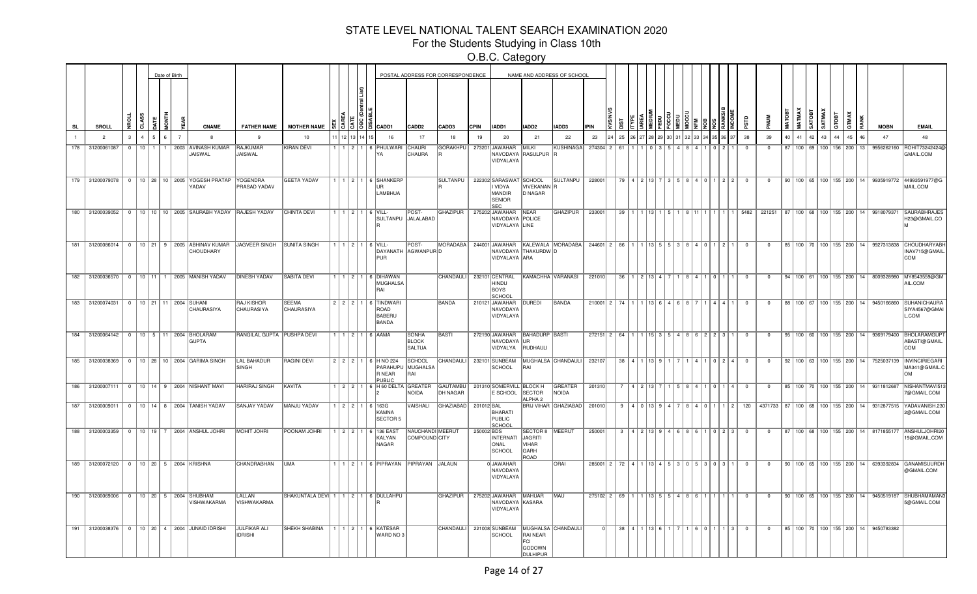For the Students Studying in Class 10th

|     |                 |             |          |                | Date of Birth |  |                                                              |                                                                         |                                                |                     |                                                       | POSTAL ADDRESS FOR CORRESPONDENCE         |                             |             |                                                                       |                                                                    | NAME AND ADDRESS OF SCHOOL                         |               |    |                        |             |                  |                        |     |                                                     |                |                         |    |    |                                 |                 |    |                 |                                                   |                                                                                         |
|-----|-----------------|-------------|----------|----------------|---------------|--|--------------------------------------------------------------|-------------------------------------------------------------------------|------------------------------------------------|---------------------|-------------------------------------------------------|-------------------------------------------|-----------------------------|-------------|-----------------------------------------------------------------------|--------------------------------------------------------------------|----------------------------------------------------|---------------|----|------------------------|-------------|------------------|------------------------|-----|-----------------------------------------------------|----------------|-------------------------|----|----|---------------------------------|-----------------|----|-----------------|---------------------------------------------------|-----------------------------------------------------------------------------------------|
| SL  | <b>SROLL</b>    |             | g        | \$S<br>3       |               |  | CNAME                                                        | <b>FATHER NAME</b>                                                      | <b>MOTHER NAME</b>                             |                     | $51515$ $\,\mathrm{km}$                               | CADD2                                     | CADD3                       | <b>CPIN</b> | IADD1                                                                 | IADD <sub>2</sub>                                                  | IADD3                                              | <b>IPIN</b>   |    |                        |             |                  |                        |     |                                                     |                |                         |    |    | <b>SATMA</b>                    |                 |    |                 | <b>MOBN</b>                                       | <b>EMAIL</b>                                                                            |
|     | $\overline{2}$  |             |          | $\overline{A}$ | 5.            |  |                                                              | $\mathbf{q}$                                                            | 10                                             |                     | 16                                                    | 17                                        | 18                          | 19          | 20                                                                    | 21                                                                 | 22                                                 | 23            | 25 |                        |             |                  |                        |     |                                                     | 38             | 39                      | 40 | 41 | 42<br>43                        | $\overline{44}$ | 45 | 46              | 47                                                | 48                                                                                      |
| 178 | 31200061087     |             | $\Omega$ | $10$ 1         |               |  | 1 2003 AVINASH KUMAR<br>JAISWAL                              | <b>RAJKUMAR</b><br>JAISWAL                                              | <b>KIRAN DEVI</b>                              | 11211               | 6 PHULWARI<br>YΑ                                      | <b>CHAURI</b><br><b>CHAURA</b>            | GORAKHPU                    |             | 273201 JAWAHAR<br>VIDYALAYA                                           | <b>MILKI</b><br>NAVODAYA RASULPUR R                                | <b>KUSHINAGA</b>                                   | 274304 2      | 61 |                        |             |                  |                        |     |                                                     | $\Omega$       | $\Omega$                | 87 |    | 100 69 100 156 200              |                 |    | 13              | 9956262160                                        | ROHIT732424240<br><b>GMAIL.COM</b>                                                      |
|     |                 |             |          |                |               |  | 179 31200079078 0 10 28 10 2005 YOGESH PRATAP<br>YADAV       | YOGENDRA<br>PRASAD YADAV                                                | <b>GEETA YADAV</b>                             |                     | 1   1   2   1   6   SHANKERP<br><b>IIR</b><br>LAMBHUA |                                           |                             |             | SULTANPU   222302 SARASWAT<br>VIDYA<br>MANDIR<br>SENIOR<br><b>SEC</b> | SCHOOL<br>VIVEKANAN <sup>R</sup><br>D NAGAR                        | SULTANPU   228001                                  |               |    | 79   4   2   13   7    |             |                  | 5 R A A 011            |     | 2   2                                               | $\overline{0}$ | $\overline{\mathbf{0}}$ |    |    |                                 |                 |    |                 |                                                   | 90    100    65    100    155    200    14    9935919772   44993591977@G<br>MAIL.COM    |
|     |                 |             |          |                |               |  | 180 31200039052 0 10 10 10 2005 SAURABH YADAV RAJESH YADAV   |                                                                         | <b>CHINTA DEVI</b>                             |                     | $1$   $1$   $2$   $1$   $6$   VILL-                   | POST-<br>SULTANPU JALALABAD               | <b>GHAZIPUR</b>             |             | 275202 JAWAHAR NEAR<br>NAVODAYA POLICE<br>VIDYALAYA LINE              |                                                                    | GHAZIPUR 233001                                    |               | 39 |                        |             |                  |                        |     |                                                     | 5482           |                         |    |    |                                 |                 |    |                 |                                                   | 221251 87 100 68 100 155 200 14 9918079371 SAURABHRAJES<br>H23@GMAIL.CO                 |
|     |                 |             |          |                |               |  | CHOUDHARY                                                    | 181 31200086014 0 10 21 9 2005 ABHINAV KUMAR JAGVEER SINGH SUNITA SINGH |                                                |                     | 1 1 1 2 1 1 1 6 VILL<br>PUR                           | POST-<br>DAYANATH AGWANPURD               | MORADABA                    |             | VIDYALAYA ARA                                                         | NAVODAYA THAKURDW D                                                | 244001 JAWAHAR KALEWALA MORADABA                   | $244601$ 2 86 |    |                        | 1   13   5  |                  | 5 3 8 4 0 1 2 1        |     |                                                     | $^{\circ}$     | $\overline{0}$          |    |    |                                 |                 |    |                 | 85 100 70 100 155 200 14 9927313838               | CHOUDHARYABH<br>INAV715@GMAIL<br><b>COM</b>                                             |
|     |                 |             |          |                |               |  | 182 31200036570 0 10 11 1 2005 MANISH YADAV                  | <b>DINESH YADAV</b>                                                     | <b>SABITA DEVI</b>                             | 1121                | 6 DIHAWAN<br><b>MUGHALSA</b><br>RAI                   |                                           | CHANDAULI <sup>I</sup>      |             | 232101 CENTRAL<br>HINDU<br>BOYS<br>SCHOOL                             | KAMACHHA VARANASI                                                  |                                                    | 221010        | 36 |                        |             |                  |                        | ∣ ∩ |                                                     | $^{\circ}$     | $^{\circ}$              |    |    | 94   100   61   100   155   200 |                 |    |                 |                                                   | 14 8009328980 MY8543559@GM<br>AIL.COM                                                   |
| 183 | 31200074031     |             |          |                |               |  | 0   10   21   11   2004   SUHANI<br><b>CHAURASIYA</b>        | <b>RAJ KISHOR</b><br><b>CHAURASIYA</b>                                  | <b>SEEMA</b><br><b>CHAURASIYA</b>              | $2$   $2$   $2$   1 | 6 TINDWARI<br>ROAD<br><b>BABERU</b><br><b>BANDA</b>   |                                           | <b>BANDA</b>                |             | 210121 JAWAHAR<br><b>NAVODAYA</b><br>VIDYALAYA                        | <b>DUREDI</b>                                                      | <b>BANDA</b>                                       | 210001 2      | 74 |                        |             |                  |                        |     |                                                     | $\Omega$       | $\Omega$                | 88 |    | 100 67 100 155 200              |                 |    | 14 <sup>1</sup> | 9450166860                                        | <b>ISUHANICHAURA</b><br>SIYA4567@GMAI<br>L.COM                                          |
|     | 184 31200064142 |             |          |                |               |  | 0   10   5   11   2004   BHOLARAM<br><b>GUPTA</b>            | RANGILAL GUPTA   PUSHPA DEVI                                            |                                                |                     | $1 \mid 1 \mid 2 \mid 1 \mid 6 \mid$ AAMA             | SONHA<br><b>BLOCK</b><br>SALTUA           | BASTI                       |             | NAVODAYA UR<br>VIDYALYA                                               | 272190 JAWAHAR BAHADURP BASTI<br>RUDHAULI                          |                                                    | $272151$ 2 64 |    |                        |             |                  | 1 15 3 5 4 8 6 2 2 3 1 |     |                                                     | $\overline{0}$ | $\mathbf{0}$            |    |    |                                 |                 |    |                 |                                                   | 95   100   60   100   155   200   14   9369179400   BHOLARAMGUP<br>ABASTI@GMAIL<br>ICOM |
|     |                 |             |          |                |               |  | 185 31200038369 0 10 28 10 2004 GARIMA SINGH                 | LAL BAHADUR<br>SINGH                                                    | <b>RAGINI DEVI</b>                             |                     | 2 2 2 1 6 H NO 224<br>R NEAR<br><b>PUBLIC</b>         | SCHOOL<br>PARAHUPU MUGHALSA<br><b>RAI</b> |                             |             | SCHOOL                                                                | RAI                                                                | CHANDAULI 232101 SUNBEAM MUGHALSA CHANDAULI 232107 |               |    | $38$   4               |             |                  |                        | n2  | $\overline{A}$                                      | $\Omega$       | 0                       |    |    |                                 |                 |    |                 | 92   100   63   100   155   200   14   7525037139 | INVINCIRIEGARI<br>MA341@GMAIL.C<br>lом                                                  |
|     |                 |             |          |                |               |  | 186 31200007111 0 10 14 9 2004 NISHANT MAVI                  | <b>HARIRAJ SINGH</b>                                                    | KAVITA                                         |                     | 1 2 2 1 6 H 60 DELTA GREATER                          | NOIDA                                     | <b>GAUTAMBU</b><br>DH NAGAR |             | 201310 SOMERVILL BLOCK H<br>E SCHOOL                                  | <b>SECTOR</b><br>ALPHA <sub>2</sub>                                | GREATER<br>NOIDA                                   | 201310        |    |                        | 4 2 1 1 3 1 |                  |                        |     |                                                     | $\mathbf{0}$   | 0                       |    |    |                                 |                 |    |                 | 85   100   70   100   155   200   14   9311812687 | NISHANTMAVI51<br>7@GMAIL.COM                                                            |
|     |                 |             |          |                |               |  | 187 31200009011 0 10 14 8 2004 TANISH YADAV                  | <b>SANJAY YADAV</b>                                                     | MANJU YADAV                                    |                     | 1 2 2 1 6 163G<br>KAMNA<br><b>SECTOR 5</b>            | VAISHALI                                  | <b>GHAZIABAD</b>            | 201012 BAL  | BHARATI<br>PUBLIC<br><b>SCHOOL</b>                                    |                                                                    | BRIJ VIHAR GHAZIABAD                               | 201010        |    | 14101315               |             |                  |                        |     | $\sqrt{2}$                                          | 120            |                         |    |    |                                 |                 |    |                 |                                                   | 4371733 87 100 68 100 155 200 14 9312877515 YADAVANISH.23<br>2@GMAIL.COM                |
|     |                 |             |          |                |               |  | 188 31200003359 0 10 19 7 2004 ANSHUL JOHRI                  | <b>MOHIT JOHRI</b>                                                      | POONAM JOHRI                                   |                     | 1   2   2   1   6   136 EAST<br>KALYAN<br>NAGAR       | NAUCHANDI MEERUT<br>COMPOUND CITY         |                             | 250002 BDS  | INTERNATI<br><b>ONAL</b><br>SCHOOL                                    | SECTOR 8 MEERUT<br>JAGRITI<br><b>VIHAR</b><br><b>GARH</b><br>ROAD  |                                                    | 250001        |    | 3   4   2   13   9   4 |             | 618 <sup>1</sup> |                        |     | $1$   0   2   3                                     | $\overline{0}$ | $\overline{0}$          |    |    |                                 |                 |    |                 |                                                   | 87   100   68   100   155   200   14   8171855177   ANSHULJOHRI20<br>19@GMAIL.COM       |
| 189 |                 | 31200072120 |          |                |               |  | 0   10   20   5   2004 KRISHNA                               | <b>CHANDRABHAN</b>                                                      | <b>UMA</b>                                     |                     | 1   1   2   1   6   PIPRAYAN                          | PIPRAYAN JALAUN                           |                             |             | 0JAWAHAR<br>NAVODAYA<br>VIDYALAYA                                     |                                                                    | ORAI                                               | 285001 2      |    |                        |             |                  |                        |     | 72   4   1   13   4   5   3   0   5   3   0   3   1 | $\overline{0}$ | $\Omega$                |    |    |                                 |                 |    |                 |                                                   | 90   100   65   100   155   200   14   6393392834   GANAMISUURDH<br>@GMAIL.COM          |
|     |                 |             |          |                |               |  | 190 31200069006 0 10 20 5 2004 SHUBHAM<br><b>VISHWAKARMA</b> | LALLAN<br>VISHWAKARMA                                                   | SHAKUNTALA DEVI   1   1   2   1   6   DULLAHPU |                     |                                                       |                                           | GHAZIPUR                    |             | 275202 JAWAHAR MAHUAR<br>NAVODAYA KASARA<br>VIDYALAYA                 |                                                                    | MAU                                                | 275102 2 69   |    |                        |             | $A R$            |                        |     |                                                     | $^{\circ}$     | $^{\circ}$              |    |    |                                 |                 |    |                 |                                                   | 90    100    65    100    155    200    14    9450519187   SHUBHAMAMAN:<br>5@GMAIL.COM  |
|     |                 |             |          |                |               |  | 191 31200038376 0 10 20 4 2004 JUNAID IDRISHI                | <b>JULFIKAR ALI</b><br><b>IDRISHI</b>                                   | <b>SHEKH SHABINA</b>                           |                     | 1   1   2   1   6   KATESAR<br>WARD NO 3              |                                           | CHANDAULI 221008 SUNBEAM    |             | SCHOOL                                                                | MUGHALSA CHANDAULI<br>RAI NEAR<br><b>FCL</b><br>GODOWN<br>DULHIPUR |                                                    |               |    | $38$ $4$               | $1$ 13 $6$  |                  |                        |     | $\mathbf{B}$                                        | $\Omega$       | $\Omega$                |    |    |                                 |                 |    |                 | 85   100   70   100   155   200   14   9450783382 |                                                                                         |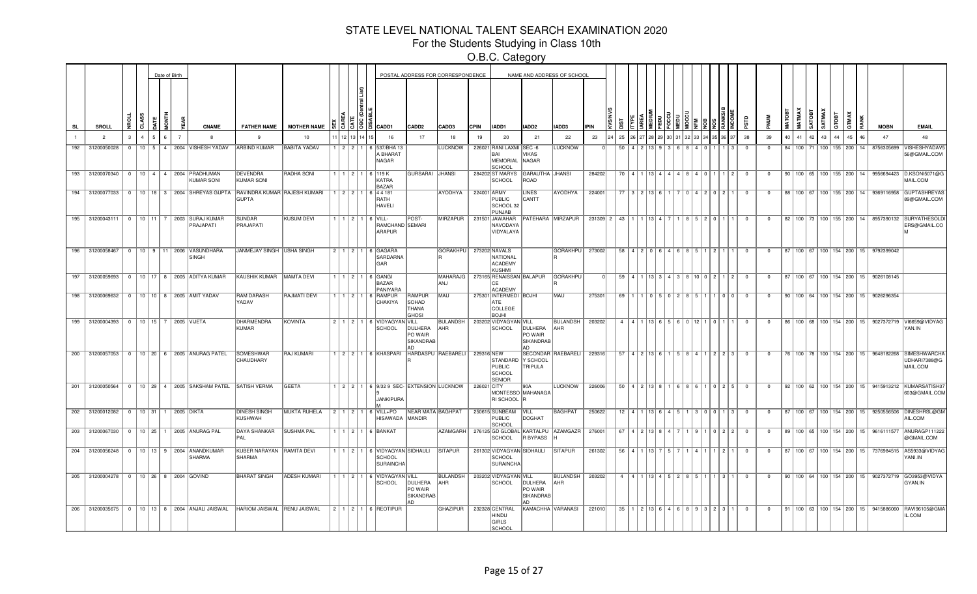For the Students Studying in Class 10th

|           |                 |                                             |   |              |   | Date of Birth |                                                                          |                                              |                     |         |      |                                                                    |                                                     | POSTAL ADDRESS FOR CORRESPONDENCE |             |                                                                      |                                        | NAME AND ADDRESS OF SCHOOL         |             |                         |                                                        |        |    |                   |                         |                |              |               |        |                                 |                |                                      |      |                                                   |                                                                                   |
|-----------|-----------------|---------------------------------------------|---|--------------|---|---------------|--------------------------------------------------------------------------|----------------------------------------------|---------------------|---------|------|--------------------------------------------------------------------|-----------------------------------------------------|-----------------------------------|-------------|----------------------------------------------------------------------|----------------------------------------|------------------------------------|-------------|-------------------------|--------------------------------------------------------|--------|----|-------------------|-------------------------|----------------|--------------|---------------|--------|---------------------------------|----------------|--------------------------------------|------|---------------------------------------------------|-----------------------------------------------------------------------------------|
| <b>SL</b> | SROLL           |                                             | š | R            |   |               | <b>CNAME</b>                                                             | <b>FATHER NAME</b>                           | <b>MOTHER NAME</b>  |         | e la | CADD1                                                              | CADD <sub>2</sub>                                   | CADD3                             | <b>CPIN</b> | IADD1                                                                | IADD2                                  | <b>ADD3</b>                        | <b>IPIN</b> |                         |                                                        |        |    |                   | аś                      | <b>MUN</b>     | <b>MATOB</b> | <b>MATMAX</b> | SATOBT | SATMAX                          | GTOBT<br>GTMAX |                                      | RANK | <b>MOBN</b>                                       | <b>EMAIL</b>                                                                      |
|           | $\overline{2}$  |                                             | 3 | $\mathbf{A}$ | 5 |               |                                                                          | $\mathbf{q}$                                 | 10                  |         |      | 16                                                                 | 17                                                  | 18                                | 19          | 20                                                                   | 21                                     | 22                                 | 23          | 25                      |                                                        |        |    |                   | 38                      | 39             | 40           | 41            | 42     | 43                              | 44             | 45                                   |      | 47                                                | 48                                                                                |
| 192       | 31200050028     |                                             |   |              |   |               | 0   10   5   4   2004   VISHESH YADAV                                    | <b>ARBIND KUMAR</b>                          | <b>BABITA YADAV</b> |         |      | 1 2 2 1 6 537/BHA 13<br>A BHARAT<br>NAGAR                          |                                                     | LUCKNOW                           |             | 226021 RANI LAXMI SEC -6<br>RAI<br><b>MEMORIAL</b><br><b>CHOO</b>    | VIKAS<br>NAGAR                         | <b>LUCKNOW</b>                     |             | 50                      |                                                        |        |    |                   | $\overline{0}$          | $\overline{0}$ |              |               |        |                                 |                |                                      |      | 84   100   71   100   155   200   14   8756305699 | VISHESHYADAV!<br>56@GMAIL.COM                                                     |
|           |                 |                                             |   |              |   |               | 193 31200070340   0   10   4   4   2004   PRADHUMAN<br><b>KUMAR SONI</b> | DEVENDRA<br><b>KUMAR SONI</b>                | RADHA SONI          |         |      | 1 1 2 1 1 6 119 K<br>KATRA<br><b>BAZAR</b>                         | GURSARAI JHANSI                                     |                                   |             | 284202 ST MARYS<br><b>SCHOOL</b>                                     | GARAUTHA JHANSI<br>ROAD                |                                    | 284202      |                         | 70   4   1   13   4   4   4   8   4   0   1   1   2    |        |    |                   | $\overline{\mathbf{0}}$ | $\mathbf 0$    |              |               |        |                                 |                |                                      |      | 90   100   65   100   155   200   14   9956694423 | D.KSONI5071@G<br>MAIL.COM                                                         |
|           | 194 31200077033 |                                             |   |              |   |               | 0   10   18   3   2004   SHREYAS GUPTA                                   | RAVINDRA KUMAR RAJESH KUMARI<br><b>GUPTA</b> |                     | 1 2 2 1 |      | 6 4 4 1 8 1<br>RATH<br><b>HAVELI</b>                               |                                                     | AYODHYA                           |             | 224001 ARMY<br>PUBLIC<br>SCHOOL 32<br>PUNJAB                         | LINES<br>CANTT                         | AYODHYA                            | 224001      |                         | 77   3   2   13   6   1                                |        |    | 7 0 4 2 0 2       | $\overline{\mathbf{0}}$ | $\overline{0}$ |              |               |        |                                 |                | 88   100   67   100   155   200   14 |      | 9369116958                                        | <b>GUPTASHREYAS</b><br>89@GMAIL.COM                                               |
|           | 195 31200043111 |                                             |   |              |   |               | 0   10   11   7   2003   SURAJ KUMAF<br>PRAJAPATI                        | <b>SUNDAR</b><br>PRAJAPATI                   | <b>KUSUM DEVI</b>   |         |      | $1$ $1$ $1$ $2$ $1$ $1$ $6$ $ $ VILL-<br>RAMCHAND SEMARI<br>ARAPUR | POST-                                               | MIRZAPUR                          |             | 231501 JAWAHAR<br>NAVODAYA<br>VIDYALAYA                              |                                        | PATEHARA MIRZAPUR                  |             | 231309 2 43 1 1 1 3 4 7 |                                                        |        |    | 8 5 2 0 1         | $\Omega$                | $\Omega$       |              |               |        | 82   100   73   100   155   200 |                |                                      | 14   | 8957390132                                        | <b>SURYATHESOLD</b><br>ERS@GMAIL.CO                                               |
|           | 196 31200058467 |                                             |   |              |   |               | 0   10   9   11   2006   VASUNDHARA<br><b>SINGH</b>                      | JANMEJAY SINGH   USHA SINGH                  |                     |         |      | 2   1   2   1   6   GAGARA<br>SARDARNA<br>GAR                      |                                                     | GORAKHPU   273202 NAVALS          |             | NATIONAL<br><b>ACADEMY</b><br><b>WSHMI</b>                           |                                        | GORAKHPU <sup> </sup>              | 273002      |                         | 58 4 2 0 6 4 6 8 5 1 2 1                               |        |    |                   | $\overline{0}$          | $\overline{0}$ |              |               |        |                                 |                |                                      |      | 87   100   67   100   154   200   15   9792399042 |                                                                                   |
| 197       |                 | 31200059693                                 |   |              |   |               | 0   10   17   8   2005   ADITYA KUMAR                                    | KAUSHIK KUMAR   MAMTA DEVI                   |                     |         |      | 1   2   1   6   GANGI<br><b>BAZAR</b><br>PANIYARA                  |                                                     | MAHARAJG  <br>ANJ                 |             | 273165 RENAISSAN BALAPUR<br>CF<br><b>ACADEMY</b>                     |                                        | <b>GORAKHPU</b>                    |             |                         | $59$   4   1   13   3   4   3   8   10   0   2   1   2 |        |    |                   | $\overline{0}$          | $\mathbf 0$    |              |               |        |                                 |                | 87   100   67   100   154   200   15 |      | 9026108145                                        |                                                                                   |
|           |                 |                                             |   |              |   |               | 198 31200069632   0   10   10   8   2005   AMIT YADAV                    | RAM DARASH<br>YADAV                          | RAJMATI DEVI        |         |      | 1   1   2   1   6   RAMPUR<br>CHAKIYA                              | RAMPUR<br>SOHAD<br><b>THANA</b><br><b>GHOSI</b>     | <b>MAU</b>                        |             | 275301 INTERMEDI BOJHI<br>ATE<br>COLLEGE<br><b>BOJHI</b>             |                                        | <b>MAU</b>                         | 275301      | 69                      |                                                        | 502851 |    | 11010             | $\overline{0}$          | $\overline{0}$ |              |               |        |                                 |                |                                      |      | 90   100   64   100   154   200   15   9026296354 |                                                                                   |
| 199       |                 | 31200004393                                 |   |              |   |               | 0   10   15   7   2005   VIJETA                                          | DHARMENDRA<br><b>KUMAR</b>                   | KOVINTA             |         |      | 2 1 2 1 6 VIDYAGYAN VILL<br>SCHOOL                                 | DULHERA<br>PO WAIR<br><b>SIKANDRAB</b><br><b>AD</b> | <b>BULANDSH</b><br>AHR            |             | 203202 VIDYAGYAN VILL<br><b>SCHOOL</b>                               | DULHERA<br>PO WAIR<br>SIKANDRAB<br>AD  | <b>BULANDSH</b><br>AHR             | 203202      | $\overline{a}$          | 4   1   13   6   5   6   0   12   1   0   1            |        |    |                   | $\overline{0}$          | $^{\circ}$     |              |               |        |                                 |                |                                      |      |                                                   | 86   100   68   100   154   200   15   9027372719   VI6659@VIDYAG<br>YAN.IN       |
|           | 200 31200057053 |                                             |   |              |   |               | 0   10   20   6   2005   ANURAG PATEL                                    | SOMESHWAR<br><b>CHAUDHARY</b>                | <b>RAJ KUMARI</b>   |         |      | 1 2 2 1 6 KHASPARI HARDASPU RAEBARELI 229316 NEW                   |                                                     |                                   |             | STANDARD Y SCHOOL<br><b>PUBLIC</b><br><b>SCHOOL</b><br><b>SENIOR</b> | TRIPULA                                | SECONDAR RAEBARELI                 | 229316      |                         | 57   4   2   13   6   1   5   8   4   1   2   2   3    |        |    |                   | $\Omega$                | $\Omega$       |              |               |        |                                 |                |                                      |      | 76   100   78   100   154   200   15   9648182268 | SIMESHWARCHA<br>UDHARI7388@G<br>MAIL.COM                                          |
|           |                 |                                             |   |              |   |               | 201 31200050564 0 10 29 4 2005 SAKSHAM PATEL SATISH VERMA                |                                              | <b>GEETA</b>        |         |      | 1 2 2 1 6 9/32 9 SEC- EXTENSION LUCKNOW<br><b>JANKIPURA</b>        |                                                     |                                   | 226021 CITY | RI SCHOOL                                                            | 90A<br>MONTESSO MAHANAGA               | LUCKNOW                            | 226006      |                         | 50   4   2   13   8   1   6   8   6   1   0   2   5    |        |    |                   | $\overline{0}$          | $\overline{0}$ |              |               |        |                                 |                |                                      |      |                                                   | 92   100   62   100   154   200   15   9415913212   KUMARSATISH3<br>603@GMAIL.COM |
|           | 202 31200012082 |                                             |   |              |   |               | 0   10   31   1   2005   DIKTA                                           | <b>DINESH SINGH</b><br>KUSHWAH               | MUKTA RUHELA        |         |      | $2$ 1 $2$ 1 $6$ VILL+PO<br>HISAWADA   MANDIR                       | NEAR MATA BAGHPAT                                   |                                   |             | 250615 SUNBEAM<br><b>PUBLIC</b><br><b>SCHOOL</b>                     | VILL<br><b>DOGHAT</b>                  | <b>BAGHPAT</b>                     | 250622      |                         | $12$   4   1   13   6   4   5   1   3   0   0   1   3  |        |    |                   | $\overline{0}$          | $^{\circ}$     |              |               |        |                                 |                | 87   100   67   100   154   200   15 |      | 9250556506                                        | <b>DINESHRSL@GM</b><br>AIL.COM                                                    |
|           |                 |                                             |   |              |   |               | 203 31200067030 0 10 25 1 2005 ANURAG PAL                                | DAYA SHANKAR<br>PAL                          | <b>SUSHMA PAL</b>   |         |      | 1   1   2   1   6   BANKAT                                         |                                                     | AZAMGARH                          |             | <b>SCHOOL</b>                                                        | R BYPASS                               | 276125 GD GLOBAL KARTALPU AZAMGAZR | 276001      |                         | 67   4   2   13   8   4                                |        |    | 9   1   0   2   2 | $\overline{\mathbf{0}}$ | $^{\circ}$     |              |               |        |                                 |                |                                      |      | 89   100   65   100   154   200   15   9616111577 | ANURAGP111222<br>@GMAIL.COM                                                       |
| 204       |                 |                                             |   |              |   |               | 31200056248   0   10   13   9   2004   ANANDKUMAR<br>SHARMA              | KUBER NARAYAN   RAMITA DEVI<br><b>SHARMA</b> |                     |         |      | 1   1   2   1   6   VIDYAGYAN SIDHAULI<br>SCHOOL<br>SURAINCHA      |                                                     | SITAPUR                           |             | 261302 VIDYAGYAN SIDHAULI<br><b>SCHOOL</b><br>SURAINCHA              |                                        | SITAPUR                            | 261302      | 56                      |                                                        |        |    | $\mathsf{L}$      | $\Omega$                | $\Omega$       |              |               |        | 87   100   67   100   154   200 |                |                                      | 15   |                                                   | 7376984515 AS5933@VIDYAG<br>YANI.IN                                               |
| 205       |                 | 31200004278   0   10   26   8   2004 GOVIND |   |              |   |               |                                                                          | <b>BHARAT SINGH</b>                          | <b>ADESH KUMARI</b> |         |      | 1   1   2   1   6   VIDYAGYAN   VILL<br>SCHOOL                     | DULHERA<br>PO WAIR<br>SIKANDRAB<br>lad.             | <b>BULANDSH</b><br>AHR            |             | 203202 VIDYAGYAN VILL<br><b>SCHOOL</b>                               | DULHERA<br>PO WAIR<br><b>SIKANDRAB</b> | BULANDSH<br>AHR                    | 203202      | $\overline{4}$          | 4 1 1 1 1 4 5 2                                        |        | 85 | $1 \mid 3$        | $\overline{0}$          | $^{\circ}$     |              |               |        | 90   100   64   100   154   200 |                |                                      | 15   | 9027372719                                        | GO3953@VIDYA<br> GYAN.IN                                                          |
|           |                 |                                             |   |              |   |               | 206 31200035675 0 10 13 8 2004 ANJALI JAISWAL                            | HARIOM JAISWAL RENU JAISWAL                  |                     |         |      | 2 1 2 1 6 REOTIPUR                                                 |                                                     | <b>GHAZIPUR</b>                   |             | 232328 CENTRAL<br><b>HINDU</b><br>GIRLS<br>SCHOOL                    |                                        | KAMACHHA VARANASI                  | 221010      | 35                      | 1 1 2 13 6 4 6                                         |        |    | 3 2 3             | $^{\circ}$              | $^{\circ}$     |              |               |        |                                 |                |                                      |      |                                                   | 91   100   63   100   154   200   15   9415886060   RAVI96105@GMA<br>IL.COM       |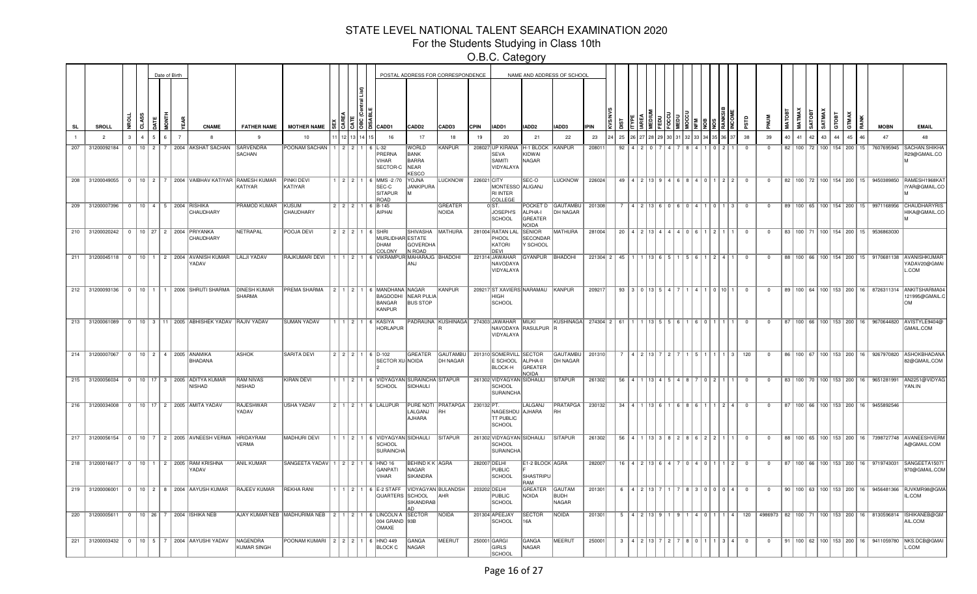For the Students Studying in Class 10th

|     |                                                 |          |                |          | Date of Birth |                |                                                                            |                                   |                                                                     |         |  |                                                                     |                                                              | POSTAL ADDRESS FOR CORRESPONDENCE       |              |                                                                         |                                       | NAME AND ADDRESS OF SCHOOL             |             |                 |                         |                     |                |             |                               |                |                         |    |    |    |              |    |                       |                                                   |                                                                                                  |
|-----|-------------------------------------------------|----------|----------------|----------|---------------|----------------|----------------------------------------------------------------------------|-----------------------------------|---------------------------------------------------------------------|---------|--|---------------------------------------------------------------------|--------------------------------------------------------------|-----------------------------------------|--------------|-------------------------------------------------------------------------|---------------------------------------|----------------------------------------|-------------|-----------------|-------------------------|---------------------|----------------|-------------|-------------------------------|----------------|-------------------------|----|----|----|--------------|----|-----------------------|---------------------------------------------------|--------------------------------------------------------------------------------------------------|
| SL  | <b>SROLL</b>                                    |          | 4SS<br>ਰੋ      |          | 통             |                | <b>CNAME</b>                                                               | <b>FATHER NAME</b>                | <b>MOTHER NAME</b>                                                  |         |  |                                                                     | CADD <sub>2</sub>                                            | CADD3                                   | <b>CPIN</b>  | IADD1                                                                   | IADD <sub>2</sub>                     | IADD3                                  | <b>IPIN</b> |                 |                         |                     |                |             |                               |                |                         |    |    |    | <b>SATMA</b> |    |                       | <b>MOBN</b>                                       | <b>EMAIL</b>                                                                                     |
|     | $\overline{2}$                                  |          | $\overline{A}$ | 5        | 6.            | $\overline{7}$ |                                                                            | -9                                | 10                                                                  |         |  | 16                                                                  | 17                                                           | 18                                      | 19           | 20                                                                      | 21                                    | 22                                     | 23          | 25              |                         |                     |                |             |                               | 38             | 39                      | 40 | 41 | 42 | 43           | 44 | 45<br>46              | 47                                                | 48                                                                                               |
| 207 | 31200092184                                     | $\Omega$ |                | $10$ 2 7 |               |                | 2004 AKSHAT SACHAN                                                         | SARVENDRA<br>SACHAN               | POONAM SACHAN   1   2   2   1   6   L-32                            |         |  | PRERNA<br><b>VIHAR</b><br>SECTOR-C                                  | <b>WORLD</b><br>BANK<br><b>BARRA</b><br>NEAR<br><b>KESCC</b> | KANPUR                                  |              | 208027 UP KIRANA H-1 BLOCK KANPUR<br><b>SEVA</b><br>SAMITI<br>VIDYALAYA | KIDWAI<br>NAGAR                       |                                        | 208011      | 92              |                         |                     |                |             |                               | $\Omega$       | $\Omega$                | 82 |    |    |              |    | 100 72 100 154 200 15 | 7607695945                                        | <b>SACHAN SHIKH</b><br>R29@GMAIL.CO                                                              |
|     |                                                 |          |                |          |               |                | 208 31200049055 0 10 2 7 2004 VAIBHAV KATIYAR RAMESH KUMAR                 | KATIYAR                           | <b>PINKI DEVI</b><br>KATIYAR                                        |         |  | $1$   2   2   1   6   MMS -2 /70<br>SEC-C<br><b>SITAPUR</b><br>ROAD | <b>YOJNA</b><br><b>JANKIPURA</b>                             | LUCKNOW   226021 CITY                   |              | MONTESSO ALIGANJ<br>RI INTER<br>COLLEGE                                 | SEC-O                                 | LUCKNOW                                | 226024      |                 | 49   4   2   13   9     |                     |                |             | 4   6   8   4   0   1   2   2 | $\overline{0}$ | $\overline{0}$          |    |    |    |              |    |                       |                                                   | 82   100   72   100   154   200   15   9450389850  RAMESH1968KA`<br>IYAR@GMAIL.CO                |
|     | 209 31200007396 0 10 4 5 2004 RISHIKA           |          |                |          |               |                | CHAUDHARY                                                                  | PRAMOD KUMAR KUSUM                | CHAUDHARY                                                           |         |  | $2$   2   2   1   6   B-145<br>AIPHAI                               |                                                              | GREATER<br><b>NOIDA</b>                 |              | $0$ ST.<br>JOSEPH'S<br>SCHOOL                                           | ALPHA-I<br>GREATER<br><b>NOIDA</b>    | POCKET D GAUTAMBU   201308<br>DH NAGAR |             |                 |                         |                     |                | 604         | $\overline{3}$<br>1011        | $\overline{0}$ | $\overline{0}$          |    |    |    |              |    |                       |                                                   | 89   100   65   100   154   200   15   9971168956   CHAUDHARYRIS<br>HIKA@GMAIL.CO                |
|     | 210 31200020242 0 10 27 2 2004 PRIYANKA         |          |                |          |               |                | CHAUDHARY                                                                  | NETRAPAL                          | POOJA DEVI                                                          |         |  | $222116$ SHRI<br>MURLIDHAR ESTATE<br><b>DHAM</b><br><b>COLONY</b>   | <b>SHIVASHA</b><br><b>GOVERDHA</b><br>N ROAD                 | <b>MATHURA</b>                          |              | 281004 RATAN LAL<br>PHOOL<br>KATORI<br>DEVI                             | <b>SENIOR</b><br>SECONDAR<br>Y SCHOOL | <b>MATHURA</b>                         | 281004      | 20 <sup>1</sup> |                         |                     |                | 4 I O I     |                               | $^{\circ}$     | $\overline{0}$          |    |    |    |              |    |                       | 83 100 71 100 154 200 15 9536863030               |                                                                                                  |
|     |                                                 |          |                |          |               |                | 211 31200045118   0   10   1   2   2004 AVANISH KUMAR LALJI YADAV<br>YADAV |                                   | RAJKUMARI DEVI                                                      |         |  | 1 1 2 1 6 VIKRAMPUR MAHARAJG BHADOHI                                | ANJ                                                          |                                         |              | 221314 JAWAHAR<br>NAVODAYA<br>VIDYALAYA                                 | GYANPUR                               | BHADOHI                                | 221304 2 45 |                 |                         |                     |                | l 5 I       | $24$                          | $^{\circ}$     | $\mathbf{0}$            |    |    |    |              |    |                       |                                                   | 88   100   66   100   154   200   15   9170681138   AVANISHKUMAR<br>YADAV20@GMAI<br>L.COM        |
|     |                                                 |          |                |          |               |                | 212   31200093136   0   10   1   1   2006   SHRUTI SHARMA   DINESH KUMAR   | SHARMA                            | <b>PREMA SHARMA</b>                                                 | 1211211 |  | 6 MANDHANA NAGAR<br>BAGDODHI<br>BANGAR<br>KANPUR                    | <b>NEAR PULIA</b><br><b>BUS STOP</b>                         | KANPUR                                  |              | 209217 ST XAVIERS NARAMAU KANPUR<br><b>HIGH</b><br>SCHOOL               |                                       |                                        | 209217      |                 | $93 \mid 3 \mid 0 \mid$ |                     | 1315           |             | I 0 I 10 I 1                  | $\overline{0}$ | $^{\circ}$              |    |    |    |              |    |                       |                                                   | 89   100   64   100   153   200   16   8726311314   ANKITSHARMA04<br>121995@GMAIL.0<br><b>OM</b> |
|     |                                                 |          |                |          |               |                | 213 31200061089 0 10 3 11 2005 ABHISHEK YADAV RAJIV YADAV                  |                                   | <b>SUMAN YADAV</b>                                                  |         |  | 1   2   1   6   KASIYA<br><b>HORLAPUR</b>                           |                                                              | PADRAUNA KUSHINAGA 274303 JAWAHAR MILKI |              | NAVODAYA RASULPUR<br>VIDYALAYA                                          |                                       | KUSHINAGA                              | 274304 2 61 |                 |                         |                     |                |             |                               | $^{\circ}$     | $^{\circ}$              |    |    |    |              |    |                       |                                                   | 87   100   66   100   153   200   16   9670644820   AVISTYLE9404@<br>GMAIL.COM                   |
|     | 214 31200007067   0   10   2   4   2005 ANAMIKA |          |                |          |               |                | <b>BHADANA</b>                                                             | <b>ASHOK</b>                      | SARITA DEVI                                                         |         |  | 2 2 2 1 6 D-102<br>SECTOR XU-NOIDA                                  | GREATER                                                      | GAUTAMBU<br>DH NAGAR                    |              | 201310 SOMERVILL SECTOR<br>E SCHOOL<br><b>BLOCK-H</b>                   | ALPHA-II<br>GREATER<br><b>NOIDA</b>   | GAUTAMBU<br>DH NAGAR                   | 201310      |                 |                         | $13$ $\overline{7}$ |                |             | 3                             | 120            | $\overline{0}$          |    |    |    |              |    |                       | 86   100   67   100   153   200   16   9267970820 | <b>ASHOKBHADAN</b><br>82@GMAIL.COM                                                               |
|     |                                                 |          |                |          |               |                | 215 31200056034 0 10 17 3 2005 ADITYA KUMAR<br><b>NISHAD</b>               | <b>RAM NIVAS</b><br><b>NISHAD</b> | KIRAN DEVI                                                          |         |  | 1   2   1   6   VIDYAGYAN   SURAINCHA   SITAPUR<br>SCHOOL           | SIDHAULI                                                     |                                         |              | 261302 VIDYAGYAN SIDHAULI<br>SCHOOL<br>SURAINCHA                        |                                       | <b>SITAPUR</b>                         | 261302      |                 | $56$   4                |                     |                |             |                               | $^{\circ}$     | $\overline{\mathbf{0}}$ |    |    |    |              |    |                       | 83   100   70   100   153   200   16   9651281991 | AN2251@VIDYAG<br>YAN.IN                                                                          |
|     |                                                 |          |                |          |               |                | 216 31200034008 0 10 17 2 2005 AMITA YADAV                                 | RAJESHWAR<br>YADAV                | USHA YADAV                                                          |         |  | 2 1 2 1 6 LALUPUR                                                   | <b>PURE NOTI</b><br>LALGANJ<br>AJHARA                        | PRATAPGA   230132 PT.<br>RH             |              | NAGESHDU<br><b>TT PUBLIC</b><br>SCHOOL                                  | LALGANJ<br>AJHARA                     | PRATAPGA 230132<br>RH                  |             |                 | $34$ $4$                |                     |                |             | $2$ $4$                       | $\Omega$       | $\Omega$                |    |    |    |              |    |                       | 87   100   66   100   153   200   16   9455892546 |                                                                                                  |
|     |                                                 |          |                |          |               |                | 217 31200056154 0 10 7 2 2005 AVNEESH VERMA                                | HRIDAYRAM<br>VERMA                | MADHURI DEVI                                                        |         |  | 1   2   1   6   VIDYAGYAN SIDHAULI<br>SCHOOL<br><b>SURAINCHA</b>    |                                                              | <b>SITAPUR</b>                          |              | 261302 VIDYAGYAN SIDHAULI<br>SCHOOL<br>SURAINCHA                        |                                       | <b>SITAPUR</b>                         | 261302      | 56 <sup>1</sup> |                         |                     | 13 $\vert$ 3   | 2 8 6 2 2 1 |                               | $\Omega$       | $\Omega$                |    |    |    |              |    |                       |                                                   | 88   100   65   100   153   200   16   7398727748   AVANEESHVERM<br>A@GMAIL.COM                  |
|     |                                                 |          |                |          |               |                | 218 31200016617   0   10   1   2   2005   RAM KRISHNA<br>YADAV             | <b>ANIL KUMAR</b>                 | SANGEETA YADAV   1   2   2   1   6   HNO 16                         |         |  | <b>GANPATI</b><br>VIHAR                                             | <b>BEHIND K K AGRA</b><br>NAGAR<br><b>SIKANDRA</b>           |                                         | 282007 DELHI | PUBLIC<br>SCHOOL                                                        | E1-2 BLOCK AGRA<br>SHASTRIPU<br>RAM   |                                        | 282007      |                 | $16$   4                |                     |                |             | $\vert$ 2                     | $\Omega$       | $^{\circ}$              |    |    |    |              |    |                       | 87   100   66   100   153   200   16   9719743031 | SANGEETA1507<br>970@GMAIL.COM                                                                    |
|     |                                                 |          |                |          |               |                | 219 31200006001 0 10 2 8 2004 AAYUSH KUMAR RAJEEV KUMAR                    |                                   | <b>REKHA RANI</b>                                                   |         |  | 1   1   2   1   6   E-2 STAFF<br>QUARTERS SCHOOL                    | SIKANDRAB                                                    | VIDYAGYAN BULANDSH<br>AHR               | 203202 DELHI | PUBLIC<br>SCHOOL                                                        | GREATER<br>NOIDA                      | <b>GAUTAM</b><br>BUDH<br><b>NAGAR</b>  | 201301      | 6               |                         |                     |                |             | 8 3 0 0 0 0 1 4 1             | $\overline{0}$ | $^{\circ}$              |    |    |    |              |    |                       |                                                   | 90   100   63   100   153   200   16   9456481366   RJVKMR98@GMA<br>IL.COM                       |
|     | 220 31200005611 0 10 26 7 2004 SHIKA NEB        |          |                |          |               |                |                                                                            |                                   | AJAY KUMAR NEB MADHURIMA NEB   2   1   2   1   6   LINCOLN A SECTOR |         |  | 004 GRAND 93B<br>OMAXE                                              |                                                              | NOIDA                                   |              | 201304 APEEJAY<br>SCHOOL                                                | <b>SECTOR</b><br>16A                  | NOIDA                                  | 201301      | .5              |                         |                     |                |             | 1   4   0   1   1   4         | 120            |                         |    |    |    |              |    |                       |                                                   | 4986973 82 100 71 100 153 200 16 8130596814 ISHIKANEB@GM<br>AIL.COM                              |
|     |                                                 |          |                |          |               |                | 221 31200003432 0 10 5 7 2004 AAYUSHI YADAV                                | NAGENDRA<br><b>KUMAR SINGH</b>    | POONAM KUMARI $2 \mid 2 \mid 2 \mid 1 \mid 6$ HNO 449               |         |  | <b>BLOCK C</b>                                                      | GANGA<br>NAGAR                                               | MEERUT                                  |              | 250001 GARGI<br>GIRLS<br>SCHOOL                                         | <b>GANGA</b><br>NAGAR                 | MEERUT                                 | 250001      |                 | 3   4   2   13   7      |                     | $\overline{2}$ | 780         | $1 \mid 3 \mid 4 \mid$        | $\overline{0}$ | $\overline{0}$          |    |    |    |              |    |                       |                                                   | 91   100   62   100   153   200   16   9411059780  NKS.DCB@GMAI<br>L.COM                         |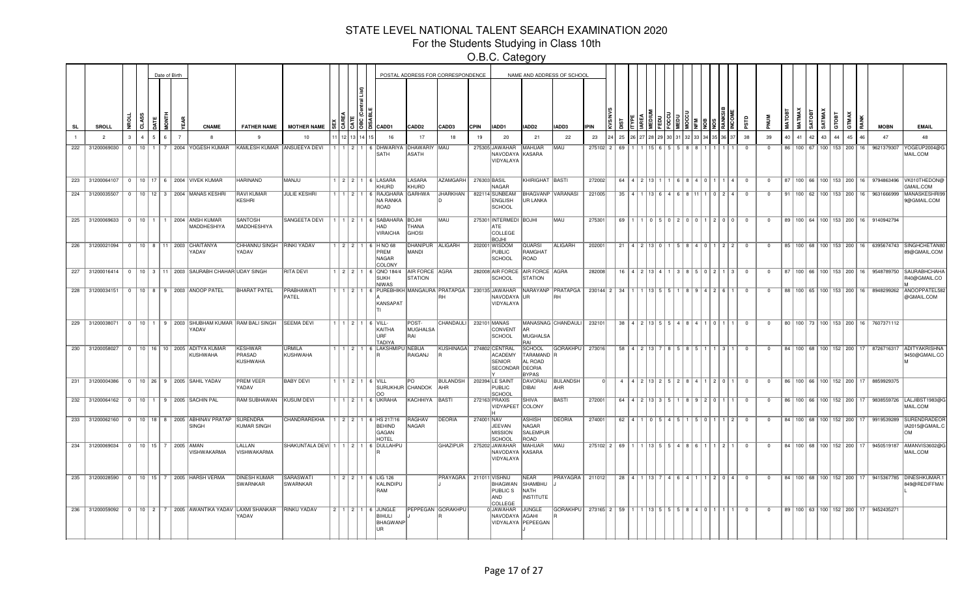For the Students Studying in Class 10th

|           |                                          |                           |  | Date of Birth  |                                                                           |                                        |                                    |  |                                                                   |                                       | POSTAL ADDRESS FOR CORRESPONDENCE |              |                                                          |                                                 | NAME AND ADDRESS OF SCHOOL                                                           |             |    |                              |                                                |  |                                                                                   |                                                         |                |                         |    |               |                                      |                 |              |    |                                                   |                                                                                    |
|-----------|------------------------------------------|---------------------------|--|----------------|---------------------------------------------------------------------------|----------------------------------------|------------------------------------|--|-------------------------------------------------------------------|---------------------------------------|-----------------------------------|--------------|----------------------------------------------------------|-------------------------------------------------|--------------------------------------------------------------------------------------|-------------|----|------------------------------|------------------------------------------------|--|-----------------------------------------------------------------------------------|---------------------------------------------------------|----------------|-------------------------|----|---------------|--------------------------------------|-----------------|--------------|----|---------------------------------------------------|------------------------------------------------------------------------------------|
| <b>SL</b> | <b>SROLL</b>                             | a.                        |  |                | <b>CNAME</b>                                                              | <b>FATHER NAME</b>                     | <b>MOTHER NAME</b>                 |  | CADD1                                                             | CADD <sub>2</sub>                     | CADD3                             | <b>CPIN</b>  | IADD1                                                    | IADD <sub>2</sub>                               | <b>IADD3</b>                                                                         | <b>IPIN</b> |    |                              |                                                |  |                                                                                   |                                                         | δņ             |                         |    |               |                                      | GTOBT           | <b>GITMA</b> |    | <b>MOBN</b>                                       | <b>EMAIL</b>                                                                       |
|           | $\overline{2}$                           |                           |  | $\overline{7}$ |                                                                           |                                        | 10                                 |  | 16                                                                | 17                                    | 18                                | 19           | 20                                                       | 21                                              | 22                                                                                   | 23          | 25 |                              |                                                |  |                                                                                   |                                                         | 38             | 39                      | 40 | 41            | 42<br>43                             | 44              | 45           |    | 47                                                | 48                                                                                 |
| 222       | 31200069030                              | $\cap$<br>10 <sup>1</sup> |  |                | 2004 YOGESH KUMAR                                                         | KAMLESH KUMAR ANSUEEYA DEVI            |                                    |  | 1 2 1 6 DHWARIYA<br>SATH                                          | <b>DHAWARIY</b><br>ASATH              | MAU                               |              | 275305 JAWAHAR<br>NAVODAYA<br>VIDYALAYA                  | <b>MAHUAR</b><br>KASARA                         | MAU                                                                                  | 275102 2    | 69 |                              |                                                |  |                                                                                   |                                                         |                | $\Omega$                |    | 86   100   67 |                                      | 100   153   200 |              | 16 | 9621379307                                        | YOGEUP2004@G<br>MAIL.COM                                                           |
|           |                                          |                           |  |                | 223 31200064107   0   10   17   6   2004   VIVEK KUMAR                    | <b>HARINAND</b>                        | MANJU                              |  | 1 2 2 1 6 LASARA<br>KHURD                                         | LASARA<br>KHURD                       | AZAMGARH                          | 276303 BASIL | <b>NAGAR</b>                                             | KHIRIGHAT BASTI                                 |                                                                                      | 272002      |    | $64$   4   2   13   1        |                                                |  | 1 6 8 4 0 1                                                                       | $1$   4                                                 | $\overline{0}$ | $\overline{\mathbf{0}}$ |    |               | 87   100   66   100   153   200   16 |                 |              |    | 9794863496                                        | VK010THEDONG<br>GMAIL.COM                                                          |
|           |                                          |                           |  |                | 224 31200035507   0   10   12   3   2004   MANAS KESHRI                   | <b>RAVI KUMAR</b><br>KESHRI            | JULIE KESHRI                       |  | 1   1   2   1   6   RAJGHARA<br>NA RANKA<br>ROAD                  | <b>GARHWA</b>                         | JHARKHAN                          |              | 822114 SUNBEAM<br><b>ENGLISH</b><br><b>SCHOOL</b>        | <b>BHAGVANP</b><br>UR LANKA                     | VARANASI                                                                             | 221005      |    |                              |                                                |  |                                                                                   | 35   4   1   13   6   4   6   8   11   1   0   2   4    |                | $^{\circ}$              |    |               | 91   100   62   100   153   200   16 |                 |              |    | 9631666999                                        | MANASKESHRIS<br>9@GMAIL.COM                                                        |
|           |                                          |                           |  |                | 225 31200069633   0   10   1   1   2004 ANSH KUMAR<br>MADDHESHIYA         | <b>SANTOSH</b><br>MADDHESHIYA          | <b>SANGEETA DEVI</b>               |  | 1   1   2   1   6   SABAHARA<br>HAD<br><b>VIRAICHA</b>            | <b>BOJHI</b><br>THANA<br><b>GHOSI</b> | <b>MAU</b>                        |              | 275301 INTERMEDI BOJHI<br>ATE<br>COLLEGE<br><b>BOJHI</b> |                                                 | MAU                                                                                  | 275301      | 69 |                              |                                                |  |                                                                                   | 1105102101011210101                                     | $^{\circ}$     | $^{\circ}$              |    |               |                                      |                 |              |    | 89   100   64   100   153   200   16   9140942794 |                                                                                    |
|           | 226 31200021094 0 10 8 11 2003 CHAITANYA |                           |  |                | YADAV                                                                     | CHHANNU SINGH<br>YADAV                 | <b>RINKI YADAV</b>                 |  | $1$   2   2   1   6   HNO 68<br>PREM<br><b>NAGAR</b><br>COLONY    | DHANIPUR<br>MANDI                     | ALIGARH                           |              | 202001 WISDOM<br><b>PUBLIC</b><br>SCHOOL                 | <b>QUARSI</b><br>RAMGHAT<br>ROAD                | ALIGARH                                                                              | 202001      | 21 |                              | 4   2   13   0                                 |  | 1 5 8 4 0                                                                         | 2   2                                                   | $^{\circ}$     | $\Omega$                |    |               |                                      |                 |              |    |                                                   | 85   100   68   100   153   200   16   6395674743   SINGHCHETAN8<br>89@GMAIL.COM   |
|           |                                          |                           |  |                | 227 31200016414 0 10 3 11 2003 SAURABH CHAHAR UDAY SINGH                  |                                        | <b>RITA DEVI</b>                   |  | 1 2 2 1 6 QNO 184/4<br><b>SUKH</b><br><b>NIWAS</b>                | AIR FORCE AGRA<br><b>STATION</b>      |                                   |              | 282008 AIR FORCE<br><b>SCHOOL</b>                        | AIR FORCE AGRA<br><b>STATION</b>                |                                                                                      | 282008      |    | 16 4 2 13 4                  |                                                |  | 11318151012                                                                       | l 3 L                                                   | $\overline{0}$ | $\Omega$                |    |               |                                      |                 |              |    |                                                   | 87   100   66   100   153   200   16   9548789750 SAURABHCHAH<br>R40@GMAIL.CO      |
|           |                                          |                           |  |                | 228 31200034151 0 10 8 9 2003 ANOOP PATEL                                 | <b>BHARAT PATEL</b>                    | PRABHAWATI<br>PATEL                |  | 1   1   2   1   6   PUREBHIKH   MANGAURA   PRATAPGA  <br>KANSAPAT |                                       |                                   |              | 230135 JAWAHAR<br>NAVODAYA<br>VIDYALAYA                  | IUR.                                            | NARAYANP PRATAPGA   230144   2   34   1   1   13   5   5   1   8   9   4   2   6   1 |             |    |                              |                                                |  |                                                                                   |                                                         | $\Omega$       | $\Omega$                |    |               |                                      |                 |              |    |                                                   | 88   100   65   100   153   200   16   8948299262   ANOOPPATEL58<br>@GMAIL.COM     |
|           | 229 31200038071                          |                           |  |                | 0   10   1   9   2003   SHUBHAM KUMAR   RAM BALI SINGH<br>YADAV           |                                        | <b>SEEMA DEVI</b>                  |  | $1   1   2   1   6  $ VILL-<br>KAITHA<br>URF<br>TADIYA            | POST-<br>MUGHALSA<br>RAI              | CHANDAULI 232101 MANAS            |              | CONVENT<br>SCHOOL                                        | AR.<br>MUGHALSA<br>IAF                          | MANASNAG CHANDAULI                                                                   | 232101      |    |                              |                                                |  | 38 4 2 13 5 5 4 8 4 1 0                                                           |                                                         | $\overline{0}$ | $\mathbf{0}$            |    |               |                                      |                 |              |    | 80   100   73   100   153   200   16   7607371112 |                                                                                    |
|           |                                          |                           |  |                | 230 31200058027 0 10 16 10 2005 ADITYA KUMAR<br>KUSHWAHA                  | <b>KESHWAR</b><br>PRASAD<br>KUSHWAHA   | URMILA<br>KUSHWAHA                 |  | 1   1   2   1   6   LAKSHMIPU   NEBUA                             | RAIGANJ                               | KUSHINAGA 274802 CENTRAL          |              | <b>ACADEMY</b><br><b>SENIOR</b><br>SECONDAR DEORIA       | SCHOOL<br>TARAMAND R<br>AL ROAD<br><b>BYPAS</b> | GORAKHPU   273016                                                                    |             |    |                              |                                                |  | 58 4 2 13 7 8 5 8 5 1 1                                                           | 13 I 1                                                  | $^{\circ}$     | $^{\circ}$              |    |               |                                      |                 |              |    |                                                   | 84   100   68   100   152   200   17   8726716317   ADITYAKRISHNA<br>9450@GMAIL.CO |
|           |                                          |                           |  |                | 231 31200004386 0 10 26 9 2005 SAHIL YADAV                                | <b>PREM VEER</b><br>YADAV              | <b>BABY DEVI</b>                   |  | 1   1   2   1   6   VILL<br><b>SURUKHUR CHANDOK</b><br>OO         | PO                                    | <b>BULANDSH</b><br><b>AHR</b>     |              | 202394 LE SAINT<br><b>PUBLIC</b><br>SCHOOL               | DAVORAU<br>DIBAI                                | <b>BULANDSH</b><br><b>AHR</b>                                                        |             |    |                              |                                                |  |                                                                                   | 4 4 2 5 2 5 2 8 4 1 2 0 1                               | $\overline{0}$ | $\overline{0}$          |    |               |                                      |                 |              |    | 86   100   66   100   152   200   17   8859929375 |                                                                                    |
|           | 232 31200064162 0 10 1 9 2005 SACHIN PAL |                           |  |                |                                                                           | RAM SUBHAWAN                           | KUSUM DEVI                         |  | 1   1   2   1   6   UKRAHA                                        | KACHHIYA                              | BASTI                             |              | 272163 PRAXIS<br>VIDYAPEET                               | <b>SHIVA</b><br>COLONY                          | BASTI                                                                                | 272001      |    |                              |                                                |  | $64$   4   2   13   3   5   1   8   9   2   0                                     |                                                         | $\Omega$       | $\Omega$                |    |               | 86   100   66   100   152   200   17 |                 |              |    | 9838559726                                        | LALJIBST1983@C<br>MAIL.COM                                                         |
|           |                                          |                           |  |                | 233 31200062160   0   10   18   8   2005 ABHINAV PRATAP SURENDRA<br>SINGH | <b>KUMAR SINGH</b>                     | CHANDRAREKHA                       |  | 1   2   2   1   6  HS 217/16<br><b>BEHIND</b><br>GAGAN<br>HOTEL   | RAGHAV<br>NAGAR                       | <b>DEORIA</b>                     | 274001 NAV   | <b>JEEVAN</b><br><b>MISSION</b><br>SCHOOL                | <b>ASHISH</b><br>NAGAR<br>SALEMPUR<br>ROAD      | <b>DEORIA</b>                                                                        | 274001      |    | $62$   4   1   0   5   4   5 |                                                |  | 15 I O                                                                            |                                                         | $\Omega$       | $\Omega$                |    |               | 84   100   68   100   152   200   17 |                 |              |    | 9919539289                                        | SURENDRADEOR<br>IA2015@GMAIL.                                                      |
|           | 234 31200069034 0 10 15 7 2005 AMAN      |                           |  |                | VISHWAKARMA                                                               | LALLAN<br>VISHWAKARMA                  | SHAKUNTALA DEVI 1 1 2 1 6 DULLAHPU |  |                                                                   |                                       | <b>GHAZIPUR</b>                   |              | 275202 JAWAHAR<br>NAVODAYA<br>VIDYALAYA                  | <b>MAHUAR</b><br>KASARA                         | MAU                                                                                  | 275102 2 69 |    |                              | $1 \mid 1 \mid 13 \mid 5 \mid 5 \mid 4 \mid 8$ |  |                                                                                   |                                                         | $\Omega$       | $\Omega$                |    |               |                                      |                 |              |    | 84   100   68   100   152   200   17   9450519187 | AMANVIS3602@<br>MAIL.COM                                                           |
|           |                                          |                           |  |                | 235 31200028590 0 10 15 7 2005 HARSH VERMA                                | <b>DINESH KUMAR</b><br><b>SWARNKAR</b> | SARASWATI<br>SWARNKAR              |  | 11 2 2 1 6 LIG 126<br>KALINDIPU<br>RAM                            |                                       | PRAYAGRA   211011 VISHNU          |              | BHAGWAN<br>PUBLIC S<br>AND<br>COLLEGE                    | NEAR<br>SHAMBHU<br>NATH<br><b>INSTITUTE</b>     | <b>PRAYAGRA</b>   211012                                                             |             |    |                              |                                                |  |                                                                                   | 28   4   1   13   7   4   6   4   1   1   2   0   4   0 |                | $\overline{0}$          |    |               |                                      |                 |              |    |                                                   | 84   100   68   100   152   200   17   9415367785   DINESHKUMAR.<br>849@REDIFFMA   |
|           | 236 31200059092                          |                           |  |                | 0   10   2   7   2005 AWANTIKA YADAV LAXMI SHANKAR                        | YADAV                                  | <b>RINKU YADAV</b>                 |  | 2   1   2   1   6   JUNGLE<br>BIHULI<br><b>BHAGWANP</b>           |                                       | PEPPEGAN GORAKHPU                 |              | 0JAWAHAR<br>NAVODAYA<br>VIDYALAYA PEPEEGAN               | JUNGLE<br>AGAHI                                 | GORAKHPU                                                                             | 273165 2 59 |    |                              |                                                |  | 1 1 1 1 1 1 5 $\vert$ 5 $\vert$ 5 $\vert$ 5 $\vert$ 8 $\vert$ 4 $\vert$ 0 $\vert$ |                                                         | $^{\circ}$     | $\overline{0}$          |    |               | 89   100   63   100   152   200   17 |                 |              |    | 9452435271                                        |                                                                                    |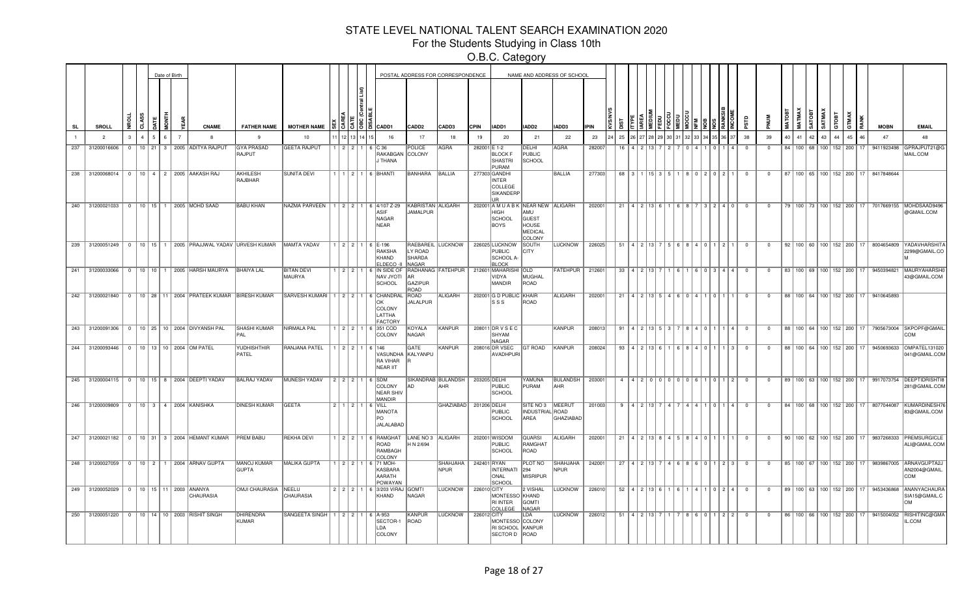For the Students Studying in Class 10th

|     |                                    |              |   | Date of Birth |   |    |                                                        |                             |                                                |                 |                |                                                                             |                               | POSTAL ADDRESS FOR CORRESPONDENCE |              |                                                                      |                                                | NAME AND ADDRESS OF SCHOOL     |             |     |                                   |                      |          |        |                                                  |              |                         |                |             |              |              |        |                                 |                                      |                                                   |                                                                                |
|-----|------------------------------------|--------------|---|---------------|---|----|--------------------------------------------------------|-----------------------------|------------------------------------------------|-----------------|----------------|-----------------------------------------------------------------------------|-------------------------------|-----------------------------------|--------------|----------------------------------------------------------------------|------------------------------------------------|--------------------------------|-------------|-----|-----------------------------------|----------------------|----------|--------|--------------------------------------------------|--------------|-------------------------|----------------|-------------|--------------|--------------|--------|---------------------------------|--------------------------------------|---------------------------------------------------|--------------------------------------------------------------------------------|
| SL  | SROLL                              | £.           | å | χTΕ           | 종 | گ, | <b>CNAME</b>                                           | <b>FATHER NAME</b>          | <b>MOTHER NAME</b>                             |                 | <u>ျဒ</u> ၂ဧ၂ဦ | CADD1                                                                       | CADD <sub>2</sub>             | CADD3                             | <b>CPIN</b>  | IADD1                                                                | IADD2                                          | IADD3                          | <b>IPIN</b> |     |                                   |                      |          |        |                                                  |              | аß                      | <b>MUN</b>     | <b>MATO</b> | <b>MATMA</b> | <b>SATOB</b> | SATMA) | GTOBT                           |                                      | <b>MOBN</b>                                       | <b>EMAIL</b>                                                                   |
|     | $\overline{2}$                     | $\mathbf{3}$ |   |               |   |    |                                                        | 9                           | 10                                             |                 |                | 16                                                                          | 17                            | 18                                | 19           | 20                                                                   | 21                                             | 22                             | 23          | 25  |                                   |                      |          |        |                                                  |              | 38                      | 39             | 40          | 41           | 42           | 43     | 44                              | 45                                   | 47                                                | 48                                                                             |
| 237 | 31200016606                        | $\Omega$     |   |               |   |    | 10 21 3 2005 ADITYA RAJPU                              | <b>GYA PRASAD</b><br>RAJPUT | <b>GEETA RAJPUT</b>                            | 12211           |                | $6$ $C$ 36<br>RAKABGAN COLONY<br>J THANA                                    | POLICE                        | <b>AGRA</b>                       | 282001 E 1-2 | <b>BLOCK F</b><br><b>SHASTRI</b><br>PURAM                            | <b>DELHI</b><br><b>PUBLIC</b><br><b>SCHOOL</b> | <b>AGRA</b>                    | 28200       |     |                                   |                      |          |        |                                                  |              | - 0                     | $\Omega$       |             |              |              |        | 84   100   68   100   152   200 |                                      | 9411923498                                        | GPRAJPUT21@G<br>MAIL.COM                                                       |
| 238 | 31200068014                        |              |   |               |   |    | 0   10   4   2   2005   AAKASH RAJ                     | AKHILESH<br>RAJBHAR         | <b>SUNITA DEVI</b>                             |                 |                | $1   1   2   1   6  $ BHANTI                                                | BANHARA                       | BALLIA                            |              | 277303 GANDHI<br><b>INTER</b><br>COLLEGE<br>SIKANDERP<br>UR          |                                                | <b>BALLIA</b>                  | 277303      |     | 68 3 1 1 15 3 5                   |                      |          |        | 8   0   2   0   2                                |              | $\overline{0}$          | $^{\circ}$     |             |              |              |        |                                 | 87   100   65   100   152   200   17 | 8417848644                                        |                                                                                |
|     |                                    |              |   |               |   |    | 240 31200021033 0 10 15 1 2005 MOHD SAAD               | <b>BABU KHAN</b>            | NAZMA PARVEEN   1   2   2   1   6   4/107 Z-29 |                 |                | ASIF<br>NAGAR<br>NEAR                                                       | KABRISTAN ALIGARH<br>JAMALPUR |                                   |              | 202001 A M U A B K NEAR NEW ALIGARH<br><b>HIGH</b><br>SCHOOL<br>BOYS | AMU<br>GUEST<br>HOUSE<br>MEDICAL<br>COLONY     |                                | 202001      |     | 21   4   2   13   6               |                      |          |        | 3240                                             |              | $\Omega$                | $\Omega$       |             |              |              |        |                                 |                                      |                                                   | 79   100   73   100   152   200   17   7017669155   MOHDSAAD9496<br>@GMAIL.COM |
|     | 239 31200051249                    |              |   |               |   |    | 0   10   15   1   2005   PRAJJWAL YADAV   URVESH KUMAR |                             | MAMTA YADAV                                    |                 |                | 1 2 2 1 6 E-196<br>RAKSHA<br>KHAND<br>ELDECO - II                           | LY ROAD<br>SHARDA<br>NAGAR    | RAEBAREIL LUCKNOW                 |              | 226025 LUCKNOW<br>PUBLIC<br><b>SCHOOL A</b><br><b>BLOCK</b>          | <b>SOUTH</b><br><b>CITY</b>                    | <b>LUCKNOW</b>                 | 226025      | -51 |                                   |                      |          |        | 4 2 13 7 5 6 8 4 0 1 2                           |              | $^{\circ}$              | $^{\circ}$     |             |              |              |        |                                 | 92   100   60   100   152   200   17 | 8004654809                                        | YADAVHARSHIT/<br>2299@GMAIL.CO                                                 |
|     | 241 31200033066                    |              |   |               |   |    | 0   10   10   1   2005   HARSH MAURYA                  | <b>BHAIYA LAL</b>           | <b>BITAN DEVI</b><br>MAURYA                    |                 |                | 1 2 2 1 6 IN SIDE OF RADHANAG FATEHPUR<br><b>ITOYL VAN</b><br><b>SCHOOL</b> | <b>JAR</b><br>GAZIPUR<br>ROAD |                                   |              | 212601 MAHARISHI OLD<br>VIDYA<br>MANDIR                              | MUGHAL<br>ROAD                                 | <b>FATEHPUR</b>                | 212601      |     | $33 \mid 4 \mid 2 \mid 13 \mid 7$ |                      |          |        | $1 \rceil 6 \rceil 0 \rceil 3 \rceil 4 \rceil 4$ |              | $\overline{0}$          | $\overline{0}$ |             |              |              |        |                                 | 83   100   69   100   152   200   17 | 9450394821                                        | MAURYAHARSHO<br>43@GMAIL.COM                                                   |
|     | 242 31200021840                    |              |   |               |   |    | 0   10   28   11   2004   PRATEEK KUMAR   BIRESH KUMAR |                             | SARVESH KUMARI   1   2   2   1   6   CHANDRAL  |                 |                | lok<br><b>COLONY</b><br>LATTHA<br><b>FACTORY</b>                            | ROAD<br>JALALPUR              | <b>ALIGARH</b>                    |              | 202001 G D PUBLIC KHAIR<br> s s s                                    | ROAD                                           | <b>ALIGARH</b>                 | 202001      |     |                                   |                      |          |        | 21   4   2   13   5   4   6   0   4   1   0   1  |              | $\Omega$                | $\mathbf 0$    |             |              |              |        |                                 |                                      | 88   100   64   100   152   200   17   9410645893 |                                                                                |
|     |                                    |              |   |               |   |    | 243 31200091306   0   10   25   10   2004 DIVYANSH PAL | SHASHI KUMAR<br><b>PAL</b>  | NIRMALA PAL                                    | $1$   2   2   1 |                | 6 351 COD<br>COLONY                                                         | KOYALA<br>NAGAR               | KANPUR                            |              | 208011 DR V S E C<br>SHYAM<br>NAGAR                                  |                                                | KANPUR                         | 208013      |     |                                   |                      |          |        | $91   4   2   13   5   3   7   8   4   0$ 1 1 4  |              | $\overline{\mathbf{0}}$ | $\overline{0}$ |             |              |              |        |                                 |                                      |                                                   | 88   100   64   100   152   200   17   7905673004   SKPOPF@GMAIL<br>COM        |
|     | 244 31200093446                    |              |   |               |   |    | 0   10   13   10   2004   OM PATEL                     | YUDHISHTHIR<br>PATEL        | RANJANA PATEL                                  | 12211           |                | 6 146<br>VASUNDHA KALYANPU<br>RA VIHAR<br><b>NEAR IIT</b>                   | GATE                          | KANPUR                            |              | 208016 DR VSEC<br><b>AVADHPUR</b>                                    | <b>GT ROAD</b>                                 | KANPUR                         | 208024      |     | 93   4   2   13   6               |                      |          | 14 I O |                                                  |              | $\Omega$                | $\Omega$       |             |              |              |        | 88   100   64   100   152   200 | 17                                   | 9450693633                                        | OMPATEL131020<br>041@GMAIL.COM                                                 |
|     |                                    |              |   |               |   |    | 245 31200004115 0 10 15 8 2004 DEEPTI YADAV            | <b>BALRAJ YADAV</b>         | MUNESH YADAV                                   |                 |                | 2 2 2 1 6 SDM<br>COLONY<br><b>NEAR SHIV</b><br><b>MANDIR</b>                | lad.                          | SIKANDRAB BULANDSH<br>AHR         | 203205 DELHI | PUBLIC<br><b>SCHOOL</b>                                              | YAMUNA<br>PURAM                                | BULANDSH<br>AHR                | 203001      |     | 4 4 2 0 0 0                       |                      |          |        | I 0   6   1   0   1   2                          |              | $\overline{0}$          | $^{\circ}$     |             |              |              |        |                                 | 89   100   63   100   152   200   17 | 9917073754                                        | <b>DEEPTIDRISHTIE</b><br>281@GMAIL.COM                                         |
|     | 246 31200009809                    |              |   |               |   |    | 0   10   3   4   2004   KANISHKA                       | <b>DINESH KUMAR</b>         | GEETA                                          | 2   1   2   1   |                | 6 VILL<br>MANOTA<br>PO.<br>JALALABAD                                        |                               | GHAZIABAD                         | 201206 DELHI | <b>PUBLIC</b><br><b>SCHOOL</b>                                       | SITE NO 3 MEERUT<br>INDUSTRIAL ROAD<br>AREA    | GHAZIABAD                      | 201003      | -9  | 4 2 1 1 3                         |                      |          |        |                                                  |              | $\overline{0}$          | $^{\circ}$     |             |              |              |        | 84   100   68   100   152   200 | 17                                   | 8077044087                                        | KUMARDINESH7<br>83@GMAIL.COM                                                   |
| 247 |                                    |              |   |               |   |    | 31200021182   0   10   31   3   2004   HEMANT KUMAR    | <b>PREM BABU</b>            | <b>REKHA DEVI</b>                              | 121211          |                | 6 RAMGHAT<br>ROAD<br>RAMBAGH<br><b>COLONY</b>                               | LANE NO 3<br>H N 2/694        | ALIGARH                           |              | 202001 WISDOM<br><b>PUBLIC</b><br><b>SCHOOL</b>                      | QUARSI<br>RAMGHAT<br>ROAD                      | ALIGARH                        | 202001      | 21  |                                   | 4 2 13 8 4 5 8 4 0 1 |          |        |                                                  |              | $\overline{0}$          | $^{\circ}$     |             |              |              |        |                                 | 90   100   62   100   152   200   17 | 9837268333                                        | PREMSURGICLE<br>ALI@GMAIL.COM                                                  |
|     | 248 31200027059                    |              |   |               |   |    | 0   10   2   1   2004   ARNAV GUPTA                    | MANOJ KUMAR<br><b>GUPTA</b> | <b>MALIKA GUPTA</b>                            | 12211           |                | 6 71 MOH-<br>KASBARA<br>AARATH<br>POWAYAN                                   |                               | <b>SHAHJAHA</b><br>NPUR           | 242401 RYAN  | <b>INTERNATI</b><br>ONAL<br>SCHOOL                                   | PLOT NO<br>294<br>MISRIPUR                     | <b>SHAHJAHA</b><br><b>NPUR</b> | 242001      | 27  | 4 2 1 1 3                         | $4 \rceil 6$         | la I a I |        | $1 \mid 2 \mid 3$                                |              | $\Omega$                | - 0            |             |              |              |        | 85   100   67   100   152   200 | 17                                   | 9839867005                                        | ARNAVGUPTA2J<br>AN2004@GMAIL<br>COM                                            |
| 249 | 31200052029 0 10 15 11 2003 ANANYA |              |   |               |   |    | <b>CHAURASIA</b>                                       | OMJI CHAURASIA NEELU        | <b>CHAURASIA</b>                               |                 |                | 2 2 2 1 6 3/203 VIRAJ GOMTI<br>KHAND                                        | NAGAR                         | <b>LUCKNOW</b>                    | 226010 CITY  | MONTESSO KHAND<br><b>RI INTER</b><br>COLLEGE                         | 2 VISHAL<br><b>GOMTI</b><br>NAGAR              | <b>LUCKNOW</b>                 | 226010      | 52  | 4   2   13                        |                      |          |        | $0 21$                                           | $\mathbf{A}$ | $^{\circ}$              | $\Omega$       |             |              |              |        |                                 | 89   100   63   100   152   200   17 | 9453436868                                        | <b>ANANYACHAURA</b><br>SIA15@GMAIL.C<br>OM                                     |
|     |                                    |              |   |               |   |    | 250 31200051220 0 10 14 10 2003 RISHIT SINGH           | <b>DHIRENDRA</b><br>KUMAR   | SANGEETA SINGH   1   2   2   1                 |                 |                | $6$   A-953<br>SECTOR-1<br>LDA<br>COLONY                                    | KANPUR<br>ROAD                | <b>LUCKNOW</b>                    | 226012 CITY  | MONTESSO COLONY<br>RI SCHOOL KANPUR<br>SECTOR D ROAD                 | ILDA.                                          | <b>LUCKNOW</b>                 | 226012      | 51  |                                   |                      |          |        | 1122                                             |              | $\Omega$                | $\Omega$       |             |              |              |        |                                 | 86   100   66   100   152   200   17 | 9415004052                                        | RISHITINC@GMA<br>IL.COM                                                        |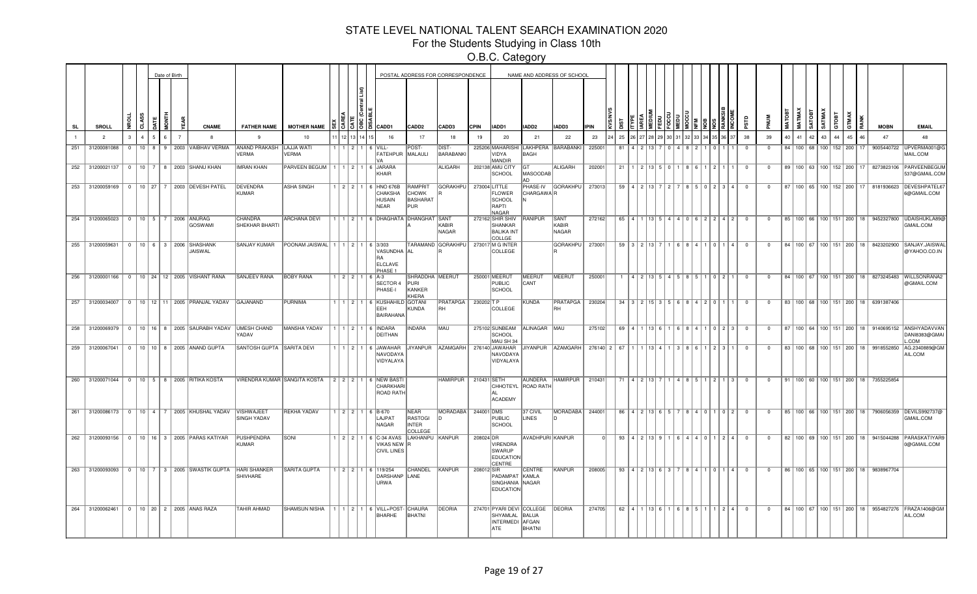For the Students Studying in Class 10th

|           |                                                        |          |   |                 |   | Date of Birth  |                          |              |                                                                             |                                                              |                 |      |                                                                 |                                                   | POSTAL ADDRESS FOR CORRESPONDENCE  |             |                                                                       |                        | NAME AND ADDRESS OF SCHOOL |                                      |    |                     |                    |                                                 |     |                                                     |                         |                |          |                                |              |             |                                      |     |                                                   |                                                                                           |
|-----------|--------------------------------------------------------|----------|---|-----------------|---|----------------|--------------------------|--------------|-----------------------------------------------------------------------------|--------------------------------------------------------------|-----------------|------|-----------------------------------------------------------------|---------------------------------------------------|------------------------------------|-------------|-----------------------------------------------------------------------|------------------------|----------------------------|--------------------------------------|----|---------------------|--------------------|-------------------------------------------------|-----|-----------------------------------------------------|-------------------------|----------------|----------|--------------------------------|--------------|-------------|--------------------------------------|-----|---------------------------------------------------|-------------------------------------------------------------------------------------------|
| <b>SL</b> | SROLL                                                  |          | त |                 |   |                |                          | <b>CNAME</b> | <b>FATHER NAME</b>                                                          | <b>MOTHER NAME</b>                                           |                 | 1515 | CADD1                                                           | CADD <sub>2</sub>                                 | CADD3                              | <b>CPIN</b> | IADD1                                                                 | IADD2                  | IADD3                      | <b>IPIN</b>                          |    |                     |                    |                                                 |     |                                                     | άś                      |                |          | <b>MATMAX</b><br><b>GATOBT</b> | <b>SATMA</b> | стовт       |                                      | RAN | <b>MOBN</b>                                       | <b>EMAIL</b>                                                                              |
|           | $\overline{2}$                                         |          |   |                 |   | $\overline{7}$ |                          |              | 9                                                                           | 10                                                           |                 |      | 16                                                              | 17                                                | 18                                 | 19          | 20                                                                    | 21                     | 22                         | 23                                   | 25 |                     |                    |                                                 |     |                                                     | 38                      | 39             | 40       | 41<br>42                       | 43           | 44          | 45                                   |     | 47                                                | 48                                                                                        |
| 251       | 31200081088                                            | $\Omega$ |   | 10 <sup>1</sup> | 8 |                | 9   2003   VAIBHAV VERMA |              | ANAND PRAKASH<br><b>VERMA</b>                                               | LAJJA WATI<br><b>VERMA</b>                                   | 1211            |      | 6 VILL-<br>FATEHPUR MALAULI                                     | POST-                                             | DIST-<br>BARABANKI                 |             | 225206 MAHARISHI<br>VIDYA<br><b>MANDIR</b>                            | <b>BAGH</b>            | LAKHPERA BARABANKI         | 225001                               | 81 |                     |                    |                                                 |     |                                                     |                         | 0              | 84   100 | 68                             |              | 100 152 200 |                                      |     | 9005440722                                        | UPVERMA001@G<br><b>MAIL.COM</b>                                                           |
| 252       | 31200021137 0 10 7 8 2003 SHANU KHAN                   |          |   |                 |   |                |                          |              | <b>IMRAN KHAN</b>                                                           | PARVEEN BEGUM   1   1   2   1                                |                 |      | 6 JARARA<br>KHAIR                                               |                                                   | <b>ALIGARH</b>                     |             | 202138 AMU CITY<br><b>SCHOOL</b>                                      | lGT<br>MASOODAB<br>Δn  | <b>ALIGARH</b>             | 202001                               | 21 |                     |                    | $1$   2   13   5   0                            | 861 | 1211                                                | $\overline{\mathbf{0}}$ | $^{\circ}$     |          |                                |              |             | 89   100   63   100   152   200   17 |     |                                                   | 8273823106 PARVEENBEGUM<br>537@GMAIL.COM                                                  |
|           | 253 31200059169 0 10 27 7 2003 DEVESH PATEL            |          |   |                 |   |                |                          |              | DEVENDRA<br><b>KUMAR</b>                                                    | <b>ASHA SINGH</b>                                            | 1 2 2 1         |      | 6 HNO 676B<br>CHAKSHA<br><b>HUSAIN</b><br><b>NEAR</b>           | RAMPRIT<br><b>CHOWK</b><br>BASHARAT<br>PUR        | <b>GORAKHPU</b>                    |             | 273004 LITTLE<br><b>FLOWER</b><br>SCHOOL<br>RAPTI<br>NAGAR            | PHASE-IV<br>CHARGAWAR  | <b>GORAKHPU</b>            | 273013                               |    | $59$   4   2   13   |                    | $\overline{2}$                                  |     | 8 5 0 2 3 4                                         | $\Omega$                | $\Omega$       |          |                                |              |             | 87   100   65   100   152   200   17 |     |                                                   | 8181936623 DEVESHPATEL67<br>6@GMAIL.COM                                                   |
|           | 254 31200065023 0 10 5 7 2006 ANURAG                   |          |   |                 |   |                | GOSWAMI                  |              | <b>CHANDRA</b><br><b>SHEKHAR BHARTI</b>                                     | <b>ARCHANA DEVI</b>                                          |                 |      | 1   1   2   1   6   DHAGHATA   DHANGHAT   SANT                  |                                                   | KABIR<br>NAGAR                     |             | 272162 SHIR SHIV<br>SHANKAR<br><b>BALIKA INT</b><br>COLLGE            | RANIPUR                | SANT<br>KABIR<br>NAGAR     | 272162                               | 65 |                     |                    |                                                 |     | 4 1 13  5  4  4  0  6  2  2  4  2                   | $\overline{0}$          | $\mathbf{0}$   |          |                                |              |             | 85   100   66   100   151   200   18 |     |                                                   | 9452327800 UDAISHUKLA89@<br>GMAIL.COM                                                     |
|           | 255 31200059631 0 10 6 3 2006 SHASHANK                 |          |   |                 |   |                | JAISWAL                  |              | <b>SANJAY KUMAR</b>                                                         | POONAM JAISWAL   1   1   2   1   6   3/303                   |                 |      | VASUNDHA AL<br><b>RA</b><br>ELCLAVE<br>PHASE 1                  |                                                   | TARAMAND GORAKHPU                  |             | 273017 M G INTER<br>COLLEGE                                           |                        | <b>GORAKHPU</b>            | 273001                               | 59 |                     | $3 \mid 2 \mid 13$ |                                                 |     | 0 1 4                                               | $\Omega$                | $\Omega$       |          |                                |              |             | 84   100   67   100   151   200   18 |     | 8423202900                                        | SANJAY.JAISWA<br>@YAHOO.CO.IN                                                             |
|           | 256 31200001166 0 10 24 12 2005 VISHANT RANA           |          |   |                 |   |                |                          |              | SANJEEV RANA                                                                | <b>BOBY RANA</b>                                             |                 |      | $122116A-3$<br><b>SECTOR 4</b><br>PHASE-I                       | <b>SHRADDHA MEERUT</b><br>PURI<br>KANKER<br>KHERA |                                    |             | 250001 MEERUT<br>PUBLIC<br>SCHOOL                                     | <b>IMEERUT</b><br>CANT | <b>MEERUT</b>              | 250001                               |    |                     | 4 9 1 1 2 1 5 1    |                                                 |     | 0 2                                                 | $\Omega$                | $^{\circ}$     |          |                                |              |             |                                      |     |                                                   | 84   100   67   100   151   200   18   8273245483   WILLSONRANA2<br>@GMAIL.COM            |
|           | 257 31200034007 0 10 12 11 2005 PRANJAL YADAV GAJANAND |          |   |                 |   |                |                          |              |                                                                             | PURNIMA                                                      |                 |      | 1   1   2   1   6   KUSHAHILD GOTANI<br>EEH<br><b>BAIRAHANA</b> | KUNDA                                             | PRATAPGA   230202 T P<br><b>RH</b> |             | COLLEGE                                                               | KUNDA                  | PRATAPGA   230204<br>RH    |                                      |    |                     |                    | 34   3   2   15   3   5   6   8   4   2   0   1 |     |                                                     | $\overline{\mathbf{0}}$ | $\mathbf{0}$   |          |                                |              |             |                                      |     | 83   100   68   100   151   200   18   6391387406 |                                                                                           |
|           |                                                        |          |   |                 |   |                |                          |              | 258 31200069379 0 10 16 8 2005 SAURABH YADAV UMESH CHAND<br>YADAV           | MANSHA YADAV                                                 |                 |      | 1 1 2 1 6 INDARA<br>DEITHAN                                     | <b>INDARA</b>                                     | IMAU                               |             | 275102 SUNBEAM<br><b>SCHOOL</b><br>MAU SH 34                          | ALINAGAR MAU           |                            | 275102                               |    |                     |                    |                                                 |     | 69   4   1   13   6   1   6   8   4   1   0   2   3 | $\overline{0}$          | $\Omega$       |          |                                |              |             |                                      |     |                                                   | 87   100   64   100   151   200   18   9140695152   ANSHYADAVVAN<br>DANI8383@GMAI<br>.COM |
|           | 259 31200067041   0   10   10   8   2005 ANAND GUPTA   |          |   |                 |   |                |                          |              | SANTOSH GUPTA SARITA DEVI                                                   |                                                              |                 |      | 1   1   2   1   6   JAWAHAR<br>NAVODAYA<br>VIDYALAYA            | JIYANPUR                                          | AZAMGARH                           |             | 276140 JAWAHAR<br>NAVODAYA<br>VIDYALAYA                               | JIYANPUR               | AZAMGARH                   | 276140 2 67 1 1 1 13 4 1 3 8 6 1 2 3 |    |                     |                    |                                                 |     |                                                     | $^{\circ}$              | $^{\circ}$     |          |                                |              |             | 83   100   68   100   151   200   18 |     | 9918552850                                        | AG.2340889@GM<br>AIL.COM                                                                  |
|           | 260 31200071044 0 10 5 8 2005 RITIKA KOSTA             |          |   |                 |   |                |                          |              |                                                                             | VIRENDRA KUMAR SANGITA KOSTA   2   2   2   1   6   NEW BASTI |                 |      | CHARKHARI<br>ROAD RATH                                          |                                                   | HAMIRPUR   210431 SETH             |             | <b>CHHOTEYL</b><br><b>ACADEMY</b>                                     | ROAD RATH              | AUNDERA HAMIRPUR 210431    |                                      |    | 71   4   2   13   7 |                    |                                                 |     | 1   4   8   5   1   2   1   3                       | $\overline{0}$          | $\overline{0}$ |          |                                |              |             |                                      |     | 91   100   60   100   151   200   18   7355225854 |                                                                                           |
|           | 261 31200086173 0 10 4 7 2005 KHUSHAL YADAV VISHWAJEET |          |   |                 |   |                |                          |              | <b>SINGH YADAV</b>                                                          | <b>REKHA YADAV</b>                                           |                 |      | 1 2 2 1 6 B-670<br>LAJPAT<br><b>NAGAR</b>                       | <b>NEAR</b><br>RASTOGI<br><b>INTER</b><br>COLLEGE | MORADABA                           | 244001 DMS  | PUBLIC<br>SCHOOL                                                      | 37 CIVIL<br>LINES      | <b>MORADABA</b>            | 244001                               |    |                     |                    | 86   4   2   13   6   5                         |     | 8401102                                             | $\Omega$                | $\Omega$       |          |                                |              |             | 85   100   66   100   151   200   18 |     | 7906056359                                        | DEVILS992737@<br>GMAIL.COM                                                                |
|           | 262 31200093156 0 10 16 3 2005 PARAS KATIYAR           |          |   |                 |   |                |                          |              | PUSHPENDRA<br>KUMAR                                                         | SONI                                                         | $1$   2   2   1 |      | 6 C-34 AVAS<br>VIKAS NEW R<br><b>CIVIL LINES</b>                | LAKHANPU KANPUR                                   |                                    | 208024 DR   | VIRENDRA<br>SWARUP<br><b>EDUCATION</b><br>CENTRE                      | AVADHPURI KANPUR       |                            |                                      | 93 |                     | 412139             |                                                 | 440 | 1214                                                | $\Omega$                | $^{\circ}$     |          |                                |              |             | 82   100   69   100   151   200   18 |     | 9415044288                                        | PARASKATIYAR<br>0@GMAIL.COM                                                               |
|           |                                                        |          |   |                 |   |                |                          |              | 263 31200093093 0 10 7 3 2005 SWASTIK GUPTA HARI SHANKER<br><b>SHIVHARE</b> | <b>SARITA GUPTA</b>                                          |                 |      | $1$   2   2   1   6   119/254<br>DARSHANP LANE<br>URWA          | <b>CHANDEL</b>                                    | KANPUR                             | 208012 SIR  | PADAMPAT KAMLA<br>SINGHANIA NAGAR<br><b>EDUCATION</b>                 | CENTRE                 | KANPUR                     | 208005                               |    |                     |                    | $93 \mid 4 \mid 2 \mid 13 \mid 6 \mid 3 \mid$   |     | 8   4   1   0   1   4                               | $\overline{0}$          | $\mathbf{0}$   |          |                                |              |             |                                      |     | 86   100   65   100   151   200   18   9838967704 |                                                                                           |
| 264       | 31200062461   0   10   20   2   2005   ANAS RAZA       |          |   |                 |   |                |                          |              | <b>TAHIR AHMAD</b>                                                          | SHAMSUN NISHA                                                |                 |      | 1   1   2   1   6   VILL+POST-<br>BHARHE                        | <b>CHAURA</b><br>BHATNI                           | <b>DEORIA</b>                      |             | 274701 PYARI DEVI COLLEGE<br>SHYAMLAL BALUA<br>INTERMEDI AFGAN<br>ATE | BHATNI                 | DEORIA                     | 274705                               | 62 |                     |                    | 4 1 1 13 6 1 1 6 8 5 1                          |     | 124                                                 | $\Omega$                | $^{\circ}$     |          |                                |              |             | 84   100   67   100   151   200   18 |     | 9554827276                                        | FRAZA1406@GM<br>AIL.COM                                                                   |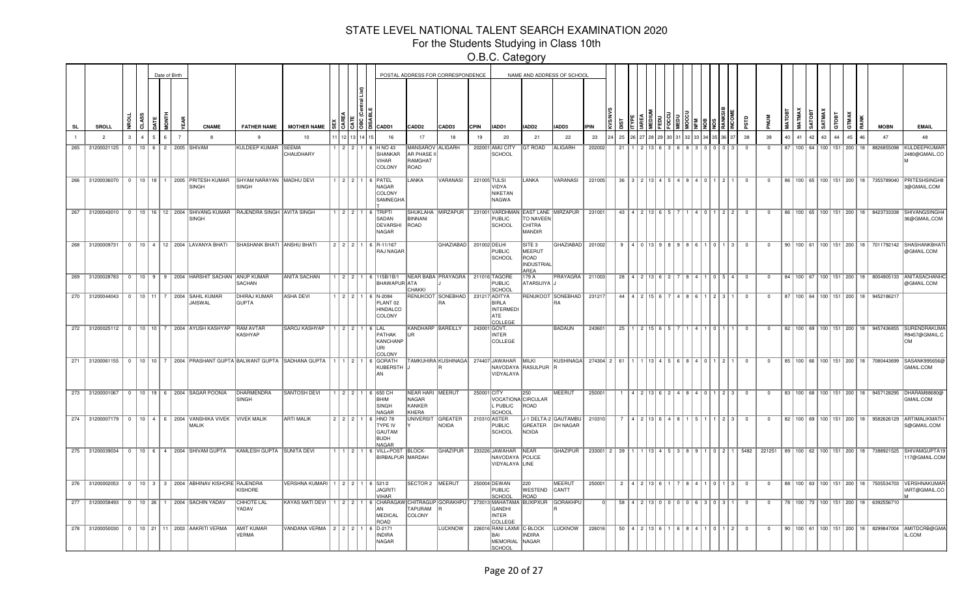For the Students Studying in Class 10th

|           |                 |  | Date of Birth |                |                                                                          |                                                                          |                                                                                                  |         |      |                                                                                  |                                              | POSTAL ADDRESS FOR CORRESPONDENCE              |                |                                                                                |                                                | NAME AND ADDRESS OF SCHOOL                                             |                                             |              |  |                               |             |                                                        |                |                         |              |                               |          |       |                                 |                 |                                                   |                                                                                                |
|-----------|-----------------|--|---------------|----------------|--------------------------------------------------------------------------|--------------------------------------------------------------------------|--------------------------------------------------------------------------------------------------|---------|------|----------------------------------------------------------------------------------|----------------------------------------------|------------------------------------------------|----------------|--------------------------------------------------------------------------------|------------------------------------------------|------------------------------------------------------------------------|---------------------------------------------|--------------|--|-------------------------------|-------------|--------------------------------------------------------|----------------|-------------------------|--------------|-------------------------------|----------|-------|---------------------------------|-----------------|---------------------------------------------------|------------------------------------------------------------------------------------------------|
| <b>SL</b> | <b>SROLL</b>    |  |               |                | <b>CNAME</b>                                                             | <b>FATHER NAME</b>                                                       | <b>MOTHER NAME</b>                                                                               |         | 3502 | CADD1                                                                            | CADD <sub>2</sub>                            | CADD3                                          | <b>CPIN</b>    | IADD1                                                                          | IADD2                                          | IADD3                                                                  | <b>IPIN</b>                                 |              |  |                               |             |                                                        |                |                         | <b>MATOI</b> | <b>MATMA</b><br><b>TATOBT</b> | SATMAX   | GTOBT | GTMAX                           |                 | <b>MOBN</b>                                       | <b>EMAIL</b>                                                                                   |
|           | $\overline{2}$  |  |               | $\overline{7}$ |                                                                          | 9                                                                        | 10                                                                                               |         |      | 16                                                                               | 17                                           | 18                                             | 19             | 20                                                                             | 21                                             | 22                                                                     | 23                                          | 25           |  |                               |             |                                                        | 38             | 39                      | 40           | 41                            | 42<br>43 |       | 45                              |                 | 47                                                |                                                                                                |
| 265       | 31200021125     |  |               |                | 0   10   6   2   2005   SHIVAM                                           | KULDEEP KUMAR SEEMA                                                      | CHAUDHARY                                                                                        | 1 2 2 1 |      | H NO 43<br>l 6<br>SHANKAR<br>VIHAR<br>COLONY                                     | MANSAROV<br>AR PHASE I<br>RAMGHAT<br>ROAD    | ALIGARH                                        |                | 202001 AMU CITY<br>SCHOOL                                                      | <b>GT ROAD</b>                                 | ALIGARH                                                                | 202002                                      | 21           |  |                               |             |                                                        | $^{\circ}$     | $\mathbf{0}$            |              |                               |          |       | 87   100   64   100   151   200 | 18 <sup>1</sup> | 8826855098                                        | KULDEEPKUMAF<br>2480@GMAIL.CO                                                                  |
|           |                 |  |               |                | 266 31200036070   0   10   18   1   2005   PRITESH KUMAR<br><b>SINGH</b> | SHYAM NARAYAN   MADHU DEVI<br>SINGH                                      |                                                                                                  |         |      | $1$   2   2   1   6   PATEL<br>NAGAR<br>COLONY<br>SAMNEGHA                       | LANKA                                        | VARANASI                                       | 221005 TULSI   | VIDYA<br>NIKETAN<br>NAGWA                                                      | LANKA                                          | VARANASI                                                               | 221005                                      |              |  |                               |             | 36   3   2   13   4   5   4   8   4   0   1   2   1    | $\overline{0}$ | $\overline{0}$          |              |                               |          |       |                                 |                 |                                                   | 86   100   65   100   151   200   18   7355789040   PRITESHSINGH8<br>3@GMAIL.COM               |
|           |                 |  |               |                | SINGH                                                                    | 267 31200043010 0 10 16 12 2004 SHIVANG KUMAR RAJENDRA SINGH AVITA SINGH |                                                                                                  |         |      | $1   2   2   1   6  $ TRIPTI<br>SADAN<br>DEVARSHI<br>NAGAR                       | BINNANI<br>ROAD                              | SHUKLAHA MIRZAPUR                              |                | <b>PUBLIC</b><br>SCHOOL                                                        | <b>TO NAVEEN</b><br><b>CHITRA</b><br>MANDIR    | 231001 VARDHMAN EAST LANE MIRZAPUR                                     | 231001                                      |              |  | 43   4   2   13   6   5   7   |             | 1 4 0 1 2 2                                            | $\overline{0}$ | $\overline{0}$          |              |                               |          |       |                                 |                 |                                                   | 86   100   65   100   151   200   18   8423733338 SHIVANGSINGH4<br>36@GMAIL.COM                |
|           |                 |  |               |                |                                                                          | 268 31200009731 0 10 4 12 2004 LAVANYA BHATI SHASHANK BHATI ANSHU BHATI  |                                                                                                  |         |      | 2 2 2 1 6 R-11/167<br>RAJ NAGAR                                                  |                                              | GHAZIABAD 201002 DELHI                         |                | <b>PUBLIC</b><br>SCHOOL                                                        | SITE 3<br>MEERUT<br>ROAD<br>INDUSTRIAL<br>AREA | GHAZIABAD 201002                                                       |                                             |              |  |                               |             | $9$   4   0   13   9   8   9   8   6   1   0   1   3   | $\overline{0}$ | $\overline{0}$          |              |                               |          |       |                                 |                 |                                                   | 90   100   61   100   151   200   18   7011792142   SHASHANKBHAT<br>@GMAIL.COM                 |
|           |                 |  |               |                | 269 31200028783 0 10 9 9 2004 HARSHIT SACHAN ANUP KUMAR                  | SACHAN                                                                   | <b>ANITA SACHAN</b>                                                                              |         |      | $1$   2   2   1   6   115B/1B/1<br>BHAWAPUR ATA                                  | СНАКК                                        | NEAR BABA PRAYAGRA   211016 TAGORE             |                | PUBLIC<br>SCHOO                                                                | 179 A<br>ATARSUIYA J                           | PRAYAGRA   211003                                                      |                                             |              |  |                               |             | 28   4   2   13   6   2   7   8   4   1 0   5   4      | $\overline{0}$ | $\overline{\mathbf{0}}$ |              |                               |          |       |                                 |                 |                                                   | 84   100   67   100   151   200   18   8004905133   ANITASACHANH<br>@GMAIL.COM                 |
|           |                 |  |               |                | 270 31200044043   0   10   11   7   2004 SAHIL KUMAR<br>JAISWAL          | DHIRAJ KUMAR<br><b>GUPTA</b>                                             | <b>ASHA DEVI</b>                                                                                 |         |      | $1$   2   2   1   6   N-2084<br>PLANT <sub>02</sub><br><b>HINDALCO</b><br>COLONY |                                              | RENUKOOT SONEBHAD   231217 ADITYA<br><b>RA</b> |                | BIRLA<br><b>INTERMEDI</b><br>ATE<br>COLLEGE                                    |                                                | RENUKOOT SONEBHAD   231217                                             |                                             |              |  |                               |             | 44   4   2   15   6   7   4   8   6   1   2   3   1    | $\overline{0}$ | $\overline{0}$          |              |                               |          |       |                                 |                 | 87   100   64   100   151   200   18   9452186217 |                                                                                                |
|           |                 |  |               |                | 272 31200025112 0 10 10 7 2004 AYUSH KASHYAP                             | <b>RAM AVTAR</b><br>KASHYAP                                              | SAROJ KASHYAP                                                                                    |         |      | $122116$ LAL<br>PATHAK<br>KANCHANP<br>URI<br>COLONY                              | KANDHARP BAREILLY<br><b>IUR</b>              |                                                | $243001$ GOVT. | <b>INTER</b><br>COLLEGE                                                        |                                                | <b>BADAUN</b>                                                          | 243601                                      |              |  | $25$   1   2   15   6   5   7 |             | 14110111                                               | $\overline{0}$ | $\overline{0}$          |              |                               |          |       |                                 |                 |                                                   | 82   100   69   100   151   200   18   9457436855   SURENDRAKUMA<br>R9457@GMAIL.C<br><b>OM</b> |
|           |                 |  |               |                |                                                                          |                                                                          | 271 31200061155 0 10 10 7 2004 PRASHANT GUPTA BALWANT GUPTA SADHANA GUPTA 1 1 2 1 6 GORATH       |         |      | KUBERSTH J<br>AN                                                                 |                                              | TAMKUHIRA KUSHINAGA 274407 JAWAHAR MILKI       |                | VIDYALAYA                                                                      | NAVODAYA RASULPUR R                            | KUSHINAGA 274304 2 61 1 1 1 1 3 4 5 6 8 4 0 1 2 1                      |                                             |              |  |                               |             |                                                        | $\overline{0}$ | $\overline{0}$          |              |                               |          |       |                                 |                 | 85   100   66   100   151   200   18   7080443699 | SASANK995656@<br>GMAIL.COM                                                                     |
|           | 273 31200001067 |  |               |                | 0   10   19   6   2004   SAGAR POONIA                                    | DHARMENDRA<br><b>SINGH</b>                                               | <b>SANTOSH DEVI</b>                                                                              |         |      | 1 2 2 1 6 650 CH<br><b>BHIM</b><br>SINGH<br><b>NAGAR</b>                         | NEAR HARI MEERUT<br>NAGAR<br>KANKER<br>KHERA |                                                | 250001 CITY    | VOCATIONA CIRCULAR<br>L PUBLIC<br>SCHOOL                                       | 250<br>ROAD                                    | MEERUT                                                                 | 250001                                      | $\mathbf{1}$ |  |                               |             | 4 2 13 6 2 4 8 4 0 1 2 3                               | $\overline{0}$ | $\mathbf{0}$            |              |                               |          |       |                                 |                 |                                                   | 83   100   68   100   151   200   18   9457128295   DHARAM88680@<br><b>GMAIL.COM</b>           |
|           |                 |  |               |                | 274 31200007179 0 10 4 6 2004 VANSHIKA VIVEK VIVEK MALIK<br><b>MALIK</b> |                                                                          | <b>ARTI MALIK</b>                                                                                | 2 2 2 1 |      | 6 HNO 78<br><b>TYPE IV</b><br>GAUTAM<br><b>BUDH</b><br><b>NAGAR</b>              | UNIVERSIT GREATER                            | <b>NOIDA</b>                                   | 210310 ASTER   | <b>PUBLIC</b><br>SCHOOL                                                        | NOIDA                                          | J-1 DELTA-2 GAUTAMBU  <br>GREATER   DH NAGAR                           | 210310                                      |              |  | 7 4 2 13 6 4 8                | $1$ 5 $1$ 1 | $\vert 2 \vert 3$                                      | $\overline{0}$ | $^{\circ}$              |              |                               |          |       |                                 |                 |                                                   | 82   100   69   100   151   200   18   9582626129   ARTIMALIKMATH<br>S@GMAIL.COM               |
|           |                 |  |               |                | 275 31200039034 0 10 6 4 2004 SHIVAM GUPTA                               | KAMLESH GUPTA SUNITA DEVI                                                |                                                                                                  |         |      | $\vert$ 1 $\vert$ 2 $\vert$ 1 $\vert$ 6 VILL+POST BLOCK-<br>BIRBALPUR MARDAH     |                                              | GHAZIPUR                                       |                | 233226 JAWAHAR NEAR<br>NAVODAYA POLICE<br>VIDYALAYA LINE                       |                                                | <b>GHAZIPUR</b>                                                        | 233001 2 39 1 1 1 13 4 5 3 8 9 1 0 2 1 5482 |              |  |                               |             |                                                        |                |                         |              |                               |          |       |                                 |                 |                                                   | 221251   89   100   62   100   151   200   18   7388921525  SHIVAMGUPTA19<br>17@GMAIL.COM      |
|           |                 |  |               |                | 276 31200002053 0 10 3 3 2004 ABHINAV KISHORE RAJENDRA                   | <b>KISHORE</b>                                                           | VERSHNA KUMARI   1   2   2   1   6   521/2                                                       |         |      | JAGRITI<br><b>VIHAR</b>                                                          | SECTOR 2   MEERUT                            |                                                |                | 250004 DEWAN<br><b>PUBLIC</b><br>SCHOOL                                        | 220<br>WESTEND<br>ROAD                         | MEERUT<br>CANTT                                                        | 250001                                      |              |  |                               |             | 2   4   2   13   6   1   7   8   4   1   0   1   3   0 |                | $\overline{0}$          |              |                               |          |       |                                 |                 |                                                   | 88   100   63   100   151   200   18   7505534703  VERSHNAKUMAF<br>IART@GMAIL.CO               |
|           |                 |  |               |                | 277 31200058493 0 10 26 1 2004 SACHIN YADAV                              | CHHOTE LAL<br>YADAV                                                      | KAYAS MATI DEVI   1   2   2   1   6   CHARAGAW CHITRAGUP GORAKHPU   273013   MAHATAMA   BUXIPXUR |         |      | l AN<br>MEDICAL<br>ROAD                                                          | TAPURAM<br>COLONY                            |                                                |                | GANDHI<br><b>INTER</b><br><b>COLLEGE</b>                                       |                                                | GORAKHPU                                                               |                                             |              |  |                               |             | 58   4   2   13   0   0   0   0   6   3   0   3   1    | $\overline{0}$ | $\Omega$                |              |                               |          |       |                                 |                 | 78   100   73   100   151   200   18   6392556710 |                                                                                                |
|           |                 |  |               |                | 278 31200050030 0 10 21 11 2003 AAKRITI VERMA                            | <b>AMIT KUMAR</b><br>VERMA                                               | VANDANA VERMA   2   2   2   1   6   D-2171                                                       |         |      | <b>INDIRA</b><br>NAGAR                                                           |                                              |                                                |                | LUCKNOW   226016 RANI LAXMI C-BLOCK<br><b>RAI</b><br>MEMORIAL<br><b>SCHOOL</b> | <b>INDIRA</b><br>NAGAR                         | LUCKNOW   226016   50   4   2   13   6   1   6   8   4   1   0   1   2 |                                             |              |  |                               |             |                                                        | $\overline{0}$ | $\overline{0}$          |              |                               |          |       |                                 |                 |                                                   | 90   100   61   100   151   200   18   8299847004   AMITDCRB@GMA<br>IL.COM                     |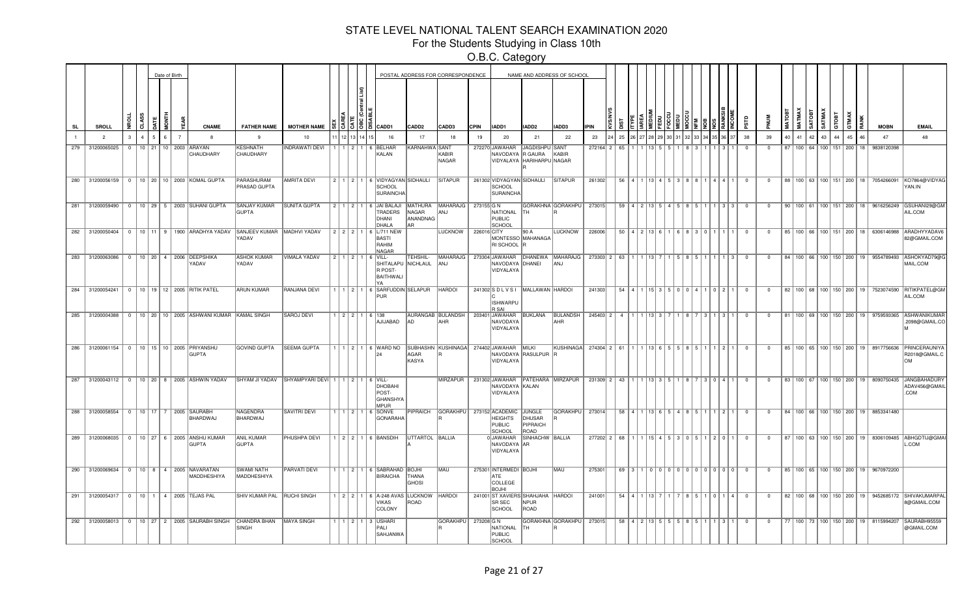For the Students Studying in Class 10th

|     |     |                   |               |  | Date of Birth  |                                                                       |                                       |                                                |  |            |                                                                                                     |                                | POSTAL ADDRESS FOR CORRESPONDENCE |             |                                                                     |                            | NAME AND ADDRESS OF SCHOOL                         |             |             |                                         |                         |  |     |                                                     |                |                |             |                       |                        |       |    |    |                                                   |                                                                                           |
|-----|-----|-------------------|---------------|--|----------------|-----------------------------------------------------------------------|---------------------------------------|------------------------------------------------|--|------------|-----------------------------------------------------------------------------------------------------|--------------------------------|-----------------------------------|-------------|---------------------------------------------------------------------|----------------------------|----------------------------------------------------|-------------|-------------|-----------------------------------------|-------------------------|--|-----|-----------------------------------------------------|----------------|----------------|-------------|-----------------------|------------------------|-------|----|----|---------------------------------------------------|-------------------------------------------------------------------------------------------|
| SL  |     | SROLL             |               |  |                | <b>CNAME</b>                                                          | <b>FATHER NAME</b>                    | <b>MOTHER NAME</b>                             |  | 종 [종 ]종 [종 | CADD1                                                                                               | CADD <sub>2</sub>              | CADD3                             | <b>CPIN</b> | IADD1                                                               | IADD2                      | <b>IADD3</b>                                       | <b>IPIN</b> |             |                                         |                         |  |     |                                                     |                |                | <b>MATO</b> | <b>MATMA</b>          | SATMAX<br><b>GOTAS</b> | GTOBT |    |    | <b>MOBN</b>                                       | <b>EMAIL</b>                                                                              |
|     |     | $\overline{2}$    | $\mathcal{R}$ |  | $\overline{7}$ | -8                                                                    | 9                                     | 10                                             |  |            | 16                                                                                                  | 17                             | 18                                | 19          | 20                                                                  | 21                         | 22                                                 | 23          | 25          |                                         |                         |  |     |                                                     | 38             | 39             | 40          | 41                    | 42<br>43               |       | 45 |    | 47                                                | 48                                                                                        |
|     | 279 | 31200065025       | $\Omega$      |  |                | 10 21 10 2003 ARAYAN<br>CHAUDHARY                                     | KESHNATH<br>CHAUDHARY                 | <b>INDRAWATI DEVI</b>                          |  | 1 2 1      | 6 BELHAF<br>KALAN                                                                                   | KARNAHWA SANT                  | KABIR<br>NAGAR                    |             | 272270 JAWAHAR<br>NAVODAYA R GAURA<br>VIDYALAYA HARIHARPU NAGAR     | JAGDISHPU SANT             | KABIR                                              | 272164 2    | 65          |                                         |                         |  |     |                                                     |                | $\Omega$       |             | 87 100 64 100 151 200 |                        |       |    | 18 | 9838120398                                        |                                                                                           |
|     |     |                   |               |  |                | 280 31200056159 0 10 20 10 2003 KOMAL GUPTA                           | PARASHURAM<br>PRASAD GUPTA            | <b>AMRITA DEVI</b>                             |  |            | 2 1 2 1 6 VIDYAGYAN SIDHAULI<br>SCHOOL<br><b>SURAINCHA</b>                                          |                                | <b>SITAPUR</b>                    |             | 261302 VIDYAGYAN SIDHAULI<br>SCHOOL<br><b>SURAINCHA</b>             |                            | <b>SITAPUR</b>                                     | 261302      |             | 56   4   1   13   4   5   3   8   8   1 |                         |  |     | 4 4 1                                               | $\overline{0}$ | $\mathbf{0}$   |             |                       |                        |       |    |    | 88   100   63   100   151   200   18   7054266091 | KO7864@VIDYAG<br>YAN.IN                                                                   |
|     |     |                   |               |  |                | 281 31200059490 0 10 29 5 2003 SUHANI GUPTA                           | <b>SANJAY KUMAR</b><br><b>GUPTA</b>   | <b>SUNITA GUPTA</b>                            |  |            | 2   1   2   1   6   JAI BALAJI   MATHURA   MAHARAJG   273155   G N<br>TRADERS<br>DHANI<br>DHALA     | NAGAR<br>ANANDNAG<br><b>AR</b> | ANJ                               |             | NATIONAL TH<br>PUBLIC<br>SCHOOL                                     |                            | GORAKHNA GORAKHPU                                  | 273015      |             | $59$   4   2   13   5                   |                         |  |     | 313                                                 | $\Omega$       | $\mathbf{0}$   |             |                       |                        |       |    |    | 90   100   61   100   151   200   18   9616256249 | GSUHANI29@GM<br>AIL.COM                                                                   |
|     |     |                   |               |  |                | 282 31200050404 0 10 11 9 1900 ARADHYA YADAV                          | SANJEEV KUMAR   MADHVI YADAV<br>YADAV |                                                |  |            | 2 2 2 1 6 L/711 NEW<br><b>BASTI</b><br>RAHIM<br><b>NAGAR</b>                                        |                                | <b>LUCKNOW</b>                    | 226016 CITY | RI SCHOOL                                                           | 90 A<br>MONTESSO MAHANAGA  | <b>LUCKNOW</b>                                     | 226006      |             | $50$   4   2   13   6                   |                         |  | l n |                                                     | $\Omega$       | $\mathbf{0}$   |             |                       |                        |       |    |    |                                                   | 85   100   66   100   151   200   18   6306146988   ARADHYYADAV6<br>82@GMAIL.COM          |
|     |     | 283 31200063086   |               |  |                | 0   10   20   4   2006   DEEPSHIKA<br>YADAV                           | <b>ASHOK KUMAR</b><br>YADAV           | VIMALA YADAV                                   |  |            | $\boxed{2}$ 1 $\boxed{2}$ 1 $\boxed{6}$ VILL-<br>SHITALAPU NICHLAUL<br>R POST-<br>BAITHWALI<br>l YA | TEHSHIL-                       | MAHARAJG<br>ANJ                   |             | NAVODAYA DHANEI<br>VIDYALAYA                                        |                            | 273304 JAWAHAR DHANEWA MAHARAJG 273303 2 63<br>ANJ |             |             |                                         |                         |  |     | $1 \, \, 3$                                         | $\overline{0}$ | $\overline{0}$ |             |                       |                        |       |    |    | 84   100   66   100   150   200   19   9554789493 | ASHOKYAD79@C<br>MAIL.COM                                                                  |
|     |     |                   |               |  |                | 284 31200054241 0 10 19 12 2005 RITIK PATEL                           | <b>ARUN KUMAR</b>                     | RANJANA DEVI                                   |  |            | 1   1   2   1   6   SARFUDDIN SELAPUR<br>PUR                                                        |                                | <b>HARDOI</b>                     |             | 241302 S D L V S I MALLAWAN HARDOI<br><b>ISHWARPU</b><br>R SAI      |                            |                                                    | 241303      |             |                                         |                         |  |     | 54   4   1   15   3   5   0   0   4   1   0   2   1 | $\overline{0}$ | $^{\circ}$     |             |                       |                        |       |    |    |                                                   | 82   100   68   100   150   200   19   7523074590   RITIKPATEL@GM<br>AIL.COM              |
|     |     |                   |               |  |                | 285 31200004388 0 10 20 10 2005 ASHWANI KUMAR KAMAL SINGH             |                                       | SAROJ DEVI                                     |  |            | $1$   2   2   1   6   138<br>AJIJABAD                                                               | <b>AD</b>                      | AURANGAB BULANDSH<br><b>AHR</b>   |             | 203401 JAWAHAR BUKLANA<br>NAVODAYA<br>VIDYALAYA                     |                            | BULANDSH<br>AHR                                    | 245403 2 4  |             |                                         |                         |  |     |                                                     | $^{\circ}$     | $\mathbf{0}$   |             |                       |                        |       |    |    | 81   100   69   100   150   200   19   9759593365 | <b>ASHWANIKUMAR</b><br>2098@GMAIL.CO                                                      |
|     |     |                   |               |  |                | 286 31200061154   0   10   15   10   2005   PRIYANSHU<br><b>GUPTA</b> | GOVIND GUPTA                          | <b>SEEMA GUPTA</b>                             |  |            | 1 1 2 1 6 WARD NO SUBHASHN KUSHINAGA                                                                | AGAR<br>KASYA                  |                                   |             | 274402 JAWAHAR MILKI<br>VIDYALAYA                                   | NAVODAYA RASULPUR          | KUSHINAGA                                          | 274304 2 61 |             |                                         | $113$ 6 5 5 6 7 8 5 7 1 |  |     | $\vert$ 2                                           | $\overline{0}$ | $\mathbf{0}$   |             |                       |                        |       |    |    |                                                   | 85   100   65   100   150   200   19   8917756636   PRINCERAUNIYA<br>R2018@GMAIL.C<br>OM  |
| 287 |     | $31200043112$ 0   |               |  |                | 10   20   8   2005   ASHWIN YADAV                                     |                                       | SHYAM JI YADAV SHYAMPYARI DEVI   1   1   2   1 |  |            | $6$ VILL-<br><b>DHOBAHI</b><br>POST-<br>GHANSHYA<br><b>MPUR</b>                                     |                                | MIRZAPUR                          |             | NAVODAYA KALAN<br>VIDYALAYA                                         |                            | 231302 JAWAHAR PATEHARA MIRZAPUR                   | 231309 2 43 |             |                                         |                         |  |     | 3 0 4 1                                             | $\Omega$       | $\mathbf 0$    |             |                       |                        |       |    |    |                                                   | 83   100   67   100   150   200   19   8090750435   JANGBAHADURY<br>ADAV456@GMAIL<br>COM. |
|     |     |                   |               |  |                | 288 31200058554 0 10 17 7 2005 SAURABH<br>BHARDWAJ                    | <b>NAGENDRA</b><br>BHARDWAJ           | <b>SAVITRI DEVI</b>                            |  |            | $ 1 1 2 1\overline{6}$ SONVE<br>GONARAHA                                                            |                                | PIPRAICH GORAKHPU                 |             | 273152 ACADEMIC JUNGLE<br><b>HEIGHTS</b><br><b>PUBLIC</b><br>SCHOOL | DHUSAR<br>PIPRAICH<br>ROAD | <b>GORAKHPU</b>                                    | 273014      | 58          | 4 1                                     | 13 6 5 4 8 5 5 1        |  |     | 11211                                               | $^{\circ}$     | $^{\circ}$     |             |                       |                        |       |    |    | 84   100   66   100   150   200   19   8853341480 |                                                                                           |
|     |     | 289 31200068035 0 |               |  |                | 10 27 6 2005 ANSHU KUMAR<br><b>GUPTA</b>                              | ANIL KUMAR<br><b>GUPTA</b>            | PHUSHPA DEVI                                   |  |            | 1   2   2   1   6   BANSDIH                                                                         | UTTARTOL BALLIA                |                                   |             | 0JAWAHAR<br>NAVODAYA AR<br>VIDYALAYA                                | SINHACHW BALLIA            |                                                    |             | 277202 2 68 |                                         |                         |  |     | 15   4   5   3   0   5   1   2   0   1              | $\overline{0}$ | $\mathbf{0}$   |             |                       |                        |       |    |    |                                                   | 87   100   63   100   150   200   19   8306109485   ABHGDTIJ@GMA<br>L.COM                 |
|     |     |                   |               |  |                | 290 31200069634 0 10 8 4 2005 NAVARATAN<br>MADDHESHIYA                | SWAMI NATH<br>MADDHESHIYA             | <b>PARVATI DEVI</b>                            |  |            | 1   1   2   1   6   SABRAHAD   BOJHI<br>BIRAICHA                                                    | <b>THANA</b><br><b>GHOSI</b>   | MAU                               |             | 275301 INTERMEDI BOJHI<br>ATE<br>COLLEGE<br><b>BOJHI</b>            |                            | MAU                                                | 275301      |             |                                         |                         |  |     | 69 3 1 0 0 0 0 0 0 0 0 0 0 0 0 0 0                  | $\overline{0}$ | $\overline{0}$ |             |                       |                        |       |    |    | 85   100   65   100   150   200   19   9670972200 |                                                                                           |
|     |     |                   |               |  |                | 291 31200054317 0 10 1 4 2005 TEJAS PAL                               | SHIV KUMAR PAL   RUCHI SINGH          |                                                |  |            | 1   2   2   1   6   A-248 AVAS   LUCKNOW   HARDOI<br><b>VIKAS</b><br>COLONY                         | ROAD                           |                                   |             | 241001 ST XAVIERS SHAHJAHA HARDOI<br><b>SR SEC</b><br>SCHOOL        | NPUR<br>ROAD               |                                                    | 241001      | 54          |                                         |                         |  |     | 151101141                                           | $\overline{0}$ | $\mathbf{0}$   |             |                       |                        |       |    |    |                                                   | 82   100   68   100   150   200   19   9452685172   SHIVAKUMARPAI<br>8@GMAIL.COM          |
|     |     |                   |               |  |                | 292 31200058013   0   10   27   2   2005 SAURABH SINGH                | CHANDRA BHAN   MAYA SINGH<br>SINGH    |                                                |  |            | 1   1   2   1   3   USHARI<br>PALI<br>SAHJANWA                                                      |                                | GORAKHPU                          | 273208 G N  | NATIONAL<br>PUBLIC<br>SCHOOL                                        | TH                         | GORAKHNA GORAKHPU                                  | 273015      |             | 58 4 2 13 5 5                           |                         |  |     | 13 I 1                                              | $\Omega$       | $\mathbf{0}$   |             |                       |                        |       |    |    | 77   100   73   100   150   200   19   8115994207 | SAURABH95559<br>@GMAIL.COM                                                                |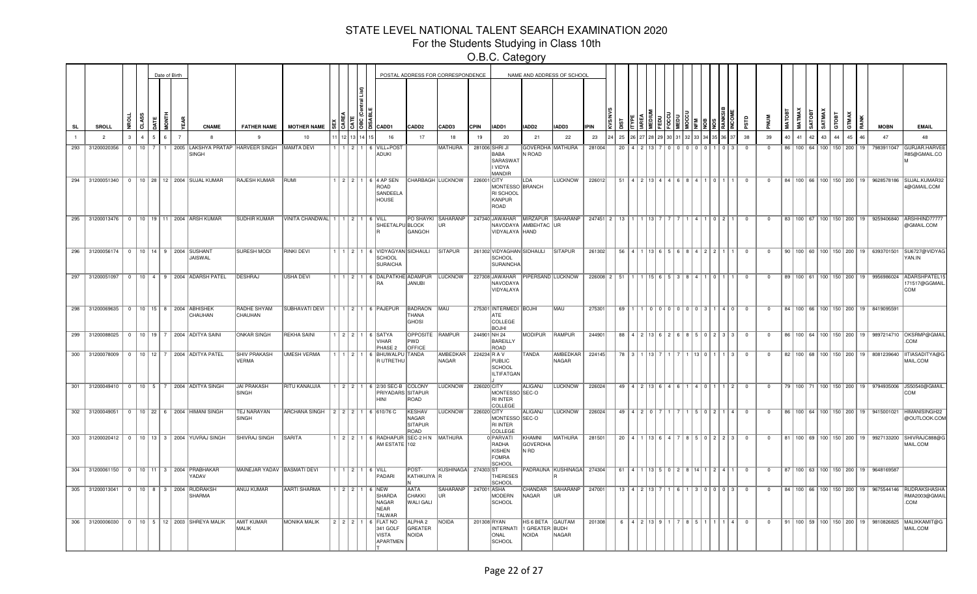For the Students Studying in Class 10th

|           |                                         |                |          | Date of Birth |                |                                                         |                                           |                                  |                                  |    |                                                                  |                                                    | POSTAL ADDRESS FOR CORRESPONDENCE |              |                                                                 |                                               | NAME AND ADDRESS OF SCHOOL       |                                                                |    |                                           |  |  |  |                                                          |                         |                |             |               |                                 |        |       |                                      |                                                   |                                     |                                                                                           |
|-----------|-----------------------------------------|----------------|----------|---------------|----------------|---------------------------------------------------------|-------------------------------------------|----------------------------------|----------------------------------|----|------------------------------------------------------------------|----------------------------------------------------|-----------------------------------|--------------|-----------------------------------------------------------------|-----------------------------------------------|----------------------------------|----------------------------------------------------------------|----|-------------------------------------------|--|--|--|----------------------------------------------------------|-------------------------|----------------|-------------|---------------|---------------------------------|--------|-------|--------------------------------------|---------------------------------------------------|-------------------------------------|-------------------------------------------------------------------------------------------|
| <b>SL</b> | <b>SROLL</b>                            |                |          |               |                | <b>CNAME</b>                                            | <b>FATHER NAME</b>                        | <b>MOTHER NAME</b>               |                                  | 38 | <b>CADD1</b>                                                     | CADD2                                              | CADD3                             | <b>CPIN</b>  | IADD1                                                           | IADD2                                         | IADD3                            | <b>IPIN</b>                                                    |    |                                           |  |  |  |                                                          | ς,                      |                | <b>MATO</b> | <b>MATMAX</b> | ë                               | SATMA) | GTOBT |                                      |                                                   | <b>MOBN</b>                         | <b>EMAIL</b>                                                                              |
|           | $\overline{2}$                          |                |          |               | $\overline{7}$ | 8                                                       | 9                                         | 10                               |                                  |    | 16                                                               | 17                                                 | 18                                | 19           | 20                                                              | 21                                            | 22                               | 23                                                             | 25 |                                           |  |  |  |                                                          | 38                      | 39             | 40          | 41            | 42                              | 43     | 44    | 45                                   | 46                                                | 47                                  | 48                                                                                        |
| 293       | 31200020356                             | $\overline{0}$ | $10$   7 |               |                | SINGH                                                   | 1   2005   LAKSHYA PRATAP   HARVEER SINGH | MAMTA DEVI                       |                                  |    | 1   1   2   1   6   VILL+POS'<br><b>ADUKI</b>                    |                                                    | MATHURA                           |              | 281006 SHRI JI<br>BABA<br>SARASWAT<br>I VIDYA<br>MANDIR         | GOVERDHA MATHURA<br>N ROAD                    |                                  | 281004                                                         | 20 |                                           |  |  |  |                                                          | $^{\circ}$              | $\Omega$       |             |               | 86   100   64   100   150   200 |        |       |                                      | 19                                                | 7983911047                          | <b>GURJAR.HARVE</b><br>R85@GMAIL.CO                                                       |
|           |                                         |                |          |               |                | 294 31200051340 0 10 28 12 2004 SUJAL KUMAR             | <b>RAJESH KUMAR</b>                       | RUMI                             |                                  |    | 1 2 2 1 6 4 AP SEN<br>ROAD<br>SANDEELA<br>HOUSE                  |                                                    | <b>CHARBAGH LUCKNOW</b>           | 226001 CITY  | MONTESSO BRANCH<br>RI SCHOOL<br>KANPUR<br>ROAD                  | LDA                                           | LUCKNOW                          | 226012                                                         |    | 51 4 2 13 4 4 6 8 4 1 0 1                 |  |  |  |                                                          | $\overline{0}$          | $\overline{0}$ |             |               |                                 |        |       |                                      |                                                   |                                     | 84   100   66   100   150   200   19   9628578186   SUJAL.KUMAR32<br>4@GMAIL.COM          |
|           |                                         |                |          |               |                | 295 31200013476 0 10 19 11 2004 ARSH KUMAR              | <b>SUDHIR KUMAR</b>                       | VINITA CHANDWAL 1 1 2 1 6 VILL   |                                  |    | SHEETALPU BLOCK                                                  | GANGOH                                             | PO SHAYKI SAHARANP<br>UR.         |              | NAVODAYA AMBEHTAC UR<br>VIDYALAYA HAND                          |                                               | 247340 JAWAHAR MIRZAPUR SAHARANP | 247451 2 13 1 1 1 13 7                                         |    |                                           |  |  |  | 1   4   1   0   2   1                                    | $\overline{0}$          | $\mathbf{0}$   |             |               |                                 |        |       |                                      |                                                   |                                     | 83   100   67   100   150   200   19   9259406840   ARSHHIND77777<br>@GMAIL.COM           |
|           | 296 31200056174 0 10 14 9 2004 SUSHANT  |                |          |               |                | JAISWAL                                                 | <b>SURESH MODI</b>                        | <b>RINKI DEVI</b>                |                                  |    | 1 1 2 1 6 VIDYAGYAN SIDHAULI<br><b>SCHOOL</b><br>SURAICHA        |                                                    | <b>SITAPUR</b>                    |              | 261302 VIDYAGHAN SIDHAULI<br><b>SCHOOL</b><br>SURAINCHA         |                                               | <b>SITAPUR</b>                   | 261302                                                         |    | 56 4 1 13 6 5 6 8 4 2 2 1                 |  |  |  |                                                          | $\Omega$                | $\Omega$       |             |               |                                 |        |       |                                      |                                                   | 90 100 60 100 150 200 19 6393701501 | SU6727@VIDYAG<br>YAN.IN                                                                   |
|           |                                         |                |          |               |                | 297 31200051097 0 10 4 9 2004 ADARSH PATEL              | <b>DESHRAJ</b>                            | <b>USHA DEVI</b>                 |                                  |    | 1   2   1   6   DALPATKHE ADAMPUR<br>IRA                         | <b>JANUBI</b>                                      | <b>LUCKNOW</b>                    |              | 227308 JAWAHAR<br>NAVODAYA<br>VIDYALAYA                         |                                               | <b>PIPERSAND LUCKNOW</b>         | $226008$   2   51   1   1   15   6   5   3   8   4   1   0   1 |    |                                           |  |  |  |                                                          | $\overline{0}$          | $\Omega$       |             |               |                                 |        |       | 89 100 61 100 150 200 19             |                                                   | 9956986024                          | ADARSHPATEL15<br>171517@GGMAIL<br>COM                                                     |
|           | 298 31200069635 0 10 15 8 2004 ABHISHEK |                |          |               |                | CHAUHAN                                                 | RADHE SHYAM<br>CHAUHAN                    | SUBHAVATI DEVI                   |                                  |    | 1   1   2   1   6   PAJEPUR                                      | <b>BADRAON MAU</b><br><b>THANA</b><br><b>GHOSI</b> |                                   |              | 275301 INTERMEDI BOJHI<br><b>ATE</b><br>COLLEGE<br><b>BOJHI</b> |                                               | MAU                              | 275301                                                         |    |                                           |  |  |  | 69 1 1 0 0 0 0 0 0 0 0 3 1 4 0                           | $\overline{0}$          | $\overline{0}$ |             |               |                                 |        |       |                                      | 84   100   66   100   150   200   19   8419095591 |                                     |                                                                                           |
|           |                                         |                |          |               |                | 299 31200088025 0 10 19 7 2004 ADITYA SAINI             | <b>ONKAR SINGH</b>                        | <b>REKHA SAINI</b>               |                                  |    | $ 2 2 1 6 $ SATYA<br><b>VIHAR</b><br>PHASE <sub>2</sub>          | OPPOSITE RAMPUR<br>PWD<br>OFFICE                   |                                   | 244901 NH 24 | <b>BAREILLY</b><br>ROAD                                         | <b>MODIPUR</b>                                | RAMPUR                           | 244901                                                         |    |                                           |  |  |  | 88   4   2   13   6   2   6   8   5   0   2   3   3      | $\overline{\mathbf{0}}$ | $^{\circ}$     |             |               |                                 |        |       |                                      |                                                   |                                     | 86   100   64   100   150   200   19   9897214710   OKSRMP@GMAIL<br>.COM                  |
|           | 300 31200078009                         |                |          |               |                | 0   10   12   7   2004   ADITYA PATEL                   | SHIV PRAKASH<br>VERMA                     | <b>UMESH VERMA</b>               |                                  |    | 1 2 1 6 BHUWALPU TANDA<br>R UTRETHU                              |                                                    | AMBEDKAR<br>NAGAR                 | 224234 R A V | PUBLIC<br>SCHOOL<br>ILTIFATGAN                                  | TANDA                                         | AMBEDKAR<br>NAGAR                | 224145                                                         |    | 78 3 1 1 13 7                             |  |  |  | 1   13   0   1   1   3                                   | $\Omega$                | $\Omega$       |             |               |                                 |        |       | 82   100   68   100   150   200   19 |                                                   | 8081239640                          | IITIASADITYA@G<br>MAIL.COM                                                                |
|           |                                         |                |          |               |                | 301 31200049410   0   10   5   7   2004 ADITYA SINGH    | <b>JAI PRAKASH</b><br><b>SINGH</b>        | RITU KANAUJIA                    |                                  |    | 1 2 2 1 6 2/30 SEC-B COLONY<br>PRIYADARS SITAPUR<br><b>HNI</b>   | ROAD                                               | <b>LUCKNOW</b>                    | 226020 CITY  | MONTESSO SEC-O<br><b>RI INTER</b><br>COLLEGE                    | <b>ALIGANJ</b>                                | <b>LUCKNOW</b>                   | 226024                                                         |    | 49 4 2 13 6 4 6 1 4 0 1                   |  |  |  | 112                                                      | $\overline{0}$          | $\overline{0}$ |             |               |                                 |        |       |                                      |                                                   |                                     | 79   100   71   100   150   200   19   9794935006   JS50540@GMAIL<br>COM                  |
|           |                                         |                |          |               |                | 302 31200049051 0 10 22 6 2004 HIMANI SINGH             | <b>TEJ NARAYAN</b><br><b>SINGH</b>        | ARCHANA SINGH 2 2 2 1 6 610/76 C |                                  |    |                                                                  | <b>KESHAV</b><br>NAGAR<br><b>SITAPUR</b><br>ROAD   | <b>LUCKNOW</b>                    | 226020 CITY  | MONTESSO SEC-O<br><b>RI INTER</b><br>COLLEGI                    | <b>ALIGANJ</b>                                | <b>LUCKNOW</b>                   | 226024                                                         |    | $49$   $4$   $2$   $0$   $7$              |  |  |  | 1 5 0 2 1 4                                              | $\overline{\mathbf{0}}$ | $\Omega$       |             |               |                                 |        |       |                                      |                                                   |                                     | 86   100   64   100   150   200   19   9415001021   HIMANISINGH22<br>@OUTLOOK.COM         |
|           |                                         |                |          |               |                | 303 31200020412   0   10   13   3   2004   YUVRAJ SINGH | SHIVRAJ SINGH                             | <b>SARITA</b>                    |                                  |    | 1 2 2 1 6 RADHAPUR SEC-2 HN MATHURA<br>AM ESTATE 102             |                                                    |                                   |              | 0 PARVATI<br>RADHA<br>KISHEN<br>FOMRA<br>SCHOOL                 | KHAMNI<br><b>GOVERDHA</b><br>N RD             | MATHURA                          | 281501                                                         |    | $20$   4   1   13   6   4   7             |  |  |  | 8 5 0 2 2 3                                              | $\Omega$                | $\Omega$       |             |               |                                 |        |       |                                      |                                                   |                                     | 81   100   69   100   150   200   19   9927133200   SHIVRAJC888@G<br>MAIL.COM             |
|           |                                         |                |          |               |                | 304 31200061150 0 10 11 3 2004 PRABHAKAR<br><b>ADAV</b> | MAINEJAR YADAV BASMATI DEVI               |                                  | $1$   $1$   $2$   $1$   6   VILL |    | PADARI                                                           | POST-<br>KATHKUIYA R                               | KUSHINAGA                         | 274303 ST    | <b>THERESES</b><br>SCHOOL                                       |                                               | PADRAUNA KUSHINAGA 274304        |                                                                |    |                                           |  |  |  | 61   4   1   13   5   0   2   8   14   1   2   4   1   0 |                         | $\mathbf 0$    |             |               |                                 |        |       |                                      | 87   100   63   100   150   200   19   9648169587 |                                     |                                                                                           |
|           | 305 31200013041 0 10 8 3 2004 RUDRAKSH  |                |          |               |                | SHARMA                                                  | <b>ANUJ KUMAR</b>                         | <b>AARTI SHARMA</b>              |                                  |    | 1 2 2 1 6 NEW<br>SHARDA<br>NAGAR<br><b>NEAR</b><br><b>TALWAR</b> | AATA<br>CHAKKI<br><b>WALI GALI</b>                 | SAHARANP<br>IIR.                  | 247001 ASHA  | MODERN<br>SCHOOL                                                | CHANDAR<br>NAGAR                              | SAHARANP<br>l IR                 | 247001                                                         |    | $13$ $\mid$ 4 $\mid$ 2 $\mid$ 13 $\mid$ 7 |  |  |  | I 1 I 3 I 0 I 0 I 0 I 3 I                                | $\overline{0}$          | $\overline{0}$ |             |               |                                 |        |       |                                      |                                                   |                                     | 84   100   66   100   150   200   19   9675544146   RUDRAKSHASHA<br>RMA2003@GMAIL<br>.COM |
|           |                                         |                |          |               |                | 306 31200006030 0 10 5 12 2003 SHREYA MALIK             | AMIT KUMAR<br>MALIK                       | <b>MONIKA MALIK</b>              |                                  |    | 2 2 2 1 6 FLAT NO<br>341 GOLF<br><b>VISTA</b><br>APARTMEN        | ALPHA 2<br>GREATER<br>NOIDA                        | NOIDA                             | 201308 RYAN  | <b>INTERNATI</b><br>ONAL<br>SCHOOL                              | HS 6 BETA   GAUTAM<br>1 GREATER BUDH<br>NOIDA | NAGAR                            | 201308                                                         |    | 6 4 2 13 9 1                              |  |  |  | 851111140                                                |                         | $\overline{0}$ |             |               |                                 |        |       |                                      |                                                   |                                     | 91   100   59   100   150   200   19   9810826825   MALIKKAMIT@G<br>MAIL.COM              |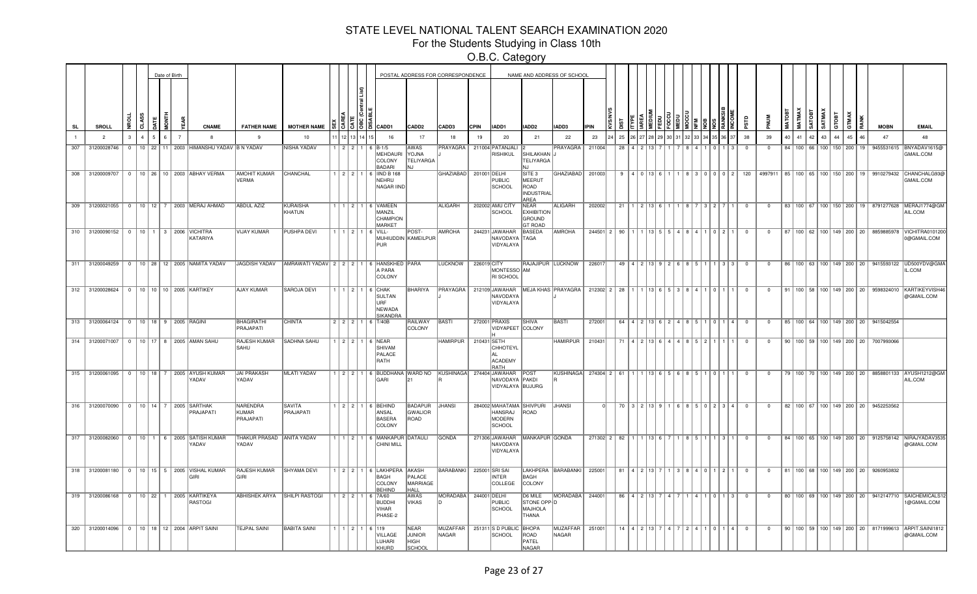For the Students Studying in Class 10th

|           |                                          |          |  | Date of Birth |                |                                                               |                                       |                                                      |         |       |                                                                                         |                                                 | POSTAL ADDRESS FOR CORRESPONDENCE |              |                                                                       |                                                              | NAME AND ADDRESS OF SCHOOL                                                            |             |                                                        |                                                 |              |                                     |           |                                                         |                |                |    |        |                                 |       |       |                                                   |                                                                                   |
|-----------|------------------------------------------|----------|--|---------------|----------------|---------------------------------------------------------------|---------------------------------------|------------------------------------------------------|---------|-------|-----------------------------------------------------------------------------------------|-------------------------------------------------|-----------------------------------|--------------|-----------------------------------------------------------------------|--------------------------------------------------------------|---------------------------------------------------------------------------------------|-------------|--------------------------------------------------------|-------------------------------------------------|--------------|-------------------------------------|-----------|---------------------------------------------------------|----------------|----------------|----|--------|---------------------------------|-------|-------|---------------------------------------------------|-----------------------------------------------------------------------------------|
| <b>SL</b> | SROLL                                    | Ĕ        |  |               |                | <b>CNAME</b>                                                  | <b>FATHER NAME</b>                    | <b>MOTHER NAME</b>                                   |         |       | $\frac{15}{5}$ $\frac{5}{5}$ $\frac{18}{5}$ $\frac{20}{5}$ $\frac{20}{5}$ $\frac{1}{5}$ | CADD <sub>2</sub>                               | CADD3                             | <b>CPIN</b>  | IADD1                                                                 | IADD2                                                        | IADD3                                                                                 | <b>IPIN</b> |                                                        |                                                 |              |                                     |           |                                                         |                |                |    | MATMAX | SATMAX<br><b>SATOBT</b>         | атовт | GTMAX | <b>MOBN</b>                                       | <b>EMAIL</b>                                                                      |
|           | $\overline{2}$                           |          |  |               | $\overline{7}$ |                                                               | -9                                    | 10                                                   |         |       | 16                                                                                      | 17                                              | 18                                | 19           | 20                                                                    | 21                                                           | 22                                                                                    | 23          | 25                                                     |                                                 |              |                                     |           |                                                         | 38             | 39             | 40 | 41     | 42<br>43                        | AA    | 45    | 47                                                | 48                                                                                |
| 307       | 31200028746                              | $\Omega$ |  |               |                | 10   22   11   2003   HIMANSHU YADAV   B N YADAV              |                                       | <b>NISHA YADAV</b>                                   | 1121211 |       | $6$ B-1/5<br>MEHDAURI<br>COLONY<br><b>BADARI</b>                                        | <b>AWAS</b><br><b>YOJNA</b><br><b>TELIYARGA</b> | <b>PRAYAGRA</b>                   |              | 211004 PATANJALI<br>RISHIKUL                                          | SHILAKHAN J<br>TELIYARGA                                     | PRAYAGRA                                                                              | 211004      | 28                                                     |                                                 |              |                                     |           |                                                         | $\Omega$       | $\Omega$       |    |        | 84   100   66   100   150   200 |       | 19    | 9455531615                                        | BNYADAV1615@<br>GMAIL.COM                                                         |
|           | 308 31200009707                          |          |  |               |                | 0   10   26   10   2003 ABHAY VERMA                           | AMOHIT KUMAR<br>VERMA                 | CHANCHAL                                             |         | 2 2 1 | 6  IIND B 168<br>NEHRU<br>NAGAR IIND                                                    |                                                 | GHAZIABAD                         | 201001 DELHI | PUBLIC<br><b>SCHOOL</b>                                               | SITE 3<br>MEERUT<br>ROAD<br><b>INDUSTRIAL</b><br>AREA        | GHAZIABAD                                                                             | 201003      | 9                                                      |                                                 |              | 4 0 13 6 1                          |           | 1 8 3 0 0 0 2  120                                      |                |                |    |        |                                 |       |       | 4997911 85 100 65 100 150 200 19 9910279432       | CHANCHALG93@<br>GMAIL.COM                                                         |
|           |                                          |          |  |               |                | 309 31200021055 0 10 12 7 2003 MERAJ AHMAD                    | <b>ABDUL AZIZ</b>                     | KURAISHA<br>KHATUN                                   |         |       | 1 2 1 6 VAMEEN<br>MANZIL<br>CHAMPION<br><b>MARKET</b>                                   |                                                 | <b>ALIGARH</b>                    |              | 202002 AMU CITY<br>SCHOOL                                             | NEAR<br><b>EXHIBITION</b><br><b>GROUND</b><br><b>GT ROAD</b> | <b>ALIGARH</b>                                                                        | 202002      | 21                                                     |                                                 |              | 1 2 13 6 1                          | 8 7 3 2 7 |                                                         | $\overline{0}$ | $\mathbf{0}$   |    |        |                                 |       |       |                                                   | 83   100   67   100   150   200   19   8791277628   MERAJ1774@GM<br>AIL.COM       |
|           | 310 31200090152 0 10 1 3 2006 VICHITRA   |          |  |               |                | <b>KATARIYA</b>                                               | <b>JIJAY KUMAR</b>                    | <b>PUSHPA DEVI</b>                                   |         |       | $1216$ VILL-<br>MUHIUDDIN KAMEILPUR<br><b>PUR</b>                                       | POST-                                           | AMROHA                            |              | 244231 JAWAHAR<br>NAVODAYA TAGA<br>VIDYALAYA                          | BASEDA                                                       | <b>AMROHA</b>                                                                         |             | $244501$   2   90   1   1   13   5   5   4   8   4   1 |                                                 |              |                                     |           | 0 2 1                                                   | $\overline{0}$ | $^{\circ}$     |    |        |                                 |       |       | 87   100   62   100   149   200   20   8859885978 | VICHITRA010120<br>0@GMAIL.COM                                                     |
|           |                                          |          |  |               |                | 311 31200049259   0   10   28   12   2005 NAMITA YADAV        |                                       | JAGDISH YADAV AMRAWATI YADAV 2 2 2 1 6 HANSKHED PARA |         |       | A PARA<br>COLONY                                                                        |                                                 | LUCKNOW                           | 226019 CITY  | MONTESSO AM<br>RI SCHOOL                                              |                                                              | RAJAJIPUR LUCKNOW                                                                     | 226017      |                                                        |                                                 |              |                                     |           | 49   4   2   13   9   2   6   8   5   1   1   3   3     | $\overline{0}$ | $\mathbf{0}$   |    |        |                                 |       |       |                                                   | 86   100   63   100   149   200   20   9415593122   UD500YDV@GMA<br>L.COM         |
|           | 312 31200028624 0 10 10 10 2005 KARTIKEY |          |  |               |                |                                                               | <b>AJAY KUMAR</b>                     | SAROJA DEVI                                          |         |       | $1   1   2   1   6  $ CHAK<br>SULTAN<br><b>URF</b><br>NEWADA<br>SIKANDRA                | BHARIYA                                         | PRAYAGRA 212109 JAWAHAR           |              | NAVODAYA<br>VIDYALAYA                                                 |                                                              | MEJA KHAS PRAYAGRA   212302   2   28   1   1   13   6   5   3   8   4   1   0   1   1 |             |                                                        |                                                 |              |                                     |           |                                                         | $\overline{0}$ | $^{\circ}$     |    |        |                                 |       |       |                                                   | 91   100   58   100   149   200   20   9598324010  KARTIKEYVISH4<br>@GMAIL.COM    |
|           | 313 31200064124 0 10 18 9 2005 RAGINI    |          |  |               |                |                                                               | BHAGIRATHI<br>PRAJAPATI               | <b>CHINTA</b>                                        |         |       | 2 2 2 1 6 T/40B                                                                         | RAILWAY<br>COLONY                               | BASTI                             |              | 272001 PRAXIS<br>VIDYAPEET COLONY                                     | <b>SHIVA</b>                                                 | BASTI                                                                                 | 272001      |                                                        |                                                 |              |                                     |           | 64   4   2   13   6   2   4   8   5   1   0   1   4   0 |                | $\overline{0}$ |    |        |                                 |       |       | 85   100   64   100   149   200   20   9415042554 |                                                                                   |
|           |                                          |          |  |               |                | 314 31200071007   0   10   17   8   2005   AMAN SAHU          | RAJESH KUMAR<br>SAHU                  | <b>SADHNA SAHU</b>                                   |         |       | 1 2 2 1 6 NEAR<br>SHIVAM<br>PALACE<br>RATH                                              |                                                 | HAMIRPUR   210431 SETH            |              | CHHOTEYL<br>ACADEMY<br>RATH                                           |                                                              | <b>HAMIRPUR</b>                                                                       | 210431      |                                                        | 71   4   2   13   6   4   4   8   5   2   1   1 |              |                                     |           |                                                         | $\overline{0}$ | $\mathbf{0}$   |    |        |                                 |       |       | 90   100   59   100   149   200   20   7007993066 |                                                                                   |
|           |                                          |          |  |               |                | 315 31200061095   0   10   18   7   2005 AYUSH KUMAR<br>YADAV | JAI PRAKASH<br>YADAV                  | MLATI YADAV                                          |         |       | 1 2 2 1 6 BUDDHANA WARD NO KUSHINAGA 274404 JAWAHAR POST<br>GARI                        |                                                 |                                   |              | NAVODAYA PAKDI<br>VIDYALAYA BUJURG                                    |                                                              | KUSHINAGA 274304 2 61                                                                 |             |                                                        |                                                 |              | 1 1 1 1 1 3   6   5   6   8   5   1 |           | 1011                                                    | $\overline{0}$ | $\mathbf{0}$   |    |        |                                 |       |       |                                                   | 79   100   70   100   149   200   20   8858801133   AYUSH1212@GM<br>AIL.COM       |
|           | 316 31200070090 0 10 14 7 2005 SARTHAK   |          |  |               |                | PRAJAPATI                                                     | <b>NARENDRA</b><br>KUMAR<br>PRAJAPATI | <b>SAVITA</b><br>PRAJAPATI                           |         |       | 1 2 2 1 1 6 BEHIND<br>ANSAL<br><b>BASERA</b><br>COLONY                                  | BADAPUR JHANSI<br>GWALIOR<br>ROAD               |                                   |              | 284002 MAHATAMA SHIVPURI<br>HANSRAJ<br><b>MODERN</b><br><b>SCHOOL</b> | ROAD                                                         | <b>JHANSI</b>                                                                         |             | 70 I                                                   |                                                 |              |                                     |           | $3 2 13 9 1 1 6 8 5 0 2 3 4 1$                          | $\Omega$       | $\Omega$       |    |        |                                 |       |       | 82   100   67   100   149   200   20   9452253562 |                                                                                   |
|           |                                          |          |  |               |                | 317 31200082060 0 10 1 6 2005 SATISH KUMAR<br>YADAV           | THAKUR PRASAD ANITA YADAV<br>YADAV    |                                                      |         |       | 1 2 1 6 MANKAPUR DATAULI<br><b>CHINI MILL</b>                                           |                                                 | <b>GONDA</b>                      |              | 271306 JAWAHAR<br>NAVODAYA<br>VIDYALAYA                               | MANKAPUR GONDA                                               |                                                                                       |             | 271302 2 82                                            |                                                 |              | 1 1 1 1 1 1 1 6 1 7                 | $R$ 5 1   | 3 1                                                     | $\Omega$       | $\Omega$       |    |        |                                 |       |       |                                                   | 84   100   65   100   149   200   20   9125758142   NIRAJYADAV353<br>@GMAIL.COM   |
|           |                                          |          |  |               |                | 318 31200081180 0 10 15 5 2005 VISHAL KUMAR<br>GIRI           | RAJESH KUMAR<br>GIRI                  | <b>SHYAMA DEVI</b>                                   |         |       | 1 2 2 1 6 LAKHPERA<br>BAGH<br>COLONY<br><b>BEHIND</b>                                   | AKASH<br>PALACE<br>MARRIAGE<br><b>HALL</b>      | <b>BARABANKI</b>                  |              | 225001 SRI SAI<br><b>INTER</b><br>COLLEGE                             | BAGH<br>COLONY                                               | LAKHPERA BARABANKI                                                                    | 225001      |                                                        | 81   4   2   13   7                             |              |                                     |           | 1 3 8 4 0 1 2 1                                         | $\overline{0}$ | $\mathbf{0}$   |    |        |                                 |       |       | 81   100   68   100   149   200   20   9260953832 |                                                                                   |
|           |                                          |          |  |               |                | 319 31200086168   0   10   22   1   2005 KARTIKEYA<br>RASTOGI | ABHISHEK ARYA   SHILPI RASTOGI        |                                                      | 1 2 2 1 |       | 6 7A/60<br><b>BUDDHI</b><br><b>VIHAR</b><br>PHASE-2                                     | AWAS<br><b>VIKAS</b>                            | MORADABA<br>In                    | 244001 DELHI | PUBLIC<br>SCHOOL                                                      | D6 MILE<br>STONE OPP D<br><b>MAJHOLA</b><br>THANA            | MORADABA                                                                              | 244001      | 86 l                                                   |                                                 | $4$   2   13 |                                     |           | 0   1   3                                               | $^{\circ}$     | $\mathbf{0}$   |    |        |                                 |       |       |                                                   | 80   100   69   100   149   200   20   9412147710   SAICHEMICALS1<br>@GMAIL.COM   |
|           |                                          |          |  |               |                | 320 31200014096 0 10 18 12 2004 ARPIT SAINI                   | <b>TEJPAL SAINI</b>                   | <b>BABITA SAINI</b>                                  |         |       | 112116119<br><b>VILLAGE</b><br>LUHARI<br>KHURD                                          | NEAR<br><b>JUNIOR</b><br>HIGH<br>SCHOOL         | MUZAFFAR  <br>NAGAR               |              | 251311 S D PUBLIC BHOPA<br><b>SCHOOL</b>                              | ROAD<br>PATEL<br><b>NAGAR</b>                                | MUZAFFAR<br>NAGAR                                                                     | 251001      | 14 <sup>1</sup>                                        |                                                 | 4 2 1 1 3    |                                     |           | I 0 I 1 I 4 I                                           | $\overline{0}$ | $^{\circ}$     |    |        |                                 |       |       |                                                   | 90   100   59   100   149   200   20   8171999613   ARPIT.SAINI1812<br>@GMAIL.COM |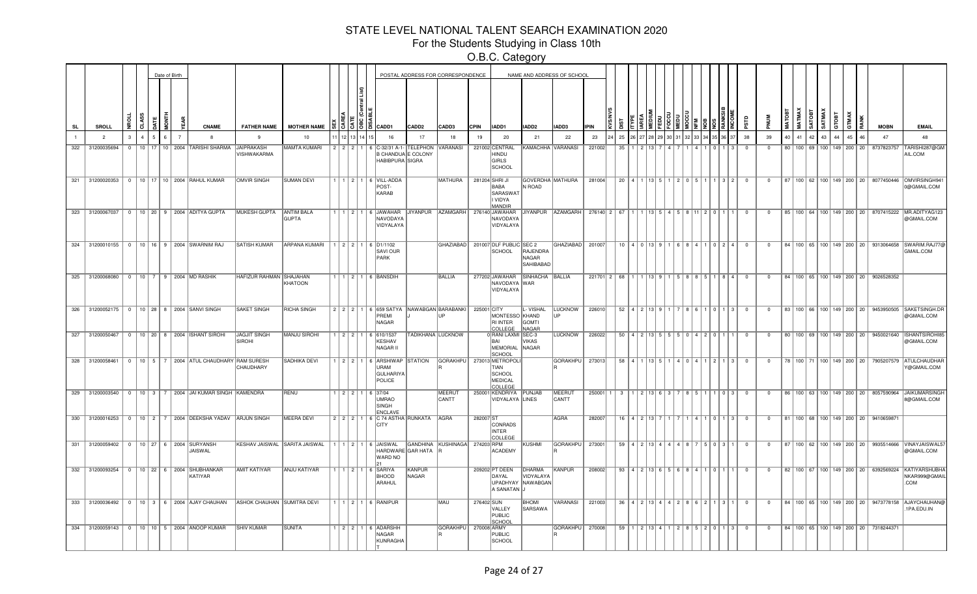For the Students Studying in Class 10th

|           |                 |               |  | Date of Birth |                                                           |                                  |                                   |  |                                                                                               |                   | POSTAL ADDRESS FOR CORRESPONDENCE |             |                                                             |                                    | NAME AND ADDRESS OF SCHOOL                              |                                       |                                        |                                 |  |  |                                                           |                         |                |    |    |             |          |                                      |                                                   |                                                                                            |
|-----------|-----------------|---------------|--|---------------|-----------------------------------------------------------|----------------------------------|-----------------------------------|--|-----------------------------------------------------------------------------------------------|-------------------|-----------------------------------|-------------|-------------------------------------------------------------|------------------------------------|---------------------------------------------------------|---------------------------------------|----------------------------------------|---------------------------------|--|--|-----------------------------------------------------------|-------------------------|----------------|----|----|-------------|----------|--------------------------------------|---------------------------------------------------|--------------------------------------------------------------------------------------------|
| <b>SL</b> | <b>SROLL</b>    |               |  | <b>TNOI</b>   | <b>CNAME</b>                                              | <b>FATHER NAME</b>               | <b>MOTHER NAME</b>                |  | $\frac{15}{3}$ $\frac{5}{3}$ $\frac{16}{3}$ $\frac{1}{6}$ $\frac{1}{100}$                     | CADD <sub>2</sub> | CADD3                             | <b>CPIN</b> | IADD1                                                       | IADD2                              | IADD3                                                   | <b>IPIN</b>                           |                                        |                                 |  |  |                                                           |                         |                |    |    | SATMAX<br>ë | GTOBT    |                                      | <b>MOBN</b>                                       | <b>EMAIL</b>                                                                               |
|           | $\overline{2}$  | $\mathcal{R}$ |  | $\epsilon$    | -8                                                        | -9                               | 10                                |  | 16                                                                                            | 17                | 18                                |             | 20                                                          | 21                                 | 22                                                      | 23                                    | 25                                     |                                 |  |  |                                                           | 38                      | 39             | 40 | 41 | 42          | 43<br>44 | 45<br>$46^{\circ}$                   | 47                                                |                                                                                            |
| 322       | 31200035694     |               |  |               | 0   10   17   10   2004   TARISHI SHARMA                  | JAIPRAKASH<br><b>VISHWAKARMA</b> | MAMTA KUMARI                      |  | 2 2 2 1 6 C-32/31 A-1-<br>B CHANDUA E COLONY<br>HABIBPURA SIGRA                               | TELEPHON          | VARANASI                          |             | 221002 CENTRAL<br>HINDU<br>GIRLS<br>SCHOOL                  |                                    | KAMACHHA VARANASI                                       | 221002                                | 35                                     |                                 |  |  |                                                           | $\overline{0}$          | $\Omega$       |    |    |             |          | 80   100   69   100   149   200   20 | 8737823757                                        | TARISHI287@GM<br>AIL.COM                                                                   |
|           |                 |               |  |               | 321   31200020353   0   10   17   10   2004   RAHUL KUMAR | <b>OMVIR SINGH</b>               | <b>SUMAN DEVI</b>                 |  | 1 1 2 1 6 VILL-ADDA<br>POST-<br>KARAB                                                         |                   | <b>MATHURA</b>                    |             | 281204 SHRIJI<br>BABA<br>SARASWAT<br>I VIDYA<br>MANDIR      | N ROAD                             | GOVERDHA MATHURA                                        | 281004                                |                                        |                                 |  |  | 20   4   1   13   5   1   2   0   5   1   1   3   2       | $\overline{0}$          | $\overline{0}$ |    |    |             |          |                                      |                                                   | 87   100   62   100   149   200   20   8077450446   OMVIRSINGH94<br>0@GMAIL.COM            |
|           | 323 31200067037 |               |  |               | 0   10   20   9   2004   ADITYA GUPTA                     | <b>MUKESH GUPTA</b>              | <b>ANTIM BALA</b><br><b>GUPTA</b> |  | 1   1   2   1   6   JAWAHAR   JIYANPUR   AZAMGARH   276140   JAWAHAR<br>NAVODAYA<br>VIDYALAYA |                   |                                   |             | NAVODAYA<br>VIDYALAYA                                       |                                    | JJYANPUR AZAMGARH 276140 2 67 1 1 13 5 4 5 8 11 2 0 1 1 |                                       |                                        |                                 |  |  |                                                           | $\overline{0}$          | $\overline{0}$ |    |    |             |          |                                      |                                                   | 85   100   64   100   149   200   20   8707415222   MR.ADITYAG123<br>@GMAIL.COM            |
|           |                 |               |  |               | 324 31200010155 0 10 16 9 2004 SWARNIM RAJ                | <b>SATISH KUMAR</b>              | ARPANA KUMARI                     |  | $1 \ 2 \ 2 \ 1 \ 6 \ 11/1102$<br>SAVI OUR<br>PARK                                             |                   | GHAZIABAD                         |             | 201007 DLF PUBLIC SEC 2<br><b>SCHOOL</b>                    | RAJENDRA<br>NAGAR<br>SAHIBABAD     | GHAZIABAD 201007                                        |                                       |                                        |                                 |  |  | $10   4   0   13   9   1   6   8   4   1   0   2   4   0$ |                         | $\overline{0}$ |    |    |             |          |                                      |                                                   | 84   100   65   100   149   200   20   9313064658  SWARIM.RAJ77@<br>GMAIL.COM              |
|           | 325 31200068080 |               |  |               | 0   10   7   9   2004   MD RASHIK                         | HAFIZUR RAHMAN SHAJAHAN          | KHATOON                           |  | $1216$ BANSDIH                                                                                |                   | <b>BALLIA</b>                     |             | 277202 JAWAHAR SINHACHA BALLIA<br>NAVODAYA WAR<br>VIDYALAYA |                                    |                                                         |                                       | 221701 2 68 1 1 1 13 9 1 5 8 8 5 1 8 4 |                                 |  |  |                                                           | $\Omega$                | $\Omega$       |    |    |             |          |                                      | 84   100   65   100   149   200   20   9026528352 |                                                                                            |
|           |                 |               |  |               | 326 31200052175 0 10 28 8 2004 SANVI SINGH                | <b>SAKET SINGH</b>               | RICHA SINGH                       |  | 2 2 2 1 6 659 SATYA NAWABGAN BARABANKI<br>PREMI<br>NAGAR                                      |                   | I IP                              | 225001 CITY | MONTESSO KHAND<br>RI INTER<br>COLLEGE                       | L- VISHAL<br><b>GOMTI</b><br>NAGAR | <b>LUCKNOW</b><br><b>IIP</b>                            | 226010                                |                                        |                                 |  |  | $52$   4   2   13   9   1   7   8   6   1   0   1   3     | $\overline{0}$          | $\overline{0}$ |    |    |             |          |                                      |                                                   | 83   100   66   100   149   200   20   9453950505   SAKETSINGH.DR<br>@GMAIL.COM            |
|           |                 |               |  |               | 327 31200050467   0   10   20   8   2004   ISHANT SIROHI  | <b>JAGJIT SINGH</b><br>SIROHI    | MANJU SIROHI                      |  | $1 \mid 2 \mid 2 \mid 1 \mid 6 \mid 610/1537$<br><b>KESHAV</b><br>NAGAR II                    |                   | TADIKHANA LUCKNOW                 |             | 0 RANI LAXMI SEC-3<br>BAI<br><b>MEMORIAL</b><br>SCHOO       | <b>VIKAS</b><br>NAGAR              | <b>LUCKNOW</b>                                          | 226022                                |                                        |                                 |  |  | $50   4   2   13   5   5   5   0   4   2   0   1   1$     | $\overline{\mathbf{0}}$ | $\mathbf 0$    |    |    |             |          |                                      |                                                   | 80    100    69    100    149    200    20    9450021640    ISHANTSIROHI85<br>@GMAIL.COM   |
|           |                 |               |  |               | 328 31200058461 0 10 5 7 2004 ATUL CHAUDHARY RAM SURESH   | CHAUDHARY                        | <b>SADHIKA DEVI</b>               |  | $1 \mid 2 \mid 2 \mid 1 \mid 6$ ARSHIWAP STATION<br>URAM<br><b>GULHARIYA</b><br>POLICE        |                   | GORAKHPU 273013 METROPOLI         |             | TIAN<br><b>SCHOOL</b><br><b>MEDICAL</b><br>COLLEGE          |                                    | GORAKHPU   273013                                       |                                       |                                        |                                 |  |  | 58   4   1   13   5   1   4   0   4   1   2   1   3       | $\overline{0}$          | $\overline{0}$ |    |    |             |          |                                      |                                                   | 78   100   71   100   149   200   20   7905207579  ATULCHAUDHAR<br>Y@GMAIL.COM             |
|           |                 |               |  |               | 329 31200003540 0 10 3 7 2004 JAI KUMAR SINGH KAMENDRA    |                                  | RENU                              |  | $1$   2   2   1   6   37/04<br><b>UMRAO</b><br><b>SINGH</b><br>ENCLAVE                        |                   | <b>MEERUT</b><br>CANTT            |             | 250001 KENDRIYA PUNJAB<br>VIDYALAYA LINES                   |                                    | MEERUT<br>CANTT                                         | 250001 1 3 1 2 13 6 3 7 8 5 1 1 0 3 0 |                                        |                                 |  |  |                                                           |                         | $\overline{0}$ |    |    |             |          |                                      |                                                   | 86   100   63   100   149   200   20   8057590964   JAIKUMARSINGI<br>8@GMAIL.COM           |
|           |                 |               |  |               | 330 31200016253 0 10 2 7 2004 DEEKSHA YADAV ARJUN SINGH   |                                  | <b>MEERA DEVI</b>                 |  | 2 2 2 1 6 C 74 ASTHA RUNKATA AGRA<br><b>CITY</b>                                              |                   |                                   | 282007 ST   | CONRADS<br><b>INTER</b><br>COLLEGI                          |                                    | <b>AGRA</b>                                             | 282007                                |                                        | 16   4   2   13   7   1   7     |  |  | 4 1 0 1 3 0                                               |                         | $\overline{0}$ |    |    |             |          |                                      | 81   100   68   100   149   200   20   9410659871 |                                                                                            |
|           |                 |               |  |               | 331 31200059402 0 10 27 6 2004 SURYANSH<br>JAISWAL        | KESHAV JAISWAL SARITA JAISWAL    |                                   |  | 1   1   2   1   6   JAISWAL<br>HARDWARE GAR HATA R<br>WARD NO                                 |                   | GANDHINA KUSHINAGA 274203 RPM     |             | ACADEMY                                                     | KUSHMI                             | GORAKHPU                                                | 273001                                |                                        | 59   4   2   13   4   4   4   8 |  |  | 1500311                                                   | $\overline{0}$          | $\overline{0}$ |    |    |             |          |                                      |                                                   | 87   100   62   100   149   200   20   9935514666   VINAYJAISWAL5<br>@GMAIL.COM            |
|           |                 |               |  |               | 332 31200093254 0 10 22 6 2004 SHUBHANKAR<br>KATIYAR      | <b>AMIT KATIYAR</b>              | <b>ANJU KATIYAR</b>               |  | 1   1   2   1   6   SARIYA<br><b>BHOOD</b><br>ARAHUL                                          | KANPUR<br>NAGAR   |                                   |             | 209202 PT DEEN<br>DAYAL<br>UPADHYAY NAWABGAN<br>A SANATAN J | DHARMA<br>VIDYALAYA                | KANPUR                                                  | 208002                                | 93                                     | 4 2 13                          |  |  |                                                           | $^{\circ}$              | $^{\circ}$     |    |    |             |          |                                      |                                                   | 82   100   67   100   149   200   20   6392569224   KATIYARSHUBHA<br>NKAR999@GMAIL<br>.COM |
|           |                 |               |  |               | 333 31200036492 0 10 3 6 2004 AJAY CHAUHAN                | ASHOK CHAUHAN SUMITRA DEVI       |                                   |  | 1   1   2   1   6   RANIPUR                                                                   |                   | MAU                               | 276402 SUN  | VALLEY<br>PUBLIC<br>SCHOOL                                  | <b>BHOMI</b><br>SARSAWA            | VARANASI                                                | 221003                                |                                        |                                 |  |  | 36   4   2   13   4   4   2   8   6   2   1   3   1       | $\overline{0}$          | $\overline{0}$ |    |    |             |          |                                      |                                                   | 84   100   65   100   149   200   20   9473778158   AJAYCHAUHAN@<br>.1PA.EDU.IN            |
|           |                 |               |  |               | 334 31200059143   0   10   10   5   2004 ANOOP KUMAR      | <b>SHIV KUMAR</b>                | <b>SUNITA</b>                     |  | 2 2 1 6 ADARSHH<br><b>NAGAR</b><br>KUNRAGHA                                                   |                   | GORAKHPU                          | 270008 ARMY | PUBLIC<br><b>SCHOOL</b>                                     |                                    | GORAKHPU                                                | 270008                                | 59                                     |                                 |  |  | 1 2 13 4 1 2 8 5 2 0 1 1 3                                | $\overline{0}$          | $\Omega$       |    |    |             |          |                                      | 84   100   65   100   149   200   20   7318244371 |                                                                                            |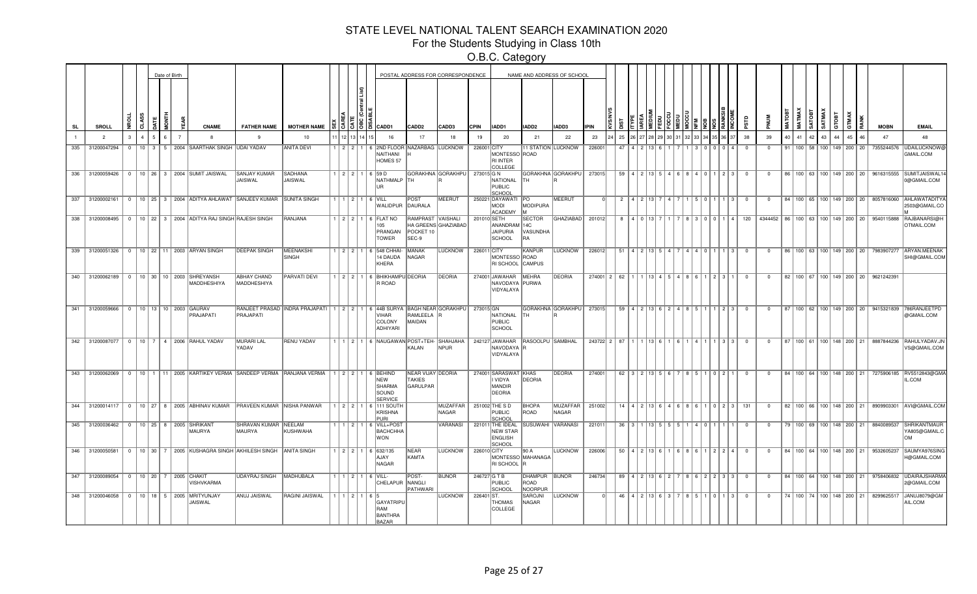For the Students Studying in Class 10th

|     |                 |               |   |    | Date of Birth |                                                                          |                                |                                                                                   |           |                  |                                                                                 |                                                | POSTAL ADDRESS FOR CORRESPONDENCE |              |                                                                 |                                 | NAME AND ADDRESS OF SCHOOL |             |    |                  |                                     |                                     |          |         |                                                             |                         |                                                |    |    |                        |                                            |    |                                                   |                                                                                   |
|-----|-----------------|---------------|---|----|---------------|--------------------------------------------------------------------------|--------------------------------|-----------------------------------------------------------------------------------|-----------|------------------|---------------------------------------------------------------------------------|------------------------------------------------|-----------------------------------|--------------|-----------------------------------------------------------------|---------------------------------|----------------------------|-------------|----|------------------|-------------------------------------|-------------------------------------|----------|---------|-------------------------------------------------------------|-------------------------|------------------------------------------------|----|----|------------------------|--------------------------------------------|----|---------------------------------------------------|-----------------------------------------------------------------------------------|
| SL  | SROLL           |               | a |    |               | <b>CNAME</b>                                                             | <b>FATHER NAME</b>             | <b>MOTHER NAME</b>                                                                |           | 13151ã1          | CADD1                                                                           | CADD2                                          | CADD3                             | <b>CPIN</b>  | IADD1                                                           | IADD <sub>2</sub>               | IADD3                      |             |    |                  |                                     |                                     |          |         |                                                             |                         |                                                |    |    | SATMAX<br><b>GOTAS</b> | говт                                       |    | <b>MOBN</b>                                       | <b>EMAIL</b>                                                                      |
|     | $\overline{2}$  | $\mathcal{R}$ |   | 5. |               |                                                                          | $\mathbf{q}$                   | 10                                                                                | 12        |                  | 16                                                                              | 17                                             | 18                                | 19           | 20                                                              | 21                              | 22                         | 23          | 25 |                  |                                     |                                     |          |         |                                                             | 38                      | 39                                             | 40 | 41 | 42<br>43               |                                            | 45 | 47                                                | 48                                                                                |
| 335 | 31200047294     |               |   |    |               | 0   10   3   5   2004   SAARTHAK SINGH   UDAI YADAV                      |                                | <b>ANITA DEVI</b>                                                                 |           |                  | 1 2 2 1 6 2ND FLOOR NAZARBAG LUCKNOW<br>NAITHANI<br>HOMES 57                    |                                                |                                   | 226001 CITY  | MONTESSO ROAD<br>RI INTER<br><b>COLLEGE</b>                     |                                 | <b>11 STATION LUCKNOW</b>  | 226001      | 47 |                  |                                     |                                     |          |         | $\mathbf{A}$                                                | $\overline{0}$          | $\Omega$                                       | 91 |    |                        | 100   58   100   149   200   20            |    | 7355244576                                        | <b>UDAILUCKNOW</b><br>GMAIL.COM                                                   |
|     |                 |               |   |    |               | 336 31200059426 0 10 26 3 2004 SUMIT JAISWAL                             | <b>SANJAY KUMAR</b><br>JAISWAL | <b>SADHANA</b><br><b>JAISWAL</b>                                                  |           |                  | $1 \mid 2 \mid 2 \mid 1 \mid 6 \mid 59 \mid D$<br>NATHMALP<br>UR                | <b>ITH</b>                                     | GORAKHNA GORAKHPU                 | 273015 G N   | NATIONAL<br>PUBLIC<br>SCHOOL                                    | lth.                            | GORAKHNA GORAKHPU          | 273015      |    |                  | 59   4   2   13   5                 |                                     | $6 R 40$ |         | 1123                                                        | $\overline{0}$          | $\mathbf{0}$                                   |    |    |                        |                                            |    | 86   100   63   100   149   200   20   9616315555 | <b>SUMITJAISWAL1</b><br>0@GMAIL.COM                                               |
|     |                 |               |   |    |               | 337 31200002161 0 10 25 3 2004 ADITYA AHLAWAT SANJEEV KUMAR SUNITA SINGH |                                |                                                                                   |           |                  | $1$   $1$   $2$   $1$   $6$   VILL<br>WALIDPUR                                  | POST<br>DAURALA                                | <b>MEERUT</b>                     |              | 250221 DAYAWATI PO<br><b>MODI</b><br><b>ACADEMY</b>             | MODIPURA                        | <b>MEERUT</b>              |             |    |                  | 2 4 2 13 7                          |                                     |          | 5 0 1 1 | $1 \vert 3 \vert$                                           | $^{\circ}$              | $\mathbf{0}$                                   |    |    |                        |                                            |    |                                                   | 84   100   65   100   149   200   20   8057816060   AHLAWATADITY<br>2503@GMAIL.CO |
| 338 | 31200008495     |               |   |    |               | 0   10   22   3   2004 ADITYA RAJ SINGH RAJESH SINGH                     |                                | RANJANA                                                                           |           |                  | 1   2   2   1   6   FLAT NO<br>105<br>PRANGAN<br><b>TOWER</b>                   | RAMPRAST VAISHALI<br>POCKET 10<br>SEC-9        | HA GREENS GHAZIABAD               | 201010 SETH  | ANANDRAM 14C<br>JAIPURIA<br>SCHOOL                              | SECTOR<br>VASUNDHA<br>RA        | <b>GHAZIABAD</b>           | 201012      | 8  |                  |                                     |                                     |          | 3101011 | 14 I                                                        | 120                     | 4344452   86   100   63   100   149   200   20 |    |    |                        |                                            |    | 9540115888                                        | <b>RAJBANARSI@H</b><br>OTMAIL.COM                                                 |
|     |                 |               |   |    |               | 339 31200051326 0 10 22 11 2003 ARYAN SINGH                              | <b>DEEPAK SINGH</b>            | MEENAKSHI<br>SINGH                                                                |           |                  | I   2   2   1   6   548 CHHAI·<br>14 DAUDA<br>KHERA                             | MANAK<br>NAGAR                                 | <b>LUCKNOW</b>                    | 226011 CITY  | MONTESSO ROAD<br>RI SCHOOL CAMPUS                               | KANPUR                          | <b>LUCKNOW</b>             | 226012      | 51 |                  | 4   9   13   5                      |                                     |          |         | $\mathbf{B}$                                                | $\Omega$                | $\Omega$                                       |    |    |                        |                                            |    |                                                   | 86   100   63   100   149   200   20   7983907277   ARYAN.MEENAK<br>SHI@GMAIL.COM |
|     | 340 31200062189 |               |   |    |               | 0   10   30   10   2003   SHREYANSH<br>MADDHESHIYA                       | ABHAY CHAND<br>MADDHESHIYA     | PARVATI DEVI                                                                      |           |                  | 1   2   2   1   6   BHIKHAMPU DEORIA<br>R ROAD                                  |                                                | DEORIA                            |              | 274001 JAWAHAR<br>NAVODAYA PURWA<br>VIDYALAYA                   | MEHRA                           | <b>DEORIA</b>              | 274001 2 62 |    |                  |                                     | 1 1 13   4   5   4   8   6          |          |         | $1 \ 2 \ 3 \ 1$                                             | $\Omega$                | $\Omega$                                       |    |    |                        |                                            |    | 82   100   67   100   149   200   20   9621242391 |                                                                                   |
|     | 341 31200059666 |               |   |    |               | 0   10   13   10   2003   GAURAV<br>PRAJAPATI                            | PRAJAPATI                      | RANJEET PRASAD INDRA PRAJAPATI   1   2   2   1   6   44B SURYA BAGH NEAR GORAKHPU |           |                  | <b>VIHAR</b><br>COLONY<br>ADHIYARI                                              | RAMLEELA<br>MAIDAN                             |                                   | 273015 GN    | NATIONAL<br>PUBLIC<br>SCHOOL                                    | lth.                            | GORAKHNA GORAKHPU          | 273015      |    |                  |                                     | 59   4   2   13   6   2   4   8   5 |          |         | 1123                                                        | $\overline{\mathbf{0}}$ | $\mathbf 0$                                    |    |    |                        |                                            |    | 87   100   62   100   149   200   20   9415321839 | 786RANJEETPD<br>@GMAIL.COM                                                        |
| 342 |                 |               |   |    |               | 31200087077   0   10   7   4   2006 RAHUL YADAV                          | MURARI LAL<br>YADAV            | <b>RENU YADAV</b>                                                                 |           |                  | 1   1   2   1   6   NAUGAWAN POST+TEH- SHAHJAHA                                 | KALAN                                          | <b>NPUR</b>                       |              | NAVODAYA R<br>VIDYALAYA                                         | 242127 JAWAHAR RASOOLPU SAMBHAL |                            | 243722 2 87 |    |                  | 13 I 6                              |                                     |          |         | 3 3                                                         | $\Omega$                | $\Omega$                                       | 87 |    |                        | 100   61   100   148   200   21            |    | 8887844236                                        | <b>RAHULYADAV.JN</b><br>VS@GMAIL.COM                                              |
| 343 | 31200062069     |               |   |    |               | 0 10 1 11 2005 KARTIKEY VERMA SANDEEP VERMA RANJANA VERMA                |                                |                                                                                   |           |                  | $1$   2   2   1   6   BEHIND<br><b>NEW</b><br>SHARMA<br>SOUND<br><b>SERVICE</b> | NEAR VIJAY DEORIA<br><b>TAKIES</b><br>GARULPAR |                                   |              | 274001 SARASWAT KHAS<br>I VIDYA<br>MANDIR<br>DEORIA             | DEORIA                          | <b>DEORIA</b>              | 274001      |    |                  | $62$   $3$   $2$   $13$   $5$   $6$ |                                     |          |         | 1   0   2   1                                               | $\Omega$                | $\Omega$                                       |    |    |                        |                                            |    |                                                   | 84   100   64   100   148   200   21   7275906185   RV5512843@GMA<br>IL.COM       |
|     |                 |               |   |    |               | 344 31200014117 0 10 27 8 2005 ABHINAV KUMAR PRAVEEN KUMAR NISHA PANWAR  |                                |                                                                                   |           |                  | 1 2 2 1 6 111 SOUTH<br><b>KRISHNA</b><br>PURI                                   |                                                | <b>MUZAFFAR</b><br>NAGAR          |              | 251002 THE S D<br><b>PUBLIC</b><br>SCHOOL                       | <b>BHOPA</b><br>ROAD            | <b>MUZAFFAR</b><br>NAGAR   | 251002      |    |                  |                                     |                                     |          |         | $14$   4   2   13   6   4   6   8   6   1   0   2   3   131 |                         | $\overline{0}$                                 |    |    |                        |                                            |    |                                                   | 82   100   66   100   148   200   21   8909903301   AVI@GMAIL.COM                 |
|     | 345 31200036462 |               |   |    |               | 0   10   25   8   2005   SHRIKANT<br>MAURYA                              | SHRAVAN KUMAR NEELAM<br>MAURYA | KUSHWAHA                                                                          |           |                  | 1   1   2   1   6   VILL+POST<br><b>BACHCHHA</b><br><b>WON</b>                  |                                                | VARANASI                          |              | 221011 THE IDEAL<br><b>NEW STAR</b><br><b>ENGLISH</b><br>SCHOOL | SUSUWAHI VARANASI               |                            | 221011      |    | $36 \mid 3 \mid$ | 1 1 1 3 1 5                         |                                     |          | 4 0 1   |                                                             | $^{\circ}$              | $\Omega$                                       |    |    |                        | 79   100   69   100   148   200   21       |    | 8840089537                                        | SHRIKANTMAUR<br>YA805@GMAIL.C<br>lom                                              |
|     | 346 31200050581 |               |   |    |               | 0   10   30   7   2005   KUSHAGRA SINGH   AKHILESH SINGH   ANITA SINGH   |                                |                                                                                   |           |                  | $1$   2   2   1   6   632/135<br>AJAY<br>NAGAR                                  | NEAR<br>KAMTA                                  | <b>LUCKNOW</b>                    | 226010 CITY  | RI SCHOOL                                                       | 90 A<br>MONTESSO MAHANAGA       | <b>LUCKNOW</b>             | 226006      |    | 50   4   2       |                                     |                                     |          |         | 2   2   4                                                   | $^{\circ}$              | $\mathbf{0}$                                   |    |    |                        | 84    100    64    100    148    200    21 |    | 9532605237                                        | SAUMYA976SIN<br>H@GMAIL.COM                                                       |
| 347 |                 |               |   |    |               | 31200089054   0   10   20   7   2005 CHAKIT<br>VISHVKARMA                | <b>UDAYRAJ SINGH</b>           | MADHUBALA                                                                         | 1   2   1 |                  | $6$ VILL-<br>CHELAPUR NANGLI                                                    | POST-<br>PATHWARI                              | <b>BIJNOR</b>                     | 246727 G T B | PUBLIC<br>SCHOOL                                                | DHAMPUR<br>ROAD<br>NOORPUR      | BIJNOR                     | 246734      |    |                  |                                     |                                     |          |         | 89   4   2   13   6   2   7   8   6   2   2   3   3         | $\overline{\mathbf{0}}$ | $^{\circ}$                                     |    |    |                        |                                            |    |                                                   | 84   100   64   100   148   200   21   9758406832   UDAIRAJSHARMA<br>2@GMAIL.COM  |
|     |                 |               |   |    |               | 348 31200046058   0   10   18   5   2005   MRITYUNJAY<br>JAISWAL         | ANUJ JAISWAL                   | <b>RAGINI JAISWAL</b>                                                             |           | 1 1 1 2 1 1 6 15 | GAYATRIPU<br>RAM<br><b>BANTHRA</b><br><b>BAZAR</b>                              |                                                | LUCKNOW                           | 226401 ST.   | <b>THOMAS</b><br>COLLEGE                                        | SAROJNI<br>NAGAR                | <b>LUCKNOW</b>             |             |    |                  |                                     |                                     |          |         |                                                             |                         | $^{\circ}$                                     |    |    |                        | 74   100   74   100   148   200   21       |    |                                                   | 8299625517 JANUJ8079@GM<br>AIL.COM                                                |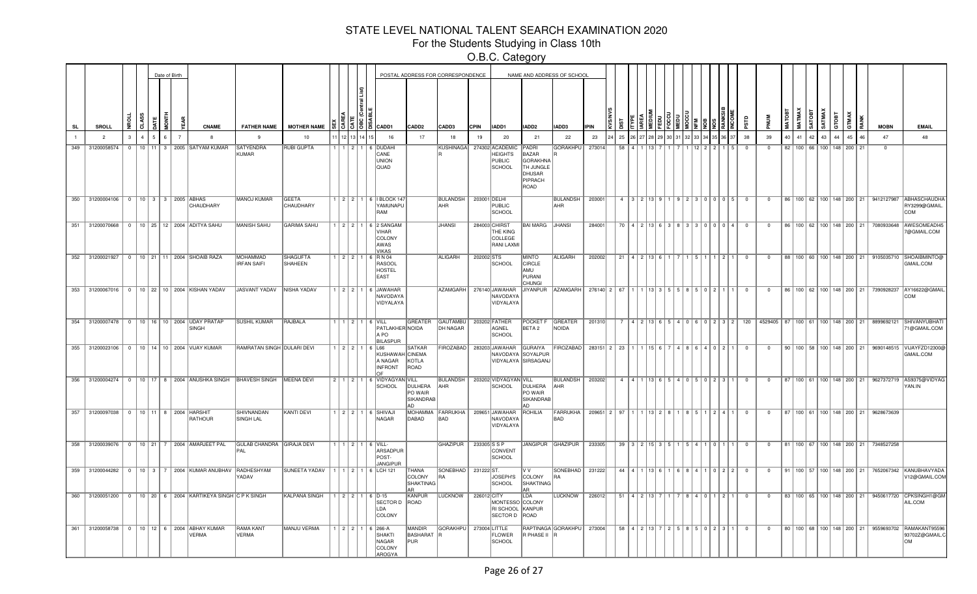For the Students Studying in Class 10th

|           |     |                                               |               |   |         | Date of Birth |                |                                                            |                                       |                                 |         |       |                                                                                        |                                           | POSTAL ADDRESS FOR CORRESPONDENCE |              |                                                                     |                                                                                           | NAME AND ADDRESS OF SCHOOL  |             |                        |                                          |                   |              |      |                                                     |                |                |          |          |        |                                      |       |    |                                                   |                                                                                                  |
|-----------|-----|-----------------------------------------------|---------------|---|---------|---------------|----------------|------------------------------------------------------------|---------------------------------------|---------------------------------|---------|-------|----------------------------------------------------------------------------------------|-------------------------------------------|-----------------------------------|--------------|---------------------------------------------------------------------|-------------------------------------------------------------------------------------------|-----------------------------|-------------|------------------------|------------------------------------------|-------------------|--------------|------|-----------------------------------------------------|----------------|----------------|----------|----------|--------|--------------------------------------|-------|----|---------------------------------------------------|--------------------------------------------------------------------------------------------------|
| <b>SL</b> |     | SROLL                                         | 뚶             | ನ |         |               |                | <b>CNAME</b>                                               | <b>FATHER NAME</b>                    | <b>MOTHER NAME</b>              |         |       | $\frac{15}{3}$ $\frac{15}{3}$ $\frac{12}{3}$ $\frac{1}{3}$ $\frac{1}{2}$ $\frac{1}{2}$ | CADD2                                     | CADD3                             | <b>CPIN</b>  | IADD1                                                               | IADD2                                                                                     | <b>IADD3</b>                | <b>IPIN</b> |                        |                                          |                   |              |      |                                                     |                |                |          | SATOBT   | SATMAX | атовт                                | GTMAX |    | <b>MOBN</b>                                       | <b>EMAIL</b>                                                                                     |
|           |     | $\overline{2}$                                | $\mathcal{R}$ |   |         |               | $\overline{7}$ | 8                                                          | 9                                     | 10                              |         | 12 13 | 16                                                                                     | 17                                        | 18                                | 19           | 20                                                                  | 21                                                                                        | 22                          | 23          | 25                     |                                          |                   |              |      |                                                     | 38             | 39             | 40<br>41 | 42       | 43     | 44                                   | 45    |    | 47                                                | 48                                                                                               |
|           | 349 | 31200058574                                   | $\mathbf{0}$  |   | $10$ 11 |               |                | 3 2005 SATYAM KUMAR                                        | <b>SATYENDRA</b><br>KUMAR             | <b>RUBI GUPTA</b>               |         | $2$ 1 | 6 DUDAHI<br>CANE<br><b>UNION</b><br>QUAD                                               |                                           | <b>KUSHINAGA</b>                  |              | 274302 ACADEMIC<br><b>HEIGHTS</b><br><b>PUBLIC</b><br><b>SCHOOL</b> | PADRI<br><b>BAZAR</b><br><b>GORAKHNA</b><br><b>TH JUNGLE</b><br>DHUSAR<br>PIPRACH<br>ROAD | <b>GORAKHPU</b>             | 273014      | 58                     |                                          |                   |              |      |                                                     |                | $\mathbf 0$    | 82       | $100$ 66 |        | 100 148 200                          |       | 21 | $\overline{0}$                                    |                                                                                                  |
|           |     | 350 31200004106   0   10   3   3   2005 ABHAS |               |   |         |               |                | CHAUDHARY                                                  | MANOJ KUMAR                           | <b>GEETA</b><br>CHAUDHARY       |         |       | 1 2 2 1 6 BLOCK 147<br>YAMUNAPU<br>RAM                                                 |                                           | <b>BULANDSH</b><br>AHR            | 203001 DELHI | PUBLIC<br>SCHOOL                                                    |                                                                                           | <b>BULANDSH</b><br>AHR      | 203001      | $\overline{a}$         |                                          |                   |              |      | 3 2 13 9 1 1 9 2 2 3 0 1 0 1 0 1 5                  | $\overline{0}$ | $^{\circ}$     |          |          |        |                                      |       |    | 86   100   62   100   148   200   21   9412127987 | <b>ABHASCHAUDHA</b><br>RY3299@GMAIL<br>COM                                                       |
|           | 351 |                                               |               |   |         |               |                | 31200070668 0 10 25 12 2004 ADITYA SAHU                    | MANISH SAHU                           | <b>GARIMA SAHU</b>              |         |       | 2 2 1 6 2 SANGAM<br><b>VIHAR</b><br>COLONY<br>AWAS<br><b>VIKAS</b>                     |                                           | <b>JHANSI</b>                     |              | 284003 CHIRST<br>THE KING<br>COLLEGE<br><b>RANI LAXMI</b>           | <b>BAI MARG</b>                                                                           | <b>JHANSI</b>               | 284001      | 70                     |                                          |                   |              | l o  |                                                     |                | $\Omega$       |          |          |        |                                      |       |    |                                                   | 86   100   62   100   148   200   21   7080933648   AWESOMEADI45<br>@GMAIL.COM                   |
|           |     |                                               |               |   |         |               |                | 352 31200021927 0 10 21 11 2004 SHOAIB RAZA                | <b>MOHAMMAD</b><br><b>IRFAN SAIFI</b> | <b>SHAGUFTA</b><br>SHAHEEN      |         | 2 2 1 | 6 R N 04<br>RASOOL<br><b>HOSTEL</b><br><b>EAST</b>                                     |                                           | <b>ALIGARH</b>                    | 202002 STS   | SCHOOL                                                              | <b>MINTO</b><br><b>CIRCLE</b><br>AMU<br>PURANI<br><b>CHUNGI</b>                           | ALIGARH                     | 202002      | 21                     |                                          |                   |              |      | l 2 l                                               | $^{\circ}$     | $\mathbf{0}$   |          |          |        |                                      |       |    |                                                   | 88   100   60   100   148   200   21   9105035710   SHOAIBMINTO@<br>GMAIL.COM                    |
|           | 353 | 31200067016 0                                 |               |   |         |               |                | 10 22 10 2004 KISHAN YADAV                                 | JASVANT YADAV NISHA YADAV             |                                 |         |       | 2 2 1 6 JAWAHAR<br>NAVODAYA<br>VIDYALAYA                                               |                                           | AZAMGARH                          |              | 276140 JAWAHAR<br>NAVODAYA<br>VIDYALAYA                             | <b>JIYANPUR</b>                                                                           | AZAMGARH                    |             | $276140$ 2 67          |                                          | 3151              |              | 5091 |                                                     | $^{\circ}$     | $^{\circ}$     |          |          |        |                                      |       |    | 86   100   62   100   148   200   21   7390928237 | AY16622@GMAIL<br>COM                                                                             |
|           |     |                                               |               |   |         |               |                | 354 31200007478 0 10 16 10 2004 UDAY PRATAP<br>SINGH       | <b>SUSHIL KUMAR</b>                   | RAJBALA                         |         |       | 1 2 1 6 VILL<br>PATLAKHER NOIDA<br>A PO<br><b>BILASPUR</b>                             | GREATER                                   | <b>GAUTAMBU</b><br>DH NAGAR       |              | 203202 FATHER<br>AGNEL<br><b>SCHOOL</b>                             | POCKET F GREATER<br>BETA 2                                                                | NOIDA                       | 201310      |                        |                                          |                   |              |      | 6   0   2   3   2                                   | 120            | 4529405        |          |          |        |                                      |       |    | 87   100   61   100   148   200   21   8899692121 | SHIVANYUBHATI<br>1@GMAIL.COM                                                                     |
|           |     |                                               |               |   |         |               |                | 355 31200023106 0 10 14 10 2004 VIJAY KUMAR                | RAMRATAN SINGH DULARI DEVI            |                                 | 1121211 |       | 6 L66<br>KUSHAWAH CINEMA<br>A NAGAR<br><b>INFRONT</b>                                  | <b>SATKAR</b><br>KOTLA<br>ROAD            | <b>FIROZABAD</b>                  |              | 283203 JAWAHAR<br>NAVODAYA SOYALPUR<br>VIDYALAYA SIRSAGANJ          | <b>GURAIYA</b>                                                                            | FIROZABAD                   |             | 283151 2 23            |                                          |                   |              |      |                                                     | $^{\circ}$     | $\mathbf 0$    |          |          |        | 90   100   58   100   148   200   21 |       |    | 9690148515                                        | VIJAYFZD12300@<br>GMAIL.COM                                                                      |
|           |     |                                               |               |   |         |               |                | 356 31200004274 0 10 17 8 2004 ANUSHKA SINGH BHAVESH SINGH |                                       | MEENA DEVI                      |         |       | 2 1 2 1 6 VIDYAGYAN VILL<br>SCHOOL                                                     | DULHERA<br>PO WAIR<br>SIKANDRAB<br>AD     | <b>BULANDSH</b><br>AHR            |              | 203202 VIDYAGYAN VILL<br><b>SCHOOL</b>                              | DULHERA<br>PO WAIR<br>SIKANDRAB<br>AD                                                     | <b>BULANDSH</b><br>AHR      | 203202      | $\mathbf{A}$           | $A$   1                                  | $13$ $6$ $15$ $4$ |              | 5023 |                                                     | $\overline{0}$ | $^{\circ}$     |          |          |        |                                      |       |    | 87   100   61   100   148   200   21   9627372719 | AS9375@VIDYAG<br>YAN.IN                                                                          |
|           |     | 357 31200097038 0 10 11 8 2004 HARSHIT        |               |   |         |               |                | RATHOUR                                                    | SHIVNANDAN<br>SINGH LAL               | <b>KANTI DEVI</b>               |         |       | $1$   2   2   1   6   SHIVAJI<br>NAGAR                                                 | DABAD                                     | MOHAMMA FARRUKHA<br>BAD           |              | 209651 JAWAHAR<br>NAVODAYA<br>VIDYALAYA                             | ROHILIA                                                                                   | <b>FARRUKHA</b><br>BAD      |             | 209651 2 97 1 1 13 2 8 |                                          |                   |              |      | $8 \ 5 \ 1 \ 2 \ 4 \ 1$                             | $\overline{0}$ | $^{\circ}$     |          |          |        |                                      |       |    | 87   100   61   100   148   200   21   9628673639 |                                                                                                  |
|           |     |                                               |               |   |         |               |                | 358 31200039076 0 10 21 7 2004 AMARJEET PAL                | GULAB CHANDRA GIRAJA DEVI<br>PAL      |                                 |         |       | $1$   $1$   $2$   $1$   6   VILL-<br>ARSADPUR<br>POST-<br><b>JANGIPUF</b>              |                                           | <b>GHAZIPUR</b>                   | 233305 S P   | CONVENT<br>SCHOOL                                                   |                                                                                           | JANGIPUR GHAZIPUR           | 233305      |                        | $39 \mid 3 \mid 2 \mid 15 \mid 3 \mid 5$ |                   | <b>14</b> 11 |      | 101111                                              | $\overline{0}$ | $\overline{0}$ |          |          |        |                                      |       |    | 81   100   67   100   148   200   21   7348527258 |                                                                                                  |
|           |     | 359 31200044282 0                             |               |   |         |               |                | 10 3 7 2004 KUMAR ANUBHAV                                  | RADHESHYAM<br>YADAV                   | SUNEETA YADAV 1 1 2 1 6 LCH 121 |         |       |                                                                                        | THANA<br>COLONY<br><b>SHAKTINAG</b><br>AR | SONEBHAD<br>l RA                  | 231222 ST.   | JOSEPH'S<br><b>SCHOOL</b>                                           | V V<br>COLONY<br>SHAKTINAG<br>AR                                                          | SONEBHAD<br><b>RA</b>       | 231222      |                        | 44   4   1   13   6   1                  |                   | 1688411      |      | 0 2 2                                               | $\overline{0}$ | $^{\circ}$     |          |          |        |                                      |       |    |                                                   | 91   100   57   100   148   200   21   7652067342   KANUBHAVYADA<br>V12@GMAIL.COM                |
|           |     |                                               |               |   |         |               |                | 360 31200051200 0 10 20 6 2004 KARTIKEYA SINGH C P K SINGH |                                       | <b>KALPANA SINGH</b>            |         |       | $1122116D-15$<br>SECTOR D<br>LDA<br>COLONY                                             | KANPUR<br>ROAD                            | <b>LUCKNOW</b>                    | 226012 CITY  | MONTESSO COLONY<br>RI SCHOOL<br>SECTOR D                            | LDA<br>KANPUR<br>ROAD                                                                     | LUCKNOW                     | 226012      |                        | $51$   4   2   13                        |                   | $8$   4   0  |      | $\vert$ 2                                           | $\overline{0}$ | $^{\circ}$     |          |          |        |                                      |       |    |                                                   | 83   100   65   100   148   200   21   9450617720 CPKSINGH1@GM<br>AIL.COM                        |
|           |     |                                               |               |   |         |               |                | 361 31200058738 0 10 12 6 2004 ABHAY KUMAR<br>VERMA        | <b>RAMA KANT</b><br><b>VERMA</b>      | MANJU VERMA                     |         |       | $1$   2   2   1   6   266-A<br><b>SHAKTI</b><br>NAGAR<br><b>COLONY</b><br>AROGYA       | MANDIR<br>BASHARAT R<br>PUR               | GORAKHPU 273004 LITTLE            |              | <b>FLOWER</b><br>SCHOOL                                             | R PHASE II R                                                                              | RAPTINAGA GORAKHPU   273004 |             |                        |                                          |                   |              |      | 58   4   2   13   7   2   5   8   5   0   2   3   1 | $\overline{0}$ | $\overline{0}$ |          |          |        |                                      |       |    |                                                   | 80   100   68   100   148   200   21   9559693702   RAMAKANT95596<br>93702Z@GMAIL.C<br><b>OM</b> |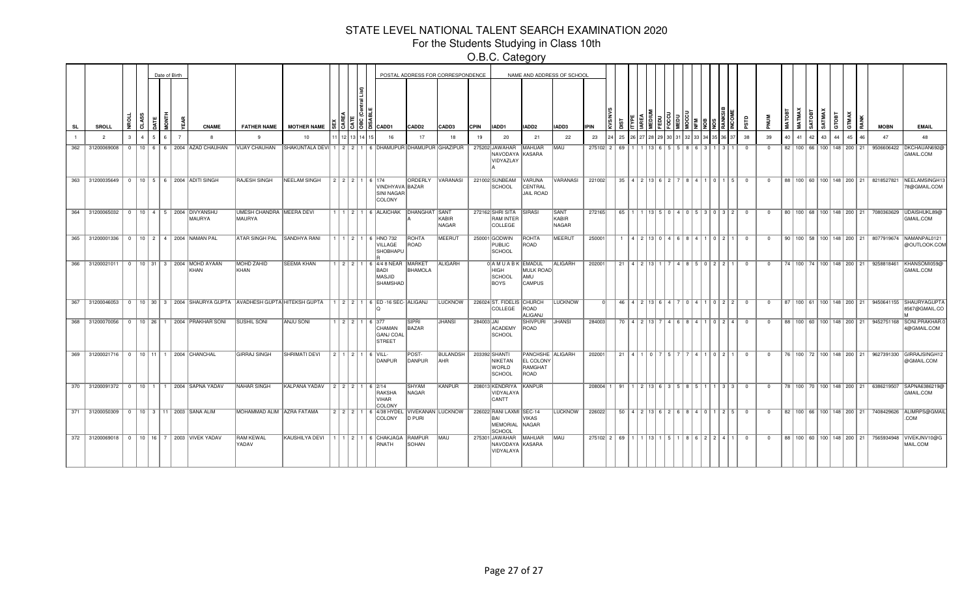For the Students Studying in Class 10th

|     |                                            |              |   |    | Date of Birth |                                                         |                                                                         |                                                                    |               |               |                                                                                         |                          | POSTAL ADDRESS FOR CORRESPONDENCE |             |                                                                     |                                                  | NAME AND ADDRESS OF SCHOOL    |                                        |    |                                               |                        |          |  |              |                                                       |                         |              |    |                                      |                         |    |     |                                      |             |                                          |
|-----|--------------------------------------------|--------------|---|----|---------------|---------------------------------------------------------|-------------------------------------------------------------------------|--------------------------------------------------------------------|---------------|---------------|-----------------------------------------------------------------------------------------|--------------------------|-----------------------------------|-------------|---------------------------------------------------------------------|--------------------------------------------------|-------------------------------|----------------------------------------|----|-----------------------------------------------|------------------------|----------|--|--------------|-------------------------------------------------------|-------------------------|--------------|----|--------------------------------------|-------------------------|----|-----|--------------------------------------|-------------|------------------------------------------|
| SL  | <b>SROLL</b>                               |              | ਨ |    |               | <b>CNAME</b>                                            | <b>FATHER NAME</b>                                                      | <b>MOTHER NAME</b>                                                 |               | I3 I3 IB IB I | CADD1                                                                                   | CADD <sub>2</sub>        | CADD3                             | <b>CPIN</b> | IADD1                                                               | IADD2                                            | IADD3                         | <b>IPIN</b>                            |    |                                               |                        |          |  |              |                                                       |                         |              |    |                                      | TMAX<br><b>BO</b><br>75 | eв | XAN |                                      | <b>MOBN</b> | <b>EMAIL</b>                             |
|     | $\overline{2}$                             | $\mathbf{R}$ |   | 5. |               | $\mathbf{R}$                                            | $\mathbf{q}$                                                            | 10                                                                 |               |               | 16                                                                                      | 17                       | 18                                | 19          | 20                                                                  | 21                                               | 22                            | 23                                     | 25 |                                               |                        |          |  |              |                                                       | 38                      | 39           | 40 | 41                                   | 43<br>42                | AA | 45  |                                      | 47          | 48                                       |
| 362 | 31200069008                                | $\Omega$     |   |    |               | 10 6 6 2004 AZAD CHAUHAN                                | VIJAY CHAUHAN                                                           | SHAKUNTALA DEVI   1   2   2   1   6   DHAMUPUR   DHAMUPUR GHAZIPUR |               |               |                                                                                         |                          |                                   |             | 275202 JAWAHAR<br>NAVODAYA KASARA<br>VIDYAZLAY                      | <b>MAHUAR</b>                                    | MAU                           | $275102$ 2 69                          |    |                                               |                        | 13 6 5 5 |  | $\mathbf{B}$ | $\mathbf{R}$                                          | $\overline{0}$          | $\mathbf{0}$ |    | 82 100 66 100 148 200 21             |                         |    |     |                                      | 9506606422  | DKCHAUAN692@<br>GMAIL.COM                |
| 363 | 31200035649 0 10 5 6 2004 ADITI SINGH      |              |   |    |               |                                                         | <b>RAJESH SINGH</b>                                                     | <b>NEELAM SINGH</b>                                                |               |               | 2 2 2 1 6 174<br>VINDHYAVA BAZAR<br>SINI NAGAR<br>COLONY                                |                          | ORDERLY VARANASI                  |             | 221002 SUNBEAM<br><b>SCHOOL</b>                                     | VARUNA<br>CENTRAL<br><b>JAIL ROAD</b>            | VARANASI                      | 221002                                 |    | $35 \mid 4 \mid 2 \mid 13 \mid 6 \mid 2 \mid$ |                        |          |  |              | 8410115                                               | $\overline{0}$          | $\Omega$     |    |                                      |                         |    |     | 88   100   60   100   148   200   21 | 8218527821  | NEELAMSINGH1<br>78@GMAIL.COM             |
|     | 364 31200065032 0 10 4 5 2004 DIVYANSHU    |              |   |    |               | <b>MAURYA</b>                                           | UMESH CHANDRA MEERA DEVI<br>MAURYA                                      |                                                                    |               |               | 1   1   2   1   6   ALAICHAK   DHANGHAT SANT                                            |                          | KABIR<br>NAGAR                    |             | 272162 SHRI SITA<br><b>RAM INTER</b><br>COLLEGE                     | SIRASI                                           | <b>SANT</b><br>KABIR<br>NAGAR | 272165                                 |    |                                               |                        |          |  |              | 65   1   1   13   5   0   4   0   5   3   0   3   2   | $\overline{\mathbf{0}}$ | $\mathbf{0}$ |    |                                      |                         |    |     | 80   100   68   100   148   200   21 | 7080363629  | UDAISHUKL89@<br>GMAIL.COM                |
| 365 | 31200001336 0 10 2 4 2004 NAMAN PAL        |              |   |    |               |                                                         | ATAR SINGH PAL SANDHYA RANI                                             |                                                                    | 1 1 1 2 1 1 1 |               | 6 HNO 732<br>VILLAGE<br>SHOBHAPU                                                        | ROHTA<br>ROAD            | MEERUT                            |             | 250001 GODWIN<br>PUBLIC<br><b>SCHOOL</b>                            | ROHTA<br>ROAD                                    | <b>MEERUT</b>                 | 250001                                 |    |                                               |                        |          |  |              | 4 2 13 0 4 6 8 4 1 0 2 1                              | $\Omega$                | $\Omega$     |    |                                      |                         |    |     | 90   100   58   100   148   200   21 |             | 8077919674 NAMANPAL0121<br>@OUTLOOK.COM  |
| 366 | 31200021011                                |              |   |    |               | 0   10   31   3   2004   MOHD AYAAN<br>KHAN             | MOHD ZAHID<br>KHAN                                                      | <b>SEEMA KHAN</b>                                                  |               |               | 1 2 2 1 6 4/4 8 NEAR<br><b>BADI</b><br>MASJID<br><b>SHAMSHAD</b>                        | MARKET<br><b>BHAMOLA</b> | ALIGARH                           |             | 0 A M U A B K EMADUL<br><b>HIGH</b><br>SCHOOL<br>BOYS               | MULK ROAD<br>AMU<br><b>CAMPUS</b>                | ALIGARH                       | 202001                                 |    |                                               |                        |          |  |              | $21   4   2   13   1   7   4   8   5   0   2   2   1$ | $\overline{\mathbf{0}}$ | $\mathbf{0}$ |    |                                      |                         |    |     | 74   100   74   100   148   200   21 | 9258818461  | KHANSOMI059@<br>GMAIL.COM                |
| 367 | 31200046053                                |              |   |    |               |                                                         | 0   10   30   3   2004   SHAURYA GUPTA   AVADHESH GUPTA   HITEKSH GUPTA |                                                                    |               |               | 1   2   2   1   6   ED -16 SEC- ALIGANJ                                                 |                          | <b>LUCKNOW</b>                    |             | 226024 ST. FIDELIS CHURCH<br>COLLEGE                                | ROAD<br><b>ALIGANJ</b>                           | <b>LUCKNOW</b>                |                                        | 46 |                                               | 4   2   13   6   4   7 |          |  |              | 0   4   1   0   2   2                                 | $\overline{0}$          | $\Omega$     | 87 | 100   61   100   148   200   21      |                         |    |     |                                      |             | 9450641155 SHAURYAGUPTA<br>8567@GMAIL.CO |
|     |                                            |              |   |    |               | 368 31200070056   0   10   26   1   2004   PRAKHAR SONI | <b>SUSHIL SONI</b>                                                      | <b>ANJU SONI</b>                                                   |               |               | $1 \mid 2 \mid 2 \mid 1 \mid 6 \mid 377$<br>CHAMAN<br><b>GANJ COAL</b><br><b>STREET</b> | <b>SIPRI</b><br>BAZAR    | <b>JHANSI</b>                     | 284003 JAI  | ACADEMY<br><b>SCHOOL</b>                                            | <b>SHIVPURI</b><br>ROAD                          | <b>JHANSI</b>                 | 284003                                 |    |                                               |                        |          |  |              | 70   4   2   13   7   4   6   8   4   1   0   2   4   | $\Omega$                | $\Omega$     |    | 88   100   60   100   148   200   21 |                         |    |     |                                      | 9452751168  | SONI.PRAKHAR.<br>4@GMAIL.COM             |
|     | 369 31200021716 0 10 11 1 2004 CHANCHAL    |              |   |    |               |                                                         | <b>GIRRAJ SINGH</b>                                                     | <b>SHRIMATI DEVI</b>                                               |               |               | $2$ 1 1 $2$ 1 1 6 VILL-<br>DANPUR                                                       | POST-<br>DANPUR          | <b>BULANDSH</b><br><b>AHR</b>     |             | 203392 SHANTI<br>NIKETAN<br><b>WORLD</b><br><b>SCHOOL</b>           | PANCHSHE ALIGARH<br>EL COLONY<br>RAMGHAT<br>ROAD |                               | 202001                                 |    | 21   4   1   0   7   5   7                    |                        |          |  |              | 7411021                                               | $\overline{0}$          | $\mathbf 0$  |    | 76   100   72   100   148   200   21 |                         |    |     |                                      | 9627391330  | GIRRAJSINGH12<br>@GMAIL.COM              |
|     |                                            |              |   |    |               | 370 31200091372 0 10 1 1 2004 SAPNA YADAV               | NAHAR SINGH                                                             | KALPANA YADAV                                                      |               |               | $2$ $2$ $2$ $1$ $6$ $2/14$<br>RAKSHA<br><b>VIHAR</b><br>COLONY                          | <b>SHYAM</b><br>NAGAR    | <b>KANPUR</b>                     |             | 208013 KENDRIYA<br>VIDYALAYA<br>CANTT                               | KANPUR                                           |                               | 208004 1 91                            |    |                                               |                        |          |  |              | 1 2 13 6 3 5 8 5 1 1 1 3 3                            | $\overline{0}$          | $\Omega$     |    | 78   100   70   100   148   200   21 |                         |    |     |                                      | 6386219507  | SAPNA6386219@<br>GMAIL.COM               |
|     | 371 31200050309 0 10 3 11 2003 SANA ALIM   |              |   |    |               |                                                         | MOHAMMAD ALIM AZRA FATAMA                                               |                                                                    |               |               | 2 2 2 1 6 4/38 HYDEL<br>COLONY                                                          | D PURI                   | VIVEKANAN LUCKNOW                 |             | 226022 RANI LAXMI SEC-14<br><b>BAL</b><br><b>MEMORIAL</b><br>SCHOOI | VIKAS<br>NAGAR                                   | <b>LUCKNOW</b>                | 226022                                 |    |                                               |                        |          |  |              | 50   4   2   13   6   2   6   8   4   0   1   2   5   | $\overline{\mathbf{0}}$ | $\mathbf 0$  |    |                                      |                         |    |     | 82   100   66   100   148   200   21 | 7408429626  | ALIMRPS@GMAIL<br>.COM                    |
|     | 372 31200069018 0 10 16 7 2003 VIVEK YADAV |              |   |    |               |                                                         | <b>RAM KEWAL</b><br>YADAV                                               | KAUSHILYA DEVI                                                     |               |               | 1   1   2   1   6   CHAKJAGA<br>RNATH                                                   | RAMPUR<br><b>ISOHAN</b>  | <b>IMAU</b>                       |             | 275301 JAWAHAR<br>NAVODAYA KASARA<br>VIDYALAYA                      | MAHUAR                                           | <b>MAU</b>                    | $275102$ $2$ $69$ $11$ $113$ $15$ $15$ |    |                                               |                        |          |  |              | 86224                                                 | $\overline{0}$          | $\mathbf{0}$ |    |                                      |                         |    |     | 88   100   60   100   148   200   21 | 7565934948  | VIVEKJNV10@G<br>MAIL.COM                 |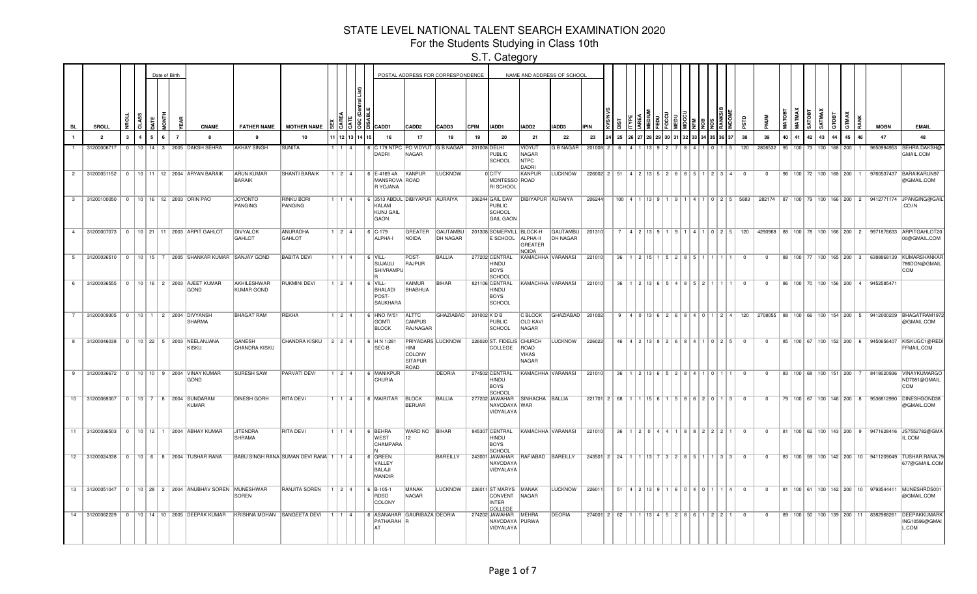For the Students Studying in Class 10th

|              |                |                         |            |           |   | Date of Birth  |                                                                  |                                                                         |                                           |                        |             |                                                              |                                                                      | POSTAL ADDRESS FOR CORRESPONDENCE  |             |                                                             | NAME AND ADDRESS OF SCHOOL                 |                      |             |                                                                    |                       |                  |                            |      |       |                                      |                          |                                   |              |                                |    |    |                                      |    |              |                                    |                                                                                                       |
|--------------|----------------|-------------------------|------------|-----------|---|----------------|------------------------------------------------------------------|-------------------------------------------------------------------------|-------------------------------------------|------------------------|-------------|--------------------------------------------------------------|----------------------------------------------------------------------|------------------------------------|-------------|-------------------------------------------------------------|--------------------------------------------|----------------------|-------------|--------------------------------------------------------------------|-----------------------|------------------|----------------------------|------|-------|--------------------------------------|--------------------------|-----------------------------------|--------------|--------------------------------|----|----|--------------------------------------|----|--------------|------------------------------------|-------------------------------------------------------------------------------------------------------|
| SL           |                | SROLL                   |            |           |   |                | <b>CNAME</b>                                                     | <b>FATHER NAME</b>                                                      | <b>MOTHER NAME</b>                        |                        | 빠이어트        | <b>E</b> CADD1                                               | CADD <sub>2</sub>                                                    | CADD3                              | <b>CPIN</b> | IADD1                                                       | IADD <sub>2</sub>                          | IADD3                | <b>IPIN</b> |                                                                    |                       |                  |                            |      |       |                                      |                          |                                   |              |                                |    |    |                                      |    | <b>GTMAX</b> | <b>MOBN</b>                        | <b>EMAIL</b>                                                                                          |
|              |                | $\overline{\mathbf{2}}$ | 3          | 5.        |   | $\overline{7}$ | 8                                                                | 9                                                                       | 10                                        |                        | 11213       | 16                                                           | 17                                                                   | 18                                 | 19          | 20                                                          | 21                                         | 22                   | 23          | 25                                                                 |                       |                  |                            |      |       |                                      |                          | 38                                | 39           |                                | 40 | 42 | 43                                   | 44 | 45           | 47                                 | 48                                                                                                    |
|              |                | 31200006717             | $^{\circ}$ | $10$   14 | 3 |                | 2005 DAKSH SEHRA                                                 | <b>AKHAY SINGH</b>                                                      | SUNITA                                    |                        |             | 6 C 179 NTPC PO VIDYUT G B NAGAR<br>DADRI                    | NAGAR                                                                |                                    |             | 201008 DELHI<br><b>PUBLIC</b><br>SCHOOL                     | VIDYUT<br>NAGAR<br><b>NTPC</b><br>DADRI    | G B NAGAR            | 201008 2    |                                                                    |                       |                  |                            |      |       |                                      |                          | 120                               |              | 2806532   95   100             |    |    | 73 I<br>100                          |    | 168 200      | 9650994953                         | SEHRA.DAKSH@<br>GMAIL.COM                                                                             |
|              | $\overline{2}$ |                         |            |           |   |                | 31200051152   0   10   11   12   2004   ARYAN BARAIK             | <b>ARUN KUMAR</b><br><b>BARAIK</b>                                      | <b>SHANTI BARAIK</b>                      |                        | 1   2   4   | 6 E-4169 4A<br>MANSROVA ROAD<br>R YOJANA                     | KANPUR                                                               | <b>LUCKNOW</b>                     |             | 0 CITY<br>MONTESSO ROAD<br>RI SCHOOL                        | KANPUR                                     | <b>LUCKNOW</b>       |             | $226002$   2   51   4   2   13   5   2   6   8   5   1   2   3   4 |                       |                  |                            |      |       |                                      |                          | $\mathbf{0}$                      | $\mathbf{0}$ |                                |    |    | 96   100   72   100   168   200      |    |              |                                    | 9760537437 BARAIKARUN97<br>@GMAIL.COM                                                                 |
| $\mathbf{3}$ |                |                         |            |           |   |                | 31200100050 0 10 16 12 2003 ORIN PAO                             | <b>JOYONTO</b><br><b>PANGING</b>                                        | <b>RINKU BORI</b><br>PANGING              |                        | 1   1   4   | 6 3513 ABDUL DIBIYAPUR AURAIYA<br>KALAM<br>KUNJ GAIL<br>GAON |                                                                      |                                    |             | 206244 GAIL DAV<br>PUBLIC<br>SCHOOL<br><b>GAIL GAON</b>     | <b>DIBIYAPUR AURAIYA</b>                   |                      | 206244      |                                                                    |                       |                  |                            |      |       |                                      |                          | 100 4 1 13 9 1 9 1 4 1 0 2 5 5683 |              | 282174 87 100 79 100 166 200 2 |    |    |                                      |    |              |                                    | 9412771174 JPANGING@GAIL<br>CO.IN                                                                     |
|              |                |                         |            |           |   |                | 4 31200007073 0 10 21 11 2003 ARPIT GAHLOT                       | <b>DIVYALOK</b><br>GAHLOT                                               | <b>ANURADHA</b><br>GAHLOT                 | 1214                   |             | $6$ C-179<br>ALPHA-I                                         | GREATER<br><b>NOIDA</b>                                              | <b>GAUTAMBU</b><br><b>DH NAGAR</b> |             | 201308 SOMERVILL BLOCK-H<br>E SCHOOL                        | ALPHA-II<br><b>GREATER</b><br><b>NOIDA</b> | GAUTAMBU<br>DH NAGAR | 201310      |                                                                    |                       |                  |                            |      |       |                                      | $0 125$                  | 120                               |              |                                |    |    |                                      |    |              |                                    | 4290968 88 100 78 100 166 200 2 9971876633 ARPITGAHLOT20<br>00@GMAIL.COM                              |
|              |                |                         |            |           |   |                | 5 31200036510   0   10   15   7   2005 SHANKAR KUMAR SANJAY GOND |                                                                         | <b>BABITA DEVI</b>                        | 1 1 1 4 1              |             | $6$ VILL-<br>SUJAULI<br>SHIVRAMPU                            | POST-<br>RAJPUR                                                      | BALLIA                             |             | 277202 CENTRAL<br>HINDU<br>BOYS<br>SCHOOL                   | KAMACHHA VARANASI                          |                      | 221010      | 36                                                                 |                       | $1$   2   15   1 |                            | 5121 |       |                                      |                          |                                   | $\Omega$     |                                |    |    | 88   100   77   100   165   200   3  |    |              |                                    | 6388868139 KUMARSHANKAF<br>786DON@GMAIL<br><b>COM</b>                                                 |
|              |                |                         |            |           |   |                | 6 31200036555 0 10 16 2 2003 AJEET KUMAR<br>GOND                 | AKHILESHWAR<br>KUMAR GOND                                               | <b>RUKMINI DEVI</b>                       | $124$                  |             | $6$ VILL-<br>BHALADI<br>POST-<br>SAUKHARA                    | <b>KAIMUR</b><br>BHABHUA                                             | <b>BIHAR</b>                       |             | 821106 CENTRAL<br>HINDU<br>BOYS<br>SCHOOL                   | KAMACHHA VARANASI                          |                      | 221010      | 36.                                                                |                       |                  | 1 2 3 6 5 4 8 5 7          |      |       |                                      |                          | $\Omega$                          | $\Omega$     |                                |    |    |                                      |    |              | 86 100 70 100 156 200 4 9452585471 |                                                                                                       |
|              |                |                         |            |           |   |                | 7 31200009305 0 10 1 2 2004 DIVYANSH<br>SHARMA                   | <b>BHAGAT RAM</b>                                                       | REKHA                                     | $1$   2   4            |             | 6 HNO IV/51<br><b>GOMTI</b><br><b>BLOCK</b>                  | <b>ALTTC</b><br><b>CAMPUS</b><br>RAJNAGAR                            | GHAZIABAD 201002 KDB               |             | PUBLIC<br>SCHOOL                                            | C BLOCK<br><b>OLD KAVI</b><br>NAGAR        | GHAZIABAD 201002     |             |                                                                    |                       |                  |                            |      |       |                                      |                          |                                   |              |                                |    |    |                                      |    |              |                                    | 9 4 0 13 6 2 6 8 4 0 1 2 4 120 2708055 88 100 66 100 154 200 5 9412000209 BHAGATRAM1972<br>@GMAIL.COM |
|              | 8              | 31200046038             |            |           |   |                | 0   10   22   5   2003   NEELANJANA<br>KISKU                     | <b>GANESH</b><br>CHANDRA KISKU                                          | CHANDRA KISKU   2   2   4                 |                        |             | 6 HN 1/281<br>SEC-B                                          | PRIYADARS LUCKNOW<br>HINI<br><b>COLONY</b><br><b>SITAPUR</b><br>ROAD |                                    |             | 226020 ST. FIDELIS CHURCH<br>COLLEGE                        | ROAD<br><b>VIKAS</b><br>NAGAR              | <b>LUCKNOW</b>       | 226022      |                                                                    | 46 4 2 13 8 2 6 8 4 1 |                  |                            |      |       |                                      | $0 25$                   | $\Omega$                          | $\Omega$     |                                |    |    | 85   100   67   100   152   200   6  |    |              |                                    | 9450656407 KISKUGC1@RED<br>FFMAIL.COM                                                                 |
| 9            |                |                         |            |           |   |                | 31200036672   0   10   10   9   2004   VINAY KUMAR<br>GOND       | <b>SURESH SAW</b>                                                       | <b>PARVATI DEVI</b>                       | $1 \mid 2 \mid 4 \mid$ |             | 6 MANIKPUR<br><b>CHURIA</b>                                  |                                                                      | <b>DEORIA</b>                      |             | 274502 CENTRAL<br>HINDU<br>BOYS<br>SCHOOL                   | KAMACHHA VARANASI                          |                      | 221010      | 36                                                                 |                       |                  | 2   13   6   5   2   8   4 |      |       |                                      |                          | $\Omega$                          | $\Omega$     |                                |    |    | 83 100 68 100 151 200                |    |              |                                    | 8418020936 VINAYKUMARGO<br>ND7081@GMAIL.<br>COM                                                       |
|              | 10             | 31200068007             | $\Omega$   |           |   |                | 10 7 8 2004 SUNDARAM<br><b>KUMAR</b>                             | <b>DINESH GORH</b>                                                      | <b>RITA DEVI</b>                          |                        | $1$ $1$ $4$ | 6 MAIRITAR                                                   | <b>BLOCK</b><br><b>BERUAR</b>                                        | <b>BALLIA</b>                      |             | 277202 JAWAHAR<br>NAVODAYA WAR<br>VIDYALAYA                 | SINHACHA BALLIA                            |                      | 221701 2    | 68                                                                 |                       |                  |                            |      |       | 58690                                | $\mathbf{R}$             | - 0                               | n            |                                |    |    | 79 100 67 100 146 200 8              |    |              |                                    | 9536812990 DINESHGOND38<br>@GMAIL.COM                                                                 |
|              | $11 -$         |                         |            |           |   |                | 31200036503   0   10   12   1   2004   ABHAY KUMAR               | <b>JITENDRA</b><br>SHRAMA                                               | <b>RITA DEVI</b>                          |                        | 1 1 1 4 1   | 6 BEHRA<br><b>WEST</b><br>CHAMPARA                           | WARD NO BIHAR<br>$ 12\rangle$                                        |                                    |             | 845307 CENTRAL<br>HINDU<br>BOYS<br>SCHOOL                   | KAMACHHA VARANASI                          |                      | 221010      | 36                                                                 |                       |                  | 120144                     |      |       | $8 \mid 8 \mid 2 \mid 2 \mid 2 \mid$ |                          | $\mathbf{0}$                      | $\Omega$     |                                |    |    | 81   100   62   100   143   200   9  |    |              |                                    | 9471628416 JS7552782@GMA<br>IL.COM                                                                    |
|              | 12             |                         |            |           |   |                | 31200024338 0 10 6 8 2004 TUSHAR RANA                            |                                                                         | BABU SINGH RANA SUMAN DEVI RANA 1   1   4 |                        |             | 6 GREEN<br>VALLEY<br>BALAJI<br>MANDIR                        |                                                                      | <b>BAREILLY</b>                    |             | NAVODAYA<br>VIDYALAYA                                       | 243001 JAWAHAR RAFIABAD BAREILLY           |                      |             | 243501 2 24                                                        |                       |                  |                            | 3121 | - 8 I |                                      | $1 \mid 3 \mid 3$        | $\Omega$                          | $\Omega$     |                                |    |    |                                      |    |              |                                    | 83   100   59   100   142   200   10   9411209049   TUSHAR.RANA.79<br>677@GMAIL.COM                   |
|              |                |                         |            |           |   |                | 13 31200051047 0 10 28 2 2004 ANUBHAV SOREN MUNESHWAR            | <b>SOREN</b>                                                            | <b>RANJITA SOREN</b>                      | 124                    |             | $6$ B-105-1<br>RDSO<br>COLONY                                | MANAK<br>NAGAR                                                       | <b>LUCKNOW</b>                     |             | 226011 ST MARYS MANAK<br>CONVENT<br><b>INTER</b><br>COLLEGE | NAGAR                                      | <b>LUCKNOW</b>       | 226011      | 51                                                                 |                       |                  |                            |      |       |                                      | 4 2 13 9 1 6 0 4 0 1 1 4 | $\Omega$                          | $\Omega$     |                                |    |    |                                      |    |              |                                    | 81   100   61   100   142   200   10   9793544411   MUNESHRDS00<br>@GMAIL.COM                         |
|              |                |                         |            |           |   |                |                                                                  | 14 31200062229 0 10 14 10 2005 DEEPAK KUMAR KRISHNA MOHAN SANGEETA DEVI |                                           | 1 1 1 4 1              |             | 6 ASANAHAR GAURIBAZA DEORIA<br>PATHARAH R<br>lat             |                                                                      |                                    |             | 274202 JAWAHAR<br>NAVODAYA PURWA<br>VIDYALAYA               | MEHRA                                      | <b>DEORIA</b>        |             | $274001$ 2 62                                                      |                       |                  |                            |      |       |                                      | 8 6 1 2 2 1              |                                   | $^{\circ}$   |                                |    |    | 89   100   50   100   139   200   11 |    |              |                                    | 8382968261 DEEPAKKUMARK<br>ING10596@GMAI<br>L.COM                                                     |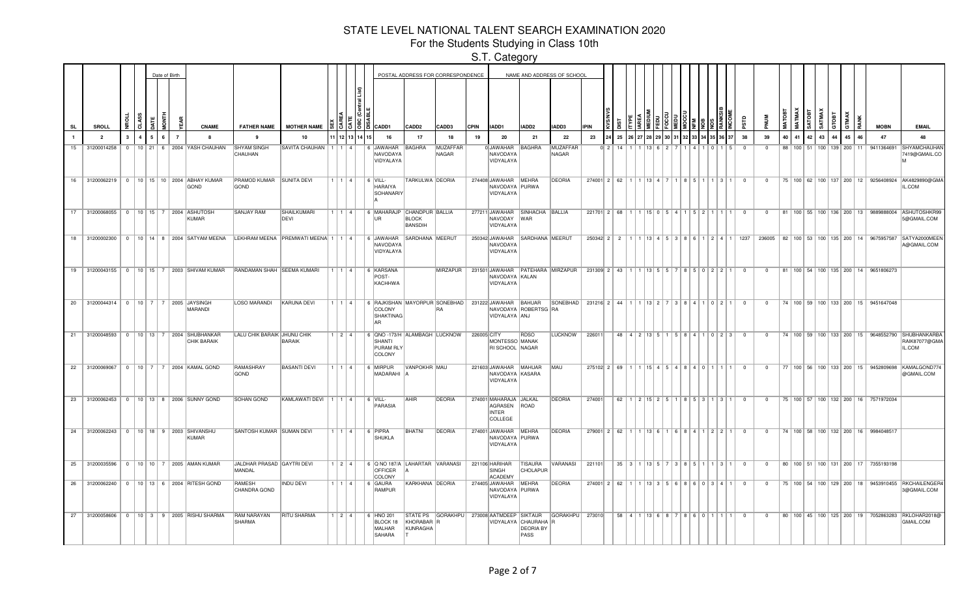For the Students Studying in Class 10th

|              |                |                |              | Date of Birth |                |                                                         |                                      |                                                                                |                   |           |                                                                                            | POSTAL ADDRESS FOR CORRESPONDENCE |                          |             |                                                                 |                                                  | NAME AND ADDRESS OF SCHOOL |             |                                          |                                                 |                                   |  |                   |                                                |                                                       |                |              |  |          |    |                                               |       |    |                                                   |                                                                                             |
|--------------|----------------|----------------|--------------|---------------|----------------|---------------------------------------------------------|--------------------------------------|--------------------------------------------------------------------------------|-------------------|-----------|--------------------------------------------------------------------------------------------|-----------------------------------|--------------------------|-------------|-----------------------------------------------------------------|--------------------------------------------------|----------------------------|-------------|------------------------------------------|-------------------------------------------------|-----------------------------------|--|-------------------|------------------------------------------------|-------------------------------------------------------|----------------|--------------|--|----------|----|-----------------------------------------------|-------|----|---------------------------------------------------|---------------------------------------------------------------------------------------------|
| SL           | <b>SROLL</b>   |                | ਰੋ           |               |                | <b>CNAME</b>                                            | <b>FATHER NAME</b>                   | MOTHER NAME <b>B</b>                                                           |                   |           | $355$ $351$ $35$ $35$ $35$                                                                 | CADD <sub>2</sub>                 | CADD3                    | <b>CPIN</b> | IADD1                                                           | IADD2                                            | IADD3                      | <b>IPIN</b> |                                          |                                                 |                                   |  |                   |                                                |                                                       |                |              |  |          |    | 횽                                             | GTMAX | 혽  | <b>MOBN</b>                                       | <b>EMAIL</b>                                                                                |
| $\mathbf{1}$ | $\overline{2}$ | $\mathbf{3}$   | $\mathbf{A}$ |               | $\overline{7}$ | -8                                                      | $\alpha$                             | 10                                                                             |                   |           | 16                                                                                         | 17                                | 18                       | 19          | -20                                                             | 21                                               | 22                         | 23          | 25                                       |                                                 |                                   |  |                   |                                                |                                                       | 38             | 39           |  | 40 41 42 | 43 | 44                                            | 45    | 46 | 47                                                | 48                                                                                          |
| 15           | 31200014258    | $\Omega$       |              |               |                | 10 21 6 2004 YASH CHAUHAN                               | <b>SHYAM SINGH</b><br>CHAUHAN        | SAVITA CHAUHAN   1   1                                                         |                   |           | 6 JAWAHAR<br>NAVODAYA<br>VIDYALAYA                                                         | <b>BAGHRA</b>                     | <b>MUZAFFAR</b><br>NAGAR |             | 0JAWAHAR<br>NAVODAYA<br>VIDYALAYA                               | BAGHRA                                           | <b>MUZAFFAR</b><br>NAGAR   |             | 0 <sup>1</sup> 2                         |                                                 |                                   |  |                   |                                                |                                                       |                | $\Omega$     |  |          |    | 88 100 51 100 139 200                         |       | 11 |                                                   | 9411364691 SHYAMCHAUHAM<br>7419@GMAIL.CO                                                    |
|              |                |                |              |               |                | 16 31200062219 0 10 15 10 2004 ABHAY KUMAR<br>GOND      | PRAMOD KUMAR<br>GOND                 | <b>SUNITA DEVI</b>                                                             | 1   1   4         |           | $\sqrt{6}$ VILL-<br>HARAIYA<br>SOHANARIY                                                   | TARKULWA DEORIA                   |                          |             | 274408 JAWAHAR MEHRA<br>NAVODAYA PURWA<br>VIDYALAYA             |                                                  | <b>DEORIA</b>              |             | $274001$ 2 62                            |                                                 | 1   13   4   7                    |  |                   |                                                | $1 \mid 2 \mid$                                       | $\overline{0}$ | $^{\circ}$   |  |          |    |                                               |       |    |                                                   | 75   100   62   100   137   200   12   9256408924  AK4829890@GMA<br>IL.COM                  |
|              | 17 31200068055 |                |              |               |                | 0   10   15   7   2004   ASHUTOSH<br>KUMAR              | SANJAY RAM                           | SHAILKUMARI<br>DEVI                                                            | 1   1   4         |           | 6 MAHARAJP CHANDPUR BALLIA<br>UR                                                           | <b>BLOCK</b><br><b>BANSDIH</b>    |                          |             | 277211 JAWAHAR<br>NAVODAY<br>VIDYALAYA                          | SINHACHA BALLIA<br><b>WAR</b>                    |                            |             | $221701$ 2 68 1                          |                                                 | $ 15 $ 0   5   4   1              |  | 51211             |                                                |                                                       | $\mathbf{0}$   | $\Omega$     |  |          |    |                                               |       |    |                                                   | 81   100   55   100   136   200   13   9889888004   ASHUTOSHKR99<br>5@GMAIL.COM             |
| 18           | 31200002300    | $\overline{0}$ |              |               |                |                                                         |                                      | 10   14   8   2004   SATYAM MEENA   LEKHRAM MEENA   PREMWATI MEENA   1   1   4 |                   |           | 6 JAWAHAR<br>NAVODAYA<br>VIDYALAYA                                                         | SARDHANA MEERUT                   |                          |             | 250342 JAWAHAR<br>NAVODAYA<br>VIDYALAYA                         | SARDHANA MEERUT                                  |                            |             | $250342$ 2 2                             |                                                 | 13   4   5   3   8   6   1        |  |                   | $\begin{array}{c c c c c} 2 & 4 & \end{array}$ |                                                       | 1237           |              |  |          |    | 236005   82   100   53   100   135   200   14 |       |    |                                                   | 9675957587 SATYA2000MEEN<br>A@GMAIL.COM                                                     |
| 19           |                |                |              |               |                | 31200043155 0 10 15 7 2003 SHIVAM KUMAR                 | RANDAMAN SHAH SEEMA KUMARI           |                                                                                | $1 \mid 1 \mid 4$ |           | 6 KARSANA<br>POST-<br>KACHHWA                                                              |                                   | <b>MIRZAPUR</b>          |             | 231501 JAWAHAR PATEHARA MIRZAPUR<br>NAVODAYA KALAN<br>VIDYALAYA |                                                  |                            | 231309 2 43 |                                          |                                                 | 13 5 5 7                          |  | 8   5   0   2   2 |                                                |                                                       | $\Omega$       | $\Omega$     |  |          |    |                                               |       |    | 81   100   54   100   135   200   14   9651806273 |                                                                                             |
| 20           |                |                |              |               |                | 31200044314 0 10 7 7 2005 JAYSINGH<br><b>MARANDI</b>    | <b>LOSO MARANDI</b>                  | <b>KARUNA DEVI</b>                                                             | 1   1   4         |           | 6 RAJKISHAN MAYORPUR SONEBHAD   231222 JAWAHAR BAHUAR<br>COLONY<br><b>SHAKTINAG</b><br>AR. |                                   | IRA.                     |             | VIDYALAYA ANJ                                                   | NAVODAYA ROBERTSG RA                             | SONEBHAD 231216 2 44 1     |             |                                          |                                                 | 1113217138141101211               |  |                   |                                                |                                                       | $\Omega$       | $\Omega$     |  |          |    |                                               |       |    | 74   100   59   100   133   200   15   9451647048 |                                                                                             |
| 21           | 31200048593    |                |              |               |                | 0   10   13   7   2004 SHUBHANKAR<br><b>CHIK BARAIK</b> | <b>LALU CHIK BARAIK JHUNU CHIK</b>   | <b>BARAIK</b>                                                                  |                   | 1   2   4 | 6 QNO -173/H ALAMBAGH LUCKNOW<br>SHANTI<br>PURAM RLY<br>COLONY                             |                                   |                          | 226005 CITY | MONTESSO MANAK<br>RI SCHOOL NAGAR                               | RDSO                                             | <b>LUCKNOW</b>             | 226011      |                                          |                                                 |                                   |  |                   |                                                | 48 4 2 13 5 1 5 8 4 1 0 2 3                           | $\Omega$       | $\Omega$     |  |          |    |                                               |       |    |                                                   | 74   100   59   100   133   200   15   9648552790   SHUBHANKARBA<br>RAIK87077@GMA<br>IL.COM |
|              |                |                |              |               |                | 22 31200069067 0 10 7 7 2004 KAMAL GOND                 | RAMASHRAY<br>GOND                    | <b>BASANTI DEVI</b>                                                            |                   | 1   1   4 | 6 MIRPUR<br>MADARAHI                                                                       | VANPOKHR MAU                      |                          |             | 221603 JAWAHAR MAHUAR<br>NAVODAYA KASARA<br>VIDYALAYA           |                                                  | MAU                        |             | $275102$ 2 69 1                          |                                                 | $115$   4   5   4   8   4   0   1 |  |                   |                                                |                                                       | $\overline{0}$ | $^{\circ}$   |  |          |    |                                               |       |    |                                                   | 77   100   56   100   133   200   15   9452809698   KAMALGOND774<br>@GMAIL.COM              |
| 23           |                |                |              |               |                | 31200062453 0 10 13 8 2006 SUNNY GOND                   | <b>SOHAN GOND</b>                    | KAMLAWATI DEVI   1   1   4                                                     |                   |           | $6$ VILL-<br>PARASIA                                                                       | <b>AHIR</b>                       | <b>DEORIA</b>            |             | 274001 MAHARAJA JALKAL<br>AGRASEN<br>INTER<br>COLLEGE           | ROAD                                             | <b>DEORIA</b>              | 274001      | 62                                       |                                                 | $1 \ 2 \ 15 \ 2 \ 5$              |  | 85313             |                                                |                                                       | $\Omega$       | $\Omega$     |  |          |    |                                               |       |    | 75   100   57   100   132   200   16   7571972034 |                                                                                             |
| 24           |                |                |              |               |                | 31200062243   0   10   18   9   2003 SHIVANSHU<br>KUMAR | SANTOSH KUMAR SUMAN DEVI             |                                                                                | 1   1   4         |           | 6 PIPRA<br>SHUKLA                                                                          | BHATNI                            | DEORIA                   |             | 274001 JAWAHAR MEHRA<br>NAVODAYA PURWA<br>VIDYALAYA             |                                                  | <b>DEORIA</b>              |             | $279001$ 2 62 1 1 1 13 6 1 6 8 4 1 2 2 1 |                                                 |                                   |  |                   |                                                |                                                       | $\mathbf{0}$   | $\Omega$     |  |          |    |                                               |       |    | 74   100   58   100   132   200   16   9984048517 |                                                                                             |
|              |                |                |              |               |                | 25 31200035596 0 10 10 7 2005 AMAN KUMAR                | JALDHAR PRASAD GAYTRI DEVI<br>MANDAL |                                                                                | $1214$            |           | 6 Q NO 187/A LAHARTAR VARANASI<br>OFFICER<br>COLONY                                        |                                   |                          |             | 221106 HARIHAR<br>SINGH<br>ACADEMY                              | <b>TISAURA</b><br>CHOLAPUR                       | <b>VARANASI</b>            | 221101      |                                          |                                                 |                                   |  |                   |                                                | $35$   3   1   13   5   7   3   8   5   1   1   3   1 | $\mathbf{O}$   | $\Omega$     |  |          |    |                                               |       |    | 80 100 51 100 131 200 17 7355193198               |                                                                                             |
|              |                |                |              |               |                | 26 31200062240 0 10 13 6 2004 RITESH GOND               | RAMESH<br>CHANDRA GOND               | <b>INDU DEVI</b>                                                               |                   | 1114      | 6 GAURA<br>RAMPUR                                                                          | KARKHANA DEORIA                   |                          |             | 274405 JAWAHAR MEHRA<br>NAVODAYA PURWA<br>VIDYALAYA             |                                                  | <b>DEORIA</b>              |             | 274001 2 62 1 1 1 13 3 5 6 8 6 0 3 4 1   |                                                 |                                   |  |                   |                                                |                                                       | $\Omega$       | $\Omega$     |  |          |    |                                               |       |    |                                                   | 75   100   54   100   129   200   18   9453910455   RKCHAILENGER4<br>3@GMAIL.COM            |
|              |                |                |              |               |                | 27 31200058606 0 10 3 9 2005 RISHU SHARMA               | RAM NARAYAN<br>SHARMA                | <b>RITU SHARMA</b>                                                             | $1$   2   4       |           | 6 HNO 201<br>BLOCK 18<br>MALHAR<br><b>SAHARA</b>                                           | KHORABAR R<br>KUNRAGHA            |                          |             | STATE PS GORAKHPU 273008 AATMDEEP SIKTAUR                       | VIDYALAYA CHAURAHA R<br><b>DEORIA BY</b><br>PASS | GORAKHPU   273010          |             |                                          | 58   4   1   13   6   8   7   8   6   0   1   1 |                                   |  |                   |                                                |                                                       | $\overline{0}$ | $\mathbf{0}$ |  |          |    |                                               |       |    |                                                   | 80   100   45   100   125   200   19   7052863283  RKLOHAR2018@<br>GMAIL.COM                |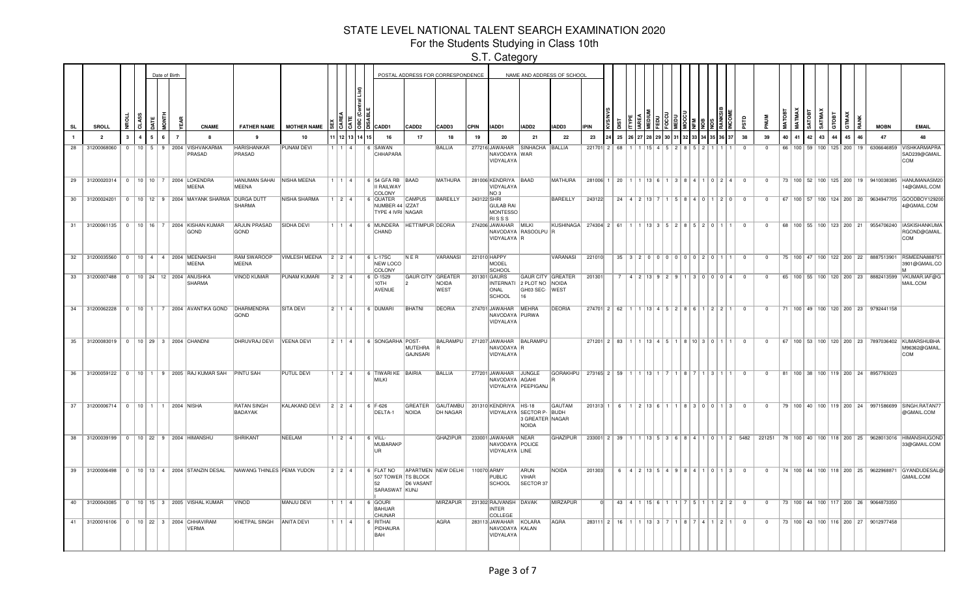For the Students Studying in Class 10th

|           |                                        |              |                |             | Date of Birth |                |                                                             |                                                                      |                     |                        |             |     |                                                   |                       | POSTAL ADDRESS FOR CORRESPONDENCE |             |                                                           |                                                              | NAME AND ADDRESS OF SCHOOL                     |                                                                     |    |  |            |  |                                                                                                  |       |                         |                                                    |      |    |          |        |    |       |    |                                                   |                                                                                             |
|-----------|----------------------------------------|--------------|----------------|-------------|---------------|----------------|-------------------------------------------------------------|----------------------------------------------------------------------|---------------------|------------------------|-------------|-----|---------------------------------------------------|-----------------------|-----------------------------------|-------------|-----------------------------------------------------------|--------------------------------------------------------------|------------------------------------------------|---------------------------------------------------------------------|----|--|------------|--|--------------------------------------------------------------------------------------------------|-------|-------------------------|----------------------------------------------------|------|----|----------|--------|----|-------|----|---------------------------------------------------|---------------------------------------------------------------------------------------------|
| <b>SL</b> | <b>SROLL</b>                           |              | 5              |             | š             | ψ              | <b>CNAME</b>                                                | <b>FATHER NAME</b>                                                   | <b>MOTHER NAME</b>  |                        |             | 888 | CADD1                                             | CADD <sub>2</sub>     | CADD3                             | CPIN        | IADD1                                                     | IADD2                                                        | IADD3                                          | <b>IPIN</b>                                                         |    |  |            |  |                                                                                                  |       | ន្ល                     |                                                    | MATO |    | ngs<br>T | SATMAX |    | GTMAX |    | <b>MOBN</b>                                       | <b>EMAIL</b>                                                                                |
|           | $\overline{2}$                         | $\mathbf{3}$ | $\overline{4}$ | $5^{\circ}$ | 6             | $\overline{7}$ |                                                             | 9                                                                    | 10                  |                        | 1 12 13 14  |     | 16                                                | 17                    | 18                                | 19          | 20                                                        | 21                                                           | 22                                             | 23                                                                  | 25 |  |            |  |                                                                                                  | 36 37 | 38                      | 39                                                 | 40   | 41 | 42 43    |        | 44 | 45    | 46 | 47                                                | 48                                                                                          |
| 28        | 31200068060                            |              |                |             |               |                | 0   10   5   9   2004   VISHVAKARMA<br>PRASAD               | HARISHANKAR<br>PRASAD                                                | <b>PUNAM DEVI</b>   | 1   1   4              |             |     | 6 SAWAN<br>CHHAPARA                               |                       | <b>BALLIA</b>                     |             | 277216 JAWAHAR<br>NAVODAYA WAR<br>VIDYALAYA               | SINHACHA BALLIA                                              |                                                | $221701$ 2 68                                                       |    |  |            |  |                                                                                                  |       | $\overline{\mathbf{0}}$ | $\Omega$                                           |      |    |          |        |    |       |    |                                                   | 66   100   59   100   125   200   19   6306646859   VISHKARMAPRA<br>SAD239@GMAIL<br>COM     |
|           |                                        |              |                |             |               |                | 29 31200020314   0   10   10   7   2004 LOKENDRA<br>MEENA   | HANUMAN SAHAI NISHA MEENA<br>MEENA                                   |                     | 1 1 1 4 1              |             |     | 6 54 GFA RB BAAD<br>II RAILWAY<br>COLONY          |                       | <b>MATHURA</b>                    |             | 281006 KENDRIYA BAAD<br>VIDYALAYA<br>NO <sub>3</sub>      |                                                              | MATHURA                                        | $281006$ 1 20 1 1 1 3 6 1 3 8 4 1 0 2 4 0                           |    |  |            |  |                                                                                                  |       |                         | $\overline{0}$                                     |      |    |          |        |    |       |    |                                                   | 73   100   52   100   125   200   19   9410038385   HANUMANASM20<br>4@GMAIL.COM             |
|           | 30 31200024201                         |              |                |             |               |                | 0   10   12   9   2004   MAYANK SHARMA   DURGA DUTT         | SHARMA                                                               | NISHA SHARMA        | 1 2 4                  |             |     | 6 QUATER<br>NUMBER 44  IZZAT<br>TYPE 4 IVRI NAGAR | <b>CAMPUS</b>         | <b>BAREILLY</b>                   | 243122 SHRI | <b>GULAB RAI</b><br>MONTESSO<br><b>RISSS</b>              |                                                              | <b>BAREILLY</b>                                | 243122                                                              |    |  |            |  | $24$   4   2   13   7   1   5   8   4   0   1   2   0                                            |       | $\overline{0}$          | $\Omega$                                           |      |    |          |        |    |       |    |                                                   | 67   100   57   100   124   200   20   9634947705   GOODBOY12920<br>4@GMAIL.COM             |
| 31        |                                        |              |                |             |               |                | 31200061135   0   10   16   7   2004   KISHAN KUMAR<br>GOND | <b>ARJUN PRASAD</b><br>GOND                                          | <b>SIDHA DEVI</b>   | 1   1   4              |             |     | 6 MUNDERA HETTIMPUR DEORIA<br>CHAND               |                       |                                   |             | 274206 JAWAHAR MILKI<br>VIDYALAYA R                       | NAVODAYA RASOOLPU R                                          | KUSHINAGA 274304 2 61 1 1 13 3 5 2 8 5 2 0 1 1 |                                                                     |    |  |            |  |                                                                                                  |       | $\Omega$                | $\Omega$                                           |      |    |          |        |    |       |    |                                                   | 68   100   55   100   123   200   21   9554706240   IASKISHANKUMA<br>RGOND@GMAIL<br>COM     |
|           |                                        |              |                |             |               |                | 32 31200035560 0 10 4 4 2004 MEENAKSHI<br>MEENA             | RAM SWAROOP<br>MEENA                                                 | VIMLESH MEENA 224   |                        |             |     | $6$ L-17SC<br>NEW LOCO<br>COLONY                  | NER                   | VARANASI                          |             | 221010 HAPPY<br><b>MODEL</b><br>SCHOOL                    |                                                              | <b>VARANASI</b>                                | 221010                                                              |    |  |            |  | $35 \mid 3 \mid 2 \mid 0 \mid 0 \mid 0 \mid 0 \mid 0 \mid 0 \mid 2 \mid 0 \mid 1 \mid 1$         |       | $\overline{0}$          | $\Omega$                                           |      |    |          |        |    |       |    |                                                   | 75   100   47   100   122   200   22   8887513901   RSMEENA888751<br>3901@GMAIL.CO          |
|           | 33 31200007488 0 10 24 12 2004 ANUSHKA |              |                |             |               |                | SHARMA                                                      | <b>VINOD KUMAR</b>                                                   | PUNAM KUMARI        | 2 2 4                  |             |     | 6 D-1529<br>10TH<br>AVENUE                        | GAUR CITY GREATER     | <b>NOIDA</b><br>WEST              |             | 201301 GAURS<br><b>INTERNATI</b><br><b>ONAL</b><br>SCHOOL | GAUR CITY GREATER<br>2 PLOT NO NOIDA<br>GH03 SEC- WEST<br>16 |                                                | 201301                                                              |    |  |            |  | 7 4 2 13 9 2 9 1 3 0 0 0 4                                                                       |       | - 0                     | $\Omega$                                           |      |    |          |        |    |       |    |                                                   | 65   100   55   100   120   200   23   8882413599   VKUMAR.IAF@G<br>MAIL.COM                |
| 34        |                                        |              |                |             |               |                | 31200062228 0 10 1 7 2004 AVANTIKA GOND DHARMENDRA          | GOND                                                                 | <b>SITA DEVI</b>    | 2   1   4              |             |     | 6 DUMARI                                          | <b>BHATNI</b>         | <b>DEORIA</b>                     |             | 274701 JAWAHAR MEHRA<br>NAVODAYA PURWA<br>VIDYALAYA       |                                                              | <b>DEORIA</b>                                  | $274701$ 2 62 1 1 1 3 4 5 2 8 6 1 2 2 1                             |    |  |            |  |                                                                                                  |       | $\overline{0}$          | $\overline{0}$                                     |      |    |          |        |    |       |    | 71   100   49   100   120   200   23   9792441158 |                                                                                             |
| 35        |                                        |              |                |             |               |                | 31200083019 0 10 29 3 2004 CHANDNI                          | DHRUVRAJ DEVI                                                        | VEENA DEVI          | $2 \mid 1 \mid 4 \mid$ |             |     | 6 SONGARHA POST-                                  | MUTEHRA R<br>GAJNSARI | <b>BALRAMPU</b>                   |             | 271207 JAWAHAR BALRAMPU<br>NAVODAYA R<br>VIDYALAYA        |                                                              |                                                | $271201$   2   83   1   1   13   4   5   1   8   10   3   0   1   1 |    |  |            |  |                                                                                                  |       | $\overline{0}$          | $\overline{0}$                                     |      |    |          |        |    |       |    |                                                   | 67   100   53   100   120   200   23   7897036402 KUMARSHUBHA<br><b>M96362@GMAIL</b><br>COM |
| 36        |                                        |              |                |             |               |                | 31200059122 0 10 1 9 2005 RAJ KUMAR SAH PINTU SAH           |                                                                      | <b>PUTUL DEVI</b>   |                        | $1$   2   4 |     | 6 TIWARI KE BAIRIA<br>MILKI                       |                       | <b>BALLIA</b>                     |             | 277201 JAWAHAR JUNGLE<br>NAVODAYA AGAHI                   | VIDYALAYA PEEPIGANJ                                          | GORAKHPU 273165 2 59 1                         |                                                                     |    |  | 13   1   7 |  | 1 8 7 1 3 1 1 1                                                                                  |       | $\overline{0}$          | $\overline{0}$                                     |      |    |          |        |    |       |    | 81   100   38   100   119   200   24   8957763023 |                                                                                             |
| 37        | 31200006714 0 10 1 1 1 2004 NISHA      |              |                |             |               |                |                                                             | <b>RATAN SINGH</b><br>BADAYAK                                        | KALAKAND DEVI 2 2 4 |                        |             |     | $6$ F-626<br>DELTA-1                              | GREATER<br>NOIDA      | GAUTAMBU<br>DH NAGAR              |             | 201310 KENDRIYA HS-18                                     | VIDYALAYA SECTOR P- BUDH<br>3 GREATER NAGAR<br><b>NOIDA</b>  | GAUTAM                                         | $201313$ 1 6 1 2 13 6 1 1 8 3 0 0 1 3                               |    |  |            |  |                                                                                                  |       | $\overline{0}$          | $\mathbf 0$                                        |      |    |          |        |    |       |    |                                                   | 79   100   40   100   119   200   24   9971586699   SINGH.RATAN77<br>@GMAIL.COM             |
|           |                                        |              |                |             |               |                | 38 31200039199 0 10 22 9 2004 HIMANSHU                      | <b>SHRIKANT</b>                                                      | <b>NEELAM</b>       |                        | $1$   2   4 |     | $6$ VILL-<br>MUBARAKP<br>lLIR.                    |                       | <b>GHAZIPUR</b>                   |             | 233001 JAWAHAR NEAR<br>NAVODAYA POLICE<br>VIDYALAYA LINE  |                                                              | <b>GHAZIPUR</b>                                |                                                                     |    |  |            |  |                                                                                                  |       |                         | 233001 2 39 1 1 1 13 5 3 6 8 4 1 0 1 2 5482 221251 |      |    |          |        |    |       |    |                                                   | 78   100   40   100   118   200   25   9628013016   HIMANSHUGOND<br>33@GMAIL.COM            |
|           | 39 31200006498                         |              |                |             |               |                |                                                             | 0   10   13   4   2004   STANZIN DESAL   NAWANG THINLES   PEMA YUDON |                     | $221$                  |             |     | 6 FLAT NO<br>507 TOWER TS BLOCK<br>SARASWAT KUNJ  | D6 VASANT             | APARTMEN NEW DELHI 110070 ARMY    |             | PUBLIC<br>SCHOOL                                          | ARUN<br>VIHAR<br>SECTOR 37                                   | NOIDA                                          | 201303                                                              |    |  |            |  | 6 4 2 13 5 4 9 8 4 1 0 1 3                                                                       |       | $\Omega$                | $\Omega$                                           |      |    |          |        |    |       |    | 74   100   44   100   118   200   25   9622968871 | <b>GYANDUDESAL@</b><br>GMAIL.COM                                                            |
|           |                                        |              |                |             |               |                | 40 31200043085   0   10   15   3   2005   VISHAL KUMAR      | VINOD                                                                | MANJU DEVI          | 1   1   4              |             |     | $6$ GOURI<br><b>BAHUAR</b><br><b>CHUNAR</b>       |                       | MIRZAPUR                          |             | 231302 RAJVANSH DAVAK<br><b>INTER</b><br>COLLEGE          |                                                              | MIRZAPUR                                       | $\Omega$                                                            |    |  |            |  | $43 \mid 4 \mid 1 \mid 15 \mid 6 \mid 1 \mid 1 \mid 7 \mid 5 \mid 1 \mid 1 \mid 2 \mid 2 \mid 0$ |       |                         | $\Omega$                                           |      |    |          |        |    |       |    | 73   100   44   100   117   200   26   9064873350 |                                                                                             |
|           | 41 31200016106                         |              |                |             |               |                | 0   10   22   3   2004 CHHAVIRAM<br><b>VERMA</b>            | KHETPAL SINGH                                                        | <b>ANITA DEVI</b>   |                        | 1   1   4   |     | $6$ RITHAI<br>PIDHAURA<br>BAH                     |                       | AGRA                              |             | 283113 JAWAHAR<br>NAVODAYA KALAN<br>VIDYALAYA             | KOLARA                                                       | AGRA                                           | 283111 2   16   1   1   13   3   7   1   8   7   4   1   2   1      |    |  |            |  |                                                                                                  |       | $\overline{\mathbf{0}}$ | $\overline{0}$                                     |      |    |          |        |    |       |    | 73   100   43   100   116   200   27   9012977458 |                                                                                             |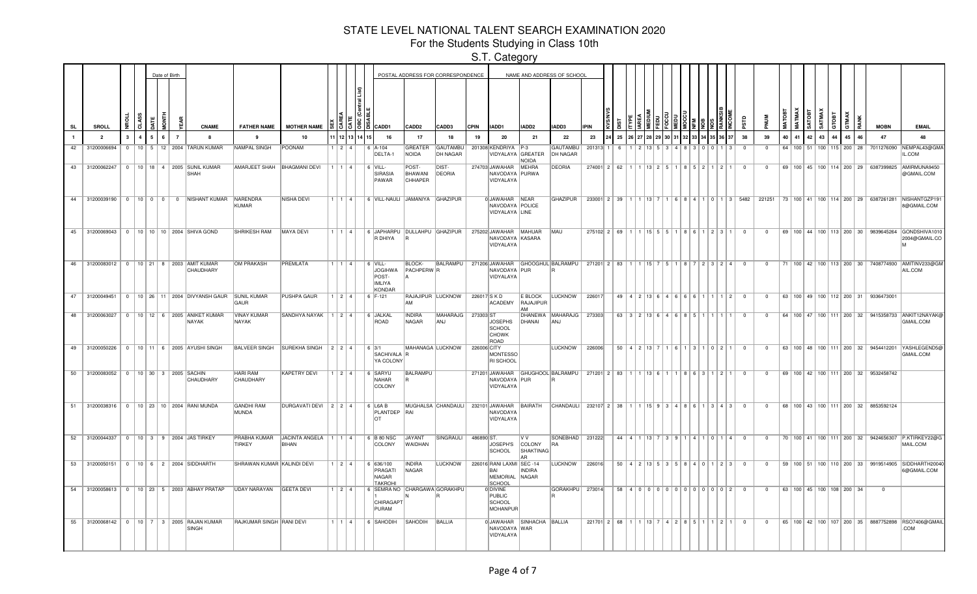For the Students Studying in Class 10th

|           |                                      |              |                |                | Date of Birth |                |                                                                        |                                    |                                       |                        |             |                                                                        |                                        | POSTAL ADDRESS FOR CORRESPONDENCE |              |                                                               |                                         | NAME AND ADDRESS OF SCHOOL                                                |                                                                                                                            |     |                                                           |  |        |                               |                                |                         |                |    |                                      |       |    |    |    |                                                   |                                                                                                                   |
|-----------|--------------------------------------|--------------|----------------|----------------|---------------|----------------|------------------------------------------------------------------------|------------------------------------|---------------------------------------|------------------------|-------------|------------------------------------------------------------------------|----------------------------------------|-----------------------------------|--------------|---------------------------------------------------------------|-----------------------------------------|---------------------------------------------------------------------------|----------------------------------------------------------------------------------------------------------------------------|-----|-----------------------------------------------------------|--|--------|-------------------------------|--------------------------------|-------------------------|----------------|----|--------------------------------------|-------|----|----|----|---------------------------------------------------|-------------------------------------------------------------------------------------------------------------------|
| <b>SL</b> | SROLL                                |              | $\overline{5}$ | ĀΤΕ            | i<br>36       |                | <b>CNAME</b>                                                           | <b>FATHER NAME</b>                 | <b>MOTHER NAME</b>                    |                        | 3131913     | <b>CADD1</b>                                                           | CADD2                                  | CADD3                             | <b>CPIN</b>  | IADD1                                                         | IADD2                                   | IADD3                                                                     | <b>IPIN</b>                                                                                                                |     |                                                           |  |        |                               |                                |                         |                |    | i g                                  |       |    |    |    | <b>MOBN</b>                                       | <b>EMAIL</b>                                                                                                      |
|           | $\overline{2}$                       | $\mathbf{3}$ | $\mathbf{A}$   | 5 <sup>5</sup> | 6             | $\overline{7}$ |                                                                        |                                    | 10                                    |                        | 12 13 14 15 | 16                                                                     | 17                                     | 18                                | 19           | 20                                                            | 21                                      | 22                                                                        | 23                                                                                                                         | 25  |                                                           |  |        |                               | 37                             | 38                      | 39             | 40 | 41                                   | 42 43 | 44 | 45 | 46 | 47                                                | 48                                                                                                                |
| 42        | 31200006694                          |              |                |                |               |                | 0   10   5   12   2004   TARUN KUMAR                                   | NAMPAL SINGH                       | POONAM                                | 1   2   4              |             | $6$ $ A-104$<br>DELTA-1                                                | GREATER<br>NOIDA                       | GAUTAMBU<br><b>DH NAGAR</b>       |              | 201308 KENDRIYA P-3<br>VIDYALAYA GREATER                      | <b>NOIDA</b>                            | GAUTAMBU<br>DH NAGAR                                                      | 201313 1                                                                                                                   | - 6 |                                                           |  | 14   R | 3   0   0                     | $1 \mid 3 \mid$                | $\overline{0}$          | $\Omega$       |    |                                      |       |    |    |    |                                                   | 64   100   51   100   115   200   28   7011276090   NEMPAL43@GMA<br>IL.COM                                        |
|           |                                      |              |                |                |               |                | 43 31200062247 0 10 18 4 2005 SUNIL KUMAR<br><b>SHAH</b>               | AMARJEET SHAH   BHAGMANI DEVI      |                                       | 11114                  |             | $6$ VILL-<br><b>SIRASIA</b><br>PAWAR                                   | POST-<br>BHAWANI<br><b>CHHAPER</b>     | DIST-<br>DEORIA                   |              | 274703 JAWAHAR MEHRA<br>NAVODAYA PURWA<br>VIDYALAYA           |                                         | <b>DEORIA</b>                                                             | $274001$   2   62   1   1   13   2   5   1   8   5   2   1   2   1   0                                                     |     |                                                           |  |        |                               |                                |                         | $\Omega$       |    |                                      |       |    |    |    |                                                   | 69   100   45   100   114   200   29   6387399825   AMIRMUNA9450<br>@GMAIL.COM                                    |
|           |                                      |              |                |                |               |                | 44 31200039190   0   10   0   0   0   NISHANT KUMAR NARENDRA           | <b>KUMAR</b>                       | NISHA DEVI                            | 1114                   |             | 6 VILL-NAULI JAMANIYA GHAZIPUR                                         |                                        |                                   |              | 0 JAWAHAR NEAR<br>NAVODAYA POLICE<br>VIDYALAYA LINE           |                                         | <b>GHAZIPUR</b>                                                           |                                                                                                                            |     |                                                           |  |        |                               |                                |                         |                |    |                                      |       |    |    |    |                                                   | 233001 2 39 1 1 1 3 7 1 6 8 4 1 0 1 3 5482 221251 73 100 41 100 114 200 29 6387261281 NISHANTGZP19<br>8@GMAIL.COM |
|           |                                      |              |                |                |               |                | 45 31200069043 0 10 10 10 2004 SHIVA GOND                              | <b>SHRIKESH RAM</b>                | MAYA DEVI                             | 1   1   4              |             | 6 JAPHARPU DULLAHPU GHAZIPUR<br>R DHIYA                                | IR.                                    |                                   |              | 275202 JAWAHAR MAHUAR<br>NAVODAYA KASARA<br>VIDYALAYA         |                                         | MAU                                                                       | $275102 \quad 2 \quad 69 \quad 1 \quad 1 \quad 15 \quad 5 \quad 5 \quad 1 \quad 8 \quad 6 \quad 1 \quad 2 \quad 3 \quad 1$ |     |                                                           |  |        |                               |                                | $\overline{0}$          | $\overline{0}$ |    |                                      |       |    |    |    |                                                   | 69   100   44   100   113   200   30   9839645264   GONDSHIVA1010<br>2004@GMAIL.CC                                |
|           |                                      |              |                |                |               |                | 46 31200083012 0 10 21 8 2003 AMIT KUMAR<br>CHAUDHARY                  | <b>OM PRAKASH</b>                  | PREMLATA                              | 1   1   4              |             | $6$ VILL-<br><b>JOGIHWA</b><br>POST-<br><b>IMLIYA</b><br><b>KONDAR</b> | <b>BLOCK-</b><br>PACHPERW <sub>R</sub> | <b>BALRAMPU</b>                   |              | NAVODAYA PUR<br>VIDYALAYA                                     |                                         | 271206 JAWAHAR GHOOGHUL BALRAMPU 271201 2 83 1 1 1 15 7 5 1 8 7 2 3 2 4 0 |                                                                                                                            |     |                                                           |  |        |                               |                                |                         | $\Omega$       |    |                                      |       |    |    |    |                                                   | 71   100   42   100   113   200   30   7408774930   AMITINV233@GM<br>AIL.COM                                      |
|           |                                      |              |                |                |               |                | 47 31200049451   0   10   26   11   2004   DIVYANSH GAUR   SUNIL KUMAR | GAUR                               | PUSHPA GAUR                           |                        |             | $1   2   4   6   F-121$                                                | AM                                     | RAJAJIPUR LUCKNOW                 | 226017 S K D | <b>ACADEMY</b>                                                | E BLOCK<br>RAJAJIPUR<br><b>AMA</b>      | <b>LUCKNOW</b>                                                            | 226017                                                                                                                     |     | $49   4   2   13   6   4   6   6   6   1   1   1   2   0$ |  |        |                               |                                |                         | $\Omega$       |    |                                      |       |    |    |    | 63   100   49   100   112   200   31   9336473001 |                                                                                                                   |
| 48        | 31200063027                          |              |                |                |               |                | 0   10   12   6   2005   ANIKET KUMAR<br>NAYAK                         | <b>VINAY KUMAR</b><br><b>NAYAK</b> | SANDHYA NAYAK   $1$   $2$   $4$       |                        |             | ∣6 IJALKAL<br>ROAD                                                     | <b>INDIRA</b><br>NAGAR                 | <b>MAHARAJG</b><br><b>ANJ</b>     | 273303 ST    | <b>JOSEPHS</b><br>SCHOOL<br><b>CHOWK</b><br>ROAD              | DHANAI                                  | DHANEWA   MAHARAJG  <br>l ANJ                                             | 273303                                                                                                                     |     | $63$ 3 $2$ 13 6 4 6 8 5 1 1 1 1                           |  |        |                               |                                | - 0                     | $\Omega$       |    |                                      |       |    |    |    |                                                   | 64   100   47   100   111   200   32   9415358733   ANKIT12NAYAK@<br>GMAIL.COM                                    |
|           |                                      |              |                |                |               |                | 49 31200050226 0 10 11 6 2005 AYUSHI SINGH                             | <b>BALVEER SINGH</b>               | SUREKHA SINGH 2 2 4                   |                        |             | 6 3/1<br>SACHIVALA R<br>YA COLONY                                      |                                        | MAHANAGA LUCKNOW                  | 226006 CITY  | <b>MONTESSO</b><br><b>RI SCHOOL</b>                           |                                         | <b>LUCKNOW</b>                                                            | 226006                                                                                                                     |     | $50$ 4 2 13 7                                             |  |        | 1   6   1   3   1   0   2   1 |                                | $\Omega$                | $\Omega$       |    |                                      |       |    |    |    |                                                   | 63   100   48   100   111   200   32   9454412201   YASHLEGEND5@<br>GMAIL.COM                                     |
|           | 50 31200083052 0 10 30 3 2005 SACHIN |              |                |                |               |                | CHAUDHARY                                                              | <b>HARI RAM</b><br>CHAUDHARY       | <b>KAPETRY DEVI</b>                   | $1$   2   4            |             | 6 SARYU<br>NAHAR<br>COLONY                                             | BALRAMPU                               |                                   |              | NAVODAYA PUR<br>VIDYALAYA                                     |                                         | 271201 JAWAHAR GHUGHOOL BALRAMPU 271201 2 83 1 1 1 13 6 1 1 8 6 3 1 2 1   |                                                                                                                            |     |                                                           |  |        |                               |                                | $\overline{\mathbf{0}}$ | $\mathbf{0}$   |    |                                      |       |    |    |    | 69 100 42 100 111 200 32 9532458742               |                                                                                                                   |
| 51        |                                      |              |                |                |               |                | 31200038316 0 10 23 10 2004 RANI MUNDA                                 | <b>GANDHI RAM</b><br>MUNDA         | DURGAVATI DEVI 2 2 4                  |                        |             | 6 L6A B<br>PLANTDEP RAI<br>$\cap$                                      |                                        | MUGHALSA CHANDAULI                |              | NAVODAYA<br>VIDYALAYA                                         |                                         | 232101 JAWAHAR BAIRATH CHANDAULI 232107 2 38 1 1 1 15 9 3 4 8 6 1 3 4 3   |                                                                                                                            |     |                                                           |  |        |                               |                                | $\overline{\mathbf{0}}$ | $\circ$        |    |                                      |       |    |    |    | 68   100   43   100   111   200   32   8853592124 |                                                                                                                   |
|           |                                      |              |                |                |               |                | 52 31200044337 0 10 3 9 2004 JAS TIRKEY                                | PRABHA KUMAR<br><b>TIRKEY</b>      | JACINTA ANGELA   1   1   4  <br>BIHAN |                        |             | 6 B 80 NSC<br>COLONY                                                   | <b>JAYANT</b><br><b>WAIDHAN</b>        | SINGRAULI                         | 486890 ST    | JOSEPH'S<br><b>SCHOOL</b>                                     | V V<br>COLONY<br><b>SHAKTINAG</b><br>AR | SONEBHAD   231222<br><b>RA</b>                                            |                                                                                                                            |     | 44 4 1 1 13 7                                             |  |        | 3   9   1   4   1   0   1   4 |                                | $\Omega$                | $\Omega$       |    |                                      |       |    |    |    |                                                   | 70   100   41   100   111   200   32   9424656307   P.KTIRKEY22@G<br>MAIL.COM                                     |
|           |                                      |              |                |                |               |                | 53 31200050151 0 10 6 2 2004 SIDDHARTH                                 | SHRAWAN KUMAR KALINDI DEVI         |                                       | $1 \mid 2 \mid 4 \mid$ |             | 6   636/100<br>PRAGATI<br>NAGAR<br><b>TAKROHI</b>                      | <b>INDIRA</b><br>NAGAR                 | LUCKNOW                           |              | 226016 RANI LAXMI SEC -14<br>RAI<br><b>MEMORIAL</b><br>SCHOOL | INDIRA<br>NAGAR                         | <b>LUCKNOW</b>                                                            | 226016                                                                                                                     |     | $50   4   2   13   5   3   5   8   4   0   1   2   3$     |  |        |                               |                                | $\overline{\mathbf{0}}$ | $\mathbf{0}$   |    |                                      |       |    |    |    |                                                   | 59   100   51   100   110   200   33   9919514905   SIDDHARTH2004<br>6@GMAIL.COM                                  |
|           |                                      |              |                |                |               |                | 54 31200058613 0 10 23 5 2003 ABHAY PRATAP                             | UDAY NARAYAN                       | <b>GEETA DEVI</b>                     | 1   2   4              |             | 6 SEMRA NO CHARGAWA GORAKHPU<br>CHIRAGAPT<br>PURAM                     |                                        |                                   |              | 0 DIVINE<br>PUBLIC<br>SCHOOL<br>MOHANPUR                      |                                         | GORAKHPU   273014                                                         |                                                                                                                            |     | 58 4 0 0 0 0 0 0 0 0 0 0 0 0 0 0 2 0                      |  |        |                               |                                |                         | $\overline{0}$ |    | 63   100   45   100   108   200   34 |       |    |    |    | $\overline{0}$                                    |                                                                                                                   |
|           |                                      |              |                |                |               |                | 55   31200068142   0   10   7   3   2005   RAJAN KUMAR<br>SINGH        | RAJKUMAR SINGH RANI DEVI           |                                       |                        |             | $1 \mid 1 \mid 4 \mid$ 6 SAHODIH                                       | SAHODIH BALLIA                         |                                   |              | 0 JAWAHAR<br>NAVODAYA WAR<br>VIDYALAYA                        | SINHACHA BALLIA                         |                                                                           | 221701 2 68 1 1 1 13 7 4 2 8 5 1                                                                                           |     |                                                           |  |        |                               | $1 \times 2 \times 1 \times 0$ |                         | $\overline{0}$ |    |                                      |       |    |    |    |                                                   | 65   100   42   100   107   200   35   8887752898  RSO7406@GMAII<br>.COM                                          |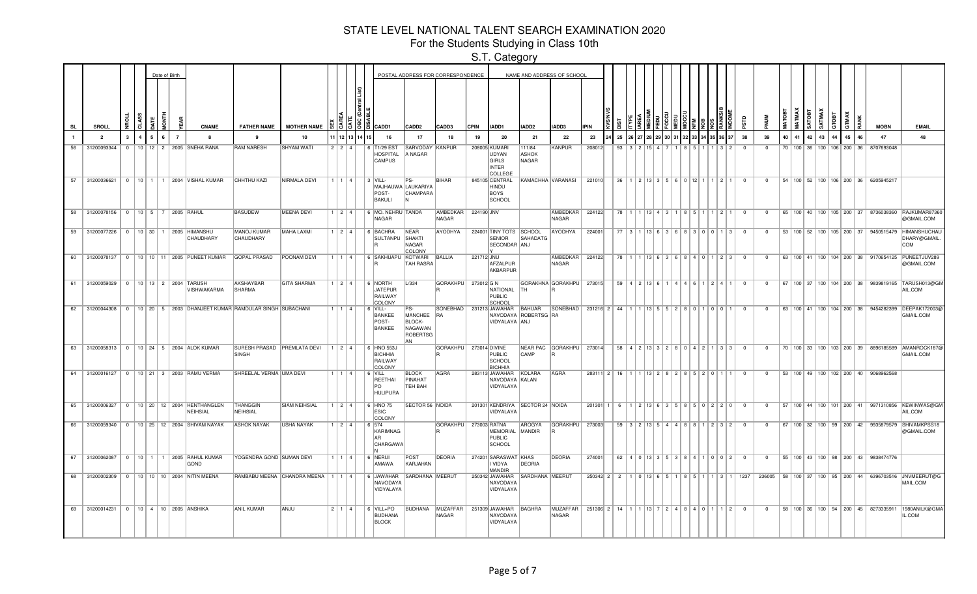For the Students Studying in Class 10th

|    |                                      |              |   |        | Date of Birth  |                                                                       |                                      |                                         |     |                        |             |                                                           |                                                                 | POSTAL ADDRESS FOR CORRESPONDENCE |            |                                                            | NAME AND ADDRESS OF SCHOOL       |                                                       |                                       |    |                |                                            |                                         |     |                                                         |    |                          |                |    |    |       |    |    |    |                                                   |                                                                                         |
|----|--------------------------------------|--------------|---|--------|----------------|-----------------------------------------------------------------------|--------------------------------------|-----------------------------------------|-----|------------------------|-------------|-----------------------------------------------------------|-----------------------------------------------------------------|-----------------------------------|------------|------------------------------------------------------------|----------------------------------|-------------------------------------------------------|---------------------------------------|----|----------------|--------------------------------------------|-----------------------------------------|-----|---------------------------------------------------------|----|--------------------------|----------------|----|----|-------|----|----|----|---------------------------------------------------|-----------------------------------------------------------------------------------------|
| SL | <b>SROLL</b>                         | CLASS        |   |        |                | <b>CNAME</b>                                                          | <b>FATHER NAME</b>                   | <b>MOTHER NAME</b>                      |     |                        | 3 3 1 3 1 3 | CADD1                                                     | <b>CADD2</b>                                                    | CADD3                             | CPIN       | IADD1                                                      | IADD2                            | IADD3                                                 | PIN                                   |    |                |                                            |                                         |     |                                                         |    | ē,                       |                |    |    |       |    |    |    | <b>MOBN</b>                                       | <b>EMAIL</b>                                                                            |
|    | $\overline{2}$                       | $\mathbf{3}$ | 4 | 6<br>5 | $\overline{7}$ | $\mathbf{a}$                                                          |                                      | 10                                      |     | 12 13 14 1             |             | 16                                                        | 17                                                              | 18                                | 19         | 20                                                         | 21                               | 22                                                    | 23                                    | 25 |                |                                            |                                         |     |                                                         | 37 | 38                       | 39             | 40 | 41 | 42 43 | 44 | 45 | 46 | 47                                                | 48                                                                                      |
| 56 | 31200093344                          | $\Omega$     |   |        |                | 10   12   2   2005   SNEHA RANA                                       | <b>RAM NARESH</b>                    | <b>SHYAM WATI</b>                       | 221 |                        |             | 6 T1/29 EST<br><b>HOSPITAL</b><br><b>CAMPUS</b>           | SARVODAY<br>A NAGAR                                             | KANPUR                            |            | 208005 KUMARI<br>UDYAN<br>GIRLS<br><b>INTER</b><br>COLLEGE | 111/84<br><b>ASHOK</b><br>NAGAR  | <b>KANPUR</b>                                         | 208012                                | 93 |                |                                            |                                         |     |                                                         |    | $\Omega$                 | $\Omega$       |    |    |       |    |    |    | 70 100 36 100 106 200 36 8707693048               |                                                                                         |
| 57 | 31200036621                          |              |   |        |                | 0   10   1   1   2004   VISHAL KUMAR                                  | <b>CHHTHU KAZI</b>                   | NIRMALA DEVI                            |     | $1 \mid 1 \mid 4 \mid$ |             | $3$ VILL-<br>MAJHAUWA LAUKARIYA<br>POST-<br><b>BAKULI</b> | CHAMPARA<br>ΙN                                                  | BIHAR                             |            | 845105 CENTRAL<br><b>HINDU</b><br><b>BOYS</b><br>SCHOOL    | KAMACHHA VARANASI                |                                                       | 221010                                |    |                | $36$   1   2   13   3   5   6   0   12   1 |                                         |     |                                                         |    | $\overline{\mathbf{0}}$  | $^{\circ}$     |    |    |       |    |    |    | 54   100   52   100   106   200   36   6205945217 |                                                                                         |
|    | 58 31200078156 0 10 5 7 2005 RAHUL   |              |   |        |                |                                                                       | <b>BASUDEW</b>                       | MEENA DEVI                              |     | 1   2   4              |             | 6 MO. NEHRU TANDA<br>NAGAR                                |                                                                 | AMBEDKAR<br>NAGAR                 | 224190 JNV |                                                            |                                  | AMBEDKAR<br>NAGAR                                     | 224122                                |    |                |                                            |                                         |     | 78 1 1 1 1 1 1 1 4 $\mid$ 3 1 1 1 8 1 5 1 1 1 1 2 1 1 1 |    | $\overline{\mathbf{0}}$  | $\Omega$       |    |    |       |    |    |    |                                                   | 65   100   40   100   105   200   37   8736038360   RAJKUMAR87360<br>@GMAIL.COM         |
|    |                                      |              |   |        |                | 59 31200077226   0   10   30   1   2005   HIMANSHU<br>CHAUDHARY       | <b>MANOJ KUMAR</b><br>CHAUDHARY      | MAHA LAXMI                              |     | 1   2   4              |             | 6 BACHRA<br>SULTANPU SHAKTI                               | NEAR<br>NAGAR<br>COLONY                                         | AYODHYA                           |            | 224001 TINY TOTS SCHOOL<br><b>SENIOR</b><br>SECONDAR ANJ   | SAHADATG                         | AYODHYA                                               | 224001                                | 77 | $\overline{3}$ |                                            | 13 6 3 6 8 8 3 0 0 0                    |     | $1 \mid 3 \mid$                                         |    | $\Omega$                 | $\Omega$       |    |    |       |    |    |    |                                                   | 53   100   52   100   105   200   37   9450515479   HIMANSHUCHAL<br>DHARY@GMAIL.<br>COM |
|    |                                      |              |   |        |                | 60 31200078137   0   10   10   11   2005   PUNEET KUMAR               | <b>GOPAL PRASAD</b>                  | POONAM DEVI                             |     | 1   1   4              |             | 6 SAKHUAPU KOTWARI                                        | <b>TAH RASRA</b>                                                | BALLIA                            | 221712 JNU | AFZALPUR<br>AKBARPUR                                       |                                  | <b>AMBEDKAR</b><br><b>NAGAR</b>                       | 224122                                | 78 |                |                                            | $13$ $6$ $3$ $6$ $12$ $6$ $12$ $14$ $0$ |     | 2 3                                                     |    | $\Omega$                 | $\Omega$       |    |    |       |    |    |    |                                                   | 63   100   41   100   104   200   38   9170654125   PUNEETJUV289<br>@GMAIL.COM          |
|    | 61 31200059029 0 10 13 2 2004 TARUSH |              |   |        |                | VISHWAKARMA                                                           | AKSHAYBAR<br>SHARMA                  | <b>GITA SHARMA</b>                      |     | 1 2 4                  |             | 6 NORTH<br><b>JATEPUR</b><br>RAILWAY<br>COLONY            | L/334                                                           | GORAKHPU 273012 G N               |            | NATIONAL<br>PUBLIC<br>SCHOOL                               | GORAKHNA GORAKHPU   273015<br>TH |                                                       |                                       |    |                |                                            |                                         |     | $59   4   2   13   6   1   4   4   6   1   2   4   1$   |    | $\overline{\phantom{0}}$ | $\Omega$       |    |    |       |    |    |    |                                                   | 67   100   37   100   104   200   38   9839819165  TARUSH013@GM<br>AIL.COM              |
|    |                                      |              |   |        |                | 62 31200044308 0 10 20 5 2003 DHANJEET KUMAR RAMDULAR SINGH SUBACHANI |                                      |                                         |     | 1   1   4              |             | $  6$ VILL-<br>BANKEE<br>POST-<br><b>BANKEE</b>           | PS-<br>MANCHEE RA<br><b>BLOCK-</b><br>NAGAWAN<br>ROBERTSG<br>AN |                                   |            | SONEBHAD   231213 JAWAHAR<br>VIDYALAYA ANJ                 | BAHUAR<br>NAVODAYA ROBERTSG RA   | $ SONEBHAD $ 231216 2 44 1 1 1 13 5 5 2 8 0 1 0 1 0 1 |                                       |    |                |                                            |                                         |     |                                                         |    | $\overline{\mathbf{0}}$  | $^{\circ}$     |    |    |       |    |    |    |                                                   | 63   100   41   100   104   200   38   9454282399   DEEPAK172003@<br>GMAIL.COM          |
|    |                                      |              |   |        |                | 63 31200058313 0 10 24 5 2004 ALOK KUMAR                              | SURESH PRASAD PREMLATA DEVI<br>SINGH |                                         |     | 124                    |             | 6 HNO 553J<br><b>BICHHIA</b><br>RAILWAY<br>COLONY         |                                                                 | GORAKHPU 273014 DIVINE            |            | PUBLIC<br>SCHOOL<br><b>BICHHIA</b>                         | NEAR PAC GORAKHPU 273014<br>CAMP |                                                       |                                       |    |                |                                            |                                         |     | $58$   4   2   13   3   2   8   0   4   2   1   3   3   |    | $\overline{0}$           | $\overline{0}$ |    |    |       |    |    |    |                                                   | 70   100   33   100   103   200   39   8896185589  AMANROCK187@<br>GMAIL.COM            |
|    |                                      |              |   |        |                | 64 31200016127 0 10 21 3 2003 RAMU VERMA                              | SHREELAL VERMA UMA DEVI              |                                         |     | 1   1   4              |             | $6$ VILL<br>REETHAI<br>lPO.<br>HULIPURA                   | <b>BLOCK</b><br>PINAHAT<br>TEH BAH                              | AGRA                              |            | 283113 JAWAHAR<br>NAVODAYA KALAN<br>VIDYALAYA              | KOLARA                           | <b>AGRA</b>                                           | 283111 2 16 1 1 1 3 2 8 2 8 5 2 0 1 1 |    |                |                                            |                                         |     |                                                         |    | $\overline{\phantom{0}}$ | $\Omega$       |    |    |       |    |    |    | 53   100   49   100   102   200   40   9068962568 |                                                                                         |
|    |                                      |              |   |        |                | 65 31200006327 0 10 20 12 2004 HENTHANGLEN<br>NEIHSIAL                | <b>THANGGIN</b><br>NEIHSIAL          | <b>SIAM NEIHSIAL</b>                    |     | 1214                   |             | 6 HNO 75<br><b>ESIC</b><br>COLONY                         | <b>SECTOR 56 NOIDA</b>                                          |                                   |            | 201301 KENDRIYA SECTOR 24 NOIDA<br>VIDYALAYA               |                                  |                                                       | $201301$ 1 6 1 2 13 6 3 5 8 5 0 2 2 0 |    |                |                                            |                                         |     |                                                         |    | $\overline{\phantom{0}}$ | $\Omega$       |    |    |       |    |    |    |                                                   | 57   100   44   100   101   200   41   9971310856   KEWINWAS@GM<br>AIL.COM              |
|    |                                      |              |   |        |                | 66 31200059340 0 10 25 12 2004 SHIVAM NAYAK                           | <b>ASHOK NAYAK</b>                   | <b>USHA NAYAK</b>                       |     | $1$   2   4            |             | $6 \ 574$<br>KARIMNAG<br>$\overline{AD}$<br>CHARGAWA      |                                                                 | <b>GORAKHPU</b>                   |            | 273003 RATNA<br>MEMORIAL<br>PUBLIC<br>SCHOOL               | AROGYA<br>MANDIR                 | <b>GORAKHPU</b>                                       | 273003                                |    |                |                                            |                                         |     | $59$   3   2   13   5   4   4   8   8   1   2   3   2   |    | $\Omega$                 | $\Omega$       |    |    |       |    |    |    |                                                   | 67   100   32   100   99   200   42   9935879579   SHIVAMKPSS18<br>@GMAIL.COM           |
| 67 |                                      |              |   |        |                | 31200062087   0   10   1   1   2005   RAHUL KUMAR<br>GOND             | YOGENDRA GOND SUMAN DEVI             |                                         |     | 1   1   4              |             | 6 NERUI<br>AMAWA                                          | POST<br>KARJAHAN                                                | DEORIA                            |            | 274201 SARASWAT KHAS<br><b>VIDYA</b><br>MANDIR             | <b>DEORIA</b>                    | <b>DEORIA</b>                                         | 274001                                |    |                |                                            |                                         |     | $62$   4   0   13   3   5   3   8   4   1   0   0   2   |    | $\overline{\mathbf{0}}$  | $\overline{0}$ |    |    |       |    |    |    | 55   100   43   100   98   200   43   9838474776  |                                                                                         |
| 68 |                                      |              |   |        |                | 31200002309 0 10 10 10 2004 NITIN MEENA                               |                                      | RAMBABU MEENA CHANDRA MEENA   1   1   4 |     |                        |             | 6 JAWAHAR<br>NAVODAYA<br>VIDYALAYA                        | SARDHANA MEERUT                                                 |                                   |            | 250342 JAWAHAR<br>NAVODAYA<br>VIDYALAYA                    | SARDHANA MEERUT                  |                                                       | $250342$ 2 2 1 0 13 6 5               |    |                |                                            |                                         | 815 | $3 \mid 1$                                              |    | 1237                     |                |    |    |       |    |    |    |                                                   | 236005   58   100   37   100   95   200   44   6396703516   JNVMEERUT@G<br>MAIL.COM     |
| 69 |                                      |              |   |        |                | 31200014231   0   10   4   10   2005 ANSHIKA                          | <b>ANIL KUMAR</b>                    | ANJU                                    |     | 2   1   4              |             | 6 VILL+PO<br>BUDHANA<br><b>BLOCK</b>                      |                                                                 | BUDHANA MUZAFFAR<br>NAGAR         |            | 251309 JAWAHAR<br>NAVODAYA<br>VIDYALAYA                    | BAGHRA                           | MUZAFFAR<br><b>NAGAR</b>                              | 251306 2 14 1 1 13 7 2 4 8 4 0 1      |    |                |                                            |                                         |     | 12                                                      |    | $\overline{\mathbf{0}}$  | $\mathbf{0}$   |    |    |       |    |    |    |                                                   | 58   100   36   100   94   200   45   8273335911   1980ANILK@GMA<br>IL.COM              |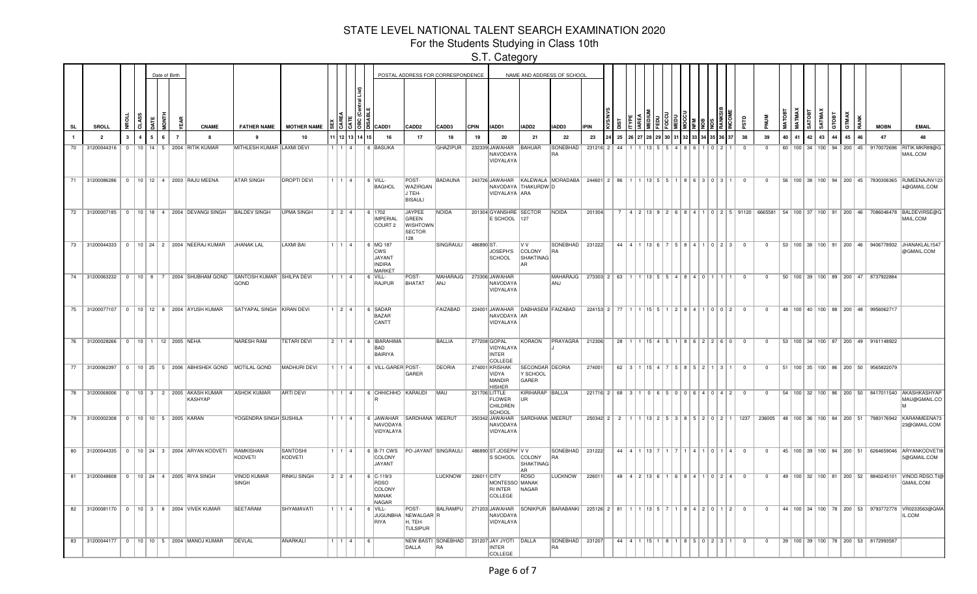For the Students Studying in Class 10th

|           |                                     |              |              |   |            | Date of Birth  |                                                          |                                                                             |                            |             |         |          |                                                                                                                                                 | POSTAL ADDRESS FOR CORRESPONDENCE                          |                                                            |             |                                                      |                                             | NAME AND ADDRESS OF SCHOOL                                                |                                       |    |  |  |  |                                                                               |                |                |    |          |       |              |    |                                                  |                                                                                                    |
|-----------|-------------------------------------|--------------|--------------|---|------------|----------------|----------------------------------------------------------|-----------------------------------------------------------------------------|----------------------------|-------------|---------|----------|-------------------------------------------------------------------------------------------------------------------------------------------------|------------------------------------------------------------|------------------------------------------------------------|-------------|------------------------------------------------------|---------------------------------------------|---------------------------------------------------------------------------|---------------------------------------|----|--|--|--|-------------------------------------------------------------------------------|----------------|----------------|----|----------|-------|--------------|----|--------------------------------------------------|----------------------------------------------------------------------------------------------------|
| <b>SL</b> | SROLL                               | 윤            | Ř            |   | <b>TNO</b> |                | <b>CNAME</b>                                             | <b>FATHER NAME</b>                                                          | <b>MOTHER NAME</b>         |             |         |          | $\frac{10}{10}$ $\frac{10}{10}$ $\frac{10}{10}$ $\frac{10}{10}$ $\frac{10}{10}$ $\frac{10}{10}$ $\frac{10}{10}$ $\frac{10}{10}$ $\frac{10}{10}$ | CADD <sub>2</sub>                                          | CADD3                                                      | <b>CPIN</b> | IADD1                                                | IADD2                                       | IADD3                                                                     | <b>IPIN</b>                           |    |  |  |  |                                                                               |                |                |    |          |       | <b>GTMAX</b> |    | <b>MOBN</b>                                      | <b>EMAIL</b>                                                                                       |
|           | $\overline{2}$                      | $\mathbf{3}$ | $\mathbf{A}$ | 5 | 6          | $\overline{7}$ | 8                                                        | 9                                                                           | 10                         |             | 1 12 13 |          | 16                                                                                                                                              | 17                                                         | 18                                                         | 19          | -20                                                  | 21                                          | 22                                                                        | 23                                    | 25 |  |  |  | 36 37                                                                         | 38             | 39             | 40 | 41<br>42 | 43 44 | 45           | 46 | 47                                               | 48                                                                                                 |
| 70        | 31200044316                         | $\Omega$     |              |   |            |                | 10   14   5   2004   RITIK KUMAR                         | MITHLESH KUMAR LAXMI DEVI                                                   |                            | 1   1   4   |         |          | 6 BASUKA                                                                                                                                        |                                                            | <b>GHAZIPUR</b>                                            |             | 232339 JAWAHAR<br>NAVODAYA<br>VIDYALAYA              | BAHUAR                                      | <b>SONEBHAD</b>                                                           | 231216 2                              | 44 |  |  |  |                                                                               | $\Omega$       | $\Omega$       |    |          |       |              |    | 60 100 34 100 94 200 45 9170072696               | RITIK.MKR89@G<br>MAIL.COM                                                                          |
|           |                                     |              |              |   |            |                | 71   31200086286   0   10   12   4   2003   RAJU MEENA   | <b>ATAR SINGH</b>                                                           | <b>DROPTI DEVI</b>         |             |         |          | 1   1   4      6   VILL-<br>BAGHOL                                                                                                              | POST-<br><b>WAZIRGAN</b><br>J TEH-<br>BISAULI              | <b>BADAUNA</b>                                             |             | VIDYALAYA ARA                                        | NAVODAYA THAKURDW D                         | 243726 JAWAHAR KALEWALA MORADABA 244601 2 86 1 1 1 13 5 5 1 8 6 3 0 3 1 0 |                                       |    |  |  |  |                                                                               |                | $\overline{0}$ |    |          |       |              |    |                                                  | 56   100   38   100   94   200   45   7830306365   RJMEENAJNV123<br>4@GMAIL.COM                    |
|           |                                     |              |              |   |            |                | 72 31200007185 0 10 18 4 2004 DEVANGI SINGH              | <b>BALDEV SINGH</b>                                                         | <b>UPMA SINGH</b>          | $221$       |         |          | 6 1702<br><b>IMPERIAL</b><br>COURT 2                                                                                                            | JAYPEE<br>GREEN<br><b>WISHTOWN</b><br><b>SECTOR</b><br>128 | NOIDA                                                      |             | 201304 GYANSHRE SECTOR<br>E SCHOOL 127               |                                             | NOIDA                                                                     | 201304                                |    |  |  |  |                                                                               |                |                |    |          |       |              |    |                                                  | 4 2 13 9 2 6 8 4 1 0 2 5 91120 6665581 54 100 37 100 91 200 46 7086046478 BALDEVIRSE@G<br>MAIL.COM |
| 73        |                                     |              |              |   |            |                | 31200044333   0   10   24   2   2004 NEERAJ KUMAR        | JHANAK LAL                                                                  | <b>LAXMI BAI</b>           | 1   1   4   |         |          | 6 MQ 187<br><b>CWS</b><br>JAYANT<br><b>INDIRA</b><br><b>MARKET</b>                                                                              |                                                            | SINGRAULI                                                  | 486890 ST   | JOSEPH'S<br>SCHOOL                                   | V V<br>COLONY<br>SHAKTINAG<br>AR            | SONEBHAD   231222<br><b>RA</b>                                            |                                       |    |  |  |  | $44$   $4$   $1$   $13$   $6$   $7$   $5$   $8$   $4$   $1$   $0$   $2$   $3$ | $\Omega$       | $\Omega$       |    |          |       |              |    |                                                  | 53   100   38   100   91   200   46   9406778932  JHANAKLAL1547<br>@GMAIL.COM                      |
|           |                                     |              |              |   |            |                |                                                          | 74 31200063232 0 10 8 7 2004 SHUBHAM GOND SANTOSH KUMAR SHILPA DEVI<br>GOND |                            | 1   1   4   |         |          | $  6$ VILL-<br>RAJPUR                                                                                                                           | POST-<br>BHATAT                                            | MAHARAJG   273306 JAWAHAR<br>ANJ                           |             | NAVODAYA<br>VIDYALAYA                                |                                             | MAHARAJG   273303   2   63  <br>ANJ                                       |                                       |    |  |  |  | 1 13 5 5 6 4 8 4 0 1 1 1 1                                                    | $\overline{0}$ | $\overline{0}$ |    |          |       |              |    | 50 100 39 100 89 200 47 8737922884               |                                                                                                    |
|           |                                     |              |              |   |            |                | 75 31200077107 0 10 12 8 2004 AYUSH KUMAR                | SATYAPAL SINGH KIRAN DEVI                                                   |                            | 1   2   4   |         |          | 6 SADAR<br>BAZAR<br>CANTT                                                                                                                       |                                                            | FAIZABAD                                                   |             | NAVODAYA AR<br>VIDYALAYA                             | 224001 JAWAHAR DABHASEM FAIZABAD            |                                                                           | 224153 2 77                           |    |  |  |  | 15 5 1 2 8 4 1 0 0 2                                                          | $\Omega$       | $\Omega$       |    |          |       |              |    | 48 100 40 100 88 200 48 9956062717               |                                                                                                    |
|           | 76 31200028266 0 10 1 12 2005 NEHA  |              |              |   |            |                |                                                          | NARESH RAM                                                                  | <b>TETARI DEVI</b>         | 2   1   4   |         |          | 6 <b>IBARAHIMA</b><br>BAD<br>BAIRIYA                                                                                                            |                                                            | <b>BALLIA</b>                                              |             | 277208 GOPAL<br>VIDYALAYA<br><b>INTER</b><br>COLLEGE | KORAON                                      | <b>PRAYAGRA</b>                                                           | 212306                                | 28 |  |  |  | 1 15 4 5 1 8 6 2 2 6 0                                                        | $\overline{0}$ | $^{\circ}$     |    |          |       |              |    | 53   100   34   100   87   200   49   9161148922 |                                                                                                    |
|           |                                     |              |              |   |            |                | 77 31200062397 0 10 25 5 2006 ABHISHEK GOND MOTILAL GOND |                                                                             | MADHURI DEVI               | 1 1 1 4 1   |         |          | 6 VILL-GARER POST-                                                                                                                              | GARER                                                      | DEORIA                                                     |             | 274001 KRISHAK<br>VIDYA<br>MANDIR<br><b>HISHER</b>   | <b>SECONDAR DEORIA</b><br>Y SCHOOL<br>GARER |                                                                           | 274001                                |    |  |  |  | $62$   3   1   15   4   7   5   8   5   2   1   3   1                         | $\overline{0}$ | $\overline{0}$ |    |          |       |              |    | 51   100   35   100   86   200   50   9565822079 |                                                                                                    |
|           |                                     |              |              |   |            |                | 78 31200068006 0 10 3 2 2005 AKASH KUMAR<br>KASHYAP      | <b>ASHOK KUMAR</b>                                                          | <b>ARTI DEVI</b>           | 1114        |         |          | 6 CHHICHHO KARAUDI                                                                                                                              |                                                            | <b>MAU</b>                                                 |             | 221706 LITTLE<br>FLOWER<br><b>CHILDREN</b><br>SCHOOL | KIRIHARAP BALLIA<br>UR                      |                                                                           | $221716$ 2 68 3 1 0 6 5 0 0 6 4 0 4 2 |    |  |  |  |                                                                               | $\Omega$       | $\Omega$       |    |          |       |              |    |                                                  | 54   100   32   100   86   200   50   8417011540   AKASHKASHYAP<br>MAU@GMAIL.CO                    |
|           | 79 31200002308 0 10 10 5 2005 KARAN |              |              |   |            |                |                                                          | YOGENDRA SINGH SUSHILA                                                      |                            | 1 1 1 4 1   |         |          | 6 JAWAHAR<br>NAVODAYA<br>VIDYALAYA                                                                                                              | SARDHANA MEERUT                                            |                                                            |             | 250342 JAWAHAR<br>NAVODAYA<br>VIDYALAYA              | SARDHANA MEERUT                             |                                                                           | $250342$ 2 2                          |    |  |  |  | 1 13 2 5 3 8 5 2 0 2 1 1237                                                   |                |                |    |          |       |              |    |                                                  | 236005 48 100 36 100 84 200 51 7983176942 KARANMEENA73<br>23@GMAIL.COM                             |
|           |                                     |              |              |   |            |                | 80 31200044335 0 10 24 3 2004 ARYAN KODVETI              | <b>RAMKISHAN</b><br>KODVETI                                                 | <b>SANTOSHI</b><br>KODVETI | 1   1   4   |         |          | 6 B-71 CWS<br>COLONY<br>JAYANT                                                                                                                  | PO-JAYANT SINGRAULI                                        |                                                            |             | 486890 ST.JOSEPH' V V<br>S SCHOOL COLONY             | SHAKTINAG<br>AR                             | SONEBHAD 231222<br><b>RA</b>                                              |                                       |    |  |  |  | 44 4 1 1 13 7 1 1 7 1 1 4 1 0 1 1 4                                           | $\overline{0}$ | $\Omega$       |    |          |       |              |    |                                                  | 45   100   39   100   84   200   51   6264659046   ARYANKODVETI<br>5@GMAIL.COM                     |
| 81        |                                     |              |              |   |            |                | 31200048608 0 10 24 4 2005 RIYA SINGH                    | <b>VINOD KUMAR</b><br><b>SINGH</b>                                          | <b>RINKU SINGH</b>         | $221$       |         |          | $6$ C-119/3<br>RDSO<br>COLONY<br>MANAK<br>NAGAR                                                                                                 |                                                            | <b>LUCKNOW</b>                                             | 226011 CITY | MONTESSO MANAK<br><b>RI INTER</b><br>COLLEGE         | RDSO<br>NAGAR                               | <b>LUCKNOW</b>                                                            | 226011                                |    |  |  |  | 48 4 2 13 6 1 6 8 4 1 0 2 4                                                   | $\Omega$       | $\Omega$       |    |          |       |              |    |                                                  | 49   100   32   100   81   200   52   8840245101   VINOD.RDSO.TI@<br>GMAIL.COM                     |
|           |                                     |              |              |   |            |                | 82 31200081170 0 10 3 8 2004 VIVEK KUMAR                 | <b>SEETARAM</b>                                                             | SHYAMAVATI                 | $1$ $1$ $4$ |         |          | $6$ VILL-<br><b>JUGUNBHA</b><br>RIYA                                                                                                            | POST-<br>NEWALGAR R<br>H, TEH-<br><b>TULSIPUR</b>          | BALRAMPU   271203 JAWAHAR                                  |             | NAVODAYA<br>VIDYALAYA                                |                                             | SONIKPUR BARABANKI 225126 2 81 1 1 13 5 7 1 8 4 2 0 1 2                   |                                       |    |  |  |  |                                                                               | $\overline{0}$ | $^{\circ}$     |    |          |       |              |    |                                                  | 44   100   34   100   78   200   53   9793772778   VR0233563@GMA<br>IL.COM                         |
|           |                                     |              |              |   |            |                | 83 31200044177   0   10   10   5   2004   MANOJ KUMAR    | DEVLAL                                                                      | ANARKALI                   |             |         | $1114$ 6 |                                                                                                                                                 | DALLA                                                      | NEW BASTI SONEBHAD   231207 JAY JYOTI   DALLA<br><b>RA</b> |             | <b>INTER</b><br>COLLEGE                              |                                             | SONEBHAD   231207<br>IRΔ                                                  |                                       |    |  |  |  | 44 4 1 15 1 81 85023110                                                       |                | $\overline{0}$ |    |          |       |              |    | 39 100 39 100 78 200 53 8172993587               |                                                                                                    |